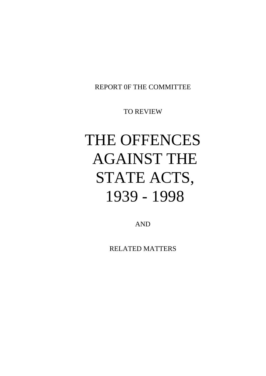REPORT 0F THE COMMITTEE

TO REVIEW

# THE OFFENCES AGAINST THE STATE ACTS, 1939 - 1998

AND

RELATED MATTERS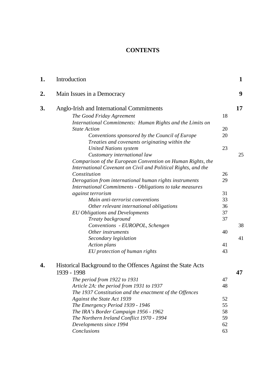# **CONTENTS**

| 1. | Introduction                                                  |    | $\mathbf{1}$ |
|----|---------------------------------------------------------------|----|--------------|
| 2. | Main Issues in a Democracy                                    |    | 9            |
| 3. | Anglo-Irish and International Commitments                     |    | 17           |
|    | The Good Friday Agreement                                     | 18 |              |
|    | International Commitments: Human Rights and the Limits on     |    |              |
|    | <b>State Action</b>                                           | 20 |              |
|    | Conventions sponsored by the Council of Europe                | 20 |              |
|    | Treaties and covenants originating within the                 |    |              |
|    | <b>United Nations system</b>                                  | 23 |              |
|    | Customary international law                                   |    | 25           |
|    | Comparison of the European Convention on Human Rights, the    |    |              |
|    | International Covenant on Civil and Political Rights, and the |    |              |
|    | Constitution                                                  | 26 |              |
|    | Derogation from international human rights instruments        | 29 |              |
|    | International Commitments - Obligations to take measures      |    |              |
|    | against terrorism                                             | 31 |              |
|    | Main anti-terrorist conventions                               | 33 |              |
|    | Other relevant international obligations                      | 36 |              |
|    | <b>EU Obligations and Developments</b>                        | 37 |              |
|    | Treaty background                                             | 37 |              |
|    | Conventions - EUROPOL, Schengen                               |    | 38           |
|    | Other instruments                                             | 40 |              |
|    | Secondary legislation                                         |    | 41           |
|    | <b>Action</b> plans                                           | 41 |              |
|    | EU protection of human rights                                 | 43 |              |
| 4. | Historical Background to the Offences Against the State Acts  |    |              |
|    | 1939 - 1998                                                   |    | 47           |
|    | The period from 1922 to 1931                                  | 47 |              |
|    | Article 2A: the period from 1931 to 1937                      | 48 |              |
|    | The 1937 Constitution and the enactment of the Offences       |    |              |
|    | <b>Against the State Act 1939</b>                             | 52 |              |
|    | The Emergency Period 1939 - 1946                              | 55 |              |
|    | The IRA's Border Campaign 1956 - 1962                         | 58 |              |
|    | The Northern Ireland Conflict 1970 - 1994                     | 59 |              |
|    | Developments since 1994                                       | 62 |              |
|    | Conclusions                                                   | 63 |              |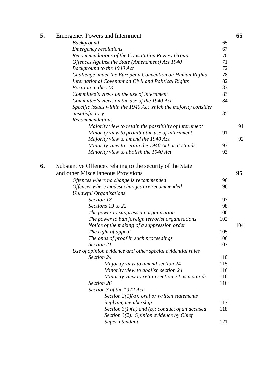| 5. | <b>Emergency Powers and Internment</b>                          |     | 65  |
|----|-----------------------------------------------------------------|-----|-----|
|    | Background                                                      | 65  |     |
|    | <b>Emergency resolutions</b>                                    | 67  |     |
|    | Recommendations of the Constitution Review Group                | 70  |     |
|    | Offences Against the State (Amendment) Act 1940                 | 71  |     |
|    | Background to the 1940 Act                                      | 72  |     |
|    | Challenge under the European Convention on Human Rights         | 78  |     |
|    | International Covenant on Civil and Political Rights            | 82  |     |
|    | Position in the UK                                              | 83  |     |
|    | Committee's views on the use of internment                      | 83  |     |
|    | Committee's views on the use of the 1940 Act                    | 84  |     |
|    | Specific issues within the 1940 Act which the majority consider |     |     |
|    | unsatisfactory                                                  | 85  |     |
|    | Recommendations                                                 |     |     |
|    | Majority view to retain the possibility of internment           |     | 91  |
|    | Minority view to prohibit the use of internment                 | 91  |     |
|    | Majority view to amend the 1940 Act                             |     | 92  |
|    | Minority view to retain the 1940 Act as it stands               | 93  |     |
|    | Minority view to abolish the 1940 Act                           | 93  |     |
| 6. | Substantive Offences relating to the security of the State      |     |     |
|    | and other Miscellaneous Provisions                              |     | 95  |
|    | Offences where no change is recommended                         | 96  |     |
|    | Offences where modest changes are recommended                   | 96  |     |
|    | <b>Unlawful Organisations</b>                                   |     |     |
|    | Section 18                                                      | 97  |     |
|    | Sections 19 to 22                                               | 98  |     |
|    | The power to suppress an organisation                           | 100 |     |
|    | The power to ban foreign terrorist organisations                | 102 |     |
|    | Notice of the making of a suppression order                     |     | 104 |
|    | The right of appeal                                             | 105 |     |
|    | The onus of proof in such proceedings                           | 106 |     |
|    | Section 21                                                      | 107 |     |
|    | Use of opinion evidence and other special evidential rules      |     |     |
|    | Section 24                                                      | 110 |     |
|    | Majority view to amend section 24                               | 115 |     |
|    | Minority view to abolish section 24                             | 116 |     |
|    | Minority view to retain section 24 as it stands                 | 116 |     |
|    | Section 26                                                      | 116 |     |
|    | Section 3 of the 1972 Act                                       |     |     |
|    | Section $3(1)(a)$ : oral or written statements                  |     |     |
|    | <i>implying membership</i>                                      | 117 |     |
|    | Section $3(1)(a)$ and (b): conduct of an accused                | 118 |     |
|    | Section $3(2)$ : Opinion evidence by Chief                      |     |     |
|    | Superintendent                                                  | 121 |     |
|    |                                                                 |     |     |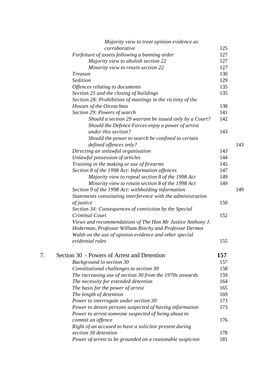|    | Majority view to treat opinion evidence as                   |     |     |
|----|--------------------------------------------------------------|-----|-----|
|    | corroborative                                                | 125 |     |
|    | Forfeiture of assets following a banning order               | 127 |     |
|    | Majority view to abolish section 22                          | 127 |     |
|    | Minority view to retain section 22                           | 127 |     |
|    | <b>Treason</b>                                               | 130 |     |
|    | Sedition                                                     | 129 |     |
|    | Offences relating to documents                               | 135 |     |
|    | Section 25 and the closing of buildings                      | 135 |     |
|    | Section 28: Prohibition of meetings in the vicinity of the   |     |     |
|    | Houses of the Oireachtas                                     | 138 |     |
|    | Section 29: Powers of search                                 | 141 |     |
|    | Should a section 29 warrant be issued only by a Court?       | 142 |     |
|    | Should the Defence Forces enjoy a power of arrest            |     |     |
|    | under this section?                                          | 143 |     |
|    | Should the power to search be confined to certain            |     |     |
|    | defined offences only?                                       |     | 143 |
|    | Directing an unlawful organisation                           | 143 |     |
|    | Unlawful possession of articles                              | 144 |     |
|    | Training in the making or use of firearms                    | 145 |     |
|    | Section 8 of the 1998 Act: Information offences              | 147 |     |
|    | Majority view to repeal section 8 of the 1998 Act            | 149 |     |
|    | Minority view to retain section 8 of the 1998 Act            | 149 |     |
|    | Section 9 of the 1998 Act: withholding information           |     | 149 |
|    | Statements constituting interference with the administration |     |     |
|    | of justice                                                   | 150 |     |
|    | Section 34: Consequences of conviction by the Special        |     |     |
|    | Criminal Court                                               | 152 |     |
|    | Views and recommendations of The Hon Mr Justice Anthony J.   |     |     |
|    | Hederman, Professor William Binchy and Professor Dermot      |     |     |
|    | Walsh on the use of opinion evidence and other special       |     |     |
|    | evidential rules                                             | 155 |     |
| 7. | Section 30 - Powers of Arrest and Detention                  | 157 |     |
|    | <b>Background to section 30</b>                              | 157 |     |
|    | Constitutional challenges to section 30                      | 158 |     |
|    | The increasing use of section 30 from the 1970s onwards      | 159 |     |
|    | The necessity for extended detention                         | 164 |     |
|    | The basis for the power of arrest                            | 165 |     |
|    | The length of detention                                      | 169 |     |
|    | Power to interrogate under section 30                        | 173 |     |
|    | Power to detain persons suspected of having information      | 173 |     |
|    | Power to arrest someone suspected of being about to          |     |     |
|    | commit an offence                                            | 176 |     |
|    | Right of an accused to have a solicitor present during       |     |     |
|    | section 30 detention                                         | 178 |     |
|    | Power of arrest to be grounded on a reasonable suspicion     | 181 |     |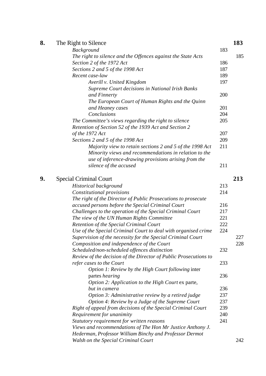| 8. | The Right to Silence                                             |     | 183 |
|----|------------------------------------------------------------------|-----|-----|
|    | <b>Background</b>                                                | 183 |     |
|    | The right to silence and the Offences against the State Acts     |     | 185 |
|    | Section 2 of the 1972 Act                                        | 186 |     |
|    | Sections 2 and 5 of the 1998 Act                                 | 187 |     |
|    | Recent case-law                                                  | 189 |     |
|    | Averill v. United Kingdom                                        | 197 |     |
|    | <b>Supreme Court decisions in National Irish Banks</b>           |     |     |
|    | and Finnerty                                                     | 200 |     |
|    | The European Court of Human Rights and the Quinn                 |     |     |
|    | and Heaney cases                                                 | 201 |     |
|    | Conclusions                                                      | 204 |     |
|    | The Committee's views regarding the right to silence             | 205 |     |
|    | Retention of Section 52 of the 1939 Act and Section 2            |     |     |
|    | of the 1972 Act                                                  | 207 |     |
|    | Sections 2 and 5 of the 1998 Act                                 | 209 |     |
|    | Majority view to retain sections 2 and 5 of the 1998 Act         | 211 |     |
|    | Minority views and recommendations in relation to the            |     |     |
|    | use of inference-drawing provisions arising from the             |     |     |
|    | silence of the accused                                           | 211 |     |
|    |                                                                  |     |     |
| 9. | <b>Special Criminal Court</b>                                    |     | 213 |
|    | Historical background                                            | 213 |     |
|    | Constitutional provisions                                        | 214 |     |
|    | The right of the Director of Public Prosecutions to prosecute    |     |     |
|    | accused persons before the Special Criminal Court                | 216 |     |
|    | Challenges to the operation of the Special Criminal Court        | 217 |     |
|    | The view of the UN Human Rights Committee                        | 221 |     |
|    | Retention of the Special Criminal Court                          | 222 |     |
|    | Use of the Special Criminal Court to deal with organised crime   | 224 |     |
|    | Supervision of the necessity for the Special Criminal Court      |     | 227 |
|    | Composition and independence of the Court                        |     | 228 |
|    | Scheduled/non-scheduled offences distinction                     | 232 |     |
|    | Review of the decision of the Director of Public Prosecutions to |     |     |
|    | refer cases to the Court                                         | 233 |     |
|    | Option 1: Review by the High Court following inter               |     |     |
|    | partes <i>hearing</i>                                            | 236 |     |
|    | Option 2: Application to the High Court ex parte,                |     |     |
|    | but in camera                                                    | 236 |     |
|    | Option 3: Administrative review by a retired judge               | 237 |     |
|    | Option 4: Review by a Judge of the Supreme Court                 | 237 |     |
|    | Right of appeal from decisions of the Special Criminal Court     | 239 |     |
|    | Requirement for unanimity                                        | 240 |     |
|    | Statutory requirement for written reasons                        | 241 |     |
|    | Views and recommendations of The Hon Mr Justice Anthony J.       |     |     |
|    | Hederman, Professor William Binchy and Professor Dermot          |     |     |
|    | Walsh on the Special Criminal Court                              |     | 242 |
|    |                                                                  |     |     |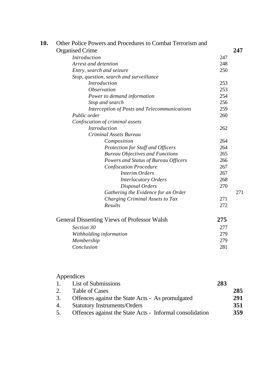| 10. | Other Police Powers and Procedures to Combat Terrorism and |     |     |
|-----|------------------------------------------------------------|-----|-----|
|     | <b>Organised Crime</b>                                     |     | 247 |
|     | <i>Introduction</i>                                        | 247 |     |
|     | Arrest and detention                                       | 248 |     |
|     | Entry, search and seizure                                  | 250 |     |
|     | Stop, question, search and surveillance                    |     |     |
|     | <b>Introduction</b>                                        | 253 |     |
|     | <i><b>Observation</b></i>                                  | 253 |     |
|     | Power to demand information                                | 254 |     |
|     | Stop and search                                            | 256 |     |
|     | Interception of Posts and Telecommunications               | 259 |     |
|     | Public order                                               | 260 |     |
|     | Confiscation of criminal assets                            |     |     |
|     | <b>Introduction</b>                                        | 262 |     |
|     | Criminal Assets Bureau                                     |     |     |
|     | Composition                                                | 264 |     |
|     | Protection for Staff and Officers                          | 264 |     |
|     | <b>Bureau Objectives and Functions</b>                     | 265 |     |
|     | Powers and Status of Bureau Officers                       | 266 |     |
|     | <b>Confiscation Procedure</b>                              | 267 |     |
|     | <b>Interim Orders</b>                                      | 267 |     |
|     | <b>Interlocutory Orders</b>                                | 268 |     |
|     | Disposal Orders                                            | 270 |     |
|     | Gathering the Evidence for an Order                        |     | 271 |
|     | Charging Criminal Assets to Tax                            | 271 |     |
|     | Results                                                    | 272 |     |
|     | General Dissenting Views of Professor Walsh                | 275 |     |
|     | Section 30                                                 | 277 |     |
|     | Withholding information                                    | 279 |     |
|     | Membership                                                 | 279 |     |
|     | Conclusion                                                 | 281 |     |
|     |                                                            |     |     |

# Appendices

|    | 1. List of Submissions                                   | 283 |
|----|----------------------------------------------------------|-----|
| 2. | Table of Cases                                           | 285 |
|    | 3. Offences against the State Acts - As promulgated      | 291 |
| 4. | <b>Statutory Instruments/Orders</b>                      | 351 |
| 5. | Offences against the State Acts - Informal consolidation | 359 |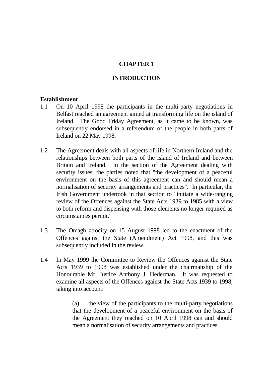# **CHAPTER 1**

# **INTRODUCTION**

### **Establishment**

- 1.1 On 10 April 1998 the participants in the multi-party negotiations in Belfast reached an agreement aimed at transforming life on the island of Ireland. The Good Friday Agreement, as it came to be known, was subsequently endorsed in a referendum of the people in both parts of Ireland on 22 May 1998.
- 1.2 The Agreement deals with all aspects of life in Northern Ireland and the relationships between both parts of the island of Ireland and between Britain and Ireland. In the section of the Agreement dealing with security issues, the parties noted that "the development of a peaceful environment on the basis of this agreement can and should mean a normalisation of security arrangements and practices". In particular, the Irish Government undertook in that section to "initiate a wide-ranging review of the Offences against the State Acts 1939 to 1985 with a view to both reform and dispensing with those elements no longer required as circumstances permit."
- 1.3 The Omagh atrocity on 15 August 1998 led to the enactment of the Offences against the State (Amendment) Act 1998, and this was subsequently included in the review.
- 1.4 In May 1999 the Committee to Review the Offences against the State Acts 1939 to 1998 was established under the chairmanship of the Honourable Mr. Justice Anthony J. Hederman. It was requested to examine all aspects of the Offences against the State Acts 1939 to 1998, taking into account:

(a) the view of the participants to the multi-party negotiations that the development of a peaceful environment on the basis of the Agreement they reached on 10 April 1998 can and should mean a normalisation of security arrangements and practices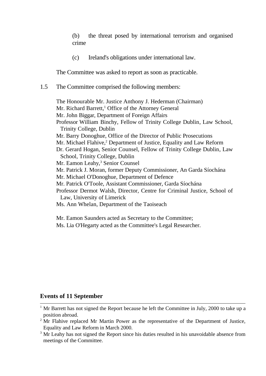(b) the threat posed by international terrorism and organised crime

(c) Ireland's obligations under international law.

The Committee was asked to report as soon as practicable.

#### 1.5 The Committee comprised the following members:

The Honourable Mr. Justice Anthony J. Hederman (Chairman) Mr. Richard Barrett,<sup>1</sup> Office of the Attorney General Mr. John Biggar, Department of Foreign Affairs Professor William Binchy, Fellow of Trinity College Dublin, Law School, Trinity College, Dublin Mr. Barry Donoghue, Office of the Director of Public Prosecutions Mr. Michael Flahive,<sup>2</sup> Department of Justice, Equality and Law Reform Dr. Gerard Hogan, Senior Counsel, Fellow of Trinity College Dublin, Law School, Trinity College, Dublin Mr. Eamon Leahy,<sup>3</sup> Senior Counsel Mr. Patrick J. Moran, former Deputy Commissioner, An Garda Síochána Mr. Michael O'Donoghue, Department of Defence Mr. Patrick O'Toole, Assistant Commissioner, Garda Síochána Professor Dermot Walsh, Director, Centre for Criminal Justice, School of Law, University of Limerick Ms. Ann Whelan, Department of the Taoiseach

Mr. Eamon Saunders acted as Secretary to the Committee;

Ms. Lia O'Hegarty acted as the Committee's Legal Researcher.

### **Events of 11 September**

<sup>&</sup>lt;sup>1</sup> Mr Barrett has not signed the Report because he left the Committee in July, 2000 to take up a position abroad.

 $2^{\circ}$  Mr Flahive replaced Mr Martin Power as the representative of the Department of Justice, Equality and Law Reform in March 2000.

<sup>&</sup>lt;sup>3</sup> Mr Leahy has not signed the Report since his duties resulted in his unavoidable absence from meetings of the Committee.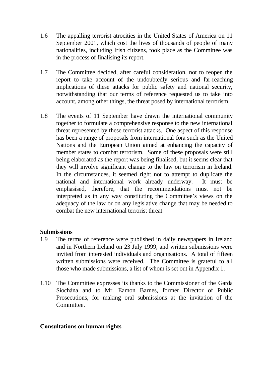- 1.6 The appalling terrorist atrocities in the United States of America on 11 September 2001, which cost the lives of thousands of people of many nationalities, including Irish citizens, took place as the Committee was in the process of finalising its report.
- 1.7 The Committee decided, after careful consideration, not to reopen the report to take account of the undoubtedly serious and far-reaching implications of these attacks for public safety and national security, notwithstanding that our terms of reference requested us to take into account, among other things, the threat posed by international terrorism.
- 1.8 The events of 11 September have drawn the international community together to formulate a comprehensive response to the new international threat represented by these terrorist attacks. One aspect of this response has been a range of proposals from international fora such as the United Nations and the European Union aimed at enhancing the capacity of member states to combat terrorism. Some of these proposals were still being elaborated as the report was being finalised, but it seems clear that they will involve significant change to the law on terrorism in Ireland. In the circumstances, it seemed right not to attempt to duplicate the national and international work already underway. It must be emphasised, therefore, that the recommendations must not be interpreted as in any way constituting the Committee's views on the adequacy of the law or on any legislative change that may be needed to combat the new international terrorist threat.

### **Submissions**

- 1.9 The terms of reference were published in daily newspapers in Ireland and in Northern Ireland on 23 July 1999, and written submissions were invited from interested individuals and organisations. A total of fifteen written submissions were received. The Committee is grateful to all those who made submissions, a list of whom is set out in Appendix 1.
- 1.10 The Committee expresses its thanks to the Commissioner of the Garda Síochána and to Mr. Eamon Barnes, former Director of Public Prosecutions, for making oral submissions at the invitation of the Committee.

### **Consultations on human rights**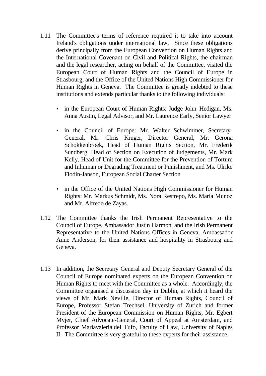- 1.11 The Committee's terms of reference required it to take into account Ireland's obligations under international law. Since these obligations derive principally from the European Convention on Human Rights and the International Covenant on Civil and Political Rights, the chairman and the legal researcher, acting on behalf of the Committee, visited the European Court of Human Rights and the Council of Europe in Strasbourg, and the Office of the United Nations High Commissioner for Human Rights in Geneva. The Committee is greatly indebted to these institutions and extends particular thanks to the following individuals:
	- in the European Court of Human Rights: Judge John Hedigan, Ms. Anna Austin, Legal Advisor, and Mr. Laurence Early, Senior Lawyer
	- in the Council of Europe: Mr. Walter Schwimmer, Secretary-General, Mr. Chris Kruger, Director General, Mr. Gerona Schokkenbroek, Head of Human Rights Section, Mr. Frederik Sundberg, Head of Section on Execution of Judgements, Mr. Mark Kelly, Head of Unit for the Committee for the Prevention of Torture and Inhuman or Degrading Treatment or Punishment, and Ms. Ulrike Flodin-Janson, European Social Charter Section
	- in the Office of the United Nations High Commissioner for Human Rights: Mr. Markus Schmidt, Ms. Nora Restrepo, Ms. Maria Munoz and Mr. Alfredo de Zayas.
- 1.12 The Committee thanks the Irish Permanent Representative to the Council of Europe, Ambassador Justin Harmon, and the Irish Permanent Representative to the United Nations Offices in Geneva, Ambassador Anne Anderson, for their assistance and hospitality in Strasbourg and Geneva.
- 1.13 In addition, the Secretary General and Deputy Secretary General of the Council of Europe nominated experts on the European Convention on Human Rights to meet with the Committee as a whole. Accordingly, the Committee organised a discussion day in Dublin, at which it heard the views of Mr. Mark Neville, Director of Human Rights, Council of Europe, Professor Stefan Trechsel, University of Zurich and former President of the European Commission on Human Rights, Mr. Egbert Myjer, Chief Advocate-General, Court of Appeal at Amsterdam, and Professor Mariavaleria del Tufo, Faculty of Law, University of Naples II. The Committee is very grateful to these experts for their assistance.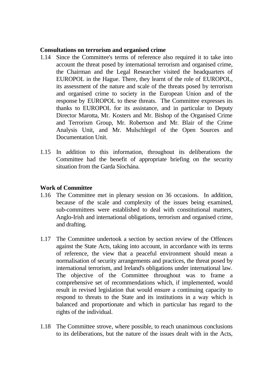### **Consultations on terrorism and organised crime**

- 1.14 Since the Committee's terms of reference also required it to take into account the threat posed by international terrorism and organised crime, the Chairman and the Legal Researcher visited the headquarters of EUROPOL in the Hague. There, they learnt of the role of EUROPOL, its assessment of the nature and scale of the threats posed by terrorism and organised crime to society in the European Union and of the response by EUROPOL to these threats. The Committee expresses its thanks to EUROPOL for its assistance, and in particular to Deputy Director Marotta, Mr. Kosters and Mr. Bishop of the Organised Crime and Terrorism Group, Mr. Robertson and Mr. Blair of the Crime Analysis Unit, and Mr. Mulschlegel of the Open Sources and Documentation Unit.
- 1.15 In addition to this information, throughout its deliberations the Committee had the benefit of appropriate briefing on the security situation from the Garda Síochána.

# **Work of Committee**

- 1.16 The Committee met in plenary session on 36 occasions. In addition, because of the scale and complexity of the issues being examined, sub-committees were established to deal with constitutional matters, Anglo-Irish and international obligations, terrorism and organised crime, and drafting.
- 1.17 The Committee undertook a section by section review of the Offences against the State Acts, taking into account, in accordance with its terms of reference, the view that a peaceful environment should mean a normalisation of security arrangements and practices, the threat posed by international terrorism, and Ireland's obligations under international law. The objective of the Committee throughout was to frame a comprehensive set of recommendations which, if implemented, would result in revised legislation that would ensure a continuing capacity to respond to threats to the State and its institutions in a way which is balanced and proportionate and which in particular has regard to the rights of the individual.
- 1.18 The Committee strove, where possible, to reach unanimous conclusions to its deliberations, but the nature of the issues dealt with in the Acts,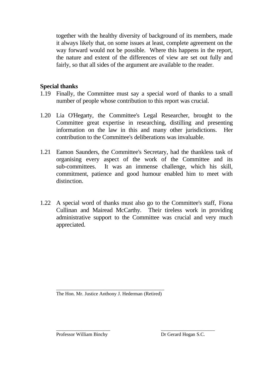together with the healthy diversity of background of its members, made it always likely that, on some issues at least, complete agreement on the way forward would not be possible. Where this happens in the report, the nature and extent of the differences of view are set out fully and fairly, so that all sides of the argument are available to the reader.

### **Special thanks**

- 1.19 Finally, the Committee must say a special word of thanks to a small number of people whose contribution to this report was crucial.
- 1.20 Lia O'Hegarty, the Committee's Legal Researcher, brought to the Committee great expertise in researching, distilling and presenting information on the law in this and many other jurisdictions. Her contribution to the Committee's deliberations was invaluable.
- 1.21 Eamon Saunders, the Committee's Secretary, had the thankless task of organising every aspect of the work of the Committee and its sub-committees. It was an immense challenge, which his skill, commitment, patience and good humour enabled him to meet with distinction.
- 1.22 A special word of thanks must also go to the Committee's staff, Fiona Cullinan and Mairead McCarthy. Their tireless work in providing administrative support to the Committee was crucial and very much appreciated.

\_\_\_\_\_\_\_\_\_\_\_\_\_\_\_\_\_\_\_\_\_ \_\_\_\_\_\_\_\_\_\_\_\_\_\_\_\_\_\_\_\_\_

\_\_\_\_\_\_\_\_\_\_\_\_\_\_\_\_\_\_\_\_\_\_\_\_\_\_\_\_\_\_\_\_\_\_\_\_\_\_\_\_\_\_ The Hon. Mr. Justice Anthony J. Hederman (Retired)

Professor William Binchy Dr Gerard Hogan S.C.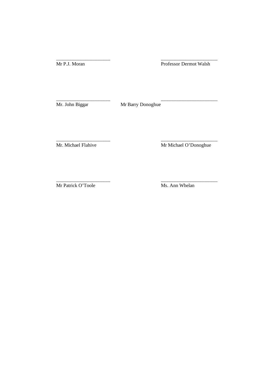Mr P.J. Moran Professor Dermot Walsh

Mr. John Biggar Mr Barry Donoghue

\_\_\_\_\_\_\_\_\_\_\_\_\_\_\_\_\_\_\_\_\_ \_\_\_\_\_\_\_\_\_\_\_\_\_\_\_\_\_\_\_\_\_\_

\_\_\_\_\_\_\_\_\_\_\_\_\_\_\_\_\_\_\_\_\_ \_\_\_\_\_\_\_\_\_\_\_\_\_\_\_\_\_\_\_\_\_\_

\_\_\_\_\_\_\_\_\_\_\_\_\_\_\_\_\_\_\_\_\_ \_\_\_\_\_\_\_\_\_\_\_\_\_\_\_\_\_\_\_\_\_\_

Mr. Michael Flahive Mr Michael O'Donoghue

\_\_\_\_\_\_\_\_\_\_\_\_\_\_\_\_\_\_\_\_\_ \_\_\_\_\_\_\_\_\_\_\_\_\_\_\_\_\_\_\_\_\_\_ Mr Patrick O'Toole Ms. Ann Whelan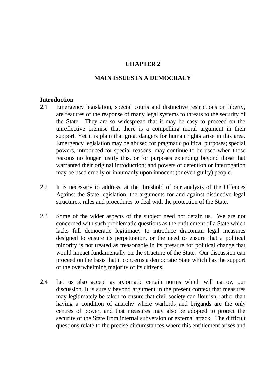# **CHAPTER 2**

### **MAIN ISSUES IN A DEMOCRACY**

#### **Introduction**

- 2.1 Emergency legislation, special courts and distinctive restrictions on liberty, are features of the response of many legal systems to threats to the security of the State. They are so widespread that it may be easy to proceed on the unreflective premise that there is a compelling moral argument in their support. Yet it is plain that great dangers for human rights arise in this area. Emergency legislation may be abused for pragmatic political purposes; special powers, introduced for special reasons, may continue to be used when those reasons no longer justify this, or for purposes extending beyond those that warranted their original introduction; and powers of detention or interrogation may be used cruelly or inhumanly upon innocent (or even guilty) people.
- 2.2 It is necessary to address, at the threshold of our analysis of the Offences Against the State legislation, the arguments for and against distinctive legal structures, rules and procedures to deal with the protection of the State.
- 2.3 Some of the wider aspects of the subject need not detain us. We are not concerned with such problematic questions as the entitlement of a State which lacks full democratic legitimacy to introduce draconian legal measures designed to ensure its perpetuation, or the need to ensure that a political minority is not treated as treasonable in its pressure for political change that would impact fundamentally on the structure of the State. Our discussion can proceed on the basis that it concerns a democratic State which has the support of the overwhelming majority of its citizens.
- 2.4 Let us also accept as axiomatic certain norms which will narrow our discussion. It is surely beyond argument in the present context that measures may legitimately be taken to ensure that civil society can flourish, rather than having a condition of anarchy where warlords and brigands are the only centres of power, and that measures may also be adopted to protect the security of the State from internal subversion or external attack. The difficult questions relate to the precise circumstances where this entitlement arises and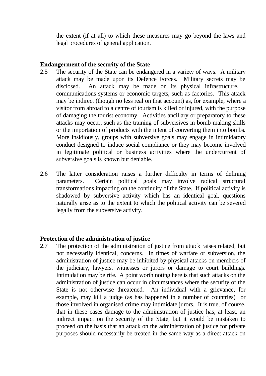the extent (if at all) to which these measures may go beyond the laws and legal procedures of general application.

### **Endangerment of the security of the State**

- 2.5 The security of the State can be endangered in a variety of ways. A military attack may be made upon its Defence Forces. Military secrets may be disclosed. An attack may be made on its physical infrastructure, communications systems or economic targets, such as factories. This attack may be indirect (though no less real on that account) as, for example, where a visitor from abroad to a centre of tourism is killed or injured, with the purpose of damaging the tourist economy. Activities ancillary or preparatory to these attacks may occur, such as the training of subversives in bomb-making skills or the importation of products with the intent of converting them into bombs. More insidiously, groups with subversive goals may engage in intimidatory conduct designed to induce social compliance or they may become involved in legitimate political or business activities where the undercurrent of subversive goals is known but deniable.
- 2.6 The latter consideration raises a further difficulty in terms of defining parameters. Certain political goals may involve radical structural transformations impacting on the continuity of the State. If political activity is shadowed by subversive activity which has an identical goal, questions naturally arise as to the extent to which the political activity can be severed legally from the subversive activity.

# **Protection of the administration of justice**

2.7 The protection of the administration of justice from attack raises related, but not necessarily identical, concerns. In times of warfare or subversion, the administration of justice may be inhibited by physical attacks on members of the judiciary, lawyers, witnesses or jurors or damage to court buildings. Intimidation may be rife. A point worth noting here is that such attacks on the administration of justice can occur in circumstances where the security of the State is not otherwise threatened. An individual with a grievance, for example, may kill a judge (as has happened in a number of countries) or those involved in organised crime may intimidate jurors. It is true, of course, that in these cases damage to the administration of justice has, at least, an indirect impact on the security of the State, but it would be mistaken to proceed on the basis that an attack on the administration of justice for private purposes should necessarily be treated in the same way as a direct attack on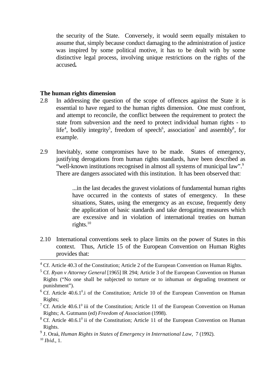the security of the State. Conversely, it would seem equally mistaken to assume that, simply because conduct damaging to the administration of justice was inspired by some political motive, it has to be dealt with by some distinctive legal process, involving unique restrictions on the rights of the accused**.**

### **The human rights dimension**

- 2.8 In addressing the question of the scope of offences against the State it is essential to have regard to the human rights dimension. One must confront, and attempt to reconcile, the conflict between the requirement to protect the state from subversion and the need to protect individual human rights - to life<sup>4</sup>, bodily integrity<sup>5</sup>, freedom of speech<sup>6</sup>, association<sup>7</sup> and assembly<sup>8</sup>, for example.
- 2.9 Inevitably, some compromises have to be made. States of emergency, justifying derogations from human rights standards, have been described as "well-known institutions recognised in almost all systems of municipal law".<sup>9</sup> There are dangers associated with this institution. It has been observed that:

...in the last decades the gravest violations of fundamental human rights have occurred in the contexts of states of emergency. In these situations. States, using the emergency as an excuse, frequently deny the application of basic standards and take derogating measures which are excessive and in violation of international treaties on human rights. $^{10}$ 

2.10 International conventions seek to place limits on the power of States in this context. Thus, Article 15 of the European Convention on Human Rights provides that:

 $4^4$  Cf. Article 40.3 of the Constitution; Article 2 of the European Convention on Human Rights.

<sup>5</sup> Cf. *Ryan v Attorney General* [1965] IR 294; Article 3 of the European Convention on Human Rights ("No one shall be subjected to torture or to inhuman or degrading treatment or punishment").

 $6$  Cf. Article 40.6.1<sup>0</sup>.i of the Constitution; Article 10 of the European Convention on Human Rights;

<sup>&</sup>lt;sup>7</sup> Cf. Article 40.6.1<sup>0</sup> iii of the Constitution; Article 11 of the European Convention on Human Rights; A. Gutmann (ed) *Freedom of Association* (1998).

 $8$  Cf. Article 40.6.1<sup>0</sup> ii of the Constitution; Article 11 of the European Convention on Human Rights.

<sup>9</sup> J. Oraá, *Human Rights in States of Emergency in International Law,* 7 (1992).

<sup>10</sup> *Ibid*., 1.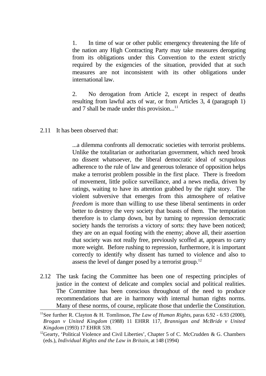1. In time of war or other public emergency threatening the life of the nation any High Contracting Party may take measures derogating from its obligations under this Convention to the extent strictly required by the exigencies of the situation, provided that at such measures are not inconsistent with its other obligations under international law.

2. No derogation from Article 2, except in respect of deaths resulting from lawful acts of war, or from Articles 3, 4 (paragraph 1) and 7 shall be made under this provision... 11

### 2.11 It has been observed that:

...a dilemma confronts all democratic societies with terrorist problems. Unlike the totalitarian or authoritarian government, which need brook no dissent whatsoever, the liberal democratic ideal of scrupulous adherence to the rule of law and generous tolerance of opposition helps make a terrorist problem possible in the first place. There is freedom of movement, little police surveillance, and a news media, driven by ratings, waiting to have its attention grabbed by the right story. The violent subversive that emerges from this atmosphere of relative *freedom* is more than willing to use these liberal sentiments in order better to destroy the very society that boasts of them. The temptation therefore is to clamp down, but by turning to repression democratic society hands the terrorists a victory of sorts: they have been noticed; they are on an equal footing with the enemy; above all, their assertion that society was not really free, previously scoffed at, appears to carry more weight. Before rushing to repression, furthermore, it is important correctly to identify why dissent has turned to violence and also to assess the level of danger posed by a terrorist group.<sup>12</sup>

2.12 The task facing the Committee has been one of respecting principles of justice in the context of delicate and complex social and political realities. The Committee has been conscious throughout of the need to produce recommendations that are in harmony with internal human rights norms. Many of these norms, of course, replicate those that underlie the Constitution.

<sup>11</sup>See further R. Clayton & H. Tomlinson, *The Law of Human Rights*, paras 6.92 - 6.93 (2000), *Brogan v United Kingdom* (1988) 11 EHRR 117, *Brannigan and McBride v United Kingdom* (1993) 17 EHRR 539.

<sup>&</sup>lt;sup>12</sup>Gearty, 'Political Violence and Civil Liberties', Chapter 5 of C. McCrudden & G. Chambers (eds.), *Individual Rights and the Law in Britain*, at 148 (1994)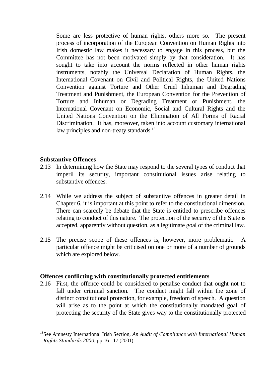Some are less protective of human rights, others more so. The present process of incorporation of the European Convention on Human Rights into Irish domestic law makes it necessary to engage in this process, but the Committee has not been motivated simply by that consideration. It has sought to take into account the norms reflected in other human rights instruments, notably the Universal Declaration of Human Rights, the International Covenant on Civil and Political Rights, the United Nations Convention against Torture and Other Cruel Inhuman and Degrading Treatment and Punishment, the European Convention for the Prevention of Torture and Inhuman or Degrading Treatment or Punishment, the International Covenant on Economic, Social and Cultural Rights and the United Nations Convention on the Elimination of All Forms of Racial Discrimination. It has, moreover, taken into account customary international law principles and non-treaty standards.<sup>13</sup>

### **Substantive Offences**

- 2.13 In determining how the State may respond to the several types of conduct that imperil its security, important constitutional issues arise relating to substantive offences.
- 2.14 While we address the subject of substantive offences in greater detail in Chapter 6, it is important at this point to refer to the constitutional dimension. There can scarcely be debate that the State is entitled to prescribe offences relating to conduct of this nature. The protection of the security of the State is accepted, apparently without question, as a legitimate goal of the criminal law.
- 2.15 The precise scope of these offences is, however, more problematic. A particular offence might be criticised on one or more of a number of grounds which are explored below.

### **Offences conflicting with constitutionally protected entitlements**

2.16 First, the offence could be considered to penalise conduct that ought not to fall under criminal sanction. The conduct might fall within the zone of distinct constitutional protection, for example, freedom of speech. A question will arise as to the point at which the constitutionally mandated goal of protecting the security of the State gives way to the constitutionally protected

<sup>13</sup>See Amnesty International Irish Section, *An Audit of Compliance with International Human Rights Standards 2000*, pp.16 - 17 (2001).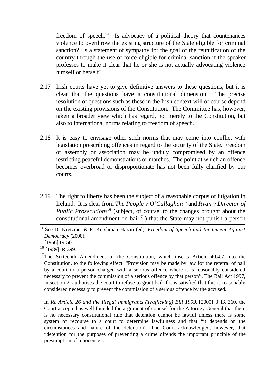freedom of speech. $14$  Is advocacy of a political theory that countenances violence to overthrow the existing structure of the State eligible for criminal sanction? Is a statement of sympathy for the goal of the reunification of the country through the use of force eligible for criminal sanction if the speaker professes to make it clear that he or she is not actually advocating violence himself or herself?

- 2.17 Irish courts have yet to give definitive answers to these questions, but it is clear that the questions have a constitutional dimension. The precise resolution of questions such as these in the Irish context will of course depend on the existing provisions of the Constitution. The Committee has, however, taken a broader view which has regard, not merely to the Constitution, but also to international norms relating to freedom of speech.
- 2.18 It is easy to envisage other such norms that may come into conflict with legislation prescribing offences in regard to the security of the State. Freedom of assembly or association may be unduly compromised by an offence restricting peaceful demonstrations or marches. The point at which an offence becomes overbroad or disproportionate has not been fully clarified by our courts.
- 2.19 The right to liberty has been the subject of a reasonable corpus of litigation in Ireland. It is clear from *The People v O'Callaghan*<sup>15</sup> and *Ryan v Director of Public Prosecutions*<sup>16</sup> (subject, of course, to the changes brought about the constitutional amendment on bail<sup>17</sup>) that the State may not punish a person

In *Re Article 26 and the Illegal Immigrants (Trafficking) Bill 1999*, [2000} 3 IR 360, the Court accepted as well founded the argument of counsel for the Attorney General that there is no necessary constitutional rule that detention cannot be lawful unless there is some system of recourse to a court to determine lawfulness and that "it depends on the circumstances and nature of the detention". The Court acknowledged, however, that "detention for the purposes of preventing a crime offends the important principle of the presumption of innocence..."

<sup>14</sup> See D. Kretzmer & F. Kershman Hazan (ed), *Freedom of Speech and Incitement Against Democracy* (2000).

 $15$  [1966] IR 501.

 $16$  [1989] IR 399.

<sup>&</sup>lt;sup>17</sup>The Sixteenth Amendment of the Constitution, which inserts Article 40.4.7 into the Constitution, to the following effect: "Provision may be made by law for the referral of bail by a court to a person charged with a serious offence where it is reasonably considered necessary to prevent the commission of a serious offence by that person". The Bail Act 1997, in section 2, authorises the court to refuse to grant bail if it is satisfied that this is reasonably considered necessary to prevent the commission of a serious offence by the accused.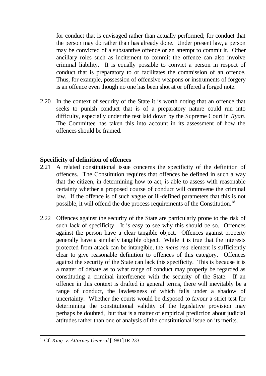for conduct that is envisaged rather than actually performed; for conduct that the person may do rather than has already done. Under present law, a person may be convicted of a substantive offence or an attempt to commit it. Other ancillary roles such as incitement to commit the offence can also involve criminal liability. It is equally possible to convict a person in respect of conduct that is preparatory to or facilitates the commission of an offence. Thus, for example, possession of offensive weapons or instruments of forgery is an offence even though no one has been shot at or offered a forged note.

2.20 In the context of security of the State it is worth noting that an offence that seeks to punish conduct that is of a preparatory nature could run into difficulty, especially under the test laid down by the Supreme Court in *Ryan*. The Committee has taken this into account in its assessment of how the offences should be framed.

# **Specificity of definition of offences**

- 2.21 A related constitutional issue concerns the specificity of the definition of offences. The Constitution requires that offences be defined in such a way that the citizen, in determining how to act, is able to assess with reasonable certainty whether a proposed course of conduct will contravene the criminal law. If the offence is of such vague or ill-defined parameters that this is not possible, it will offend the due process requirements of the Constitution.<sup>18</sup>
- 2.22 Offences against the security of the State are particularly prone to the risk of such lack of specificity. It is easy to see why this should be so. Offences against the person have a clear tangible object. Offences against property generally have a similarly tangible object. While it is true that the interests protected from attack can be intangible, the *mens rea* element is sufficiently clear to give reasonable definition to offences of this category. Offences against the security of the State can lack this specificity. This is because it is a matter of debate as to what range of conduct may properly be regarded as constituting a criminal interference with the security of the State. If an offence in this context is drafted in general terms, there will inevitably be a range of conduct, the lawlessness of which falls under a shadow of uncertainty. Whether the courts would be disposed to favour a strict test for determining the constitutional validity of the legislative provision may perhaps be doubted, but that is a matter of empirical prediction about judicial attitudes rather than one of analysis of the constitutional issue on its merits.

<sup>18</sup> Cf. *King v. Attorney General* [1981] IR 233.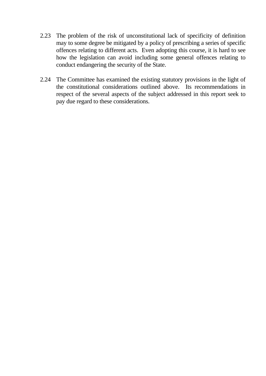- 2.23 The problem of the risk of unconstitutional lack of specificity of definition may to some degree be mitigated by a policy of prescribing a series of specific offences relating to different acts. Even adopting this course, it is hard to see how the legislation can avoid including some general offences relating to conduct endangering the security of the State.
- 2.24 The Committee has examined the existing statutory provisions in the light of the constitutional considerations outlined above. Its recommendations in respect of the several aspects of the subject addressed in this report seek to pay due regard to these considerations.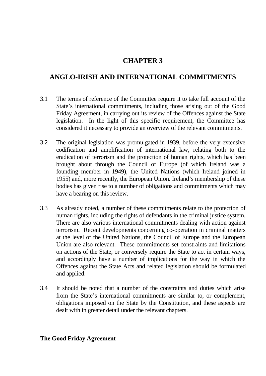# **CHAPTER 3**

# **ANGLO-IRISH AND INTERNATIONAL COMMITMENTS**

- 3.1 The terms of reference of the Committee require it to take full account of the State's international commitments, including those arising out of the Good Friday Agreement, in carrying out its review of the Offences against the State legislation. In the light of this specific requirement, the Committee has considered it necessary to provide an overview of the relevant commitments.
- 3.2 The original legislation was promulgated in 1939, before the very extensive codification and amplification of international law, relating both to the eradication of terrorism and the protection of human rights, which has been brought about through the Council of Europe (of which Ireland was a founding member in 1949), the United Nations (which Ireland joined in 1955) and, more recently, the European Union. Ireland's membership of these bodies has given rise to a number of obligations and commitments which may have a bearing on this review.
- 3.3 As already noted, a number of these commitments relate to the protection of human rights, including the rights of defendants in the criminal justice system. There are also various international commitments dealing with action against terrorism. Recent developments concerning co-operation in criminal matters at the level of the United Nations, the Council of Europe and the European Union are also relevant. These commitments set constraints and limitations on actions of the State, or conversely require the State to act in certain ways, and accordingly have a number of implications for the way in which the Offences against the State Acts and related legislation should be formulated and applied.
- 3.4 It should be noted that a number of the constraints and duties which arise from the State's international commitments are similar to, or complement, obligations imposed on the State by the Constitution, and these aspects are dealt with in greater detail under the relevant chapters.

# **The Good Friday Agreement**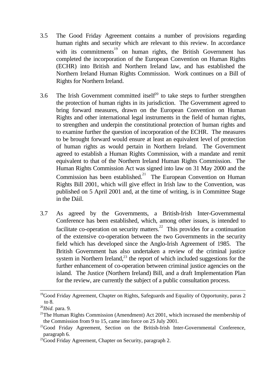- 3.5 The Good Friday Agreement contains a number of provisions regarding human rights and security which are relevant to this review. In accordance with its commitments<sup>19</sup> on human rights, the British Government has completed the incorporation of the European Convention on Human Rights (ECHR) into British and Northern Ireland law, and has established the Northern Ireland Human Rights Commission. Work continues on a Bill of Rights for Northern Ireland.
- 3.6 The Irish Government committed itself<sup>20</sup> to take steps to further strengthen the protection of human rights in its jurisdiction. The Government agreed to bring forward measures, drawn on the European Convention on Human Rights and other international legal instruments in the field of human rights, to strengthen and underpin the constitutional protection of human rights and to examine further the question of incorporation of the ECHR. The measures to be brought forward would ensure at least an equivalent level of protection of human rights as would pertain in Northern Ireland. The Government agreed to establish a Human Rights Commission, with a mandate and remit equivalent to that of the Northern Ireland Human Rights Commission. The Human Rights Commission Act was signed into law on 31 May 2000 and the Commission has been established.<sup>21</sup> The European Convention on Human Rights Bill 2001, which will give effect in Irish law to the Convention, was published on 5 April 2001 and, at the time of writing, is in Committee Stage in the Dáil.
- 3.7 As agreed by the Governments, a British-Irish Inter-Governmental Conference has been established, which, among other issues, is intended to facilitate co-operation on security matters.<sup>22</sup> This provides for a continuation of the extensive co-operation between the two Governments in the security field which has developed since the Anglo-Irish Agreement of 1985. The British Government has also undertaken a review of the criminal justice system in Northern Ireland, $2<sup>3</sup>$  the report of which included suggestions for the further enhancement of co-operation between criminal justice agencies on the island. The Justice (Northern Ireland) Bill, and a draft Implementation Plan for the review, are currently the subject of a public consultation process.

 $19$ Good Friday Agreement, Chapter on Rights, Safeguards and Equality of Opportunity, paras 2 to 8.

<sup>20</sup>*Ibid.* para. 9.

<sup>&</sup>lt;sup>21</sup>The Human Rights Commission (Amendment) Act 2001, which increased the membership of the Commission from 9 to 15, came into force on 25 July 2001.

<sup>&</sup>lt;sup>22</sup>Good Friday Agreement, Section on the British-Irish Inter-Governmental Conference, paragraph 6.

 $^{23}$ Good Friday Agreement, Chapter on Security, paragraph 2.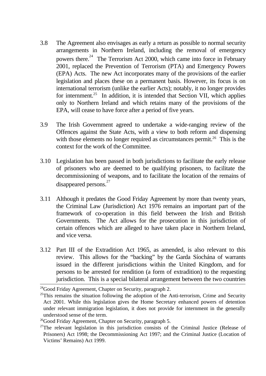- 3.8 The Agreement also envisages as early a return as possible to normal security arrangements in Northern Ireland, including the removal of emergency powers there.<sup>24</sup> The Terrorism Act 2000, which came into force in February 2001, replaced the Prevention of Terrorism (PTA) and Emergency Powers (EPA) Acts. The new Act incorporates many of the provisions of the earlier legislation and places these on a permanent basis. However, its focus is on international terrorism (unlike the earlier Acts); notably, it no longer provides for internment.<sup>25</sup> In addition, it is intended that Section VII, which applies only to Northern Ireland and which retains many of the provisions of the EPA, will cease to have force after a period of five years.
- 3.9 The Irish Government agreed to undertake a wide-ranging review of the Offences against the State Acts, with a view to both reform and dispensing with those elements no longer required as circumstances permit.<sup>26</sup> This is the context for the work of the Committee.
- 3.10 Legislation has been passed in both jurisdictions to facilitate the early release of prisoners who are deemed to be qualifying prisoners, to facilitate the decommissioning of weapons, and to facilitate the location of the remains of disappeared persons.<sup>27</sup>
- 3.11 Although it predates the Good Friday Agreement by more than twenty years, the Criminal Law (Jurisdiction) Act 1976 remains an important part of the framework of co-operation in this field between the Irish and British Governments. The Act allows for the prosecution in this jurisdiction of certain offences which are alleged to have taken place in Northern Ireland, and vice versa.
- 3.12 Part III of the Extradition Act 1965, as amended, is also relevant to this review. This allows for the "backing" by the Garda Síochána of warrants issued in the different jurisdictions within the United Kingdom, and for persons to be arrested for rendition (a form of extradition) to the requesting jurisdiction. This is a special bilateral arrangement between the two countries

<sup>&</sup>lt;sup>24</sup>Good Friday Agreement, Chapter on Security, paragraph 2.

 $25$ This remains the situation following the adoption of the Anti-terrorism, Crime and Security Act 2001. While this legislation gives the Home Secretary enhanced powers of detention under relevant immigration legislation, it does not provide for internment in the generally understood sense of the term.

 $^{26}$ Good Friday Agreement, Chapter on Security, paragraph 5.

 $27$ The relevant legislation in this jurisdiction consists of the Criminal Justice (Release of Prisoners) Act 1998; the Decommissioning Act 1997; and the Criminal Justice (Location of Victims' Remains) Act 1999.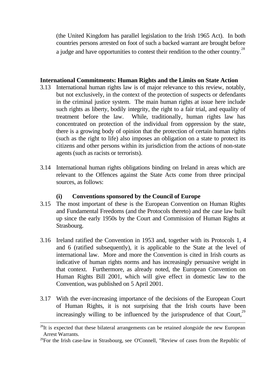(the United Kingdom has parallel legislation to the Irish 1965 Act). In both countries persons arrested on foot of such a backed warrant are brought before a judge and have opportunities to contest their rendition to the other country.<sup>28</sup>

### **International Commitments: Human Rights and the Limits on State Action**

- 3.13 International human rights law is of major relevance to this review, notably, but not exclusively, in the context of the protection of suspects or defendants in the criminal justice system. The main human rights at issue here include such rights as liberty, bodily integrity, the right to a fair trial, and equality of treatment before the law. While, traditionally, human rights law has concentrated on protection of the individual from oppression by the state, there is a growing body of opinion that the protection of certain human rights (such as the right to life) also imposes an obligation on a state to protect its citizens and other persons within its jurisdiction from the actions of non-state agents (such as racists or terrorists).
- 3.14 International human rights obligations binding on Ireland in areas which are relevant to the Offences against the State Acts come from three principal sources, as follows:

# **(i) Conventions sponsored by the Council of Europe**

- 3.15 The most important of these is the European Convention on Human Rights and Fundamental Freedoms (and the Protocols thereto) and the case law built up since the early 1950s by the Court and Commission of Human Rights at Strasbourg.
- 3.16 Ireland ratified the Convention in 1953 and, together with its Protocols 1, 4 and 6 (ratified subsequently), it is applicable to the State at the level of international law. More and more the Convention is cited in Irish courts as indicative of human rights norms and has increasingly persuasive weight in that context. Furthermore, as already noted, the European Convention on Human Rights Bill 2001, which will give effect in domestic law to the Convention, was published on 5 April 2001.
- 3.17 With the ever-increasing importance of the decisions of the European Court of Human Rights, it is not surprising that the Irish courts have been increasingly willing to be influenced by the jurisprudence of that Court,  $2^9$

 $^{28}$ It is expected that these bilateral arrangements can be retained alongside the new European Arrest Warrants.

<sup>&</sup>lt;sup>29</sup>For the Irish case-law in Strasbourg, see O'Connell, "Review of cases from the Republic of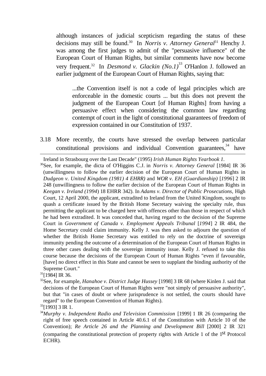although instances of judicial scepticism regarding the status of these decisions may still be found.<sup>30</sup> In *Norris v. Attorney General*<sup>31</sup> Henchy J. was among the first judges to admit of the "persuasive influence" of the European Court of Human Rights, but similar comments have now become very frequent.<sup>32</sup> In *Desmond v. Glackin*  $(No.1)^{33}$  O'Hanlon J. followed an earlier judgment of the European Court of Human Rights, saying that:

...the Convention itself is not a code of legal principles which are enforceable in the domestic courts ... but this does not prevent the judgment of the European Court [of Human Rights] from having a persuasive effect when considering the common law regarding contempt of court in the light of constitutional guarantees of freedom of expression contained in our Constitution of 1937.

3.18 More recently, the courts have stressed the overlap between particular constitutional provisions and individual Convention guarantees,  $34$  have

Ireland in Strasbourg over the Last Decade" (1995) *Irish Human Rights Yearbook 1.*

<sup>30</sup>See, for example, the dicta of O'Higgins C.J. in *Norris v. Attorney General* [1984] IR 36 (unwillingness to follow the earlier decision of the European Court of Human Rights in *Dudgeon v. United Kingdom (1981) 4 EHRR)* and *WOR v. EH (Guardianship)* [*1996*] 2 IR 248 (unwillingness to follow the earlier decision of the European Court of Human Rights in *Keegan v. Ireland (1994*) 18 EHRR 342). In *Adams v. Director of Public Prosecutions,* High Court, 12 April 2000, the applicant, extradited to Ireland from the United Kingdom, sought to quash a certificate issued by the British Home Secretary waiving the specialty rule, thus permitting the applicant to be charged here with offences other than those in respect of which he had been extradited. It was conceded that, having regard to the decision of the Supreme Court in *Government of Canada v. Employment Appeals Tribunal* [*1994*] 2 IR 484, the Home Secretary could claim immunity. Kelly J. was then asked to adjourn the question of whether the British Home Secretary was entitled to rely on the doctrine of sovereign immunity pending the outcome of a determination of the European Court of Human Rights in three other cases dealing with the sovereign immunity issue. Kelly J. refused to take this course because the decisions of the European Court of Human Rights "even if favourable, [have] no direct effect in this State and cannot be seen to supplant the binding authority of the Supreme Court."

 $31$ [1984] IR 36.

<sup>32</sup>See, for example, *Hanahoe v. District Judge Hussey* [1998] 3 IR 68 (where Kinlen J. said that decisions of the European Court of Human Rights were "not simply of persuasive authority", but that "in cases of doubt or where jurisprudence is not settled, the courts should have regard" to the European Convention of Human Rights).

 $33$ [1993] 3 IR 1.

<sup>&</sup>lt;sup>34</sup>Murphy v. Independent Radio and Television Commission [1999] 1 IR 26 (comparing the right of free speech contained in Article 40.6.1 of the Constitution with Article 10 of the Convention); *Re Article 26 and the Planning and Development Bill* [2000] 2 IR 321 (comparing the constitutional protection of property rights with Article 1 of the 1st Protocol ECHR).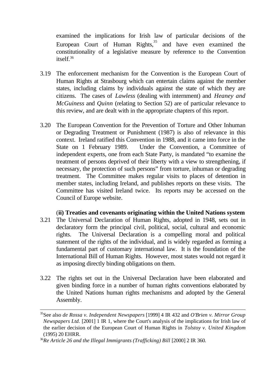examined the implications for Irish law of particular decisions of the European Court of Human Rights, $35$  and have even examined the constitutionality of a legislative measure by reference to the Convention itself.<sup>36</sup>

- 3.19 The enforcement mechanism for the Convention is the European Court of Human Rights at Strasbourg which can entertain claims against the member states, including claims by individuals against the state of which they are citizens. The cases of *Lawless* (dealing with internment) and *Heaney and McGuiness* and *Quinn* (relating to Section 52) are of particular relevance to this review, and are dealt with in the appropriate chapters of this report.
- 3.20 The European Convention for the Prevention of Torture and Other Inhuman or Degrading Treatment or Punishment (1987) is also of relevance in this context. Ireland ratified this Convention in 1988, and it came into force in the State on 1 February 1989. Under the Convention, a Committee of independent experts, one from each State Party, is mandated "to examine the treatment of persons deprived of their liberty with a view to strengthening, if necessary, the protection of such persons" from torture, inhuman or degrading treatment. The Committee makes regular visits to places of detention in member states, including Ireland, and publishes reports on these visits. The Committee has visited Ireland twice. Its reports may be accessed on the Council of Europe website.

# (**ii) Treaties and covenants originating within the United Nations system**

- 3.21 The Universal Declaration of Human Rights, adopted in 1948, sets out in declaratory form the principal civil, political, social, cultural and economic rights. The Universal Declaration is a compelling moral and political statement of the rights of the individual, and is widely regarded as forming a fundamental part of customary international law. It is the foundation of the International Bill of Human Rights. However, most states would not regard it as imposing directly binding obligations on them.
- 3.22 The rights set out in the Universal Declaration have been elaborated and given binding force in a number of human rights conventions elaborated by the United Nations human rights mechanisms and adopted by the General Assembly.

<sup>35</sup>See also *de Rossa v. Independent Newspapers* [1999] 4 IR 432 and *O'Brien v. Mirror Group Newspapers Ltd.* [2001] 1 IR 1, where the Court's analysis of the implications for Irish law of the earlier decision of the European Court of Human Rights in *Tolstoy v. United Kingdom* (1995) 20 EHRR.

<sup>36</sup>*Re Article 26 and the Illegal Immigrants (Trafficking) Bill* [2000] 2 IR 360*.*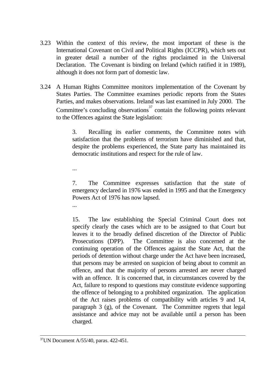- 3.23 Within the context of this review, the most important of these is the International Covenant on Civil and Political Rights (ICCPR), which sets out in greater detail a number of the rights proclaimed in the Universal Declaration. The Covenant is binding on Ireland (which ratified it in 1989), although it does not form part of domestic law.
- 3.24 A Human Rights Committee monitors implementation of the Covenant by States Parties. The Committee examines periodic reports from the States Parties, and makes observations. Ireland was last examined in July 2000. The Committee's concluding observations<sup>37</sup> contain the following points relevant to the Offences against the State legislation:

3. Recalling its earlier comments, the Committee notes with satisfaction that the problems of terrorism have diminished and that, despite the problems experienced, the State party has maintained its democratic institutions and respect for the rule of law.

...

7. The Committee expresses satisfaction that the state of emergency declared in 1976 was ended in 1995 and that the Emergency Powers Act of 1976 has now lapsed.

...

15. The law establishing the Special Criminal Court does not specify clearly the cases which are to be assigned to that Court but leaves it to the broadly defined discretion of the Director of Public Prosecutions (DPP). The Committee is also concerned at the continuing operation of the Offences against the State Act, that the periods of detention without charge under the Act have been increased, that persons may be arrested on suspicion of being about to commit an offence, and that the majority of persons arrested are never charged with an offence. It is concerned that, in circumstances covered by the Act, failure to respond to questions may constitute evidence supporting the offence of belonging to a prohibited organization. The application of the Act raises problems of compatibility with articles 9 and 14, paragraph 3 (g), of the Covenant. The Committee regrets that legal assistance and advice may not be available until a person has been charged.

 $37$ UN Document A/55/40, paras. 422-451.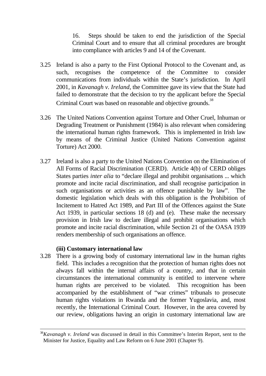16. Steps should be taken to end the jurisdiction of the Special Criminal Court and to ensure that all criminal procedures are brought into compliance with articles 9 and 14 of the Covenant.

- 3.25 Ireland is also a party to the First Optional Protocol to the Covenant and, as such, recognises the competence of the Committee to consider communications from individuals within the State's jurisdiction. In April 2001, in *Kavanagh v. Ireland*, the Committee gave its view that the State had failed to demonstrate that the decision to try the applicant before the Special Criminal Court was based on reasonable and objective grounds.<sup>38</sup>
- 3.26 The United Nations Convention against Torture and Other Cruel, Inhuman or Degrading Treatment or Punishment (1984) is also relevant when considering the international human rights framework. This is implemented in Irish law by means of the Criminal Justice (United Nations Convention against Torture) Act 2000.
- 3.27 Ireland is also a party to the United Nations Convention on the Elimination of All Forms of Racial Discrimination (CERD). Article 4(b) of CERD obliges States parties *inter alia* to "declare illegal and prohibit organisations ... which promote and incite racial discrimination, and shall recognise participation in such organisations or activities as an offence punishable by law". The domestic legislation which deals with this obligation is the Prohibition of Incitement to Hatred Act 1989, and Part III of the Offences against the State Act 1939, in particular sections 18 (d) and (e). These make the necessary provision in Irish law to declare illegal and prohibit organisations which promote and incite racial discrimination, while Section 21 of the OASA 1939 renders membership of such organisations an offence.

# **(iii) Customary international law**

3.28 There is a growing body of customary international law in the human rights field. This includes a recognition that the protection of human rights does not always fall within the internal affairs of a country, and that in certain circumstances the international community is entitled to intervene where human rights are perceived to be violated. This recognition has been accompanied by the establishment of "war crimes" tribunals to prosecute human rights violations in Rwanda and the former Yugoslavia, and, most recently, the International Criminal Court. However, in the area covered by our review, obligations having an origin in customary international law are

<sup>38</sup>*Kavanagh v. Ireland* was discussed in detail in this Committee's Interim Report, sent to the Minister for Justice, Equality and Law Reform on 6 June 2001 (Chapter 9).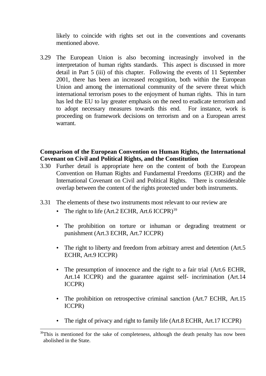likely to coincide with rights set out in the conventions and covenants mentioned above.

3.29 The European Union is also becoming increasingly involved in the interpretation of human rights standards. This aspect is discussed in more detail in Part 5 (iii) of this chapter. Following the events of 11 September 2001, there has been an increased recognition, both within the European Union and among the international community of the severe threat which international terrorism poses to the enjoyment of human rights. This in turn has led the EU to lay greater emphasis on the need to eradicate terrorism and to adopt necessary measures towards this end. For instance, work is proceeding on framework decisions on terrorism and on a European arrest warrant.

# **Comparison of the European Convention on Human Rights, the International Covenant on Civil and Political Rights, and the Constitution**

- 3.30 Further detail is appropriate here on the content of both the European Convention on Human Rights and Fundamental Freedoms (ECHR) and the International Covenant on Civil and Political Rights. There is considerable overlap between the content of the rights protected under both instruments.
- 3.31 The elements of these two instruments most relevant to our review are
	- The right to life (Art.2 ECHR, Art.6 ICCPR) $39$
	- The prohibition on torture or inhuman or degrading treatment or punishment (Art.3 ECHR, Art.7 ICCPR)
	- The right to liberty and freedom from arbitrary arrest and detention (Art.5) ECHR, Art.9 ICCPR)
	- The presumption of innocence and the right to a fair trial (Art.6 ECHR, Art.14 ICCPR) and the guarantee against self- incrimination (Art.14 ICCPR)
	- The prohibition on retrospective criminal sanction (Art.7 ECHR, Art.15 ICCPR)
	- The right of privacy and right to family life (Art.8 ECHR, Art.17 ICCPR)

 $39$ This is mentioned for the sake of completeness, although the death penalty has now been abolished in the State.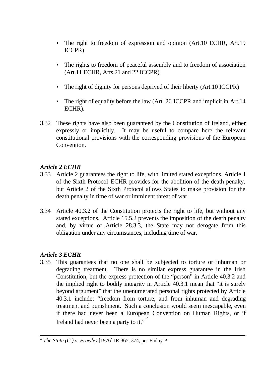- The right to freedom of expression and opinion (Art.10 ECHR, Art.19) ICCPR)
- The rights to freedom of peaceful assembly and to freedom of association (Art.11 ECHR, Arts.21 and 22 ICCPR)
- The right of dignity for persons deprived of their liberty (Art.10 ICCPR)
- The right of equality before the law (Art. 26 ICCPR and implicit in Art. 14 ECHR).
- 3.32 These rights have also been guaranteed by the Constitution of Ireland, either expressly or implicitly. It may be useful to compare here the relevant constitutional provisions with the corresponding provisions of the European Convention.

# *Article 2 ECHR*

- 3.33 Article 2 guarantees the right to life, with limited stated exceptions. Article 1 of the Sixth Protocol ECHR provides for the abolition of the death penalty, but Article 2 of the Sixth Protocol allows States to make provision for the death penalty in time of war or imminent threat of war.
- 3.34 Article 40.3.2 of the Constitution protects the right to life, but without any stated exceptions. Article 15.5.2 prevents the imposition of the death penalty and, by virtue of Article 28.3.3, the State may not derogate from this obligation under any circumstances, including time of war.

# *Article 3 ECHR*

3.35 This guarantees that no one shall be subjected to torture or inhuman or degrading treatment. There is no similar express guarantee in the Irish Constitution, but the express protection of the "person" in Article 40.3.2 and the implied right to bodily integrity in Article 40.3.1 mean that "it is surely beyond argument" that the unenumerated personal rights protected by Article 40.3.1 include: "freedom from torture, and from inhuman and degrading treatment and punishment. Such a conclusion would seem inescapable, even if there had never been a European Convention on Human Rights, or if Ireland had never been a party to it." $^{40}$ 

<sup>40</sup>*The State (C.) v. Frawley* [1976] IR 365, 374, per Finlay P.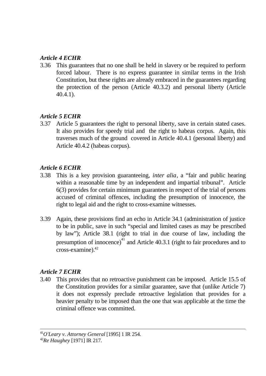# *Article 4 ECHR*

3.36 This guarantees that no one shall be held in slavery or be required to perform forced labour. There is no express guarantee in similar terms in the Irish Constitution, but these rights are already embraced in the guarantees regarding the protection of the person (Article 40.3.2) and personal liberty (Article 40.4.1).

# *Article 5 ECHR*

3.37 Article 5 guarantees the right to personal liberty, save in certain stated cases. It also provides for speedy trial and the right to habeas corpus. Again, this traverses much of the ground covered in Article 40.4.1 (personal liberty) and Article 40.4.2 (habeas corpus).

# *Article 6 ECHR*

- 3.38 This is a key provision guaranteeing, *inter alia*, a "fair and public hearing within a reasonable time by an independent and impartial tribunal". Article 6(3) provides for certain minimum guarantees in respect of the trial of persons accused of criminal offences, including the presumption of innocence, the right to legal aid and the right to cross-examine witnesses.
- 3.39 Again, these provisions find an echo in Article 34.1 (administration of justice to be in public, save in such "special and limited cases as may be prescribed by law"); Article 38.1 (right to trial in due course of law, including the presumption of innocence) $41$  and Article 40.3.1 (right to fair procedures and to cross-examine).<sup>42</sup>

# *Article 7 ECHR*

3.40 This provides that no retroactive punishment can be imposed. Article 15.5 of the Constitution provides for a similar guarantee, save that (unlike Article 7) it does not expressly preclude retroactive legislation that provides for a heavier penalty to be imposed than the one that was applicable at the time the criminal offence was committed.

<sup>41</sup>*O'Leary v. Attorney General* [1995] 1 IR 254.

<sup>42</sup>*Re Haughey* [1971] IR 217.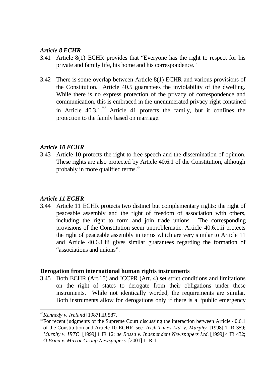# *Article 8 ECHR*

- 3.41 Article 8(1) ECHR provides that "Everyone has the right to respect for his private and family life, his home and his correspondence."
- 3.42 There is some overlap between Article 8(1) ECHR and various provisions of the Constitution. Article 40.5 guarantees the inviolability of the dwelling. While there is no express protection of the privacy of correspondence and communication, this is embraced in the unenumerated privacy right contained in Article  $40.3.1^{43}$  Article 41 protects the family, but it confines the protection to the family based on marriage.

# *Article 10 ECHR*

3.43 Article 10 protects the right to free speech and the dissemination of opinion. These rights are also protected by Article 40.6.1 of the Constitution, although probably in more qualified terms.<sup>44</sup>

# *Article 11 ECHR*

3.44 Article 11 ECHR protects two distinct but complementary rights: the right of peaceable assembly and the right of freedom of association with others, including the right to form and join trade unions. The corresponding provisions of the Constitution seem unproblematic. Article 40.6.1.ii protects the right of peaceable assembly in terms which are very similar to Article 11 and Article 40.6.1.iii gives similar guarantees regarding the formation of "associations and unions".

#### **Derogation from international human rights instruments**

3.45 Both ECHR (Art.15) and ICCPR (Art. 4) set strict conditions and limitations on the right of states to derogate from their obligations under these instruments. While not identically worded, the requirements are similar. Both instruments allow for derogations only if there is a "public emergency

<sup>43</sup>*Kennedy v. Ireland* [1987] IR 587.

<sup>&</sup>lt;sup>44</sup>For recent judgments of the Supreme Court discussing the interaction between Article 40.6.1 of the Constitution and Article 10 ECHR, see *Irish Times Ltd. v. Murphy* [1998] 1 IR 359; *Murphy v. IRTC* [1999] 1 IR 12; *de Rossa v. Independent Newspapers Ltd.* [1999] 4 IR 432; *O'Brien v. Mirror Group Newspapers* [2001] 1 IR 1.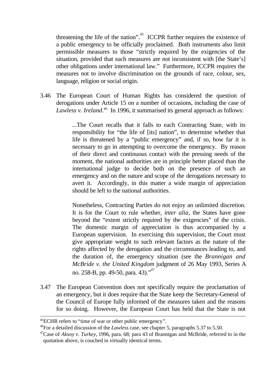threatening the life of the nation".<sup>45</sup> ICCPR further requires the existence of a public emergency to be officially proclaimed. Both instruments also limit permissible measures to those "strictly required by the exigencies of the situation, provided that such measures are not inconsistent with [the State's] other obligations under international law." Furthermore, ICCPR requires the measures not to involve discrimination on the grounds of race, colour, sex, language, religion or social origin.

3.46 The European Court of Human Rights has considered the question of derogations under Article 15 on a number of occasions, including the case of Lawless v. Ireland.<sup>46</sup> In 1996, it summarised its general approach as follows:

> ...The Court recalls that it falls to each Contracting State, with its responsibility for "the life of [its] nation", to determine whether that life is threatened by a "public emergency" and, if so, how far it is necessary to go in attempting to overcome the emergency. By reason of their direct and continuous contact with the pressing needs of the moment, the national authorities are in principle better placed than the international judge to decide both on the presence of such an emergency and on the nature and scope of the derogations necessary to avert it. Accordingly, in this matter a wide margin of appreciation should be left to the national authorities.

> Nonetheless, Contracting Parties do not enjoy an unlimited discretion. It is for the Court to rule whether, *inter alia*, the States have gone beyond the "extent strictly required by the exigencies" of the crisis. The domestic margin of appreciation is thus accompanied by a European supervision. In exercising this supervision, the Court must give appropriate weight to such relevant factors as the nature of the rights affected by the derogation and the circumstances leading to, and the duration of, the emergency situation (see the *Brannigan and McBride v. the United Kingdom* judgment of 26 May 1993, Series A no. 258-B, pp. 49-50, para. 43)."<sup>47</sup>

3.47 The European Convention does not specifically require the proclamation of an emergency, but it does require that the State keep the Secretary-General of the Council of Europe fully informed of the measures taken and the reasons for so doing. However, the European Court has held that the State is not

<sup>45</sup>ECHR refers to "time of war or other public emergency".

<sup>46</sup>For a detailed discussion of the *Lawless* case, see chapter 5, paragraphs 5.37 to 5.50.

<sup>47</sup>Case of *Aksoy v. Turkey*, 1996, para. 68; para 43 of Brannigan and McBride, referred to in the quotation above, is couched in virtually identical terms.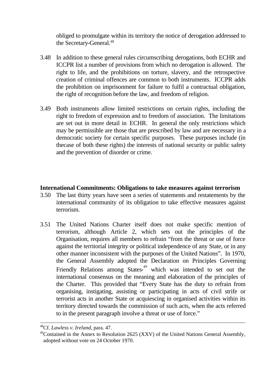obliged to promulgate within its territory the notice of derogation addressed to the Secretary-General.<sup>48</sup>

- 3.48 In addition to these general rules circumscribing derogations, both ECHR and ICCPR list a number of provisions from which no derogation is allowed. The right to life, and the prohibitions on torture, slavery, and the retrospective creation of criminal offences are common to both instruments. ICCPR adds the prohibition on imprisonment for failure to fulfil a contractual obligation, the right of recognition before the law, and freedom of religion.
- 3.49 Both instruments allow limited restrictions on certain rights, including the right to freedom of expression and to freedom of association. The limitations are set out in more detail in ECHR. In general the only restrictions which may be permissible are those that are prescribed by law and are necessary in a democratic society for certain specific purposes. These purposes include (in thecase of both these rights) the interests of national security or public safety and the prevention of disorder or crime.

### **International Commitments: Obligations to take measures against terrorism**

- 3.50 The last thirty years have seen a series of statements and restatements by the international community of its obligation to take effective measures against terrorism.
- 3.51 The United Nations Charter itself does not make specific mention of terrorism, although Article 2, which sets out the principles of the Organisation, requires all members to refrain "from the threat or use of force against the territorial integrity or political independence of any State, or in any other manner inconsistent with the purposes of the United Nations". In 1970, the General Assembly adopted the Declaration on Principles Governing Friendly Relations among States,<sup>49</sup> which was intended to set out the international consensus on the meaning and elaboration of the principles of the Charter. This provided that "Every State has the duty to refrain from organising, instigating, assisting or participating in acts of civil strife or terrorist acts in another State or acquiescing in organised activities within its territory directed towards the commission of such acts, when the acts referred to in the present paragraph involve a threat or use of force."

<sup>48</sup>Cf. *Lawless v. Ireland*, para. 47.

 $49$ Contained in the Annex to Resolution 2625 (XXV) of the United Nations General Assembly, adopted without vote on 24 October 1970.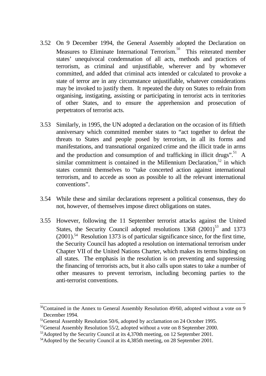- 3.52 On 9 December 1994, the General Assembly adopted the Declaration on Measures to Eliminate International Terrorism.<sup>50</sup> This reiterated member states' unequivocal condemnation of all acts, methods and practices of terrorism, as criminal and unjustifiable, wherever and by whomever committed, and added that criminal acts intended or calculated to provoke a state of terror are in any circumstance unjustifiable, whatever considerations may be invoked to justify them. It repeated the duty on States to refrain from organising, instigating, assisting or participating in terrorist acts in territories of other States, and to ensure the apprehension and prosecution of perpetrators of terrorist acts.
- 3.53 Similarly, in 1995, the UN adopted a declaration on the occasion of its fiftieth anniversary which committed member states to "act together to defeat the threats to States and people posed by terrorism, in all its forms and manifestations, and transnational organized crime and the illicit trade in arms and the production and consumption of and trafficking in illicit drugs".<sup>51</sup> A similar commitment is contained in the Millennium Declaration, $52$  in which states commit themselves to "take concerted action against international terrorism, and to accede as soon as possible to all the relevant international conventions".
- 3.54 While these and similar declarations represent a political consensus, they do not, however, of themselves impose direct obligations on states.
- 3.55 However, following the 11 September terrorist attacks against the United States, the Security Council adopted resolutions  $1368$  (2001)<sup>53</sup> and 1373  $(2001)$ <sup>54</sup> Resolution 1373 is of particular significance since, for the first time, the Security Council has adopted a resolution on international terrorism under Chapter VII of the United Nations Charter, which makes its terms binding on all states. The emphasis in the resolution is on preventing and suppressing the financing of terrorists acts, but it also calls upon states to take a number of other measures to prevent terrorism, including becoming parties to the anti-terrorist conventions.

<sup>&</sup>lt;sup>50</sup>Contained in the Annex to General Assembly Resolution 49/60, adopted without a vote on 9 December 1994.

<sup>&</sup>lt;sup>51</sup>General Assembly Resolution 50/6, adopted by acclamation on 24 October 1995.

 $52$ General Assembly Resolution 55/2, adopted without a vote on 8 September 2000.

<sup>&</sup>lt;sup>53</sup>Adopted by the Security Council at its 4,370th meeting, on 12 September 2001.

<sup>&</sup>lt;sup>54</sup>Adopted by the Security Council at its 4,385th meeting, on 28 September 2001.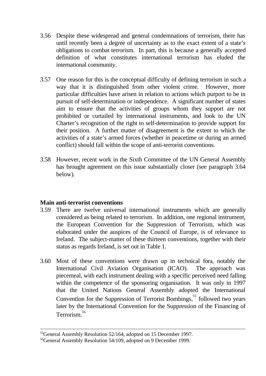- 3.56 Despite these widespread and general condemnations of terrorism, there has until recently been a degree of uncertainty as to the exact extent of a state's obligations to combat terrorism. In part, this is because a generally accepted definition of what constitutes international terrorism has eluded the international community.
- 3.57 One reason for this is the conceptual difficulty of defining terrorism in such a way that it is distinguished from other violent crime. However, more particular difficulties have arisen in relation to actions which purport to be in pursuit of self-determination or independence. A significant number of states aim to ensure that the activities of groups whom they support are not prohibited or curtailed by international instruments, and look to the UN Charter's recognition of the right to self-determination to provide support for their position. A further matter of disagreement is the extent to which the activities of a state's armed forces (whether in peacetime or during an armed conflict) should fall within the scope of anti-terrorist conventions.
- 3.58 However, recent work in the Sixth Committee of the UN General Assembly has brought agreement on this issue substantially closer (see paragraph 3.64 below).

### **Main anti-terrorist conventions**

- 3.59 There are twelve universal international instruments which are generally considered as being related to terrorism. In addition, one regional instrument, the European Convention for the Suppression of Terrorism, which was elaborated under the auspices of the Council of Europe, is of relevance to Ireland. The subject-matter of these thirteen conventions, together with their status as regards Ireland, is set out in Table 1.
- 3.60 Most of these conventions were drawn up in technical fora, notably the International Civil Aviation Organisation (ICAO). The approach was piecemeal, with each instrument dealing with a specific perceived need falling within the competence of the sponsoring organisation. It was only in 1997 that the United Nations General Assembly adopted the International Convention for the Suppression of Terrorist Bombings,<sup>55</sup> followed two years later by the International Convention for the Suppression of the Financing of Terrorism. 56

<sup>55</sup>General Assembly Resolution 52/164, adopted on 15 December 1997.

<sup>56</sup>General Assembly Resolution 54/109, adopted on 9 December 1999.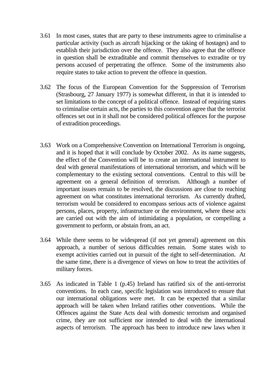- 3.61 In most cases, states that are party to these instruments agree to criminalise a particular activity (such as aircraft hijacking or the taking of hostages) and to establish their jurisdiction over the offence. They also agree that the offence in question shall be extraditable and commit themselves to extradite or try persons accused of perpetrating the offence. Some of the instruments also require states to take action to prevent the offence in question.
- 3.62 The focus of the European Convention for the Suppression of Terrorism (Strasbourg, 27 January 1977) is somewhat different, in that it is intended to set limitations to the concept of a political offence. Instead of requiring states to criminalise certain acts, the parties to this convention agree that the terrorist offences set out in it shall not be considered political offences for the purpose of extradition proceedings.
- 3.63 Work on a Comprehensive Convention on International Terrorism is ongoing, and it is hoped that it will conclude by October 2002. As its name suggests, the effect of the Convention will be to create an international instrument to deal with general manifestations of international terrorism, and which will be complementary to the existing sectoral conventions. Central to this will be agreement on a general definition of terrorism. Although a number of important issues remain to be resolved, the discussions are close to reaching agreement on what constitutes international terrorism. As currently drafted, terrorism would be considered to encompass serious acts of violence against persons, places, property, infrastructure or the environment, where these acts are carried out with the aim of intimidating a population, or compelling a government to perform, or abstain from, an act.
- 3.64 While there seems to be widespread (if not yet general) agreement on this approach, a number of serious difficulties remain. Some states wish to exempt activities carried out in pursuit of the right to self-determination. At the same time, there is a divergence of views on how to treat the activities of military forces.
- 3.65 As indicated in Table 1 (p.45) Ireland has ratified six of the anti-terrorist conventions. In each case, specific legislation was introduced to ensure that our international obligations were met. It can be expected that a similar approach will be taken when Ireland ratifies other conventions. While the Offences against the State Acts deal with domestic terrorism and organised crime, they are not sufficient nor intended to deal with the international aspects of terrorism. The approach has been to introduce new laws when it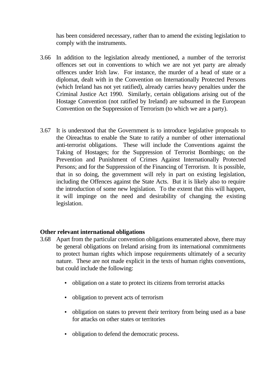has been considered necessary, rather than to amend the existing legislation to comply with the instruments.

- 3.66 In addition to the legislation already mentioned, a number of the terrorist offences set out in conventions to which we are not yet party are already offences under Irish law. For instance, the murder of a head of state or a diplomat, dealt with in the Convention on Internationally Protected Persons (which Ireland has not yet ratified), already carries heavy penalties under the Criminal Justice Act 1990. Similarly, certain obligations arising out of the Hostage Convention (not ratified by Ireland) are subsumed in the European Convention on the Suppression of Terrorism (to which we are a party).
- 3.67 It is understood that the Government is to introduce legislative proposals to the Oireachtas to enable the State to ratify a number of other international anti-terrorist obligations. These will include the Conventions against the Taking of Hostages; for the Suppression of Terrorist Bombings; on the Prevention and Punishment of Crimes Against Internationally Protected Persons; and for the Suppression of the Financing of Terrorism. It is possible, that in so doing, the government will rely in part on existing legislation, including the Offences against the State Acts. But it is likely also to require the introduction of some new legislation. To the extent that this will happen, it will impinge on the need and desirability of changing the existing legislation.

### **Other relevant international obligations**

- 3.68 Apart from the particular convention obligations enumerated above, there may be general obligations on Ireland arising from its international commitments to protect human rights which impose requirements ultimately of a security nature. These are not made explicit in the texts of human rights conventions, but could include the following:
	- obligation on a state to protect its citizens from terrorist attacks
	- obligation to prevent acts of terrorism
	- obligation on states to prevent their territory from being used as a base for attacks on other states or territories
	- ü obligation to defend the democratic process.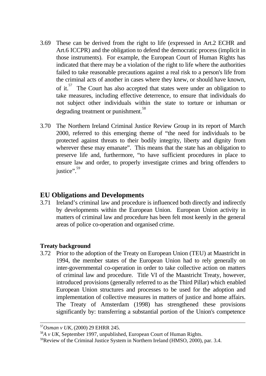- 3.69 These can be derived from the right to life (expressed in Art.2 ECHR and Art.6 ICCPR) and the obligation to defend the democratic process (implicit in those instruments). For example, the European Court of Human Rights has indicated that there may be a violation of the right to life where the authorities failed to take reasonable precautions against a real risk to a person's life from the criminal acts of another in cases where they knew, or should have known, of it.<sup>57</sup> The Court has also accepted that states were under an obligation to take measures, including effective deterrence, to ensure that individuals do not subject other individuals within the state to torture or inhuman or degrading treatment or punishment.<sup>58</sup>
- 3.70 The Northern Ireland Criminal Justice Review Group in its report of March 2000, referred to this emerging theme of "the need for individuals to be protected against threats to their bodily integrity, liberty and dignity from wherever these may emanate". This means that the state has an obligation to preserve life and, furthermore, "to have sufficient procedures in place to ensure law and order, to properly investigate crimes and bring offenders to justice".<sup>59</sup>

# **EU Obligations and Developments**

3.71 Ireland's criminal law and procedure is influenced both directly and indirectly by developments within the European Union. European Union activity in matters of criminal law and procedure has been felt most keenly in the general areas of police co-operation and organised crime.

# **Treaty background**

3.72 Prior to the adoption of the Treaty on European Union (TEU) at Maastricht in 1994, the member states of the European Union had to rely generally on inter-governmental co-operation in order to take collective action on matters of criminal law and procedure. Title VI of the Maastricht Treaty, however, introduced provisions (generally referred to as the Third Pillar) which enabled European Union structures and processes to be used for the adoption and implementation of collective measures in matters of justice and home affairs. The Treaty of Amsterdam (1998) has strengthened these provisions significantly by: transferring a substantial portion of the Union's competence

<sup>57</sup>*Osman v UK,* (2000) 29 EHRR 245.

<sup>58</sup>*A v UK*, September 1997, unpublished, European Court of Human Rights.

 $59$ Review of the Criminal Justice System in Northern Ireland (HMSO, 2000), par. 3.4.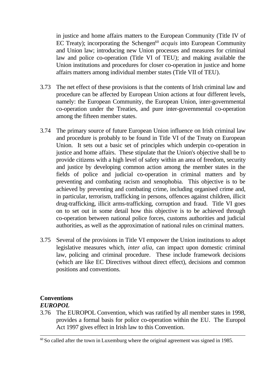in justice and home affairs matters to the European Community (Title IV of EC Treaty); incorporating the Schengen<sup>60</sup> *acquis* into European Community and Union law; introducing new Union processes and measures for criminal law and police co-operation (Title VI of TEU); and making available the Union institutions and procedures for closer co-operation in justice and home affairs matters among individual member states (Title VII of TEU).

- 3.73 The net effect of these provisions is that the contents of Irish criminal law and procedure can be affected by European Union actions at four different levels, namely: the European Community, the European Union, inter-governmental co-operation under the Treaties, and pure inter-governmental co-operation among the fifteen member states.
- 3.74 The primary source of future European Union influence on Irish criminal law and procedure is probably to be found in Title VI of the Treaty on European Union. It sets out a basic set of principles which underpin co-operation in justice and home affairs. These stipulate that the Union's objective shall be to provide citizens with a high level of safety within an area of freedom, security and justice by developing common action among the member states in the fields of police and judicial co-operation in criminal matters and by preventing and combating racism and xenophobia. This objective is to be achieved by preventing and combating crime, including organised crime and, in particular, terrorism, trafficking in persons, offences against children, illicit drug-trafficking, illicit arms-trafficking, corruption and fraud. Title VI goes on to set out in some detail how this objective is to be achieved through co-operation between national police forces, customs authorities and judicial authorities, as well as the approximation of national rules on criminal matters.
- 3.75 Several of the provisions in Title VI empower the Union institutions to adopt legislative measures which, *inter alia,* can impact upon domestic criminal law, policing and criminal procedure. These include framework decisions (which are like EC Directives without direct effect), decisions and common positions and conventions.

# **Conventions**

# *EUROPOL*

3.76 The EUROPOL Convention, which was ratified by all member states in 1998, provides a formal basis for police co-operation within the EU. The Europol Act 1997 gives effect in Irish law to this Convention.

 $60$  So called after the town in Luxemburg where the original agreement was signed in 1985.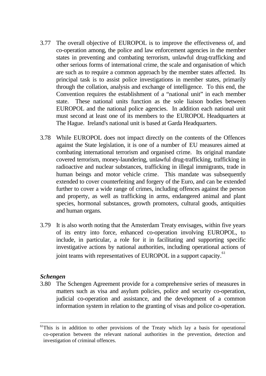- 3.77 The overall objective of EUROPOL is to improve the effectiveness of, and co-operation among, the police and law enforcement agencies in the member states in preventing and combating terrorism, unlawful drug-trafficking and other serious forms of international crime, the scale and organisation of which are such as to require a common approach by the member states affected. Its principal task is to assist police investigations in member states, primarily through the collation, analysis and exchange of intelligence. To this end, the Convention requires the establishment of a "national unit" in each member state. These national units function as the sole liaison bodies between EUROPOL and the national police agencies. In addition each national unit must second at least one of its members to the EUROPOL Headquarters at The Hague. Ireland's national unit is based at Garda Headquarters.
- 3.78 While EUROPOL does not impact directly on the contents of the Offences against the State legislation, it is one of a number of EU measures aimed at combating international terrorism and organised crime. Its original mandate covered terrorism, money-laundering, unlawful drug-trafficking, trafficking in radioactive and nuclear substances, trafficking in illegal immigrants, trade in human beings and motor vehicle crime. This mandate was subsequently extended to cover counterfeiting and forgery of the Euro, and can be extended further to cover a wide range of crimes, including offences against the person and property, as well as trafficking in arms, endangered animal and plant species, hormonal substances, growth promoters, cultural goods, antiquities and human organs.
- 3.79 It is also worth noting that the Amsterdam Treaty envisages, within five years of its entry into force, enhanced co-operation involving EUROPOL, to include, in particular, a role for it in facilitating and supporting specific investigative actions by national authorities, including operational actions of joint teams with representatives of EUROPOL in a support capacity.<sup>61</sup>

### *Schengen*

3.80 The Schengen Agreement provide for a comprehensive series of measures in matters such as visa and asylum policies, police and security co-operation, judicial co-operation and assistance, and the development of a common information system in relation to the granting of visas and police co-operation.

 $<sup>61</sup>$ This is in addition to other provisions of the Treaty which lay a basis for operational</sup> co-operation between the relevant national authorities in the prevention, detection and investigation of criminal offences.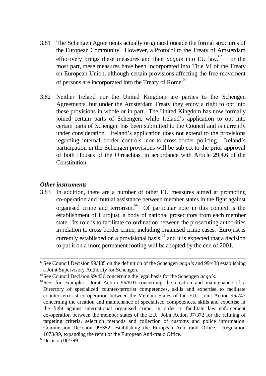- 3.81 The Schengen Agreements actually originated outside the formal structures of the European Community. However, a Protocol to the Treaty of Amsterdam effectively brings these measures and their *acquis* into EU law.<sup>62</sup> For the most part, these measures have been incorporated into Title VI of the Treaty on European Union, although certain provisions affecting the free movement of persons are incorporated into the Treaty of Rome.<sup>63</sup>
- 3.82 Neither Ireland nor the United Kingdom are parties to the Schengen Agreements, but under the Amsterdam Treaty they enjoy a right to opt into these provisions in whole or in part. The United Kingdom has now formally joined certain parts of Schengen, while Ireland's application to opt into certain parts of Schengen has been submitted to the Council and is currently under consideration. Ireland's application does not extend to the provisions regarding internal border controls, nor to cross-border policing. Ireland's participation in the Schengen provisions will be subject to the prior approval of both Houses of the Oireachtas, in accordance with Article 29.4.6 of the Constitution.

#### *Other instruments*

3.83 In addition, there are a number of other EU measures aimed at promoting co-operation and mutual assistance between member states in the fight against organised crime and terrorism. $64$  Of particular note in this context is the establishment of Eurojust, a body of national prosecutors from each member state. Its role is to facilitate co-ordination between the prosecuting authorities in relation to cross-border crime, including organised crime cases. Eurojust is currently established on a provisional basis, $65$  and it is expected that a decision to put it on a more permanent footing will be adopted by the end of 2001.

<sup>&</sup>lt;sup>62</sup>See Council Decision 99/435 on the definition of the Schengen *acquis* and 99/438 establishing a Joint Supervisory Authority for Schengen.

<sup>63</sup>See Council Decision 99/436 concerning the legal basis for the Schengen *acquis*.

<sup>&</sup>lt;sup>64</sup>See, for example: Joint Action 96/610 concerning the creation and maintenance of a Directory of specialized counter-terrorist competences, skills and expertise to facilitate counter-terrorist co-operation between the Member States of the EU. Joint Action 96/747 concerning the creation and maintenance of specialised competences, skills and expertise in the fight against international organised crime, in order to facilitate law enforcement co-operation between the member states of the EU. Joint Action 97/372 for the refining of targeting criteria, selection methods and collection of customs and police information. Commission Decision 99/352, establishing the European Anti-fraud Office. Regulation 1073/99, expanding the remit of the European Anti-fraud Office.

 $65$ Decision 00/799.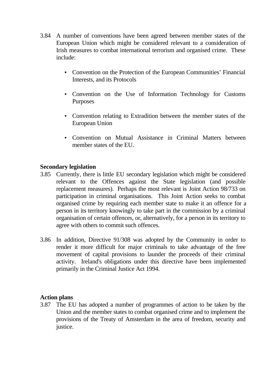- 3.84 A number of conventions have been agreed between member states of the European Union which might be considered relevant to a consideration of Irish measures to combat international terrorism and organised crime. These include:
	- ü Convention on the Protection of the European Communities' Financial Interests, and its Protocols
	- Convention on the Use of Information Technology for Customs Purposes
	- Convention relating to Extradition between the member states of the European Union
	- Convention on Mutual Assistance in Criminal Matters between member states of the EU.

### **Secondary legislation**

- 3.85 Currently, there is little EU secondary legislation which might be considered relevant to the Offences against the State legislation (and possible replacement measures). Perhaps the most relevant is Joint Action 98/733 on participation in criminal organisations. This Joint Action seeks to combat organised crime by requiring each member state to make it an offence for a person in its territory knowingly to take part in the commission by a criminal organisation of certain offences, or, alternatively, for a person in its territory to agree with others to commit such offences.
- 3.86 In addition, Directive 91/308 was adopted by the Community in order to render it more difficult for major criminals to take advantage of the free movement of capital provisions to launder the proceeds of their criminal activity. Ireland's obligations under this directive have been implemented primarily in the Criminal Justice Act 1994.

### **Action plans**

3.87 The EU has adopted a number of programmes of action to be taken by the Union and the member states to combat organised crime and to implement the provisions of the Treaty of Amsterdam in the area of freedom, security and justice.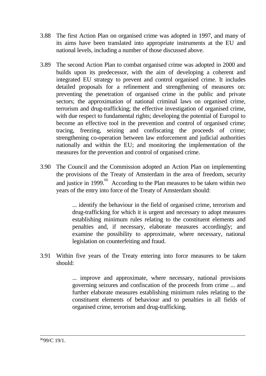- 3.88 The first Action Plan on organised crime was adopted in 1997, and many of its aims have been translated into appropriate instruments at the EU and national levels, including a number of those discussed above.
- 3.89 The second Action Plan to combat organised crime was adopted in 2000 and builds upon its predecessor, with the aim of developing a coherent and integrated EU strategy to prevent and control organised crime. It includes detailed proposals for a refinement and strengthening of measures on: preventing the penetration of organised crime in the public and private sectors; the approximation of national criminal laws on organised crime, terrorism and drug-trafficking; the effective investigation of organised crime, with due respect to fundamental rights; developing the potential of Europol to become an effective tool in the prevention and control of organised crime; tracing, freezing, seizing and confiscating the proceeds of crime; strengthening co-operation between law enforcement and judicial authorities nationally and within the EU; and monitoring the implementation of the measures for the prevention and control of organised crime.
- 3.90 The Council and the Commission adopted an Action Plan on implementing the provisions of the Treaty of Amsterdam in the area of freedom, security and justice in 1999. $^{66}$  According to the Plan measures to be taken within two years of the entry into force of the Treaty of Amsterdam should:

... identify the behaviour in the field of organised crime, terrorism and drug-trafficking for which it is urgent and necessary to adopt measures establishing minimum rules relating to the constituent elements and penalties and, if necessary, elaborate measures accordingly; and examine the possibility to approximate, where necessary, national legislation on counterfeiting and fraud.

3.91 Within five years of the Treaty entering into force measures to be taken should:

> ... improve and approximate, where necessary, national provisions governing seizures and confiscation of the proceeds from crime ... and further elaborate measures establishing minimum rules relating to the constituent elements of behaviour and to penalties in all fields of organised crime, terrorism and drug-trafficking.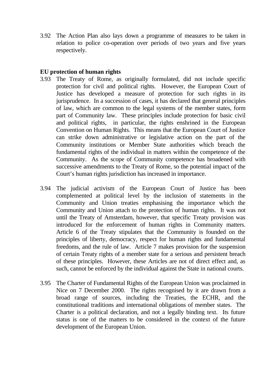3.92 The Action Plan also lays down a programme of measures to be taken in relation to police co-operation over periods of two years and five years respectively.

### **EU protection of human rights**

- 3.93 The Treaty of Rome, as originally formulated, did not include specific protection for civil and political rights. However, the European Court of Justice has developed a measure of protection for such rights in its jurisprudence. In a succession of cases, it has declared that general principles of law, which are common to the legal systems of the member states, form part of Community law. These principles include protection for basic civil and political rights, in particular, the rights enshrined in the European Convention on Human Rights. This means that the European Court of Justice can strike down administrative or legislative action on the part of the Community institutions or Member State authorities which breach the fundamental rights of the individual in matters within the competence of the Community. As the scope of Community competence has broadened with successive amendments to the Treaty of Rome, so the potential impact of the Court's human rights jurisdiction has increased in importance.
- 3.94 The judicial activism of the European Court of Justice has been complemented at political level by the inclusion of statements in the Community and Union treaties emphasising the importance which the Community and Union attach to the protection of human rights. It was not until the Treaty of Amsterdam, however, that specific Treaty provision was introduced for the enforcement of human rights in Community matters. Article 6 of the Treaty stipulates that the Community is founded on the principles of liberty, democracy, respect for human rights and fundamental freedoms, and the rule of law. Article 7 makes provision for the suspension of certain Treaty rights of a member state for a serious and persistent breach of these principles. However, these Articles are not of direct effect and, as such, cannot be enforced by the individual against the State in national courts.
- 3.95 The Charter of Fundamental Rights of the European Union was proclaimed in Nice on 7 December 2000. The rights recognised by it are drawn from a broad range of sources, including the Treaties, the ECHR, and the constitutional traditions and international obligations of member states. The Charter is a political declaration, and not a legally binding text. Its future status is one of the matters to be considered in the context of the future development of the European Union.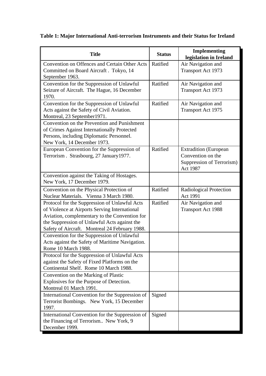**Table 1: Major International Anti-terrorism Instruments and their Status for Ireland**

| <b>Title</b>                                                                                                                                                                                                                                      | <b>Status</b> | <b>Implementing</b><br>legislation in Ireland                                                     |
|---------------------------------------------------------------------------------------------------------------------------------------------------------------------------------------------------------------------------------------------------|---------------|---------------------------------------------------------------------------------------------------|
| Convention on Offences and Certain Other Acts<br>Committed on Board Aircraft . Tokyo, 14<br>September 1963.                                                                                                                                       | Ratified      | Air Navigation and<br>Transport Act 1973                                                          |
| Convention for the Suppression of Unlawful<br>Seizure of Aircraft. The Hague, 16 December<br>1970.                                                                                                                                                | Ratified      | Air Navigation and<br>Transport Act 1973                                                          |
| Convention for the Suppression of Unlawful<br>Acts against the Safety of Civil Aviation.<br>Montreal, 23 September1971.                                                                                                                           | Ratified      | Air Navigation and<br><b>Transport Act 1975</b>                                                   |
| Convention on the Prevention and Punishment<br>of Crimes Against Internationally Protected<br>Persons, including Diplomatic Personnel.<br>New York, 14 December 1973.                                                                             |               |                                                                                                   |
| European Convention for the Suppression of<br>Terrorism. Strasbourg, 27 January 1977.                                                                                                                                                             | Ratified      | <b>Extradition</b> (European<br>Convention on the<br>Suppression of Terrorism)<br><b>Act 1987</b> |
| Convention against the Taking of Hostages.<br>New York, 17 December 1979.                                                                                                                                                                         |               |                                                                                                   |
| Convention on the Physical Protection of<br>Nuclear Materials. Vienna 3 March 1980.                                                                                                                                                               | Ratified      | Radiological Protection<br><b>Act 1991</b>                                                        |
| Protocol for the Suppression of Unlawful Acts<br>of Violence at Airports Serving International<br>Aviation, complementary to the Convention for<br>the Suppression of Unlawful Acts against the<br>Safety of Aircraft. Montreal 24 February 1988. | Ratified      | Air Navigation and<br><b>Transport Act 1988</b>                                                   |
| Convention for the Suppression of Unlawful<br>Acts against the Safety of Maritime Navigation.<br>Rome 10 March 1988.                                                                                                                              |               |                                                                                                   |
| Protocol for the Suppression of Unlawful Acts<br>against the Safety of Fixed Platforms on the<br>Continental Shelf. Rome 10 March 1988.                                                                                                           |               |                                                                                                   |
| Convention on the Marking of Plastic<br>Explosives for the Purpose of Detection.<br>Montreal 01 March 1991.                                                                                                                                       |               |                                                                                                   |
| International Convention for the Suppression of<br>Terrorist Bombings. New York, 15 December<br>1997.                                                                                                                                             | Signed        |                                                                                                   |
| International Convention for the Suppression of<br>the Financing of Terrorism New York, 9<br>December 1999.                                                                                                                                       | Signed        |                                                                                                   |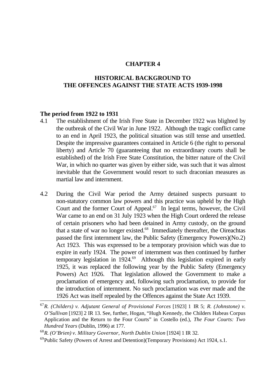### **CHAPTER 4**

## **HISTORICAL BACKGROUND TO THE OFFENCES AGAINST THE STATE ACTS 1939-1998**

### **The period from 1922 to 1931**

- 4.1 The establishment of the Irish Free State in December 1922 was blighted by the outbreak of the Civil War in June 1922. Although the tragic conflict came to an end in April 1923, the political situation was still tense and unsettled. Despite the impressive guarantees contained in Article 6 (the right to personal liberty) and Article 70 (guaranteeing that no extraordinary courts shall be established) of the Irish Free State Constitution, the bitter nature of the Civil War, in which no quarter was given by either side, was such that it was almost inevitable that the Government would resort to such draconian measures as martial law and internment.
- 4.2 During the Civil War period the Army detained suspects pursuant to non-statutory common law powers and this practice was upheld by the High Court and the former Court of Appeal.<sup>67</sup> In legal terms, however, the Civil War came to an end on 31 July 1923 when the High Court ordered the release of certain prisoners who had been detained in Army custody, on the ground that a state of war no longer existed.<sup>68</sup> Immediately thereafter, the Oireachtas passed the first internment law, the Public Safety (Emergency Powers)(No.2) Act 1923. This was expressed to be a temporary provision which was due to expire in early 1924. The power of internment was then continued by further temporary legislation in 1924.<sup>69</sup> Although this legislation expired in early 1925, it was replaced the following year by the Public Safety (Emergency Powers) Act 1926. That legislation allowed the Government to make a proclamation of emergency and, following such proclamation, to provide for the introduction of internment. No such proclamation was ever made and the 1926 Act was itself repealed by the Offences against the State Act 1939.

<sup>67</sup>*R. (Childers) v. Adjutant General of Provisional Forces* [1923] 1 IR 5; *R. (Johnstone) v. O'Sullivan* [1923] 2 IR 13. See, further, Hogan, "Hugh Kennedy, the Childers Habeas Corpus Application and the Return to the Four Courts" in Costello (ed.), *The Four Courts: Two Hundred Years* (Dublin, 1996) at 177.

<sup>68</sup>*R. (O'Brien) v. Military Governor, North Dublin Union* [1924] 1 IR 32.

 $^{69}$ Public Safety (Powers of Arrest and Detention)(Temporary Provisions) Act 1924, s.1.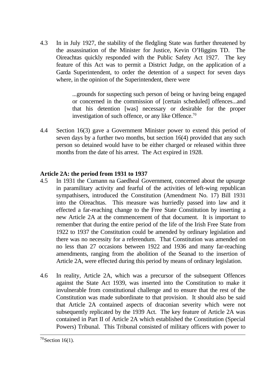4.3 In in July 1927, the stability of the fledgling State was further threatened by the assassination of the Minister for Justice, Kevin O'Higgins TD. The Oireachtas quickly responded with the Public Safety Act 1927. The key feature of this Act was to permit a District Judge, on the application of a Garda Superintendent, to order the detention of a suspect for seven days where, in the opinion of the Superintendent, there were

> ...grounds for suspecting such person of being or having being engaged or concerned in the commission of [certain scheduled] offences...and that his detention [was] necessary or desirable for the proper investigation of such offence, or any like Offence.<sup>70</sup>

4.4 Section 16(3) gave a Government Minister power to extend this period of seven days by a further two months, but section 16(4) provided that any such person so detained would have to be either charged or released within three months from the date of his arrest. The Act expired in 1928.

### **Article 2A: the period from 1931 to 1937**

- 4.5 In 1931 the Cumann na Gaedheal Government, concerned about the upsurge in paramilitary activity and fearful of the activities of left-wing republican sympathisers, introduced the Constitution (Amendment No. 17) Bill 1931 into the Oireachtas. This measure was hurriedly passed into law and it effected a far-reaching change to the Free State Constitution by inserting a new Article 2A at the commencement of that document. It is important to remember that during the entire period of the life of the Irish Free State from 1922 to 1937 the Constitution could be amended by ordinary legislation and there was no necessity for a referendum. That Constitution was amended on no less than 27 occasions between 1922 and 1936 and many far-reaching amendments, ranging from the abolition of the Seanad to the insertion of Article 2A, were effected during this period by means of ordinary legislation.
- 4.6 In reality, Article 2A, which was a precursor of the subsequent Offences against the State Act 1939, was inserted into the Constitution to make it invulnerable from constitutional challenge and to ensure that the rest of the Constitution was made subordinate to that provision. It should also be said that Article 2A contained aspects of draconian severity which were not subsequently replicated by the 1939 Act. The key feature of Article 2A was contained in Part II of Article 2A which established the Constitution (Special Powers) Tribunal. This Tribunal consisted of military officers with power to

 $70$ Section 16(1).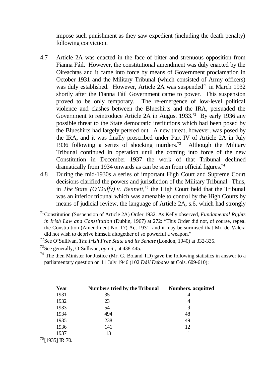impose such punishment as they saw expedient (including the death penalty) following conviction.

- 4.7 Article 2A was enacted in the face of bitter and strenuous opposition from Fianna Fáil. However, the constitutional amendment was duly enacted by the Oireachtas and it came into force by means of Government proclamation in October 1931 and the Military Tribunal (which consisted of Army officers) was duly established. However, Article 2A was suspended<sup>71</sup> in March 1932 shortly after the Fianna Fáil Government came to power. This suspension proved to be only temporary. The re-emergence of low-level political violence and clashes between the Blueshirts and the IRA, persuaded the Government to reintroduce Article 2A in August 1933.<sup>72</sup> By early 1936 any possible threat to the State democratic institutions which had been posed by the Blueshirts had largely petered out. A new threat, however, was posed by the IRA, and it was finally proscribed under Part IV of Article 2A in July 1936 following a series of shocking murders.<sup>73</sup> Although the Military Tribunal continued in operation until the coming into force of the new Constitution in December 1937 the work of that Tribunal declined dramatically from 1934 onwards as can be seen from official figures.<sup>74</sup>
- 4.8 During the mid-1930s a series of important High Court and Supreme Court decisions clarified the powers and jurisdiction of the Military Tribunal. Thus, in *The State (O'Duffy) v. Bennett,* <sup>75</sup> the High Court held that the Tribunal was an inferior tribunal which was amenable to control by the High Courts by means of judicial review, the language of Article 2A, s.6, which had strongly

 $74$  The then Minister for Justice (Mr. G. Boland TD) gave the following statistics in answer to a parliamentary question on 11 July 1946 (102 *Dáil Debates* at Cols. 609-610):

| Year                  | <b>Numbers tried by the Tribunal</b> | <b>Numbers.</b> acquitted |
|-----------------------|--------------------------------------|---------------------------|
| 1931                  | 35                                   | 4                         |
| 1932                  | 23                                   | 4                         |
| 1933                  | 54                                   |                           |
| 1934                  | 494                                  | 48                        |
| 1935                  | 238                                  | 49                        |
| 1936                  | 141                                  | 12                        |
| 1937                  | 13                                   |                           |
| $^{75}$ [1935] IR 70. |                                      |                           |

<sup>71</sup>Constitution (Suspension of Article 2A) Order 1932. As Kelly observed, *Fundamental Rights in Irish Law and Constitution* (Dublin, 1967) at 272: "This Order did not, of course, repeal the Constitution (Amendment No. 17) Act 1931, and it may be surmised that Mr. de Valera did not wish to deprive himself altogether of so powerful a weapon."

<sup>72</sup>See O'Sullivan, *The Irish Free State and its Senate* (London, 1940) at 332-335.

<sup>73</sup>See generally, O'Sullivan, *op.cit.,* at 438-445.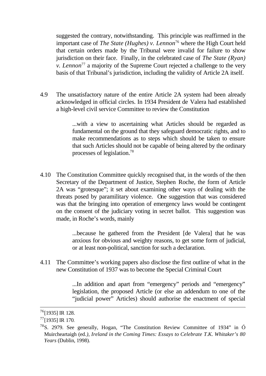suggested the contrary, notwithstanding. This principle was reaffirmed in the important case of *The State (Hughes) v. Lennon*<sup>76</sup> where the High Court held that certain orders made by the Tribunal were invalid for failure to show jurisdiction on their face. Finally, in the celebrated case of *The State (Ryan) v. Lennon*<sup>77</sup> a majority of the Supreme Court rejected a challenge to the very basis of that Tribunal's jurisdiction, including the validity of Article 2A itself.

4.9 The unsatisfactory nature of the entire Article 2A system had been already acknowledged in official circles. In 1934 President de Valera had established a high-level civil service Committee to review the Constitution

> ...with a view to ascertaining what Articles should be regarded as fundamental on the ground that they safeguard democratic rights, and to make recommendations as to steps which should be taken to ensure that such Articles should not be capable of being altered by the ordinary processes of legislation.<sup>78</sup>

4.10 The Constitution Committee quickly recognised that, in the words of the then Secretary of the Department of Justice, Stephen Roche, the form of Article 2A was "grotesque"; it set about examining other ways of dealing with the threats posed by paramilitary violence. One suggestion that was considered was that the bringing into operation of emergency laws would be contingent on the consent of the judiciary voting in secret ballot. This suggestion was made, in Roche's words, mainly

> ...because he gathered from the President [de Valera] that he was anxious for obvious and weighty reasons, to get some form of judicial, or at least non-political, sanction for such a declaration.

4.11 The Committee's working papers also disclose the first outline of what in the new Constitution of 1937 was to become the Special Criminal Court

> ...In addition and apart from "emergency" periods and "emergency" legislation, the proposed Article (or else an addendum to one of the "judicial power" Articles) should authorise the enactment of special

<sup>76</sup>[1935] IR 128.

 $^{77}$ [1935] IR 170.

<sup>&</sup>lt;sup>78</sup>S. 2979. See generally, Hogan, "The Constitution Review Committee of 1934" in Ó Muircheartaigh (ed*.), Ireland in the Coming Times: Essays to Celebrate T.K. Whitaker's 80 Years* (Dublin, 1998).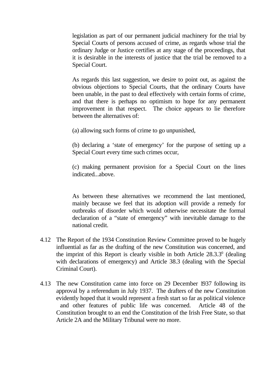legislation as part of our permanent judicial machinery for the trial by Special Courts of persons accused of crime, as regards whose trial the ordinary Judge or Justice certifies at any stage of the proceedings, that it is desirable in the interests of justice that the trial be removed to a Special Court.

As regards this last suggestion, we desire to point out, as against the obvious objections to Special Courts, that the ordinary Courts have been unable, in the past to deal effectively with certain forms of crime, and that there is perhaps no optimism to hope for any permanent improvement in that respect. The choice appears to lie therefore between the alternatives of:

(a) allowing such forms of crime to go unpunished,

(b) declaring a 'state of emergency' for the purpose of setting up a Special Court every time such crimes occur,

(c) making permanent provision for a Special Court on the lines indicated above

As between these alternatives we recommend the last mentioned, mainly because we feel that its adoption will provide a remedy for outbreaks of disorder which would otherwise necessitate the formal declaration of a "state of emergency" with inevitable damage to the national credit.

- 4.12 The Report of the 1934 Constitution Review Committee proved to be hugely influential as far as the drafting of the new Constitution was concerned, and the imprint of this Report is clearly visible in both Article  $28.3.3^{\circ}$  (dealing with declarations of emergency) and Article 38.3 (dealing with the Special Criminal Court).
- 4.13 The new Constitution came into force on 29 December 1937 following its approval by a referendum in July 1937. The drafters of the new Constitution evidently hoped that it would represent a fresh start so far as political violence and other features of public life was concerned. Article 48 of the Constitution brought to an end the Constitution of the Irish Free State, so that Article 2A and the Military Tribunal were no more.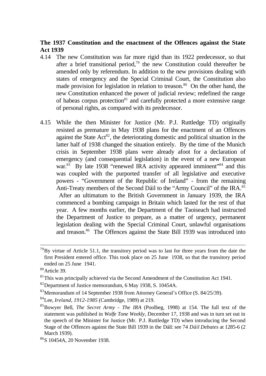## **The 1937 Constitution and the enactment of the Offences against the State Act 1939**

- 4.14 The new Constitution was far more rigid than its 1922 predecessor, so that after a brief transitional period,<sup>79</sup> the new Constitution could thereafter be amended only by referendum. In addition to the new provisions dealing with states of emergency and the Special Criminal Court, the Constitution also made provision for legislation in relation to treason.<sup>80</sup> On the other hand, the new Constitution enhanced the power of judicial review; redefined the range of habeas corpus protection $81$  and carefully protected a more extensive range of personal rights, as compared with its predecessor.
- 4.15 While the then Minister for Justice (Mr. P.J. Ruttledge TD) originally resisted as premature in May 1938 plans for the enactment of an Offences against the State  $Act^{82}$ , the deteriorating domestic and political situation in the latter half of 1938 changed the situation entirely. By the time of the Munich crisis in September 1938 plans were already afoot for a declaration of emergency (and consequential legislation) in the event of a new European war.<sup>83</sup> By late 1938 "renewed IRA activity appeared imminent"<sup>84</sup> and this was coupled with the purported transfer of all legislative and executive powers - "Government of the Republic of Ireland" - from the remaining Anti-Treaty members of the Second Dáil to the "Army Council" of the IRA.<sup>85</sup> After an ultimatum to the British Government in January 1939, the IRA commenced a bombing campaign in Britain which lasted for the rest of that year. A few months earlier, the Department of the Taoiseach had instructed the Department of Justice to prepare, as a matter of urgency, permanent legislation dealing with the Special Criminal Court, unlawful organisations and treason.<sup>86</sup> The Offences against the State Bill 1939 was introduced into

 $^{79}$ By virtue of Article 51.1, the transitory period was to last for three years from the date the first President entered office. This took place on 25 June 1938, so that the transitory period ended on 25 June 1941.

<sup>80</sup>Article 39.

<sup>&</sup>lt;sup>81</sup>This was principally achieved via the Second Amendment of the Constitution Act 1941.

<sup>82</sup>Department of Justice memorandum, 6 May 1938, S. 10454A.

<sup>83</sup>Memorandum of 14 September 1938 from Attorney General's Office (S. 84/25/39).

<sup>84</sup>Lee, *Ireland, 1912-1985* (Cambridge, 1989) at 219.

<sup>85</sup>Bowyer Bell, *The Secret Army - The IRA* (Poolbeg, 1998) at 154. The full text of the statement was published in *Wolfe Tone Weekly*, December 17, 1938 and was in turn set out in the speech of the Minister for Justice (Mr. P.J. Ruttledge TD) when introducing the Second Stage of the Offences against the State Bill 1939 in the Dáil: see 74 *Dáil Debates* at 1285-6 (2 March 1939).

<sup>86</sup>S 10454A, 20 November 1938.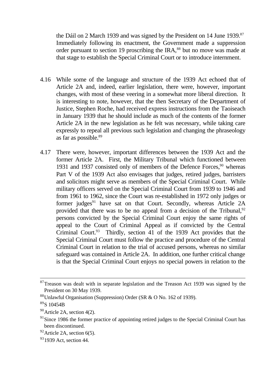the Dáil on 2 March 1939 and was signed by the President on 14 June 1939.<sup>87</sup> Immediately following its enactment, the Government made a suppression order pursuant to section 19 proscribing the IRA,<sup>88</sup> but no move was made at that stage to establish the Special Criminal Court or to introduce internment.

- 4.16 While some of the language and structure of the 1939 Act echoed that of Article 2A and, indeed, earlier legislation, there were, however, important changes, with most of these veering in a somewhat more liberal direction. It is interesting to note, however, that the then Secretary of the Department of Justice, Stephen Roche, had received express instructions from the Taoiseach in January 1939 that he should include as much of the contents of the former Article 2A in the new legislation as he felt was necessary, while taking care expressly to repeal all previous such legislation and changing the phraseology as far as possible.<sup>89</sup>
- 4.17 There were, however, important differences between the 1939 Act and the former Article 2A. First, the Military Tribunal which functioned between 1931 and 1937 consisted only of members of the Defence Forces,  $90$  whereas Part V of the 1939 Act also envisages that judges, retired judges, barristers and solicitors might serve as members of the Special Criminal Court. While military officers served on the Special Criminal Court from 1939 to 1946 and from 1961 to 1962, since the Court was re-established in 1972 only judges or former judges<sup>91</sup> have sat on that Court. Secondly, whereas Article 2A provided that there was to be no appeal from a decision of the Tribunal,  $92$ persons convicted by the Special Criminal Court enjoy the same rights of appeal to the Court of Criminal Appeal as if convicted by the Central Criminal Court. $93$  Thirdly, section 41 of the 1939 Act provides that the Special Criminal Court must follow the practice and procedure of the Central Criminal Court in relation to the trial of accused persons, whereas no similar safeguard was contained in Article 2A. In addition, one further critical change is that the Special Criminal Court enjoys no special powers in relation to the

<sup>&</sup>lt;sup>87</sup>Treason was dealt with in separate legislation and the Treason Act 1939 was signed by the President on 30 May 1939.

<sup>88</sup>Unlawful Organisation (Suppression) Order (SR & O No. 162 of 1939).

<sup>89</sup>S 10454B

<sup>90</sup>Article 2A, section 4(2).

 $91$ Since 1986 the former practice of appointing retired judges to the Special Criminal Court has been discontinued.

 $92$ Article 2A, section 6(5).

<sup>&</sup>lt;sup>93</sup>1939 Act, section 44.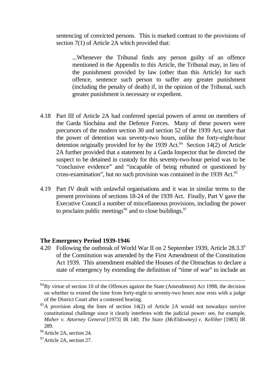sentencing of convicted persons. This is marked contrast to the provisions of section 7(1) of Article 2A which provided that:

...Whenever the Tribunal finds any person guilty of an offence mentioned in the Appendix to this Article, the Tribunal may, in lieu of the punishment provided by law (other than this Article) for such offence, sentence such person to suffer any greater punishment (including the penalty of death) if, in the opinion of the Tribunal, such greater punishment is necessary or expedient.

- 4.18 Part III of Article 2A had conferred special powers of arrest on members of the Garda Síochána and the Defence Forces. Many of these powers were precursors of the modern section 30 and section 52 of the 1939 Act, save that the power of detention was seventy-two hours, unlike the forty-eight-hour detention originally provided for by the 1939 Act.<sup>94</sup> Section 14(2) of Article 2A further provided that a statement by a Garda Inspector that he directed the suspect to be detained in custody for this seventy-two-hour period was to be "conclusive evidence" and "incapable of being rebutted or questioned by cross-examination", but no such provision was contained in the 1939 Act.<sup>95</sup>
- 4.19 Part IV dealt with unlawful organisations and it was in similar terms to the present provisions of sections 18-24 of the 1939 Act. Finally, Part V gave the Executive Council a number of miscellaneous provisions, including the power to proclaim public meetings $96$  and to close buildings. $97$

### **The Emergency Period 1939-1946**

4.20 Following the outbreak of World War II on 2 September 1939, Article 28.3.3<sup>0</sup> of the Constitution was amended by the First Amendment of the Constitution Act 1939. This amendment enabled the Houses of the Oireachtas to declare a state of emergency by extending the definition of "time of war" to include an

 $94$ By virtue of section 10 of the Offences against the State (Amendment) Act 1998, the decision on whether to extend the time from forty-eight to seventy-two hours now rests with a judge of the District Court after a contested hearing.

 $95^{\circ}$ A provision along the lines of section 14(2) of Article 2A would not nowadays survive constitutional challenge since it clearly interferes with the judicial power: see, for example, *Maher v. Attorney General* [1973] IR 140; *The State (McEldowney) v. Kelliher* [1983] IR 289.

<sup>&</sup>lt;sup>96</sup> Article 2A, section 24.

<sup>&</sup>lt;sup>97</sup>Article 2A, section 27.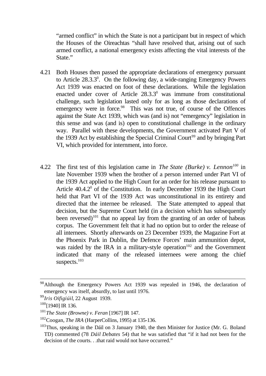"armed conflict" in which the State is not a participant but in respect of which the Houses of the Oireachtas "shall have resolved that, arising out of such armed conflict, a national emergency exists affecting the vital interests of the State."

- 4.21 Both Houses then passed the appropriate declarations of emergency pursuant to Article  $28.3.3^{\circ}$ . On the following day, a wide-ranging Emergency Powers Act 1939 was enacted on foot of these declarations. While the legislation enacted under cover of Article  $28.3.3<sup>0</sup>$  was immune from constitutional challenge, such legislation lasted only for as long as those declarations of emergency were in force.<sup>98</sup> This was not true, of course of the Offences against the State Act 1939, which was (and is) not "emergency" legislation in this sense and was (and is) open to constitutional challenge in the ordinary way. Parallel with these developments, the Government activated Part V of the 1939 Act by establishing the Special Criminal Court<sup>99</sup> and by bringing Part VI, which provided for internment, into force.
- 4.22 The first test of this legislation came in *The State (Burke) v. Lennon<sup>100</sup>* in late November 1939 when the brother of a person interned under Part VI of the 1939 Act applied to the High Court for an order for his release pursuant to Article 40.4.2<sup>0</sup> of the Constitution. In early December 1939 the High Court held that Part VI of the 1939 Act was unconstitutional in its entirety and directed that the internee be released. The State attempted to appeal that decision, but the Supreme Court held (in a decision which has subsequently been reversed)<sup>101</sup> that no appeal lay from the granting of an order of habeas corpus. The Government felt that it had no option but to order the release of all internees. Shortly afterwards on 23 December 1939, the Magazine Fort at the Phoenix Park in Dublin, the Defence Forces' main ammunition depot, was raided by the IRA in a military-style operation<sup>102</sup> and the Government indicated that many of the released internees were among the chief suspects.<sup>103</sup>

<sup>98</sup>Although the Emergency Powers Act 1939 was repealed in 1946, the declaration of emergency was itself, absurdly, to last until 1976.

<sup>99</sup>*Iris Oifigiúil*, 22 August 1939.

 $100$ [1940] IR 136.

<sup>101</sup>*The State (Browne) v. Feran* [1967] IR 147.

<sup>&</sup>lt;sup>102</sup>Coogan, *The IRA* (HarperCollins, 1995) at 135-136.

<sup>&</sup>lt;sup>103</sup>Thus, speaking in the Dáil on 3 January 1940, the then Minister for Justice (Mr. G. Boland TD) commented (78 *Dáil Debates* 54) that he was satisfied that "if it had not been for the decision of the courts. . .that raid would not have occurred."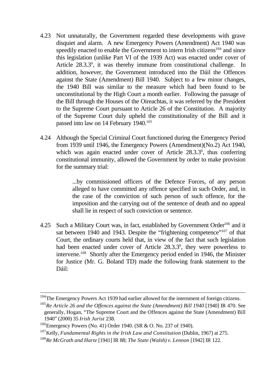- 4.23 Not unnaturally, the Government regarded these developments with grave disquiet and alarm. A new Emergency Powers (Amendment) Act 1940 was speedily enacted to enable the Government to intern Irish citizens<sup>104</sup> and since this legislation (unlike Part VI of the 1939 Act) was enacted under cover of Article 28.3.3<sup>0</sup>, it was thereby immune from constitutional challenge. In addition, however, the Government introduced into the Dáil the Offences against the State (Amendment) Bill 1940. Subject to a few minor changes, the 1940 Bill was similar to the measure which had been found to be unconstitutional by the High Court a month earlier. Following the passage of the Bill through the Houses of the Oireachtas, it was referred by the President to the Supreme Court pursuant to Article 26 of the Constitution. A majority of the Supreme Court duly upheld the constitutionality of the Bill and it passed into law on 14 February 1940.<sup>105</sup>
- 4.24 Although the Special Criminal Court functioned during the Emergency Period from 1939 until 1946, the Emergency Powers (Amendment)(No.2) Act 1940, which was again enacted under cover of Article  $28.3.3^{\circ}$ , thus conferring constitutional immunity, allowed the Government by order to make provision for the summary trial:

...by commissioned officers of the Defence Forces, of any person alleged to have committed any offence specified in such Order, and, in the case of the conviction of such person of such offence, for the imposition and the carrying out of the sentence of death and no appeal shall lie in respect of such conviction or sentence.

4.25 Such a Military Court was, in fact, established by Government Order<sup>106</sup> and it sat between 1940 and 1943. Despite the "frightening competence"<sup>107</sup> of that Court, the ordinary courts held that, in view of the fact that such legislation had been enacted under cover of Article 28.3.3<sup>0</sup>, they were powerless to intervene.<sup>108</sup> Shortly after the Emergency period ended in 1946, the Minister for Justice (Mr. G. Boland TD) made the following frank statement to the Dáil:

<sup>&</sup>lt;sup>104</sup>The Emergency Powers Act 1939 had earlier allowed for the internment of foreign citizens.

<sup>105</sup>*Re Article 26 and the Offences against the State (Amendment) Bill 1940* [1940] IR 470. See generally, Hogan, "The Supreme Court and the Offences against the State (Amendment) Bill 1940" (2000) 35 *Irish Jurist* 238.

<sup>106</sup>Emergency Powers (No. 41) Order 1940. (SR & O. No. 237 of 1940).

<sup>107</sup>Kelly, *Fundamental Rights in the Irish Law and Constitution* (Dublin, 1967) at 275.

<sup>108</sup>*Re McGrath and Harte* [1941] IR 88; *The State (Walsh) v. Lennon* [1942] IR 122.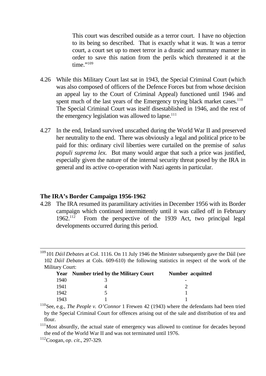This court was described outside as a terror court. I have no objection to its being so described. That is exactly what it was. It was a terror court, a court set up to meet terror in a drastic and summary manner in order to save this nation from the perils which threatened it at the time."<sup>109</sup>

- 4.26 While this Military Court last sat in 1943, the Special Criminal Court (which was also composed of officers of the Defence Forces but from whose decision an appeal lay to the Court of Criminal Appeal) functioned until 1946 and spent much of the last years of the Emergency trying black market cases.<sup>110</sup> The Special Criminal Court was itself disestablished in 1946, and the rest of the emergency legislation was allowed to lapse. $111$
- 4.27 In the end, Ireland survived unscathed during the World War II and preserved her neutrality to the end. There was obviously a legal and political price to be paid for this: ordinary civil liberties were curtailed on the premise of *salus populi suprema lex.* But many would argue that such a price was justified, especially given the nature of the internal security threat posed by the IRA in general and its active co-operation with Nazi agents in particular.

#### **The IRA's Border Campaign 1956-1962**

4.28 The IRA resumed its paramilitary activities in December 1956 with its Border campaign which continued intermittently until it was called off in February 1962.<sup>112</sup> From the perspective of the 1939 Act, two principal legal developments occurred during this period.

<sup>&</sup>lt;sup>109</sup>101 *Dáil Debates* at Col. 1116. On 11 July 1946 the Minister subsequently gave the Dáil (see 102 *Dáil Debates* at Cols. 609-610) the following statistics in respect of the work of the Military Court:

| Year | <b>Number tried by the Military Court</b> | Number acquitted |
|------|-------------------------------------------|------------------|
| 1940 |                                           |                  |
| 1941 |                                           |                  |
| 1942 |                                           |                  |
| 1943 |                                           |                  |

<sup>110</sup>See, e.g., *The People v. O'Connor* 1 Frewen 42 (1943) where the defendants had been tried by the Special Criminal Court for offences arising out of the sale and distribution of tea and flour.

<sup>111</sup>Most absurdly, the actual state of emergency was allowed to continue for decades beyond the end of the World War II and was not terminated until 1976.

<sup>112</sup>Coogan, *op. cit*., 297-329.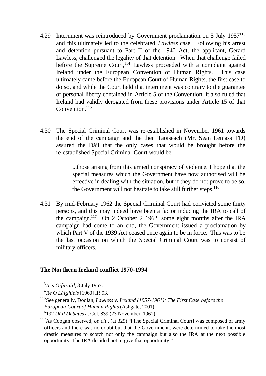- 4.29 Internment was reintroduced by Government proclamation on 5 July 1957<sup>113</sup> and this ultimately led to the celebrated *Lawless* case. Following his arrest and detention pursuant to Part II of the 1940 Act, the applicant, Gerard Lawless, challenged the legality of that detention. When that challenge failed before the Supreme Court,  $114$  Lawless proceeded with a complaint against Ireland under the European Convention of Human Rights. This case ultimately came before the European Court of Human Rights, the first case to do so, and while the Court held that internment was contrary to the guarantee of personal liberty contained in Article 5 of the Convention, it also ruled that Ireland had validly derogated from these provisions under Article 15 of that Convention.<sup>115</sup>
- 4.30 The Special Criminal Court was re-established in November 1961 towards the end of the campaign and the then Taoiseach (Mr. Seán Lemass TD) assured the Dáil that the only cases that would be brought before the re-established Special Criminal Court would be:

...those arising from this armed conspiracy of violence. I hope that the special measures which the Government have now authorised will be effective in dealing with the situation, but if they do not prove to be so, the Government will not hesitate to take still further steps.<sup>116</sup>

4.31 By mid-February 1962 the Special Criminal Court had convicted some thirty persons, and this may indeed have been a factor inducing the IRA to call of the campaign.<sup>117</sup> On 2 October 2 1962, some eight months after the IRA campaign had come to an end, the Government issued a proclamation by which Part V of the 1939 Act ceased once again to be in force. This was to be the last occasion on which the Special Criminal Court was to consist of military officers.

### **The Northern Ireland conflict 1970-1994**

<sup>113</sup>*Iris Oifigiúil*, 8 July 1957.

<sup>114</sup>*Re O Láighleis* [1960] IR 93.

<sup>115</sup>See generally, Doolan, *Lawless v. Ireland (1957-1961): The First Case before the European Court of Human Rights* (Ashgate, 2001).

<sup>116</sup>192 *Dáil Debates* at Col. 839 (23 November 1961).

<sup>&</sup>lt;sup>117</sup>As Coogan observed, *op.cit.*, (at 329) "[The Special Criminal Court] was composed of army officers and there was no doubt but that the Government...were determined to take the most drastic measures to scotch not only the campaign but also the IRA at the next possible opportunity. The IRA decided not to give that opportunity."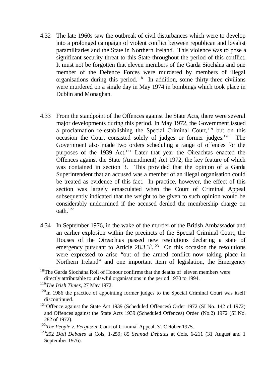- 4.32 The late 1960s saw the outbreak of civil disturbances which were to develop into a prolonged campaign of violent conflict between republican and loyalist paramilitaries and the State in Northern Ireland. This violence was to pose a significant security threat to this State throughout the period of this conflict. It must not be forgotten that eleven members of the Garda Síochána and one member of the Defence Forces were murdered by members of illegal organisations during this period.<sup>118</sup> In addition, some thirty-three civilians were murdered on a single day in May 1974 in bombings which took place in Dublin and Monaghan.
- 4.33 From the standpoint of the Offences against the State Acts, there were several major developments during this period. In May 1972, the Government issued a proclamation re-establishing the Special Criminal Court,<sup>119</sup> but on this occasion the Court consisted solely of judges or former judges.<sup>120</sup> The Government also made two orders scheduling a range of offences for the purposes of the 1939 Act.<sup>121</sup> Later that year the Oireachtas enacted the Offences against the State (Amendment) Act 1972, the key feature of which was contained in section 3. This provided that the opinion of a Garda Superintendent that an accused was a member of an illegal organisation could be treated as evidence of this fact. In practice, however, the effect of this section was largely emasculated when the Court of Criminal Appeal subsequently indicated that the weight to be given to such opinion would be considerably undermined if the accused denied the membership charge on oath.<sup>122</sup>
- 4.34 In September 1976, in the wake of the murder of the British Ambassador and an earlier explosion within the precincts of the Special Criminal Court, the Houses of the Oireachtas passed new resolutions declaring a state of emergency pursuant to Article  $28.3.3^{\circ}$ .<sup>123</sup> On this occasion the resolutions were expressed to arise "out of the armed conflict now taking place in Northern Ireland" and one important item of legislation, the Emergency

<sup>&</sup>lt;sup>118</sup>The Garda Síochána Roll of Honour confirms that the deaths of eleven members were directly attributable to unlawful organisations in the period 1970 to 1994.

<sup>119</sup>*The Irish Times*, 27 May 1972.

<sup>&</sup>lt;sup>120</sup>In 1986 the practice of appointing former judges to the Special Criminal Court was itself discontinued.

<sup>&</sup>lt;sup>121</sup>Offence against the State Act 1939 (Scheduled Offences) Order 1972 (SI No. 142 of 1972) and Offences against the State Acts 1939 (Scheduled Offences) Order (No.2) 1972 (SI No. 282 of 1972).

<sup>122</sup>*The People v. Ferguson*, Court of Criminal Appeal, 31 October 1975.

<sup>123</sup>292 *Dáil Debates* at Cols. 1-259; 85 *Seanad Debates* at Cols. 6-211 (31 August and 1 September 1976).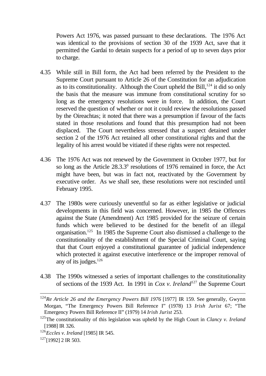Powers Act 1976, was passed pursuant to these declarations. The 1976 Act was identical to the provisions of section 30 of the 1939 Act, save that it permitted the Gardaí to detain suspects for a period of up to seven days prior to charge.

- 4.35 While still in Bill form, the Act had been referred by the President to the Supreme Court pursuant to Article 26 of the Constitution for an adjudication as to its constitutionality. Although the Court upheld the Bill, $^{124}$  it did so only the basis that the measure was immune from constitutional scrutiny for so long as the emergency resolutions were in force. In addition, the Court reserved the question of whether or not it could review the resolutions passed by the Oireachtas; it noted that there was a presumption if favour of the facts stated in those resolutions and found that this presumption had not been displaced. The Court nevertheless stressed that a suspect detained under section 2 of the 1976 Act retained all other constitutional rights and that the legality of his arrest would be vitiated if these rights were not respected.
- 4.36 The 1976 Act was not renewed by the Government in October 1977, but for so long as the Article  $28.3.3^{\circ}$  resolutions of 1976 remained in force, the Act might have been, but was in fact not, reactivated by the Government by executive order. As we shall see, these resolutions were not rescinded until February 1995.
- 4.37 The 1980s were curiously uneventful so far as either legislative or judicial developments in this field was concerned. However, in 1985 the Offences against the State (Amendment) Act 1985 provided for the seizure of certain funds which were believed to be destined for the benefit of an illegal organisation.<sup>125</sup> In 1985 the Supreme Court also dismissed a challenge to the constitutionality of the establishment of the Special Criminal Court, saying that that Court enjoyed a constitutional guarantee of judicial independence which protected it against executive interference or the improper removal of any of its judges. $126$
- 4.38 The 1990s witnessed a series of important challenges to the constitutionality of sections of the 1939 Act. In 1991 in *Cox v. Ireland*<sup>127</sup> the Supreme Court

<sup>124</sup>*Re Article 26 and the Emergency Powers Bill 1976* [1977] IR 159. See generally, Gwynn Morgan, "The Emergency Powers Bill Reference I" (1978) 13 *Irish Jurist* 67; "The Emergency Powers Bill Reference II" (1979) 14 *Irish Jurist* 253.

<sup>&</sup>lt;sup>125</sup>The constitutionality of this legislation was upheld by the High Court in *Clancy v. Ireland* [1988] IR 326.

<sup>126</sup>*Eccles v. Ireland* [1985] IR 545.

 $127$ [1992] 2 IR 503.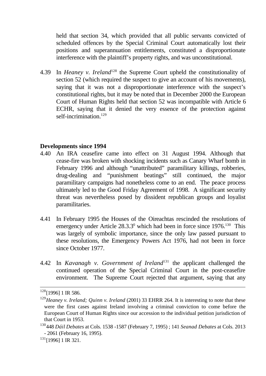held that section 34, which provided that all public servants convicted of scheduled offences by the Special Criminal Court automatically lost their positions and superannuation entitlements, constituted a disproportionate interference with the plaintiff's property rights, and was unconstitutional.

4.39 In *Heaney v. Ireland*<sup>128</sup> the Supreme Court upheld the constitutionality of section 52 (which required the suspect to give an account of his movements), saying that it was not a disproportionate interference with the suspect's constitutional rights, but it may be noted that in December 2000 the European Court of Human Rights held that section 52 was incompatible with Article 6 ECHR, saying that it denied the very essence of the protection against self-incrimination<sup>129</sup>

### **Developments since 1994**

- 4.40 An IRA ceasefire came into effect on 31 August 1994. Although that cease-fire was broken with shocking incidents such as Canary Wharf bomb in February 1996 and although "unattributed" paramilitary killings, robberies, drug-dealing and "punishment beatings" still continued, the major paramilitary campaigns had nonetheless come to an end. The peace process ultimately led to the Good Friday Agreement of 1998. A significant security threat was nevertheless posed by dissident republican groups and loyalist paramilitaries.
- 4.41 In February 1995 the Houses of the Oireachtas rescinded the resolutions of emergency under Article  $28.3.3^{\circ}$  which had been in force since  $1976$ <sup>130</sup> This was largely of symbolic importance, since the only law passed pursuant to these resolutions, the Emergency Powers Act 1976, had not been in force since October 1977.
- 4.42 In *Kavanagh v. Government of Ireland*<sup>131</sup> the applicant challenged the continued operation of the Special Criminal Court in the post-ceasefire environment. The Supreme Court rejected that argument, saying that any

 $128$ [1996] 1 IR 586.

<sup>129</sup>*Heaney v. Ireland; Quinn v. Ireland* (2001) 33 EHRR 264. It is interesting to note that these were the first cases against Ireland involving a criminal conviction to come before the European Court of Human Rights since our accession to the individual petition jurisdiction of that Court in 1953.

<sup>130</sup>448 *Dáil Debates* at Cols. 1538 -1587 (February 7, 1995) ; 141 *Seanad Debates* at Cols. 2013 - 2061 (February 16, 1995).

 $131$ [1996] 1 IR 321.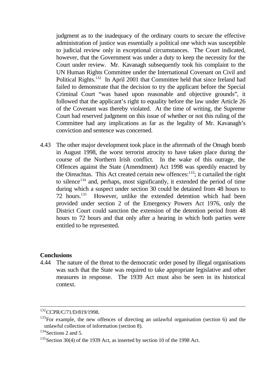judgment as to the inadequacy of the ordinary courts to secure the effective administration of justice was essentially a political one which was susceptible to judicial review only in exceptional circumstances. The Court indicated, however, that the Government was under a duty to keep the necessity for the Court under review. Mr. Kavanagh subsequently took his complaint to the UN Human Rights Committee under the International Covenant on Civil and Political Rights.<sup>132</sup> In April 2001 that Committee held that since Ireland had failed to demonstrate that the decision to try the applicant before the Special Criminal Court "was based upon reasonable and objective grounds", it followed that the applicant's right to equality before the law under Article 26 of the Covenant was thereby violated. At the time of writing, the Supreme Court had reserved judgment on this issue of whether or not this ruling of the Committee had any implications as far as the legality of Mr. Kavanagh's conviction and sentence was concerned.

4.43 The other major development took place in the aftermath of the Omagh bomb in August 1998, the worst terrorist atrocity to have taken place during the course of the Northern Irish conflict. In the wake of this outrage, the Offences against the State (Amendment) Act 1998 was speedily enacted by the Oireachtas. This Act created certain new offences:<sup>133</sup>; it curtailed the right to silence<sup>134</sup> and, perhaps, most significantly, it extended the period of time during which a suspect under section 30 could be detained from 48 hours to 72 hours.<sup>135</sup> However, unlike the extended detention which had been provided under section 2 of the Emergency Powers Act 1976, only the District Court could sanction the extension of the detention period from 48 hours to 72 hours and that only after a hearing in which both parties were entitled to be represented.

### **Conclusions**

4.44 The nature of the threat to the democratic order posed by illegal organisations was such that the State was required to take appropriate legislative and other measures in response. The 1939 Act must also be seen in its historical context.

<sup>132</sup>CCPR/C/71/D/819/1998.

 $^{133}$ For example, the new offences of directing an unlawful organisation (section 6) and the unlawful collection of information (section 8).

<sup>&</sup>lt;sup>134</sup> Sections 2 and 5.

<sup>&</sup>lt;sup>135</sup>Section 30(4) of the 1939 Act, as inserted by section 10 of the 1998 Act.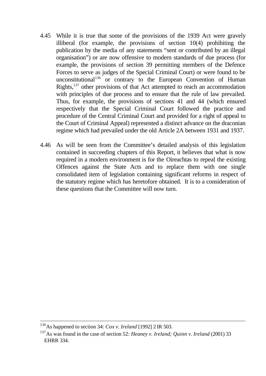- 4.45 While it is true that some of the provisions of the 1939 Act were gravely illiberal (for example, the provisions of section 10(4) prohibiting the publication by the media of any statements "sent or contributed by an illegal organisation") or are now offensive to modern standards of due process (for example, the provisions of section 39 permitting members of the Defence Forces to serve as judges of the Special Criminal Court) or were found to be unconstitutional<sup>136</sup> or contrary to the European Convention of Human Rights,<sup>137</sup> other provisions of that Act attempted to reach an accommodation with principles of due process and to ensure that the rule of law prevailed. Thus, for example, the provisions of sections 41 and 44 (which ensured respectively that the Special Criminal Court followed the practice and procedure of the Central Criminal Court and provided for a right of appeal to the Court of Criminal Appeal) represented a distinct advance on the draconian regime which had prevailed under the old Article 2A between 1931 and 1937.
- 4.46 As will be seen from the Committee's detailed analysis of this legislation contained in succeeding chapters of this Report, it believes that what is now required in a modern environment is for the Oireachtas to repeal the existing Offences against the State Acts and to replace them with one single consolidated item of legislation containing significant reforms in respect of the statutory regime which has heretofore obtained. It is to a consideration of these questions that the Committee will now turn.

<sup>136</sup>As happened to section 34: *Cox v. Ireland* [1992] 2 IR 503.

<sup>137</sup>As was found in the case of section 52: *Heaney v. Ireland; Quinn v. Ireland* (2001) 33 EHRR 334.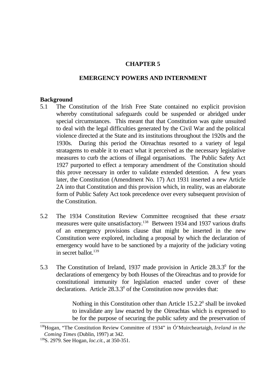### **CHAPTER 5**

### **EMERGENCY POWERS AND INTERNMENT**

#### **Background**

- 5.1 The Constitution of the Irish Free State contained no explicit provision whereby constitutional safeguards could be suspended or abridged under special circumstances. This meant that that Constitution was quite unsuited to deal with the legal difficulties generated by the Civil War and the political violence directed at the State and its institutions throughout the 1920s and the 1930s. During this period the Oireachtas resorted to a variety of legal stratagems to enable it to enact what it perceived as the necessary legislative measures to curb the actions of illegal organisations. The Public Safety Act 1927 purported to effect a temporary amendment of the Constitution should this prove necessary in order to validate extended detention. A few years later, the Constitution (Amendment No. 17) Act 1931 inserted a new Article 2A into that Constitution and this provision which, in reality, was an elaborate form of Public Safety Act took precedence over every subsequent provision of the Constitution.
- 5.2 The 1934 Constitution Review Committee recognised that these *ersatz* measures were quite unsatisfactory.<sup>138</sup> Between 1934 and 1937 various drafts of an emergency provisions clause that might be inserted in the new Constitution were explored, including a proposal by which the declaration of emergency would have to be sanctioned by a majority of the judiciary voting in secret ballot.<sup>139</sup>
- 5.3 The Constitution of Ireland, 1937 made provision in Article 28.3.3<sup>0</sup> for the declarations of emergency by both Houses of the Oireachtas and to provide for constitutional immunity for legislation enacted under cover of these declarations. Article  $28.3.3^{\circ}$  of the Constitution now provides that:

Nothing in this Constitution other than Article  $15.2.2<sup>0</sup>$  shall be invoked to invalidate any law enacted by the Oireachtas which is expressed to be for the purpose of securing the public safety and the preservation of

<sup>138</sup>Hogan, "The Constitution Review Committee of 1934" in Ó'Muircheartaigh, *Ireland in the Coming Times* (Dublin, 1997) at 342.

<sup>139</sup>S. 2979. See Hogan, *loc.cit.,* at 350-351.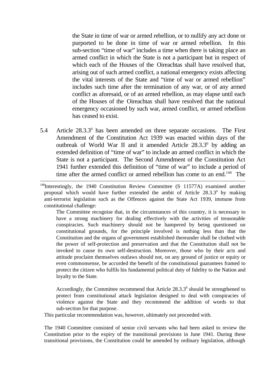the State in time of war or armed rebellion, or to nullify any act done or purported to be done in time of war or armed rebellion. In this sub-section "time of war" includes a time when there is taking place an armed conflict in which the State is not a participant but in respect of which each of the Houses of the Oireachtas shall have resolved that, arising out of such armed conflict, a national emergency exists affecting the vital interests of the State and "time of war or armed rebellion" includes such time after the termination of any war, or of any armed conflict as aforesaid, or of an armed rebellion, as may elapse until each of the Houses of the Oireachtas shall have resolved that the national emergency occasioned by such war, armed conflict, or armed rebellion has ceased to exist.

5.4 Article 28.3.3<sup>0</sup> has been amended on three separate occasions. The First Amendment of the Constitution Act 1939 was enacted within days of the outbreak of World War II and it amended Article  $28.3.3^{\circ}$  by adding an extended definition of "time of war" to include an armed conflict in which the State is not a participant. The Second Amendment of the Constitution Act 1941 further extended this definition of "time of war" to include a period of time after the armed conflict or armed rebellion has come to an end.<sup>140</sup> The

<sup>140</sup>Interestingly, the 1940 Constitution Review Committee (S 11577A) examined another proposal which would have further extended the ambit of Article  $28.3.3^{\circ}$  by making anti-terrorist legislation such as the Offences against the State Act 1939, immune from constitutional challenge:

The Committee recognise that, in the circumstances of this country, it is necessary to have a strong machinery for dealing effectively with the activities of treasonable conspiracies. Such machinery should not be hampered by being questioned on constitutional grounds, for the principle involved is nothing less than that the Constitution and the organs of government established thereunder shall be clothed with the power of self-protection and preservation and that the Constitution shall not be invoked to cause its own self-destruction. Moreover, those who by their acts and attitude proclaim themselves outlaws should not, on any ground of justice or equity or even commonsense, be accorded the benefit of the constitutional guarantees framed to protect the citizen who fulfils his fundamental political duty of fidelity to the Nation and loyalty to the State.

Accordingly, the Committee recommend that Article  $28.3.3^{\circ}$  should be strengthened to protect from constitutional attack legislation designed to deal with conspiracies of violence against the State and they recommend the addition of words to that sub-section for that purpose.

This particular recommendation was, however, ultimately not proceeded with.

The 1940 Committee consisted of senior civil servants who had been asked to review the Constitution prior to the expiry of the transitional provisions in June 1941. During these transitional provisions, the Constitution could be amended by ordinary legislation, although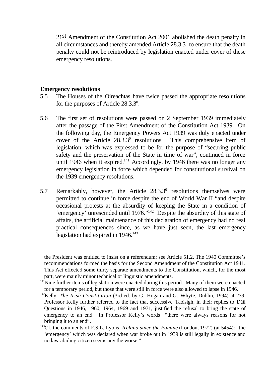21st Amendment of the Constitution Act 2001 abolished the death penalty in all circumstances and thereby amended Article  $28.3.3<sup>0</sup>$  to ensure that the death penalty could not be reintroduced by legislation enacted under cover of these emergency resolutions.

### **Emergency resolutions**

- 5.5 The Houses of the Oireachtas have twice passed the appropriate resolutions for the purposes of Article  $28.3.3^{\circ}$ .
- 5.6 The first set of resolutions were passed on 2 September 1939 immediately after the passage of the First Amendment of the Constitution Act 1939. On the following day, the Emergency Powers Act 1939 was duly enacted under cover of the Article  $28.3.3^{\circ}$  resolutions. This comprehensive item of legislation, which was expressed to be for the purpose of "securing public safety and the preservation of the State in time of war", continued in force until 1946 when it expired. $141$  Accordingly, by 1946 there was no longer any emergency legislation in force which depended for constitutional survival on the 1939 emergency resolutions.
- 5.7 Remarkably, however, the Article  $28.3.3^{\circ}$  resolutions themselves were permitted to continue in force despite the end of World War II "and despite occasional protests at the absurdity of keeping the State in a condition of 'emergency' unrescinded until 1976."<sup>142</sup> Despite the absurdity of this state of affairs, the artificial maintenance of this declaration of emergency had no real practical consequences since, as we have just seen, the last emergency legislation had expired in 1946.<sup>143</sup>

the President was entitled to insist on a referendum: see Article 51.2. The 1940 Committee's recommendations formed the basis for the Second Amendment of the Constitution Act 1941. This Act effected some thirty separate amendments to the Constitution, which, for the most part, were mainly minor technical or linguistic amendments.

<sup>&</sup>lt;sup>141</sup>Nine further items of legislation were enacted during this period. Many of them were enacted for a temporary period, but those that were still in force were also allowed to lapse in 1946.

<sup>142</sup>Kelly, *The Irish Constitution* (3rd ed. by G. Hogan and G. Whyte, Dublin, 1994) at 239. Professor Kelly further referred to the fact that successive Taoisigh, in their replies to Dáil Questions in 1946, 1960, 1964, 1969 and 1971, justified the refusal to bring the state of emergency to an end. In Professor Kelly's words "there were always reasons for not bringing it to an end".

<sup>143</sup>Cf. the comments of F.S.L. Lyons, *Ireland since the Famine* (London, 1972) (at 5454): "the 'emergency' which was declared when war broke out in 1939 is still legally in existence and no law-abiding citizen seems any the worse."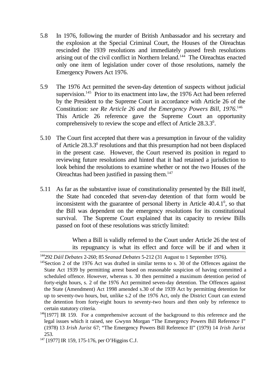- 5.8 In 1976, following the murder of British Ambassador and his secretary and the explosion at the Special Criminal Court, the Houses of the Oireachtas rescinded the 1939 resolutions and immediately passed fresh resolutions arising out of the civil conflict in Northern Ireland.<sup>144</sup> The Oireachtas enacted only one item of legislation under cover of those resolutions, namely the Emergency Powers Act 1976.
- 5.9 The 1976 Act permitted the seven-day detention of suspects without judicial supervision.<sup>145</sup> Prior to its enactment into law, the 1976 Act had been referred by the President to the Supreme Court in accordance with Article 26 of the Constitution: see Re Article 26 and the Emergency Powers Bill, 1976.<sup>146</sup> This Article 26 reference gave the Supreme Court an opportunity comprehensively to review the scope and effect of Article  $28.3.3^{\circ}$ .
- 5.10 The Court first accepted that there was a presumption in favour of the validity of Article 28.3.3<sup>0</sup> resolutions and that this presumption had not been displaced in the present case. However, the Court reserved its position in regard to reviewing future resolutions and hinted that it had retained a jurisdiction to look behind the resolutions to examine whether or not the two Houses of the Oireachtas had been justified in passing them.<sup>147</sup>
- 5.11 As far as the substantive issue of constitutionality presented by the Bill itself, the State had conceded that seven-day detention of that form would be inconsistent with the guarantee of personal liberty in Article  $40.4.1$ <sup>0</sup>, so that the Bill was dependent on the emergency resolutions for its constitutional survival. The Supreme Court explained that its capacity to review Bills passed on foot of these resolutions was strictly limited:

When a Bill is validly referred to the Court under Article 26 the test of its repugnancy is what its effect and force will be if and when it

<sup>144</sup>292 *Dáil Debates* 2-260; 85 *Seanad Debates* 5-212 (31 August to 1 September 1976).

<sup>&</sup>lt;sup>145</sup>Section 2 of the 1976 Act was drafted in similar terms to s. 30 of the Offences against the State Act 1939 by permitting arrest based on reasonable suspicion of having committed a scheduled offence. However, whereas s. 30 then permitted a maximum detention period of forty-eight hours, s. 2 of the 1976 Act permitted seven-day detention. The Offences against the State (Amendment) Act 1998 amended s.30 of the 1939 Act by permitting detention for up to seventy-two hours, but, unlike s.2 of the 1976 Act, only the District Court can extend the detention from forty-eight hours to seventy-two hours and then only by reference to certain statutory criteria.

 $146$ [1977] IR 159. For a comprehensive account of the background to this reference and the legal issues which it raised, see Gwynn Morgan "The Emergency Powers Bill Reference I" (1978) 13 *Irish Jurist* 67; "The Emergency Powers Bill Reference II" (1979) 14 *Irish Jurist* 253.

<sup>147</sup> [1977] IR 159, 175-176, per O'Higgins C.J.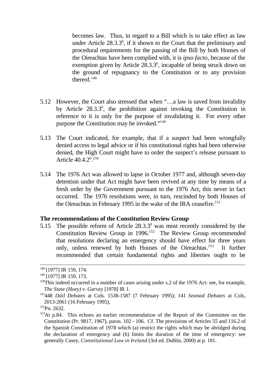becomes law. Thus, in regard to a Bill which is to take effect as law under Article  $28.3.3^{\circ}$ , if it shown to the Court that the preliminary and procedural requirements for the passing of the Bill by both Houses of the Oireachtas have been complied with, it is *ipso facto*, because of the exemption given by Article  $28.3.3^{\circ}$ , incapable of being struck down on the ground of repugnancy to the Constitution or to any provision thereof. 148

- 5.12 However, the Court also stressed that when "…a law is saved from invalidity by Article 28.3.3<sup>0</sup>, the prohibition against invoking the Constitution in reference to it is only for the purpose of invalidating it. For every other purpose the Constitution may be invoked."<sup>149</sup>
- 5.13 The Court indicated, for example, that if a suspect had been wrongfully denied access to legal advice or if his constitutional rights had been otherwise denied, the High Court might have to order the suspect's release pursuant to Article 40.4.2<sup>0</sup>.<sup>150</sup>
- 5.14 The 1976 Act was allowed to lapse in October 1977 and, although seven-day detention under that Act might have been revived at any time by means of a fresh order by the Government pursuant to the 1976 Act, this never in fact occurred. The 1976 resolutions were, in turn, rescinded by both Houses of the Oireachtas in February 1995 in the wake of the IRA ceasefire.<sup>151</sup>

#### **The recommendations of the Constitution Review Group**

5.15 The possible reform of Article  $28.3.3<sup>0</sup>$  was most recently considered by the Constitution Review Group in 1996.<sup>152</sup> The Review Group recommended that resolutions declaring an emergency should have effect for three years only, unless renewed by both Houses of the Oireachtas. It further recommended that certain fundamental rights and liberties ought to be

<sup>148</sup> [1977] IR 159, 174.

<sup>149</sup> [1977] IR 159, 173.

<sup>&</sup>lt;sup>150</sup>This indeed occurred in a number of cases arising under s.2 of the 1976 Act: see, for example, *The State (Hoey) v. Garvey* [1978] IR 1.

<sup>151</sup>448 *Dáil Debates* at Cols. 1538-1587 (7 February 1995); 141 *Seanad Debates* at Cols, 2013-2061 (16 February 1995),

 $152$ Pn. 2632.

<sup>&</sup>lt;sup>153</sup>At p.84. This echoes an earlier recommendation of the Report of the Committee on the Constitution (Pr. 9817, 1967), paras. 102 - 106. Cf. The provisions of Articles 55 and 116.2 of the Spanish Constitution of 1978 which (a) restrict the rights which may be abridged during the declaration of emergency and (b) limits the duration of the time of emergency: see generally Casey, *Constitutional Law in Ireland* (3rd ed. Dublin, 2000) at p. 181.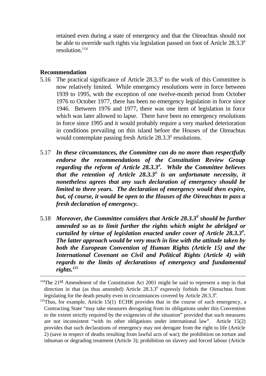retained even during a state of emergency and that the Oireachtas should not be able to override such rights via legislation passed on foot of Article 28.3.3<sup>0</sup> resolution.<sup>154</sup>

#### **Recommendation**

- 5.16 The practical significance of Article  $28.3.3<sup>0</sup>$  to the work of this Committee is now relatively limited. While emergency resolutions were in force between 1939 to 1995, with the exception of one twelve-month period from October 1976 to October 1977, there has been no emergency legislation in force since 1946. Between 1976 and 1977, there was one item of legislation in force which was later allowed to lapse. There have been no emergency resolutions in force since 1995 and it would probably require a very marked deterioration in conditions prevailing on this island before the Houses of the Oireachtas would contemplate passing fresh Article  $28.3.3^{\circ}$  resolutions.
- 5.17 *In these circumstances, the Committee can do no more than respectfully endorse the recommendations of the Constitution Review Group regarding the reform of Article 28.3.3<sup>0</sup> . While the Committee believes that the retention of Article 28.3.3<sup>0</sup> is an unfortunate necessity, it nonetheless agrees that any such declaration of emergency should be limited to three years. The declaration of emergency would then expire, but, of course, it would be open to the Houses of the Oireachtas to pass a fresh declaration of emergency.*
- 5.18 *Moreover, the Committee considers that Article 28.3.3<sup>0</sup> should be further amended so as to limit further the rights which might be abridged or curtailed by virtue of legislation enacted under cover of Article 28.3.3<sup>0</sup> . The latter approach would be very much in line with the attitude taken by both the European Convention of Human Rights (Article 15) and the International Covenant on Civil and Political Rights (Article 4) with regards to the limits of declarations of emergency and fundamental rights.<sup>155</sup>*

<sup>&</sup>lt;sup>154</sup>The 21st Amendment of the Constitution Act 2001 might be said to represent a step in that direction in that (as thus amended) Article 28.3.3<sup>0</sup> expressly forbids the Oireachtas from legislating for the death penalty even in circumstances covered by Article 28.3.3<sup>0</sup>.

<sup>&</sup>lt;sup>155</sup>Thus, for example, Article 15(1) ECHR provides that in the course of such emergency, a Contracting State "may take measures derogating from its obligations under this Convention to the extent strictly required by the exigencies of the situation" provided that such measures are not inconsistent "with its other obligations under international law". Article 15(2) provides that such declarations of emergency may not derogate from the right to life (Article 2) (save in respect of deaths resulting from lawful acts of war); the prohibition on torture and inhuman or degrading treatment (Article 3); prohibition on slavery and forced labour (Article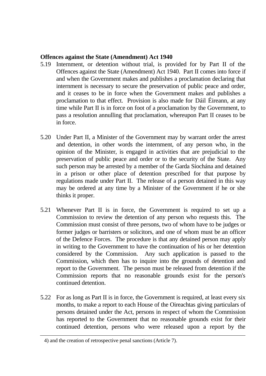### **Offences against the State (Amendment) Act 1940**

- 5.19 Internment, or detention without trial, is provided for by Part II of the Offences against the State (Amendment) Act 1940. Part II comes into force if and when the Government makes and publishes a proclamation declaring that internment is necessary to secure the preservation of public peace and order, and it ceases to be in force when the Government makes and publishes a proclamation to that effect. Provision is also made for Dáil Éireann, at any time while Part II is in force on foot of a proclamation by the Government, to pass a resolution annulling that proclamation, whereupon Part II ceases to be in force.
- 5.20 Under Part II, a Minister of the Government may by warrant order the arrest and detention, in other words the internment, of any person who, in the opinion of the Minister, is engaged in activities that are prejudicial to the preservation of public peace and order or to the security of the State. Any such person may be arrested by a member of the Garda Síochána and detained in a prison or other place of detention prescribed for that purpose by regulations made under Part II. The release of a person detained in this way may be ordered at any time by a Minister of the Government if he or she thinks it proper.
- 5.21 Whenever Part II is in force, the Government is required to set up a Commission to review the detention of any person who requests this. The Commission must consist of three persons, two of whom have to be judges or former judges or barristers or solicitors, and one of whom must be an officer of the Defence Forces. The procedure is that any detained person may apply in writing to the Government to have the continuation of his or her detention considered by the Commission. Any such application is passed to the Commission, which then has to inquire into the grounds of detention and report to the Government. The person must be released from detention if the Commission reports that no reasonable grounds exist for the person's continued detention.
- 5.22 For as long as Part II is in force, the Government is required, at least every six months, to make a report to each House of the Oireachtas giving particulars of persons detained under the Act, persons in respect of whom the Commission has reported to the Government that no reasonable grounds exist for their continued detention, persons who were released upon a report by the

<sup>4)</sup> and the creation of retrospective penal sanctions (Article 7).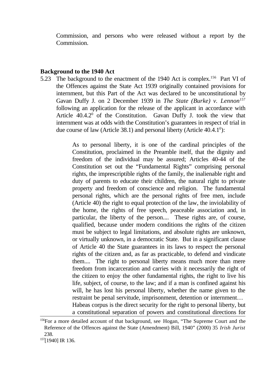Commission, and persons who were released without a report by the Commission.

#### **Background to the 1940 Act**

5.23 The background to the enactment of the 1940 Act is complex.<sup>156</sup> Part VI of the Offences against the State Act 1939 originally contained provisions for internment, but this Part of the Act was declared to be unconstitutional by Gavan Duffy J. on 2 December 1939 in *The State (Burke) v. Lennon*<sup>157</sup> following an application for the release of the applicant in accordance with Article  $40.4.2^{\circ}$  of the Constitution. Gavan Duffy J. took the view that internment was at odds with the Constitution's guarantees in respect of trial in due course of law (Article 38.1) and personal liberty (Article  $40.4.1^{\circ}$ ):

> As to personal liberty, it is one of the cardinal principles of the Constitution, proclaimed in the Preamble itself, that the dignity and freedom of the individual may be assured; Articles 40-44 of the Constitution set out the "Fundamental Rights" comprising personal rights, the imprescriptible rights of the family, the inalienable right and duty of parents to educate their children, the natural right to private property and freedom of conscience and religion. The fundamental personal rights, which are the personal rights of free men, include (Article 40) the right to equal protection of the law, the inviolability of the home, the rights of free speech, peaceable association and, in particular, the liberty of the person.... These rights are, of course, qualified, because under modern conditions the rights of the citizen must be subject to legal limitations, and absolute rights are unknown, or virtually unknown, in a democratic State. But in a significant clause of Article 40 the State guarantees in its laws to respect the personal rights of the citizen and, as far as practicable, to defend and vindicate them.... The right to personal liberty means much more than mere freedom from incarceration and carries with it necessarily the right of the citizen to enjoy the other fundamental rights, the right to live his life, subject, of course, to the law; and if a man is confined against his will, he has lost his personal liberty, whether the name given to the restraint be penal servitude, imprisonment, detention or internment… Habeas corpus is the direct security for the right to personal liberty, but a constitutional separation of powers and constitutional directions for

<sup>&</sup>lt;sup>156</sup>For a more detailed account of that background, see Hogan, "The Supreme Court and the Reference of the Offences against the State (Amendment) Bill, 1940" (2000) 35 *Irish Jurist* 238.

 $157$ [1940] IR 136.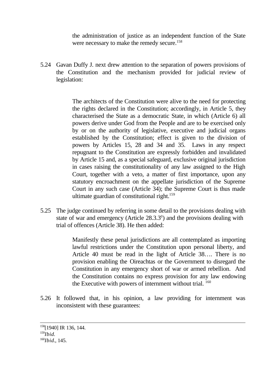the administration of justice as an independent function of the State were necessary to make the remedy secure.<sup>158</sup>

5.24 Gavan Duffy J. next drew attention to the separation of powers provisions of the Constitution and the mechanism provided for judicial review of legislation:

> The architects of the Constitution were alive to the need for protecting the rights declared in the Constitution; accordingly, in Article 5, they characterised the State as a democratic State, in which (Article 6) all powers derive under God from the People and are to be exercised only by or on the authority of legislative, executive and judicial organs established by the Constitution; effect is given to the division of powers by Articles 15, 28 and 34 and 35. Laws in any respect repugnant to the Constitution are expressly forbidden and invalidated by Article 15 and, as a special safeguard, exclusive original jurisdiction in cases raising the constitutionality of any law assigned to the High Court, together with a veto, a matter of first importance, upon any statutory encroachment on the appellate jurisdiction of the Supreme Court in any such case (Article 34); the Supreme Court is thus made ultimate guardian of constitutional right.<sup>159</sup>

5.25 The judge continued by referring in some detail to the provisions dealing with state of war and emergency (Article  $28.3.3^{\circ}$ ) and the provisions dealing with trial of offences (Article 38). He then added:

> Manifestly these penal jurisdictions are all contemplated as importing lawful restrictions under the Constitution upon personal liberty, and Article 40 must be read in the light of Article 38…. There is no provision enabling the Oireachtas or the Government to disregard the Constitution in any emergency short of war or armed rebellion. And the Constitution contains no express provision for any law endowing the Executive with powers of internment without trial.<sup>160</sup>

5.26 It followed that, in his opinion, a law providing for internment was inconsistent with these guarantees: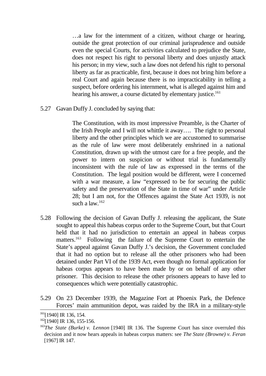…a law for the internment of a citizen, without charge or hearing, outside the great protection of our criminal jurisprudence and outside even the special Courts, for activities calculated to prejudice the State, does not respect his right to personal liberty and does unjustly attack his person; in my view, such a law does not defend his right to personal liberty as far as practicable, first, because it does not bring him before a real Court and again because there is no impracticability in telling a suspect, before ordering his internment, what is alleged against him and hearing his answer, a course dictated by elementary justice.<sup>161</sup>

5.27 Gavan Duffy J. concluded by saying that:

The Constitution, with its most impressive Preamble, is the Charter of the Irish People and I will not whittle it away…. The right to personal liberty and the other principles which we are accustomed to summarise as the rule of law were most deliberately enshrined in a national Constitution, drawn up with the utmost care for a free people, and the power to intern on suspicion or without trial is fundamentally inconsistent with the rule of law as expressed in the terms of the Constitution. The legal position would be different, were I concerned with a war measure, a law "expressed to be for securing the public safety and the preservation of the State in time of war" under Article 28; but I am not, for the Offences against the State Act 1939, is not such a law  $162$ 

- 5.28 Following the decision of Gavan Duffy J. releasing the applicant, the State sought to appeal this habeas corpus order to the Supreme Court, but that Court held that it had no jurisdiction to entertain an appeal in habeas corpus matters.<sup>163</sup> Following the failure of the Supreme Court to entertain the State's appeal against Gavan Duffy J.'s decision, the Government concluded that it had no option but to release all the other prisoners who had been detained under Part VI of the 1939 Act, even though no formal application for habeas corpus appears to have been made by or on behalf of any other prisoner. This decision to release the other prisoners appears to have led to consequences which were potentially catastrophic.
- 5.29 On 23 December 1939, the Magazine Fort at Phoenix Park, the Defence Forces' main ammunition depot, was raided by the IRA in a military-style

<sup>&</sup>lt;sup>161</sup>[1940] IR 136, 154.

<sup>&</sup>lt;sup>162</sup>[1940] IR 136, 155-156.

<sup>163</sup>*The State (Burke) v. Lennon* [1940] IR 136. The Supreme Court has since overruled this decision and it now hears appeals in habeas corpus matters: see *The State (Browne) v. Feran* [1967] IR 147.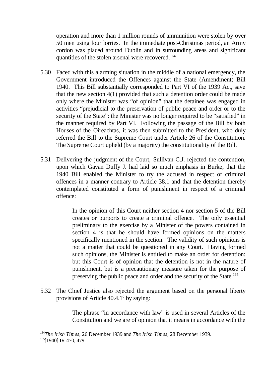operation and more than 1 million rounds of ammunition were stolen by over 50 men using four lorries. In the immediate post-Christmas period, an Army cordon was placed around Dublin and in surrounding areas and significant quantities of the stolen arsenal were recovered.<sup>164</sup>

- 5.30 Faced with this alarming situation in the middle of a national emergency, the Government introduced the Offences against the State (Amendment) Bill 1940. This Bill substantially corresponded to Part VI of the 1939 Act, save that the new section 4(1) provided that such a detention order could be made only where the Minister was "of opinion" that the detainee was engaged in activities "prejudicial to the preservation of public peace and order or to the security of the State": the Minister was no longer required to be "satisfied" in the manner required by Part VI. Following the passage of the Bill by both Houses of the Oireachtas, it was then submitted to the President, who duly referred the Bill to the Supreme Court under Article 26 of the Constitution. The Supreme Court upheld (by a majority) the constitutionality of the Bill.
- 5.31 Delivering the judgment of the Court, Sullivan C.J. rejected the contention, upon which Gavan Duffy J. had laid so much emphasis in Burke, that the 1940 Bill enabled the Minister to try the accused in respect of criminal offences in a manner contrary to Article 38.1 and that the detention thereby contemplated constituted a form of punishment in respect of a criminal offence:

In the opinion of this Court neither section 4 nor section 5 of the Bill creates or purports to create a criminal offence. The only essential preliminary to the exercise by a Minister of the powers contained in section 4 is that he should have formed opinions on the matters specifically mentioned in the section. The validity of such opinions is not a matter that could be questioned in any Court. Having formed such opinions, the Minister is entitled to make an order for detention: but this Court is of opinion that the detention is not in the nature of punishment, but is a precautionary measure taken for the purpose of preserving the public peace and order and the security of the State.<sup>165</sup>

5.32 The Chief Justice also rejected the argument based on the personal liberty provisions of Article  $40.4.1^{\circ}$  by saying:

> The phrase "in accordance with law" is used in several Articles of the Constitution and we are of opinion that it means in accordance with the

<sup>&</sup>lt;sup>165</sup>[1940] IR 470, 479. 164*The Irish Times*, 26 December 1939 and *The Irish Times*, 28 December 1939.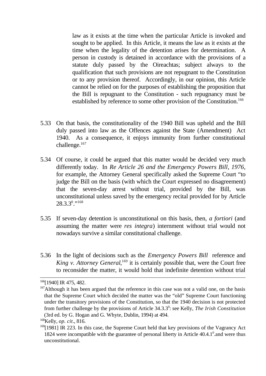law as it exists at the time when the particular Article is invoked and sought to be applied. In this Article, it means the law as it exists at the time when the legality of the detention arises for determination. A person in custody is detained in accordance with the provisions of a statute duly passed by the Oireachtas; subject always to the qualification that such provisions are not repugnant to the Constitution or to any provision thereof. Accordingly, in our opinion, this Article cannot be relied on for the purposes of establishing the proposition that the Bill is repugnant to the Constitution - such repugnancy must be established by reference to some other provision of the Constitution.<sup>166</sup>

- 5.33 On that basis, the constitutionality of the 1940 Bill was upheld and the Bill duly passed into law as the Offences against the State (Amendment) Act 1940. As a consequence, it enjoys immunity from further constitutional challenge.<sup>167</sup>
- 5.34 Of course, it could be argued that this matter would be decided very much differently today. In *Re Article 26 and the Emergency Powers Bill, 1976*, for example, the Attorney General specifically asked the Supreme Court "to judge the Bill on the basis (with which the Court expressed no disagreement) that the seven-day arrest without trial, provided by the Bill, was unconstitutional unless saved by the emergency recital provided for by Article  $28.3.3^{0.7168}$
- 5.35 If seven-day detention is unconstitutional on this basis, then, *a fortiori* (and assuming the matter were *res integra*) internment without trial would not nowadays survive a similar constitutional challenge.
- 5.36 In the light of decisions such as the *Emergency Powers Bill* reference and King v. Attorney General,<sup>169</sup> it is certainly possible that, were the Court free to reconsider the matter, it would hold that indefinite detention without trial

<sup>&</sup>lt;sup>166</sup>[1940] IR 475, 482.

<sup>&</sup>lt;sup>167</sup>Although it has been argued that the reference in this case was not a valid one, on the basis that the Supreme Court which decided the matter was the "old" Supreme Court functioning under the transitory provisions of the Constitution, so that the 1940 decision is not protected from further challenge by the provisions of Article 34.3.3<sup>0</sup>: see Kelly, *The Irish Constitution* (3rd ed. by G. Hogan and G. Whyte, Dublin, 1994) at 494.

<sup>168</sup>Kelly, *op. cit*., 816.

 $169$ [1981] IR 223. In this case, the Supreme Court held that key provisions of the Vagrancy Act 1824 were incompatible with the guarantee of personal liberty in Article  $40.4.1<sup>0</sup>$  and were thus unconstitutional.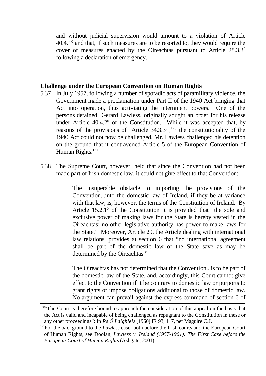and without judicial supervision would amount to a violation of Article  $40.4.1<sup>0</sup>$  and that, if such measures are to be resorted to, they would require the cover of measures enacted by the Oireachtas pursuant to Article 28.3.3<sup>0</sup> following a declaration of emergency.

### **Challenge under the European Convention on Human Rights**

- 5.37 In July 1957, following a number of sporadic acts of paramilitary violence, the Government made a proclamation under Part II of the 1940 Act bringing that Act into operation, thus activiating the internment powers. One of the persons detained, Gerard Lawless, originally sought an order for his release under Article  $40.4.2^{\circ}$  of the Constitution. While it was accepted that, by reasons of the provisions of Article  $34.3.3^{\circ}$ ,  $^{170}$  the constitutionality of the 1940 Act could not now be challenged, Mr. Lawless challenged his detention on the ground that it contravened Article 5 of the European Convention of Human Rights.<sup>171</sup>
- 5.38 The Supreme Court, however, held that since the Convention had not been made part of Irish domestic law, it could not give effect to that Convention:

The insuperable obstacle to importing the provisions of the Convention...into the domestic law of Ireland, if they be at variance with that law, is, however, the terms of the Constitution of Ireland. By Article  $15.2.1^\circ$  of the Constitution it is provided that "the sole and exclusive power of making laws for the State is hereby vested in the Oireachtas: no other legislative authority has power to make laws for the State." Moreover, Article 29, the Article dealing with international law relations, provides at section 6 that "no international agreement shall be part of the domestic law of the State save as may be determined by the Oireachtas."

The Oireachtas has not determined that the Convention...is to be part of the domestic law of the State, and, accordingly, this Court cannot give effect to the Convention if it be contrary to domestic law or purports to grant rights or impose obligations additional to those of domestic law. No argument can prevail against the express command of section 6 of

 $170$ "The Court is therefore bound to approach the consideration of this appeal on the basis that the Act is valid and incapable of being challenged as repugnant to the Constitution in these or any other proceedings": In *Re Ó Laighléis* [1960] IR 93, 117, per Maguire C.J.

<sup>&</sup>lt;sup>171</sup>For the background to the *Lawless* case, both before the Irish courts and the European Court of Human Rights, see Doolan, *Lawless v. Ireland (1957-1961): The First Case before the European Court of Human Rights* (Ashgate, 2001).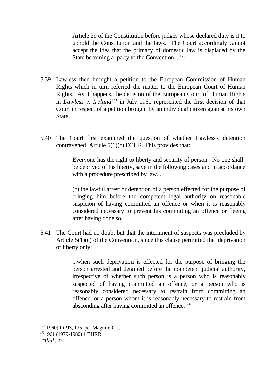Article 29 of the Constitution before judges whose declared duty is it to uphold the Constitution and the laws. The Court accordingly cannot accept the idea that the primacy of domestic law is displaced by the State becoming a party to the Convention....<sup>172</sup>

- 5.39 Lawless then brought a petition to the European Commission of Human Rights which in turn referred the matter to the European Court of Human Rights. As it happens, the decision of the European Court of Human Rights in *Lawless v. Ireland*<sup>173</sup> in July 1961 represented the first decision of that Court in respect of a petition brought by an individual citizen against his own State.
- 5.40 The Court first examined the question of whether Lawless's detention contravened Article  $5(1)(c)$  ECHR. This provides that:

Everyone has the right to liberty and security of person. No one shall be deprived of his liberty, save in the following cases and in accordance with a procedure prescribed by law....

(c) the lawful arrest or detention of a person effected for the purpose of bringing him before the competent legal authority on reasonable suspicion of having committed an offence or when it is reasonably considered necessary to prevent his committing an offence or fleeing after having done so.

5.41 The Court had no doubt but that the internment of suspects was precluded by Article 5(1)(c) of the Convention, since this clause permitted the deprivation of liberty only:

> ...when such deprivation is effected for the purpose of bringing the person arrested and detained before the competent judicial authority, irrespective of whether such person is a person who is reasonably suspected of having committed an offence, or a person who is reasonably considered necessary to restrain from committing an offence, or a person whom it is reasonably necessary to restrain from absconding after having committed an offence.<sup>174</sup>

<sup>174</sup>*Ibid*., 27. <sup>173</sup>1961 (1979-1980) 1 EHRR. <sup>172</sup>[1960] IR 93, 125, per Maguire C.J.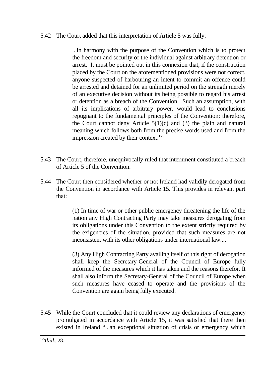# 5.42 The Court added that this interpretation of Article 5 was fully:

...in harmony with the purpose of the Convention which is to protect the freedom and security of the individual against arbitrary detention or arrest. It must be pointed out in this connexion that, if the construction placed by the Court on the aforementioned provisions were not correct, anyone suspected of harbouring an intent to commit an offence could be arrested and detained for an unlimited period on the strength merely of an executive decision without its being possible to regard his arrest or detention as a breach of the Convention. Such an assumption, with all its implications of arbitrary power, would lead to conclusions repugnant to the fundamental principles of the Convention; therefore, the Court cannot deny Article  $5(1)(c)$  and  $(3)$  the plain and natural meaning which follows both from the precise words used and from the impression created by their context.<sup>175</sup>

- 5.43 The Court, therefore, unequivocally ruled that internment constituted a breach of Article 5 of the Convention.
- 5.44 The Court then considered whether or not Ireland had validily derogated from the Convention in accordance with Article 15. This provides in relevant part that:

(1) In time of war or other public emergency threatening the life of the nation any High Contracting Party may take measures derogating from its obligations under this Convention to the extent strictly required by the exigencies of the situation, provided that such measures are not inconsistent with its other obligations under international law....

(3) Any High Contracting Party availing itself of this right of derogation shall keep the Secretary-General of the Council of Europe fully informed of the measures which it has taken and the reasons therefor. It shall also inform the Secretary-General of the Council of Europe when such measures have ceased to operate and the provisions of the Convention are again being fully executed.

5.45 While the Court concluded that it could review any declarations of emergency promulgated in accordance with Article 15, it was satisfied that there then existed in Ireland "...an exceptional situation of crisis or emergency which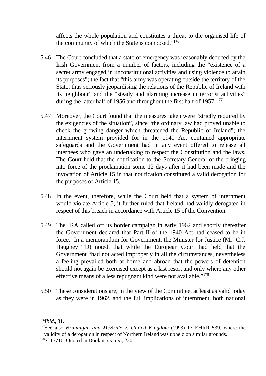affects the whole population and constitutes a threat to the organised life of the community of which the State is composed."<sup>176</sup>

- 5.46 The Court concluded that a state of emergency was reasonably deduced by the Irish Government from a number of factors, including the "existence of a secret army engaged in unconstitutional activities and using violence to attain its purposes"; the fact that "this army was operating outside the territory of the State, thus seriously jeopardising the relations of the Republic of Ireland with its neighbour" and the "steady and alarming increase in terrorist activities" during the latter half of 1956 and throughout the first half of 1957.<sup>177</sup>
- 5.47 Moreover, the Court found that the measures taken were "strictly required by the exigencies of the situation", since "the ordinary law had proved unable to check the growing danger which threatened the Republic of Ireland"; the internment system provided for in the 1940 Act contained appropriate safeguards and the Government had in any event offered to release all internees who gave an undertaking to respect the Constitution and the laws. The Court held that the notification to the Secretary-General of the bringing into force of the proclamation some 12 days after it had been made and the invocation of Article 15 in that notification constituted a valid derogation for the purposes of Article 15.
- 5.48 In the event, therefore, while the Court held that a system of internment would violate Article 5, it further ruled that Ireland had validly derogated in respect of this breach in accordance with Article 15 of the Convention.
- 5.49 The IRA called off its border campaign in early 1962 and shortly thereafter the Government declared that Part II of the 1940 Act had ceased to be in force. In a memorandum for Government, the Minister for Justice (Mr. C.J. Haughey TD) noted, that while the European Court had held that the Government "had not acted improperly in all the circumstances, nevertheless a feeling prevailed both at home and abroad that the powers of detention should not again be exercised except as a last resort and only where any other effective means of a less repugnant kind were not available."<sup>178</sup>
- 5.50 These considerations are, in the view of the Committee, at least as valid today as they were in 1962, and the full implications of internment, both national

<sup>176</sup>*Ibid*., 31.

<sup>177</sup>See also *Brannigan and McBride v. United Kingdom* (1993) 17 EHRR 539, where the validity of a derogation in respect of Northern Ireland was upheld on similar grounds.

<sup>178</sup>S. 13710. Quoted in Doolan, *op. cit*., 220.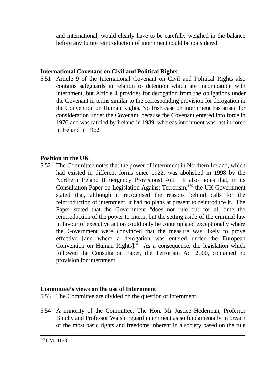and international, would clearly have to be carefully weighed in the balance before any future reintroduction of internment could be considered.

# **International Covenant on Civil and Political Rights**

5.51 Article 9 of the International Covenant on Civil and Political Rights also contains safeguards in relation to detention which are incompatible with internment, but Article 4 provides for derogation from the obligations under the Covenant in terms similar to the corresponding provision for derogation in the Convention on Human Rights. No Irish case on internment has arisen for consideration under the Covenant, because the Covenant entered into force in 1976 and was ratified by Ireland in 1989, whereas internment was last in force in Ireland in 1962.

# **Position in the UK**

5.52 The Committee notes that the power of internment in Northern Ireland, which had existed in different forms since 1922, was abolished in 1998 by the Northern Ireland (Emergency Provisions) Act. It also notes that, in its Consultation Paper on Legislation Against Terrorism,<sup>179</sup> the UK Government stated that, although it recognised the reasons behind calls for the reintroduction of internment, it had no plans at present to reintroduce it. The Paper stated that the Government "does not rule out for all time the reintroduction of the power to intern, but the setting aside of the criminal law in favour of executive action could only be contemplated exceptionally where the Government were convinced that the measure was likely to prove effective [and where a derogation was entered under the European Convention on Human Rights]." As a consequence, the legislation which followed the Consultation Paper, the Terrorism Act 2000, contained no provision for internment.

# **Committee's view**s **on the use of Internment**

- 5.53 The Committee are divided on the question of internment.
- 5.54 A minority of the Committee, The Hon. Mr Justice Hederman, Proferror Binchy and Professor Walsh, regard internment as so fundamentally in breach of the most basic rights and freedoms inherent in a society based on the rule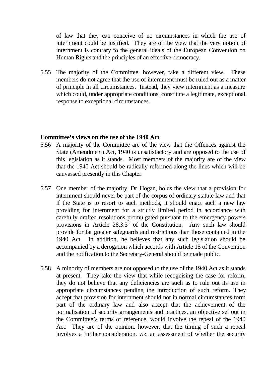of law that they can conceive of no circumstances in which the use of internment could be justified. They are of the view that the very notion of internment is contrary to the general ideals of the European Convention on Human Rights and the principles of an effective democracy.

5.55 The majority of the Committee, however, take a different view. These members do not agree that the use of internment must be ruled out as a matter of principle in all circumstances. Instead, they view internment as a measure which could, under appropriate conditions, constitute a legitimate, exceptional response to exceptional circumstances.

### **Committee's views on the use of the 1940 Act**

- 5.56 A majority of the Committee are of the view that the Offences against the State (Amendment) Act, 1940 is unsatisfactory and are opposed to the use of this legislation as it stands. Most members of the majority are of the view that the 1940 Act should be radically reformed along the lines which will be canvassed presently in this Chapter.
- 5.57 One member of the majority, Dr Hogan, holds the view that a provision for internment should never be part of the corpus of ordinary statute law and that if the State is to resort to such methods, it should enact such a new law providing for internment for a strictly limited period in accordance with carefully drafted resolutions promulgated pursuant to the emergency powers provisions in Article  $28.3.3^{\circ}$  of the Constitution. Any such law should provide for far greater safeguards and restrictions than those contained in the 1940 Act. In addition, he believes that any such legislation should be accompanied by a derogation which accords with Article 15 of the Convention and the notification to the Secretary-General should be made public.
- 5.58 A minority of members are not opposed to the use of the 1940 Act as it stands at present. They take the view that while recognising the case for reform, they do not believe that any deficiencies are such as to rule out its use in appropriate circumstances pending the introduction of such reform. They accept that provision for internment should not in normal circumstances form part of the ordinary law and also accept that the achievement of the normalisation of security arrangements and practices, an objective set out in the Committee's terms of reference, would involve the repeal of the 1940 Act. They are of the opinion, however, that the timing of such a repeal involves a further consideration, *viz*. an assessment of whether the security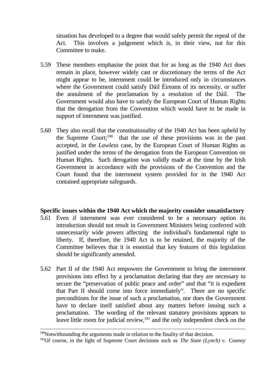situation has developed to a degree that would safely permit the repeal of the Act. This involves a judgement which is, in their view, not for this Committee to make.

- 5.59 These members emphasise the point that for as long as the 1940 Act does remain in place, however widely cast or discretionary the terms of the Act might appear to be, internment could be introduced only in circumstances where the Government could satisfy Dáil Éireann of its necessity, or suffer the annulment of the proclamation by a resolution of the Dáil. The Government would also have to satisfy the European Court of Human Rights that the derogation from the Convention which would have to be made in support of internment was justified.
- 5.60 They also recall that the constitutionality of the 1940 Act has been upheld by the Supreme Court;<sup>180</sup> that the use of these provisions was in the past accepted, in the *Lawless* case, by the European Court of Human Rights as justified under the terms of the derogation from the European Convention on Human Rights. Such derogation was validly made at the time by the Irish Government in accordance with the provisions of the Convention and the Court found that the internment system provided for in the 1940 Act contained appropriate safeguards.

### **Specific issues within the 1940 Act which the majority consider unsatisfactory**

- 5.61 Even if internment was ever considered to be a necessary option its introduction should not result in Government Ministers being conferred with unnecessarily wide powers affecting the individual's fundamental right to liberty. If, therefore, the 1940 Act is to be retained, the majority of the Committee believes that it is essential that key features of this legislation should be significantly amended.
- 5.62 Part II of the 1940 Act empowers the Government to bring the internment provisions into effect by a proclamation declaring that they are necessary to secure the "preservation of public peace and order" and that "it is expedient that Part II should come into force immediately". There are no specific preconditions for the issue of such a proclamation, nor does the Government have to declare itself satisfied about any matters before issuing such a proclamation. The wording of the relevant statutory provisions appears to leave little room for judicial review, $181$  and the only independent check on the

<sup>&</sup>lt;sup>180</sup>Notwithstanding the arguments made in relation to the finality of that decision.

<sup>181</sup>Of course, in the light of Supreme Court decisions such as *The State (Lynch) v. Cooney*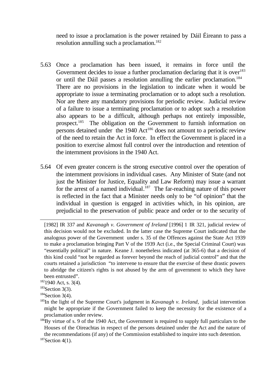need to issue a proclamation is the power retained by Dáil Éireann to pass a resolution annulling such a proclamation.<sup>182</sup>

- 5.63 Once a proclamation has been issued, it remains in force until the Government decides to issue a further proclamation declaring that it is over<sup>183</sup> or until the Dáil passes a resolution annulling the earlier proclamation.<sup>184</sup> There are no provisions in the legislation to indicate when it would be appropriate to issue a terminating proclamation or to adopt such a resolution. Nor are there any mandatory provisions for periodic review. Judicial review of a failure to issue a terminating proclamation or to adopt such a resolution also appears to be a difficult, although perhaps not entirely impossible, prospect.<sup>185</sup> The obligation on the Government to furnish information on persons detained under the 1940 Act<sup>186</sup> does not amount to a periodic review of the need to retain the Act in force. In effect the Government is placed in a position to exercise almost full control over the introduction and retention of the internment provisions in the 1940 Act.
- 5.64 Of even greater concern is the strong executive control over the operation of the internment provisions in individual cases. Any Minister of State (and not just the Minister for Justice, Equality and Law Reform) may issue a warrant for the arrest of a named individual.<sup>187</sup> The far-reaching nature of this power is reflected in the fact that a Minister needs only to be "of opinion" that the individual in question is engaged in activities which, in his opinion, are prejudicial to the preservation of public peace and order or to the security of

[1982] IR 337 and *Kavanagh v. Government of Ireland* [1996] 1 IR 321, judicial review of this decision would not be excluded. In the latter case the Supreme Court indicated that the analogous power of the Government under s. 35 of the Offences against the State Act 1939 to make a proclamation bringing Part V of the 1939 Act (i.e., the Special Criminal Court) was "essentially political" in nature. Keane J. nonetheless indicated (at 365-6) that a decision of this kind could "not be regarded as forever beyond the reach of judicial control" and that the courts retained a jurisdiction "to intervene to ensure that the exercise of these drastic powers to abridge the citizen's rights is not abused by the arm of government to which they have been entrusted".

 $186$ By virtue of s. 9 of the 1940 Act, the Government is required to supply full particulars to the Houses of the Oireachtas in respect of the persons detained under the Act and the nature of the recommendations (if any) of the Commission established to inquire into such detention.

<sup>&</sup>lt;sup>182</sup>1940 Act, s. 3(4).

 $183$ Section 3(3).

 $184$ Section 3(4).

<sup>&</sup>lt;sup>185</sup>In the light of the Supreme Court's judgment in *Kavanagh v. Ireland*, judicial intervention might be appropriate if the Government failed to keep the necessity for the existence of a proclamation under review.

 $187$ Section 4(1).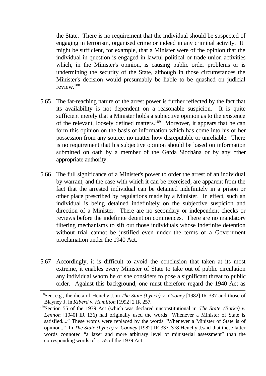the State. There is no requirement that the individual should be suspected of engaging in terrorism, organised crime or indeed in any criminal activity. It might be sufficient, for example, that a Minister were of the opinion that the individual in question is engaged in lawful political or trade union activities which, in the Minister's opinion, is causing public order problems or is undermining the security of the State, although in those circumstances the Minister's decision would presumably be liable to be quashed on judicial review. 188

- 5.65 The far-reaching nature of the arrest power is further reflected by the fact that its availability is not dependent on a reasonable suspicion. It is quite sufficient merely that a Minister holds a subjective opinion as to the existence of the relevant, loosely defined matters.<sup>189</sup> Moreover, it appears that he can form this opinion on the basis of information which has come into his or her possession from any source, no matter how disreputable or unreliable. There is no requirement that his subjective opinion should be based on information submitted on oath by a member of the Garda Síochána or by any other appropriate authority.
- 5.66 The full significance of a Minister's power to order the arrest of an individual by warrant, and the ease with which it can be exercised, are apparent from the fact that the arrested individual can be detained indefinitely in a prison or other place prescribed by regulations made by a Minister. In effect, such an individual is being detained indefinitely on the subjective suspicion and direction of a Minister. There are no secondary or independent checks or reviews before the indefinite detention commences. There are no mandatory filtering mechanisms to sift out those individuals whose indefinite detention without trial cannot be justified even under the terms of a Government proclamation under the 1940 Act.
- 5.67 Accordingly, it is difficult to avoid the conclusion that taken at its most extreme, it enables every Minister of State to take out of public circulation any individual whom he or she considers to pose a significant threat to public order. Against this background, one must therefore regard the 1940 Act as

<sup>188</sup>See, e.g., the dicta of Henchy J. in *The State (Lynch) v. Cooney* [1982] IR 337 and those of Blayney J. in *Kiberd v. Hamilton* [1992] 2 IR 257.

<sup>189</sup>Section 55 of the 1939 Act (which was declared unconstitutional in *The State (Burke) v. Lennon* [1940] IR 136) had originally used the words "Whenever a Minister of State is satisfied...." These words were replaced by the words "Whenever a Minister of State is of opinion.." In *The State (Lynch) v. Cooney* [1982] IR 337, 378 Henchy J.said that these latter words connoted "a laxer and more arbitrary level of ministerial assessment" than the corresponding words of s. 55 of the 1939 Act.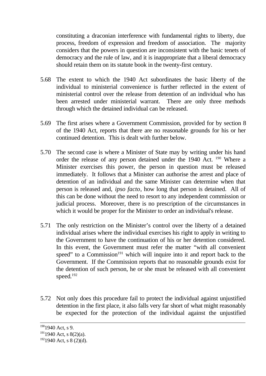constituting a draconian interference with fundamental rights to liberty, due process, freedom of expression and freedom of association. The majority considers that the powers in question are inconsistent with the basic tenets of democracy and the rule of law, and it is inappropriate that a liberal democracy should retain them on its statute book in the twenty-first century.

- 5.68 The extent to which the 1940 Act subordinates the basic liberty of the individual to ministerial convenience is further reflected in the extent of ministerial control over the release from detention of an individual who has been arrested under ministerial warrant. There are only three methods through which the detained individual can be released.
- 5.69 The first arises where a Government Commission, provided for by section 8 of the 1940 Act, reports that there are no reasonable grounds for his or her continued detention. This is dealt with further below.
- 5.70 The second case is where a Minister of State may by writing under his hand order the release of any person detained under the 1940 Act. <sup>190</sup> Where a Minister exercises this power, the person in question must be released immediately. It follows that a Minister can authorise the arrest and place of detention of an individual and the same Minister can determine when that person is released and, *ipso facto*, how long that person is detained. All of this can be done without the need to resort to any independent commission or judicial process. Moreover, there is no prescription of the circumstances in which it would be proper for the Minister to order an individual's release.
- 5.71 The only restriction on the Minister's control over the liberty of a detained individual arises where the individual exercises his right to apply in writing to the Government to have the continuation of his or her detention considered. In this event, the Government must refer the matter "with all convenient speed" to a Commission<sup>191</sup> which will inquire into it and report back to the Government. If the Commission reports that no reasonable grounds exist for the detention of such person, he or she must be released with all convenient speed. 192
- 5.72 Not only does this procedure fail to protect the individual against unjustified detention in the first place, it also falls very far short of what might reasonably be expected for the protection of the individual against the unjustified

 $1901940$  Act, s 9.

 $1911940$  Act, s 8(2)(a).

 $1921940$  Act, s 8 (2)(d).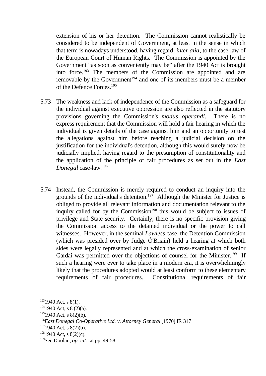extension of his or her detention. The Commission cannot realistically be considered to be independent of Government, at least in the sense in which that term is nowadays understood, having regard, *inter alia*, to the case-law of the European Court of Human Rights. The Commission is appointed by the Government "as soon as conveniently may be" after the 1940 Act is brought into force.<sup>193</sup> The members of the Commission are appointed and are removable by the Government<sup>194</sup> and one of its members must be a member of the Defence Forces.<sup>195</sup>

- 5.73 The weakness and lack of independence of the Commission as a safeguard for the individual against executive oppression are also reflected in the statutory provisions governing the Commission's *modus operandi*. There is no express requirement that the Commission will hold a fair hearing in which the individual is given details of the case against him and an opportunity to test the allegations against him before reaching a judicial decision on the justification for the individual's detention, although this would surely now be judicially implied, having regard to the presumption of constitutionality and the application of the principle of fair procedures as set out in the *East Donegal* case-law.<sup>196</sup>
- 5.74 Instead, the Commission is merely required to conduct an inquiry into the grounds of the individual's detention.<sup>197</sup> Although the Minister for Justice is obliged to provide all relevant information and documentation relevant to the inquiry called for by the Commission <sup>198</sup> this would be subject to issues of privilege and State security. Certainly, there is no specific provision giving the Commission access to the detained individual or the power to call witnesses. However, in the seminal *Lawless* case, the Detention Commission (which was presided over by Judge Ó'Briain) held a hearing at which both sides were legally represented and at which the cross-examination of senior Gardaí was permitted over the objections of counsel for the Minister.<sup>199</sup> If such a hearing were ever to take place in a modern era, it is overwhelmingly likely that the procedures adopted would at least conform to these elementary requirements of fair procedures. Constitutional requirements of fair

 $1931940$  Act, s 8(1).

 $1941940$  Act, s 8 (2)(a).

 $1951940$  Act, s 8(2)(b).

<sup>196</sup>*East Donegal Co-Operative Ltd. v. Attorney General* [1970] IR 317

 $1971940$  Act, s 8(2)(b).

 $1981940$  Act, s 8(2)(c).

<sup>199</sup>See Doolan, *op. cit*., at pp. 49-58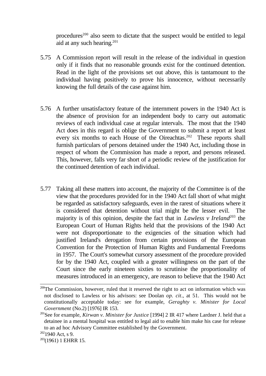procedures<sup>200</sup> also seem to dictate that the suspect would be entitled to legal aid at any such hearing. 201

- 5.75 A Commission report will result in the release of the individual in question only if it finds that no reasonable grounds exist for the continued detention. Read in the light of the provisions set out above, this is tantamount to the individual having positively to prove his innocence, without necessarily knowing the full details of the case against him.
- 5.76 A further unsatisfactory feature of the internment powers in the 1940 Act is the absence of provision for an independent body to carry out automatic reviews of each individual case at regular intervals. The most that the 1940 Act does in this regard is oblige the Government to submit a report at least every six months to each House of the Oireachtas.<sup>202</sup> These reports shall furnish particulars of persons detained under the 1940 Act, including those in respect of whom the Commission has made a report, and persons released. This, however, falls very far short of a periodic review of the justification for the continued detention of each individual.
- 5.77 Taking all these matters into account, the majority of the Committee is of the view that the procedures provided for in the 1940 Act fall short of what might be regarded as satisfactory safeguards, even in the rarest of situations where it is considered that detention without trial might be the lesser evil. The majority is of this opinion, despite the fact that in *Lawless v Ireland*<sup>203</sup> the European Court of Human Rights held that the provisions of the 1940 Act were not disproportionate to the exigencies of the situation which had justified Ireland's derogation from certain provisions of the European Convention for the Protection of Human Rights and Fundamental Freedoms in 1957. The Court's somewhat cursory assessment of the procedure provided for by the 1940 Act, coupled with a greater willingness on the part of the Court since the early nineteen sixties to scrutinise the proportionality of measures introduced in an emergency, are reason to believe that the 1940 Act

<sup>&</sup>lt;sup>200</sup>The Commission, however, ruled that it reserved the right to act on information which was not disclosed to Lawless or his advisors: see Doolan *op. cit*., at 51. This would not be constitutionally acceptable today: see for example, *Geraghty v. Minister for Local Government* (No.2) [1976] IR 153.

<sup>201</sup>See for example, *Kirwan v. Minister for Justice* [1994] 2 IR 417 where Lardner J. held that a detainee in a mental hospital was entitled to legal aid to enable him make his case for release to an ad hoc Advisory Committee established by the Government.

 $202$ <sub>1940</sub> Act, s 9.

 $203(1961)$  1 EHRR 15.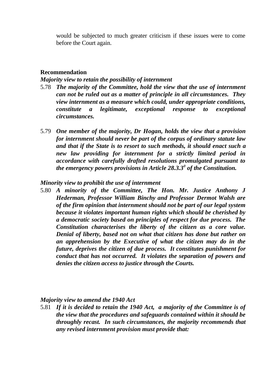would be subjected to much greater criticism if these issues were to come before the Court again.

#### **Recommendation**

*Majority view to retain the possibility of internment*

- 5.78 *The majority of the Committee, hold the view that the use of internment can not be ruled out as a matter of principle in all circumstances. They view internment as a measure which could, under appropriate conditions, constitute a legitimate, exceptional response to exceptional circumstances.*
- 5.79 *One member of the majority, Dr Hogan, holds the view that a provision for internment should never be part of the corpus of ordinary statute law and that if the State is to resort to such methods, it should enact such a new law providing for internment for a strictly limited period in accordance with carefully drafted resolutions promulgated pursuant to the emergency powers provisions in Article 28.3.3<sup>0</sup> of the Constitution.*

#### *Minority view to prohibit the use of internment*

5.80 *A minority of the Committee, The Hon. Mr. Justice Anthony J Hederman, Professor William Binchy and Professor Dermot Walsh are of the firm opinion that internment should not be part of our legal system because it violates important human rights which should be cherished by a democratic society based on principles of respect for due process. The Constitution characterises the liberty of the citizen as a core value. Denial of liberty, based not on what that citizen has done but rather on an apprehension by the Executive of what the citizen may do in the future, deprives the citizen of due process. It constitutes punishment for conduct that has not occurred. It violates the separation of powers and denies the citizen access to justice through the Courts.*

#### *Majority view to amend the 1940 Act*

5.81 *If it is decided to retain the 1940 Act, a majority of the Committee is of the view that the procedures and safeguards contained within it should be throughly recast. In such circumstances, the majority recommends that any revised internment provision must provide that:*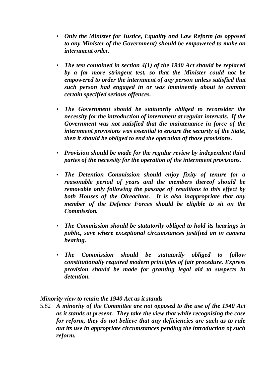- ü *Only the Minister for Justice, Equality and Law Reform (as opposed to any Minister of the Government) should be empowered to make an internment order.*
- ü *The test contained in section 4(1) of the 1940 Act should be replaced by a far more stringent test, so that the Minister could not be empowered to order the internment of any person unless satisfied that such person had engaged in or was imminently about to commit certain specified serious offences.*
- ü *The Government should be statutorily obliged to reconsider the necessity for the introduction of internment at regular intervals. If the Government was not satisfied that the maintenance in force of the internment provisions was essential to ensure the security of the State, then it should be obliged to end the operation of those provisions.*
- ü *Provision should be made for the regular review by independent third partes of the necessity for the operation of the internment provisions.*
- ü *The Detention Commission should enjoy fixity of tenure for a reasonable period of years and the members thereof should be removable only following the passage of resultions to this effect by both Houses of the Oireachtas. It is also inappropriate that any member of the Defence Forces should be eligible to sit on the Commission.*
- ü *The Commission should be statutorily obliged to hold its hearings in public, save where exceptional circumstances justified an in camera hearing.*
- ü *The Commission should be statutorily obliged to follow constitutionally required modern principles of fair procedure. Express provision should be made for granting legal aid to suspects in detention.*

# *Minority view to retain the 1940 Act as it stands*

5.82 *A minority of the Committee are not opposed to the use of the 1940 Act as it stands at present. They take the view that while recognising the case for reform, they do not believe that any deficiencies are such as to rule out its use in appropriate circumstances pending the introduction of such reform.*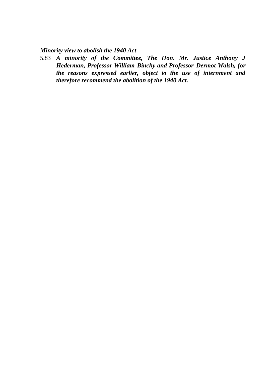*Minority view to abolish the 1940 Act*

5.83 *A minority of the Committee, The Hon. Mr. Justice Anthony J Hederman, Professor William Binchy and Professor Dermot Walsh, for the reasons expressed earlier, object to the use of internment and therefore recommend the abolition of the 1940 Act.*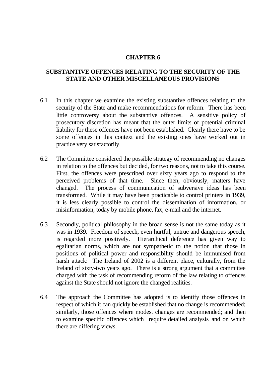## **CHAPTER 6**

### **SUBSTANTIVE OFFENCES RELATING TO THE SECURITY OF THE STATE AND OTHER MISCELLANEOUS PROVISIONS**

- 6.1 In this chapter we examine the existing substantive offences relating to the security of the State and make recommendations for reform. There has been little controversy about the substantive offences. A sensitive policy of prosecutory discretion has meant that the outer limits of potential criminal liability for these offences have not been established. Clearly there have to be some offences in this context and the existing ones have worked out in practice very satisfactorily.
- 6.2 The Committee considered the possible strategy of recommending no changes in relation to the offences but decided, for two reasons, not to take this course. First, the offences were prescribed over sixty years ago to respond to the perceived problems of that time. Since then, obviously, matters have changed. The process of communication of subversive ideas has been transformed. While it may have been practicable to control printers in 1939, it is less clearly possible to control the dissemination of information, or misinformation, today by mobile phone, fax, e-mail and the internet.
- 6.3 Secondly, political philosophy in the broad sense is not the same today as it was in 1939. Freedom of speech, even hurtful, untrue and dangerous speech, is regarded more positively. Hierarchical deference has given way to egalitarian norms, which are not sympathetic to the notion that those in positions of political power and responsibility should be immunised from harsh attack: The Ireland of 2002 is a different place, culturally, from the Ireland of sixty-two years ago. There is a strong argument that a committee charged with the task of recommending reform of the law relating to offences against the State should not ignore the changed realities.
- 6.4 The approach the Committee has adopted is to identify those offences in respect of which it can quickly be established that no change is recommended; similarly, those offences where modest changes are recommended; and then to examine specific offences which require detailed analysis and on which there are differing views.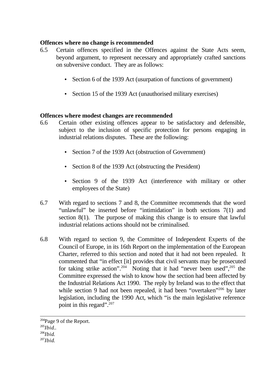# **Offences where no change is recommended**

- 6.5 Certain offences specified in the Offences against the State Acts seem, beyond argument, to represent necessary and appropriately crafted sanctions on subversive conduct. They are as follows:
	- Section 6 of the 1939 Act (usurpation of functions of government)
	- Section 15 of the 1939 Act (unauthorised military exercises)

# **Offences where modest changes are recommended**

- 6.6 Certain other existing offences appear to be satisfactory and defensible, subject to the inclusion of specific protection for persons engaging in industrial relations disputes. These are the following:
	- Section 7 of the 1939 Act (obstruction of Government)
	- Section 8 of the 1939 Act (obstructing the President)
	- Section 9 of the 1939 Act (interference with military or other employees of the State)
- 6.7 With regard to sections 7 and 8, the Committee recommends that the word "unlawful" be inserted before "intimidation" in both sections 7(1) and section 8(1). The purpose of making this change is to ensure that lawful industrial relations actions should not be criminalised.
- 6.8 With regard to section 9, the Committee of Independent Experts of the Council of Europe, in its 16th Report on the implementation of the European Charter, referred to this section and noted that it had not been repealed. It commented that "in effect [it] provides that civil servants may be prosecuted for taking strike action".<sup>204</sup> Noting that it had "never been used",<sup>205</sup> the Committee expressed the wish to know how the section had been affected by the Industrial Relations Act 1990. The reply by Ireland was to the effect that while section 9 had not been repealed, it had been "overtaken"<sup>206</sup> by later legislation, including the 1990 Act, which "is the main legislative reference point in this regard".<sup>207</sup>

<sup>&</sup>lt;sup>204</sup>Page 9 of the Report.

<sup>205</sup>*Ibid..*

<sup>206</sup>*Ibid.*

<sup>207</sup>*Ibid.*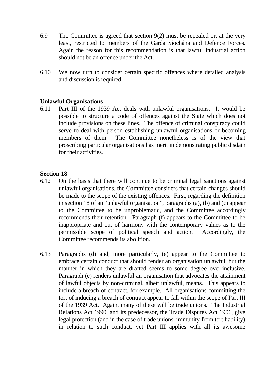- 6.9 The Committee is agreed that section 9(2) must be repealed or, at the very least, restricted to members of the Garda Síochána and Defence Forces. Again the reason for this recommendation is that lawful industrial action should not be an offence under the Act.
- 6.10 We now turn to consider certain specific offences where detailed analysis and discussion is required.

### **Unlawful Organisations**

6.11 Part III of the 1939 Act deals with unlawful organisations. It would be possible to structure a code of offences against the State which does not include provisions on these lines. The offence of criminal conspiracy could serve to deal with person establishing unlawful organisations or becoming members of them. The Committee nonetheless is of the view that proscribing particular organisations has merit in demonstrating public disdain for their activities.

### **Section 18**

- 6.12 On the basis that there will continue to be criminal legal sanctions against unlawful organisations, the Committee considers that certain changes should be made to the scope of the existing offences. First, regarding the definition in section 18 of an "unlawful organisation", paragraphs (a), (b) and (c) appear to the Committee to be unproblematic, and the Committee accordingly recommends their retention. Paragraph (f) appears to the Committee to be inappropriate and out of harmony with the contemporary values as to the permissible scope of political speech and action. Accordingly, the Committee recommends its abolition.
- 6.13 Paragraphs (d) and, more particularly, (e) appear to the Committee to embrace certain conduct that should render an organisation unlawful, but the manner in which they are drafted seems to some degree over-inclusive. Paragraph (e) renders unlawful an organisation that advocates the attainment of lawful objects by non-criminal, albeit unlawful, means. This appears to include a breach of contract, for example. All organisations committing the tort of inducing a breach of contract appear to fall within the scope of Part III of the 1939 Act. Again, many of these will be trade unions. The Industrial Relations Act 1990, and its predecessor, the Trade Disputes Act 1906, give legal protection (and in the case of trade unions, immunity from tort liability) in relation to such conduct, yet Part III applies with all its awesome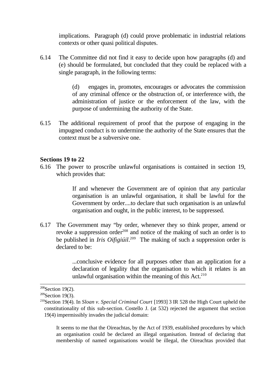implications. Paragraph (d) could prove problematic in industrial relations contexts or other quasi political disputes.

6.14 The Committee did not find it easy to decide upon how paragraphs (d) and (e) should be formulated, but concluded that they could be replaced with a single paragraph, in the following terms:

> (d) engages in, promotes, encourages or advocates the commission of any criminal offence or the obstruction of, or interference with, the administration of justice or the enforcement of the law, with the purpose of undermining the authority of the State.

6.15 The additional requirement of proof that the purpose of engaging in the impugned conduct is to undermine the authority of the State ensures that the context must be a subversive one.

### **Sections 19 to 22**

6.16 The power to proscribe unlawful organisations is contained in section 19, which provides that:

> If and whenever the Government are of opinion that any particular organisation is an unlawful organisation, it shall be lawful for the Government by order....to declare that such organisation is an unlawful organisation and ought, in the public interest, to be suppressed.

6.17 The Government may "by order, whenever they so think proper, amend or revoke a suppression order<sup>208</sup> and notice of the making of such an order is to be published in *Iris Oifigiúil*. <sup>209</sup> The making of such a suppression order is declared to be:

> ...conclusive evidence for all purposes other than an application for a declaration of legality that the organisation to which it relates is an unlawful organisation within the meaning of this  $Act.^{210}$

It seems to me that the Oireachtas, by the Act of 1939, established procedures by which an organisation could be declared an illegal organisation. Instead of declaring that membership of named organisations would be illegal, the Oireachtas provided that

 $208$ Section 19(2).

 $209$ Section 19(3).

<sup>210</sup>Section 19(4). In *Sloan v. Special Criminal Court* [1993] 3 IR 528 the High Court upheld the constitutionality of this sub-section. Costello J. (at 532) rejected the argument that section 19(4) impermissibly invades the judicial domain: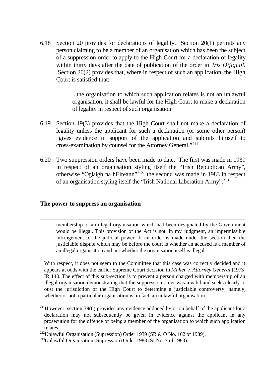6.18 Section 20 provides for declarations of legality. Section 20(1) permits any person claiming to be a member of an organisation which has been the subject of a suppression order to apply to the High Court for a declaration of legality within thirty days after the date of publication of the order in *Iris Oifigiúil.* Section 20(2) provides that, where in respect of such an application, the High Court is satisfied that:

> ...the organisation to which such application relates is not an unlawful organisation, it shall be lawful for the High Court to make a declaration of legality in respect of such organisation.

- 6.19 Section 19(3) provides that the High Court shall not make a declaration of legality unless the applicant for such a declaration (or some other person) "gives evidence in support of the application and submits himself to cross-examination by counsel for the Attorney General."<sup>211</sup>
- 6.20 Two suppression orders have been made to date. The first was made in 1939 in respect of an organisation styling itself the "Irish Republican Army", otherwise "Oglaigh na hEireann" <sup>212</sup>; the second was made in 1983 in respect of an organisation styling itself the "Irish National Liberation Army".<sup>213</sup>

#### **The power to suppress an organisation**

membership of an illegal organisation which had been designated by the Government would be illegal. This provision of the Act is not, in my judgment, an impermissible infringement of the judicial power. If an order is made under the section then the justiciable dispute which may be before the court is whether an accused is a member of an illegal organisation and not whether the organisation itself is illegal.

With respect, it does not seem to the Committee that this case was correctly decided and it appears at odds with the earlier Supreme Court decision in *Maher v. Attorney General* [1973] IR 140. The effect of this sub-section is to prevent a person charged with membership of an illegal organisation demonstrating that the suppression order was invalid and seeks clearly to oust the jurisdiction of the High Court to determine a justiciable controversy, namely, whether or not a particular organisation is, in fact, an unlawful organisation.

 $^{211}$ However, section 39(6) provides any evidence adduced by or on behalf of the applicant for a declaration may not subsequently be given in evidence against the applicant in any prosecution for the offence of being a member of the organisation to which such application relates.

<sup>212</sup>Unlawful Organisation (Supression) Order 1939 (SR & O No. 162 of 1939).

<sup>213</sup>Unlawful Organisation (Supression) Order 1983 (SI No. 7 of 1983).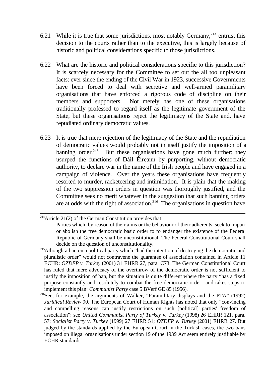- 6.21 While it is true that some jurisdictions, most notably Germany,  $2^{14}$  entrust this decision to the courts rather than to the executive, this is largely because of historic and political considerations specific to those jurisdictions.
- 6.22 What are the historic and political considerations specific to this jurisdiction? It is scarcely necessary for the Committee to set out the all too unpleasant facts: ever since the ending of the Civil War in 1923, successive Governments have been forced to deal with secretive and well-armed paramilitary organisations that have enforced a rigorous code of discipline on their members and supporters. Not merely has one of these organisations traditionally professed to regard itself as the legitimate government of the State, but these organisations reject the legitimacy of the State and, have repudiated ordinary democratic values.
- 6.23 It is true that mere rejection of the legitimacy of the State and the repudiation of democratic values would probably not in itself justify the imposition of a banning order. $215$  But these organisations have gone much further: they usurped the functions of Dáil Éireann by purporting, without democratic authority, to declare war in the name of the Irish people and have engaged in a campaign of violence. Over the years these organisations have frequently resorted to murder, racketeering and intimidation. It is plain that the making of the two suppression orders in question was thoroughly justified, and the Committee sees no merit whatever in the suggestion that such banning orders are at odds with the right of association.<sup>216</sup> The organisations in question have

<sup>214</sup>Article 21(2) of the German Constitution provides that:

Parties which, by reason of their aims or the behaviour of their adherents, seek to impair or abolish the free democratic basic order to to endanger the existence of the Federal Republic of Germany shall be unconstitutional. The Federal Constitutional Court shall decide on the question of unconstitutionality.

<sup>&</sup>lt;sup>215</sup>Athough a ban on a political party which "had the intention of destroying the democratic and pluralistic order" would not contravene the guarantee of association contained in Article 11 ECHR: *OZDEP v. Turkey* (2001) 31 EHRR 27, para. C73. The German Constitutional Court has ruled that mere advocacy of the overthrow of the democratic order is not sufficient to justify the imposition of ban, but the situation is quite different where the party "has a fixed purpose constantly and resolutely to combat the free democratic order" and takes steps to implement this plan: *Communist Party* case 5 BVerf GE 85 (1956).

<sup>&</sup>lt;sup>216</sup>See, for example, the arguments of Walker, "Paramilitary displays and the PTA" (1992) *Juridical Review* 90. The European Court of Human Rights has noted that only "convincing and compelling reasons can justify restrictions on such [political] parties' freedom of association": see *United Communist Party of Turkey v. Turkey* (1998) 26 EHRR 121, para. 57; *Socialist Party v. Turkey* (1999) 27 EHRR 51; *OZDEP v. Turkey* (2001) EHRR 27. But judged by the standards applied by the European Court in the Turkish cases, the two bans imposed on illegal organisations under section 19 of the 1939 Act seem entirely justifiable by ECHR standards.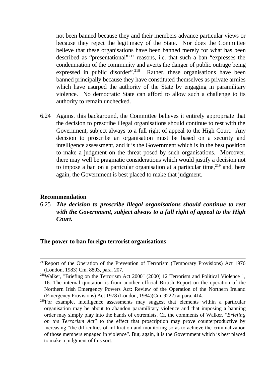not been banned because they and their members advance particular views or because they reject the legitimacy of the State. Nor does the Committee believe that these organisations have been banned merely for what has been described as "presentational"<sup>217</sup> reasons, i.e. that such a ban "expresses the condemnation of the community and averts the danger of public outrage being expressed in public disorder".<sup>218</sup> Rather, these organisations have been banned principally because they have constituted themselves as private armies which have usurped the authority of the State by engaging in paramilitary violence. No democratic State can afford to allow such a challenge to its authority to remain unchecked.

6.24 Against this background, the Committee believes it entirely appropriate that the decision to prescribe illegal organisations should continue to rest with the Government, subject always to a full right of appeal to the High Court. Any decision to proscribe an organisation must be based on a security and intelligence assessment, and it is the Government which is in the best position to make a judgment on the threat posed by such organisations. Moreover, there may well be pragmatic considerations which would justify a decision not to impose a ban on a particular organisation at a particular time,  $2^{19}$  and, here again, the Government is best placed to make that judgment.

### **Recommendation**

6.25 *The decision to proscribe illegal organisations should continue to rest with the Government, subject always to a full right of appeal to the High Court.*

#### **The power to ban foreign terrorist organisations**

 $217$ Report of the Operation of the Prevention of Terrorism (Temporary Provisions) Act 1976 (London, 1983) Cm. 8803, para. 207.

 $^{218}$ Walker, "Briefing on the Terrorism Act 2000" (2000) 12 Terrorism and Political Violence 1, 16. The internal quotation is from another official British Report on the operation of the Northern Irish Emergency Powers Act: Review of the Operation of the Northern Ireland (Emergency Provisions) Act 1978 (London, 1984)(Cm. 9222) at para. 414.

 $2^{19}$ For example, intelligence assessments may suggest that elements within a particular organisation may be about to abandon paramilitary violence and that imposing a banning order may simply play into the hands of extremists. Cf. the comments of Walker, "*Briefing on the Terrorism Act*" to the effect that proscription may prove counterproductive by increasing "the difficulties of infiltration and monitoring so as to achieve the criminalization of those members engaged in violence". But, again, it is the Government which is best placed to make a judgment of this sort.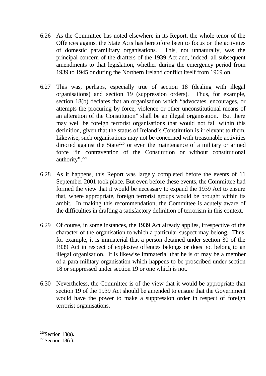- 6.26 As the Committee has noted elsewhere in its Report, the whole tenor of the Offences against the State Acts has heretofore been to focus on the activities of domestic paramilitary organisations. This, not unnaturally, was the principal concern of the drafters of the 1939 Act and, indeed, all subsequent amendments to that legislation, whether during the emergency period from 1939 to 1945 or during the Northern Ireland conflict itself from 1969 on.
- 6.27 This was, perhaps, especially true of section 18 (dealing with illegal organisations) and section 19 (suppression orders). Thus, for example, section 18(b) declares that an organisation which "advocates, encourages, or attempts the procuring by force, violence or other unconstitutional means of an alteration of the Constitution" shall be an illegal organisation. But there may well be foreign terrorist organisations that would not fall within this definition, given that the status of Ireland's Constitution is irrelevant to them. Likewise, such organisations may not be concerned with treasonable activities directed against the State<sup>220</sup> or even the maintenance of a military or armed force "in contravention of the Constitution or without constitutional authority".<sup>221</sup>
- 6.28 As it happens, this Report was largely completed before the events of 11 September 2001 took place. But even before these events, the Committee had formed the view that it would be necessary to expand the 1939 Act to ensure that, where appropriate, foreign terrorist groups would be brought within its ambit. In making this recommendation, the Committee is acutely aware of the difficulties in drafting a satisfactory definition of terrorism in this context.
- 6.29 Of course, in some instances, the 1939 Act already applies, irrespective of the character of the organisation to which a particular suspect may belong. Thus, for example, it is immaterial that a person detained under section 30 of the 1939 Act in respect of explosive offences belongs or does not belong to an illegal organisation. It is likewise immaterial that he is or may be a member of a para-military organisation which happens to be proscribed under section 18 or suppressed under section 19 or one which is not.
- 6.30 Nevertheless, the Committee is of the view that it would be appropriate that section 19 of the 1939 Act should be amended to ensure that the Government would have the power to make a suppression order in respect of foreign terrorist organisations.

 $220$ Section 18(a).

 $221$ Section 18(c).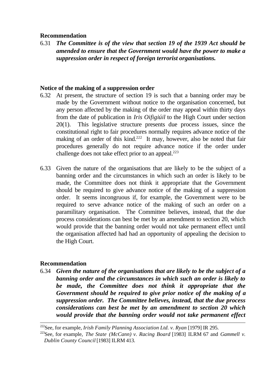### **Recommendation**

6.31 *The Committee is of the view that section 19 of the 1939 Act should be amended to ensure that the Government would have the power to make a suppression order in respect of foreign terrorist organisations.*

#### **Notice of the making of a suppression order**

- 6.32 At present, the structure of section 19 is such that a banning order may be made by the Government without notice to the organisation concerned, but any person affected by the making of the order may appeal within thirty days from the date of publication in *Iris Oifigiúil* to the High Court under section 20(1). This legislative structure presents due process issues, since the constitutional right to fair procedures normally requires advance notice of the making of an order of this kind.<sup>222</sup> It may, however, also be noted that fair procedures generally do not require advance notice if the order under challenge does not take effect prior to an appeal. $^{223}$
- 6.33 Given the nature of the organisations that are likely to be the subject of a banning order and the circumstances in which such an order is likely to be made, the Committee does not think it appropriate that the Government should be required to give advance notice of the making of a suppression order. It seems incongruous if, for example, the Government were to be required to serve advance notice of the making of such an order on a paramilitary organisation. The Committee believes, instead, that the due process considerations can best be met by an amendment to section 20, which would provide that the banning order would not take permanent effect until the organisation affected had had an opportunity of appealing the decision to the High Court.

### **Recommendation**

6.34 *Given the nature of the organisations that are likely to be the subject of a banning order and the circumstances in which such an order is likely to be made, the Committee does not think it appropriate that the Government should be required to give prior notice of the making of a suppression order. The Committee believes, instead, that the due process considerations can best be met by an amendment to section 20 which would provide that the banning order would not take permanent effect*

<sup>222</sup>See, for example, *Irish Family Planning Association Ltd. v. Ryan* [1979] IR 295.

<sup>223</sup>See, for example, *The State (McCann) v. Racing Board* [1983] ILRM 67 and *Gammell v. Dublin County Council* [1983] ILRM 413.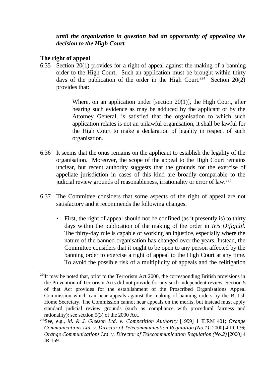# *until the organisation in question had an opportunity of appealing the decision to the High Court.*

# **The right of appeal**

6.35 Section 20(1) provides for a right of appeal against the making of a banning order to the High Court. Such an application must be brought within thirty days of the publication of the order in the High Court.<sup>224</sup> Section 20(2) provides that:

> Where, on an application under [section 20(1)], the High Court, after hearing such evidence as may be adduced by the applicant or by the Attorney General, is satisfied that the organisation to which such application relates is not an unlawful organisation, it shall be lawful for the High Court to make a declaration of legality in respect of such organisation.

- 6.36 It seems that the onus remains on the applicant to establish the legality of the organisation. Moreover, the scope of the appeal to the High Court remains unclear, but recent authority suggests that the grounds for the exercise of appellate jurisdiction in cases of this kind are broadly comparable to the judicial review grounds of reasonableness, irrationality or error of law.<sup>225</sup>
- 6.37 The Committee considers that some aspects of the right of appeal are not satisfactory and it recommends the following changes.
	- ü First, the right of appeal should not be confined (as it presently is) to thirty days within the publication of the making of the order in *Iris Oifigiúil.* The thirty-day rule is capable of working an injustice, especially where the nature of the banned organisation has changed over the years. Instead, the Committee considers that it ought to be open to any person affected by the banning order to exercise a right of appeal to the High Court at any time. To avoid the possible risk of a multiplicity of appeals and the relitigation

 $^{224}$ It may be noted that, prior to the Terrorism Act 2000, the corresponding British provisions in the Prevention of Terrorism Acts did not provide for any such independent review. Section 5 of that Act provides for the establishment of the Proscribed Organisations Appeal Commission which can hear appeals against the making of banning orders by the British Home Secretary. The Commission cannot hear appeals on the merits, but instead must apply standard judicial review grounds (such as compliance with procedural fairness and rationality): see section 5(3) of the 2000 Act.

<sup>225</sup>See, e.g., *M. & J. Gleeson Ltd. v. Competition Authority* [1999] 1 ILRM 401; *Orange Communications Ltd. v. Director of Telecommunication Regulation (No.1)* [2000] 4 IR 136; *Orange Communications Ltd. v. Director of Telecommunication Regulation (No.2)* [2000] 4 IR 159.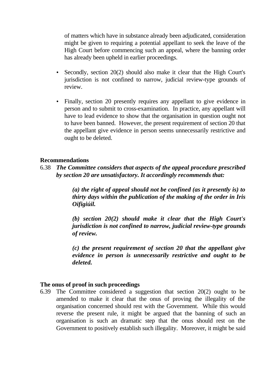of matters which have in substance already been adjudicated, consideration might be given to requiring a potential appellant to seek the leave of the High Court before commencing such an appeal, where the banning order has already been upheld in earlier proceedings.

- Secondly, section 20(2) should also make it clear that the High Court's jurisdiction is not confined to narrow, judicial review-type grounds of review.
- ü Finally, section 20 presently requires any appellant to give evidence in person and to submit to cross-examination. In practice, any appellant will have to lead evidence to show that the organisation in question ought not to have been banned. However, the present requirement of section 20 that the appellant give evidence in person seems unnecessarily restrictive and ought to be deleted.

#### **Recommendations**

6.38 *The Committee considers that aspects of the appeal procedure prescribed by section 20 are unsatisfactory. It accordingly recommends that:*

> *(a) the right of appeal should not be confined (as it presently is) to thirty days within the publication of the making of the order in Iris Oifigiúil.*

> *(b) section 20(2) should make it clear that the High Court's jurisdiction is not confined to narrow, judicial review-type grounds of review.*

> *(c) the present requirement of section 20 that the appellant give evidence in person is unnecessarily restrictive and ought to be deleted.*

#### **The onus of proof in such proceedings**

6.39 The Committee considered a suggestion that section 20(2) ought to be amended to make it clear that the onus of proving the illegality of the organisation concerned should rest with the Government. While this would reverse the present rule, it might be argued that the banning of such an organisation is such an dramatic step that the onus should rest on the Government to positively establish such illegality. Moreover, it might be said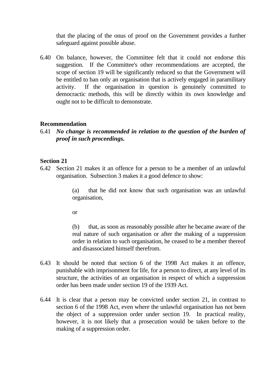that the placing of the onus of proof on the Government provides a further safeguard against possible abuse.

6.40 On balance, however, the Committee felt that it could not endorse this suggestion. If the Committee's other recommendations are accepted, the scope of section 19 will be significantly reduced so that the Government will be entitled to ban only an organisation that is actively engaged in paramilitary activity. If the organisation in question is genuinely committed to democractic methods, this will be directly within its own knowledge and ought not to be difficult to demonstrate.

### **Recommendation**

6.41 *No change is recommended in relation to the question of the burden of proof in such proceedings.*

### **Section 21**

6.42 Section 21 makes it an offence for a person to be a member of an unlawful organisation. Subsection 3 makes it a good defence to show:

> (a) that he did not know that such organisation was an unlawful organisation,

or

(b) that, as soon as reasonably possible after he became aware of the real nature of such organisation or after the making of a suppression order in relation to such organisation, he ceased to be a member thereof and disassociated himself therefrom.

- 6.43 It should be noted that section 6 of the 1998 Act makes it an offence, punishable with imprisonment for life, for a person to direct, at any level of its structure, the activities of an organisation in respect of which a suppression order has been made under section 19 of the 1939 Act.
- 6.44 It is clear that a person may be convicted under section 21, in contrast to section 6 of the 1998 Act, even where the unlawful organisation has not been the object of a suppression order under section 19. In practical reality, however, it is not likely that a prosecution would be taken before to the making of a suppression order.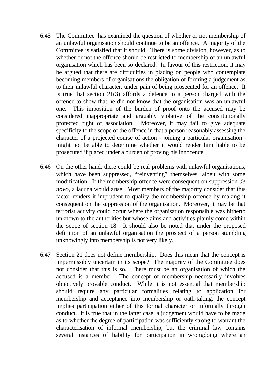- 6.45 The Committee has examined the question of whether or not membership of an unlawful organisation should continue to be an offence. A majority of the Committee is satisfied that it should. There is some division, however, as to whether or not the offence should be restricted to membership of an unlawful organisation which has been so declared. In favour of this restriction, it may be argued that there are difficulties in placing on people who contemplate becoming members of organisations the obligation of forming a judgement as to their unlawful character, under pain of being prosecuted for an offence. It is true that section 21(3) affords a defence to a person charged with the offence to show that he did not know that the organisation was an unlawful one. This imposition of the burden of proof onto the accused may be considered inappropriate and arguably violative of the constitutionally protected right of association. Moreover, it may fail to give adequate specificity to the scope of the offence in that a person reasonably assessing the character of a projected course of action - joining a particular organisation might not be able to determine whether it would render him liable to be prosecuted if placed under a burden of proving his innocence.
- 6.46 On the other hand, there could be real problems with unlawful organisations, which have been suppressed, "reinventing" themselves, albeit with some modification. If the membership offence were consequent on suppression *de novo*, a lacuna would arise. Most members of the majority consider that this factor renders it imprudent to qualify the membership offence by making it consequent on the suppression of the organisation. Moreover, it may be that terrorist activity could occur where the organisation responsible was hitherto unknown to the authorities but whose aims and activities plainly come within the scope of section 18. It should also be noted that under the proposed definition of an unlawful organisation the prospect of a person stumbling unknowingly into membership is not very likely.
- 6.47 Section 21 does not define membership. Does this mean that the concept is impermissibly uncertain in its scope? The majority of the Committee does not consider that this is so. There must be an organisation of which the accused is a member. The concept of membership necessarily involves objectively provable conduct. While it is not essential that membership should require any particular formalities relating to application for membership and acceptance into membership or oath-taking, the concept implies participation either of this formal character or informally through conduct. It is true that in the latter case, a judgement would have to be made as to whether the degree of participation was sufficiently strong to warrant the characterisation of informal membership, but the criminal law contains several instances of liability for participation in wrongdoing where an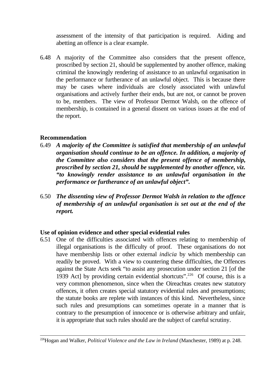assessment of the intensity of that participation is required. Aiding and abetting an offence is a clear example.

6.48 A majority of the Committee also considers that the present offence, proscribed by section 21, should be supplemented by another offence, making criminal the knowingly rendering of assistance to an unlawful organisation in the performance or furtherance of an unlawful object. This is because there may be cases where individuals are closely associated with unlawful organisations and actively further their ends, but are not, or cannot be proven to be, members. The view of Professor Dermot Walsh, on the offence of membership, is contained in a general dissent on various issues at the end of the report.

# **Recommendation**

- 6.49 *A majority of the Committee is satisfied that membership of an unlawful organisation should continue to be an offence. In addition, a majority of the Committee also considers that the present offence of membership, proscribed by section 21, should be supplemented by another offence, viz. "to knowingly render assistance to an unlawful organisation in the performance or furtherance of an unlawful object".*
- 6.50 *The dissenting view of Professor Dermot Walsh in relation to the offence of membership of an unlawful organisation is set out at the end of the report.*

# **Use of opinion evidence and other special evidential rules**

6.51 One of the difficulties associated with offences relating to membership of illegal organisations is the difficulty of proof. These organisations do not have membership lists or other external *indicia* by which membership can readily be proved. With a view to countering these difficulties, the Offences against the State Acts seek "to assist any prosecution under section 21 [of the 1939 Act] by providing certain evidential shortcuts".<sup>226</sup> Of course, this is a very common phenomenon, since when the Oireachtas creates new statutory offences, it often creates special statutory evidential rules and presumptions; the statute books are replete with instances of this kind. Nevertheless, since such rules and presumptions can sometimes operate in a manner that is contrary to the presumption of innocence or is otherwise arbitrary and unfair, it is appropriate that such rules should are the subject of careful scrutiny.

<sup>226</sup>Hogan and Walker, *Political Violence and the Law in Ireland* (Manchester, 1989) at p. 248.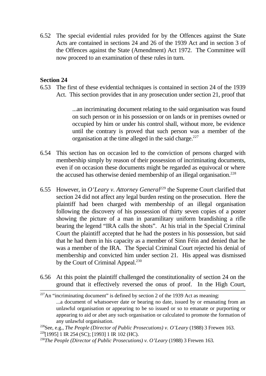6.52 The special evidential rules provided for by the Offences against the State Acts are contained in sections 24 and 26 of the 1939 Act and in section 3 of the Offences against the State (Amendment) Act 1972. The Committee will now proceed to an examination of these rules in turn.

# **Section 24**

6.53 The first of these evidential techniques is contained in section 24 of the 1939 Act. This section provides that in any prosecution under section 21, proof that

> ...an incriminating document relating to the said organisation was found on such person or in his possession or on lands or in premises owned or occupied by him or under his control shall, without more, be evidence until the contrary is proved that such person was a member of the organisation at the time alleged in the said charge.<sup>227</sup>

- 6.54 This section has on occasion led to the conviction of persons charged with membership simply by reason of their possession of incriminating documents, even if on occasion these documents might be regarded as equivocal or where the accused has otherwise denied membership of an illegal organisation.<sup>228</sup>
- 6.55 However, in *O'Leary v. Attorney General*<sup>229</sup> the Supreme Court clarified that section 24 did not affect any legal burden resting on the prosecution. Here the plaintiff had been charged with membership of an illegal organisation following the discovery of his possession of thirty seven copies of a poster showing the picture of a man in paramilitary uniform brandishing a rifle bearing the legend "IRA calls the shots". At his trial in the Special Criminal Court the plaintiff accepted that he had the posters in his possession, but said that he had them in his capacity as a member of Sinn Féin and denied that he was a member of the IRA. The Special Criminal Court rejected his denial of membership and convicted him under section 21. His appeal was dismissed by the Court of Criminal Appeal.<sup>230</sup>
- 6.56 At this point the plaintiff challenged the constitutionality of section 24 on the ground that it effectively reversed the onus of proof. In the High Court,

 $227$ An "incriminating document" is defined by section 2 of the 1939 Act as meaning: ...a document of whatsoever date or bearing no date, issued by or emanating from an unlawful organisation or appearing to be so issued or so to emanate or purporting or appearing to aid or abet any such organisation or calculated to promote the formation of any unlawful organisation.

 $229$ [1995] 1 IR 254 (SC); [1993] 1 IR 102 (HC). <sup>228</sup>See, e.g., *The People (Director of Public Prosecutions) v. O'Leary* (1988) 3 Frewen 163.

<sup>230</sup>*The People (Director of Public Prosecutions) v. O'Leary* (1988) 3 Frewen 163.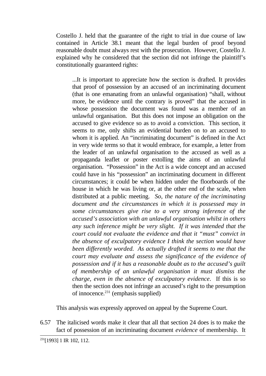Costello J. held that the guarantee of the right to trial in due course of law contained in Article 38.1 meant that the legal burden of proof beyond reasonable doubt must always rest with the prosecution. However, Costello J. explained why he considered that the section did not infringe the plaintiff's constitutionally guaranteed rights:

...It is important to appreciate how the section is drafted. It provides that proof of possession by an accused of an incriminating document (that is one emanating from an unlawful organisation) "shall, without more, be evidence until the contrary is proved" that the accused in whose possession the document was found was a member of an unlawful organisation. But this does not impose an obligation on the accused to give evidence so as to avoid a conviction. This section, it seems to me, only shifts an evidential burden on to an accused to whom it is applied. An "incriminating document" is defined in the Act in very wide terms so that it would embrace, for example, a letter from the leader of an unlawful organisation to the accused as well as a propaganda leaflet or poster extolling the aims of an unlawful organisation. "Possession" in the Act is a wide concept and an accused could have in his "possession" an incriminating document in different circumstances; it could be when hidden under the floorboards of the house in which he was living or, at the other end of the scale, when distributed at a public meeting. *So, the nature of the incriminating document and the circumstances in which it is possessed may in some circumstances give rise to a very strong inference of the accused's association with an unlawful organisation whilst in others any such inference might be very slight. If it was intended that the court could not evaluate the evidence and that it "must" convict in the absence of exculpatory evidence I think the section would have been differently worded. As actually drafted it seems to me that the court may evaluate and assess the significance of the evidence of possession and if it has a reasonable doubt as to the accused's guilt of membership of an unlawful organisation it must dismiss the charge, even in the absence of exculpatory evidence*. If this is so then the section does not infringe an accused's right to the presumption of innocence. $^{231}$  (emphasis supplied)

This analysis was expressly approved on appeal by the Supreme Court.

6.57 The italicised words make it clear that all that section 24 does is to make the fact of possession of an incriminating document *evidence* of membership. It

 $^{231}$ [1993] 1 IR 102, 112.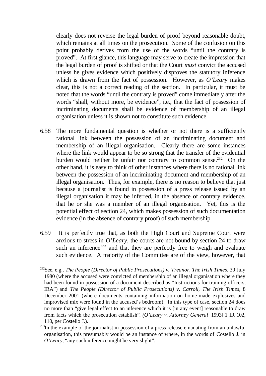clearly does not reverse the legal burden of proof beyond reasonable doubt, which remains at all times on the prosecution. Some of the confusion on this point probably derives from the use of the words "until the contrary is proved". At first glance, this language may serve to create the impression that the legal burden of proof is shifted or that the Court *must* convict the accused unless he gives evidence which positively disproves the statutory inference which is drawn from the fact of possession. However, as *O'Leary* makes clear, this is not a correct reading of the section. In particular, it must be noted that the words "until the contrary is proved" come immediately after the words "shall, without more, be evidence", i.e., that the fact of possession of incriminating documents shall be evidence of membership of an illegal organisation unless it is shown not to constitute such evidence.

- 6.58 The more fundamental question is whether or not there is a sufficiently rational link between the possession of an incriminating document and membership of an illegal organisation. Clearly there are some instances where the link would appear to be so strong that the transfer of the evidential burden would neither be unfair nor contrary to common sense.<sup>232</sup> On the other hand, it is easy to think of other instances where there is no rational link between the possession of an incriminating document and membership of an illegal organisation. Thus, for example, there is no reason to believe that just because a journalist is found in possession of a press release issued by an illegal organisation it may be inferred, in the absence of contrary evidence, that he or she was a member of an illegal organisation. Yet, this is the potential effect of section 24, which makes possession of such documentation evidence (in the absence of contrary proof) of such membership.
- 6.59 It is perfectly true that, as both the High Court and Supreme Court were anxious to stress in *O'Leary*, the courts are not bound by section 24 to draw such an inference<sup>233</sup> and that they are perfectly free to weigh and evaluate such evidence. A majority of the Committee are of the view, however, that

<sup>232</sup>See, e.g., *The People (Director of Public Prosecutions) v. Treanor*, *The Irish Times*, 30 July 1980 (where the accused were convicted of membership of an illegal organisation where they had been found in possession of a document described as "Instructions for training officers, IRA") and *The People (Director of Public Prosecutions) v. Carroll, The Irish Times*, 8 December 2001 (where documents containing information on home-made explosives and improvised mix were found in the accused's bedroom). In this type of case, section 24 does no more than "give legal effect to an inference which it is [in any event] reasonable to draw from facts which the prosecution establish"*. (O'Leary v. Attorney General* [1993] 1 IR 102, 110, per Costello J.).

 $^{233}$ In the example of the journalist in possession of a press release emanating from an unlawful organisation, this presumably would be an instance of where, in the words of Costello J. in *O'Leary*, "any such inference might be very slight".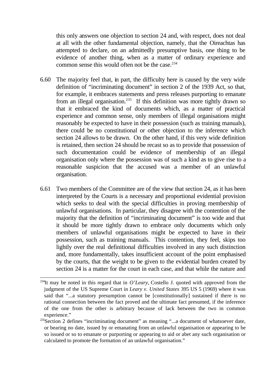this only answers one objection to section 24 and, with respect, does not deal at all with the other fundamental objection, namely, that the Oireachtas has attempted to declare, on an admittedly presumptive basis, one thing to be evidence of another thing, when as a matter of ordinary experience and common sense this would often not be the case.<sup>234</sup>

- 6.60 The majority feel that, in part, the difficulty here is caused by the very wide definition of "incriminating document" in section 2 of the 1939 Act, so that, for example, it embraces statements and press releases purporting to emanate from an illegal organisation.<sup>235</sup> If this definition was more tightly drawn so that it embraced the kind of documents which, as a matter of practical experience and common sense, only members of illegal organisations might reasonably be expected to have in their possession (such as training manuals), there could be no constitutional or other objection to the inference which section 24 allows to be drawn. On the other hand, if this very wide definition is retained, then section 24 should be recast so as to provide that possession of such documentation could be evidence of membership of an illegal organisation only where the possession was of such a kind as to give rise to a reasonable suspicion that the accused was a member of an unlawful organisation.
- 6.61 Two members of the Committee are of the view that section 24, as it has been interpreted by the Courts is a necessary and proportional evidential provision which seeks to deal with the special difficulties in proving membership of unlawful organisations. In particular, they disagree with the contention of the majority that the definition of "incriminating document" is too wide and that it should be more tightly drawn to embrace only documents which only members of unlawful organisations might be expected to have in their possession, such as training manuals. This contention, they feel, skips too lightly over the real definitional difficulties involved in any such distinction and, more fundamentally, takes insufficient account of the point emphasised by the courts, that the weight to be given to the evidential burden created by section 24 is a matter for the court in each case, and that while the nature and

<sup>&</sup>lt;sup>234</sup>It may be noted in this regard that in *O'Leary*, Costello J. quoted with approved from the judgment of the US Supreme Court in *Leary v. United States* 395 US 5 (1969) where it was said that "...a statutory presumption cannot be [constitutionally] sustained if there is no rational connection between the fact proved and the ultimate fact presumed, if the inference of the one from the other is arbitrary because of lack between the two in common experience."

 $235$ Section 2 defines "incriminating document" as meaning "...a document of whatsoever date, or bearing no date, issued by or emanating from an unlawful organisation or appearing to be so issued or so to emanate or purporting or appearing to aid or abet any such organisation or calculated to promote the formation of an unlawful organisation."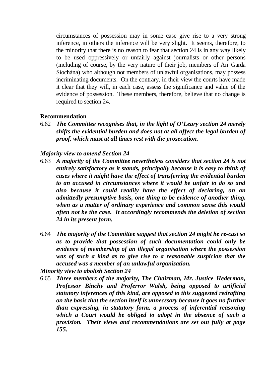circumstances of possession may in some case give rise to a very strong inference, in others the inference will be very slight. It seems, therefore, to the minority that there is no reason to fear that section 24 is in any way likely to be used oppressively or unfairly against journalists or other persons (including of course, by the very nature of their job, members of An Garda Síochána) who although not members of unlawful organisations, may possess incriminating documents. On the contrary, in their view the courts have made it clear that they will, in each case, assess the significance and value of the evidence of possession. These members, therefore, believe that no change is required to section 24.

### **Recommendation**

6.62 *The Committee recognises that, in the light of O'Leary section 24 merely shifts the evidential burden and does not at all affect the legal burden of proof, which must at all times rest with the prosecution.*

### *Majority view to amend Section 24*

- 6.63 *A majority of the Committee nevertheless considers that section 24 is not entirely satisfactory as it stands, principally because it is easy to think of cases where it might have the effect of transferring the evidential burden to an accused in circumstances where it would be unfair to do so and also because it could readily have the effect of declaring, on an admittedly presumptive basis, one thing to be evidence of another thing, when as a matter of ordinary experience and common sense this would often not be the case. It accordingly recommends the deletion of section 24 in its present form.*
- 6.64 *The majority of the Committee suggest that section 24 might be re-cast so as to provide that possession of such documentation could only be evidence of membership of an illegal organisation where the possession was of such a kind as to give rise to a reasonable suspicion that the accused was a member of an unlawful organisation.*

*Minority view to abolish Section 24*

6.65 *Three members of the majority, The Chairman, Mr. Justice Hederman, Professor Binchy and Proferror Walsh, being opposed to artificial statutory inferences of this kind, are opposed to this suggested redrafting on the basis that the section itself is unnecssary because it goes no further than expressing, in statutory form, a process of inferential reasoning which a Court would be obliged to adopt in the absence of such a provision. Their views and recommendations are set out fully at page 155.*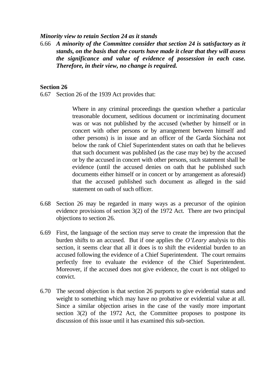### *Minority view to retain Section 24 as it stands*

6.66 *A minority of the Committee consider that section 24 is satisfactory as it stands, on the basis that the courts have made it clear that they will assess the significance and value of evidence of possession in each case. Therefore, in their view, no change is required.*

### **Section 26**

6.67 Section 26 of the 1939 Act provides that:

Where in any criminal proceedings the question whether a particular treasonable document, seditious document or incriminating document was or was not published by the accused (whether by himself or in concert with other persons or by arrangement between himself and other persons) is in issue and an officer of the Garda Síochána not below the rank of Chief Superintendent states on oath that he believes that such document was published (as the case may be) by the accused or by the accused in concert with other persons, such statement shall be evidence (until the accused denies on oath that he published such documents either himself or in concert or by arrangement as aforesaid) that the accused published such document as alleged in the said statement on oath of such officer.

- 6.68 Section 26 may be regarded in many ways as a precursor of the opinion evidence provisions of section 3(2) of the 1972 Act. There are two principal objections to section 26.
- 6.69 First, the language of the section may serve to create the impression that the burden shifts to an accused. But if one applies the *O'Leary* analysis to this section, it seems clear that all it does is to shift the evidential burden to an accused following the evidence of a Chief Superintendent. The court remains perfectly free to evaluate the evidence of the Chief Superintendent. Moreover, if the accused does not give evidence, the court is not obliged to convict.
- 6.70 The second objection is that section 26 purports to give evidential status and weight to something which may have no probative or evidential value at all. Since a similar objection arises in the case of the vastly more important section 3(2) of the 1972 Act, the Committee proposes to postpone its discussion of this issue until it has examined this sub-section.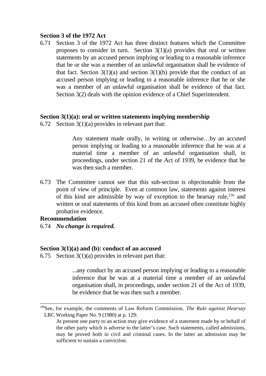## **Section 3 of the 1972 Act**

6.71 Section 3 of the 1972 Act has three distinct features which the Committee proposes to consider in turn. Section  $3(1)(a)$  provides that oral or written statements by an accused person implying or leading to a reasonable inference that he or she was a member of an unlawful organisation shall be evidence of that fact. Section  $3(1)(a)$  and section  $3(1)(b)$  provide that the conduct of an accused person implying or leading to a reasonable inference that he or she was a member of an unlawful organisation shall be evidence of that fact. Section 3(2) deals with the opinion evidence of a Chief Superintendent.

## **Section 3(1)(a): oral or written statements implying membership**

6.72 Section 3(1)(a) provides in relevant part that:

Any statement made orally, in writing or otherwise…by an accused person implying or leading to a reasonable inference that he was at a material time a member of an unlawful organisation shall, in proceedings, under section 21 of the Act of 1939, be evidence that he was then such a member.

6.73 The Committee cannot see that this sub-section is objectionable from the point of view of principle. Even at common law, statements against interest of this kind are admissible by way of exception to the hearsay rule,<sup>236</sup> and written or oral statements of this kind from an accused often constitute highly probative evidence.

## **Recommendation**

6.74 *No change is required.*

## **Section 3(1)(a) and (b): conduct of an accused**

6.75 Section 3(1)(a) provides in relevant part that:

...any conduct by an accused person implying or leading to a reasonable inference that he was at a material time a member of an unlawful organisation shall, in proceedings, under section 21 of the Act of 1939, be evidence that he was then such a member.

<sup>236</sup>See, for example, the comments of Law Reform Commission, *The Rule against Hearsay* LRC Working Paper No. 9 (1980) at p. 129:

At present one party to an action may give evidence of a statement made by or behalf of the other party which is adverse to the latter's case. Such statements, called admissions, may be proved both in civil and criminal cases. In the latter an admission may be sufficient to sustain a conviction.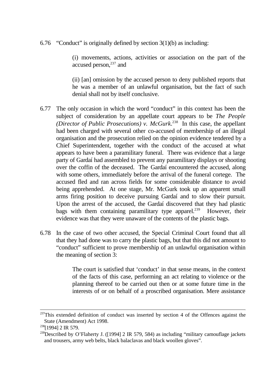6.76 "Conduct" is originally defined by section  $3(1)(b)$  as including:

(i) movements, actions, activities or association on the part of the accused person,<sup>237</sup> and

(ii) [an] omission by the accused person to deny published reports that he was a member of an unlawful organisation, but the fact of such denial shall not by itself conclusive.

- 6.77 The only occasion in which the word "conduct" in this context has been the subject of consideration by an appellate court appears to be *The People (Director of Public Prosecutions) v. McGurk*. <sup>238</sup> In this case, the appellant had been charged with several other co-accused of membership of an illegal organisation and the prosecution relied on the opinion evidence tendered by a Chief Superintendent, together with the conduct of the accused at what appears to have been a paramilitary funeral. There was evidence that a large party of Gardaí had assembled to prevent any paramilitary displays or shooting over the coffin of the deceased. The Gardaí encountered the accused, along with some others, immediately before the arrival of the funeral cortege. The accused fled and ran across fields for some considerable distance to avoid being apprehended. At one stage, Mr. McGurk took up an apparent small arms firing position to deceive pursuing Gardaí and to slow their pursuit. Upon the arrest of the accused, the Gardaí discovered that they had plastic bags with them containing paramilitary type apparel.<sup>239</sup> However, their evidence was that they were unaware of the contents of the plastic bags.
- 6.78 In the case of two other accused, the Special Criminal Court found that all that they had done was to carry the plastic bags, but that this did not amount to "conduct" sufficient to prove membership of an unlawful organisation within the meaning of section 3:

The court is satisfied that 'conduct' in that sense means, in the context of the facts of this case, performing an act relating to violence or the planning thereof to be carried out then or at some future time in the interests of or on behalf of a proscribed organisation. Mere assistance

<sup>&</sup>lt;sup>237</sup>This extended definition of conduct was inserted by section 4 of the Offences against the State (Amendment) Act 1998.

<sup>&</sup>lt;sup>238</sup>[1994] 2 IR 579.

<sup>&</sup>lt;sup>239</sup>Described by O'Flaherty J. ([1994] 2 IR 579, 584) as including "military camouflage jackets and trousers, army web belts, black balaclavas and black woollen gloves".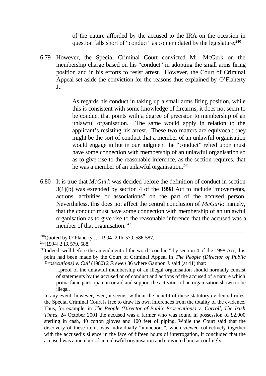of the nature afforded by the accused to the IRA on the occasion in question falls short of "conduct" as contemplated by the legislature.<sup>240</sup>

6.79 However, the Special Criminal Court convicted Mr. McGurk on the membership charge based on his "conduct" in adopting the small arms firing position and in his efforts to resist arrest. However, the Court of Criminal Appeal set aside the conviction for the reasons thus explained by O'Flaherty  $\mathbf{I}$ .

> As regards his conduct in taking up a small arms firing position, while this is consistent with some knowledge of firearms, it does not seem to be conduct that points with a degree of precision to membership of an unlawful organisation. The same would apply in relation to the applicant's resisting his arrest. These two matters are equivocal; they might be the sort of conduct that a member of an unlawful organisation would engage in but in our judgment the "conduct" relied upon must have some connection with membership of an unlawful organisation so as to give rise to the reasonable inference, as the section requires, that he was a member of an unlawful organisation.<sup>241</sup>

6.80 It is true that *McGurk* was decided before the definition of conduct in section 3(1)(b) was extended by section 4 of the 1998 Act to include "movements, actions, activities or associations" on the part of the accused person. Nevertheless, this does not affect the central conclusion of *McGurk*: namely, that the conduct must have some connection with membership of an unlawful organisation as to give rise to the reasonable inference that the accused was a member of that organisation.<sup>242</sup>

...proof of the unlawful membership of an illegal organisation should normally consist of statements by the accused or of conduct and actions of the accused of a nature which prima facie participate in or aid and support the activities of an organisation shown to be illegal.

In any event, however, even, it seems, without the benefit of these statutory evidential rules, the Special Criminal Court is free to draw its own inferences from the totality of the evidence. Thus, for example, in *The People (Director of Public Prosecutions) v. Carroll*, *The Irish Times*, 24 October 2001 the accused was a farmer who was found in possession of £2,000 sterling in cash, 40 cotton gloves and 100 feet of piping. While the Court said that the discovery of these items was individually "innocuous", when viewed collectively together with the accused's silence in the face of fifteen hours of interrogation, it concluded that the accused was a member of an unlawful organisation and convicted him accordingly.

<sup>&</sup>lt;sup>240</sup>Quoted by O'Flaherty J., [1994] 2 IR 579, 586-587.

 $^{241}$ [1994] 2 IR 579, 588.

 $242$ Indeed, well before the amendment of the word "conduct" by section 4 of the 1998 Act, this point had been made by the Court of Criminal Appeal in *The People (Director of Public Prosecutions) v. Cull* (1980) 2 *Frewen* 36 where Gannon J. said (at 41) that: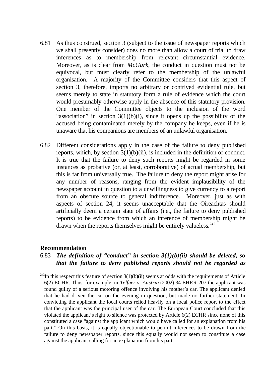- 6.81 As thus construed, section 3 (subject to the issue of newspaper reports which we shall presently consider) does no more than allow a court of trial to draw inferences as to membership from relevant circumstantial evidence. Moreover, as is clear from *McGurk*, the conduct in question must not be equivocal, but must clearly refer to the membership of the unlawful organisation. A majority of the Committee considers that this aspect of section 3, therefore, imports no arbitrary or contrived evidential rule, but seems merely to state in statutory form a rule of evidence which the court would presumably otherwise apply in the absence of this statutory provision. One member of the Committee objects to the inclusion of the word "association" in section  $3(1)(b)(i)$ , since it opens up the possibility of the accused being contaminated merely by the company he keeps, even if he is unaware that his companions are members of an unlawful organisation.
- 6.82 Different considerations apply in the case of the failure to deny published reports, which, by section  $3(1)(b)(ii)$ , is included in the definition of conduct. It is true that the failure to deny such reports might be regarded in some instances as probative (or, at least, corroborative) of actual membership, but this is far from universally true. The failure to deny the report might arise for any number of reasons, ranging from the evident implausibility of the newspaper account in question to a unwillingness to give currency to a report from an obscure source to general indifference. Moreover, just as with aspects of section 24, it seems unacceptable that the Oireachtas should artificially deem a certain state of affairs (i.e., the failure to deny published reports) to be evidence from which an inference of membership might be drawn when the reports themselves might be entirely valueless*. 243*

### **Recommendation**

6.83 *The definition of "conduct" in section 3(1)(b)(ii) should be deleted, so that the failure to deny published reports should not be regarded as*

<sup>243</sup>In this respect this feature of section  $3(1)(b)(ii)$  seems at odds with the requirements of Article 6(2) ECHR. Thus, for example, in *Telfner v. Austria* (2002) 34 EHRR 207 the applicant was found guilty of a serious motoring offence involving his mother's car. The applicant denied that he had driven the car on the evening in question, but made no further statement. In convicting the applicant the local courts relied heavily on a local police report to the effect that the applicant was the principal user of the car. The European Court concluded that this violated the applicant's right to silence was protected by Article 6(2) ECHR since none of this constituted a case "against the applicant which would have called for an explanation from his part." On this basis, it is equally objectionable to permit inferences to be drawn from the failure to deny newspaper reports, since this equally would not seem to constitute a case against the applicant calling for an explanation from his part.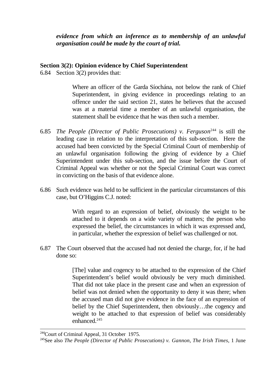# *evidence from which an inference as to membership of an unlawful organisation could be made by the court of trial.*

## **Section 3(2): Opinion evidence by Chief Superintendent**

6.84 Section 3(2) provides that:

Where an officer of the Garda Síochána, not below the rank of Chief Superintendent, in giving evidence in proceedings relating to an offence under the said section 21, states he believes that the accused was at a material time a member of an unlawful organisation, the statement shall be evidence that he was then such a member.

- 6.85 *The People (Director of Public Prosecutions) v. Ferguson* <sup>244</sup> is still the leading case in relation to the interpretation of this sub-section. Here the accused had been convicted by the Special Criminal Court of membership of an unlawful organisation following the giving of evidence by a Chief Superintendent under this sub-section, and the issue before the Court of Criminal Appeal was whether or not the Special Criminal Court was correct in convicting on the basis of that evidence alone.
- 6.86 Such evidence was held to be sufficient in the particular circumstances of this case, but O'Higgins C.J. noted:

With regard to an expression of belief, obviously the weight to be attached to it depends on a wide variety of matters; the person who expressed the belief, the circumstances in which it was expressed and, in particular, whether the expression of belief was challenged or not.

6.87 The Court observed that the accused had not denied the charge, for, if he had done so:

> [The] value and cogency to be attached to the expression of the Chief Superintendent's belief would obviously be very much diminished. That did not take place in the present case and when an expression of belief was not denied when the opportunity to deny it was there; when the accused man did not give evidence in the face of an expression of belief by the Chief Superintendent, then obviously…the cogency and weight to be attached to that expression of belief was considerably enhanced.<sup>245</sup>

<sup>&</sup>lt;sup>244</sup>Court of Criminal Appeal, 31 October 1975.

<sup>245</sup>See also *The People (Director of Public Prosecutions) v. Gannon*, *The Irish Times*, 1 June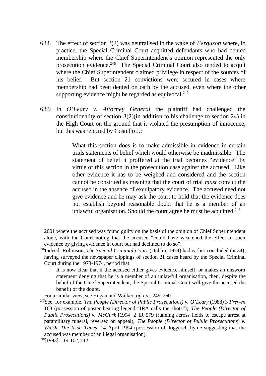- 6.88 The effect of section 3(2) was neutralised in the wake of *Ferguson* where, in practice, the Special Criminal Court acquitted defendants who had denied membership where the Chief Superintendent's opinion represented the only prosecution evidence.<sup>246</sup> The Special Criminal Court also tended to acquit where the Chief Superintendent claimed privilege in respect of the sources of his belief. But section 21 convictions were secured in cases where membership had been denied on oath by the accused, even where the other supporting evidence might be regarded as equivocal. $247$
- 6.89 In *O'Leary v. Attorney General* the plaintiff had challenged the constitutionality of section 3(2)(in addition to his challenge to section 24) in the High Court on the ground that it violated the presumption of innocence, but this was rejected by Costello J.:

What this section does is to make admissible in evidence in certain trials statements of belief which would otherwise be inadmissible. The statement of belief it proffered at the trial becomes "evidence" by virtue of this section in the prosecution case against the accused. Like other evidence it has to be weighed and considered and the section cannot be construed as meaning that the court of trial *must* convict the accused in the absence of exculpatory evidence. The accused need not give evidence and he may ask the court to hold that the evidence does not establish beyond reasonable doubt that he is a member of an unlawful organisation. Should the court agree he must be acquitted. $248$ 

<sup>2001</sup> where the accused was found guilty on the basis of the opinion of Chief Superintendent alone, with the Court noting that the accused "could have weakened the effect of such evidence by giving evidence in court but had declined to do so".

<sup>&</sup>lt;sup>246</sup>Indeed, Robinson, *The Special Criminal Court* (Dublin, 1974) had earlier concluded (at 34), having surveyed the newspaper clippings of section 21 cases heard by the Special Criminal Court during the 1973-1974, period that:

It is now clear that if the accused either gives evidence himself, or makes an unsworn statement denying that he is a member of an unlawful organisation, then, despite the belief of the Chief Superintendent, the Special Criminal Court will give the accused the benefit of the doubt.

For a similar view, see Hogan and Walker, *op.cit*., 249, 260.

<sup>247</sup>See, for example, *The People (Director of Public Prosecutions) v. O'Leary* (1988) 3 *Frewen* 163 (possession of poster bearing legend "IRA calls the shots"); *The People (Director of Public Prosecutions) v. McGurk* [1994] 2 IR 579 (running across fields to escape arrest at paramilitary funeral, reversed on appeal); *The People (Director of Public Prosecutions) v. Walsh*, *The Irish Times*, 14 April 1994 (possession of doggerel rhyme suggesting that the accused was member of an illegal organisation).

<sup>&</sup>lt;sup>248</sup>[1993] 1 IR 102, 112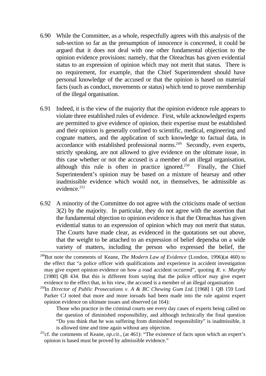- 6.90 While the Committee, as a whole, respectfully agrees with this analysis of the sub-section so far as the presumption of innocence is concerned, it could be argued that it does not deal with one other fundamental objection to the opinion evidence provisions: namely, that the Oireachtas has given evidential status to an expression of opinion which may not merit that status. There is no requirement, for example, that the Chief Superintendent should have personal knowledge of the accused or that the opinion is based on material facts (such as conduct, movements or status) which tend to prove membership of the illegal organisation.
- 6.91 Indeed, it is the view of the majority that the opinion evidence rule appears to violate three established rules of evidence. First, while acknowledged experts are permitted to give evidence of opinion, their expertise must be established and their opinion is generally confined to scientific, medical, engineering and cognate matters, and the application of such knowledge to factual data, in accordance with established professional norms.<sup>249</sup> Secondly, even experts, strictly speaking, are not allowed to give evidence on the ultimate issue, in this case whether or not the accused is a member of an illegal organisation, although this rule is often in practice ignored.<sup>250</sup> Finally, the Chief Superintendent's opinion may be based on a mixture of hearsay and other inadmissible evidence which would not, in themselves, be admissible as evidence.<sup>251</sup>
- 6.92 A minority of the Committee do not agree with the criticisms made of section 3(2) by the majority. In particular, they do not agree with the assertion that the fundamental objection to opinion evidence is that the Oireachtas has given evidential status to an expression of opinion which may not merit that status. The Courts have made clear, as evidenced in the quotations set out above, that the weight to be attached to an expression of belief dependsa on a wide variety of matters, including the person who expressed the belief, the

<sup>249</sup>But note the comments of Keane, *The Modern Law of Evidence* (London, 1996)(at 460) to the effect that "a police officer with qualifications and experience in accident investigation may give expert opinion evidence on how a road accident occurred", quoting *R. v. Murphy* [1980] QB 434. But this is different from saying that the police officer may give expert evidence to the effect that, in his view, the accused is a member of an illegal organisation

<sup>&</sup>lt;sup>250</sup>In *Director of Public Prosecutions v. A & BC Chewing Gum Ltd.* [1968] 1 QB 159 Lord Parker CJ noted that more and more inroads had been made into the rule against expert opinion evidence on ultimate issues and observed (at 164):

Those who practice in the criminal courts see every day cases of experts being called on the question of diminished responsibility, and although technically the final question "Do you think that he was suffering from diminished responsibility" is inadmissible, it is allowed time and time again without any objection.

<sup>&</sup>lt;sup>251</sup>cf. the comments of Keane, *op.cit.*, (at 461): "The existence of facts upon which an expert's opinion is based must be proved by admissible evidence."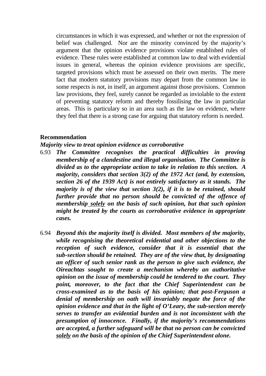circumstances in which it was expressed, and whether or not the expression of belief was challenged. Nor are the minority convinced by the majority's argument that the opinion evidence provisions violate established rules of evidence. These rules were established at common law to deal with evidential issues in general, whereas the opinion evidence provisions are specific, targeted provisions which must be assessed on their own merits. The mere fact that modern statutory provisions may depart from the common law in some respects is not, in itself, an argument against those provisions. Common law provisions, they feel, surely cannot be regarded as inviolable to the extent of preventing statutory reform and thereby fossilising the law in particular areas. This is particulary so in an area such as the law on evidence, where they feel that there is a strong case for arguing that statutory reform is needed.

#### **Recommendation**

#### *Majority view to treat opinion evidence as corroborative*

- 6.93 *The Committee recognises the practical difficulties in proving membership of a clandestine and illegal organisation. The Committee is divided as to the appropriate action to take in relation to this section. A majority, considers that section 3(2) of the 1972 Act (and, by extension, section 26 of the 1939 Act) is not entirely satisfactory as it stands. The majority is of the view that section 3(2), if it is to be retained, should further provide that no person should be convicted of the offence of membership solely on the basis of such opinion, but that such opinion might be treated by the courts as corroborative evidence in appropriate cases.*
- 6.94 *Beyond this the majority itself is divided. Most members of the majority, while recognising the theoretical evidential and other objections to the reception of such evidence, consider that it is essential that the sub-section should be retained. They are of the view that, by designating an officer of such senior rank as the person to give such evidence, the Oireachtas sought to create a mechanism whereby an authoritative opinion on the issue of membership could be tendered to the court. They point, moreover, to the fact that the Chief Superintendent can be cross-examined as to the basis of his opinion; that post-Ferguson a denial of membership on oath will invariably negate the force of the opinion evidence and that in the light of O'Leary, the sub-section merely serves to transfer an evidential burden and is not inconsistent with the presumption of innocence. Finally, if the majority's recommendations are accepted, a further safeguard will be that no person can be convicted solely on the basis of the opinion of the Chief Superintendent alone.*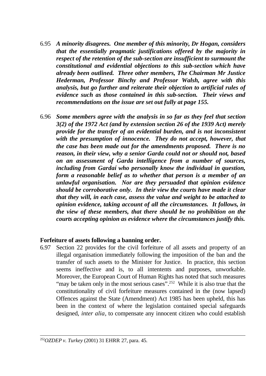- 6.95 *A minority disagrees. One member of this minority, Dr Hogan, considers that the essentially pragmatic justifications offered by the majority in respect of the retention of the sub-section are insufficient to surmount the constitutional and evidential objections to this sub-section which have already been outlined. Three other members, The Chairman Mr Justice Hederman, Professor Binchy and Professor Walsh, agree with this analysis, but go further and reiterate their objection to artificial rules of evidence such as those contained in this sub-section. Their views and recommendations on the issue are set out fully at page 155.*
- 6.96 *Some members agree with the analysis in so far as they feel that section 3(2) of the 1972 Act (and by extension section 26 of the 1939 Act) merely provide for the transfer of an evidential burden, and is not inconsistent with the presumption of innocence. They do not accept, however, that the case has been made out for the amendments proposed. There is no reason, in their view, why a senior Garda could not or should not, based on an assessment of Garda intelligence from a number of sources, including from Gardaí who personally know the individual in question, form a reasonable belief as to whether that person is a member of an unlawful organisation. Nor are they persuaded that opinion evidence should be corroborative only. In their view the courts have made it clear that they will, in each case, assess the value and weight to be attached to opinion evidence, taking account of all the circumstances. It follows, in the view of these members, that there should be no prohibition on the courts accepting opinion as evidence where the circumstances justify this.*

## **Forfeiture of assets following a banning order.**

6.97 Section 22 provides for the civil forfeiture of all assets and property of an illegal organisation immediately following the imposition of the ban and the transfer of such assets to the Minister for Justice. In practice, this section seems ineffective and is, to all intentents and purposes, unworkable. Moreover, the European Court of Human Rights has noted that such measures "may be taken only in the most serious cases".<sup>252</sup> While it is also true that the constitutionality of civil forfeiture measures contained in the (now lapsed) Offences against the State (Amendment) Act 1985 has been upheld, this has been in the context of where the legislation contained special safeguards designed, *inter alia*, to compensate any innocent citizen who could establish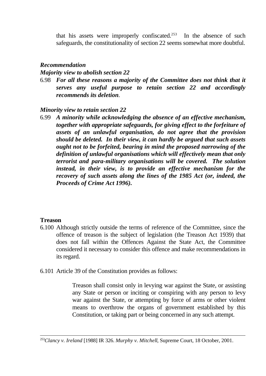that his assets were improperly confiscated.<sup>253</sup> In the absence of such safeguards, the constitutionality of section 22 seems somewhat more doubtful.

## *Recommendation*

## *Majority view to abolish section 22*

6.98 *For all these reasons a majority of the Committee does not think that it serves any useful purpose to retain section 22 and accordingly recommends its deletion*.

## *Minority view to retain section 22*

6.99 *A minority while acknowledging the absence of an effective mechanism, together with appropriate safeguards, for giving effect to the forfeiture of assets of an unlawful organisation, do not agree that the provision should be deleted. In their view, it can hardly be argued that such assets ought not to be forfeited, bearing in mind the proposed narrowing of the definition of unlawful organisations which will effectively mean that only terrorist and para-military organisations will be covered. The solution instead, in their view, is to provide an effective mechanism for the recovery of such assets along the lines of the 1985 Act (or, indeed, the Proceeds of Crime Act 1996).*

## **Treason**

- 6.100 Although strictly outside the terms of reference of the Committee, since the offence of treason is the subject of legislation (the Treason Act 1939) that does not fall within the Offences Against the State Act, the Committee considered it necessary to consider this offence and make recommendations in its regard.
- 6.101 Article 39 of the Constitution provides as follows:

Treason shall consist only in levying war against the State, or assisting any State or person or inciting or conspiring with any person to levy war against the State, or attempting by force of arms or other violent means to overthrow the organs of government established by this Constitution, or taking part or being concerned in any such attempt.

<sup>253</sup>*Clancy v. Ireland* [1988] IR 326. *Murphy v. Mitchell,* Supreme Court, 18 October, 2001.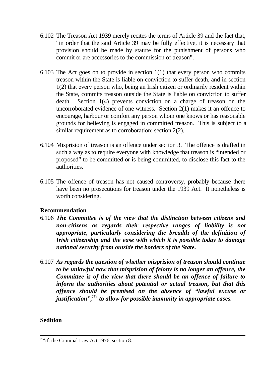- 6.102 The Treason Act 1939 merely recites the terms of Article 39 and the fact that, "in order that the said Article 39 may be fully effective, it is necessary that provision should be made by statute for the punishment of persons who commit or are accessories to the commission of treason".
- 6.103 The Act goes on to provide in section 1(1) that every person who commits treason within the State is liable on conviction to suffer death, and in section 1(2) that every person who, being an Irish citizen or ordinarily resident within the State, commits treason outside the State is liable on conviction to suffer death. Section 1(4) prevents conviction on a charge of treason on the uncorroborated evidence of one witness. Section 2(1) makes it an offence to encourage, harbour or comfort any person whom one knows or has reasonable grounds for believing is engaged in committed treason. This is subject to a similar requirement as to corroboration: section 2(2).
- 6.104 Misprision of treason is an offence under section 3. The offence is drafted in such a way as to require everyone with knowledge that treason is "intended or proposed" to be committed or is being committed, to disclose this fact to the authorities.
- 6.105 The offence of treason has not caused controversy, probably because there have been no prosecutions for treason under the 1939 Act. It nonetheless is worth considering.

## **Recommendation**

- 6.106 *The Committee is of the view that the distinction between citizens and non-citizens as regards their respective ranges of liability is not appropriate, particularly considering the breadth of the definition of Irish citizenship and the ease with which it is possible today to damage national security from outside the borders of the State.*
- 6.107 *As regards the question of whether misprision of treason should continue to be unlawful now that misprision of felony is no longer an offence, the Committee is of the view that there should be an offence of failure to inform the authorities about potential or actual treason, but that this offence should be premised on the absence of "lawful excuse or justification",<sup>254</sup> to allow for possible immunity in appropriate cases.*

# **Sedition**

<sup>&</sup>lt;sup>254</sup>cf. the Criminal Law Act 1976, section 8.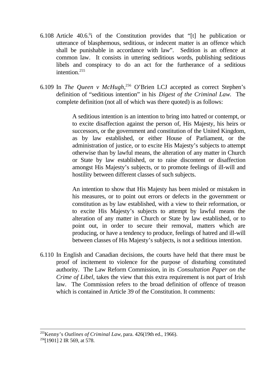- 6.108 Article  $40.6$ <sup>0</sup>i of the Constitution provides that "[t] he publication or utterance of blasphemous, seditious, or indecent matter is an offence which shall be punishable in accordance with law". Sedition is an offence at common law. It consists in uttering seditious words, publishing seditious libels and conspiracy to do an act for the furtherance of a seditious intention.<sup>255</sup>
- 6.109 In *The Queen v McHugh*, <sup>256</sup> O'Brien LCJ accepted as correct Stephen's definition of "seditious intention" in his *Digest of the Criminal Law*. The complete definition (not all of which was there quoted) is as follows:

A seditious intention is an intention to bring into hatred or contempt, or to excite disaffection against the person of, His Majesty, his heirs or successors, or the government and constitution of the United Kingdom, as by law established, or either House of Parliament, or the administration of justice, or to excite His Majesty's subjects to attempt otherwise than by lawful means, the alteration of any matter in Church or State by law established, or to raise discontent or disaffection amongst His Majesty's subjects, or to promote feelings of ill-will and hostility between different classes of such subjects.

An intention to show that His Majesty has been misled or mistaken in his measures, or to point out errors or defects in the government or constitution as by law established, with a view to their reformation, or to excite His Majesty's subjects to attempt by lawful means the alteration of any matter in Church or State by law established, or to point out, in order to secure their removal, matters which are producing, or have a tendency to produce, feelings of hatred and ill-will between classes of His Majesty's subjects, is not a seditious intention.

6.110 In English and Canadian decisions, the courts have held that there must be proof of incitement to violence for the purpose of disturbing constituted authority. The Law Reform Commission, in its *Consultation Paper on the Crime of Libel*, takes the view that this extra requirement is not part of Irish law. The Commission refers to the broad definition of offence of treason which is contained in Article 39 of the Constitution. It comments:

 $256$ [1901] 2 IR 569, at 578. <sup>255</sup>Kenny's *Outlines of Criminal Law*, para. 426(19th ed., 1966).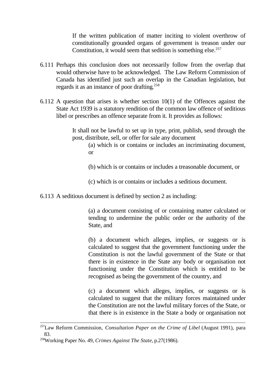If the written publication of matter inciting to violent overthrow of constitutionally grounded organs of government is treason under our Constitution, it would seem that sedition is something else. $257$ 

- 6.111 Perhaps this conclusion does not necessarily follow from the overlap that would otherwise have to be acknowledged. The Law Reform Commission of Canada has identified just such an overlap in the Canadian legislation, but regards it as an instance of poor drafting.<sup>258</sup>
- 6.112 A question that arises is whether section 10(1) of the Offences against the State Act 1939 is a statutory rendition of the common law offence of seditious libel or prescribes an offence separate from it. It provides as follows:

It shall not be lawful to set up in type, print, publish, send through the post, distribute, sell, or offer for sale any document

- (a) which is or contains or includes an incriminating document, or
- (b) which is or contains or includes a treasonable document, or
- (c) which is or contains or includes a seditious document.
- 6.113 A seditious document is defined by section 2 as including:

(a) a document consisting of or containing matter calculated or tending to undermine the public order or the authority of the State, and

(b) a document which alleges, implies, or suggests or is calculated to suggest that the government functioning under the Constitution is not the lawful government of the State or that there is in existence in the State any body or organisation not functioning under the Constitution which is entitled to be recognised as being the government of the country, and

(c) a document which alleges, implies, or suggests or is calculated to suggest that the military forces maintained under the Constitution are not the lawful military forces of the State, or that there is in existence in the State a body or organisation not

<sup>257</sup>Law Reform Commission, *Consultation Paper on the Crime of Libel* (August 1991), para 83.

<sup>258</sup>Working Paper No. 49, *Crimes Against The State*, p.27(1986).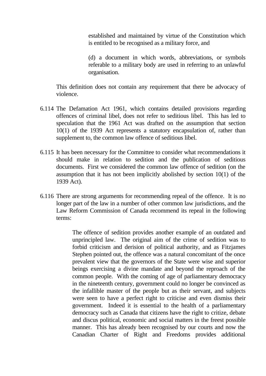established and maintained by virtue of the Constitution which is entitled to be recognised as a military force, and

(d) a document in which words, abbreviations, or symbols referable to a military body are used in referring to an unlawful organisation.

This definition does not contain any requirement that there be advocacy of violence.

- 6.114 The Defamation Act 1961, which contains detailed provisions regarding offences of criminal libel, does not refer to seditious libel. This has led to speculation that the 1961 Act was drafted on the assumption that section 10(1) of the 1939 Act represents a statutory encapsulation of, rather than supplement to, the common law offence of seditious libel.
- 6.115 It has been necessary for the Committee to consider what recommendations it should make in relation to sedition and the publication of seditious documents. First we considered the common law offence of sedition (on the assumption that it has not been implicitly abolished by section 10(1) of the 1939 Act).
- 6.116 There are strong arguments for recommending repeal of the offence. It is no longer part of the law in a number of other common law jurisdictions, and the Law Reform Commission of Canada recommend its repeal in the following terms:

The offence of sedition provides another example of an outdated and unprincipled law. The original aim of the crime of sedition was to forbid criticism and derision of political authority, and as Fitzjames Stephen pointed out, the offence was a natural concomitant of the once prevalent view that the governors of the State were wise and superior beings exercising a divine mandate and beyond the reproach of the common people. With the coming of age of parliamentary democracy in the nineteenth century, government could no longer be convinced as the infallible master of the people but as their servant, and subjects were seen to have a perfect right to criticise and even dismiss their government. Indeed it is essential to the health of a parliamentary democracy such as Canada that citizens have the right to critize, debate and discus political, economic and social matters in the freest possible manner. This has already been recognised by our courts and now the Canadian Charter of Right and Freedoms provides additional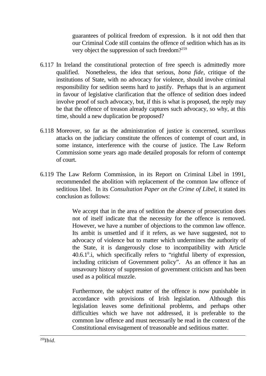guarantees of political freedom of expression. Is it not odd then that our Criminal Code still contains the offence of sedition which has as its very object the suppression of such freedom?<sup>259</sup>

- 6.117 In Ireland the constitutional protection of free speech is admittedly more qualified. Nonetheless, the idea that serious, *bona fide*, critique of the institutions of State, with no advocacy for violence, should involve criminal responsibility for sedition seems hard to justify. Perhaps that is an argument in favour of legislative clarification that the offence of sedition does indeed involve proof of such advocacy, but, if this is what is proposed, the reply may be that the offence of treason already captures such advocacy, so why, at this time, should a new duplication be proposed?
- 6.118 Moreover, so far as the administration of justice is concerned, scurrilous attacks on the judiciary constitute the offences of contempt of court and, in some instance, interference with the course of justice. The Law Reform Commission some years ago made detailed proposals for reform of contempt of court.
- 6.119 The Law Reform Commission, in its Report on Criminal Libel in 1991, recommended the abolition with replacement of the common law offence of seditious libel. In its *Consultation Paper on the Crime of Libel*, it stated its conclusion as follows:

We accept that in the area of sedition the absence of prosecution does not of itself indicate that the necessity for the offence is removed. However, we have a number of objections to the common law offence. Its ambit is unsettled and if it refers, as we have suggested, not to advocacy of violence but to matter which undermines the authority of the State, it is dangerously close to incompatibility with Article  $40.6.1^\circ$ .i, which specifically refers to "rightful liberty of expression, including criticism of Government policy". As an offence it has an unsavoury history of suppression of government criticism and has been used as a political muzzle.

Furthermore, the subject matter of the offence is now punishable in accordance with provisions of Irish legislation. Although this legislation leaves some definitional problems, and perhaps other difficulties which we have not addressed, it is preferable to the common law offence and must necessarily be read in the context of the Constitutional envisagement of treasonable and seditious matter.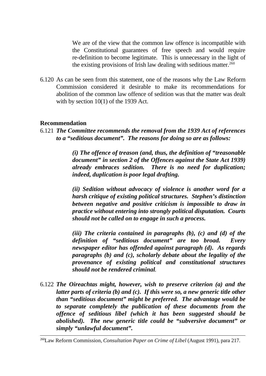We are of the view that the common law offence is incompatible with the Constitutional guarantees of free speech and would require re-definition to become legitimate. This is unnecessary in the light of the existing provisions of Irish law dealing with seditious matter.<sup>260</sup>

6.120 As can be seen from this statement, one of the reasons why the Law Reform Commission considered it desirable to make its recommendations for abolition of the common law offence of sedition was that the matter was dealt with by section 10(1) of the 1939 Act.

## **Recommendation**

6.121 *The Committee recommends the removal from the 1939 Act of references to a "seditious document". The reasons for doing so are as follows:*

> *(i) The offence of treason (and, thus, the definition of "treasonable document" in section 2 of the Offences against the State Act 1939) already embraces sedition. There is no need for duplication; indeed, duplication is poor legal drafting.*

> *(ii) Sedition without advocacy of violence is another word for a harsh critique of existing political structures. Stephen's distinction between negative and positive criticism is impossible to draw in practice without entering into strongly political disputation. Courts should not be called on to engage in such a process.*

> *(iii) The criteria contained in paragraphs (b), (c) and (d) of the definition of "seditious document" are too broad. Every newspaper editor has offended against paragraph (d). As regards paragraphs (b) and (c), scholarly debate about the legality of the provenance of existing political and constitutional structures should not be rendered criminal.*

6.122 *The Oireachtas might, however, wish to preserve criterion (a) and the latter parts of criteria (b) and (c). If this were so, a new generic title other than "seditious document" might be preferred. The advantage would be to separate completely the publication of these documents from the offence of seditious libel (which it has been suggested should be abolished). The new generic title could be "subversive document" or simply "unlawful document".*

<sup>260</sup>Law Reform Commission, *Consultation Paper on Crime of Libel* (August 1991), para 217.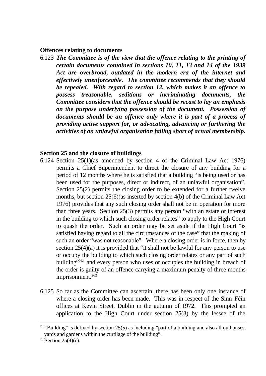### **Offences relating to documents**

6.123 *The Committee is of the view that the offence relating to the printing of certain documents contained in sections 10, 11, 13 and 14 of the 1939 Act are overbroad, outdated in the modern era of the internet and effectively unenforceable. The committee recommends that they should be repealed. With regard to section 12, which makes it an offence to possess treasonable, seditious or incriminating documents, the Committee considers that the offence should be recast to lay an emphasis on the purpose underlying possession of the document. Possession of documents should be an offence only where it is part of a process of providing active support for, or advocating, advancing or furthering the activities of an unlawful organisation falling short of actual membership.*

### **Section 25 and the closure of buildings**

- 6.124 Section 25(1)(as amended by section 4 of the Criminal Law Act 1976) permits a Chief Superintendent to direct the closure of any building for a period of 12 months where he is satisfied that a building "is being used or has been used for the purposes, direct or indirect, of an unlawful organisation". Section 25(2) permits the closing order to be extended for a further twelve months, but section 25(6)(as inserted by section 4(b) of the Criminal Law Act 1976) provides that any such closing order shall not be in operation for more than three years. Section 25(3) permits any person "with an estate or interest in the building to which such closing order relates" to apply to the High Court to quash the order. Such an order may be set aside if the High Court "is satisfied having regard to all the circumstances of the case" that the making of such an order "was not reasonable". Where a closing order is in force, then by section 25(4)(a) it is provided that "it shall not be lawful for any person to use or occupy the building to which such closing order relates or any part of such building"<sup>261</sup> and every person who uses or occupies the building in breach of the order is guilty of an offence carrying a maximum penalty of three months imprisonment.<sup>262</sup>
- 6.125 So far as the Committee can ascertain, there has been only one instance of where a closing order has been made. This was in respect of the Sinn Féin offices at Kevin Street, Dublin in the autumn of 1972. This prompted an application to the High Court under section 25(3) by the lessee of the

 $^{261}$ "Building" is defined by section 25(5) as including "part of a building and also all outhouses, yards and gardens within the curtilage of the building".

 $262$ Section 25(4)(c).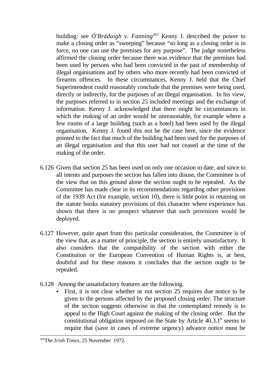building: see Ó'Brádaigh v. Fanning<sup>263</sup> Kenny J. described the power to make a closing order as "sweeping" because "so long as a closing order is in force, no one can use the premises for any purpose". The judge nonetheless affirmed the closing order because there was evidence that the premises had been used by persons who had been convicted in the past of membership of illegal organisations and by others who more recently had been convicted of firearms offences. In these circumstances, Kenny J. held that the Chief Superintendent could reasonably conclude that the premises were being used, directly or indirectly, for the purposes of an illegal organisation. In his view, the purposes referred to in section 25 included meetings and the exchange of information. Kenny J. acknowledged that there might be circumstances in which the making of an order would be unreasonable, for example where a few rooms of a large building (such as a hotel) had been used by the illegal organisation. Kenny J. found this not be the case here, since the evidence pointed to the fact that much of the building had been used for the purposes of an illegal organisation and that this user had not ceased at the time of the making of the order.

- 6.126 Given that section 25 has been used on only one occasion to date, and since to all intents and purposes the section has fallen into disuse, the Committee is of the view that on this ground alone the section ought to be repealed. As the Committee has made clear in its recommendations regarding other provisions of the 1939 Act (for example, section 10), there is little point in retaining on the statute books statutory provisions of this character where experience has shown that there is no prospect whatever that such provisions would be deployed.
- 6.127 However, quite apart from this particular consideration, the Committee is of the view that, as a matter of principle, the section is entirely unsatisfactory. It also considers that the compatibility of the section with either the Constitution or the European Convention of Human Rights is, at best, doubtful and for these reasons it concludes that the section ought to be repealed.
- 6.128 Among the unsatisfactory features are the following.
	- ü First, it is not clear whether or not section 25 requires due notice to be given to the persons affected by the proposed closing order. The structure of the section suggests otherwise in that the contemplated remedy is to appeal to the High Court against the making of the closing order. But the constitutional obligation imposed on the State by Article  $40.3.1^\circ$  seems to require that (save in cases of extreme urgency) advance notice must be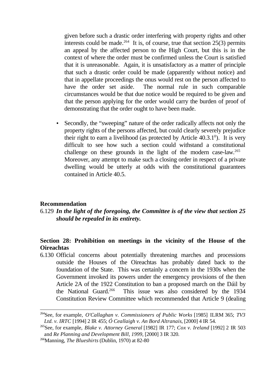given before such a drastic order interfering with property rights and other interests could be made.<sup>264</sup> It is, of course, true that section 25(3) permits an appeal by the affected person to the High Court, but this is in the context of where the order must be confirmed unless the Court is satisfied that it is unreasonable. Again, it is unsatisfactory as a matter of principle that such a drastic order could be made (apparently without notice) and that in appellate proceedings the onus would rest on the person affected to have the order set aside. The normal rule in such comparable circumstances would be that due notice would be required to be given and that the person applying for the order would carry the burden of proof of demonstrating that the order ought to have been made.

ü Secondly, the "sweeping" nature of the order radically affects not only the property rights of the persons affected, but could clearly severely prejudice their right to earn a livelihood (as protected by Article  $40.3.1^{\circ}$ ). It is very difficult to see how such a section could withstand a constitutional challenge on these grounds in the light of the modern case-law.<sup>265</sup> Moreover, any attempt to make such a closing order in respect of a private dwelling would be utterly at odds with the constitutional guarantees contained in Article 40.5.

#### **Recommendation**

6.129 *In the light of the foregoing, the Committee is of the view that section 25 should be repealed in its entirety.*

## **Section 28: Prohibition on meetings in the vicinity of the House of the Oireachtas**

6.130 Official concerns about potentially threatening marches and processions outside the Houses of the Oireachtas has probably dated back to the foundation of the State. This was certainly a concern in the 1930s when the Government invoked its powers under the emergency provisions of the then Article 2A of the 1922 Constitution to ban a proposed march on the Dáil by the National Guard. This issue was also considered by the 1934 Constitution Review Committee which recommended that Article 9 (dealing

<sup>264</sup>See, for example, *O'Callaghan v. Commissioners of Public Works* [1985] ILRM 365; *TV3 Ltd. v. IRTC* [1994] 2 IR 455; *Ó Ceallaigh v. An Bord Altranais*, [2000] 4 IR 54.

<sup>265</sup>See, for example, *Blake v. Attorney General* [1982] IR 177; *Cox v. Ireland* [1992] 2 IR 503 and *Re Planning and Development Bill, 1999*, [2000] 3 IR 320.

<sup>266</sup>Manning, *The Blueshirts* (Dublin, 1970) at 82-80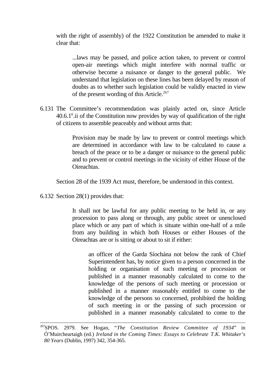with the right of assembly) of the 1922 Constitution be amended to make it clear that:

...laws may be passed, and police action taken, to prevent or control open-air meetings which might interfere with normal traffic or otherwise become a nuisance or danger to the general public. We understand that legislation on these lines has been delayed by reason of doubts as to whether such legislation could be validly enacted in view of the present wording of this Article.<sup>267</sup>

6.131 The Committee's recommendation was plainly acted on, since Article  $40.6.1<sup>0</sup>$  ii of the Constitution now provides by way of qualification of the right of citizens to assemble peaceably and without arms that:

> Provision may be made by law to prevent or control meetings which are determined in accordance with law to be calculated to cause a breach of the peace or to be a danger or nuisance to the general public and to prevent or control meetings in the vicinity of either House of the Oireachtas.

Section 28 of the 1939 Act must, therefore, be understood in this context.

6.132 Section 28(1) provides that:

It shall not be lawful for any public meeting to be held in, or any procession to pass along or through, any public street or unenclosed place which or any part of which is situate within one-half of a mile from any building in which both Houses or either Houses of the Oireachtas are or is sitting or about to sit if either:

an officer of the Garda Síochána not below the rank of Chief Superintendent has, by notice given to a person concerned in the holding or organisation of such meeting or procession or published in a manner reasonably calculated to come to the knowledge of the persons of such meeting or procession or published in a manner reasonably entitled to come to the knowledge of the persons so concerned, prohibited the holding of such meeting in or the passing of such procession or published in a manner reasonably calculated to come to the

<sup>267</sup>SPOS. 2979. See Hogan, "*The Constitution Review Committee of 1934*" in Ó'Muircheartaigh (ed.) *Ireland in the Coming Times: Essays to Celebrate T.K. Whitaker's 80 Years* (Dublin, 1997) 342, 354-365.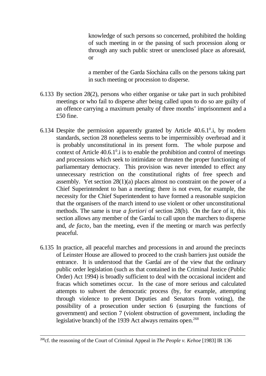knowledge of such persons so concerned, prohibited the holding of such meeting in or the passing of such procession along or through any such public street or unenclosed place as aforesaid, or

a member of the Garda Síochána calls on the persons taking part in such meeting or procession to disperse.

- 6.133 By section 28(2), persons who either organise or take part in such prohibited meetings or who fail to disperse after being called upon to do so are guilty of an offence carrying a maximum penalty of three months' imprisonment and a £50 fine.
- 6.134 Despite the permission apparently granted by Article  $40.6.1^{\circ}$ .i, by modern standards, section 28 nonetheless seems to be impermissibly overbroad and it is probably unconstitutional in its present form. The whole purpose and context of Article  $40.6.1^\circ$ .i is to enable the prohibition and control of meetings and processions which seek to intimidate or threaten the proper functioning of parliamentary democracy. This provision was never intended to effect any unnecessary restriction on the constitutional rights of free speech and assembly. Yet section 28(1)(a) places almost no constraint on the power of a Chief Superintendent to ban a meeting; there is not even, for example, the necessity for the Chief Superintendent to have formed a reasonable suspicion that the organisers of the march intend to use violent or other unconstitutional methods. The same is true *a fortiori* of section 28(b). On the face of it, this section allows any member of the Gardaí to call upon the marchers to disperse and, *de facto*, ban the meeting, even if the meeting or march was perfectly peaceful.
- 6.135 In practice, all peaceful marches and processions in and around the precincts of Leinster House are allowed to proceed to the crash barriers just outside the entrance. It is understood that the Gardaí are of the view that the ordinary public order legislation (such as that contained in the Criminal Justice (Public Order) Act 1994) is broadly sufficient to deal with the occasional incident and fracas which sometimes occur. In the case of more serious and calculated attempts to subvert the democratic process (by, for example, attempting through violence to prevent Deputies and Senators from voting), the possibility of a prosecution under section 6 (usurping the functions of government) and section 7 (violent obstruction of government, including the legislative branch) of the 1939 Act always remains open.<sup>268</sup>

<sup>&</sup>lt;sup>268</sup>cf. the reasoning of the Court of Criminal Appeal in *The People v. Kehoe* [1983] IR 136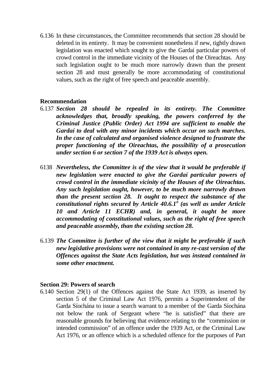6.136 In these circumstances, the Committee recommends that section 28 should be deleted in its entirety. It may be convenient nonetheless if new, tightly drawn legislation was enacted which sought to give the Gardaí particular powers of crowd control in the immediate vicinity of the Houses of the Oireachtas. Any such legislation ought to be much more narrowly drawn than the present section 28 and must generally be more accommodating of constitutional values, such as the right of free speech and peaceable assembly.

### **Recommendation**

- 6.137 *Section 28 should be repealed in its entirety. The Committee acknowledges that, broadly speaking, the powers conferred by the Criminal Justice (Public Order) Act 1994 are sufficient to enable the Gardaí to deal with any minor incidents which occur on such marches. In the case of calculated and organised violence designed to frustrate the proper functioning of the Oireachtas, the possibility of a prosecution under section 6 or section 7 of the 1939 Act is always open.*
- 6138 *Nevertheless, the Committee is of the view that it would be preferable if new legislation were enacted to give the Gardaí particular powers of crowd control in the immediate vicinity of the Houses of the Oireachtas. Any such legislation ought, however, to be much more narrowly drawn than the present section 28. It ought to respect the substance of the constitutional rights secured by Article 40.6.1<sup>0</sup> (as well as under Article 10 and Article 11 ECHR) and, in general, it ought be more accommodating of constitutional values, such as the right of free speech and peaceable assembly, than the existing section 28.*
- 6.139 *The Committee is further of the view that it might be preferable if such new legislative provisions were not contained in any re-cast version of the Offences against the State Acts legislation, but was instead contained in some other enactment.*

### **Section 29: Powers of search**

6.140 Section 29(1) of the Offences against the State Act 1939, as inserted by section 5 of the Criminal Law Act 1976, permits a Superintendent of the Garda Síochána to issue a search warrant to a member of the Garda Síochána not below the rank of Sergeant where "he is satisfied" that there are reasonable grounds for believing that evidence relating to the "commission or intended commission" of an offence under the 1939 Act, or the Criminal Law Act 1976, or an offence which is a scheduled offence for the purposes of Part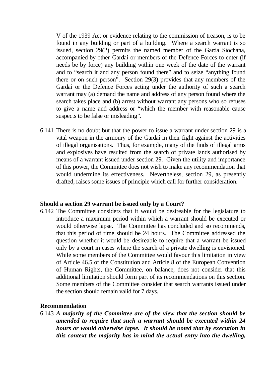V of the 1939 Act or evidence relating to the commission of treason, is to be found in any building or part of a building. Where a search warrant is so issued, section 29(2) permits the named member of the Garda Síochána, accompanied by other Gardaí or members of the Defence Forces to enter (if needs be by force) any building within one week of the date of the warrant and to "search it and any person found there" and to seize "anything found there or on such person". Section 29(3) provides that any members of the Gardaí or the Defence Forces acting under the authority of such a search warrant may (a) demand the name and address of any person found where the search takes place and (b) arrest without warrant any persons who so refuses to give a name and address or "which the member with reasonable cause suspects to be false or misleading".

6.141 There is no doubt but that the power to issue a warrant under section 29 is a vital weapon in the armoury of the Gardaí in their fight against the activities of illegal organisations. Thus, for example, many of the finds of illegal arms and explosives have resulted from the search of private lands authorised by means of a warrant issued under section 29. Given the utility and importance of this power, the Committee does not wish to make any recommendation that would undermine its effectiveness. Nevertheless, section 29, as presently drafted, raises some issues of principle which call for further consideration.

#### **Should a section 29 warrant be issued only by a Court?**

6.142 The Committee considers that it would be desireable for the legislature to introduce a maximum period within which a warrant should be executed or would otherwise lapse. The Committee has concluded and so recommends, that this period of time should be 24 hours. The Committee addressed the question whether it would be desireable to require that a warrant be issued only by a court in cases where the search of a private dwelling is envisioned. While some members of the Committee would favour this limitation in view of Article 46.5 of the Constitution and Article 8 of the European Convention of Human Rights, the Committee, on balance, does not consider that this additional limitation should form part of its recommendations on this section. Some members of the Committee consider that search warrants issued under the section should remain valid for 7 days.

#### **Recommendation**

6.143 *A majority of the Committee are of the view that the section should be amended to require that such a warrant should be executed within 24 hours or would otherwise lapse. It should be noted that by execution in this context the majority has in mind the actual entry into the dwelling,*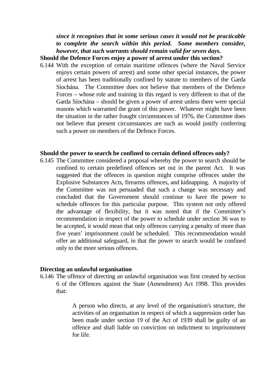*since it recognises that in some serious cases it would not be practicable to complete the search within this period. Some members consider, however, that such warrants should remain valid for seven days.*

**Should the Defence Forces enjoy a power of arrest under this section?**

6.144 With the exception of certain maritime offences (where the Naval Service enjoys certain powers of arrest) and some other special instances, the power of arrest has been traditionally confined by statute to members of the Garda Síochána. The Committee does not believe that members of the Defence Forces – whose role and training in this regard is very different to that of the Garda Síochána – should be given a power of arrest unless there were special reasons which warranted the grant of this power. Whatever might have been the situation in the rather fraught circumstances of 1976, the Committee does not believe that present circumstances are such as would justify conferring such a power on members of the Defence Forces.

### **Should the power to search be confined to certain defined offences only?**

6.145 The Committee considered a proposal whereby the power to search should be confined to certain predefined offences set out in the parent Act. It was suggested that the offences in question might comprise offences under the Explosive Substances Acts, firearms offences, and kidnapping. A majority of the Committee was not persuaded that such a change was necessary and concluded that the Government should continue to have the power to schedule offences for this particular purpose. This system not only offered the advantage of flexibility, but it was noted that if the Committee's recommendation in respect of the power to schedule under section 36 was to be accepted, it would mean that only offences carrying a penalty of more than five years' imprisonment could be scheduled. This recommendation would offer an additional safeguard, in that the power to search would be confined only to the more serious offences.

### **Directing an unlawful organisation**

6.146 The offence of directing an unlawful organisation was first created by section 6 of the Offences against the State (Amendment) Act 1998. This provides that:

> A person who directs, at any level of the organisation's structure, the activities of an organisation in respect of which a suppression order has been made under section 19 of the Act of 1939 shall be guilty of an offence and shall liable on conviction on indictment to imprisonment for life.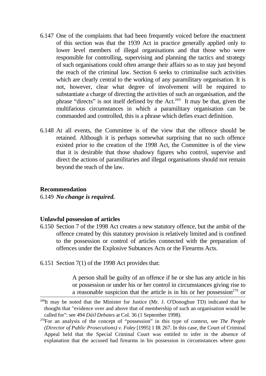- 6.147 One of the complaints that had been frequently voiced before the enactment of this section was that the 1939 Act in practice generally applied only to lower level members of illegal organisations and that those who were responsible for controlling, supervising and planning the tactics and strategy of such organisations could often arrange their affairs so as to stay just beyond the reach of the criminal law. Section 6 seeks to criminalise such activities which are clearly central to the working of any paramilitary organisation. It is not, however, clear what degree of involvement will be required to substantiate a charge of directing the activities of such an organisation, and the phrase "directs" is not itself defined by the Act.<sup>269</sup> It may be that, given the multifarious circumstances in which a paramilitary organisation can be commanded and controlled, this is a phrase which defies exact definition.
- 6.148 At all events, the Committee is of the view that the offence should be retained. Although it is perhaps somewhat surprising that no such offence existed prior to the creation of the 1998 Act, the Committee is of the view that it is desirable that those shadowy figures who control, supervise and direct the actions of paramilitaries and illegal organisations should not remain beyond the reach of the law.

### **Recommendation**

6.149 *No change is required.*

### **Unlawful possession of articles**

- 6.150 Section 7 of the 1998 Act creates a new statutory offence, but the ambit of the offence created by this statutory provision is relatively limited and is confined to the possession or control of articles connected with the preparation of offences under the Explosive Subtances Acts or the Firearms Acts.
- 6.151 Section 7(1) of the 1998 Act provides that:

A person shall be guilty of an offence if he or she has any article in his or possession or under his or her control in circumstances giving rise to a reasonable suspicion that the article is in his or her possession<sup>270</sup> or

 $^{269}$ It may be noted that the Minister for Justice (Mr. J. O'Donoghue TD) indicated that he thought that "evidence over and above that of membership of such an organisation would be called for": see 494 *Dáil Debates* at Col. 36 (1 September 1998).

<sup>270</sup>For an analysis of the concept of "possession" in this type of context, see *The People (Director of Public Prosecutions) v. Foley* [1995] 1 IR 267. In this case, the Court of Criminal Appeal held that the Special Criminal Court was entitled to infer in the absence of explanation that the accused had firearms in his possession in circumstances where guns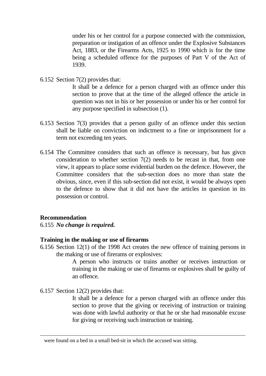under his or her control for a purpose connected with the commission, preparation or instigation of an offence under the Explosive Substances Act, 1883, or the Firearms Acts, 1925 to 1990 which is for the time being a scheduled offence for the purposes of Part V of the Act of 1939.

6.152 Section 7(2) provides that:

It shall be a defence for a person charged with an offence under this section to prove that at the time of the alleged offence the article in question was not in his or her possession or under his or her control for any purpose specified in subsection (1).

- 6.153 Section 7(3) provides that a person guilty of an offence under this section shall be liable on conviction on indictment to a fine or imprisonment for a term not exceeding ten years.
- 6.154 The Committee considers that such an offence is necessary, but has givcn consideration to whether section 7(2) needs to be recast in that, from one view, it appears to place some evidential burden on the defence. However, the Committee considers that the sub-section does no more than state the obvious, since, even if this sub-section did not exist, it would be always open to the defence to show that it did not have the articles in question in its possession or control.

## **Recommendation**

6.155 *No change is required.*

### **Training in the making or use of firearms**

6.156 Section 12(1) of the 1998 Act creates the new offence of training persons in the making or use of firerams or explosives:

> A person who instructs or trains another or receives instruction or training in the making or use of firearms or explosives shall be guilty of an offence.

6.157 Section 12(2) provides that:

It shall be a defence for a person charged with an offence under this section to prove that the giving or receiving of instruction or training was done with lawful authority or that he or she had reasonable excuse for giving or receiving such instruction or training.

were found on a bed in a small bed-sit in which the accused was sitting.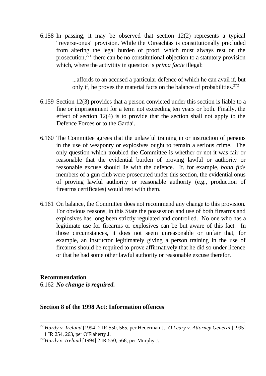6.158 In passing, it may be observed that section 12(2) represents a typical "reverse-onus" provision. While the Oireachtas is constitutionally precluded from altering the legal burden of proof, which must always rest on the prosecution, <sup>271</sup> there can be no constitutional objection to a statutory provision which, where the activitity in question is *prima facie* illegal:

> ...affords to an accused a particular defence of which he can avail if, but only if, he proves the material facts on the balance of probabilities.<sup> $272$ </sup>

- 6.159 Section 12(3) provides that a person convicted under this section is liable to a fine or imprisonment for a term not exceeding ten years or both. Finally, the effect of section 12(4) is to provide that the section shall not apply to the Defence Forces or to the Gardai.
- 6.160 The Committee agrees that the unlawful training in or instruction of persons in the use of weaponry or explosives ought to remain a serious crime. The only question which troubled the Committee is whether or not it was fair or reasonable that the evidential burden of proving lawful or authority or reasonable excuse should lie with the defence. If, for example, *bona fide* members of a gun club were prosecuted under this section, the evidential onus of proving lawful authority or reasonable authority (e.g., production of firearms certificates) would rest with them.
- 6.161 On balance, the Committee does not recommend any change to this provision. For obvious reasons, in this State the possession and use of both firearms and explosives has long been strictly regulated and controlled. No one who has a legitimate use for firearms or explosives can be but aware of this fact. In those circumstances, it does not seem unreasonable or unfair that, for example, an instructor legitimately giving a person training in the use of firearms should be required to prove affirmatively that he did so under licence or that he had some other lawful authority or reasonable excuse therefor.

#### **Recommendation**

6.162 *No change is required.*

## **Section 8 of the 1998 Act: Information offences**

<sup>271</sup>*Hardy v. Ireland* [1994] 2 IR 550, 565, per Hederman J.; *O'Leary v. Attorney General* [1995] 1 IR 254, 263, per O'Flaherty J.

<sup>272</sup>*Hardy v. Ireland* [1994] 2 IR 550, 568, per Murphy J.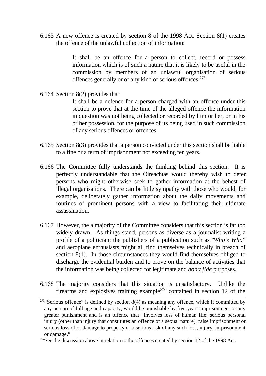6.163 A new offence is created by section 8 of the 1998 Act. Section 8(1) creates the offence of the unlawful collection of information:

> It shall be an offence for a person to collect, record or possess information which is of such a nature that it is likely to be useful in the commission by members of an unlawful organisation of serious offences generally or of any kind of serious offences.<sup>273</sup>

6.164 Section 8(2) provides that:

It shall be a defence for a person charged with an offence under this section to prove that at the time of the alleged offence the information in question was not being collected or recorded by him or her, or in his or her possession, for the purpose of its being used in such commission of any serious offences or offences.

- 6.165 Section 8(3) provides that a person convicted under this section shall be liable to a fine or a term of imprisonment not exceeding ten years.
- 6.166 The Committee fully understands the thinking behind this section. It is perfectly understandable that the Oireachtas would thereby wish to deter persons who might otherwise seek to gather information at the behest of illegal organisations. There can be little sympathy with those who would, for example, deliberately gather information about the daily movements and routines of prominent persons with a view to facilitating their ultimate assassination.
- 6.167 However, the a majority of the Committee considers that this section is far too widely drawn. As things stand, persons as diverse as a journalist writing a profile of a politician; the publishers of a publication such as "*Who's Who*" and aeroplane enthusiasts might all find themselves technically in breach of section 8(1). In those circumstances they would find themselves obliged to discharge the evidential burden and to prove on the balance of activities that the information was being collected for legitimate and *bona fide* purposes.
- 6.168 The majority considers that this situation is unsatisfactory. Unlike the firearms and explosives training example<sup>274</sup> contained in section 12 of the

<sup>&</sup>lt;sup>273</sup>"Serious offence" is defined by section  $8(4)$  as meaning any offence, which if committed by any person of full age and capacity, would be punishable by five years imprisonment or any greater punishment and is an offence that "involves loss of human life, serious personal injury (other than injury that constitutes an offence of a sexual nature), false imprisonment or serious loss of or damage to property or a serious risk of any such loss, injury, imprisonment or damage."

 $274$ See the discussion above in relation to the offences created by section 12 of the 1998 Act.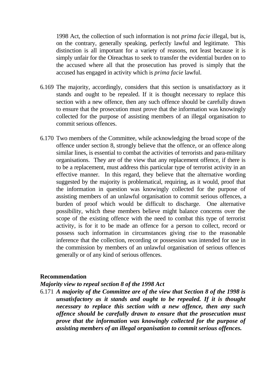1998 Act, the collection of such information is not *prima facie* illegal, but is, on the contrary, generally speaking, perfectly lawful and legitimate. This distinction is all important for a variety of reasons, not least because it is simply unfair for the Oireachtas to seek to transfer the evidential burden on to the accused where all that the prosecution has proved is simply that the accused has engaged in activity which is *prima facie* lawful.

- 6.169 The majority, accordingly, considers that this section is unsatisfactory as it stands and ought to be repealed. If it is thought necessary to replace this section with a new offence, then any such offence should be carefully drawn to ensure that the prosecution must prove that the information was knowingly collected for the purpose of assisting members of an illegal organisation to commit serious offences.
- 6.170 Two members of the Committee, while acknowledging the broad scope of the offence under section 8, strongly believe that the offence, or an offence along similar lines, is essential to combat the activities of terrorists and para-military organisations. They are of the view that any replacement offence, if there is to be a replacement, must address this particular type of terrorist activity in an effective manner. In this regard, they believe that the alternative wording suggested by the majority is problematical, requiring, as it would, proof that the information in question was knowingly collected for the purpose of assisting members of an unlawful organisation to commit serious offences, a burden of proof which would be difficult to discharge. One alternative possibility, which these members believe might balance concerns over the scope of the existing offence with the need to combat this type of terrorist activity, is for it to be made an offence for a person to collect, record or possess such information in circumstances giving rise to the reasonable inference that the collection, recording or possession was intended for use in the commission by members of an unlawful organisation of serious offences generally or of any kind of serious offences.

### **Recommendation**

#### *Majority view to repeal section 8 of the 1998 Act*

6.171 *A majority of the Committee are of the view that Section 8 of the 1998 is unsatisfactory as it stands and ought to be repealed. If it is thought necessary to replace this section with a new offence, then any such offence should be carefully drawn to ensure that the prosecution must prove that the information was knowingly collected for the purpose of assisting members of an illegal organisation to commit serious offences.*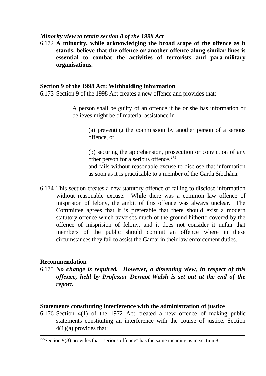### *Minority view to retain section 8 of the 1998 Act*

6.172 **A minority, while acknowledging the broad scope of the offence as it stands, believe that the offence or another offence along similar lines is essential to combat the activities of terrorists and para-military organisations.**

### **Section 9 of the 1998 Act: Withholding information**

6.173 Section 9 of the 1998 Act creates a new offence and provides that:

A person shall be guilty of an offence if he or she has information or believes might be of material assistance in

(a) preventing the commission by another person of a serious offence, or

(b) securing the apprehension, prosecution or conviction of any other person for a serious offence,  $275$ 

and fails without reasonable excuse to disclose that information as soon as it is practicable to a member of the Garda Síochána.

6.174 This section creates a new statutory offence of failing to disclose information without reasonable excuse. While there was a common law offence of misprision of felony, the ambit of this offence was always unclear. The Committee agrees that it is preferable that there should exist a modern statutory offence which traverses much of the ground hitherto covered by the offence of misprision of felony, and it does not consider it unfair that members of the public should commit an offence where in these circumstances they fail to assist the Gardaí in their law enforcement duties.

### **Recommendation**

6.175 *No change is required. However, a dissenting view, in respect of this offence, held by Professor Dermot Walsh is set out at the end of the report.*

#### **Statements constituting interference with the administration of justice**

6.176 Section 4(1) of the 1972 Act created a new offence of making public statements constituting an interference with the course of justice. Section  $4(1)(a)$  provides that:

<sup>&</sup>lt;sup>275</sup>Section 9(3) provides that "serious offence" has the same meaning as in section 8.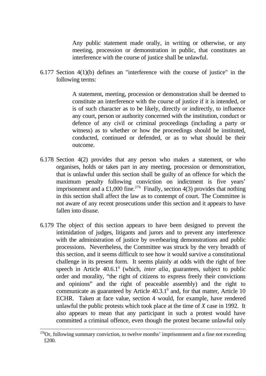Any public statement made orally, in writing or otherwise, or any meeting, procession or demonstration in public, that constitutes an interference with the course of justice shall be unlawful.

6.177 Section 4(1)(b) defines an "interference with the course of justice" in the following terms:

> A statement, meeting, procession or demonstration shall be deemed to constitute an interference with the course of justice if it is intended, or is of such character as to be likely, directly or indirectly, to influence any court, person or authority concerned with the institution, conduct or defence of any civil or criminal proceedings (including a party or witness) as to whether or how the proceedings should be instituted, conducted, continued or defended, or as to what should be their outcome.

- 6.178 Section 4(2) provides that any person who makes a statement, or who organises, holds or takes part in any meeting, procession or demonstration, that is unlawful under this section shall be guilty of an offence for which the maximum penalty following conviction on indictment is five years' imprisonment and a £1,000 fine.<sup>276</sup> Finally, section 4(3) provides that nothing in this section shall affect the law as to contempt of court. The Committee is not aware of any recent prosecutions under this section and it appears to have fallen into disuse.
- 6.179 The object of this section appears to have been designed to prevent the intimidation of judges, litigants and jurors and to prevent any interference with the administration of justice by overbearing demonstrations and public processions. Nevertheless, the Committee was struck by the very breadth of this section, and it seems difficult to see how it would survive a constitutional challenge in its present form. It seems plainly at odds with the right of free speech in Article 40.6.1<sup>0</sup> (which, *inter alia*, guarantees, subject to public order and morality, "the right of citizens to express freely their convictions and opinions" and the right of peaceable assembly) and the right to communicate as guaranteed by Article  $40.3.1<sup>0</sup>$  and, for that matter, Article 10 ECHR. Taken at face value, section 4 would, for example, have rendered unlawful the public protests which took place at the time of *X* case in 1992. It also appears to mean that any participant in such a protest would have committed a criminal offence, even though the protest became unlawful only

 $276$ Or, following summary conviction, to twelve months' imprisonment and a fine not exceeding £200.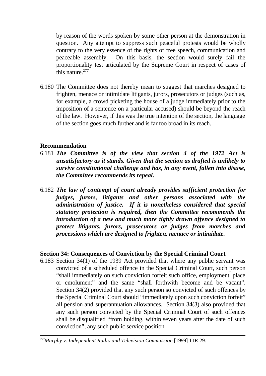by reason of the words spoken by some other person at the demonstration in question. Any attempt to suppress such peaceful protests would be wholly contrary to the very essence of the rights of free speech, communication and peaceable assembly. On this basis, the section would surely fail the proportionality test articulated by the Supreme Court in respect of cases of this nature. $277$ 

6.180 The Committee does not thereby mean to suggest that marches designed to frighten, menace or intimidate litigants, jurors, prosecutors or judges (such as, for example, a crowd picketing the house of a judge immediately prior to the imposition of a sentence on a particular accused) should be beyond the reach of the law. However, if this was the true intention of the section, the language of the section goes much further and is far too broad in its reach.

## **Recommendation**

- 6.181 *The Committee is of the view that section 4 of the 1972 Act is unsatisfactory as it stands. Given that the section as drafted is unlikely to survive constitutional challenge and has, in any event, fallen into disuse, the Committee recommends its repeal.*
- 6.182 *The law of contempt of court already provides sufficient protection for judges, jurors, litigants and other persons associated with the administration of justice. If it is nonetheless considered that special statutory protection is required, then the Committee recommends the introduction of a new and much more tighly drawn offence designed to protect litigants, jurors, prosecutors or judges from marches and processions which are designed to frighten, menace or intimidate.*

# **Section 34: Consequences of Conviction by the Special Criminal Court**

6.183 Section 34(1) of the 1939 Act provided that where any public servant was convicted of a scheduled offence in the Special Criminal Court, such person "shall immediately on such conviction forfeit such office, employment, place or emolument" and the same "shall forthwith become and be vacant". Section 34(2) provided that any such person so convicted of such offences by the Special Criminal Court should "immediately upon such conviction forfeit" all pension and superannuation allowances. Section 34(3) also provided that any such person convicted by the Special Criminal Court of such offences shall be disqualified "from holding, within seven years after the date of such conviction", any such public service position.

<sup>277</sup>*Murphy v. Independent Radio and Television Commission* [1999] 1 IR 29.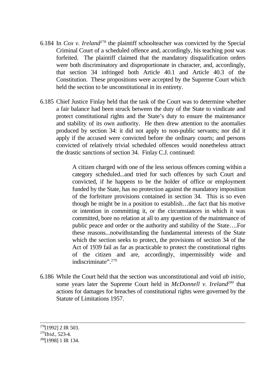- 6.184 In *Cox v. Ireland*<sup>278</sup> the plaintiff schoolteacher was convicted by the Special Criminal Court of a scheduled offence and, accordingly, his teaching post was forfeited. The plaintiff claimed that the mandatory disqualification orders were both discriminatory and disproportionate in character, and, accordingly, that section 34 infringed both Article 40.1 and Article 40.3 of the Constitution. These propositions were accepted by the Supreme Court which held the section to be unconstitutional in its entirety.
- 6.185 Chief Justice Finlay held that the task of the Court was to determine whether a fair balance had been struck between the duty of the State to vindicate and protect constitutional rights and the State's duty to ensure the maintenance and stability of its own authority. He then drew attention to the anomalies produced by section 34: it did not apply to non-public servants; nor did it apply if the accused were convicted before the ordinary courts; and persons convicted of relatively trivial scheduled offences would nonetheless attract the drastic sanctions of section 34. Finlay C.J. continued:

A citizen charged with one of the less serious offences coming within a category scheduled...and tried for such offences by such Court and convicted, if he happens to be the holder of office or employment funded by the State, has no protection against the mandatory imposition of the forfeiture provisions contained in section 34. This is so even though he might be in a position to establish…the fact that his motive or intention in committing it, or the circumstances in which it was committed, bore no relation at all to any question of the maintenance of public peace and order or the authority and stability of the State….For these reasons...notwithstanding the fundamental interests of the State which the section seeks to protect, the provisions of section 34 of the Act of 1939 fail as far as practicable to protect the constitutional rights of the citizen and are, accordingly, impermissibly wide and indiscriminate".<sup>279</sup>

6.186 While the Court held that the section was unconstitutional and void *ab initio*, some years later the Supreme Court held in *McDonnell v. Ireland<sup>280</sup>* that actions for damages for breaches of constitutional rights were governed by the Statute of Limitations 1957.

 $^{278}$ [1992] 2 IR 503.

<sup>279</sup>*Ibid*., 523-4.

<sup>&</sup>lt;sup>280</sup>[1998] 1 IR 134.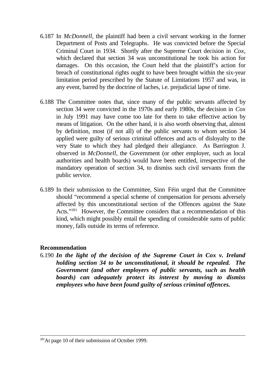- 6.187 In *McDonnell*, the plaintiff had been a civil servant working in the former Department of Posts and Telegraphs. He was convicted before the Special Criminal Court in 1934. Shortly after the Supreme Court decision in *Cox*, which declared that section 34 was unconstitutional he took his action for damages. On this occasion, the Court held that the plaintiff's action for breach of constitutional rights ought to have been brought within the six-year limitation period prescribed by the Statute of Limitations 1957 and was, in any event, barred by the doctrine of laches, i.e. prejudicial lapse of time.
- 6.188 The Committee notes that, since many of the public servants affected by section 34 were convicted in the 1970s and early 1980s, the decision in *Cox* in July 1991 may have come too late for them to take effective action by means of litigation. On the other hand, it is also worth observing that, almost by definition, most (if not all) of the public servants to whom section 34 applied were guilty of serious criminal offences and acts of disloyalty to the very State to which they had pledged their allegiance. As Barrington J. observed in *McDonnell*, the Government (or other employer, such as local authorities and health boards) would have been entitled, irrespective of the mandatory operation of section 34, to dismiss such civil servants from the public service.
- 6.189 In their submission to the Committee, Sinn Féin urged that the Committee should "recommend a special scheme of compensation for persons adversely affected by this unconstitutional section of the Offences against the State Acts."<sup>281</sup> However, the Committee considers that a recommendation of this kind, which might possibly entail the spending of considerable sums of public money, falls outside its terms of reference.

### **Recommendation**

6.190 *In the light of the decision of the Supreme Court in Cox v. Ireland holding section 34 to be unconstitutional, it should be repealed. The Government (and other employers of public servants, such as health boards) can adequately protect its interest by moving to dismiss employees who have been found guilty of serious criminal offences.*

 $^{281}$ At page 10 of their submission of October 1999.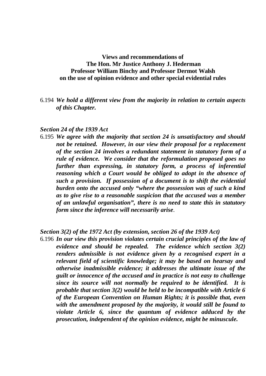# **Views and recommendations of The Hon. Mr Justice Anthony J. Hederman Professor William Binchy and Professor Dermot Walsh on the use of opinion evidence and other special evidential rules**

## 6.194 *We hold a different view from the majority in relation to certain aspects of this Chapter.*

#### *Section 24 of the 1939 Act*

6.195 *We agree with the majority that section 24 is unsatisfactory and should not be retained. However, in our view their proposal for a replacement of the section 24 involves a redundant statement in statutory form of a rule of evidence. We consider that the reformulation proposed goes no further than expressing, in statutory form, a process of inferential reasoning which a Court would be obliged to adopt in the absence of such a provision. If possession of a document is to shift the evidential burden onto the accused only "where the possession was of such a kind as to give rise to a reasonable suspicion that the accused was a member of an unlawful organisation", there is no need to state this in statutory form since the inference will necessarily arise*.

*Section 3(2) of the 1972 Act (by extension, section 26 of the 1939 Act)*

6.196 *In our view this provision violates certain crucial principles of the law of evidence and should be repealed. The evidence which section 3(2) renders admissible is not evidence given by a recognised expert in a relevant field of scientific knowledge; it may be based on hearsay and otherwise inadmissible evidence; it addresses the ultimate issue of the guilt or innocence of the accused and in practice is not easy to challenge since its source will not normally be required to be identified. It is probable that section 3(2) would be held to be incompatible with Article 6 of the European Convention on Human Rights; it is possible that, even with the amendment proposed by the majority, it would still be found to violate Article 6, since the quantum of evidence adduced by the prosecution, independent of the opinion evidence, might be minuscule.*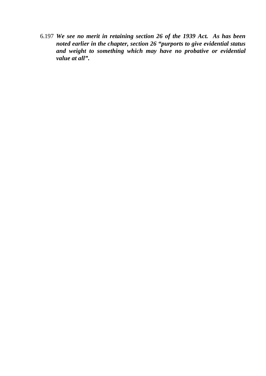6.197 *We see no merit in retaining section 26 of the 1939 Act. As has been noted earlier in the chapter, section 26 "purports to give evidential status and weight to something which may have no probative or evidential value at all".*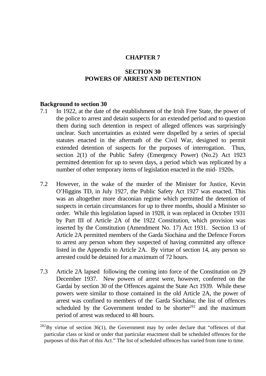## **CHAPTER 7**

# **SECTION 30 POWERS OF ARREST AND DETENTION**

#### **Background to section 30**

- 7.1 In 1922, at the date of the establishment of the Irish Free State, the power of the police to arrest and detain suspects for an extended period and to question them during such detention in respect of alleged offences was surprisingly unclear. Such uncertainties as existed were dispelled by a series of special statutes enacted in the aftermath of the Civil War, designed to permit extended detention of suspects for the purposes of interrogation. Thus, section 2(1) of the Public Safety (Emergency Power) (No.2) Act 1923 permitted detention for up to seven days, a period which was replicated by a number of other temporary items of legislation enacted in the mid- 1920s.
- 7.2 However, in the wake of the murder of the Minister for Justice, Kevin O'Higgins TD, in July 1927, the Public Safety Act 1927 was enacted. This was an altogether more draconian regime which permitted the detention of suspects in certain circumstances for up to three months, should a Minister so order. While this legislation lapsed in 1928, it was replaced in October 1931 by Part III of Article 2A of the 1922 Constitution, which provision was inserted by the Constitution (Amendment No. 17) Act 1931. Section 13 of Article 2A permitted members of the Garda Síochána and the Defence Forces to arrest any person whom they suspected of having committed any offence listed in the Appendix to Article 2A. By virtue of section 14, any person so arrested could be detained for a maximum of 72 hours.
- 7.3 Article 2A lapsed following the coming into force of the Constitution on 29 December 1937. New powers of arrest were, however, conferred on the Gardaí by section 30 of the Offences against the State Act 1939. While these powers were similar to those contained in the old Article 2A, the power of arrest was confined to members of the Garda Síochána; the list of offences scheduled by the Government tended to be shorter<sup>282</sup> and the maximum period of arrest was reduced to 48 hours.

 $282$ By virtue of section 36(1), the Government may by order declare that "offences of that particular class or kind or under that particular enactment shall be scheduled offences for the purposes of this Part of this Act." The list of scheduled offences has varied from time to time.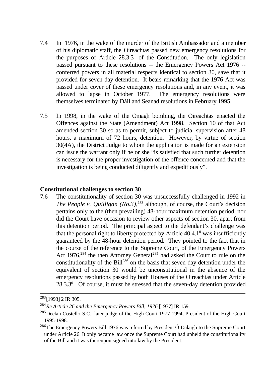- 7.4 In 1976, in the wake of the murder of the British Ambassador and a member of his diplomatic staff, the Oireachtas passed new emergency resolutions for the purposes of Article  $28.3.3^{\circ}$  of the Constitution. The only legislation passed pursuant to these resolutions -- the Emergency Powers Act 1976 - conferred powers in all material respects identical to section 30, save that it provided for seven-day detention. It bears remarking that the 1976 Act was passed under cover of these emergency resolutions and, in any event, it was allowed to lapse in October 1977. The emergency resolutions were themselves terminated by Dáil and Seanad resolutions in February 1995.
- 7.5 In 1998, in the wake of the Omagh bombing, the Oireachtas enacted the Offences against the State (Amendment) Act 1998. Section 10 of that Act amended section 30 so as to permit, subject to judicial supervision after 48 hours, a maximum of 72 hours, detention. However, by virtue of section 30(4A), the District Judge to whom the application is made for an extension can issue the warrant only if he or she "is satisfied that such further detention is necessary for the proper investigation of the offence concerned and that the investigation is being conducted diligently and expeditiously".

## **Constitutional challenges to section 30**

7.6 The constitutionality of section 30 was unsuccessfully challenged in 1992 in *The People v. Quilligan* (*No.3*),<sup>283</sup> although, of course, the Court's decision pertains only to the (then prevailing) 48-hour maximum detention period, nor did the Court have occasion to review other aspects of section 30, apart from this detention period. The principal aspect to the defendant's challenge was that the personal right to liberty protected by Article  $40.4.1^\circ$  was insufficiently guaranteed by the 48-hour detention period. They pointed to the fact that in the course of the reference to the Supreme Court, of the Emergency Powers Act 1976,<sup>284</sup> the then Attorney General<sup>285</sup> had asked the Court to rule on the constitutionality of the Bill<sup>286</sup> on the basis that seven-day detention under the equivalent of section 30 would be unconstitutional in the absence of the emergency resolutions passed by both Houses of the Oireachtas under Article  $28.3.3<sup>0</sup>$ . Of course, it must be stressed that the seven-day detention provided

<sup>&</sup>lt;sup>283</sup>[1993] 2 IR 305.

<sup>284</sup>*Re Article 26 and the Emergency Powers Bill, 1976* [1977] IR 159.

 $^{285}$ Declan Costello S.C., later judge of the High Court 1977-1994, President of the High Court 1995-1998.

<sup>&</sup>lt;sup>286</sup>The Emergency Powers Bill 1976 was referred by President Ó Dalaigh to the Supreme Court under Article 26. It only became law once the Supreme Court had upheld the constitutionality of the Bill and it was thereupon signed into law by the President.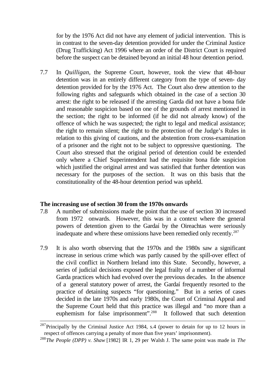for by the 1976 Act did not have any element of judicial intervention. This is in contrast to the seven-day detention provided for under the Criminal Justice (Drug Trafficking) Act 1996 where an order of the District Court is required before the suspect can be detained beyond an initial 48 hour detention period.

7.7 In *Quilligan*, the Supreme Court, however, took the view that 48-hour detention was in an entirely different category from the type of seven- day detention provided for by the 1976 Act. The Court also drew attention to the following rights and safeguards which obtained in the case of a section 30 arrest: the right to be released if the arresting Garda did not have a bona fide and reasonable suspicion based on one of the grounds of arrest mentioned in the section; the right to be informed (if he did not already know) of the offence of which he was suspected; the right to legal and medical assistance; the right to remain silent; the right to the protection of the Judge's Rules in relation to this giving of cautions, and the abstention from cross-examination of a prisoner and the right not to be subject to oppressive questioning. The Court also stressed that the original period of detention could be extended only where a Chief Superintendent had the requisite bona fide suspicion which justified the original arrest and was satisfied that further detention was necessary for the purposes of the section. It was on this basis that the constitutionality of the 48-hour detention period was upheld.

### **The increasing use of section 30 from the 1970s onwards**

- 7.8 A number of submissions made the point that the use of section 30 increased from 1972 onwards. However, this was in a context where the general powers of detention given to the Gardaí by the Oireachtas were seriously inadequate and where these omissions have been remedied only recently.<sup>287</sup>
- 7.9 It is also worth observing that the 1970s and the 1980s saw a significant increase in serious crime which was partly caused by the spill-over effect of the civil conflict in Northern Ireland into this State. Secondly, however, a series of judicial decisions exposed the legal frailty of a number of informal Garda practices which had evolved over the previous decades. In the absence of a general statutory power of arrest, the Gardaí frequently resorted to the practice of detaining suspects "for questioning." But in a series of cases decided in the late 1970s and early 1980s, the Court of Criminal Appeal and the Supreme Court held that this practice was illegal and "no more than a euphemism for false imprisonment".<sup>288</sup> It followed that such detention

<sup>&</sup>lt;sup>287</sup>Principally by the Criminal Justice Act 1984, s.4 (power to detain for up to 12 hours in respect of offences carrying a penalty of more than five years' imprisonment).

<sup>288</sup>*The People (DPP) v. Shaw* [1982] IR 1, 29 per Walsh J. The same point was made in *The*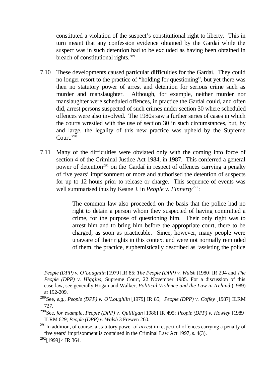constituted a violation of the suspect's constitutional right to liberty. This in turn meant that any confession evidence obtained by the Gardaí while the suspect was in such detention had to be excluded as having been obtained in breach of constitutional rights.<sup>289</sup>

- 7.10 These developments caused particular difficulties for the Gardaí. They could no longer resort to the practice of "holding for questioning", but yet there was then no statutory power of arrest and detention for serious crime such as murder and manslaughter. Although, for example, neither murder nor manslaughter were scheduled offences, in practice the Gardaí could, and often did, arrest persons suspected of such crimes under section 30 where scheduled offences were also involved. The 1980s saw a further series of cases in which the courts wrestled with the use of section 30 in such circumstances, but, by and large, the legality of this new practice was upheld by the Supreme Court.<sup>290</sup>
- 7.11 Many of the difficulties were obviated only with the coming into force of section 4 of the Criminal Justice Act 1984, in 1987. This conferred a general power of detention<sup>291</sup> on the Gardaí in respect of offences carrying a penalty of five years' imprisonment or more and authorised the detention of suspects for up to 12 hours prior to release or charge. This sequence of events was well summarised thus by Keane J. in *People v. Finnerty<sup>292</sup>*:

The common law also proceeded on the basis that the police had no right to detain a person whom they suspected of having committed a crime, for the purpose of questioning him. Their only right was to arrest him and to bring him before the appropriate court, there to be charged, as soon as practicable. Since, however, many people were unaware of their rights in this context and were not normally reminded of them, the practice, euphemistically described as 'assisting the police

*People (DPP) v. O'Loughlin* [1979] IR 85; *The People (DPP) v. Walsh* [1980] IR 294 and *The People (DPP) v. Higgins*, Supreme Court, 22 November 1985. For a discussion of this case-law, see generally Hogan and Walker, *Political Violence and the Law in Ireland* (1989) at 192-209.

<sup>289</sup>See, *e.g., People (DPP) v. O'Loughlin* [1979] IR 85; *People (DPP) v. Coffey* [1987] ILRM 727.

<sup>290</sup>See, *for example*, *People (DPP) v. Quilligan* [1986] IR 495; *People (DPP) v. Howley* [1989] ILRM 629; *People (DPP) v. Walsh* 3 Frewen 260.

<sup>&</sup>lt;sup>291</sup>In addition, of course, a statutory power of *arrest* in respect of offences carrying a penalty of five years' imprisonment is contained in the Criminal Law Act 1997, s. 4(3).

<sup>&</sup>lt;sup>292</sup>[1999] 4 IR 364.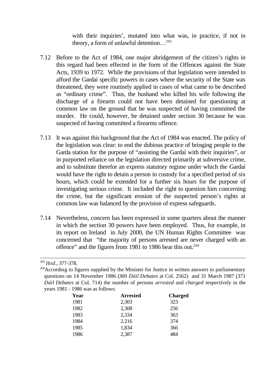with their inquiries', mutated into what was, in practice, if not in theory, a form of unlawful detention...<sup>293</sup>

- 7.12 Before to the Act of 1984, one major abridgement of the citizen's rights in this regard had been effected in the form of the Offences against the State Acts, 1939 to 1972. While the provisions of that legislation were intended to afford the Gardaí specific powers in cases where the security of the State was threatened, they were routinely applied in cases of what came to be described as "ordinary crime". Thus, the husband who killed his wife following the discharge of a firearm could not have been detained for questioning at common law on the ground that he was suspected of having committed the murder. He could, however, be detained under section 30 because he was suspected of having committed a firearms offence.
- 7.13 It was against this background that the Act of 1984 was enacted. The policy of the legislation was clear: to end the dubious practice of bringing people to the Garda station for the purpose of "assisting the Gardaí with their inquiries", or in purported reliance on the legislation directed primarily at subversive crime, and to substitute therefor an express statutory regime under which the Gardaí would have the right to detain a person in custody for a specified period of six hours, which could be extended for a further six hours for the purpose of investigating serious crime. It included the right to question him concerning the crime, but the significant erosion of the suspected person's rights at common law was balanced by the provision of express safeguards.
- 7.14 Nevertheless, concern has been expressed in some quarters about the manner in which the section 30 powers have been employed. Thus, for example, in its report on Ireland in July 2000, the UN Human Rights Committee was concerned that "the majority of persons arrested are never charged with an offence" and the figures from 1981 to 1986 bear this out.<sup>294</sup>

| <sup>294</sup> According to figures supplied by the Minister for Justice in written answers to parliamentary                                       |                 |                |  |
|----------------------------------------------------------------------------------------------------------------------------------------------------|-----------------|----------------|--|
| questions on 14 November 1986 (369 <i>Dáil Debates</i> at Col. 2562) and 31 March 1987 (371                                                        |                 |                |  |
| <i>Dáil Debates</i> at Col. 714) the number of persons <i>arrested</i> and <i>charged</i> respectively in the<br>years 1981 - 1986 was as follows: |                 |                |  |
| Year                                                                                                                                               | <b>Arrested</b> | <b>Charged</b> |  |
| 1981                                                                                                                                               | 2,303           | 323            |  |
| 1982                                                                                                                                               | 2,308           | 256            |  |
| 1983                                                                                                                                               | 2,334           | 363            |  |
| 1984                                                                                                                                               | 2.216           | 374            |  |
| 1985                                                                                                                                               | 1,834           | 366            |  |

1986 2,387 484

<sup>293</sup> *Ibid*., 377-378.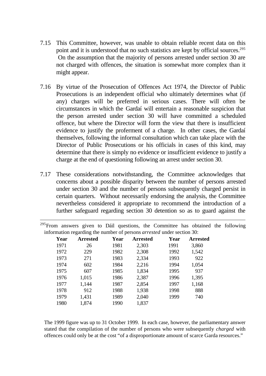- 7.15 This Committee, however, was unable to obtain reliable recent data on this point and it is understood that no such statistics are kept by official sources.<sup>295</sup> On the assumption that the majority of persons arrested under section 30 are not charged with offences, the situation is somewhat more complex than it might appear.
- 7.16 By virtue of the Prosecution of Offences Act 1974, the Director of Public Prosecutions is an independent official who ultimately determines what (if any) charges will be preferred in serious cases. There will often be circumstances in which the Gardaí will entertain a reasonable suspicion that the person arrested under section 30 will have committed a scheduled offence, but where the Director will form the view that there is insufficient evidence to justify the proferment of a charge. In other cases, the Gardaí themselves, following the informal consultation which can take place with the Director of Public Prosecutions or his officials in cases of this kind, may determine that there is simply no evidence or insufficient evidence to justify a charge at the end of questioning following an arrest under section 30.
- 7.17 These considerations notwithstanding, the Committee acknowledges that concerns about a possible disparity between the number of persons arrested under section 30 and the number of persons subsequently charged persist in certain quarters. Without necessarily endorsing the analysis, the Committee nevertheless considered it appropriate to recommend the introduction of a further safeguard regarding section 30 detention so as to guard against the

| fromation regarding the number of persons <i>arrested</i> under section 30: |                 |      |                 |      |                 |  |
|-----------------------------------------------------------------------------|-----------------|------|-----------------|------|-----------------|--|
| Year                                                                        | <b>Arrested</b> | Year | <b>Arrested</b> | Year | <b>Arrested</b> |  |
| 1971                                                                        | 26              | 1981 | 2,303           | 1991 | 3,860           |  |
| 1972                                                                        | 229             | 1982 | 2,308           | 1992 | 1,542           |  |
| 1973                                                                        | 271             | 1983 | 2,334           | 1993 | 922             |  |
| 1974                                                                        | 602             | 1984 | 2,216           | 1994 | 1,054           |  |
| 1975                                                                        | 607             | 1985 | 1,834           | 1995 | 937             |  |
| 1976                                                                        | 1,015           | 1986 | 2,387           | 1996 | 1,395           |  |
| 1977                                                                        | 1,144           | 1987 | 2,854           | 1997 | 1,168           |  |
| 1978                                                                        | 912             | 1988 | 1,938           | 1998 | 888             |  |
| 1979                                                                        | 1,431           | 1989 | 2,040           | 1999 | 740             |  |
| 1980                                                                        | 1,874           | 1990 | 1,837           |      |                 |  |

<sup>295</sup>From answers given to Dáil questions, the Committee has obtained the following information regarding the number of persons *arrested* under section 30:

The 1999 figure was up to 31 October 1999. In each case, however, the parliamentary answer stated that the compilation of the number of persons who were subsequently *charged* with offences could only be at the cost "of a disproportionate amount of scarce Garda resources."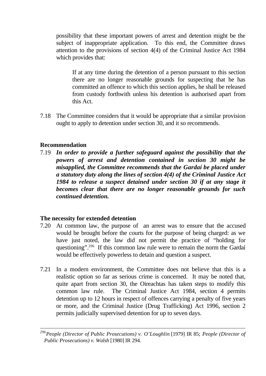possibility that these important powers of arrest and detention might be the subject of inappropriate application. To this end, the Committee draws attention to the provisions of section 4(4) of the Criminal Justice Act 1984 which provides that:

If at any time during the detention of a person pursuant to this section there are no longer reasonable grounds for suspecting that he has committed an offence to which this section applies, he shall be released from custody forthwith unless his detention is authorised apart from this Act.

7.18 The Committee considers that it would be appropriate that a similar provision ought to apply to detention under section 30, and it so recommends.

# **Recommendation**

7.19 *In order to provide a further safeguard against the possibility that the powers of arrest and detention contained in section 30 might be misapplied, the Committee recommends that the Gardaí be placed under a statutory duty along the lines of section 4(4) of the Criminal Justice Act 1984 to release a suspect detained under section 30 if at any stage it becomes clear that there are no longer reasonable grounds for such continued detention.*

# **The necessity for extended detention**

- 7.20 At common law, the purpose of an arrest was to ensure that the accused would be brought before the courts for the purpose of being charged: as we have just noted, the law did not permit the practice of "holding for questioning".<sup>296</sup> If this common law rule were to remain the norm the Gardaí would be effectively powerless to detain and question a suspect.
- 7.21 In a modern environment, the Committee does not believe that this is a realistic option so far as serious crime is concerned. It may be noted that, quite apart from section 30, the Oireachtas has taken steps to modify this common law rule. The Criminal Justice Act 1984, section 4 permits detention up to 12 hours in respect of offences carrying a penalty of five years or more, and the Criminal Justice (Drug Trafficking) Act 1996, section 2 permits judicially supervised detention for up to seven days.

<sup>296</sup>*People (Director of Public Prosecutions) v. O'Loughlin* [1979] IR 85; *People (Director of Public Prosecutions) v. Walsh* [1980] IR 294.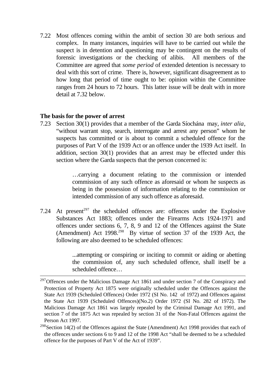7.22 Most offences coming within the ambit of section 30 are both serious and complex. In many instances, inquiries will have to be carried out while the suspect is in detention and questioning may be contingent on the results of forensic investigations or the checking of alibis. All members of the Committee are agreed that *some period* of extended detention is necessary to deal with this sort of crime. There is, however, significant disagreement as to how long that period of time ought to be: opinion within the Committee ranges from 24 hours to 72 hours. This latter issue will be dealt with in more detail at 7.32 below.

## **The basis for the power of arrest**

7.23 Section 30(1) provides that a member of the Garda Síochána may, *inter alia*, "without warrant stop, search, interrogate and arrest any person" whom he suspects has committed or is about to commit a scheduled offence for the purposes of Part V of the 1939 Act or an offence under the 1939 Act itself. In addition, section 30(1) provides that an arrest may be effected under this section where the Garda suspects that the person concerned is:

> …carrying a document relating to the commission or intended commission of any such offence as aforesaid or whom he suspects as being in the possession of information relating to the commission or intended commission of any such offence as aforesaid.

7.24 At present<sup>297</sup> the scheduled offences are: offences under the Explosive Substances Act 1883; offences under the Firearms Acts 1924-1971 and offences under sections 6, 7, 8, 9 and 12 of the Offences against the State (Amendment) Act  $1998<sup>298</sup>$  By virtue of section 37 of the 1939 Act, the following are also deemed to be scheduled offences:

> ...attempting or conspiring or inciting to commit or aiding or abetting the commission of, any such scheduled offence, shall itself be a scheduled offence…

 $297$ Offences under the Malicious Damage Act 1861 and under section 7 of the Conspiracy and Protection of Property Act 1875 were originally scheduled under the Offences against the State Act 1939 (Scheduled Offences) Order 1972 (SI No. 142 of 1972) and Offences against the State Act 1939 (Scheduled Offences)(No.2) Order 1972 (SI No. 282 of 1972). The Malicious Damage Act 1861 was largely repealed by the Criminal Damage Act 1991, and section 7 of the 1875 Act was repealed by section 31 of the Non-Fatal Offences against the Person Act 1997.

 $298$ Section 14(2) of the Offences against the State (Amendment) Act 1998 provides that each of the offences under sections 6 to 9 and 12 of the 1998 Act "shall be deemed to be a scheduled offence for the purposes of Part V of the Act of 1939".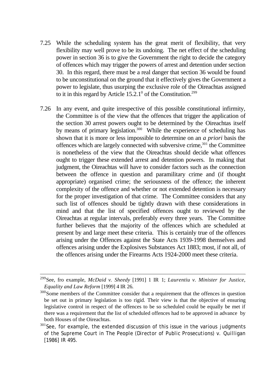- 7.25 While the scheduling system has the great merit of flexibility, that very flexibility may well prove to be its undoing. The net effect of the scheduling power in section 36 is to give the Government the right to decide the category of offences which may trigger the powers of arrest and detention under section 30. In this regard, there must be a real danger that section 36 would be found to be unconstitutional on the ground that it effectively gives the Government a power to legislate, thus usurping the exclusive role of the Oireachtas assigned to it in this regard by Article  $15.2.1^\circ$  of the Constitution.<sup>299</sup>
- 7.26 In any event, and quite irrespective of this possible constitutional infirmity, the Committee is of the view that the offences that trigger the application of the section 30 arrest powers ought to be determined by the Oireachtas itself by means of primary legislation.<sup>300</sup> While the experience of scheduling has shown that it is more or less impossible to determine on an *a priori* basis the offences which are largely connected with subversive crime,<sup>301</sup> the Committee is nonetheless of the view that the Oireachtas should decide what offences ought to trigger these extended arrest and detention powers. In making that judgment, the Oireachtas will have to consider factors such as the connection between the offence in question and paramilitary crime and (if thought appropriate) organised crime; the seriousness of the offence; the inherent complexity of the offence and whether or not extended detention is necessary for the proper investigation of that crime. The Committee considers that any such list of offences should be tightly drawn with these considerations in mind and that the list of specified offences ought to reviewed by the Oireachtas at regular intervals, preferably every three years. The Committee further believes that the majority of the offences which are scheduled at present by and large meet these criteria. This is certainly true of the offences arising under the Offences against the State Acts 1939-1998 themselves and offences arising under the Explosives Substances Act 1883; most, if not all, of the offences arising under the Firearms Acts 1924-2000 meet these criteria.

<sup>299</sup>See, fro example, *McDaid v. Sheedy* [1991] 1 IR 1; *Laurentiu v. Minister for Justice, Equality and Law Reform* [1999] 4 IR 26.

<sup>&</sup>lt;sup>300</sup>Some members of the Committee consider that a requirement that the offences in question be set out in primary legislation is too rigid. Their view is that the objective of ensuring legislative control in respect of the offences to be so scheduled could be equally be met if there was a requirement that the list of scheduled offences had to be approved in advance by both Houses of the Oireachtas.

 $301$  See, for example, the extended discussion of this issue in the various judgments of the Supreme Court in *The People (Director of Public Prosecutions) v. Quilligan* [1986] IR 495.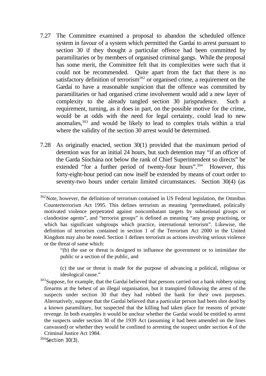- 7.27 The Committee examined a proposal to abandon the scheduled offence system in favour of a system which permitted the Gardaí to arrest pursuant to section 30 if they thought a particular offence had been committed by paramilitaries or by members of organised criminal gangs. While the proposal has some merit, the Committee felt that its complexities were such that it could not be recommended. Quite apart from the fact that there is no satisfactory definition of terrorism<sup>302</sup> or organised crime, a requirement on the Gardaí to have a reasonable suspicion that the offence was committed by paramilitaries or had organised crime involvement would add a new layer of complexity to the already tangled section 30 jurisprudence. Such a requirement, turning, as it does in part, on the possible motive for the crime, would be at odds with the need for legal certainty, could lead to new anomalies,<sup>303</sup> and would be likely to lead to complex trials within a trial where the validity of the section 30 arrest would be determined.
- 7.28 As originally enacted, section 30(1) provided that the maximum period of detention was for an initial 24 hours, but such detention may "if an officer of the Garda Síochána not below the rank of Chief Superintendent so directs" be extended "for a further period of twenty-four hours".<sup>304</sup> However, this forty-eight-hour period can now itself be extended by means of court order to seventy-two hours under certain limited circumstances. Section 30(4) (as

"(b) the use or threat is designed to influence the government or to intimidate the public or a section of the public, and

(c) the use or threat is made for the purpose of advancing a political, religious or ideological cause."

<sup>&</sup>lt;sup>302</sup>Note, however, the definition of terrorism contained in US Federal legislation, the Omnibus Counterterrorism Act 1995. This defines terrorism as meaning "premeditated, politically motivated violence perpetrated against noncombatant targets by subnational groups or clandestine agents", and "terrorist groups" is defined as meaning "any group practising, or which has significant subgroups which practice, international terrorism". Likewise, the definition of terrorism contained in section 1 of the Terrorism Act 2000 in the United Kingdom may also be noted. Section 1 defines terrorism as actions involving serious violence or the threat of same which:

<sup>&</sup>lt;sup>303</sup>Suppose, for example, that the Gardaí believed that persons carried out a bank robbery using firearms at the behest of an illegal organisation, but it transpired following the arrest of the suspects under section 30 that they had robbed the bank for their own purposes. Alternatively, suppose that the Gardaí believed that a particular person had been shot dead by a known paramilitary, but suspected that the killing had taken place for reasons of private revenge. In both examples it would be unclear whether the Gardaí would be entitled to arrest the suspects under section 30 of the 1939 Act (assuming it had been amended on the lines canvassed) or whether they would be confined to arresting the suspect under section 4 of the Criminal Justice Act 1984.

 $304$ Section 30(3).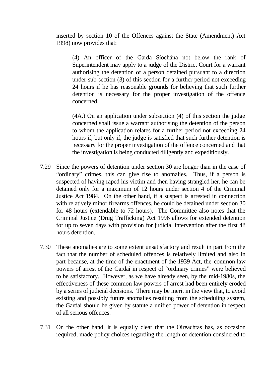inserted by section 10 of the Offences against the State (Amendment) Act 1998) now provides that:

(4) An officer of the Garda Síochána not below the rank of Superintendent may apply to a judge of the District Court for a warrant authorising the detention of a person detained pursuant to a direction under sub-section (3) of this section for a further period not exceeding 24 hours if he has reasonable grounds for believing that such further detention is necessary for the proper investigation of the offence concerned.

(4A.) On an application under subsection (4) of this section the judge concerned shall issue a warrant authorising the detention of the person to whom the application relates for a further period not exceeding 24 hours if, but only if, the judge is satisfied that such further detention is necessary for the proper investigation of the offence concerned and that the investigation is being conducted diligently and expeditiously.

- 7.29 Since the powers of detention under section 30 are longer than in the case of "ordinary" crimes, this can give rise to anomalies. Thus, if a person is suspected of having raped his victim and then having strangled her, he can be detained only for a maximum of 12 hours under section 4 of the Criminal Justice Act 1984. On the other hand, if a suspect is arrested in connection with relatively minor firearms offences, he could be detained under section 30 for 48 hours (extendable to 72 hours). The Committee also notes that the Criminal Justice (Drug Trafficking) Act 1996 allows for extended detention for up to seven days with provision for judicial intervention after the first 48 hours detention.
- 7.30 These anomalies are to some extent unsatisfactory and result in part from the fact that the number of scheduled offences is relatively limited and also in part because, at the time of the enactment of the 1939 Act, the common law powers of arrest of the Gardaí in respect of "ordinary crimes" were believed to be satisfactory. However, as we have already seen, by the mid-1980s, the effectiveness of these common law powers of arrest had been entirely eroded by a series of judicial decisions. There may be merit in the view that, to avoid existing and possibly future anomalies resulting from the scheduling system, the Gardaí should be given by statute a unified power of detention in respect of all serious offences.
- 7.31 On the other hand, it is equally clear that the Oireachtas has, as occasion required, made policy choices regarding the length of detention considered to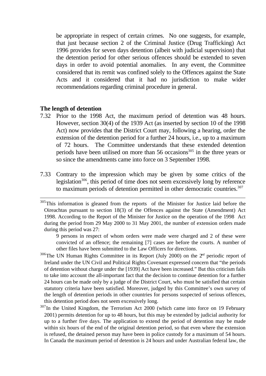be appropriate in respect of certain crimes. No one suggests, for example, that just because section 2 of the Criminal Justice (Drug Trafficking) Act 1996 provides for seven days detention (albeit with judicial supervision) that the detention period for other serious offences should be extended to seven days in order to avoid potential anomalies. In any event, the Committee considered that its remit was confined solely to the Offences against the State Acts and it considered that it had no jurisdiction to make wider recommendations regarding criminal procedure in general.

#### **The length of detention**

- 7.32 Prior to the 1998 Act, the maximum period of detention was 48 hours. However, section 30(4) of the 1939 Act (as inserted by section 10 of the 1998 Act) now provides that the District Court may, following a hearing, order the extension of the detention period for a further 24 hours, i.e., up to a maximum of 72 hours. The Committee understands that these extended detention periods have been utilised on more than  $56$  occasions<sup>305</sup> in the three years or so since the amendments came into force on 3 September 1998.
- 7.33 Contrary to the impression which may be given by some critics of the legislation $306$ , this period of time does not seem excessively long by reference to maximum periods of detention permitted in other democratic countries.<sup>307</sup>

9 persons in respect of whom orders were made were charged and 2 of these were convicted of an offence; the remaining [7] cases are before the courts. A number of other files have been submitted to the Law Officers for directions.

- $306$ The UN Human Rights Committee in its Report (July 2000) on the  $2<sup>nd</sup>$  periodic report of Ireland under the UN Civil and Political Rights Covenant expressed concern that "the periods of detention without charge under the [1939] Act have been increased." But this criticism fails to take into account the all-important fact that the decision to continue detention for a further 24 hours can be made only by a judge of the District Court, who must be satisfied that certain statutory criteria have been satisfied. Moreover, judged by this Committee's own survey of the length of detention periods in other countries for persons suspected of serious offences, this detention period does not seem excessively long.
- <sup>307</sup>In the United Kingdom, the Terrorism Act 2000 (which came into force on 19 February 2001) permits detention for up to 48 hours, but this may be extended by judicial authority for up to a further five days. The application to extend the period of detention may be made within six hours of the end of the original detention period, so that even where the extension is refused, the detained person may have been in police custody for a maximum of 54 hours. In Canada the maximum period of detention is 24 hours and under Australian federal law, the

<sup>&</sup>lt;sup>305</sup>This information is gleaned from the reports of the Minister for Justice laid before the Oireachtas pursuant to section 18(3) of the Offences against the State (Amendment) Act 1998. According to the Report of the Minister for Justice on the operation of the 1998 Act during the period from 29 May 2000 to 31 May 2001, the number of extension orders made during this period was 27: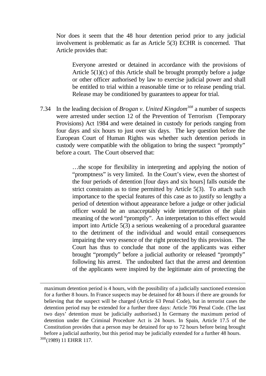Nor does it seem that the 48 hour detention period prior to any judicial involvement is problematic as far as Article 5(3) ECHR is concerned. That Article provides that:

Everyone arrested or detained in accordance with the provisions of Article  $5(1)(c)$  of this Article shall be brought promptly before a judge or other officer authorised by law to exercise judicial power and shall be entitled to trial within a reasonable time or to release pending trial. Release may be conditioned by guarantees to appear for trial.

7.34 In the leading decision of *Brogan v. United Kingdom<sup>308</sup>* a number of suspects were arrested under section 12 of the Prevention of Terrorism (Temporary Provisions) Act 1984 and were detained in custody for periods ranging from four days and six hours to just over six days. The key question before the European Court of Human Rights was whether such detention periods in custody were compatible with the obligation to bring the suspect "promptly" before a court. The Court observed that:

> …the scope for flexibility in interpreting and applying the notion of "promptness" is very limited. In the Court's view, even the shortest of the four periods of detention [four days and six hours] falls outside the strict constraints as to time permitted by Article 5(3). To attach such importance to the special features of this case as to justify so lengthy a period of detention without appearance before a judge or other judicial officer would be an unacceptably wide interpretation of the plain meaning of the word "promptly". An interpretation to this effect would import into Article 5(3) a serious weakening of a procedural guarantee to the detriment of the individual and would entail consequences impairing the very essence of the right protected by this provision. The Court has thus to conclude that none of the applicants was either brought "promptly" before a judicial authority or released "promptly" following his arrest. The undoubted fact that the arrest and detention of the applicants were inspired by the legitimate aim of protecting the

<sup>308</sup>(1989) 11 EHRR 117. maximum detention period is 4 hours, with the possibility of a judicially sanctioned extension for a further 8 hours. In France suspects may be detained for 48 hours if there are grounds for believing that the suspect will be charged (Article 63 Penal Code), but in terrorist cases the detention period may be extended for a further three days: Article 706 Penal Code. (The last two days' detention must be judicially authorised.) In Germany the maximum period of detention under the Criminal Procedure Act is 24 hours. In Spain, Article 17.5 of the Constitution provides that a person may be detained for up to 72 hours before being brought before a judicial authority, but this period may be judicially extended for a further 48 hours.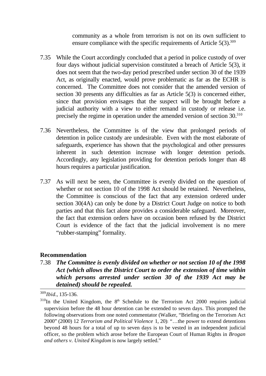community as a whole from terrorism is not on its own sufficient to ensure compliance with the specific requirements of Article  $5(3).^{309}$ 

- 7.35 While the Court accordingly concluded that a period in police custody of over four days without judicial supervision constituted a breach of Article 5(3), it does not seem that the two-day period prescribed under section 30 of the 1939 Act, as originally enacted, would prove problematic as far as the ECHR is concerned. The Committee does not consider that the amended version of section 30 presents any difficulties as far as Article 5(3) is concerned either, since that provision envisages that the suspect will be brought before a judicial authority with a view to either remand in custody or release i.e. precisely the regime in operation under the amended version of section 30.<sup>310</sup>
- 7.36 Nevertheless, the Committee is of the view that prolonged periods of detention in police custody are undesirable. Even with the most elaborate of safeguards, experience has shown that the psychological and other pressures inherent in such detention increase with longer detention periods. Accordingly, any legislation providing for detention periods longer than 48 hours requires a particular justification.
- 7.37 As will next be seen, the Committee is evenly divided on the question of whether or not section 10 of the 1998 Act should be retained. Nevertheless, the Committee is conscious of the fact that any extension ordered under section 30(4A) can only be done by a District Court Judge on notice to both parties and that this fact alone provides a considerable safeguard. Moreover, the fact that extension orders have on occasion been refused by the District Court is evidence of the fact that the judicial involvement is no mere "rubber-stamping" formality.

### **Recommendation**

7.38 *The Committee is evenly divided on whether or not section 10 of the 1998 Act (which allows the District Court to order the extension of time within which persons arrested under section 30 of the 1939 Act may be detained) should be repealed.*

<sup>309</sup>*Ibid.*, 135-136.

 $310$ In the United Kingdom, the 8<sup>th</sup> Schedule to the Terrorism Act 2000 requires judicial supervision before the 48 hour detention can be extended to seven days. This prompted the following observations from one noted commentator (Walker, "Briefing on the Terrorism Act 2000" (2000) 12 *Terrorism and Political Violence* 1, 20): "…the power to extend detentions beyond 48 hours for a total of up to seven days is to be vested in an independent judicial officer, so the problem which arose before the European Court of Human Rights in *Brogan and others v. United Kingdom* is now largely settled."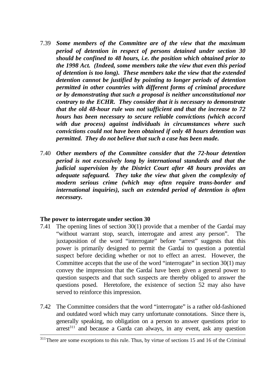- 7.39 *Some members of the Committee are of the view that the maximum period of detention in respect of persons detained under section 30 should be confined to 48 hours, i.e. the position which obtained prior to the 1998 Act. (Indeed, some members take the view that even this period of detention is too long). These members take the view that the extended detention cannot be justified by pointing to longer periods of detention permitted in other countries with different forms of criminal procedure or by demonstrating that such a proposal is neither unconstitutional nor contrary to the ECHR. They consider that it is necessary to demonstrate that the old 48-hour rule was not sufficient and that the increase to 72 hours has been necessary to secure reliable convictions (which accord with due process) against individuals in circumstances where such convictions could not have been obtained if only 48 hours detention was permitted. They do not believe that such a case has been made.*
- 7.40 *Other members of the Committee consider that the 72-hour detention period is not excessively long by international standards and that the judicial supervision by the District Court after 48 hours provides an adequate safeguard. They take the view that given the complexity of modern serious crime (which may often require trans-border and international inquiries), such an extended period of detention is often necessary.*

### **The power to interrogate under section 30**

- 7.41 The opening lines of section 30(1) provide that a member of the Gardaí may "without warrant stop, search, interrogate and arrest any person". The juxtaposition of the word "interrogate" before "arrest" suggests that this power is primarily designed to permit the Gardaí to question a potential suspect before deciding whether or not to effect an arrest. However, the Committee accepts that the use of the word "interrogate" in section 30(1) may convey the impression that the Gardaí have been given a general power to question suspects and that such suspects are thereby obliged to answer the questions posed. Heretofore, the existence of section 52 may also have served to reinforce this impression.
- 7.42 The Committee considers that the word "interrogate" is a rather old-fashioned and outdated word which may carry unfortunate connotations. Since there is, generally speaking, no obligation on a person to answer questions prior to  $arrest<sup>311</sup>$  and because a Garda can always, in any event, ask any question

 $311$ There are some exceptions to this rule. Thus, by virtue of sections 15 and 16 of the Criminal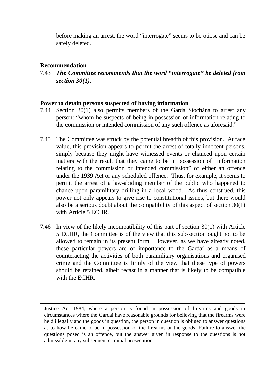before making an arrest, the word "interrogate" seems to be otiose and can be safely deleted.

## **Recommendation**

7.43 *The Committee recommends that the word "interrogate" be deleted from section 30(1).*

### **Power to detain persons suspected of having information**

- 7.44 Section 30(1) also permits members of the Garda Síochána to arrest any person: "whom he suspects of being in possession of information relating to the commission or intended commission of any such offence as aforesaid."
- 7.45 The Committee was struck by the potential breadth of this provision. At face value, this provision appears to permit the arrest of totally innocent persons, simply because they might have witnessed events or chanced upon certain matters with the result that they came to be in possession of "information relating to the commission or intended commission" of either an offence under the 1939 Act or any scheduled offence. Thus, for example, it seems to permit the arrest of a law-abiding member of the public who happened to chance upon paramilitary drilling in a local wood. As thus construed, this power not only appears to give rise to constitutional issues, but there would also be a serious doubt about the compatibility of this aspect of section 30(1) with Article 5 ECHR.
- 7.46 In view of the likely incompatibility of this part of section 30(1) with Article 5 ECHR, the Committee is of the view that this sub-section ought not to be allowed to remain in its present form. However, as we have already noted, these particular powers are of importance to the Gardaí as a means of counteracting the activities of both paramilitary organisations and organised crime and the Committee is firmly of the view that these type of powers should be retained, albeit recast in a manner that is likely to be compatible with the ECHR.

Justice Act 1984, where a person is found in possession of firearms and goods in circumstances where the Gardaí have reasonable grounds for believing that the firearms were held illegally and the goods in question, the person in question is obliged to answer questions as to how he came to be in possession of the firearms or the goods. Failure to answer the questions posed is an offence, but the answer given in response to the questions is not admissible in any subsequent criminal prosecution.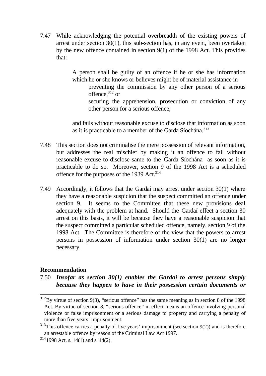7.47 While acknowledging the potential overbreadth of the existing powers of arrest under section 30(1), this sub-section has, in any event, been overtaken by the new offence contained in section 9(1) of the 1998 Act. This provides that:

> A person shall be guilty of an offence if he or she has information which he or she knows or believes might be of material assistance in

preventing the commission by any other person of a serious offence,<sup>312</sup> or

securing the apprehension, prosecution or conviction of any other person for a serious offence,

and fails without reasonable excuse to disclose that information as soon as it is practicable to a member of the Garda Síochána.<sup>313</sup>

- 7.48 This section does not criminalise the mere possession of relevant information, but addresses the real mischief by making it an offence to fail without reasonable excuse to disclose same to the Garda Síochána as soon as it is practicable to do so. Moreover, section 9 of the 1998 Act is a scheduled offence for the purposes of the 1939 Act.<sup>314</sup>
- 7.49 Accordingly, it follows that the Gardaí may arrest under section 30(1) where they have a reasonable suspicion that the suspect committed an offence under section 9. It seems to the Committee that these new provisions deal adequately with the problem at hand. Should the Gardaí effect a section 30 arrest on this basis, it will be because they have a reasonable suspicion that the suspect committed a particular scheduled offence, namely, section 9 of the 1998 Act. The Committee is therefore of the view that the powers to arrest persons in possession of information under section 30(1) are no longer necessary.

### **Recommendation**

7.50 *Insofar as section 30(1) enables the Gardaí to arrest persons simply because they happen to have in their possession certain documents or*

 $312$ By virtue of section 9(3), "serious offence" has the same meaning as in section 8 of the 1998 Act. By virtue of section 8, "serious offence" in effect means an offence involving personal violence or false imprisonment or a serious damage to property and carrying a penalty of more than five years' imprisonment.

 $313$ This offence carries a penalty of five years' imprisonment (see section 9(2)) and is therefore an arrestable offence by reason of the Criminal Law Act 1997.

 $314$ 1998 Act, s. 14(1) and s. 14(2).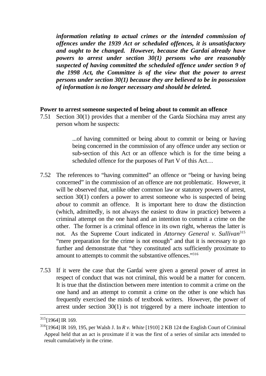*information relating to actual crimes or the intended commission of offences under the 1939 Act or scheduled offences, it is unsatisfactory and ought to be changed. However, because the Gardaí already have powers to arrest under section 30(1) persons who are reasonably suspected of having committed the scheduled offence under section 9 of the 1998 Act, the Committee is of the view that the power to arrest persons under section 30(1) because they are believed to be in possession of information is no longer necessary and should be deleted.* 

### **Power to arrest someone suspected of being about to commit an offence**

7.51 Section 30(1) provides that a member of the Garda Síochána may arrest any person whom he suspects:

> ...of having committed or being about to commit or being or having being concerned in the commission of any offence under any section or sub-section of this Act or an offence which is for the time being a scheduled offence for the purposes of Part V of this Act…

- 7.52 The references to "having committed" an offence or "being or having being concerned" in the commission of an offence are not problematic. However, it will be observed that, unlike other common law or statutory powers of arrest, section 30(1) confers a power to arrest someone who is suspected of being *about* to commit an offence. It is important here to draw the distinction (which, admittedly, is not always the easiest to draw in practice) between a criminal attempt on the one hand and an intention to commit a crime on the other. The former is a criminal offence in its own right, whereas the latter is not. As the Supreme Court indicated in *Attorney General v. Sullivan*<sup>315</sup> "mere preparation for the crime is not enough" and that it is necessary to go further and demonstrate that "they constituted acts sufficiently proximate to amount to attempts to commit the substantive offences."<sup>316</sup>
- 7.53 If it were the case that the Gardaí were given a general power of arrest in respect of conduct that was not criminal, this would be a matter for concern. It is true that the distinction between mere intention to commit a crime on the one hand and an attempt to commit a crime on the other is one which has frequently exercised the minds of textbook writers. However, the power of arrest under section 30(1) is not triggered by a mere inchoate intention to

 $315$ [1964] IR 169.

<sup>316</sup>[1964] IR 169, 195, per Walsh J. In *R v. White* [1910] 2 KB 124 the English Court of Criminal Appeal held that an act is proximate if it was the first of a series of similar acts intended to result cumulatively in the crime.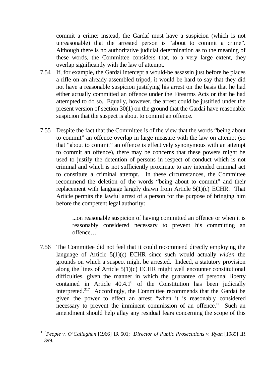commit a crime: instead, the Gardaí must have a suspicion (which is not unreasonable) that the arrested person is "about to commit a crime". Although there is no authoritative judicial determination as to the meaning of these words, the Committee considers that, to a very large extent, they overlap significantly with the law of attempt.

- 7.54 If, for example, the Gardaí intercept a would-be assassin just before he places a rifle on an already-assembled tripod, it would be hard to say that they did not have a reasonable suspicion justifying his arrest on the basis that he had either actually committed an offence under the Firearms Acts or that he had attempted to do so. Equally, however, the arrest could be justified under the present version of section 30(1) on the ground that the Gardaí have reasonable suspicion that the suspect is about to commit an offence.
- 7.55 Despite the fact that the Committee is of the view that the words "being about to commit" an offence overlap in large measure with the law on attempt (so that "about to commit" an offence is effectively synonymous with an attempt to commit an offence), there may be concerns that these powers might be used to justify the detention of persons in respect of conduct which is not criminal and which is not sufficiently proximate to any intended criminal act to constitute a criminal attempt. In these circumstances, the Committee recommend the deletion of the words "being about to commit" and their replacement with language largely drawn from Article 5(1)(c) ECHR. That Article permits the lawful arrest of a person for the purpose of bringing him before the competent legal authority:

...on reasonable suspicion of having committed an offence or when it is reasonably considered necessary to prevent his committing an offence…

7.56 The Committee did not feel that it could recommend directly employing the language of Article 5(1)(c) ECHR since such would actually *widen* the grounds on which a suspect might be arrested. Indeed, a statutory provision along the lines of Article 5(1)(c) ECHR might well encounter constitutional difficulties, given the manner in which the guarantee of personal liberty contained in Article  $40.4.1<sup>0</sup>$  of the Constitution has been judicially interpreted.<sup>317</sup> Accordingly, the Committee recommends that the Gardaí be given the power to effect an arrest "when it is reasonably considered necessary to prevent the imminent commission of an offence." Such an amendment should help allay any residual fears concerning the scope of this

<sup>317</sup>*People v. O'Callaghan* [1966] IR 501; *Director of Public Prosecutions v. Ryan* [1989] IR 399.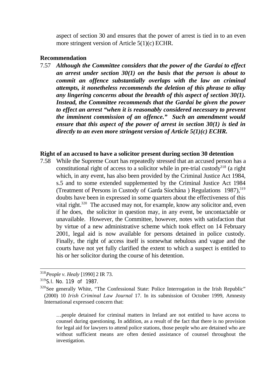aspect of section 30 and ensures that the power of arrest is tied in to an even more stringent version of Article 5(1)(c) ECHR.

### **Recommendation**

7.57 *Although the Committee considers that the power of the Gardaí to effect an arrest under section 30(1) on the basis that the person is about to commit an offence substantially overlaps with the law on criminal attempts, it nonetheless recommends the deletion of this phrase to allay any lingering concerns about the breadth of this aspect of section 30(1). Instead, the Committee recommends that the Gardaí be given the power to effect an arrest "when it is reasonably considered necessary to prevent the imminent commission of an offence." Such an amendment would ensure that this aspect of the power of arrest in section 30(1) is tied in directly to an even more stringent version of Article 5(1)(c) ECHR.*

#### **Right of an accused to have a solicitor present during section 30 detention**

7.58 While the Supreme Court has repeatedly stressed that an accused person has a constitutional right of access to a solicitor while in pre-trial custody<sup>318</sup> (a right which, in any event, has also been provided by the Criminal Justice Act 1984, s.5 and to some extended supplemented by the Criminal Justice Act 1984 (Treatment of Persons in Custody of Garda Síochána) Regulations  $1987$ <sup>319</sup> doubts have been in expressed in some quarters about the effectiveness of this vital right.<sup>320</sup> The accused may not, for example, know any solicitor and, even if he does, the solicitor in question may, in any event, be uncontactable or unavailable. However, the Committee, however, notes with satisfaction that by virtue of a new administrative scheme which took effect on 14 February 2001, legal aid is now available for persons detained in police custody. Finally, the right of access itself is somewhat nebulous and vague and the courts have not yet fully clarified the extent to which a suspect is entitled to his or her solicitor during the course of his detention.

…people detained for criminal matters in Ireland are not entitled to have access to counsel during questioning. In addition, as a result of the fact that there is no provision for legal aid for lawyers to attend police stations, those people who are detained who are without sufficient means are often denied assistance of counsel throughout the investigation.

<sup>318</sup>*People v. Healy* [1990] 2 IR 73.

<sup>319</sup>S.I. No. 119 of 1987.

<sup>&</sup>lt;sup>320</sup>See generally White, "The Confessional State: Police Interrogation in the Irish Republic" (2000) 10 *Irish Criminal Law Journal* 17. In its submission of October 1999, Amnesty International expressed concern that: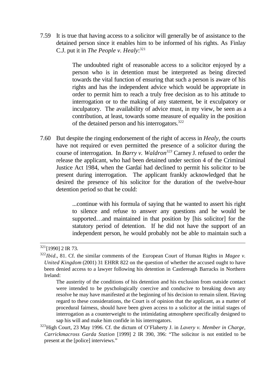7.59 It is true that having access to a solicitor will generally be of assistance to the detained person since it enables him to be informed of his rights. As Finlay C.J. put it in *The People v. Healy*: 321

> The undoubted right of reasonable access to a solicitor enjoyed by a person who is in detention must be interpreted as being directed towards the vital function of ensuring that such a person is aware of his rights and has the independent advice which would be appropriate in order to permit him to reach a truly free decision as to his attitude to interrogation or to the making of any statement, be it exculpatory or inculpatory. The availability of advice must, in my view, be seen as a contribution, at least, towards some measure of equality in the position of the detained person and his interrogators.<sup>322</sup>

7.60 But despite the ringing endorsement of the right of access in *Healy*, the courts have not required or even permitted the presence of a solicitor during the course of interrogation. In *Barry v. Waldron<sup>323</sup>* Carney J. refused to order the release the applicant, who had been detained under section 4 of the Criminal Justice Act 1984, when the Gardaí had declined to permit his solicitor to be present during interrogation. The applicant frankly acknowledged that he desired the presence of his solicitor for the duration of the twelve-hour detention period so that he could:

> ...continue with his formula of saying that he wanted to assert his right to silence and refuse to answer any questions and he would be supported…and maintained in that position by [his solicitor] for the statutory period of detention. If he did not have the support of an independent person, he would probably not be able to maintain such a

 $321$ [1990] 2 IR 73.

<sup>322</sup>*Ibid*., 81. Cf. the similar comments of the European Court of Human Rights in *Magee v. United Kingdom* (2001) 31 EHRR 822 on the question of whether the accused ought to have been denied access to a lawyer following his detention in Castlereagh Barracks in Northern Ireland:

The austerity of the conditions of his detention and his exclusion from outside contact were intended to be pyschologically coercive and conducive to breaking down any resolve he may have manifested at the beginning of his decision to remain silent. Having regard to these considerations, the Court is of opinion that the applicant, as a matter of procedural fairness, should have been given access to a solicitor at the initial stages of interrogation as a counterweight to the intimidating atmosphere specifically designed to sap his will and make him confide in his interrogators.

<sup>323</sup>High Court, 23 May 1996. Cf. the dictum of O'Flaherty J. in *Lavery v. Member in Charge, Carrickmacross Garda Station* [1999] 2 IR 390, 396: "The solicitor is not entitled to be present at the [police] interviews."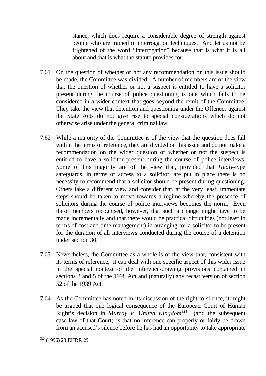stance, which does require a considerable degree of strength against people who are trained in interrogation techniques. And let us not be frightened of the word "interrogation" because that is what it is all about and that is what the statute provides for.

- 7.61 On the question of whether or not any recommendation on this issue should be made, the Committee was divided. A number of members are of the view that the question of whether or not a suspect is entitled to have a solicitor present during the course of police questioning is one which falls to be considered in a wider context that goes beyond the remit of the Committee. They take the view that detention and questioning under the Offences against the State Acts do not give rise to special considerations which do not otherwise arise under the general criminal law.
- 7.62 While a majority of the Committee is of the view that the question does fall within the terms of reference, they are divided on this issue and do not make a recommendation on the wider question of whether or not the suspect is entitled to have a solicitor present during the course of police interviews. Some of this majority are of the view that, provided that *Healy*-type safeguards, in terms of access to a solicitor, are put in place there is no necessity to recommend that a solicitor should be present during questioning. Others take a different view and consider that, at the very least, immediate steps should be taken to move towards a regime whereby the presence of solicitors during the course of police interviews becomes the norm. Even these members recognised, however, that such a change might have to be made incrementally and that there would be practical difficulties (not least in terms of cost and time management) in arranging for a solicitor to be present for the duration of all interviews conducted during the course of a detention under section 30.
- 7.63 Nevertheless, the Committee as a whole is of the view that, consistent with its terms of reference, it can deal with one specific aspect of this wider issue in the special context of the inference-drawing provisions contained in sections 2 and 5 of the 1998 Act and (naturally) any recast version of section 52 of the 1939 Act.
- 7.64 As the Committee has noted in its discussion of the right to silence, it might be argued that one logical consequence of the European Court of Human Right's decision in *Murray v. United Kingdom*<sup>324</sup> (and the subsequent case-law of that Court) is that no inference can properly or fairly be drawn from an accused's silence before he has had an opportunity to take appropriate

<sup>324</sup>(1996) 23 EHRR 29.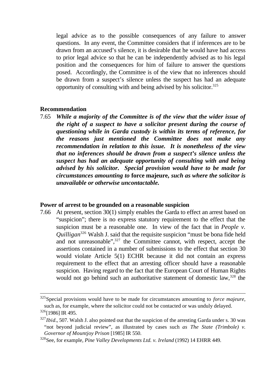legal advice as to the possible consequences of any failure to answer questions. In any event, the Committee considers that if inferences are to be drawn from an accused's silence, it is desirable that he would have had access to prior legal advice so that he can be independently advised as to his legal position and the consequences for him of failure to answer the questions posed. Accordingly, the Committee is of the view that no inferences should be drawn from a suspect's silence unless the suspect has had an adequate opportunity of consulting with and being advised by his solicitor. $325$ 

#### **Recommendation**

7.65 *While a majority of the Committee is of the view that the wider issue of the right of a suspect to have a solicitor present during the course of questioning while in Garda custody is within its terms of reference, for the reasons just mentioned the Committee does not make any recommendation in relation to this issue. It is nonetheless of the view that no inferences should be drawn from a suspect's silence unless the suspect has had an adequate opportunity of consulting with and being advised by his solicitor. Special provision would have to be made for circumstances amounting to* **force majeure***, such as where the solicitor is unavailable or otherwise uncontactable.*

#### **Power of arrest to be grounded on a reasonable suspicion**

7.66 At present, section 30(1) simply enables the Garda to effect an arrest based on "suspicion"; there is no express statutory requirement to the effect that the suspicion must be a reasonable one. In view of the fact that in *People v. Quilligan*<sup>326</sup> Walsh J. said that the requisite suspicion "must be bona fide held and not unreasonable", $327$  the Committee cannot, with respect, accept the assertions contained in a number of submissions to the effect that section 30 would violate Article 5(1) ECHR because it did not contain an express requirement to the effect that an arresting officer should have a reasonable suspicion. Having regard to the fact that the European Court of Human Rights would not go behind such an authoritative statement of domestic law,<sup>328</sup> the

 $326$ [1986] IR 495. <sup>325</sup>Special provisions would have to be made for circumstances amounting to *force majeure*, such as, for example, where the solicitor could not be contacted or was unduly delayed.

<sup>&</sup>lt;sup>327</sup>*Ibid.*, 507. Walsh J. also pointed out that the suspicion of the arresting Garda under s. 30 was "not beyond judicial review", as illustrated by cases such *as The State (Trimbole) v. Governor of Mountjoy Prison* [1985] IR 550.

<sup>328</sup>See, for example, *Pine Valley Developments Ltd. v. Ireland* (1992) 14 EHRR 449.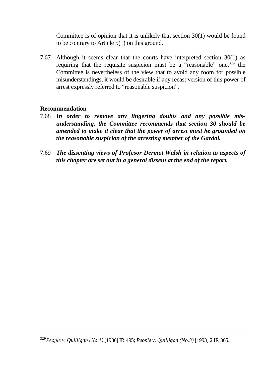Committee is of opinion that it is unlikely that section 30(1) would be found to be contrary to Article 5(1) on this ground.

7.67 Although it seems clear that the courts have interpreted section 30(1) as requiring that the requisite suspicion must be a "reasonable" one,  $329$  the Committee is nevertheless of the view that to avoid any room for possible misunderstandings, it would be desirable if any recast version of this power of arrest expressly referred to "reasonable suspicion".

## **Recommendation**

- 7.68 *In order to remove any lingering doubts and any possible misunderstanding, the Committee recommends that section 30 should be amended to make it clear that the power of arrest must be grounded on the reasonable suspicion of the arresting member of the Gardaí.*
- 7.69 *The dissenting views of Profesor Dermot Walsh in relation to aspects of this chapter are set out in a general dissent at the end of the report.*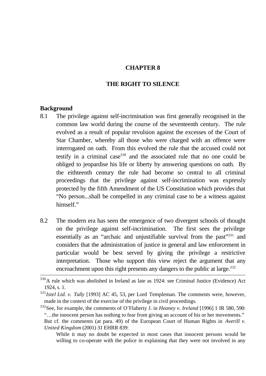## **CHAPTER 8**

# **THE RIGHT TO SILENCE**

#### **Background**

- 8.1 The privilege against self-incrimination was first generally recognised in the common law world during the course of the seventeenth century. The rule evolved as a result of popular revulsion against the excesses of the Court of Star Chamber, whereby all those who were charged with an offence were interrogated on oath. From this evolved the rule that the accused could not testify in a criminal case<sup>330</sup> and the associated rule that no one could be obliged to jeopardise his life or liberty by answering questions on oath. By the eithteenth century the rule had become so central to all criminal proceedings that the privilege against self-incrimination was expressly protected by the fifth Amendment of the US Constitution which provides that "No person...shall be compelled in any criminal case to be a witness against himself."
- 8.2 The modern era has seen the emergence of two divergent schools of thought on the privilege against self-incrimination. The first sees the privilege essentially as an "archaic and uniustifiable survival from the past"<sup>331</sup> and considers that the administration of justice in general and law enforcement in particular would be best served by giving the privilege a restrictive interpretation. Those who support this view reject the argument that any encroachment upon this right presents any dangers to the public at large.<sup>332</sup>

While it may no doubt be expected in most cases that innocent persons would be willing to co-operate with the police in explaining that they were not involved in any

<sup>330</sup>A rule which was abolished in Ireland as late as 1924: see Criminal Justice (Evidence) Act 1924, s. 1.

<sup>&</sup>lt;sup>331</sup>*Istel Ltd. v. Tully* [1993] AC 45, 53, per Lord Templeman. The comments were, however, made in the context of the exercise of the privilege in civil proceedings.

<sup>332</sup>See, for example, the comments of O'Flaherty J. in *Heaney v. Ireland* [1996] 1 IR 580, 590: "…the innocent person has nothing to fear from giving an account of his or her movements." But cf. the comments (at para. 49) of the European Court of Human Rights in *Averill v. United Kingdom* (2001) 31 EHRR 839: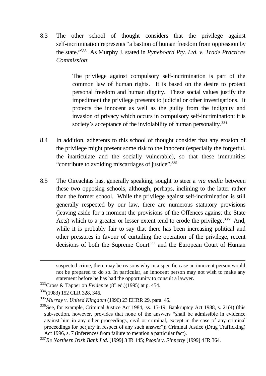8.3 The other school of thought considers that the privilege against self-incrimination represents "a bastion of human freedom from oppression by the state."<sup>333</sup> As Murphy J. stated in *Pyneboard Pty. Ltd. v. Trade Practices Commission*:

> The privilege against compulsory self-incrimination is part of the common law of human rights. It is based on the desire to protect personal freedom and human dignity. These social values justify the impediment the privilege presents to judicial or other investigations. It protects the innocent as well as the guilty from the indignity and invasion of privacy which occurs in compulsory self-incrimination: it is society's acceptance of the inviolability of human personality.<sup>334</sup>

- 8.4 In addition, adherents to this school of thought consider that any erosion of the privilege might present some risk to the innocent (especially the forgetful, the inarticulate and the socially vulnerable), so that these immunities "contribute to avoiding miscarriages of justice".<sup>335</sup>
- 8.5 The Oireachtas has, generally speaking, sought to steer a *via media* between these two opposing schools, although, perhaps, inclining to the latter rather than the former school. While the privilege against self-incrimination is still generally respected by our law, there are numerous statutory provisions (leaving aside for a moment the provisions of the Offences against the State Acts) which to a greater or lesser extent tend to erode the privilege.<sup>336</sup> And, while it is probably fair to say that there has been increasing political and other pressures in favour of curtailing the operation of the privilege, recent decisions of both the Supreme Court<sup>337</sup> and the European Court of Human

suspected crime, there may be reasons why in a specific case an innocent person would not be prepared to do so. In particular, an innocent person may not wish to make any statement before he has had the opportunity to consult a lawyer.

<sup>&</sup>lt;sup>333</sup>Cross & Tapper on *Evidence* ( $8<sup>th</sup>$  ed.)(1995) at p. 454.

<sup>334</sup>(1983) 152 CLR 328, 346.

<sup>335</sup>*Murray v. United Kingdom* (1996) 23 EHRR 29, para. 45.

 $336$ See, for example, Criminal Justice Act 1984, ss. 15-19; Bankruptcy Act 1988, s. 21(4) (this sub-section, however, provides that none of the answers "shall be admissible in evidence against him in any other proceedings, civil or criminal, except in the case of any criminal proceedings for perjury in respect of any such answer"); Criminal Justice (Drug Trafficking) Act 1996, s. 7 (inferences from failure to mention a particular fact).

<sup>337</sup>*Re Northern Irish Bank Ltd.* [1999] 3 IR 145; *People v. Finnerty* [1999] 4 IR 364.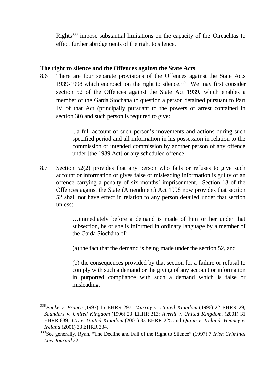Rights<sup>338</sup> impose substantial limitations on the capacity of the Oireachtas to effect further abridgements of the right to silence.

# **The right to silence and the Offences against the State Acts**

8.6 There are four separate provisions of the Offences against the State Acts 1939-1998 which encroach on the right to silence. <sup>339</sup> We may first consider section 52 of the Offences against the State Act 1939, which enables a member of the Garda Síochána to question a person detained pursuant to Part IV of that Act (principally pursuant to the powers of arrest contained in section 30) and such person is required to give:

> ...a full account of such person's movements and actions during such specified period and all information in his possession in relation to the commission or intended commission by another person of any offence under [the 1939 Act] or any scheduled offence.

8.7 Section 52(2) provides that any person who fails or refuses to give such account or information or gives false or misleading information is guilty of an offence carrying a penalty of six months' imprisonment. Section 13 of the Offences against the State (Amendment) Act 1998 now provides that section 52 shall not have effect in relation to any person detailed under that section unless:

> …immediately before a demand is made of him or her under that subsection, he or she is informed in ordinary language by a member of the Garda Síochána of:

(a) the fact that the demand is being made under the section 52, and

(b) the consequences provided by that section for a failure or refusal to comply with such a demand or the giving of any account or information in purported compliance with such a demand which is false or misleading.

<sup>338</sup>*Funke v. France* (1993) 16 EHRR 297; *Murray v. United Kingdom* (1996) 22 EHRR 29; *Saunders v. United Kingdom* (1996) 23 EHHR 313; *Averill v. United Kingdom*, (2001) 31 EHRR 839; *IJL v. United Kingdom* (2001) 33 EHRR 225 and *Quinn v. Ireland*, *Heaney v. Ireland* (2001) 33 EHRR 334.

<sup>339</sup>See generally, Ryan, "The Decline and Fall of the Right to Silence" (1997) 7 *Irish Criminal Law Journal* 22.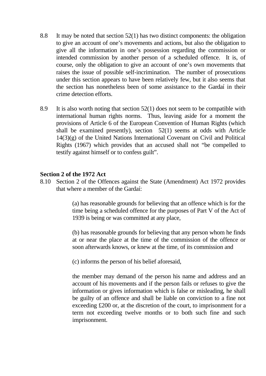- 8.8 It may be noted that section 52(1) has two distinct components: the obligation to give an account of one's movements and actions, but also the obligation to give all the information in one's possession regarding the commission or intended commission by another person of a scheduled offence. It is, of course, only the obligation to give an account of one's own movements that raises the issue of possible self-incrimination. The number of prosecutions under this section appears to have been relatively few, but it also seems that the section has nonetheless been of some assistance to the Gardaí in their crime detection efforts.
- 8.9 It is also worth noting that section 52(1) does not seem to be compatible with international human rights norms. Thus, leaving aside for a moment the provisions of Article 6 of the European Convention of Human Rights (which shall be examined presently), section 52(1) seems at odds with Article 14(3)(g) of the United Nations International Covenant on Civil and Political Rights (1967) which provides that an accused shall not "be compelled to testify against himself or to confess guilt".

# **Section 2 of the 1972 Act**

8.10 Section 2 of the Offences against the State (Amendment) Act 1972 provides that where a member of the Gardaí:

> (a) has reasonable grounds for believing that an offence which is for the time being a scheduled offence for the purposes of Part V of the Act of 1939 is being or was committed at any place,

> (b) has reasonable grounds for believing that any person whom he finds at or near the place at the time of the commission of the offence or soon afterwards knows, or knew at the time, of its commission and

(c) informs the person of his belief aforesaid,

the member may demand of the person his name and address and an account of his movements and if the person fails or refuses to give the information or gives information which is false or misleading, he shall be guilty of an offence and shall be liable on conviction to a fine not exceeding £200 or, at the discretion of the court, to imprisonment for a term not exceeding twelve months or to both such fine and such imprisonment.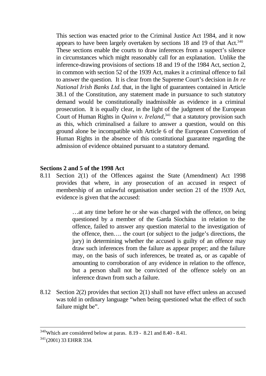This section was enacted prior to the Criminal Justice Act 1984, and it now appears to have been largely overtaken by sections  $18$  and  $19$  of that Act.<sup>340</sup> These sections enable the courts to draw inferences from a suspect's silence in circumstances which might reasonably call for an explanation. Unlike the inference-drawing provisions of sections 18 and 19 of the 1984 Act, section 2, in common with section 52 of the 1939 Act, makes it a criminal offence to fail to answer the question. It is clear from the Supreme Court's decision in *In re National Irish Banks Ltd.* that, in the light of guarantees contained in Article 38.1 of the Constitution, any statement made in pursuance to such statutory demand would be constitutionally inadmissible as evidence in a criminal prosecution. It is equally clear, in the light of the judgment of the European Court of Human Rights in *Quinn v. Ireland*,<sup>341</sup> that a statutory provision such as this, which criminalised a failure to answer a question, would on this ground alone be incompatible with Article 6 of the European Convention of Human Rights in the absence of this constitutional guarantee regarding the admission of evidence obtained pursuant to a statutory demand.

## **Sections 2 and 5 of the 1998 Act**

8.11 Section 2(1) of the Offences against the State (Amendment) Act 1998 provides that where, in any prosecution of an accused in respect of membership of an unlawful organisation under section 21 of the 1939 Act, evidence is given that the accused:

> …at any time before he or she was charged with the offence, on being questioned by a member of the Garda Síochána in relation to the offence, failed to answer any question material to the investigation of the offence, then…. the court (or subject to the judge's directions, the jury) in determining whether the accused is guilty of an offence may draw such inferences from the failure as appear proper; and the failure may, on the basis of such inferences, be treated as, or as capable of amounting to corroboration of any evidence in relation to the offence, but a person shall not be convicted of the offence solely on an inference drawn from such a failure.

8.12 Section 2(2) provides that section 2(1) shall not have effect unless an accused was told in ordinary language "when being questioned what the effect of such failure might be".

<sup>340</sup>Which are considered below at paras. 8.19 - 8.21 and 8.40 - 8.41.

<sup>341</sup>(2001) 33 EHRR 334.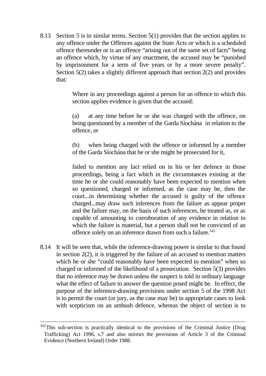8.13 Section 5 is in similar terms. Section 5(1) provides that the section applies to any offence under the Offences against the State Acts or which is a scheduled offence thereunder or is an offence "arising out of the same set of facts" being an offence which, by virtue of any enactment, the accused may be "punished by imprisonment for a term of five years or by a more severe penalty". Section 5(2) takes a slightly different approach than section 2(2) and provides that:

> Where in any proceedings against a person for an offence to which this section applies evidence is given that the accused:

> (a) at any time before he or she was charged with the offence, on being questioned by a member of the Garda Síochána in relation to the offence, or

> (b) when being charged with the offence or informed by a member of the Garda Síochána that he or she might be prosecuted for it,

> failed to mention any fact relied on in his or her defence in those proceedings, being a fact which in the circumstances existing at the time he or she could reasonably have been expected to mention when so questioned, charged or informed, as the case may be, then the court...in determining whether the accused is guilty of the offence charged...may draw such inferences from the failure as appear proper and the failure may, on the basis of such inferences, be treated as, or as capable of amounting to corroboration of any evidence in relation to which the failure is material, but a person shall not be convicted of an offence solely on an inference drawn from such a failure.<sup>342</sup>

8.14 It will be seen that, while the inference-drawing power is similar to that found in section 2(2), it is triggered by the failure of an accused to mention matters which he or she "could reasonably have been expected to mention" when so charged or informed of the likelihood of a prosecution. Section 5(3) provides that no inference may be drawn unless the suspect is told in ordinary language what the effect of failure to answer the question posed might be. In effect, the purpose of the inference-drawing provisions under section 5 of the 1998 Act is to permit the court (or jury, as the case may be) in appropriate cases to look with scepticism on an ambush defence, whereas the object of section is to

<sup>&</sup>lt;sup>342</sup>This sub-section is practically identical to the provisions of the Criminal Justice (Drug Trafficking) Act 1996, s.7 and also mirrors the provisions of Article 3 of the Criminal Evidence (Northern Ireland) Order 1988.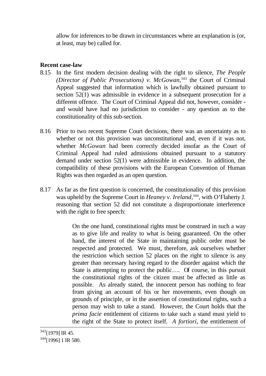allow for inferences to be drawn in circumstances where an explanation is (or, at least, may be) called for.

# **Recent case-law**

- 8.15 In the first modern decision dealing with the right to silence, *The People (Director of Public Prosecutions) v. McGowan*, <sup>343</sup> the Court of Criminal Appeal suggested that information which is lawfully obtained pursuant to section 52(1) was admissible in evidence in a subsequent prosecution for a different offence. The Court of Criminal Appeal did not, however, consider and would have had no jurisdiction to consider - any question as to the constitutionality of this sub-section.
- 8.16 Prior to two recent Supreme Court decisions, there was an uncertainty as to whether or not this provision was unconstitutional and, even if it was not, whether *McGowan* had been correctly decided insofar as the Court of Criminal Appeal had ruled admissions obtained pursuant to a statutory demand under section 52(1) were admissible in evidence. In addition, the compatibility of these provisions with the European Convention of Human Rights was then regarded as an open question.
- 8.17 As far as the first question is concerned, the constitutionality of this provision was upheld by the Supreme Court in *Heaney v. Ireland*,<sup>344</sup>, with O'Flaherty J. reasoning that section 52 did not constitute a disproportionate interference with the right to free speech:

On the one hand, constitutional rights must be construed in such a way as to give life and reality to what is being guaranteed. On the other hand, the interest of the State in maintaining public order must be respected and protected. We must, therefore, ask ourselves whether the restriction which section 52 places on the right to silence is any greater than necessary having regard to the disorder against which the State is attempting to protect the public…. Of course, in this pursuit the constitutional rights of the citizen must be affected as little as possible. As already stated, the innocent person has nothing to fear from giving an account of his or her movements, even though on grounds of principle, or in the assertion of constitutional rights, such a person may wish to take a stand. However, the Court holds that the *prima facie* entitlement of citizens to take such a stand must yield to the right of the State to protect itself. *A fortiori*, the entitlement of

<sup>343&</sup>lt;sup>[1979]</sup> IR 45.

<sup>&</sup>lt;sup>344</sup>[1996] 1 IR 580.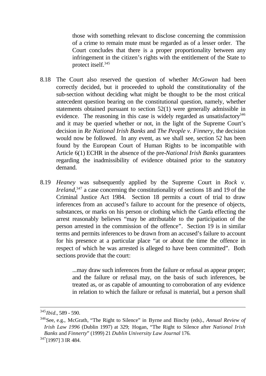those with something relevant to disclose concerning the commission of a crime to remain mute must be regarded as of a lesser order. The Court concludes that there is a proper proportionality between any infringement in the citizen's rights with the entitlement of the State to protect itself.<sup>345</sup>

- 8.18 The Court also reserved the question of whether *McGowan* had been correctly decided, but it proceeded to uphold the constitutionality of the sub-section without deciding what might be thought to be the most critical antecedent question bearing on the constitutional question, namely, whether statements obtained pursuant to section 52(1) were generally admissible in evidence. The reasoning in this case is widely regarded as unsatisfactory<sup>346</sup> and it may be queried whether or not, in the light of the Supreme Court's decision in *Re National Irish Banks* and *The People v. Finnery*, the decision would now be followed. In any event, as we shall see, section 52 has been found by the European Court of Human Rights to be incompatible with Article 6(1) ECHR in the absence of the pre-*National Irish Banks* guarantees regarding the inadmissibility of evidence obtained prior to the statutory demand.
- 8.19 *Heaney* was subsequently applied by the Supreme Court in *Rock v. Ireland*,<sup>347</sup> a case concerning the constitutionality of sections 18 and 19 of the Criminal Justice Act 1984. Section 18 permits a court of trial to draw inferences from an accused's failure to account for the presence of objects, substances, or marks on his person or clothing which the Garda effecting the arrest reasonably believes "may be attributable to the participation of the person arrested in the commission of the offence". Section 19 is in similar terms and permits inferences to be drawn from an accused's failure to account for his presence at a particular place "at or about the time the offence in respect of which he was arrested is alleged to have been committed". Both sections provide that the court:

...may draw such inferences from the failure or refusal as appear proper; and the failure or refusal may, on the basis of such inferences, be treated as, or as capable of amounting to corroboration of any evidence in relation to which the failure or refusal is material, but a person shall

<sup>345</sup>*Ibid*., 589 - 590.

<sup>346</sup>See, e.g., McGrath, "The Right to Silence" in Byrne and Binchy (eds)., *Annual Review of Irish Law 1996* (Dublin 1997) at 329; Hogan, "The Right to Silence after *National Irish Banks* and *Finnerty*" (1999) 21 *Dublin University Law Journal* 176.

<sup>347&</sup>lt;sup>[1997]</sup> 3 IR 484.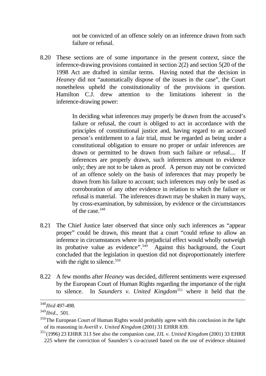not be convicted of an offence solely on an inference drawn from such failure or refusal.

8.20 These sections are of some importance in the present context, since the inference-drawing provisions contained in section 2(2) and section 5(20 of the 1998 Act are drafted in similar terms. Having noted that the decision in *Heaney* did not "automatically dispose of the issues in the case", the Court nonetheless upheld the constitutionality of the provisions in question. Hamilton C.J. drew attention to the limitations inherent in the inference-drawing power:

> In deciding what inferences may properly be drawn from the accused's failure or refusal, the court is obliged to act in accordance with the principles of constitutional justice and, having regard to an accused person's entitlement to a fair trial, must be regarded as being under a constitutional obligation to ensure no proper or unfair inferences are drawn or permitted to be drawn from such failure or refusal.... If inferences are properly drawn, such inferences amount to evidence only; they are not to be taken as proof. A person may not be convicted of an offence solely on the basis of inferences that may properly be drawn from his failure to account; such inferences may only be used as corroboration of any other evidence in relation to which the failure or refusal is material. The inferences drawn may be shaken in many ways, by cross-examination, by submission, by evidence or the circumstances of the case. 348

- 8.21 The Chief Justice later observed that since only such inferences as "appear proper" could be drawn, this meant that a court "could refuse to allow an inference in circumstances where its prejudicial effect would wholly outweigh its probative value as evidence". <sup>349</sup> Against this background, the Court concluded that the legislation in question did not disproportionately interfere with the right to silence. $350$
- 8.22 A few months after *Heaney* was decided, different sentiments were expressed by the European Court of Human Rights regarding the importance of the right to silence. In *Saunders v. United Kingdom*<sup>351</sup> where it held that the

<sup>348</sup>*Ibid* 497-498.

<sup>349</sup>*Ibid*., 501.

<sup>&</sup>lt;sup>350</sup>The European Court of Human Rights would probably agree with this conclusion in the light of its reasoning in *Averill v. United Kingdom* (2001) 31 EHRR 839.

<sup>351</sup>(1996) 23 EHRR 313 See also the companion case, *IJL v. United Kingdom* (2001) 33 EHRR 225 where the conviction of Saunders's co-accused based on the use of evidence obtained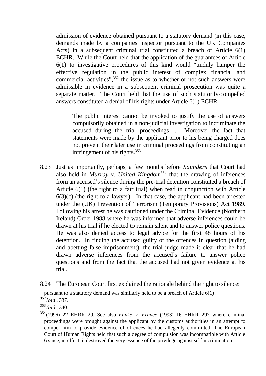admission of evidence obtained pursuant to a statutory demand (in this case, demands made by a companies inspector pursuant to the UK Companies Acts) in a subsequent criminal trial constituted a breach of Article 6(1) ECHR. While the Court held that the application of the guarantees of Article 6(1) to investigative procedures of this kind would "unduly hamper the effective regulation in the public interest of complex financial and commercial activities",<sup>352</sup> the issue as to whether or not such answers were admissible in evidence in a subsequent criminal prosecution was quite a separate matter. The Court held that the use of such statutorily-compelled answers constituted a denial of his rights under Article 6(1) ECHR:

The public interest cannot be invoked to justify the use of answers compulsorily obtained in a non-judicial investigation to incriminate the accused during the trial proceedings…. Moreover the fact that statements were made by the applicant prior to his being charged does not prevent their later use in criminal proceedings from constituting an infringement of his rights.<sup>353</sup>

8.23 Just as importantly, perhaps, a few months before *Saunders* that Court had also held in *Murray v. United Kingdom<sup>354</sup>* that the drawing of inferences from an accused's silence during the pre-trial detention constituted a breach of Article 6(1) (the right to a fair trial) when read in conjunction with Article  $6(3)(c)$  (the right to a lawyer). In that case, the applicant had been arrested under the (UK) Prevention of Terrorism (Temporary Provisions) Act 1989. Following his arrest he was cautioned under the Criminal Evidence (Northern Ireland) Order 1988 where he was informed that adverse inferences could be drawn at his trial if he elected to remain silent and to answer police questions. He was also denied access to legal advice for the first 48 hours of his detention. In finding the accused guilty of the offences in question (aiding and abetting false imprisonment), the trial judge made it clear that he had drawn adverse inferences from the accused's failure to answer police questions and from the fact that the accused had not given evidence at his trial.

# 8.24 The European Court first explained the rationale behind the right to silence:

pursuant to a statutory demand was similarly held to be a breach of Article 6(1) .

<sup>352</sup>*Ibid*., 337.

<sup>353</sup>*Ibid*., 340.

<sup>354</sup>(1996) 22 EHRR 29. See also *Funke v. France* (1993) 16 EHRR 297 where criminal proceedings were brought against the applicant by the customs authorities in an attempt to compel him to provide evidence of offences he had allegedly committed. The European Court of Human Rights held that such a degree of compulsion was incompatible with Article 6 since, in effect, it destroyed the very essence of the privilege against self-incrimination.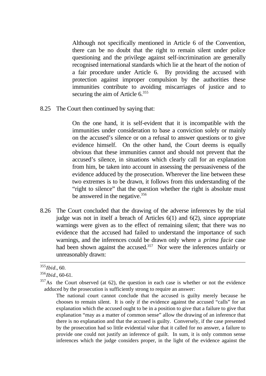Although not specifically mentioned in Article 6 of the Convention, there can be no doubt that the right to remain silent under police questioning and the privilege against self-incrimination are generally recognised international standards which lie at the heart of the notion of a fair procedure under Article 6. By providing the accused with protection against improper compulsion by the authorities these immunities contribute to avoiding miscarriages of justice and to securing the aim of Article 6.<sup>355</sup>

8.25 The Court then continued by saying that:

On the one hand, it is self-evident that it is incompatible with the immunities under consideration to base a conviction solely or mainly on the accused's silence or on a refusal to answer questions or to give evidence himself. On the other hand, the Court deems is equally obvious that these immunities cannot and should not prevent that the accused's silence, in situations which clearly call for an explanation from him, be taken into account in assessing the persuasiveness of the evidence adduced by the prosecution. Wherever the line between these two extremes is to be drawn, it follows from this understanding of the "right to silence" that the question whether the right is absolute must be answered in the negative.<sup>356</sup>

8.26 The Court concluded that the drawing of the adverse inferences by the trial judge was not in itself a breach of Articles 6(1) and 6(2), since appropriate warnings were given as to the effect of remaining silent; that there was no evidence that the accused had failed to understand the importance of such warnings, and the inferences could be drawn only where a *prima facie* case had been shown against the accused.<sup>357</sup> Nor were the inferences unfairly or unreasonably drawn:

<sup>355</sup>*Ibid*., 60.

<sup>356</sup>*Ibid*., 60-61.

 $357\text{As}$  the Court observed (at 62), the question in each case is whether or not the evidence adduced by the prosecution is sufficiently strong to require an answer:

The national court cannot conclude that the accused is guilty merely because he chooses to remain silent. It is only if the evidence against the accused "calls" for an explanation which the accused ought to be in a position to give that a failure to give that explanation "may as a matter of common sense" allow the drawing of an inference that there is no explanation and that the accused is guilty. Conversely, if the case presented by the prosecution had so little evidential value that it called for no answer, a failure to provide one could not justify an inference of guilt. In sum, it is only common sense inferences which the judge considers proper, in the light of the evidence against the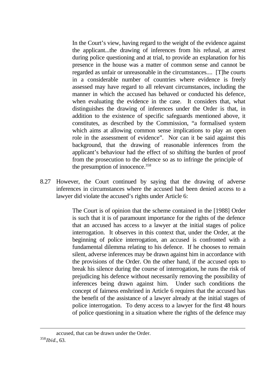In the Court's view, having regard to the weight of the evidence against the applicant...the drawing of inferences from his refusal, at arrest during police questioning and at trial, to provide an explanation for his presence in the house was a matter of common sense and cannot be regarded as unfair or unreasonable in the circumstances.... [T]he courts in a considerable number of countries where evidence is freely assessed may have regard to all relevant circumstances, including the manner in which the accused has behaved or conducted his defence, when evaluating the evidence in the case. It considers that, what distinguishes the drawing of inferences under the Order is that, in addition to the existence of specific safeguards mentioned above, it constitutes, as described by the Commission, "a formalised system which aims at allowing common sense implications to play an open role in the assessment of evidence". Nor can it be said against this background, that the drawing of reasonable inferences from the applicant's behaviour had the effect of so shifting the burden of proof from the prosecution to the defence so as to infringe the principle of the presumption of innocence.<sup>358</sup>

8.27 However, the Court continued by saying that the drawing of adverse inferences in circumstances where the accused had been denied access to a lawyer did violate the accused's rights under Article 6:

> The Court is of opinion that the scheme contained in the [1988] Order is such that it is of paramount importance for the rights of the defence that an accused has access to a lawyer at the initial stages of police interrogation. It observes in this context that, under the Order, at the beginning of police interrogation, an accused is confronted with a fundamental dilemma relating to his defence. If he chooses to remain silent, adverse inferences may be drawn against him in accordance with the provisions of the Order. On the other hand, if the accused opts to break his silence during the course of interrogation, he runs the risk of prejudicing his defence without necessarily removing the possibility of inferences being drawn against him. Under such conditions the concept of fairness enshrined in Article 6 requires that the accused has the benefit of the assistance of a lawyer already at the initial stages of police interrogation. To deny access to a lawyer for the first 48 hours of police questioning in a situation where the rights of the defence may

<sup>358</sup>*Ibid*., 63. accused, that can be drawn under the Order.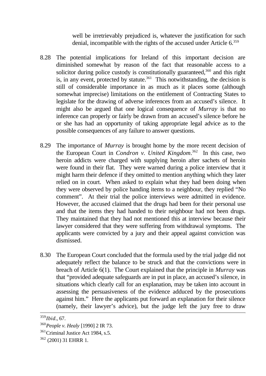well be irretrievably prejudiced is, whatever the justification for such denial, incompatible with the rights of the accused under Article 6.<sup>359</sup>

- 8.28 The potential implications for Ireland of this important decision are diminished somewhat by reason of the fact that reasonable access to a solicitor during police custody is constitutionally guaranteed, $360$  and this right is, in any event, protected by statute.<sup>361</sup> This notwithstanding, the decision is still of considerable importance in as much as it places some (although somewhat imprecise) limitations on the entitlement of Contracting States to legislate for the drawing of adverse inferences from an accused's silence. It might also be argued that one logical consequence of *Murray* is that no inference can properly or fairly be drawn from an accused's silence before he or she has had an opportunity of taking appropriate legal advice as to the possible consequences of any failure to answer questions.
- 8.29 The importance of *Murray* is brought home by the more recent decision of the European Court in *Condron v. United Kingdom*. <sup>362</sup> In this case, two heroin addicts were charged with supplying heroin after sachets of heroin were found in their flat. They were warned during a police interview that it might harm their defence if they omitted to mention anything which they later relied on in court. When asked to explain what they had been doing when they were observed by police handing items to a neighbour, they replied "No comment". At their trial the police interviews were admitted in evidence. However, the accused claimed that the drugs had been for their personal use and that the items they had handed to their neighbour had not been drugs. They maintained that they had not mentioned this at interview because their lawyer considered that they were suffering from withdrawal symptoms. The applicants were convicted by a jury and their appeal against conviction was dismissed.
- 8.30 The European Court concluded that the formula used by the trial judge did not adequately reflect the balance to be struck and that the convictions were in breach of Article 6(1). The Court explained that the principle in *Murray* was that "provided adequate safeguards are in put in place, an accused's silence, in situations which clearly call for an explanation, may be taken into account in assessing the persuasiveness of the evidence adduced by the prosecutions against him." Here the applicants put forward an explanation for their silence (namely, their lawyer's advice), but the judge left the jury free to draw

<sup>359</sup>*Ibid*., 67.

<sup>360</sup>*People v. Healy* [1990] 2 IR 73.

<sup>&</sup>lt;sup>361</sup>Criminal Justice Act 1984, s.5.

<sup>362</sup> (2001) 31 EHRR 1.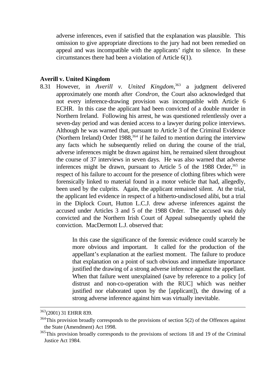adverse inferences, even if satisfied that the explanation was plausible. This omission to give appropriate directions to the jury had not been remedied on appeal and was incompatible with the applicants' right to silence. In these circumstances there had been a violation of Article 6(1).

### **Averill v. United Kingdom**

8.31 However, in *Averill v. United Kingdom*, <sup>363</sup> a judgment delivered approximately one month after *Condron*, the Court also acknowledged that not every inference-drawing provision was incompatible with Article 6 ECHR. In this case the applicant had been convicted of a double murder in Northern Ireland. Following his arrest, he was questioned relentlessly over a seven-day period and was denied access to a lawyer during police interviews. Although he was warned that, pursuant to Article 3 of the Criminal Evidence (Northern Ireland) Order  $1988$ ,  $364$  if he failed to mention during the interview any facts which he subsequently relied on during the course of the trial, adverse inferences might be drawn against him, he remained silent throughout the course of 37 interviews in seven days. He was also warned that adverse inferences might be drawn, pursuant to Article 5 of the 1988 Order,  $365$  in respect of his failure to account for the presence of clothing fibres which were forensically linked to material found in a motor vehicle that had, allegedly, been used by the culprits. Again, the applicant remained silent. At the trial, the applicant led evidence in respect of a hitherto-undisclosed alibi, but a trial in the Diplock Court, Hutton L.C.J. drew adverse inferences against the accused under Articles 3 and 5 of the 1988 Order. The accused was duly convicted and the Northern Irish Court of Appeal subsequently upheld the conviction. MacDermott L.J. observed that:

> In this case the significance of the forensic evidence could scarcely be more obvious and important. It called for the production of the appellant's explanation at the earliest moment. The failure to produce that explanation on a point of such obvious and immediate importance justified the drawing of a strong adverse inference against the appellant. When that failure went unexplained (save by reference to a policy [of distrust and non-co-operation with the RUC] which was neither justified nor elaborated upon by the [applicant]), the drawing of a strong adverse inference against him was virtually inevitable.

<sup>363</sup>(2001) 31 EHRR 839.

 $364$ This provision broadly corresponds to the provisions of section 5(2) of the Offences against the State (Amendment) Act 1998.

<sup>&</sup>lt;sup>365</sup>This provision broadly corresponds to the provisions of sections 18 and 19 of the Criminal Justice Act 1984.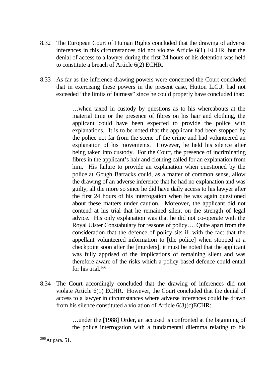- 8.32 The European Court of Human Rights concluded that the drawing of adverse inferences in this circumstances did not violate Article 6(1) ECHR, but the denial of access to a lawyer during the first 24 hours of his detention was held to constitute a breach of Article 6(2) ECHR.
- 8.33 As far as the inference-drawing powers were concerned the Court concluded that in exercising these powers in the present case, Hutton L.C.J. had not exceeded "the limits of fairness" since he could properly have concluded that:

…when taxed in custody by questions as to his whereabouts at the material time or the presence of fibres on his hair and clothing, the applicant could have been expected to provide the police with explanations. It is to be noted that the applicant had been stopped by the police not far from the scene of the crime and had volunteered an explanation of his movements. However, he held his silence after being taken into custody. For the Court, the presence of incriminating fibres in the applicant's hair and clothing called for an explanation from him. His failure to provide an explanation when questioned by the police at Gough Barracks could, as a matter of common sense, allow the drawing of an adverse inference that he had no explanation and was guilty, all the more so since he did have daily access to his lawyer after the first 24 hours of his interrogation when he was again questioned about these matters under caution. Moreover, the applicant did not contend at his trial that he remained silent on the strength of legal advice. His only explanation was that he did not co-operate with the Royal Ulster Constabulary for reasons of policy…. Quite apart from the consideration that the defence of policy sits ill with the fact that the appellant volunteered information to [the police] when stopped at a checkpoint soon after the [murders], it must be noted that the applicant was fully apprised of the implications of remaining silent and was therefore aware of the risks which a policy-based defence could entail for his trial.<sup>366</sup>

8.34 The Court accordingly concluded that the drawing of inferences did not violate Article 6(1) ECHR. However, the Court concluded that the denial of access to a lawyer in circumstances where adverse inferences could be drawn from his silence constituted a violation of Article 6(3)(c)ECHR:

> …under the [1988] Order, an accused is confronted at the beginning of the police interrogation with a fundamental dilemma relating to his

<sup>366</sup>At para. 51.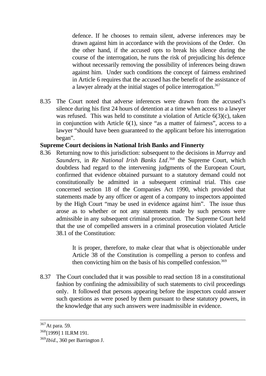defence. If he chooses to remain silent, adverse inferences may be drawn against him in accordance with the provisions of the Order. On the other hand, if the accused opts to break his silence during the course of the interrogation, he runs the risk of prejudicing his defence without necessarily removing the possibility of inferences being drawn against him. Under such conditions the concept of fairness enshrined in Article 6 requires that the accused has the benefit of the assistance of a lawyer already at the initial stages of police interrogation.<sup>367</sup>

8.35 The Court noted that adverse inferences were drawn from the accused's silence during his first 24 hours of detention at a time when access to a lawyer was refused. This was held to constitute a violation of Article 6(3)(c), taken in conjunction with Article 6(1), since "as a matter of fairness", access to a lawyer "should have been guaranteed to the applicant before his interrogation began".

# **Supreme Court decisions in National Irish Banks and Finnerty**

8.36 Returning now to this jurisdiction: subsequent to the decisions in *Murray* and *Saunders,* in *Re National Irish Banks Ltd*. <sup>368</sup> the Supreme Court, which doubtless had regard to the intervening judgments of the European Court, confirmed that evidence obtained pursuant to a statutory demand could not constitutionally be admitted in a subsequent criminal trial. This case concerned section 18 of the Companies Act 1990, which provided that statements made by any officer or agent of a company to inspectors appointed by the High Court "may be used in evidence against him". The issue thus arose as to whether or not any statements made by such persons were admissible in any subsequent criminal prosecution. The Supreme Court held that the use of compelled answers in a criminal prosecution violated Article 38.1 of the Constitution:

> It is proper, therefore, to make clear that what is objectionable under Article 38 of the Constitution is compelling a person to confess and then convicting him on the basis of his compelled confession.<sup>369</sup>

8.37 The Court concluded that it was possible to read section 18 in a constitutional fashion by confining the admissibility of such statements to civil proceedings only. It followed that persons appearing before the inspectors could answer such questions as were posed by them pursuant to these statutory powers, in the knowledge that any such answers were inadmissible in evidence.

<sup>367</sup>At para. 59.

<sup>368</sup>[1999] 1 ILRM 191.

<sup>369</sup>*Ibid*., 360 per Barrington J.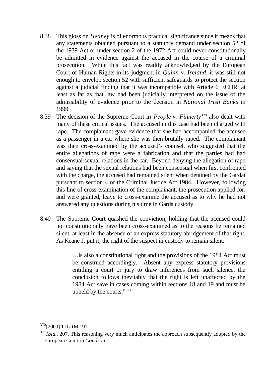- 8.38 This gloss on *Heaney* is of enormous practical significance since it means that any statements obtained pursuant to a statutory demand under section 52 of the 1939 Act or under section 2 of the 1972 Act could never constitutionally be admitted in evidence against the accused in the course of a criminal prosecution. While this fact was readily acknowledged by the European Court of Human Rights in its judgment in *Quinn v. Ireland*, it was still not enough to envelop section 52 with sufficient safeguards to protect the section against a judicial finding that it was incompatible with Article 6 ECHR, at least as far as that law had been judicially interpreted on the issue of the admissibility of evidence prior to the decision in *National Irish Banks* in 1999.
- 8.39 The decision of the Supreme Court in *People v. Finnerty*<sup>370</sup> also dealt with many of these critical issues. The accused in this case had been charged with rape. The complainant gave evidence that she had accompanied the accused as a passenger in a car where she was then brutally raped. The complainant was then cross-examined by the accused's counsel, who suggested that the entire allegations of rape were a fabrication and that the parties had had consensual sexual relations in the car. Beyond denying the allegation of rape and saying that the sexual relations had been consensual when first confronted with the charge, the accused had remained silent when detained by the Gardaí pursuant to section 4 of the Criminal Justice Act 1984. However, following this line of cross-examination of the complainant, the prosecution applied for, and were granted, leave to cross-examine the accused as to why he had not answered any questions during his time in Garda custody.
- 8.40 The Supreme Court quashed the conviction, holding that the accused could not constitutionally have been cross-examined as to the reasons he remained silent, at least in the absence of an express statutory abridgement of that right. As Keane J. put it, the right of the suspect in custody to remain silent:

…is also a constitutional right and the provisions of the 1984 Act must be construed accordingly. Absent any express statutory provisions entitling a court or jury to draw inferences from such silence, the conclusion follows inevitably that the right is left unaffected by the 1984 Act save in cases coming within sections 18 and 19 and must be upheld by the courts."<sup>371</sup>

<sup>370</sup>[2000] 1 ILRM 191.

<sup>&</sup>lt;sup>371</sup>*Ibid.*, 207. This reasoning very much anticipates the approach subsequently adopted by the European Court in *Condron.*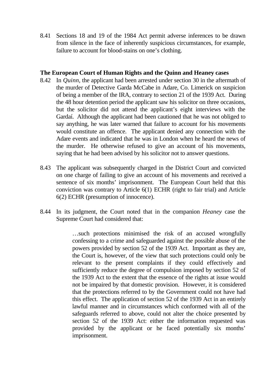8.41 Sections 18 and 19 of the 1984 Act permit adverse inferences to be drawn from silence in the face of inherently suspicious circumstances, for example, failure to account for blood-stains on one's clothing.

# **The European Court of Human Rights and the Quinn and Heaney cases**

- 8.42 In *Quinn*, the applicant had been arrested under section 30 in the aftermath of the murder of Detective Garda McCabe in Adare, Co. Limerick on suspicion of being a member of the IRA, contrary to section 21 of the 1939 Act. During the 48 hour detention period the applicant saw his solicitor on three occasions, but the solicitor did not attend the applicant's eight interviews with the Gardaí. Although the applicant had been cautioned that he was not obliged to say anything, he was later warned that failure to account for his movements would constitute an offence. The applicant denied any connection with the Adare events and indicated that he was in London when he heard the news of the murder. He otherwise refused to give an account of his movements, saying that he had been advised by his solicitor not to answer questions.
- 8.43 The applicant was subsequently charged in the District Court and convicted on one charge of failing to give an account of his movements and received a sentence of six months' imprisonment. The European Court held that this conviction was contrary to Article 6(1) ECHR (right to fair trial) and Article 6(2) ECHR (presumption of innocence).
- 8.44 In its judgment, the Court noted that in the companion *Heaney* case the Supreme Court had considered that:

…such protections minimised the risk of an accused wrongfully confessing to a crime and safeguarded against the possible abuse of the powers provided by section 52 of the 1939 Act. Important as they are, the Court is, however, of the view that such protections could only be relevant to the present complaints if they could effectively and sufficiently reduce the degree of compulsion imposed by section 52 of the 1939 Act to the extent that the essence of the rights at issue would not be impaired by that domestic provision. However, it is considered that the protections referred to by the Government could not have had this effect. The application of section 52 of the 1939 Act in an entirely lawful manner and in circumstances which conformed with all of the safeguards referred to above, could not alter the choice presented by section 52 of the 1939 Act: either the information requested was provided by the applicant or he faced potentially six months' imprisonment.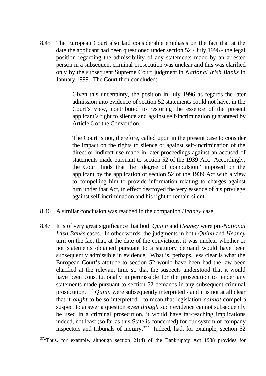8.45 The European Court also laid considerable emphasis on the fact that at the date the applicant had been questioned under section 52 - July 1996 - the legal position regarding the admissibility of any statements made by an arrested person in a subsequent criminal prosecution was unclear and this was clarified only by the subsequent Supreme Court judgment in *National Irish Banks* in January 1999. The Court then concluded:

> Given this uncertainty, the position in July 1996 as regards the later admission into evidence of section 52 statements could not have, in the Court's view, contributed to restoring the essence of the present applicant's right to silence and against self-incrimination guaranteed by Article 6 of the Convention.

> The Court is not, therefore, called upon in the present case to consider the impact on the rights to silence or against self-incrimination of the direct or indirect use made in later proceedings against an accused of statements made pursuant to section 52 of the 1939 Act. Accordingly, the Court finds that the "degree of compulsion" imposed on the applicant by the application of section 52 of the 1939 Act with a view to compelling him to provide information relating to charges against him under that Act, in effect destroyed the very essence of his privilege against self-incrimination and his right to remain silent.

- 8.46 A similar conclusion was reached in the companion *Heaney* case.
- 8.47 It is of very great significance that both *Quinn* and *Heaney* were pre-*National Irish Bank*s cases. In other words, the judgments in both *Quinn* and *Heaney* turn on the fact that, at the date of the convictions, it was unclear whether or not statements obtained pursuant to a statutory demand would have been subsequently admissible in evidence. What is, perhaps, less clear is what the European Court's attitude to section 52 would have been had the law been clarified at the relevant time so that the suspects understood that it would have been constitutionally impermissible for the prosecution to tender any statements made pursuant to section 52 demands in any subsequent criminal prosecution. If *Quinn* were subsequently interpreted - and it is not at all clear that it *ought* to be so interpreted - to mean that legislation *cannot* compel a suspect to answer a question *even though* such evidence cannot subsequently be used in a criminal prosecution, it would have far-reaching implications indeed, not least (so far as this State is concerned) for our system of company inspectors and tribunals of inquiry.<sup>372</sup> Indeed, had, for example, section  $52$

<sup>372</sup>Thus, for example, although section 21(4) of the Bankruptcy Act 1988 provides for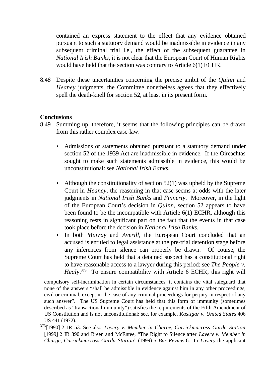contained an express statement to the effect that any evidence obtained pursuant to such a statutory demand would be inadmissible in evidence in any subsequent criminal trial i.e., the effect of the subsequent guarantee in *National Irish Banks*, it is not clear that the European Court of Human Rights would have held that the section was contrary to Article 6(1) ECHR.

8.48 Despite these uncertainties concerning the precise ambit of the *Quinn* and *Heaney* judgments, the Committee nonetheless agrees that they effectively spell the death-knell for section 52, at least in its present form.

# **Conclusions**

- 8.49 Summing up, therefore, it seems that the following principles can be drawn from this rather complex case-law:
	- ü Admissions or statements obtained pursuant to a statutory demand under section 52 of the 1939 Act are inadmissible in evidence. If the Oireachtas sought to make such statements admissible in evidence, this would be unconstitutional: see *National Irish Banks.*
	- Although the constitutionality of section  $52(1)$  was upheld by the Supreme Court in *Heaney*, the reasoning in that case seems at odds with the later judgments in *National Irish Banks* and *Finnerty*. Moreover, in the light of the European Court's decision in *Quinn*, section 52 appears to have been found to be the incompatible with Article 6(1) ECHR, although this reasoning rests in significant part on the fact that the events in that case took place before the decision in *National Irish Banks*.
	- In both *Murray* and *Averill*, the European Court concluded that an accused is entitled to legal assistance at the pre-trial detention stage before any inferences from silence can properly be drawn. Of course, the Supreme Court has held that a detained suspect has a constitutional right to have reasonable access to a lawyer during this period: see *The People v. Healy*. <sup>373</sup> To ensure compatibility with Article 6 ECHR, this right will

compulsory self-incrimination in certain circumstances, it contains the vital safeguard that none of the answers "shall be admissible in evidence against him in any other proceedings, civil or criminal, except in the case of any criminal proceedings for perjury in respect of any such answer". The US Supreme Court has held that this form of immunity (sometimes described as "transactional immunity") satisfies the requirements of the Fifth Amendment of US Constitution and is not unconstitutional: see, for example, *Kastigar v. United States* 406 US 441 (1972).

<sup>373</sup>[1990] 2 IR 53. See also *Lavery v. Member in Charge*, *Carrickmacross Garda Station* [1999] 2 IR 390 and Breen and McEntee, "The Right to Silence after *Lavery v. Member in Charge, Carrickmacross Garda Station*" (1999) 5 *Bar Review* 6. In *Lavery* the applicant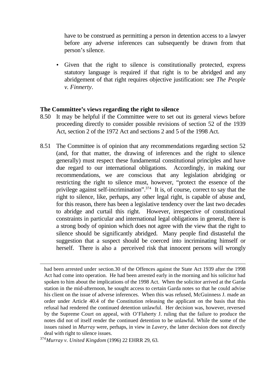have to be construed as permitting a person in detention access to a lawyer before any adverse inferences can subsequently be drawn from that person's silence.

ü Given that the right to silence is constitutionally protected, express statutory language is required if that right is to be abridged and any abridgement of that right requires objective justification: see *The People v. Finnerty*.

# **The Committee's views regarding the right to silence**

- 8.50 It may be helpful if the Committee were to set out its general views before proceeding directly to consider possible revisions of section 52 of the 1939 Act, section 2 of the 1972 Act and sections 2 and 5 of the 1998 Act.
- 8.51 The Committee is of opinion that any recommendations regarding section 52 (and, for that matter, the drawing of inferences and the right to silence generally) must respect these fundamental constitutional principles and have due regard to our international obligations. Accordingly, in making our recommendations, we are conscious that any legislation abridging or restricting the right to silence must, however, "protect the essence of the privilege against self-incrimination".<sup>374</sup> It is, of course, correct to say that the right to silence, like, perhaps, any other legal right, is capable of abuse and, for this reason, there has been a legislative tendency over the last two decades to abridge and curtail this right. However, irrespective of constitutional constraints in particular and international legal obligations in general, there is a strong body of opinion which does not agree with the view that the right to silence should be significantly abridged. Many people find distasteful the suggestion that a suspect should be coerced into incriminating himself or herself. There is also a perceived risk that innocent persons will wrongly

had been arrested under section.30 of the Offences against the State Act 1939 after the 1998 Act had come into operation. He had been arrested early in the morning and his solicitor had spoken to him about the implications of the 1998 Act. When the solicitor arrived at the Garda station in the mid-afternoon, he sought access to certain Garda notes so that he could advise his client on the issue of adverse inferences. When this was refused, McGuinness J. made an order under Article 40.4 of the Constitution releasing the applicant on the basis that this refusal had rendered the continued detention unlawful. Her decision was, however, reversed by the Supreme Court on appeal, with O'Flaherty J. ruling that the failure to produce the notes did not of itself render the continued detention to be unlawful. While the some of the issues raised in *Murray* were, perhaps, in view in *Lavery*, the latter decision does not directly deal with right to silence issues.

<sup>374</sup>*Murray v. United Kingdom* (1996) 22 EHRR 29, 63.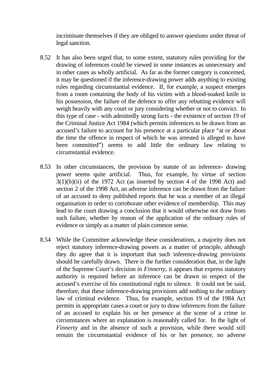incriminate themselves if they are obliged to answer questions under threat of legal sanction.

- 8.52 It has also been urged that, to some extent, statutory rules providing for the drawing of inferences could be viewed in some instances as unnecessary and in other cases as wholly artificial. As far as the former category is concerned, it may be questioned if the inference-drawing power adds anything to existing rules regarding circumstantial evidence. If, for example, a suspect emerges from a room containing the body of his victim with a blood-soaked knife in his possession, the failure of the defence to offer any rebutting evidence will weigh heavily with any court or jury considering whether or not to convict. In this type of case - with admittedly strong facts - the existence of section 19 of the Criminal Justice Act 1984 (which permits inferences to be drawn from an accused's failure to account for his presence at a particular place "at or about the time the offence in respect of which he was arrested is alleged to have been committed") seems to add little the ordinary law relating to circumstantial evidence.
- 8.53 In other circumstances, the provision by statute of an inference- drawing power seems quite artificial. Thus, for example, by virtue of section  $3(1)(b)(ii)$  of the 1972 Act (as inserted by section 4 of the 1998 Act) and section 2 of the 1998 Act, an adverse inference can be drawn from the failure of an accused to deny published reports that he was a member of an illegal organisation in order to corroborate other evidence of membership. This may lead to the court drawing a conclusion that it would otherwise not draw from such failure, whether by reason of the application of the ordinary rules of evidence or simply as a matter of plain common sense.
- 8.54 While the Committee acknowledge these considerations, a majority does not reject statutory inference-drawing powers as a matter of principle, although they do agree that it is important that such inference-drawing provisions should be carefully drawn. There is the further consideration that, in the light of the Supreme Court's decision in *Finnerty*, it appears that express statutory authority is required before an inference can be drawn in respect of the accused's exercise of his constitutional right to silence. It could not be said, therefore, that these inference-drawing provisions add nothing to the ordinary law of criminal evidence. Thus, for example, section 19 of the 1984 Act permits in appropriate cases a court or jury to draw inferences from the failure of an accused to explain his or her presence at the scene of a crime in circumstances where an explanation is reasonably called for. In the light of *Finnerty* and in the absence of such a provision, while there would still remain the circumstantial evidence of his or her presence, no adverse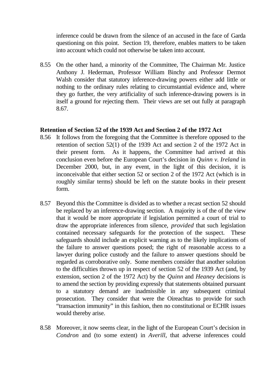inference could be drawn from the silence of an accused in the face of Garda questioning on this point. Section 19, therefore, enables matters to be taken into account which could not otherwise be taken into account.

8.55 On the other hand, a minority of the Committee, The Chairman Mr. Justice Anthony J. Hederman, Professor William Binchy and Professor Dermot Walsh consider that statutory inference-drawing powers either add little or nothing to the ordinary rules relating to circumstantial evidence and, where they go further, the very artificiality of such inference-drawing powers is in itself a ground for rejecting them. Their views are set out fully at paragraph 8.67.

# **Retention of Section 52 of the 1939 Act and Section 2 of the 1972 Act**

- 8.56 It follows from the foregoing that the Committee is therefore opposed to the retention of section 52(1) of the 1939 Act and section 2 of the 1972 Act in their present form. As it happens, the Committee had arrived at this conclusion even before the European Court's decision in *Quinn v. Ireland* in December 2000*,* but, in any event, in the light of this decision, it is inconceivable that either section 52 or section 2 of the 1972 Act (which is in roughly similar terms) should be left on the statute books in their present form.
- 8.57 Beyond this the Committee is divided as to whether a recast section 52 should be replaced by an inference-drawing section. A majority is of the of the view that it would be more appropriate if legislation permitted a court of trial to draw the appropriate inferences from silence, *provided* that such legislation contained necessary safeguards for the protection of the suspect. These safeguards should include an explicit warning as to the likely implications of the failure to answer questions posed; the right of reasonable access to a lawyer during police custody and the failure to answer questions should be regarded as corroborative only. Some members consider that another solution to the difficulties thrown up in respect of section 52 of the 1939 Act (and, by extension, section 2 of the 1972 Act) by the *Quinn* and *Heaney* decisions is to amend the section by providing expressly that statements obtained pursuant to a statutory demand are inadmissible in any subsequent criminal prosecution. They consider that were the Oireachtas to provide for such "transaction immunity" in this fashion, then no constitutional or ECHR issues would thereby arise.
- 8.58 Moreover, it now seems clear, in the light of the European Court's decision in *Condron* and (to some extent) in *Averill*, that adverse inferences could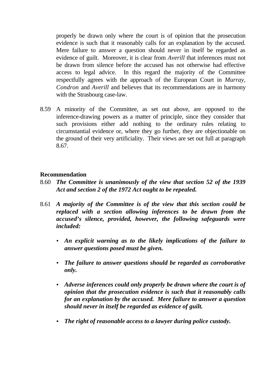properly be drawn only where the court is of opinion that the prosecution evidence is such that it reasonably calls for an explanation by the accused. Mere failure to answer a question should never in itself be regarded as evidence of guilt. Moreover, it is clear from *Averill* that inferences must not be drawn from silence before the accused has not otherwise had effective access to legal advice. In this regard the majority of the Committee respectfully agrees with the approach of the European Court in *Murray*, *Condron* and *Averill* and believes that its recommendations are in harmony with the Strasbourg case-law.

8.59 A minority of the Committee, as set out above, are opposed to the inference-drawing powers as a matter of principle, since they consider that such provisions either add nothing to the ordinary rules relating to circumstantial evidence or, where they go further, they are objectionable on the ground of their very artificiality. Their views are set out full at paragraph 8.67.

# **Recommendation**

- 8.60 *The Committee is unanimously of the view that section 52 of the 1939 Act and section 2 of the 1972 Act ought to be repealed.*
- 8.61 *A majority of the Committee is of the view that this section could be replaced with a section allowing inferences to be drawn from the accused's silence, provided, however, the following safeguards were included:*
	- ü *An explicit warning as to the likely implications of the failure to answer questions posed must be given.*
	- ü *The failure to answer questions should be regarded as corroborative only.*
	- ü *Adverse inferences could only properly be drawn where the court is of opinion that the prosecution evidence is such that it reasonably calls for an explanation by the accused. Mere failure to answer a question should never in itself be regarded as evidence of guilt.*
	- ü *The right of reasonable access to a lawyer during police custody.*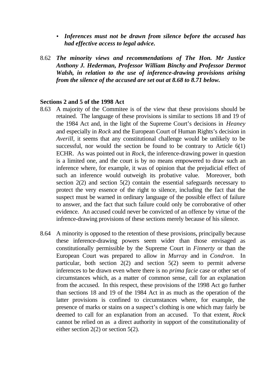- ü *Inferences must not be drawn from silence before the accused has had effective access to legal advice.*
- 8.62 *The minority views and recommendations of The Hon. Mr Justice Anthony J. Hederman, Professor William Binchy and Professor Dermot Walsh, in relation to the use of inference-drawing provisions arising from the silence of the accused are set out at 8.68 to 8.71 below.*

### **Sections 2 and 5 of the 1998 Act**

- 8.63 A majority of the Commitee is of the view that these provisions should be retained. The language of these provisions is similar to sections 18 and 19 of the 1984 Act and, in the light of the Supreme Court's decisions in *Heaney* and especially in *Rock* and the European Court of Human Rights's decision in *Averill*, it seems that any constitutional challenge would be unlikely to be successful, nor would the section be found to be contrary to Article 6(1) ECHR. As was pointed out in *Rock*, the inference-drawing power in question is a limited one, and the court is by no means empowered to draw such an inference where, for example, it was of opinion that the prejudicial effect of such an inference would outweigh its probative value. Moreover, both section 2(2) and section 5(2) contain the essential safeguards necessary to protect the very essence of the right to silence, including the fact that the suspect must be warned in ordinary language of the possible effect of failure to answer, and the fact that such failure could only be corroborative of other evidence. An accused could never be convicted of an offence by virtue of the infrence-drawing provisions of these sections merely because of his silence.
- 8.64 A minority is opposed to the retention of these provisions, principally because these inference-drawing powers seem wider than those envisaged as constitutionally permissible by the Supreme Court in *Finnerty* or than the European Court was prepared to allow in *Murray* and in *Condron*. In particular, both section 2(2) and section 5(2) seem to permit adverse inferences to be drawn even where there is no *prima facie* case or other set of circumstances which, as a matter of common sense, call for an explanation from the accused. In this respect, these provisions of the 1998 Act go further than sections 18 and 19 of the 1984 Act in as much as the operation of the latter provisions is confined to circumstances where, for example, the presence of marks or stains on a suspect's clothing is one which may fairly be deemed to call for an explanation from an accused. To that extent, *Rock* cannot be relied on as a direct authority in support of the constitutionality of either section 2(2) or section 5(2).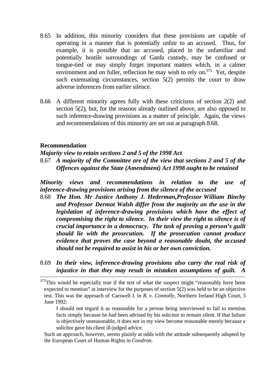- 8.65 In addition, this minority considers that these provisions are capable of operating in a manner that is potentially unfair to an accused. Thus, for example, it is possible that an accused, placed in the unfamiliar and potentially hostile surroundings of Garda custody, may be confused or tongue-tied or may simply forget important matters which, in a calmer environment and on fuller, reflection he may wish to rely on.<sup>375</sup> Yet, despite such extenuating circumstances, section  $5(2)$  permits the court to draw adverse inferences from earlier silence.
- 8.66 A different minority agrees fully with these criticisms of section 2(2) and section 5(2), but, for the reasons already outlined above, are also opposed to such inference-drawing provisions as a matter of principle. Again, the views and recommendations of this minority are set out at paragraph 8.68.

#### **Recommendation**

#### *Majority view to retain sections 2 and 5 of the 1998 Act*

8.67 *A majority of the Committee are of the view that sections 2 and 5 of the Offences against the State (Amendment) Act 1998 ought to be retained*

*Minority views and recommendations in relation to the use of inference-drawing provisions arising from the silence of the accused*

- 8.68 *The Hon. Mr Justice Anthony J. Hederman,Professor William Binchy and Professor Dermot Walsh differ from the majority on the use in the legislation of inference-drawing provisions which have the effect of compromising the right to silence. In their view the right to silence is of crucial importance in a democracy. The task of proving a person's guilt should lie with the prosecution. If the prosecution cannot produce evidence that proves the case beyond a reasonable doubt, the accused should not be required to assist in his or her own conviction.*
- 8.69 *In their view, inference-drawing provisions also carry the real risk of injustice in that they may result in mistaken assumptions of guilt. A*

I should not regard it as reasonable for a person being interviewed to fail to mention facts simply because he had been advised by his solicitor to remain silent. If that failure is objectively unreasonable, it does not in my view become reasonable merely because a solicitor gave his client ill-judged advice.

Such an approach, however, seems plainly at odds with the attitude subsequently adopted by the European Court of Human Rights in *Condron*.

 $375$ This would be especially true if the test of what the suspect might "reasonably have been expected to mention" at interview for the purposes of section 5(2) was held to be an objective test. This was the approach of Carswell J. in *R. v. Connolly*, Northern Ireland High Court, 5 June 1992: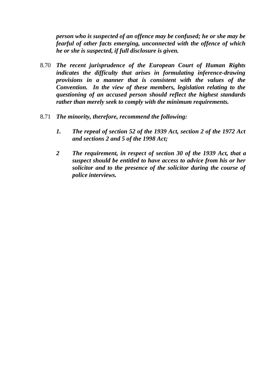*person who is suspected of an offence may be confused; he or she may be fearful of other facts emerging, unconnected with the offence of which he or she is suspected, if full disclosure is given.*

- 8.70 *The recent jurisprudence of the European Court of Human Rights indicates the difficulty that arises in formulating inference-drawing provisions in a manner that is consistent with the values of the Convention. In the view of these members, legislation relating to the questioning of an accused person should reflect the highest standards rather than merely seek to comply with the minimum requirements.*
- 8.71 *The minority, therefore, recommend the following:*
	- *1. The repeal of section 52 of the 1939 Act, section 2 of the 1972 Act and sections 2 and 5 of the 1998 Act;*
	- *2 The requirement, in respect of section 30 of the 1939 Act, that a suspect should be entitled to have access to advice from his or her solicitor and to the presence of the solicitor during the course of police interviews.*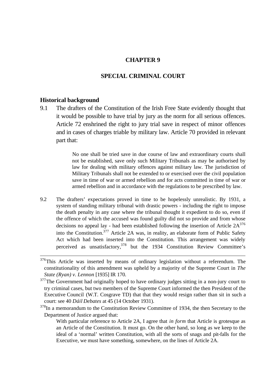# **CHAPTER 9**

# **SPECIAL CRIMINAL COURT**

#### **Historical background**

9.1 The drafters of the Constitution of the Irish Free State evidently thought that it would be possible to have trial by jury as the norm for all serious offences. Article 72 enshrined the right to jury trial save in respect of minor offences and in cases of charges triable by military law. Article 70 provided in relevant part that:

> No one shall be tried save in due course of law and extraordinary courts shall not be established, save only such Military Tribunals as may be authorised by law for dealing with military offences against military law. The jurisdiction of Military Tribunals shall not be extended to or exercised over the civil population save in time of war or armed rebellion and for acts committed in time of war or armed rebellion and in accordance with the regulations to be prescribed by law.

9.2 The drafters' expectations proved in time to be hopelessly unrealistic. By 1931, a system of standing military tribunal with drastic powers - including the right to impose the death penalty in any case where the tribunal thought it expedient to do so, even if the offence of which the accused was found guilty did not so provide and from whose decisions no appeal lay - had been established following the insertion of Article  $2A^{376}$ into the Constitution.<sup>377</sup> Article 2A was, in reality, an elaborate form of Public Safety Act which had been inserted into the Constitution. This arrangement was widely perceived as unsatisfactory,  $378$  but the 1934 Constitution Review Committee's

<sup>&</sup>lt;sup>376</sup>This Article was inserted by means of ordinary legislation without a referendum. The constitutionality of this amendment was upheld by a majority of the Supreme Court in *The State (Ryan) v. Lennon* [1935] IR 170.

 $377$ The Government had originally hoped to have ordinary judges sitting in a non-jury court to try criminal cases, but two members of the Supreme Court informed the then President of the Executive Council (W.T. Cosgrave TD) that that they would resign rather than sit in such a court: see 40 *Dáil Debates* at 45 (14 October 1931).

<sup>&</sup>lt;sup>378</sup>In a memorandum to the Constitution Review Committee of 1934, the then Secretary to the Department of Justice argued that:

With particular reference to Article 2A, I agree that *in form* that Article is grotesque as an Article of the Constitution. It must go. On the other hand, so long as we keep to the ideal of a 'normal' written Constitution, with all the sorts of snags and pit-falls for the Executive, we must have something, somewhere, on the lines of Article 2A.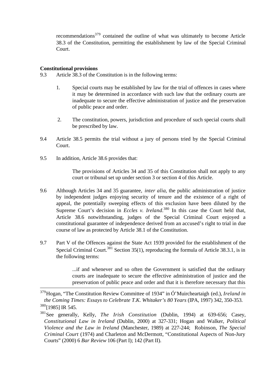recommendations<sup>379</sup> contained the outline of what was ultimately to become Article 38.3 of the Constitution, permitting the establishment by law of the Special Criminal Court.

#### **Constitutional provisions**

9.3 Article 38.3 of the Constitution is in the following terms:

- 1. Special courts may be established by law for the trial of offences in cases where it may be determined in accordance with such law that the ordinary courts are inadequate to secure the effective administration of justice and the preservation of public peace and order.
- 2. The constitution, powers, jurisdiction and procedure of such special courts shall be prescribed by law.
- 9.4 Article 38.5 permits the trial without a jury of persons tried by the Special Criminal Court.
- 9.5 In addition, Article 38.6 provides that:

The provisions of Articles 34 and 35 of this Constitution shall not apply to any court or tribunal set up under section 3 or section 4 of this Article.

- 9.6 Although Articles 34 and 35 guarantee, *inter alia*, the public administration of justice by independent judges enjoying security of tenure and the existence of a right of appeal, the potentially sweeping effects of this exclusion have been diluted by the Supreme Court's decision in *Eccles v. Ireland*<sup>380</sup> In this case the Court held that, Article 38.6 notwithstanding, judges of the Special Criminal Court enjoyed a constitutional guarantee of independence derived from an accused's right to trial in due course of law as protected by Article 38.1 of the Constitution.
- 9.7 Part V of the Offences against the State Act 1939 provided for the establishment of the Special Criminal Court.<sup>381</sup> Section 35(1), reproducing the formula of Article 38.3.1, is in the following terms:

...if and whenever and so often the Government is satisfied that the ordinary courts are inadequate to secure the effective administration of justice and the preservation of public peace and order and that it is therefore necessary that this

<sup>&</sup>lt;sup>380</sup>[1985] IR 545. <sup>379</sup>Hogan, "The Constitution Review Committee of 1934" in Ó'Muircheartaigh (ed.), *Ireland in the Coming Times: Essays to Celebrate T.K. Whitaker's 80 Years* (IPA, 1997) 342, 350-353.

<sup>381</sup>See generally, Kelly, *The Irish Constitution* (Dublin, 1994) at 639-656; Casey, *Constitutional Law in Ireland* (Dublin, 2000) at 327-331; Hogan and Walker, *Political Violence and the Law in Ireland* (Manchester, 1989) at 227-244; Robinson, *The Special Criminal Court* (1974) and Charleton and McDermott, "Constitutional Aspects of Non-Jury Courts" (2000) 6 *Bar Review* 106 (Part I); 142 (Part II).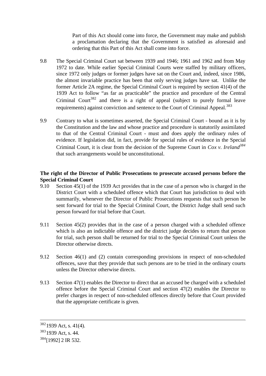Part of this Act should come into force, the Government may make and publish a proclamation declaring that the Government is satisfied as aforesaid and ordering that this Part of this Act shall come into force.

- 9.8 The Special Criminal Court sat between 1939 and 1946; 1961 and 1962 and from May 1972 to date. While earlier Special Criminal Courts were staffed by military officers, since 1972 only judges or former judges have sat on the Court and, indeed, since 1986, the almost invariable practice has been that only serving judges have sat. Unlike the former Article 2A regime, the Special Criminal Court is required by section 41(4) of the 1939 Act to follow "as far as practicable" the practice and procedure of the Central Criminal Court<sup>382</sup> and there is a right of appeal (subject to purely formal leave requirements) against conviction and sentence to the Court of Criminal Appeal.<sup>383</sup>
- 9.9 Contrary to what is sometimes asserted, the Special Criminal Court bound as it is by the Constitution and the law and whose practice and procedure is statutorily assimilated to that of the Central Criminal Court - must and does apply the ordinary rules of evidence. If legislation did, in fact, provide for special rules of evidence in the Special Criminal Court, it is clear from the decision of the Supreme Court in *Cox v. Ireland<sup>384</sup>* that such arrangements would be unconstitutional.

### **The right of the Director of Public Prosecutions to prosecute accused persons before the Special Criminal Court**

- 9.10 Section 45(1) of the 1939 Act provides that in the case of a person who is charged in the District Court with a scheduled offence which that Court has jurisdiction to deal with summarily, whenever the Director of Public Prosecutions requests that such person be sent forward for trial to the Special Criminal Court, the District Judge shall send such person forward for trial before that Court.
- 9.11 Section 45(2) provides that in the case of a person charged with a scheduled offence which is also an indictable offence and the district judge decides to return that person for trial, such person shall be returned for trial to the Special Criminal Court unless the Director otherwise directs.
- 9.12 Section 46(1) and (2) contain corresponding provisions in respect of non-scheduled offences, save that they provide that such persons are to be tried in the ordinary courts unless the Director otherwise directs.
- 9.13 Section 47(1) enables the Director to direct that an accused be charged with a scheduled offence before the Special Criminal Court and section 47(2) enables the Director to prefer charges in respect of non-scheduled offences directly before that Court provided that the appropriate certificate is given.

 $382$  1939 Act, s. 41(4).

<sup>383</sup>1939 Act, s. 44.

<sup>384&</sup>lt;sub>[1992]</sub> 2 IR 532.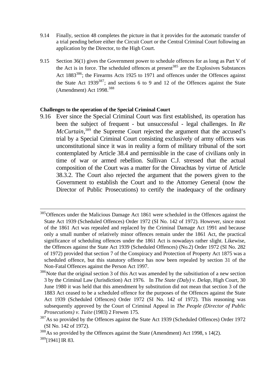- 9.14 Finally, section 48 completes the picture in that it provides for the automatic transfer of a trial pending before either the Circuit Court or the Central Criminal Court following an application by the Director, to the High Court.
- 9.15 Section 36(1) gives the Government power to schedule offences for as long as Part V of the Act is in force. The scheduled offences at present<sup>385</sup> are the Explosives Substances Act 1883<sup>386</sup>; the Firearms Acts 1925 to 1971 and offences under the Offences against the State Act  $1939^{387}$ ; and sections 6 to 9 and 12 of the Offences against the State (Amendment) Act 1998.<sup>388</sup>

#### **Challenges to the operation of the Special Criminal Court**

9.16 Ever since the Special Criminal Court was first established, its operation has been the subject of frequent - but unsuccessful - legal challenges. In *Re McCurtain*,<sup>389</sup> the Supreme Court rejected the argument that the accused's trial by a Special Criminal Court consisting exclusively of army officers was unconstitutional since it was in reality a form of military tribunal of the sort contemplated by Article 38.4 and permissible in the case of civilians only in time of war or armed rebellion. Sullivan C.J. stressed that the actual composition of the Court was a matter for the Oireachtas by virtue of Article 38.3.2. The Court also rejected the argument that the powers given to the Government to establish the Court and to the Attorney General (now the Director of Public Prosecutions) to certify the inadequacy of the ordinary

<sup>&</sup>lt;sup>385</sup>Offences under the Malicious Damage Act 1861 were scheduled in the Offences against the State Act 1939 (Scheduled Offences) Order 1972 (SI No. 142 of 1972). However, since most of the 1861 Act was repealed and replaced by the Criminal Damage Act 1991 and because only a small number of relatively minor offences remain under the 1861 Act, the practical significance of scheduling offences under the 1861 Act is nowadays rather slight. Likewise, the Offences against the State Act 1939 (Scheduled Offences) (No.2) Order 1972 (SI No. 282 of 1972) provided that section 7 of the Conspiracy and Protection of Property Act 1875 was a scheduled offence, but this statutory offence has now been repealed by section 31 of the Non-Fatal Offences against the Person Act 1997.

<sup>&</sup>lt;sup>386</sup>Note that the original section 3 of this Act was amended by the subsitiution of a new section 3 by the Criminal Law (Jurisdiction) Act 1976. In *The State (Daly) v. Delap*, High Court, 30 June 1980 it was held that this amendment by substitution did not mean that section 3 of the 1883 Act ceased to be a scheduled offence for the purposes of the Offences against the State Act 1939 (Scheduled Offences) Order 1972 (SI No. 142 of 1972). This reasoning was subsequently approved by the Court of Criminal Appeal in *The People (Director of Public Prosecutions) v. Tuite* (1983) 2 Frewen 175.

<sup>&</sup>lt;sup>387</sup>As so provided by the Offences against the State Act 1939 (Scheduled Offences) Order 1972 (SI No. 142 of 1972).

<sup>388</sup>As so provided by the Offences against the State (Amendment) Act 1998, s 14(2).

<sup>389</sup>[1941] IR 83.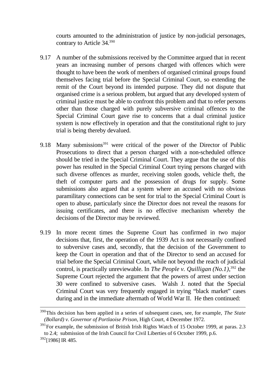courts amounted to the administration of justice by non-judicial personages, contrary to Article 34.<sup>390</sup>

- 9.17 A number of the submissions received by the Committee argued that in recent years an increasing number of persons charged with offences which were thought to have been the work of members of organised criminal groups found themselves facing trial before the Special Criminal Court, so extending the remit of the Court beyond its intended purpose. They did not dispute that organised crime is a serious problem, but argued that any developed system of criminal justice must be able to confront this problem and that to refer persons other than those charged with purely subversive criminal offences to the Special Criminal Court gave rise to concerns that a dual criminal justice system is now effectively in operation and that the constitutional right to jury trial is being thereby devalued.
- 9.18 Many submissions<sup>391</sup> were critical of the power of the Director of Public Prosecutions to direct that a person charged with a non-scheduled offence should be tried in the Special Criminal Court. They argue that the use of this power has resulted in the Special Criminal Court trying persons charged with such diverse offences as murder, receiving stolen goods, vehicle theft, the theft of computer parts and the possession of drugs for supply. Some submissions also argued that a system where an accused with no obvious paramilitary connections can be sent for trial to the Special Criminal Court is open to abuse, particularly since the Director does not reveal the reasons for issuing certificates, and there is no effective mechanism whereby the decisions of the Director may be reviewed.
- 9.19 In more recent times the Supreme Court has confirmed in two major decisions that, first, the operation of the 1939 Act is not necessarily confined to subversive cases and, secondly, that the decision of the Government to keep the Court in operation and that of the Director to send an accused for trial before the Special Criminal Court, while not beyond the reach of judicial control, is practically unreviewable. In *The People v. Quilligan (No.1)*, <sup>392</sup> the Supreme Court rejected the argument that the powers of arrest under section 30 were confined to subversive cases. Walsh J. noted that the Special Criminal Court was very frequently engaged in trying "black market" cases during and in the immediate aftermath of World War II. He then continued:

<sup>390</sup>This decision has been applied in a series of subsequent cases, see, for example, *The State (Bollard) v. Governor of Portlaoise Prison*, High Court, 4 December 1972.

 $391$  For example, the submission of British Irish Rights Watch of 15 October 1999, at paras. 2.3 to 2.4; submission of the Irish Council for Civil Liberties of 6 October 1999, p.6.

<sup>&</sup>lt;sup>392</sup>[1986] IR 485.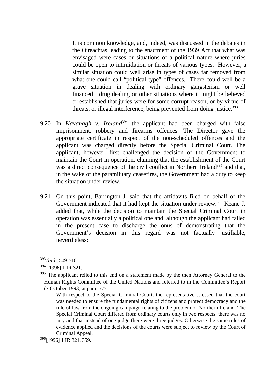It is common knowledge, and, indeed, was discussed in the debates in the Oireachtas leading to the enactment of the 1939 Act that what was envisaged were cases or situations of a political nature where juries could be open to intimidation or threats of various types. However, a similar situation could well arise in types of cases far removed from what one could call "political type" offences. There could well be a grave situation in dealing with ordinary gangsterism or well financed…drug dealing or other situations where it might be believed or established that juries were for some corrupt reason, or by virtue of threats, or illegal interference, being prevented from doing justice. $393$ 

- 9.20 In *Kavanagh v. Ireland*<sup>394</sup> the applicant had been charged with false imprisonment, robbery and firearms offences. The Director gave the appropriate certificate in respect of the non-scheduled offences and the applicant was charged directly before the Special Criminal Court. The applicant, however, first challenged the decision of the Government to maintain the Court in operation, claiming that the establishment of the Court was a direct consequence of the civil conflict in Northern Ireland<sup>395</sup> and that, in the wake of the paramilitary ceasefires, the Government had a duty to keep the situation under review.
- 9.21 On this point, Barrington J. said that the affidavits filed on behalf of the Government indicated that it had kept the situation under review.<sup>396</sup> Keane J. added that, while the decision to maintain the Special Criminal Court in operation was essentially a political one and, although the applicant had failed in the present case to discharge the onus of demonstrating that the Government's decision in this regard was not factually justifiable, nevertheless:

<sup>393</sup>*Ibid*., 509-510.

<sup>394</sup> [1996] 1 IR 321.

<sup>&</sup>lt;sup>395</sup> The applicant relied to this end on a statement made by the then Attorney General to the Human Rights Committee of the United Nations and referred to in the Committee's Report (7 October 1993) at para. 575:

With respect to the Special Criminal Court, the representative stressed that the court was needed to ensure the fundamental rights of citizens and protect democracy and the rule of law from the ongoing campaign relating to the problem of Northern Ireland. The Special Criminal Court differed from ordinary courts only in two respects: there was no jury and that instead of one judge there were three judges. Otherwise the same rules of evidence applied and the decisions of the courts were subject to review by the Court of Criminal Appeal.

<sup>396</sup>[1996] 1 IR 321, 359.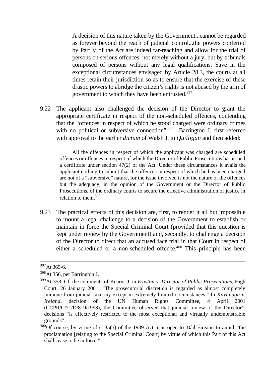A decision of this nature taken by the Government...cannot be regarded as forever beyond the reach of judicial control...the powers conferred by Part V of the Act are indeed far-reaching and allow for the trial of persons on serious offences, not merely without a jury, but by tribunals composed of persons without any legal qualifications. Save in the exceptional circumstances envisaged by Article 28.3, the courts at all times retain their jurisdiction so as to ensure that the exercise of these drastic powers to abridge the citizen's rights is not abused by the arm of government to which they have been entrusted.<sup>397</sup>

9.22 The applicant also challenged the decision of the Director to grant the appropriate certificate in respect of the non-scheduled offences, contending that the "offences in respect of which he stood charged were ordinary crimes with no political or subversive connection".<sup>398</sup> Barrington J. first referred with approval to the earlier *dictum* of Walsh J. in *Quilligan* and then added:

All the offences in respect of which the applicant was charged are scheduled offences or offences in respect of which the Director of Public Prosecutions has issued a certificate under section 47(2) of the Act. Under these circumstances it avails the applicant nothing to submit that the offences in respect of which he has been charged are not of a "subversive" nature, for the issue involved is not the nature of the offences but the adequacy, in the opinion of the Government or the Director of Public Prosecutions, of the ordinary courts to secure the effective administration of justice in relation to them.<sup>399</sup>

9.23 The practical effects of this decision are, first, to render it all but impossible to mount a legal challenge to a decision of the Government to establish or maintain in force the Special Criminal Court (provided that this question is kept under review by the Government) and, secondly, to challenge a decision of the Director to direct that an accused face trial in that Court in respect of either a scheduled or a non-scheduled offence.<sup>400</sup> This principle has been

<sup>397</sup>At 365-6.

<sup>398</sup>At 356, per Barrington J.

<sup>399</sup>At 358. Cf. the comments of Kearns J. in *Eviston v. Director of Public Prosecutions*, High Court, 26 January 2001: "The prosecutorial discretion is regarded as almost completely immune from judicial scrutiny except in extremely limited circumstances." In *Kavanagh v. Ireland*, decision of the UN Human Rights Committee, 4 April 2001 (CCPR/C/71/D/819/1998), the Committee observed that judicial review of the Director's decisions "is effectively restricted to the most exceptional and virtually undemonstrable grounds".

 $400$ Of course, by virtue of s. 35(5) of the 1939 Act, it is open to Dáil Éireann to annul "the proclamation [relating to the Special Criminal Court] by virtue of which this Part of this Act shall cease to be in force."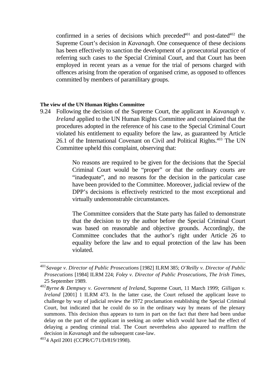confirmed in a series of decisions which preceded<sup>401</sup> and post-dated<sup>402</sup> the Supreme Court's decision in *Kavanagh*. One consequence of these decisions has been effectively to sanction the development of a prosecutorial practice of referring such cases to the Special Criminal Court, and that Court has been employed in recent years as a venue for the trial of persons charged with offences arising from the operation of organised crime, as opposed to offences committed by members of paramilitary groups.

#### **The view of the UN Human Rights Committee**

9.24 Following the decision of the Supreme Court, the applicant in *Kavanagh v. Ireland* applied to the UN Human Rights Committee and complained that the procedures adopted in the reference of his case to the Special Criminal Court violated his entitlement to equality before the law, as guaranteed by Article 26.1 of the International Covenant on Civil and Political Rights.<sup>403</sup> The UN Committee upheld this complaint, observing that:

> No reasons are required to be given for the decisions that the Special Criminal Court would be "proper" or that the ordinary courts are "inadequate", and no reasons for the decision in the particular case have been provided to the Committee. Moreover, judicial review of the DPP's decisions is effectively restricted to the most exceptional and virtually undemonstrable circumstances.

> The Committee considers that the State party has failed to demonstrate that the decision to try the author before the Special Criminal Court was based on reasonable and objective grounds. Accordingly, the Committee concludes that the author's right under Article 26 to equality before the law and to equal protection of the law has been violated.

<sup>401</sup>*Savage v. Director of Public Prosecutions* [1982] ILRM 385; *O'Reilly v. Director of Public Prosecutions* [1984] ILRM 224; *Foley v. Director of Public Prosecutions, The Irish Times*, 25 September 1989.

<sup>402</sup>*Byrne & Dempsey v. Government of Ireland,* Supreme Court, 11 March 1999; *Gilligan v. Ireland* [2001] 1 ILRM 473. In the latter case, the Court refused the applicant leave to challenge by way of judicial review the 1972 proclamation establishing the Special Criminal Court, but indicated that he could do so in the ordinary way by means of the plenary summons. This decision thus appears to turn in part on the fact that there had been undue delay on the part of the applicant in seeking an order which would have had the effect of delaying a pending criminal trial. The Court nevertheless also appeared to reaffirm the decision in *Kavanagh* and the subsequent case-law.

<sup>403</sup>4 April 2001 (CCPR/C/71/D/819/1998).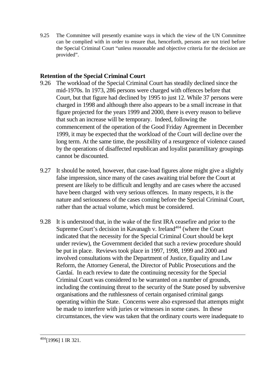9.25 The Committee will presently examine ways in which the view of the UN Committee can be complied with in order to ensure that, henceforth, persons are not tried before the Special Criminal Court "unless reasonable and objective criteria for the decision are provided".

# **Retention of the Special Criminal Court**

- 9.26 The workload of the Special Criminal Court has steadily declined since the mid-1970s. In 1973, 286 persons were charged with offences before that Court, but that figure had declined by 1995 to just 12. While 37 persons were charged in 1998 and although there also appears to be a small increase in that figure projected for the years 1999 and 2000, there is every reason to believe that such an increase will be temporary. Indeed, following the commencement of the operation of the Good Friday Agreement in December 1999, it may be expected that the workload of the Court will decline over the long term. At the same time, the possibility of a resurgence of violence caused by the operations of disaffected republican and loyalist paramilitary groupings cannot be discounted.
- 9.27 It should be noted, however, that case-load figures alone might give a slightly false impression, since many of the cases awaiting trial before the Court at present are likely to be difficult and lengthy and are cases where the accused have been charged with very serious offences. In many respects, it is the nature and seriousness of the cases coming before the Special Criminal Court, rather than the actual volume, which must be considered.
- 9.28 It is understood that, in the wake of the first IRA ceasefire and prior to the Supreme Court's decision in Kavanagh v. Ireland<sup> $404$ </sup> (where the Court indicated that the necessity for the Special Criminal Court should be kept under review), the Government decided that such a review procedure should be put in place. Reviews took place in 1997, 1998, 1999 and 2000 and involved consultations with the Department of Justice, Equality and Law Reform, the Attorney General, the Director of Public Prosecutions and the Gardaí. In each review to date the continuing necessity for the Special Criminal Court was considered to be warranted on a number of grounds, including the continuing threat to the security of the State posed by subversive organisations and the ruthlessness of certain organised criminal gangs operating within the State. Concerns were also expressed that attempts might be made to interfere with juries or witnesses in some cases. In these circumstances, the view was taken that the ordinary courts were inadequate to

 $404$ [1996] 1 IR 321.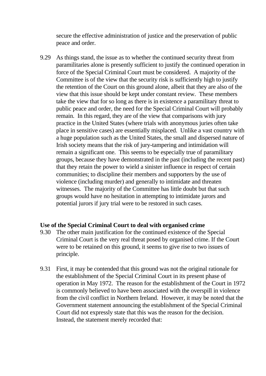secure the effective administration of justice and the preservation of public peace and order.

9.29 As things stand, the issue as to whether the continued security threat from paramilitaries alone is presently sufficient to justify the continued operation in force of the Special Criminal Court must be considered. A majority of the Committee is of the view that the security risk is sufficiently high to justify the retention of the Court on this ground alone, albeit that they are also of the view that this issue should be kept under constant review. These members take the view that for so long as there is in existence a paramilitary threat to public peace and order, the need for the Special Criminal Court will probably remain. In this regard, they are of the view that comparisons with jury practice in the United States (where trials with anonymous juries often take place in sensitive cases) are essentially misplaced. Unlike a vast country with a huge population such as the United States, the small and dispersed nature of Irish society means that the risk of jury-tampering and intimidation will remain a significant one. This seems to be especially true of paramilitary groups, because they have demonstrated in the past (including the recent past) that they retain the power to wield a sinister influence in respect of certain communities; to discipline their members and supporters by the use of violence (including murder) and generally to intimidate and threaten witnesses. The majority of the Committee has little doubt but that such groups would have no hesitation in attempting to intimidate jurors and potential jurors if jury trial were to be restored in such cases.

# **Use of the Special Criminal Court to deal with organised crime**

- 9.30 The other main justification for the continued existence of the Special Criminal Court is the very real threat posed by organised crime. If the Court were to be retained on this ground, it seems to give rise to two issues of principle.
- 9.31 First, it may be contended that this ground was not the original rationale for the establishment of the Special Criminal Court in its present phase of operation in May 1972. The reason for the establishment of the Court in 1972 is commonly believed to have been associated with the overspill in violence from the civil conflict in Northern Ireland. However, it may be noted that the Government statement announcing the establishment of the Special Criminal Court did not expressly state that this was the reason for the decision. Instead, the statement merely recorded that: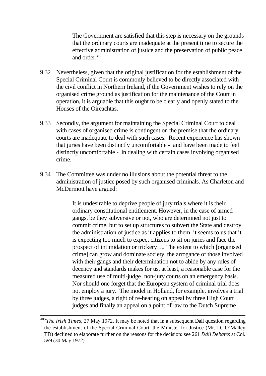The Government are satisfied that this step is necessary on the grounds that the ordinary courts are inadequate at the present time to secure the effective administration of justice and the preservation of public peace and order.<sup>405</sup>

- 9.32 Nevertheless, given that the original justification for the establishment of the Special Criminal Court is commonly believed to be directly associated with the civil conflict in Northern Ireland, if the Government wishes to rely on the organised crime ground as justification for the maintenance of the Court in operation, it is arguable that this ought to be clearly and openly stated to the Houses of the Oireachtas.
- 9.33 Secondly, the argument for maintaining the Special Criminal Court to deal with cases of organised crime is contingent on the premise that the ordinary courts are inadequate to deal with such cases. Recent experience has shown that juries have been distinctly uncomfortable - and have been made to feel distinctly uncomfortable - in dealing with certain cases involving organised crime.
- 9.34 The Committee was under no illusions about the potential threat to the administration of justice posed by such organised criminals. As Charleton and McDermott have argued:

It is undesirable to deprive people of jury trials where it is their ordinary constitutional entitlement. However, in the case of armed gangs, be they subversive or not, who are determined not just to commit crime, but to set up structures to subvert the State and destroy the administration of justice as it applies to them, it seems to us that it is expecting too much to expect citizens to sit on juries and face the prospect of intimidation or trickery…. The extent to which [organised crime] can grow and dominate society, the arrogance of those involved with their gangs and their determination not to abide by any rules of decency and standards makes for us, at least, a reasonable case for the measured use of multi-judge, non-jury courts on an emergency basis. Nor should one forget that the European system of criminal trial does not employ a jury. The model in Holland, for example, involves a trial by three judges, a right of re-hearing on appeal by three High Court judges and finally an appeal on a point of law to the Dutch Supreme

<sup>405</sup>*The Irish Times*, 27 May 1972. It may be noted that in a subsequent Dáil question regarding the establishment of the Special Criminal Court, the Minister for Justice (Mr. D. O'Malley TD) declined to elaborate further on the reasons for the decision: see 261 *Dáil Debates* at Col. 599 (30 May 1972).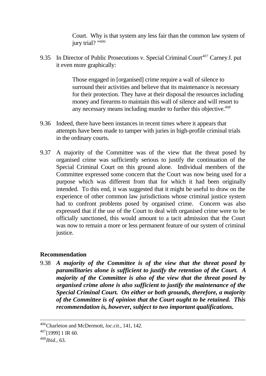Court. Why is that system any less fair than the common law system of jury trial? "406

9.35 In Director of Public Prosecutions v. Special Criminal Court*<sup>407</sup>* Carney J. put it even more graphically:

> Those engaged in [organised] crime require a wall of silence to surround their activities and believe that its maintenance is necessary for their protection. They have at their disposal the resources including money and firearms to maintain this wall of silence and will resort to any necessary means including murder to further this objective.<sup>408</sup>

- 9.36 Indeed, there have been instances in recent times where it appears that attempts have been made to tamper with juries in high-profile criminal trials in the ordinary courts.
- 9.37 A majority of the Committee was of the view that the threat posed by organised crime was sufficiently serious to justify the continuation of the Special Criminal Court on this ground alone. Individual members of the Committee expressed some concern that the Court was now being used for a purpose which was different from that for which it had been originally intended. To this end, it was suggested that it might be useful to draw on the experience of other common law jurisdictions whose criminal justice system had to confront problems posed by organised crime. Concern was also expressed that if the use of the Court to deal with organised crime were to be officially sanctioned, this would amount to a tacit admission that the Court was now to remain a more or less permanent feature of our system of criminal justice.

# **Recommendation**

9.38 *A majority of the Committee is of the view that the threat posed by paramilitaries alone is sufficient to justify the retention of the Court. A majority of the Committee is also of the view that the threat posed by organised crime alone is also sufficient to justify the maintenance of the Special Criminal Court. On either or both grounds, therefore, a majority of the Committee is of opinion that the Court ought to be retained. This recommendation is, however, subject to two important qualifications.*

<sup>406</sup>Charleton and McDermott, *loc.cit*., 141, 142.

<sup>407</sup>[1999] 1 IR 60.

<sup>408</sup>*Ibid.,* 63.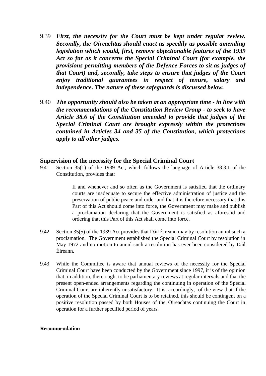- 9.39 *First, the necessity for the Court must be kept under regular review. Secondly, the Oireachtas should enact as speedily as possible amending legislation which would, first, remove objectionable features of the 1939 Act so far as it concerns the Special Criminal Court (for example, the provisions permitting members of the Defence Forces to sit as judges of that Court) and, secondly, take steps to ensure that judges of the Court enjoy traditional guarantees in respect of tenure, salary and independence. The nature of these safeguards is discussed below.*
- 9.40 *The opportunity should also be taken at an appropriate time in line with the recommendations of the Constitution Review Group - to seek to have Article 38.6 of the Constitution amended to provide that judges of the Special Criminal Court are brought expressly within the protections contained in Articles 34 and 35 of the Constitution, which protections apply to all other judges.*

#### **Supervision of the necessity for the Special Criminal Court**

9.41 Section 35(1) of the 1939 Act, which follows the language of Article 38.3.1 of the Constitution, provides that:

> If and whenever and so often as the Government is satisfied that the ordinary courts are inadequate to secure the effective administration of justice and the preservation of public peace and order and that it is therefore necessary that this Part of this Act should come into force, the Government may make and publish a proclamation declaring that the Government is satisfied as aforesaid and ordering that this Part of this Act shall come into force.

- 9.42 Section 35(5) of the 1939 Act provides that Dáil Éireann may by resolution annul such a proclamation. The Government established the Special Criminal Court by resolution in May 1972 and no motion to annul such a resolution has ever been considered by Dáil Éireann.
- 9.43 While the Committee is aware that annual reviews of the necessity for the Special Criminal Court have been conducted by the Government since 1997, it is of the opinion that, in addition, there ought to be parliamentary reviews at regular intervals and that the present open-ended arrangements regarding the continuing in operation of the Special Criminal Court are inherently unsatisfactory. It is, accordingly, of the view that if the operation of the Special Criminal Court is to be retained, this should be contingent on a positive resolution passed by both Houses of the Oireachtas continuing the Court in operation for a further specified period of years.

#### **Recommendation**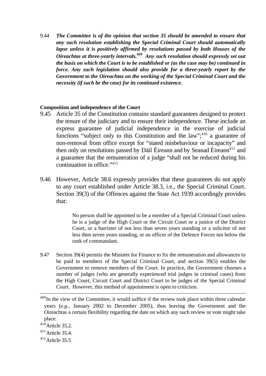9.44 *The Committee is of the opinion that section 35 should be amended to ensure that any such resolution establishing the Special Criminal Court should automatically lapse unless it is positively affirmed by resolutions passed by both Houses of the Oireachtas at three-yearly intervals.<sup>409</sup> Any such resolution should expressly set out the basis on which the Court is to be established or (as the case may be) continued in force. Any such legislation should also provide for a three-yearly report by the Government to the Oireachtas on the working of the Special Criminal Court and the necessity (if such be the case) for its continued existence.*

#### **Composition and independence of the Court**

- 9.45 Article 35 of the Constitution contains standard guarantees designed to protect the tenure of the judiciary and to ensure their independence. These include an express guarantee of judicial independence in the exercise of judicial functions "subject only to this Constitution and the law";<sup>410</sup> a guarantee of non-removal from office except for "stated misbehaviour or incapacity" and then only on resolutions passed by Dáil Éireann and by Seanad Éireann<sup>411</sup> and a guarantee that the remuneration of a judge "shall not be reduced during his continuation in office."<sup>412</sup>
- 9.46 However, Article 38.6 expressly provides that these guarantees do not apply to any court established under Article 38.3, i.e., the Special Criminal Court. Section 39(3) of the Offences against the State Act 1939 accordingly provides that:

No person shall be appointed to be a member of a Special Criminal Court unless he is a judge of the High Court or the Circuit Court or a justice of the District Court, or a barrister of not less than seven years standing or a solicitor of not less then seven years standing, or an officer of the Defence Forces not below the rank of commandant.

9.47 Section 39(4) permits the Minister for Finance to fix the remuneration and allowances to be paid to members of the Special Criminal Court, and section 39(5) enables the Government to remove members of the Court. In practice, the Government chooses a number of judges (who are generally experienced trial judges in criminal cases) from the High Court, Circuit Court and District Court to be judges of the Special Criminal Court. However, this method of appointment is open to criticism.

<sup>&</sup>lt;sup>409</sup>In the view of the Committee, it would suffice if the review took place within three calendar years (*e.g*., January 2002 to December 2005), thus leaving the Government and the Oireachtas a certain flexibility regarding the date on which any such review or vote might take place.

 $410$ <sup>410</sup> Article 35.2.

 $411$  Article 35.4.

 $412$  Article 35.5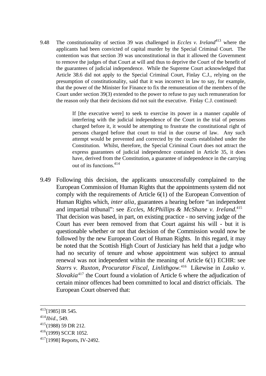9.48 The constitutionality of section 39 was challenged in *Eccles v. Ireland*<sup>413</sup> where the applicants had been convicted of capital murder by the Special Criminal Court. The contention was that section 39 was unconstitutional in that it allowed the Government to remove the judges of that Court at will and thus to deprive the Court of the benefit of the guarantees of judicial independence. While the Supreme Court acknowledged that Article 38.6 did not apply to the Special Criminal Court, Finlay C.J., relying on the presumption of constitutionality, said that it was incorrect in law to say, for example, that the power of the Minister for Finance to fix the remuneration of the members of the Court under section 39(3) extended to the power to refuse to pay such remuneration for the reason only that their decisions did not suit the executive. Finlay C.J. continued:

> If [the executive were] to seek to exercise its power in a manner capable of interfering with the judicial independence of the Court in the trial of persons charged before it, it would be attempting to frustrate the constitutional right of persons charged before that court to trial in due course of law. Any such attempt would be prevented and corrected by the courts established under the Constitution. Whilst, therefore, the Special Criminal Court does not attract the express guarantees of judicial independence contained in Article 35, it does have, derived from the Constitution, a guarantee of independence in the carrying out of its functions.<sup>414</sup>

9.49 Following this decision, the applicants unsuccessfully complained to the European Commission of Human Rights that the appointments system did not comply with the requirements of Article 6(1) of the European Convention of Human Rights which, *inter alia*, guarantees a hearing before "an independent and impartial tribunal": see *Eccles, McPhillips & McShane v. Ireland.*<sup>415</sup> That decision was based, in part, on existing practice - no serving judge of the Court has ever been removed from that Court against his will - but it is questionable whether or not that decision of the Commission would now be followed by the new European Court of Human Rights. In this regard, it may be noted that the Scottish High Court of Justiciary has held that a judge who had no security of tenure and whose appointment was subject to annual renewal was not independent within the meaning of Article 6(1) ECHR: see *Starrs v. Ruxton, Procurator Fiscal, Linlithgow.*<sup>416</sup> Likewise in *Lauko v. Slovakia*<sup>417</sup> the Court found a violation of Article 6 where the adjudication of certain minor offences had been committed to local and district officials. The European Court observed that:

<sup>413</sup>[1985] IR 545.

<sup>414</sup>*Ibid*., 549.

 $415(1988)$  59 DR 212.

<sup>416</sup>(1999) SCCR 1052.

<sup>417</sup>[1998] Reports, IV-2492.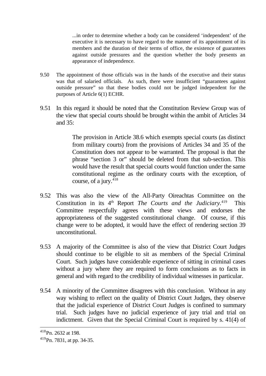...in order to determine whether a body can be considered 'independent' of the executive it is necessary to have regard to the manner of its appointment of its members and the duration of their terms of office, the existence of guarantees against outside pressures and the question whether the body presents an appearance of independence.

- 9.50 The appointment of those officials was in the hands of the executive and their status was that of salaried officials. As such, there were insufficient "guarantees against" outside pressure" so that these bodies could not be judged independent for the purposes of Article 6(1) ECHR.
- 9.51 In this regard it should be noted that the Constitution Review Group was of the view that special courts should be brought within the ambit of Articles 34 and 35:

The provision in Article 38.6 which exempts special courts (as distinct from military courts) from the provisions of Articles 34 and 35 of the Constitution does not appear to be warranted. The proposal is that the phrase "section 3 or" should be deleted from that sub-section. This would have the result that special courts would function under the same constitutional regime as the ordinary courts with the exception, of course, of a jury. $418$ 

- 9.52 This was also the view of the All-Party Oireachtas Committee on the Constitution in its 4<sup>th</sup> Report *The Courts and the Judiciary*.<sup>419</sup> This Committee respectfully agrees with these views and endorses the appropriateness of the suggested constitutional change. Of course, if this change were to be adopted, it would have the effect of rendering section 39 unconstitutional.
- 9.53 A majority of the Committee is also of the view that District Court Judges should continue to be eligible to sit as members of the Special Criminal Court. Such judges have considerable experience of sitting in criminal cases without a jury where they are required to form conclusions as to facts in general and with regard to the credibility of individual witnesses in particular.
- 9.54 A minority of the Committee disagrees with this conclusion. Without in any way wishing to reflect on the quality of District Court Judges, they observe that the judicial experience of District Court Judges is confined to summary trial. Such judges have no judicial experience of jury trial and trial on indictment. Given that the Special Criminal Court is required by s. 41(4) of

<sup>418</sup>Pn. 2632 at 198.

<sup>419</sup>Pn. 7831, at pp. 34-35.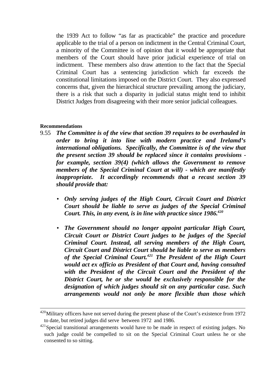the 1939 Act to follow "as far as practicable" the practice and procedure applicable to the trial of a person on indictment in the Central Criminal Court, a minority of the Committee is of opinion that it would be appropriate that members of the Court should have prior judicial experience of trial on indictment. These members also draw attention to the fact that the Special Criminal Court has a sentencing jurisdiction which far exceeds the constitutional limitations imposed on the District Court. They also expressed concerns that, given the hierarchical structure prevailing among the judiciary, there is a risk that such a disparity in judicial status might tend to inhibit District Judges from disagreeing with their more senior judicial colleagues.

#### **Recommendations**

- 9.55 *The Committee is of the view that section 39 requires to be overhauled in order to bring it into line with modern practice and Irelamd's international obligations. Specifically, the Committee is of the view that the present section 39 should be replaced since it contains provisions for example, section 39(4) (which allows the Government to remove members of the Special Criminal Court at will) - which are manifestly inappropriate. It accordingly recommends that a recast section 39 should provide that:*
	- *Only serving judges of the High Court, Circuit Court and District Court should be liable to serve as judges of the Special Criminal Court. This, in any event, is in line with practice since 1986.<sup>420</sup>*
	- *The Government should no longer appoint particular High Court, Circuit Court or District Court judges to be judges of the Special Criminal Court. Instead, all serving members of the High Court, Circuit Court and District Court should be liable to serve as members of the Special Criminal Court.<sup>421</sup> The President of the High Court would act ex officio as President of that Court and, having consulted with the President of the Circuit Court and the President of the District Court, he or she would be exclusively responsible for the designation of which judges should sit on any particular case. Such arrangements would not only be more flexible than those which*

<sup>&</sup>lt;sup>420</sup>Military officers have not served during the present phase of the Court's existence from 1972 to date, but retired judges did serve between 1972 and 1986.

 $421$ Special transitional arrangements would have to be made in respect of existing judges. No such judge could be compelled to sit on the Special Criminal Court unless he or she consented to so sitting.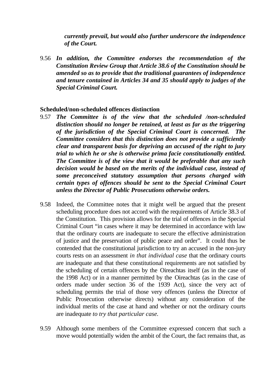*currently prevail, but would also further underscore the independence of the Court.*

9.56 *In addition, the Committee endorses the recommendation of the Constitution Review Group that Article 38.6 of the Constitution should be amended so as to provide that the traditional guarantees of independence and tenure contained in Articles 34 and 35 should apply to judges of the Special Criminal Court.*

#### **Scheduled/non-scheduled offences distinction**

- 9.57 *The Committee is of the view that the scheduled /non-scheduled distinction should no longer be retained, at least as far as the triggering of the jurisdiction of the Special Criminal Court is concerned. The Committee considers that this distinction does not provide a sufficiently clear and transparent basis for depriving an accused of the right to jury trial to which he or she is otherwise prima facie constitutionally entitled. The Committee is of the view that it would be preferable that any such decision would be based on the merits of the individual case, instead of some preconceived statutory assumption that persons charged with certain types of offences should be sent to the Special Criminal Court unless the Director of Public Prosecutions otherwise orders.*
- 9.58 Indeed, the Committee notes that it might well be argued that the present scheduling procedure does not accord with the requirements of Article 38.3 of the Constitution. This provision allows for the trial of offences in the Special Criminal Court "in cases where it may be determined in accordance with law that the ordinary courts are inadequate to secure the effective administration of justice and the preservation of public peace and order". It could thus be contended that the constitutional jurisdiction to try an accused in the non-jury courts rests on an assessment *in that individual case* that the ordinary courts are inadequate and that these constitutional requirements are not satisfied by the scheduling of certain offences by the Oireachtas itself (as in the case of the 1998 Act) or in a manner permitted by the Oireachtas (as in the case of orders made under section 36 of the 1939 Act), since the very act of scheduling permits the trial of those very offences (unless the Director of Public Prosecution otherwise directs) without any consideration of the individual merits of the case at hand and whether or not the ordinary courts are inadequate *to try that particular case.*
- 9.59 Although some members of the Committee expressed concern that such a move would potentially widen the ambit of the Court, the fact remains that, as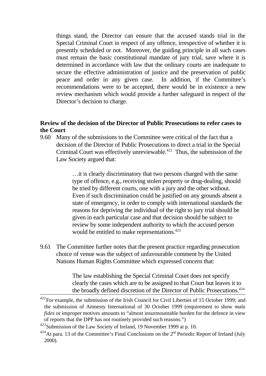things stand, the Director can ensure that the accused stands trial in the Special Criminal Court in respect of any offence, irrespective of whether it is presently scheduled or not. Moreover, the guiding principle in all such cases must remain the basic constitutional mandate of jury trial, save where it is determined in accordance with law that the ordinary courts are inadequate to secure the effective administration of justice and the preservation of public peace and order in any given case. In addition, if the Committee's recommendations were to be accepted, there would be in existence a new review mechanism which would provide a further safeguard in respect of the Director's decision to charge.

### **Review of the decision of the Director of Public Prosecutions to refer cases to the Court**

9.60 Many of the submissions to the Committee were critical of the fact that a decision of the Director of Public Prosecutions to direct a trial in the Special Criminal Court was effectively unreviewable.<sup> $422$ </sup> Thus, the submission of the Law Society argued that:

> …it is clearly discriminatory that two persons charged with the same type of offence, e.g., receiving stolen property or drug-dealing, should be tried by different courts, one with a jury and the other without. Even if such discrimination could be justified on any grounds absent a state of emergency, in order to comply with international standards the reasons for depriving the individual of the right to jury trial should be given in each particular case and that decision should be subject to review by some independent authority to which the accused person would be entitled to make representations.<sup>423</sup>

9.61 The Committee further notes that the present practice regarding prosecution choice of venue was the subject of unfavourable comment by the United Nations Human Rights Committee which expressed concern that:

> The law establishing the Special Criminal Court does not specify clearly the cases which are to be assigned to that Court but leaves it to the broadly defined discretion of the Director of Public Prosecutions.<sup>424</sup>

 $422$ For example, the submission of the Irish Council for Civil Liberties of 15 October 1999; and the submission of Amnesty International of 30 October 1999 (requirement to show *mala fides* or improper motives amounts to "almost insurmountable burden for the defence in view of reports that the DPP has not routinely provided such reasons.")

<sup>&</sup>lt;sup>423</sup>Submission of the Law Society of Ireland, 19 November 1999 at p. 10.

 $424$ At para. 13 of the Committee's Final Conclusions on the  $2<sup>nd</sup>$  Periodic Report of Ireland (July 2000).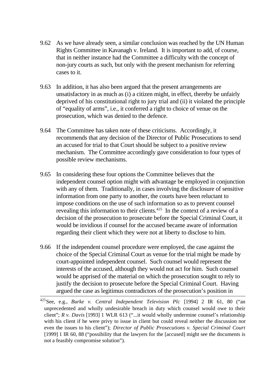- 9.62 As we have already seen, a similar conclusion was reached by the UN Human Rights Committee in Kavanagh v. Ireland. It is important to add, of course, that in neither instance had the Committee a difficulty with the concept of non-jury courts as such, but only with the present mechanism for referring cases to it.
- 9.63 In addition, it has also been argued that the present arrangements are unsatisfactory in as much as (i) a citizen might, in effect, thereby be unfairly deprived of his constitutional right to jury trial and (ii) it violated the principle of "equality of arms", i.e., it conferred a right to choice of venue on the prosecution, which was denied to the defence.
- 9.64 The Committee has taken note of these criticisms. Accordingly, it recommends that any decision of the Director of Public Prosecutions to send an accused for trial to that Court should be subject to a positive review mechanism. The Committee accordingly gave consideration to four types of possible review mechanisms.
- 9.65 In considering these four options the Committee believes that the independent counsel option might with advantage be employed in conjunction with any of them. Traditionally, in cases involving the disclosure of sensitive information from one party to another, the courts have been reluctant to impose conditions on the use of such information so as to prevent counsel revealing this information to their clients.<sup>425</sup> In the context of a review of a decision of the prosecution to prosecute before the Special Criminal Court, it would be invidious if counsel for the accused became aware of information regarding their client which they were not at liberty to disclose to him.
- 9.66 If the independent counsel procedure were employed, the case against the choice of the Special Criminal Court as venue for the trial might be made by court-appointed independent counsel. Such counsel would represent the interests of the accused, although they would not act for him. Such counsel would be apprised of the material on which the prosecution sought to rely to justify the decision to prosecute before the Special Criminal Court. Having argued the case as legitimus contradictors of the prosecution's position in

<sup>425</sup>See, e.g., *Burke v. Central Independent Television Plc* [1994] 2 IR 61, 80 ("an unprecedented and wholly undesirable breach in duty which counsel would owe to their client"; *R v. Davis* [1993] 1 WLR 613 ("...it would wholly undermine counsel's relationship with his client if he were privy to issue in client but could reveal neither the discussion nor even the issues to his client"); *Director of Public Prosecutions v. Special Criminal Court* [1999] 1 IR 60, 88 ("possibility that the lawyers for the [accused] might see the documents is not a feasibly compromise solution").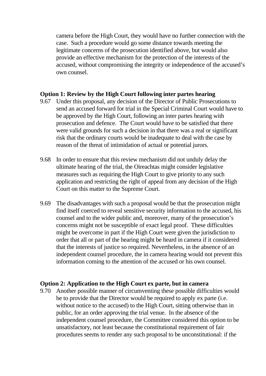camera before the High Court, they would have no further connection with the case. Such a procedure would go some distance towards meeting the legitimate concerns of the prosecution identified above, but would also provide an effective mechanism for the protection of the interests of the accused, without compromising the integrity or independence of the accused's own counsel.

#### **Option 1: Review by the High Court following inter partes hearing**

- 9.67 Under this proposal, any decision of the Director of Public Prosecutions to send an accused forward for trial in the Special Criminal Court would have to be approved by the High Court, following an inter partes hearing with prosecution and defence. The Court would have to be satisfied that there were valid grounds for such a decision in that there was a real or significant risk that the ordinary courts would be inadequate to deal with the case by reason of the threat of intimidation of actual or potential jurors.
- 9.68 In order to ensure that this review mechanism did not unduly delay the ultimate hearing of the trial, the Oireachtas might consider legislative measures such as requiring the High Court to give priority to any such application and restricting the right of appeal from any decision of the High Court on this matter to the Supreme Court.
- 9.69 The disadvantages with such a proposal would be that the prosecution might find itself coerced to reveal sensitive security information to the accused, his counsel and to the wider public and, moreover, many of the prosecution's concerns might not be susceptible of exact legal proof. These difficulties might be overcome in part if the High Court were given the jurisdiction to order that all or part of the hearing might be heard in camera if it considered that the interests of justice so required. Nevertheless, in the absence of an independent counsel procedure, the in camera hearing would not prevent this information coming to the attention of the accused or his own counsel.

### **Option 2: Application to the High Court ex parte, but in camera**

9.70 Another possible manner of circumventing these possible difficulties would be to provide that the Director would be required to apply ex parte (i.e. without notice to the accused) to the High Court, sitting otherwise than in public, for an order approving the trial venue. In the absence of the independent counsel procedure, the Committee considered this option to be unsatisfactory, not least because the constitutional requirement of fair procedures seems to render any such proposal to be unconstitutional: if the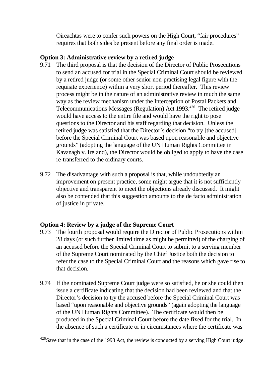Oireachtas were to confer such powers on the High Court, "fair procedures" requires that both sides be present before any final order is made.

# **Option 3: Administrative review by a retired judge**

- 9.71 The third proposal is that the decision of the Director of Public Prosecutions to send an accused for trial in the Special Criminal Court should be reviewed by a retired judge (or some other senior non-practising legal figure with the requisite experience) within a very short period thereafter. This review process might be in the nature of an administrative review in much the same way as the review mechanism under the Interception of Postal Packets and Telecommunications Messages (Regulation) Act 1993.<sup>426</sup> The retired judge would have access to the entire file and would have the right to pose questions to the Director and his staff regarding that decision. Unless the retired judge was satisfied that the Director's decision "to try [the accused] before the Special Criminal Court was based upon reasonable and objective grounds" (adopting the language of the UN Human Rights Committee in Kavanagh v. Ireland), the Director would be obliged to apply to have the case re-transferred to the ordinary courts.
- 9.72 The disadvantage with such a proposal is that, while undoubtedly an improvement on present practice, some might argue that it is not sufficiently objective and transparent to meet the objections already discussed. It might also be contended that this suggestion amounts to the de facto administration of justice in private.

# **Option 4: Review by a judge of the Supreme Court**

- 9.73 The fourth proposal would require the Director of Public Prosecutions within 28 days (or such further limited time as might be permitted) of the charging of an accused before the Special Criminal Court to submit to a serving member of the Supreme Court nominated by the Chief Justice both the decision to refer the case to the Special Criminal Court and the reasons which gave rise to that decision.
- 9.74 If the nominated Supreme Court judge were so satisfied, he or she could then issue a certificate indicating that the decision had been reviewed and that the Director's decision to try the accused before the Special Criminal Court was based "upon reasonable and objective grounds" (again adopting the language of the UN Human Rights Committee). The certificate would then be produced in the Special Criminal Court before the date fixed for the trial. In the absence of such a certificate or in circumstances where the certificate was

 $426$ Save that in the case of the 1993 Act, the review is conducted by a serving High Court judge.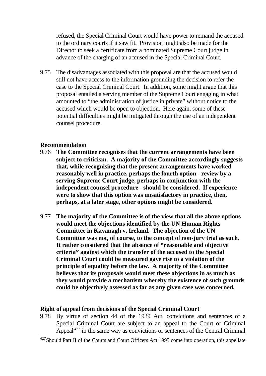refused, the Special Criminal Court would have power to remand the accused to the ordinary courts if it saw fit. Provision might also be made for the Director to seek a certificate from a nominated Supreme Court judge in advance of the charging of an accused in the Special Criminal Court.

9.75 The disadvantages associated with this proposal are that the accused would still not have access to the information grounding the decision to refer the case to the Special Criminal Court. In addition, some might argue that this proposal entailed a serving member of the Supreme Court engaging in what amounted to "the administration of justice in private" without notice to the accused which would be open to objection. Here again, some of these potential difficulties might be mitigated through the use of an independent counsel procedure.

### **Recommendation**

- 9.76 **The Committee recognises that the current arrangements have been subject to criticism. A majority of the Committee accordingly suggests that, while recognising that the present arrangements have worked reasonably well in practice, perhaps the fourth option - review by a serving Supreme Court judge, perhaps in conjunction with the independent counsel procedure - should be considered. If experience were to show that this option was unsatisfactory in practice, then, perhaps, at a later stage, other options might be considered.**
- 9.77 **The majority of the Committee is of the view that all the above options would meet the objections identified by the UN Human Rights Committee in Kavanagh v. Ireland. The objection of the UN Committee was not, of course, to the concept of non-jury trial as such. It rather considered that the absence of "reasonable and objective criteria" against which the transfer of the accused to the Special Criminal Court could be measured gave rise to a violation of the principle of equality before the law. A majority of the Committee believes that its proposals would meet these objections in as much as they would provide a mechanism whereby the existence of such grounds could be objectively assessed as far as any given case was concerned.**

### **Right of appeal from decisions of the Special Criminal Court**

9.78 By virtue of section 44 of the 1939 Act, convictions and sentences of a Special Criminal Court are subject to an appeal to the Court of Criminal Appeal $427$  in the same way as convictions or sentences of the Central Criminal

 $427$ Should Part II of the Courts and Court Officers Act 1995 come into operation, this appellate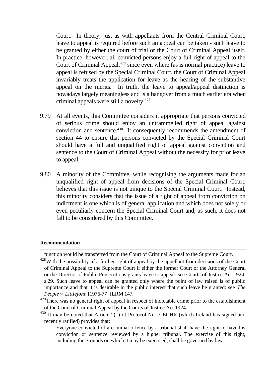Court. In theory, just as with appellants from the Central Criminal Court, leave to appeal is required before such an appeal can be taken - such leave to be granted by either the court of trial or the Court of Criminal Appeal itself. In practice, however, all convicted persons enjoy a full right of appeal to the Court of Criminal Appeal,<sup>428</sup> since even where (as is normal practice) leave to appeal is refused by the Special Criminal Court, the Court of Criminal Appeal invariably treats the application for leave as the hearing of the substantive appeal on the merits. In truth, the leave to appeal/appeal distinction is nowadays largely meaningless and is a hangover from a much earlier era when criminal appeals were still a novelty.<sup>429</sup>

- 9.79 At all events, this Committee considers it appropriate that persons convicted of serious crime should enjoy an untrammelled right of appeal against conviction and sentence.<sup>430</sup> It consequently recommends the amendment of section 44 to ensure that persons convicted by the Special Criminal Court should have a full and unqualified right of appeal against conviction and sentence to the Court of Criminal Appeal without the necessity for prior leave to appeal.
- 9.80 A minority of the Committee, while recognising the arguments made for an unqualified right of appeal from decisions of the Special Criminal Court, believes that this issue is not unique to the Special Criminal Court. Instead, this minority considers that the issue of a right of appeal from conviction on indictment is one which is of general application and which does not solely or even peculiarly concern the Special Criminal Court and, as such, it does not fall to be considered by this Committee.

#### **Recommendation**

function would be transferred from the Court of Criminal Appeal to the Supreme Court.

 $428$ With the possibility of a further right of appeal by the appellant from decisions of the Court of Criminal Appeal to the Supreme Court if either the former Court or the Attorney General or the Director of Public Prosecutions grants leave to appeal: see Courts of Justice Act 1924, s.29. Such leave to appeal can be granted only where the point of law raised is of public importance and that it is desirable in the public interest that such leave be granted: see *The People v. Littlejohn* [1976-77] ILRM 147.

 $429$ There was no general right of appeal in respect of indictable crime prior to the establishment of the Court of Criminal Appeal by the Courts of Justice Act 1924.

 $430$  It may be noted that Article 2(1) of Protocol No. 7 ECHR (which Ireland has signed and recently ratified) provides that:

Everyone convicted of a criminal offence by a tribunal shall have the right to have his conviction or sentence reviewed by a higher tribunal. The exercise of this right, including the grounds on which it may be exercised, shall be governed by law.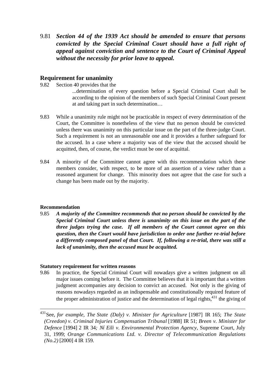9.81 *Section 44 of the 1939 Act should be amended to ensure that persons convicted by the Special Criminal Court should have a full right of appeal against conviction and sentence to the Court of Criminal Appeal without the necessity for prior leave to appeal.*

#### **Requirement for unanimity**

- 9.82 Section 40 provides that the
	- ...determination of every question before a Special Criminal Court shall be according to the opinion of the members of such Special Criminal Court present at and taking part in such determination…
- 9.83 While a unanimity rule might not be practicable in respect of every determination of the Court, the Committee is nonetheless of the view that no person should be convicted unless there was unanimity on this particular issue on the part of the three-judge Court. Such a requirement is not an unreasonable one and it provides a further safeguard for the accused. In a case where a majority was of the view that the accused should be acquitted, then, of course, the verdict must be one of acquittal.
- 9.84 A minority of the Committee cannot agree with this recommendation which these members consider, with respect, to be more of an assertion of a view rather than a reasoned argument for change. This minority does not agree that the case for such a change has been made out by the majority.

#### **Recommendation**

9.85 *A majority of the Committee recommends that no person should be convicted by the Special Criminal Court unless there is unanimity on this issue on the part of the three judges trying the case. If all members of the Court cannot agree on this question, then the Court would have jurisdiction to order one further re-trial before a differently composed panel of that Court. If, following a re-trial, there was still a lack of unanimity, then the accused must be acquitted.*

#### **Statutory requirement for written reasons**

9.86 In practice, the Special Criminal Court will nowadays give a written judgment on all major issues coming before it. The Committee believes that it is important that a written judgment accompanies any decision to convict an accused. Not only is the giving of reasons nowadays regarded as an indispensable and constitutionally required feature of the proper administration of justice and the determination of legal rights, $431$  the giving of

<sup>431</sup>See, *for example, The State (Daly) v. Minister for Agriculture* [1987] IR 165; *The State (Creedon) v. Criminal Injuries Compensation Tribunal* [1988] IR 51; *Breen v. Minister for Defence* [1994] 2 IR 34*; Ní Eili v. Environmental Protection Agency*, Supreme Court, July 31, 1999; *Orange Communications Ltd. v. Director of Telecommunication Regulations (No.2)* [2000] 4 IR 159.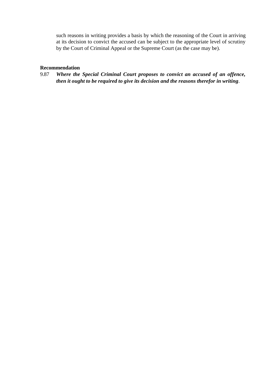such reasons in writing provides a basis by which the reasoning of the Court in arriving at its decision to convict the accused can be subject to the appropriate level of scrutiny by the Court of Criminal Appeal or the Supreme Court (as the case may be).

#### **Recommendation**

9.87 *Where the Special Criminal Court proposes to convict an accused of an offence, then it ought to be required to give its decision and the reasons therefor in writing*.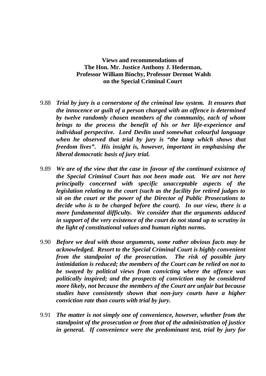### **Views and recommendations of The Hon. Mr. Justice Anthony J. Hederman, Professor William Binchy, Professor Dermot Walsh on the Special Criminal Court**

- 9.88 *Trial by jury is a cornerstone of the criminal law system. It ensures that the innocence or guilt of a person charged with an offence is determined by twelve randomly chosen members of the community, each of whom brings to the process the benefit of his or her life-experience and individual perspective. Lord Devlin used somewhat colourful language when he observed that trial by jury is "the lamp which shows that freedom lives". His insight is, however, important in emphasising the liberal democratic basis of jury trial.*
- 9.89 *We are of the view that the case in favour of the continued existence of the Special Criminal Court has not been made out. We are not here principally concerned with specific unacceptable aspects of the legislation relating to the court (such as the facility for retired judges to sit on the court or the power of the Director of Public Prosecutions to decide who is to be charged before the court). In our view, there is a more fundamental difficulty. We consider that the arguments adduced in support of the very existence of the court do not stand up to scrutiny in the light of constitutional values and human rights norms.*
- 9.90 *Before we deal with those arguments, some rather obvious facts may be acknowledged. Resort to the Special Criminal Court is highly convenient from the standpoint of the prosecution. The risk of possible jury intimidation is reduced; the members of the Court can be relied on not to be swayed by political views from convicting where the offence was politically inspired; and the prospects of conviction may be considered more likely, not because the members of the Court are unfair but because studies have consistently shown that non-jury courts have a higher conviction rate than courts with trial by jury.*
- 9.91 *The matter is not simply one of convenience, however, whether from the standpoint of the prosecution or from that of the administration of justice in general. If convenience were the predominant test, trial by jury for*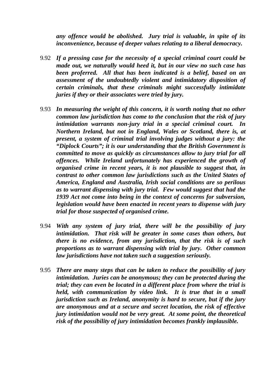*any offence would be abolished. Jury trial is valuable, in spite of its inconvenience, because of deeper values relating to a liberal democracy.*

- 9.92 *If a pressing case for the necessity of a special criminal court could be made out, we naturally would heed it, but in our view no such case has been proferred. All that has been indicated is a belief, based on an assessment of the undoubtedly violent and intimidatory disposition of certain criminals, that these criminals might successfully intimidate juries if they or their associates were tried by jury.*
- 9.93 *In measuring the weight of this concern, it is worth noting that no other common law jurisdiction has come to the conclusion that the risk of jury intimidation warrants non-jury trial in a special criminal court. In Northern Ireland, but not in England, Wales or Scotland, there is, at present, a system of criminal trial involving judges without a jury: the "Diplock Courts"; it is our understanding that the British Government is committed to move as quickly as circumstances allow to jury trial for all offences. While Ireland unfortunately has experienced the growth of organised crime in recent years, it is not plausible to suggest that, in contrast to other common law jurisdictions such as the United States of America, England and Australia, Irish social conditions are so perilous as to warrant dispensing with jury trial. Few would suggest that had the 1939 Act not come into being in the context of concerns for subversion, legislation would have been enacted in recent years to dispense with jury trial for those suspected of organised crime.*
- 9.94 *With any system of jury trial, there will be the possibility of jury intimidation. That risk will be greater in some cases than others, but there is no evidence, from any jurisdiction, that the risk is of such proportions as to warrant dispensing with trial by jury. Other common law jurisdictions have not taken such a suggestion seriously.*
- 9.95 *There are many steps that can be taken to reduce the possibility of jury intimidation. Juries can be anonymous; they can be protected during the trial; they can even be located in a different place from where the trial is held, with communication by video link. It is true that in a small jurisdiction such as Ireland, anonymity is hard to secure, but if the jury are anonymous and at a secure and secret location, the risk of effective jury intimidation would not be very great. At some point, the theoretical risk of the possibility of jury intimidation becomes frankly implausible.*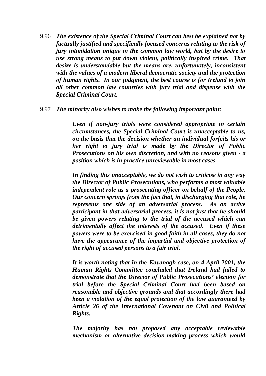- 9.96 *The existence of the Special Criminal Court can best be explained not by factually justified and specifically focused concerns relating to the risk of jury intimidation unique in the common law world, but by the desire to use strong means to put down violent, politically inspired crime. That desire is understandable but the means are, unfortunately, inconsistent with the values of a modern liberal democratic society and the protection of human rights. In our judgment, the best course is for Ireland to join all other common law countries with jury trial and dispense with the Special Criminal Court.*
- 9.97 *The minority also wishes to make the following important point:*

*Even if non-jury trials were considered appropriate in certain circumstances, the Special Criminal Court is unacceptable to us, on the basis that the decision whether an individual forfeits his or her right to jury trial is made by the Director of Public Prosecutions on his own discretion, and with no reasons given - a position which is in practice unreviewable in most cases.*

*In finding this unacceptable, we do not wish to criticise in any way the Director of Public Prosecutions, who performs a most valuable independent role as a prosecuting officer on behalf of the People. Our concern springs from the fact that, in discharging that role, he represents one side of an adversarial process. As an active participant in that adversarial process, it is not just that he should be given powers relating to the trial of the accused which can detrimentally affect the interests of the accused. Even if these powers were to be exercised in good faith in all cases, they do not have the appearance of the impartial and objective protection of the right of accused persons to a fair trial.*

*It is worth noting that in the Kavanagh case, on 4 April 2001, the Human Rights Committee concluded that Ireland had failed to demonstrate that the Director of Public Prosecutions' election for trial before the Special Criminal Court had been based on reasonable and objective grounds and that accordingly there had been a violation of the equal protection of the law guaranteed by Article 26 of the International Covenant on Civil and Political Rights.*

*The majority has not proposed any acceptable reviewable mechanism or alternative decision-making process which would*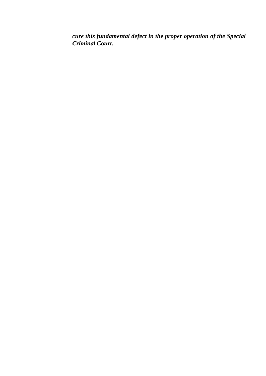*cure this fundamental defect in the proper operation of the Special Criminal Court.*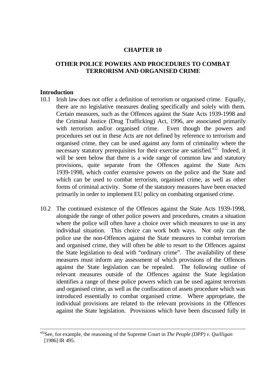### **CHAPTER 10**

### **OTHER POLICE POWERS AND PROCEDURES TO COMBAT TERRORISM AND ORGANISED CRIME**

#### **Introduction**

- 10.1 Irish law does not offer a definition of terrorism or organised crime. Equally, there are no legislative measures dealing specifically and solely with them. Certain measures, such as the Offences against the State Acts 1939-1998 and the Criminal Justice (Drug Trafficking) Act, 1996, are associated primarily with terrorism and/or organised crime. Even though the powers and procedures set out in these Acts are not defined by reference to terrorism and organised crime, they can be used against any form of criminality where the necessary statutory prerequisites for their exercise are satisfied.<sup>432</sup> Indeed, it will be seen below that there is a wide range of common law and statutory provisions, quite separate from the Offences against the State Acts 1939-1998, which confer extensive powers on the police and the State and which can be used to combat terrorism, organised crime, as well as other forms of criminal activity. Some of the statutory measures have been enacted primarily in order to implement EU policy on combating organised crime.
- 10.2 The continued existence of the Offences against the State Acts 1939-1998, alongside the range of other police powers and procedures, creates a situation where the police will often have a choice over which measures to use in any individual situation. This choice can work both ways. Not only can the police use the non-Offences against the State measures to combat terrorism and organised crime, they will often be able to resort to the Offences against the State legislation to deal with "ordinary crime". The availability of these measures must inform any assessment of which provisions of the Offences against the State legislation can be repealed. The following outline of relevant measures outside of the Offences against the State legislation identifies a range of these police powers which can be used against terrorism and organised crime, as well as the confiscation of assets procedure which was introduced essentially to combat organised crime. Where appropriate, the individual provisions are related to the relevant provisions in the Offences against the State legislation. Provisions which have been discussed fully in

<sup>432</sup>See, for example, the reasoning of the Supreme Court in *The People (DPP) v. Quilligan* [1986] IR 495.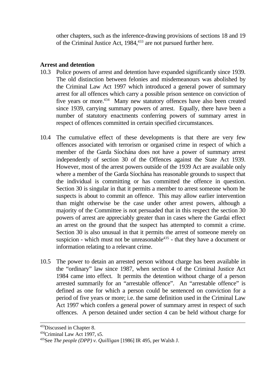other chapters, such as the inference-drawing provisions of sections 18 and 19 of the Criminal Justice Act, 1984,<sup>433</sup> are not pursued further here.

### **Arrest and detention**

- 10.3 Police powers of arrest and detention have expanded significantly since 1939. The old distinction between felonies and misdemeanours was abolished by the Criminal Law Act 1997 which introduced a general power of summary arrest for all offences which carry a possible prison sentence on conviction of five years or more.<sup>434</sup> Many new statutory offences have also been created since 1939, carrying summary powers of arrest. Equally, there have been a number of statutory enactments conferring powers of summary arrest in respect of offences committed in certain specified circumstances.
- 10.4 The cumulative effect of these developments is that there are very few offences associated with terrorism or organised crime in respect of which a member of the Garda Síochána does not have a power of summary arrest independently of section 30 of the Offences against the State Act 1939. However, most of the arrest powers outside of the 1939 Act are available only where a member of the Garda Síochána has reasonable grounds to suspect that the individual is committing or has committed the offence in question. Section 30 is singular in that it permits a member to arrest someone whom he suspects is about to commit an offence. This may allow earlier intervention than might otherwise be the case under other arrest powers, although a majority of the Committee is not persuaded that in this respect the section 30 powers of arrest are appreciably greater than in cases where the Gardai effect an arrest on the ground that the suspect has attempted to commit a crime. Section 30 is also unusual in that it permits the arrest of someone merely on suspicion - which must not be unreasonable<sup>435</sup> - that they have a document or information relating to a relevant crime.
- 10.5 The power to detain an arrested person without charge has been available in the "ordinary" law since 1987, when section 4 of the Criminal Justice Act 1984 came into effect. It permits the detention without charge of a person arrested summarily for an "arrestable offence". An "arrestable offence" is defined as one for which a person could be sentenced on conviction for a period of five years or more; i.e. the same definition used in the Criminal Law Act 1997 which confers a general power of summary arrest in respect of such offences. A person detained under section 4 can be held without charge for

<sup>433</sup>Discussed in Chapter 8.

<sup>434</sup>Criminal Law Act 1997, s5.

<sup>435</sup>See *The people (DPP) v. Quilligan* [1986] IR 495, per Walsh J.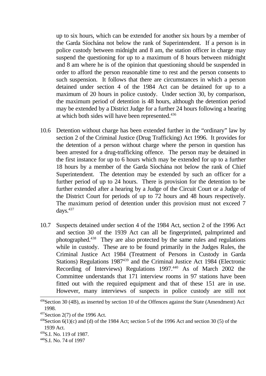up to six hours, which can be extended for another six hours by a member of the Garda Síochána not below the rank of Superintendent. If a person is in police custody between midnight and 8 am, the station officer in charge may suspend the questioning for up to a maximum of 8 hours between midnight and 8 am where he is of the opinion that questioning should be suspended in order to afford the person reasonable time to rest and the person consents to such suspension. It follows that there are circumstances in which a person detained under section 4 of the 1984 Act can be detained for up to a maximum of 20 hours in police custody. Under section 30, by comparison, the maximum period of detention is 48 hours, although the detention period may be extended by a District Judge for a further 24 hours following a hearing at which both sides will have been represented.<sup>436</sup>

- 10.6 Detention without charge has been extended further in the "ordinary" law by section 2 of the Criminal Justice (Drug Trafficking) Act 1996. It provides for the detention of a person without charge where the person in question has been arrested for a drug-trafficking offence. The person may be detained in the first instance for up to 6 hours which may be extended for up to a further 18 hours by a member of the Garda Síochána not below the rank of Chief Superintendent. The detention may be extended by such an officer for a further period of up to 24 hours. There is provision for the detention to be further extended after a hearing by a Judge of the Circuit Court or a Judge of the District Court for periods of up to 72 hours and 48 hours respectively. The maximum period of detention under this provision must not exceed 7 days.<sup>437</sup>
- 10.7 Suspects detained under section 4 of the 1984 Act, section 2 of the 1996 Act and section 30 of the 1939 Act can all be fingerprinted, palmprinted and photographed.<sup>438</sup> They are also protected by the same rules and regulations while in custody. These are to be found primarily in the Judges Rules, the Criminal Justice Act 1984 (Treatment of Persons in Custody in Garda Stations) Regulations 1987<sup>439</sup> and the Criminal Justice Act 1984 (Electronic Recording of Interviews) Regulations 1997.<sup>440</sup> As of March 2002 the Committee understands that 171 interview rooms in 97 stations have been fitted out with the required equipment and that of these 151 are in use. However, many interviews of suspects in police custody are still not

 $436$ Section 30 (4B), as inserted by section 10 of the Offences against the State (Amendment) Act 1998.

<sup>437</sup>Section 2(7) of the 1996 Act.

 $438$ Section 6(1)(c) and (d) of the 1984 Act; section 5 of the 1996 Act and section 30 (5) of the 1939 Act.

<sup>439</sup>S.I. No. 119 of 1987.

<sup>440</sup>S.I. No. 74 of 1997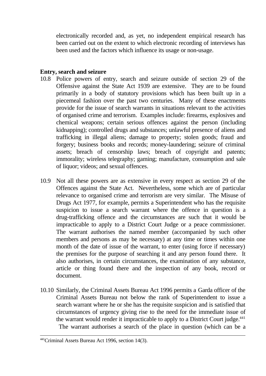electronically recorded and, as yet, no independent empirical research has been carried out on the extent to which electronic recording of interviews has been used and the factors which influence its usage or non-usage.

### **Entry, search and seizure**

- 10.8 Police powers of entry, search and seizure outside of section 29 of the Offensive against the State Act 1939 are extensive. They are to be found primarily in a body of statutory provisions which has been built up in a piecemeal fashion over the past two centuries. Many of these enactments provide for the issue of search warrants in situations relevant to the activities of organised crime and terrorism. Examples include: firearms, explosives and chemical weapons; certain serious offences against the person (including kidnapping); controlled drugs and substances; unlawful presence of aliens and trafficking in illegal aliens; damage to property; stolen goods; fraud and forgery; business books and records; money-laundering; seizure of criminal assets; breach of censorship laws; breach of copyright and patents; immorality; wireless telegraphy; gaming; manufacture, consumption and sale of liquor; videos; and sexual offences.
- 10.9 Not all these powers are as extensive in every respect as section 29 of the Offences against the State Act. Nevertheless, some which are of particular relevance to organised crime and terrorism are very similar. The Misuse of Drugs Act 1977, for example, permits a Superintendent who has the requisite suspicion to issue a search warrant where the offence in question is a drug-trafficking offence and the circumstances are such that it would be impracticable to apply to a District Court Judge or a peace commissioner. The warrant authorises the named member (accompanied by such other members and persons as may be necessary) at any time or times within one month of the date of issue of the warrant, to enter (using force if necessary) the premises for the purpose of searching it and any person found there. It also authorises, in certain circumstances, the examination of any substance, article or thing found there and the inspection of any book, record or document.
- 10.10 Similarly, the Criminal Assets Bureau Act 1996 permits a Garda officer of the Criminal Assets Bureau not below the rank of Superintendent to issue a search warrant where he or she has the requisite suspicion and is satisfied that circumstances of urgency giving rise to the need for the immediate issue of the warrant would render it impracticable to apply to a District Court judge.<sup>441</sup> The warrant authorises a search of the place in question (which can be a

<sup>441</sup>Criminal Assets Bureau Act 1996, section 14(3).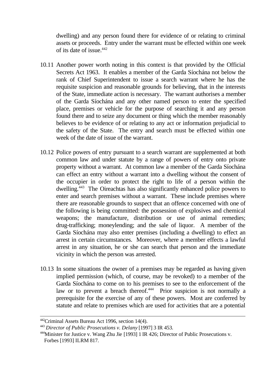dwelling) and any person found there for evidence of or relating to criminal assets or proceeds. Entry under the warrant must be effected within one week of its date of issue.<sup>442</sup>

- 10.11 Another power worth noting in this context is that provided by the Official Secrets Act 1963. It enables a member of the Garda Síochána not below the rank of Chief Superintendent to issue a search warrant where he has the requisite suspicion and reasonable grounds for believing, that in the interests of the State, immediate action is necessary. The warrant authorises a member of the Garda Síochána and any other named person to enter the specified place, premises or vehicle for the purpose of searching it and any person found there and to seize any document or thing which the member reasonably believes to be evidence of or relating to any act or information prejudicial to the safety of the State. The entry and search must be effected within one week of the date of issue of the warrant.
- 10.12 Police powers of entry pursuant to a search warrant are supplemented at both common law and under statute by a range of powers of entry onto private property without a warrant. At common law a member of the Garda Síochána can effect an entry without a warrant into a dwelling without the consent of the occupier in order to protect the right to life of a person within the dwelling.<sup>443</sup> The Oireachtas has also significantly enhanced police powers to enter and search premises without a warrant. These include premises where there are reasonable grounds to suspect that an offence concerned with one of the following is being committed: the possession of explosives and chemical weapons; the manufacture, distribution or use of animal remedies; drug-trafficking; moneylending; and the sale of liquor. A member of the Garda Síochána may also enter premises (including a dwelling) to effect an arrest in certain circumstances. Moreover, where a member effects a lawful arrest in any situation, he or she can search that person and the immediate vicinity in which the person was arrested.
- 10.13 In some situations the owner of a premises may be regarded as having given implied permission (which, of course, may be revoked) to a member of the Garda Síochána to come on to his premises to see to the enforcement of the law or to prevent a breach thereof.<sup>444</sup> Prior suspicion is not normally a prerequisite for the exercise of any of these powers. Most are conferred by statute and relate to premises which are used for activities that are a potential

<sup>442</sup>Criminal Assets Bureau Act 1996, section 14(4).

<sup>443</sup> *Director of Public Prosecutions v. Delany* [1997] 3 IR 453.

<sup>444</sup>Minister for Justice v. Wang Zhu Jie [1993] 1 IR 426; Director of Public Prosecutions v. Forbes [1993] ILRM 817.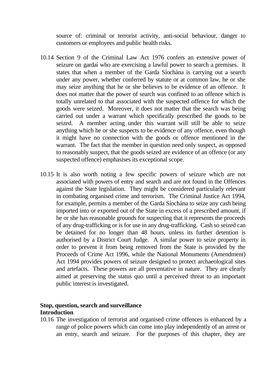source of: criminal or terrorist activity, anti-social behaviour, danger to customers or employees and public health risks.

- 10.14 Section 9 of the Criminal Law Act 1976 confers an extensive power of seizure on gardaí who are exercising a lawful power to search a premises. It states that when a member of the Garda Síochána is carrying out a search under any power, whether conferred by statute or at common law, he or she may seize anything that he or she believes to be evidence of an offence. It does not matter that the power of search was confined to an offence which is totally unrelated to that associated with the suspected offence for which the goods were seized. Moreover, it does not matter that the search was being carried out under a warrant which specifically prescribed the goods to be seized. A member acting under this warrant will still be able to seize anything which he or she suspects to be evidence of any offence, even though it might have no connection with the goods or offence mentioned in the warrant. The fact that the member in question need only suspect, as opposed to reasonably suspect, that the goods seized are evidence of an offence (or any suspected offence) emphasises its exceptional scope.
- 10.15 It is also worth noting a few specific powers of seizure which are not associated with powers of entry and search and are not found in the Offences against the State legislation. They might be considered particularly relevant in combating organised crime and terrorism. The Criminal Justice Act 1994, for example, permits a member of the Garda Síochána to seize any cash being imported into or exported out of the State in excess of a prescribed amount, if he or she has reasonable grounds for suspecting that it represents the proceeds of any drug-trafficking or is for use in any drug-trafficking. Cash so seized can be detained for no longer than 48 hours, unless its further detention is authorised by a District Court Judge. A similar power to seize property in order to prevent it from being removed from the State is provided by the Proceeds of Crime Act 1996, while the National Monuments (Amendment) Act 1994 provides powers of seizure designed to protect archaeological sites and artefacts. These powers are all preventative in nature. They are clearly aimed at preserving the status quo until a perceived threat to an important public interest is investigated.

### **Stop, question, search and surveillance Introduction**

10.16 The investigation of terrorist and organised crime offences is enhanced by a range of police powers which can come into play independently of an arrest or an entry, search and seizure. For the purposes of this chapter, they are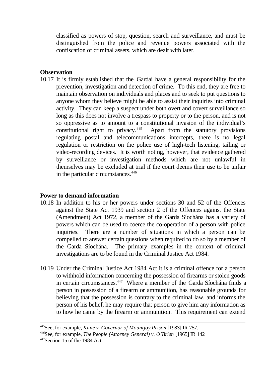classified as powers of stop, question, search and surveillance, and must be distinguished from the police and revenue powers associated with the confiscation of criminal assets, which are dealt with later.

### **Observation**

10.17 It is firmly established that the Gardaí have a general responsibility for the prevention, investigation and detection of crime. To this end, they are free to maintain observation on individuals and places and to seek to put questions to anyone whom they believe might be able to assist their inquiries into criminal activity. They can keep a suspect under both overt and covert surveillance so long as this does not involve a trespass to property or to the person, and is not so oppressive as to amount to a constitutional invasion of the individual's constitutional right to privacy.<sup>445</sup> Apart from the statutory provisions regulating postal and telecommunications intercepts, there is no legal regulation or restriction on the police use of high-tech listening, tailing or video-recording devices. It is worth noting, however, that evidence gathered by surveillance or investigation methods which are not unlawful in themselves may be excluded at trial if the court deems their use to be unfair in the particular circumstances.<sup>446</sup>

### **Power to demand information**

- 10.18 In addition to his or her powers under sections 30 and 52 of the Offences against the State Act 1939 and section 2 of the Offences against the State (Amendment) Act 1972, a member of the Garda Síochána has a variety of powers which can be used to coerce the co-operation of a person with police inquiries. There are a number of situations in which a person can be compelled to answer certain questions when required to do so by a member of the Garda Síochána. The primary examples in the context of criminal investigations are to be found in the Criminal Justice Act 1984.
- 10.19 Under the Criminal Justice Act 1984 Act it is a criminal offence for a person to withhold information concerning the possession of firearms or stolen goods in certain circumstances.<sup>447</sup> Where a member of the Garda Síochána finds a person in possession of a firearm or ammunition, has reasonable grounds for believing that the possession is contrary to the criminal law, and informs the person of his belief, he may require that person to give him any information as to how he came by the firearm or ammunition. This requirement can extend

 $447$ Section 15 of the 1984 Act. <sup>446</sup>See, for example, *The People (Attorney General) v. O'Brien* [1965] IR 142 445See, for example, *Kane v. Governor of Mountjoy Prison* [1983] IR 757.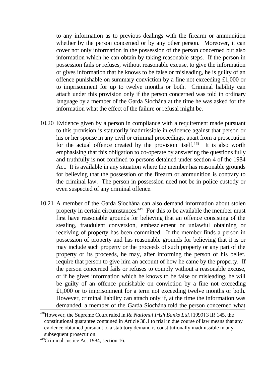to any information as to previous dealings with the firearm or ammunition whether by the person concerned or by any other person. Moreover, it can cover not only information in the possession of the person concerned but also information which he can obtain by taking reasonable steps. If the person in possession fails or refuses, without reasonable excuse, to give the information or gives information that he knows to be false or misleading, he is guilty of an offence punishable on summary conviction by a fine not exceeding £1,000 or to imprisonment for up to twelve months or both. Criminal liability can attach under this provision only if the person concerned was told in ordinary language by a member of the Garda Síochána at the time he was asked for the information what the effect of the failure or refusal might be.

- 10.20 Evidence given by a person in compliance with a requirement made pursuant to this provision is statutorily inadmissible in evidence against that person or his or her spouse in any civil or criminal proceedings, apart from a prosecution for the actual offence created by the provision itself.<sup>448</sup> It is also worth emphasising that this obligation to co-operate by answering the questions fully and truthfully is not confined to persons detained under section 4 of the 1984 Act. It is available in any situation where the member has reasonable grounds for believing that the possession of the firearm or ammunition is contrary to the criminal law. The person in possession need not be in police custody or even suspected of any criminal offence.
- 10.21 A member of the Garda Síochána can also demand information about stolen property in certain circumstances.<sup>449</sup> For this to be available the member must first have reasonable grounds for believing that an offence consisting of the stealing, fraudulent conversion, embezzlement or unlawful obtaining or receiving of property has been committed. If the member finds a person in possession of property and has reasonable grounds for believing that it is or may include such property or the proceeds of such property or any part of the property or its proceeds, he may, after informing the person of his belief, require that person to give him an account of how he came by the property. If the person concerned fails or refuses to comply without a reasonable excuse, or if he gives information which he knows to be false or misleading, he will be guilty of an offence punishable on conviction by a fine not exceeding £1,000 or to imprisonment for a term not exceeding twelve months or both. However, criminal liability can attach only if, at the time the information was demanded, a member of the Garda Síochána told the person concerned what

<sup>448</sup>However, the Supreme Court ruled in *Re National Irish Banks Ltd*. [1999] 3 IR 145, the constitutional guarantee contained in Article 38.1 to trial in due course of law means that any evidence obtained pursuant to a statutory demand is constitutionally inadmissible in any subsequent prosecution.

<sup>449</sup>Criminal Justice Act 1984, section 16.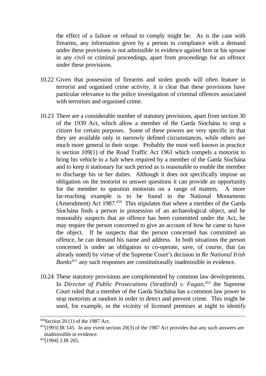the effect of a failure or refusal to comply might be. As is the case with firearms, any information given by a person in compliance with a demand under these provisions is not admissible in evidence against him or his spouse in any civil or criminal proceedings, apart from proceedings for an offence under these provisions.

- 10.22 Given that possession of firearms and stolen goods will often feature in terrorist and organised crime activity, it is clear that these provisions have particular relevance to the police investigation of criminal offences associated with terrorism and organised crime.
- 10.23 There are a considerable number of statutory provisions, apart from section 30 of the 1939 Act, which allow a member of the Garda Síochána to stop a citizen for certain purposes. Some of these powers are very specific in that they are available only in narrowly defined circumstances, while others are much more general in their scope. Probably the most well known in practice is section 109(1) of the Road Traffic Act 1961 which compels a motorist to bring his vehicle to a halt when required by a member of the Garda Síochána and to keep it stationary for such period as is reasonable to enable the member to discharge his or her duties. Although it does not specifically impose an obligation on the motorist to answer questions it can provide an opportunity for the member to question motorists on a range of matters. A more far-reaching example is to be found in the National Monuments (Amendment) Act  $1987<sup>450</sup>$  This stipulates that where a member of the Garda Síochána finds a person in possession of an archaeological object, and he reasonably suspects that an offence has been committed under the Act, he may require the person concerned to give an account of how he came to have the object. If he suspects that the person concerned has committed an offence, he can demand his name and address. In both situations the person concerned is under an obligation to co-operate, save, of course, that (as already noted) by virtue of the Supreme Court's decision in *Re National Irish Banks*<sup>451</sup> any such responses are constitutionally inadmissible in evidence.
- 10.24 These statutory provisions are complemented by common law developments. In *Director of Public Prosecutions (Stratford) v. Fagan*, <sup>452</sup> the Supreme Court ruled that a member of the Garda Síochána has a common law power to stop motorists at random in order to detect and prevent crime. This might be used, for example, in the vicinity of licensed premises at night to identify

<sup>450</sup>Section 20 (1) of the 1987 Act.

<sup>&</sup>lt;sup>451</sup>[1993] IR 145. In any event section 20(3) of the 1987 Act provides that any such answers are inadmissible in evidence.

 $452$ [1994] 3 IR 265.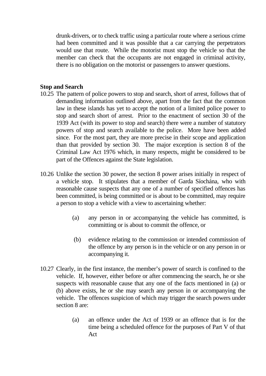drunk-drivers, or to check traffic using a particular route where a serious crime had been committed and it was possible that a car carrying the perpetrators would use that route. While the motorist must stop the vehicle so that the member can check that the occupants are not engaged in criminal activity, there is no obligation on the motorist or passengers to answer questions.

#### **Stop and Search**

- 10.25 The pattern of police powers to stop and search, short of arrest, follows that of demanding information outlined above, apart from the fact that the common law in these islands has yet to accept the notion of a limited police power to stop and search short of arrest. Prior to the enactment of section 30 of the 1939 Act (with its power to stop and search) there were a number of statutory powers of stop and search available to the police. More have been added since. For the most part, they are more precise in their scope and application than that provided by section 30. The major exception is section 8 of the Criminal Law Act 1976 which, in many respects, might be considered to be part of the Offences against the State legislation.
- 10.26 Unlike the section 30 power, the section 8 power arises initially in respect of a vehicle stop. It stipulates that a member of Garda Síochána, who with reasonable cause suspects that any one of a number of specified offences has been committed, is being committed or is about to be committed, may require a person to stop a vehicle with a view to ascertaining whether:
	- (a) any person in or accompanying the vehicle has committed, is committing or is about to commit the offence, or
	- (b) evidence relating to the commission or intended commission of the offence by any person is in the vehicle or on any person in or accompanying it.
- 10.27 Clearly, in the first instance, the member's power of search is confined to the vehicle. If, however, either before or after commencing the search, he or she suspects with reasonable cause that any one of the facts mentioned in (a) or (b) above exists, he or she may search any person in or accompanying the vehicle. The offences suspicion of which may trigger the search powers under section 8 are:
	- (a) an offence under the Act of 1939 or an offence that is for the time being a scheduled offence for the purposes of Part V of that Act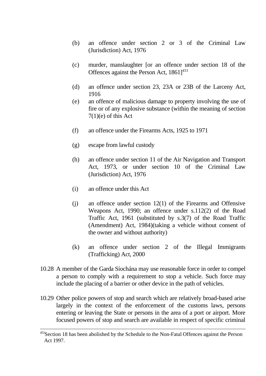- (b) an offence under section 2 or 3 of the Criminal Law (Jurisdiction) Act, 1976
- (c) murder, manslaughter [or an offence under section 18 of the Offences against the Person Act,  $1861$ <sup>453</sup>
- (d) an offence under section 23, 23A or 23B of the Larceny Act, 1916
- (e) an offence of malicious damage to property involving the use of fire or of any explosive substance (within the meaning of section  $7(1)(e)$  of this Act
- (f) an offence under the Firearms Acts, 1925 to 1971
- (g) escape from lawful custody
- (h) an offence under section 11 of the Air Navigation and Transport Act, 1973, or under section 10 of the Criminal Law (Jurisdiction) Act, 1976
- (i) an offence under this Act
- (j) an offence under section 12(1) of the Firearms and Offensive Weapons Act, 1990; an offence under s.112(2) of the Road Traffic Act, 1961 (substituted by s.3(7) of the Road Traffic (Amendment) Act, 1984)(taking a vehicle without consent of the owner and without authority)
- (k) an offence under section 2 of the Illegal Immigrants (Trafficking) Act, 2000
- 10.28 A member of the Garda Síochána may use reasonable force in order to compel a person to comply with a requirement to stop a vehicle. Such force may include the placing of a barrier or other device in the path of vehicles.
- 10.29 Other police powers of stop and search which are relatively broad-based arise largely in the context of the enforcement of the customs laws, persons entering or leaving the State or persons in the area of a port or airport. More focused powers of stop and search are available in respect of specific criminal

<sup>453</sup> Section 18 has been abolished by the Schedule to the Non-Fatal Offences against the Person Act 1997.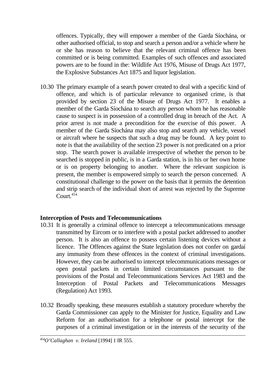offences. Typically, they will empower a member of the Garda Síochána, or other authorised official, to stop and search a person and/or a vehicle where he or she has reason to believe that the relevant criminal offence has been committed or is being committed. Examples of such offences and associated powers are to be found in the: Wildlife Act 1976, Misuse of Drugs Act 1977, the Explosive Substances Act 1875 and liquor legislation.

10.30 The primary example of a search power created to deal with a specific kind of offence, and which is of particular relevance to organised crime, is that provided by section 23 of the Misuse of Drugs Act 1977. It enables a member of the Garda Síochána to search any person whom he has reasonable cause to suspect is in possession of a controlled drug in breach of the Act. A prior arrest is not made a precondition for the exercise of this power. A member of the Garda Síochána may also stop and search any vehicle, vessel or aircraft where he suspects that such a drug may be found. A key point to note is that the availability of the section 23 power is not predicated on a prior stop. The search power is available irrespective of whether the person to be searched is stopped in public, is in a Garda station, is in his or her own home or is on property belonging to another. Where the relevant suspicion is present, the member is empowered simply to search the person concerned. A constitutional challenge to the power on the basis that it permits the detention and strip search of the individual short of arrest was rejected by the Supreme Court.<sup>454</sup>

# **Interception of Posts and Telecommunications**

- 10.31 It is generally a criminal offence to intercept a telecommunications message transmitted by Eircom or to interfere with a postal packet addressed to another person. It is also an offence to possess certain listening devices without a licence. The Offences against the State legislation does not confer on gardaí any immunity from these offences in the context of criminal investigations. However, they can be authorised to intercept telecommunications messages or open postal packets in certain limited circumstances pursuant to the provisions of the Postal and Telecommunications Services Act 1983 and the Interception of Postal Packets and Telecommunications Messages (Regulation) Act 1993.
- 10.32 Broadly speaking, these measures establish a statutory procedure whereby the Garda Commissioner can apply to the Minister for Justice, Equality and Law Reform for an authorisation for a telephone or postal intercept for the purposes of a criminal investigation or in the interests of the security of the

<sup>454</sup>*O'Callaghan v. Ireland* [1994] 1 IR 555.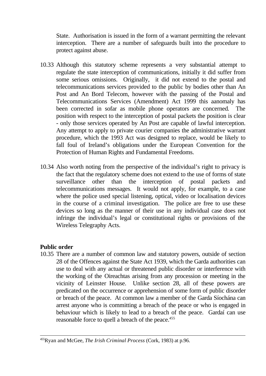State. Authorisation is issued in the form of a warrant permitting the relevant interception. There are a number of safeguards built into the procedure to protect against abuse.

- 10.33 Although this statutory scheme represents a very substantial attempt to regulate the state interception of communications, initially it did suffer from some serious omissions. Originally, it did not extend to the postal and telecommunications services provided to the public by bodies other than An Post and An Bord Telecom, however with the passing of the Postal and Telecommunications Services (Amendment) Act 1999 this aanomaly has been corrected in sofar as mobile phone operators are concerned. The position with respect to the interception of postal packets the position is clear - only those services operated by An Post are capable of lawful interception. Any attempt to apply to private courier companies the administrative warrant procedure, which the 1993 Act was designed to replace, would be likely to fall foul of Ireland's obligations under the European Convention for the Protection of Human Rights and Fundamental Freedoms.
- 10.34 Also worth noting from the perspective of the individual's right to privacy is the fact that the regulatory scheme does not extend to the use of forms of state surveillance other than the interception of postal packets and telecommunications messages. It would not apply, for example, to a case where the police used special listening, optical, video or localisation devices in the course of a criminal investigation. The police are free to use these devices so long as the manner of their use in any individual case does not infringe the individual's legal or constitutional rights or provisions of the Wireless Telegraphy Acts.

### **Public order**

10.35 There are a number of common law and statutory powers, outside of section 28 of the Offences against the State Act 1939, which the Garda authorities can use to deal with any actual or threatened public disorder or interference with the working of the Oireachtas arising from any procession or meeting in the vicinity of Leinster House. Unlike section 28, all of these powers are predicated on the occurrence or apprehension of some form of public disorder or breach of the peace. At common law a member of the Garda Síochána can arrest anyone who is committing a breach of the peace or who is engaged in behaviour which is likely to lead to a breach of the peace. Gardaí can use reasonable force to quell a breach of the peace.<sup>455</sup>

<sup>455</sup>Ryan and McGee, *The Irish Criminal Process* (Cork, 1983) at p.96.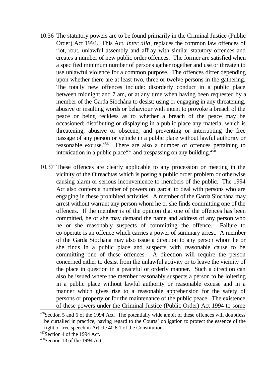- 10.36 The statutory powers are to be found primarily in the Criminal Justice (Public Order) Act 1994. This Act, *inter alia*, replaces the common law offences of riot, rout, unlawful assembly and affray with similar statutory offences and creates a number of new public order offences. The former are satisfied when a specified minimum number of persons gather together and use or threaten to use unlawful violence for a common purpose. The offences differ depending upon whether there are at least two, three or twelve persons in the gathering. The totally new offences include: disorderly conduct in a public place between midnight and 7 am, or at any time when having been requested by a member of the Garda Síochána to desist; using or engaging in any threatening, abusive or insulting words or behaviour with intent to provoke a breach of the peace or being reckless as to whether a breach of the peace may be occasioned; distributing or displaying in a public place any material which is threatening, abusive or obscene; and preventing or interrupting the free passage of any person or vehicle in a public place without lawful authority or reasonable excuse.<sup>456</sup> There are also a number of offences pertaining to intoxication in a public place<sup>457</sup> and trespassing on any building.<sup>458</sup>
- 10.37 These offences are clearly applicable to any procession or meeting in the vicinity of the Oireachtas which is posing a public order problem or otherwise causing alarm or serious inconvenience to members of the public. The 1994 Act also confers a number of powers on gardai to deal with persons who are engaging in these prohibited activities. A member of the Garda Síochána may arrest without warrant any person whom he or she finds committing one of the offences. If the member is of the opinion that one of the offences has been committed, he or she may demand the name and address of any person who he or she reasonably suspects of committing the offence. Failure to co-operate is an offence which carries a power of summary arrest. A member of the Garda Síochána may also issue a direction to any person whom he or she finds in a public place and suspects with reasonable cause to be committing one of these offences. A direction will require the person concerned either to desist from the unlawful activity or to leave the vicinity of the place in question in a peaceful or orderly manner. Such a direction can also be issued where the member reasonably suspects a person to be loitering in a public place without lawful authority or reasonable excuse and in a manner which gives rise to a reasonable apprehension for the safety of persons or property or for the maintenance of the public peace. The existence of these powers under the Criminal Justice (Public Order) Act 1994 to some

<sup>456</sup>Section 5 and 6 of the 1994 Act. The potentially wide ambit of these offences will doubtless be curtailed in practice, having regard to the Courts' obligation to protect the essence of the right of free speech in Article 40.6.1 of the Constitution.

<sup>457</sup>Section 4 of the 1994 Act.

<sup>458</sup>Section 13 of the 1994 Act.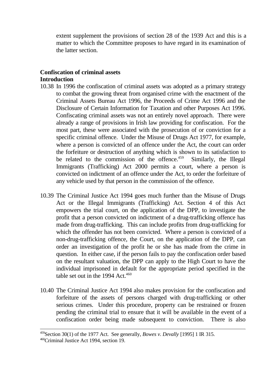extent supplement the provisions of section 28 of the 1939 Act and this is a matter to which the Committee proposes to have regard in its examination of the latter section.

### **Confiscation of criminal assets Introduction**

- 10.38 In 1996 the confiscation of criminal assets was adopted as a primary strategy to combat the growing threat from organised crime with the enactment of the Criminal Assets Bureau Act 1996, the Proceeds of Crime Act 1996 and the Disclosure of Certain Information for Taxation and other Purposes Act 1996. Confiscating criminal assets was not an entirely novel approach. There were already a range of provisions in Irish law providing for confiscation. For the most part, these were associated with the prosecution of or conviction for a specific criminal offence. Under the Misuse of Drugs Act 1977, for example, where a person is convicted of an offence under the Act, the court can order the forfeiture or destruction of anything which is shown to its satisfaction to be related to the commission of the offence.<sup>459</sup> Similarly, the Illegal Immigrants (Trafficking) Act 2000 permits a court, where a person is convicted on indictment of an offence under the Act, to order the forfeiture of any vehicle used by that person in the commission of the offence.
- 10.39 The Criminal Justice Act 1994 goes much further than the Misuse of Drugs Act or the Illegal Immigrants (Trafficking) Act. Section 4 of this Act empowers the trial court, on the application of the DPP, to investigate the profit that a person convicted on indictment of a drug-trafficking offence has made from drug-trafficking. This can include profits from drug-trafficking for which the offender has not been convicted. Where a person is convicted of a non-drug-trafficking offence, the Court, on the application of the DPP, can order an investigation of the profit he or she has made from the crime in question. In either case, if the person fails to pay the confiscation order based on the resultant valuation, the DPP can apply to the High Court to have the individual imprisoned in default for the appropriate period specified in the table set out in the 1994 Act. $460$
- 10.40 The Criminal Justice Act 1994 also makes provision for the confiscation and forfeiture of the assets of persons charged with drug-trafficking or other serious crimes. Under this procedure, property can be restrained or frozen pending the criminal trial to ensure that it will be available in the event of a confiscation order being made subsequent to conviction. There is also

<sup>459</sup>Section 30(1) of the 1977 Act. See generally, *Bowes v. Devally* [1995] 1 IR 315.

<sup>460</sup>Criminal Justice Act 1994, section 19.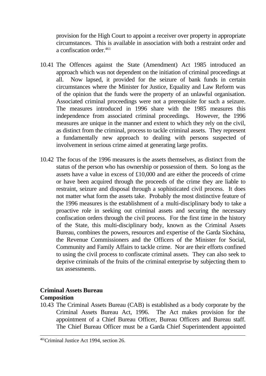provision for the High Court to appoint a receiver over property in appropriate circumstances. This is available in association with both a restraint order and a confiscation order.<sup>461</sup>

- 10.41 The Offences against the State (Amendment) Act 1985 introduced an approach which was not dependent on the initiation of criminal proceedings at all. Now lapsed, it provided for the seizure of bank funds in certain circumstances where the Minister for Justice, Equality and Law Reform was of the opinion that the funds were the property of an unlawful organisation. Associated criminal proceedings were not a prerequisite for such a seizure. The measures introduced in 1996 share with the 1985 measures this independence from associated criminal proceedings. However, the 1996 measures are unique in the manner and extent to which they rely on the civil, as distinct from the criminal, process to tackle criminal assets. They represent a fundamentally new approach to dealing with persons suspected of involvement in serious crime aimed at generating large profits.
- 10.42 The focus of the 1996 measures is the assets themselves, as distinct from the status of the person who has ownership or possession of them. So long as the assets have a value in excess of £10,000 and are either the proceeds of crime or have been acquired through the proceeds of the crime they are liable to restraint, seizure and disposal through a sophisticated civil process. It does not matter what form the assets take. Probably the most distinctive feature of the 1996 measures is the establishment of a multi-disciplinary body to take a proactive role in seeking out criminal assets and securing the necessary confiscation orders through the civil process. For the first time in the history of the State, this multi-disciplinary body, known as the Criminal Assets Bureau, combines the powers, resources and expertise of the Garda Síochána, the Revenue Commissioners and the Officers of the Minister for Social, Community and Family Affairs to tackle crime. Nor are their efforts confined to using the civil process to confiscate criminal assets. They can also seek to deprive criminals of the fruits of the criminal enterprise by subjecting them to tax assessments.

### **Criminal Assets Bureau Composition**

10.43 The Criminal Assets Bureau (CAB) is established as a body corporate by the Criminal Assets Bureau Act, 1996. The Act makes provision for the appointment of a Chief Bureau Officer, Bureau Officers and Bureau staff. The Chief Bureau Officer must be a Garda Chief Superintendent appointed

<sup>461</sup>Criminal Justice Act 1994, section 26.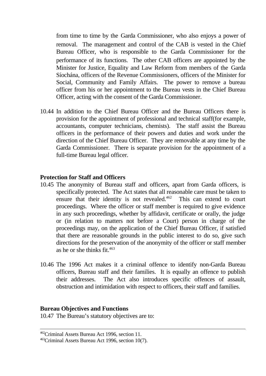from time to time by the Garda Commissioner, who also enjoys a power of removal. The management and control of the CAB is vested in the Chief Bureau Officer, who is responsible to the Garda Commissioner for the performance of its functions. The other CAB officers are appointed by the Minister for Justice, Equality and Law Reform from members of the Garda Síochána, officers of the Revenue Commissioners, officers of the Minister for Social, Community and Family Affairs. The power to remove a bureau officer from his or her appointment to the Bureau vests in the Chief Bureau Officer, acting with the consent of the Garda Commissioner.

10.44 In addition to the Chief Bureau Officer and the Bureau Officers there is provision for the appointment of professional and technical staff(for example, accountants, computer technicians, chemists). The staff assist the Bureau officers in the performance of their powers and duties and work under the direction of the Chief Bureau Officer. They are removable at any time by the Garda Commissioner. There is separate provision for the appointment of a full-time Bureau legal officer.

### **Protection for Staff and Officers**

- 10.45 The anonymity of Bureau staff and officers, apart from Garda officers, is specifically protected. The Act states that all reasonable care must be taken to ensure that their identity is not revealed.<sup>462</sup> This can extend to court proceedings. Where the officer or staff member is required to give evidence in any such proceedings, whether by affidavit, certificate or orally, the judge or (in relation to matters not before a Court) person in charge of the proceedings may, on the application of the Chief Bureau Officer, if satisfied that there are reasonable grounds in the public interest to do so, give such directions for the preservation of the anonymity of the officer or staff member as he or she thinks fit.  $463$
- 10.46 The 1996 Act makes it a criminal offence to identify non-Garda Bureau officers, Bureau staff and their families. It is equally an offence to publish their addresses. The Act also introduces specific offences of assault, obstruction and intimidation with respect to officers, their staff and families.

### **Bureau Objectives and Functions**

10.47 The Bureau's statutory objectives are to:

<sup>462</sup>Criminal Assets Bureau Act 1996, section 11.

<sup>463</sup>Criminal Assets Bureau Act 1996, section 10(7).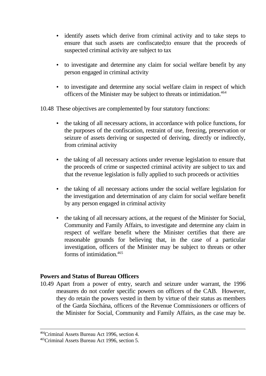- identify assets which derive from criminal activity and to take steps to ensure that such assets are confiscated;to ensure that the proceeds of suspected criminal activity are subject to tax
- ü to investigate and determine any claim for social welfare benefit by any person engaged in criminal activity
- ü to investigate and determine any social welfare claim in respect of which officers of the Minister may be subject to threats or intimidation.<sup>464</sup>

10.48 These objectives are complemented by four statutory functions:

- ü the taking of all necessary actions, in accordance with police functions, for the purposes of the confiscation, restraint of use, freezing, preservation or seizure of assets deriving or suspected of deriving, directly or indirectly, from criminal activity
- the taking of all necessary actions under revenue legislation to ensure that the proceeds of crime or suspected criminal activity are subject to tax and that the revenue legislation is fully applied to such proceeds or activities
- ü the taking of all necessary actions under the social welfare legislation for the investigation and determination of any claim for social welfare benefit by any person engaged in criminal activity
- ü the taking of all necessary actions, at the request of the Minister for Social, Community and Family Affairs, to investigate and determine any claim in respect of welfare benefit where the Minister certifies that there are reasonable grounds for believing that, in the case of a particular investigation, officers of the Minister may be subject to threats or other forms of intimidation.<sup>465</sup>

### **Powers and Status of Bureau Officers**

10.49 Apart from a power of entry, search and seizure under warrant, the 1996 measures do not confer specific powers on officers of the CAB. However, they do retain the powers vested in them by virtue of their status as members of the Garda Síochána, officers of the Revenue Commissioners or officers of the Minister for Social, Community and Family Affairs, as the case may be.

<sup>464</sup>Criminal Assets Bureau Act 1996, section 4.

<sup>465</sup>Criminal Assets Bureau Act 1996, section 5.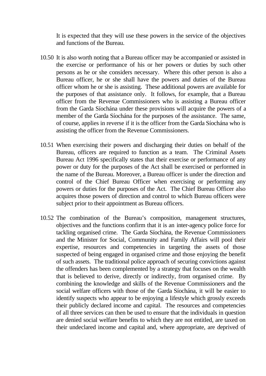It is expected that they will use these powers in the service of the objectives and functions of the Bureau.

- 10.50 It is also worth noting that a Bureau officer may be accompanied or assisted in the exercise or performance of his or her powers or duties by such other persons as he or she considers necessary. Where this other person is also a Bureau officer, he or she shall have the powers and duties of the Bureau officer whom he or she is assisting. These additional powers are available for the purposes of that assistance only. It follows, for example, that a Bureau officer from the Revenue Commissioners who is assisting a Bureau officer from the Garda Síochána under these provisions will acquire the powers of a member of the Garda Síochána for the purposes of the assistance. The same, of course, applies in reverse if it is the officer from the Garda Síochána who is assisting the officer from the Revenue Commissioners.
- 10.51 When exercising their powers and discharging their duties on behalf of the Bureau, officers are required to function as a team. The Criminal Assets Bureau Act 1996 specifically states that their exercise or performance of any power or duty for the purposes of the Act shall be exercised or performed in the name of the Bureau. Moreover, a Bureau officer is under the direction and control of the Chief Bureau Officer when exercising or performing any powers or duties for the purposes of the Act. The Chief Bureau Officer also acquires those powers of direction and control to which Bureau officers were subject prior to their appointment as Bureau officers.
- 10.52 The combination of the Bureau's composition, management structures, objectives and the functions confirm that it is an inter-agency police force for tackling organised crime. The Garda Síochána, the Revenue Commissioners and the Minister for Social, Community and Family Affairs will pool their expertise, resources and competencies in targeting the assets of those suspected of being engaged in organised crime and those enjoying the benefit of such assets. The traditional police approach of securing convictions against the offenders has been complemented by a strategy that focuses on the wealth that is believed to derive, directly or indirectly, from organised crime. By combining the knowledge and skills of the Revenue Commissioners and the social welfare officers with those of the Garda Síochána, it will be easier to identify suspects who appear to be enjoying a lifestyle which grossly exceeds their publicly declared income and capital. The resources and competencies of all three services can then be used to ensure that the individuals in question are denied social welfare benefits to which they are not entitled, are taxed on their undeclared income and capital and, where appropriate, are deprived of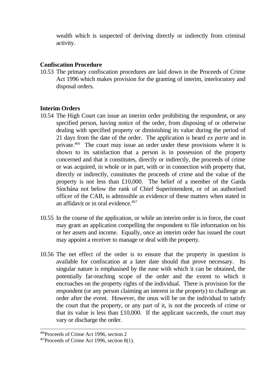wealth which is suspected of deriving directly or indirectly from criminal activity.

### **Confiscation Procedure**

10.53 The primary confiscation procedures are laid down in the Proceeds of Crime Act 1996 which makes provision for the granting of interim, interlocutory and disposal orders.

### **Interim Orders**

- 10.54 The High Court can issue an interim order prohibiting the respondent, or any specified person, having notice of the order, from disposing of or otherwise dealing with specified property or diminishing its value during the period of 21 days from the date of the order. The application is heard *ex parte* and in private.<sup>466</sup> The court may issue an order under these provisions where it is shown to its satisfaction that a person is in possession of the property concerned and that it constitutes, directly or indirectly, the proceeds of crime or was acquired, in whole or in part, with or in connection with property that, directly or indirectly, constitutes the proceeds of crime and the value of the property is not less than £10,000. The belief of a member of the Garda Síochána not below the rank of Chief Superintendent, or of an authorised officer of the CAB, is admissible as evidence of these matters when stated in an affidavit or in oral evidence.<sup>467</sup>
- 10.55 In the course of the application, or while an interim order is in force, the court may grant an application compelling the respondent to file information on his or her assets and income. Equally, once an interim order has issued the court may appoint a receiver to manage or deal with the property.
- 10.56 The net effect of the order is to ensure that the property in question is available for confiscation at a later date should that prove necessary. Its singular nature is emphasised by the ease with which it can be obtained, the potentially far-reaching scope of the order and the extent to which it encroaches on the property rights of the individual. There is provision for the respondent (or any person claiming an interest in the property) to challenge an order after the event. However, the onus will be on the individual to satisfy the court that the property, or any part of it, is not the proceeds of crime or that its value is less than  $£10,000$ . If the applicant succeeds, the court may vary or discharge the order.

<sup>466</sup>Proceeds of Crime Act 1996, section 2

 $467$ Proceeds of Crime Act 1996, section 8(1).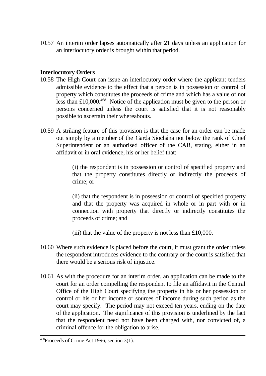10.57 An interim order lapses automatically after 21 days unless an application for an interlocutory order is brought within that period.

## **Interlocutory Orders**

- 10.58 The High Court can issue an interlocutory order where the applicant tenders admissible evidence to the effect that a person is in possession or control of property which constitutes the proceeds of crime and which has a value of not less than £10,000.<sup>468</sup> Notice of the application must be given to the person or persons concerned unless the court is satisfied that it is not reasonably possible to ascertain their whereabouts.
- 10.59 A striking feature of this provision is that the case for an order can be made out simply by a member of the Garda Síochána not below the rank of Chief Superintendent or an authorised officer of the CAB, stating, either in an affidavit or in oral evidence, his or her belief that:

(i) the respondent is in possession or control of specified property and that the property constitutes directly or indirectly the proceeds of crime; or

(ii) that the respondent is in possession or control of specified property and that the property was acquired in whole or in part with or in connection with property that directly or indirectly constitutes the proceeds of crime; and

- (iii) that the value of the property is not less than  $£10,000$ .
- 10.60 Where such evidence is placed before the court, it must grant the order unless the respondent introduces evidence to the contrary or the court is satisfied that there would be a serious risk of injustice.
- 10.61 As with the procedure for an interim order, an application can be made to the court for an order compelling the respondent to file an affidavit in the Central Office of the High Court specifying the property in his or her possession or control or his or her income or sources of income during such period as the court may specify. The period may not exceed ten years, ending on the date of the application. The significance of this provision is underlined by the fact that the respondent need not have been charged with, nor convicted of, a criminal offence for the obligation to arise.

<sup>468</sup>Proceeds of Crime Act 1996, section 3(1).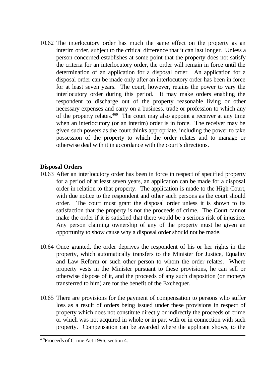10.62 The interlocutory order has much the same effect on the property as an interim order, subject to the critical difference that it can last longer. Unless a person concerned establishes at some point that the property does not satisfy the criteria for an interlocutory order, the order will remain in force until the determination of an application for a disposal order. An application for a disposal order can be made only after an interlocutory order has been in force for at least seven years. The court, however, retains the power to vary the interlocutory order during this period. It may make orders enabling the respondent to discharge out of the property reasonable living or other necessary expenses and carry on a business, trade or profession to which any of the property relates. $469$  The court may also appoint a receiver at any time when an interlocutory (or an interim) order is in force. The receiver may be given such powers as the court thinks appropriate, including the power to take possession of the property to which the order relates and to manage or otherwise deal with it in accordance with the court's directions.

## **Disposal Orders**

- 10.63 After an interlocutory order has been in force in respect of specified property for a period of at least seven years, an application can be made for a disposal order in relation to that property. The application is made to the High Court, with due notice to the respondent and other such persons as the court should order. The court must grant the disposal order unless it is shown to its satisfaction that the property is not the proceeds of crime. The Court cannot make the order if it is satisfied that there would be a serious risk of injustice. Any person claiming ownership of any of the property must be given an opportunity to show cause why a disposal order should not be made.
- 10.64 Once granted, the order deprives the respondent of his or her rights in the property, which automatically transfers to the Minister for Justice, Equality and Law Reform or such other person to whom the order relates. Where property vests in the Minister pursuant to these provisions, he can sell or otherwise dispose of it, and the proceeds of any such disposition (or moneys transferred to him) are for the benefit of the Exchequer.
- 10.65 There are provisions for the payment of compensation to persons who suffer loss as a result of orders being issued under these provisions in respect of property which does not constitute directly or indirectly the proceeds of crime or which was not acquired in whole or in part with or in connection with such property. Compensation can be awarded where the applicant shows, to the

<sup>469</sup>Proceeds of Crime Act 1996, section 4.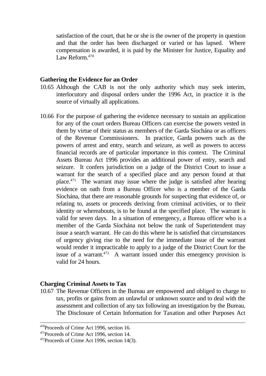satisfaction of the court, that he or she is the owner of the property in question and that the order has been discharged or varied or has lapsed. Where compensation is awarded, it is paid by the Minister for Justice, Equality and Law Reform  $470$ 

#### **Gathering the Evidence for an Order**

- 10.65 Although the CAB is not the only authority which may seek interim, interlocutory and disposal orders under the 1996 Act, in practice it is the source of virtually all applications.
- 10.66 For the purpose of gathering the evidence necessary to sustain an application for any of the court orders Bureau Officers can exercise the powers vested in them by virtue of their status as members of the Garda Síochána or as officers of the Revenue Commissioners. In practice, Garda powers such as the powers of arrest and entry, search and seizure, as well as powers to access financial records are of particular importance in this context. The Criminal Assets Bureau Act 1996 provides an additional power of entry, search and seizure. It confers jurisdiction on a judge of the District Court to issue a warrant for the search of a specified place and any person found at that place.<sup>471</sup> The warrant may issue where the judge is satisfied after hearing evidence on oath from a Bureau Officer who is a member of the Garda Síochána, that there are reasonable grounds for suspecting that evidence of, or relating to, assets or proceeds deriving from criminal activities, or to their identity or whereabouts, is to be found at the specified place. The warrant is valid for seven days. In a situation of emergency, a Bureau officer who is a member of the Garda Síochána not below the rank of Superintendent may issue a search warrant. He can do this where he is satisfied that circumstances of urgency giving rise to the need for the immediate issue of the warrant would render it impracticable to apply to a judge of the District Court for the issue of a warrant. $472$  A warrant issued under this emergency provision is valid for 24 hours.

#### **Charging Criminal Assets to Tax**

10.67 The Revenue Officers in the Bureau are empowered and obliged to charge to tax, profits or gains from an unlawful or unknown source and to deal with the assessment and collection of any tax following an investigation by the Bureau. The Disclosure of Certain Information for Taxation and other Purposes Act

<sup>&</sup>lt;sup>470</sup>Proceeds of Crime Act 1996, section 16.

<sup>&</sup>lt;sup>471</sup>Proceeds of Crime Act 1996, section 14.

<sup>&</sup>lt;sup>472</sup>Proceeds of Crime Act 1996, section 14(3).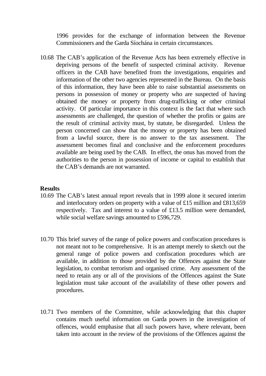1996 provides for the exchange of information between the Revenue Commissioners and the Garda Síochána in certain circumstances.

10.68 The CAB's application of the Revenue Acts has been extremely effective in depriving persons of the benefit of suspected criminal activity. Revenue officers in the CAB have benefited from the investigations, enquiries and information of the other two agencies represented in the Bureau. On the basis of this information, they have been able to raise substantial assessments on persons in possession of money or property who are suspected of having obtained the money or property from drug-trafficking or other criminal activity. Of particular importance in this context is the fact that where such assessments are challenged, the question of whether the profits or gains are the result of criminal activity must, by statute, be disregarded. Unless the person concerned can show that the money or property has been obtained from a lawful source, there is no answer to the tax assessment. The assessment becomes final and conclusive and the enforcement procedures available are being used by the CAB. In effect, the onus has moved from the authorities to the person in possession of income or capital to establish that the CAB's demands are not warranted.

## **Results**

- 10.69 The CAB's latest annual report reveals that in 1999 alone it secured interim and interlocutory orders on property with a value of £15 million and £813,659 respectively. Tax and interest to a value of £13.5 million were demanded, while social welfare savings amounted to £596,729.
- 10.70 This brief survey of the range of police powers and confiscation procedures is not meant not to be comprehensive. It is an attempt merely to sketch out the general range of police powers and confiscation procedures which are available, in addition to those provided by the Offences against the State legislation, to combat terrorism and organised crime. Any assessment of the need to retain any or all of the provisions of the Offences against the State legislation must take account of the availability of these other powers and procedures.
- 10.71 Two members of the Committee, while acknowledging that this chapter contains much useful information on Garda powers in the investigation of offences, would emphasise that all such powers have, where relevant, been taken into account in the review of the provisions of the Offences against the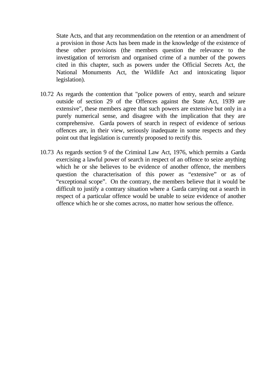State Acts, and that any recommendation on the retention or an amendment of a provision in those Acts has been made in the knowledge of the existence of these other provisions (the members question the relevance to the investigation of terrorism and organised crime of a number of the powers cited in this chapter, such as powers under the Official Secrets Act, the National Monuments Act, the Wildlife Act and intoxicating liquor legislation).

- 10.72 As regards the contention that "police powers of entry, search and seizure outside of section 29 of the Offences against the State Act, 1939 are extensive", these members agree that such powers are extensive but only in a purely numerical sense, and disagree with the implication that they are comprehensive. Garda powers of search in respect of evidence of serious offences are, in their view, seriously inadequate in some respects and they point out that legislation is currently proposed to rectify this.
- 10.73 As regards section 9 of the Criminal Law Act, 1976, which permits a Garda exercising a lawful power of search in respect of an offence to seize anything which he or she believes to be evidence of another offence, the members question the characterisation of this power as "extensive" or as of "exceptional scope". On the contrary, the members believe that it would be difficult to justify a contrary situation where a Garda carrying out a search in respect of a particular offence would be unable to seize evidence of another offence which he or she comes across, no matter how serious the offence.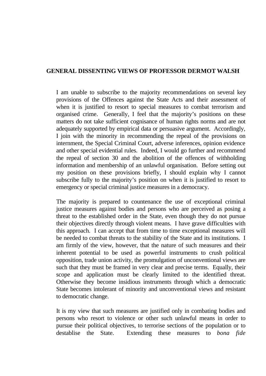# **GENERAL DISSENTING VIEWS OF PROFESSOR DERMOT WALSH**

I am unable to subscribe to the majority recommendations on several key provisions of the Offences against the State Acts and their assessment of when it is justified to resort to special measures to combat terrorism and organised crime. Generally, I feel that the majority's positions on these matters do not take sufficient cognisance of human rights norms and are not adequately supported by empirical data or persuasive argument. Accordingly, I join with the minority in recommending the repeal of the provisions on internment, the Special Criminal Court, adverse inferences, opinion evidence and other special evidential rules. Indeed, I would go further and recommend the repeal of section 30 and the abolition of the offences of withholding information and membership of an unlawful organisation. Before setting out my position on these provisions briefly, I should explain why I cannot subscribe fully to the majority's position on when it is justified to resort to emergency or special criminal justice measures in a democracy.

The majority is prepared to countenance the use of exceptional criminal justice measures against bodies and persons who are perceived as posing a threat to the established order in the State, even though they do not pursue their objectives directly through violent means. I have grave difficulties with this approach. I can accept that from time to time exceptional measures will be needed to combat threats to the stability of the State and its institutions. I am firmly of the view, however, that the nature of such measures and their inherent potential to be used as powerful instruments to crush political opposition, trade union activity, the promulgation of unconventional views are such that they must be framed in very clear and precise terms. Equally, their scope and application must be clearly limited to the identified threat. Otherwise they become insidious instruments through which a democratic State becomes intolerant of minority and unconventional views and resistant to democratic change.

It is my view that such measures are justified only in combating bodies and persons who resort to violence or other such unlawful means in order to pursue their political objectives, to terrorise sections of the population or to destablise the State. Extending these measures to *bona fide*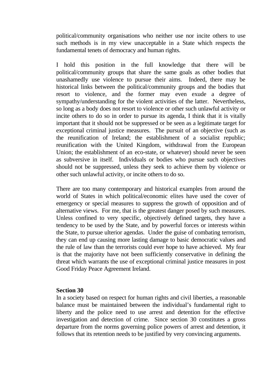political/community organisations who neither use nor incite others to use such methods is in my view unacceptable in a State which respects the fundamental tenets of democracy and human rights.

I hold this position in the full knowledge that there will be political/community groups that share the same goals as other bodies that unashamedly use violence to pursue their aims. Indeed, there may be historical links between the political/community groups and the bodies that resort to violence, and the former may even exude a degree of sympathy/understanding for the violent activities of the latter. Nevertheless, so long as a body does not resort to violence or other such unlawful activity or incite others to do so in order to pursue its agenda, I think that it is vitally important that it should not be suppressed or be seen as a legitimate target for exceptional criminal justice measures. The pursuit of an objective (such as the reunification of Ireland; the establishment of a socialist republic; reunification with the United Kingdom, withdrawal from the European Union; the establishment of an eco-state, or whatever) should never be seen as subversive in itself. Individuals or bodies who pursue such objectives should not be suppressed, unless they seek to achieve them by violence or other such unlawful activity, or incite others to do so.

There are too many contemporary and historical examples from around the world of States in which political/economic elites have used the cover of emergency or special measures to suppress the growth of opposition and of alternative views. For me, that is the greatest danger posed by such measures. Unless confined to very specific, objectively defined targets, they have a tendency to be used by the State, and by powerful forces or interests within the State, to pursue ulterior agendas. Under the guise of combating terrorism, they can end up causing more lasting damage to basic democratic values and the rule of law than the terrorists could ever hope to have achieved. My fear is that the majority have not been sufficiently conservative in defining the threat which warrants the use of exceptional criminal justice measures in post Good Friday Peace Agreement Ireland.

## **Section 30**

In a society based on respect for human rights and civil liberties, a reasonable balance must be maintained between the individual's fundamental right to liberty and the police need to use arrest and detention for the effective investigation and detection of crime. Since section 30 constitutes a gross departure from the norms governing police powers of arrest and detention, it follows that its retention needs to be justified by very convincing arguments.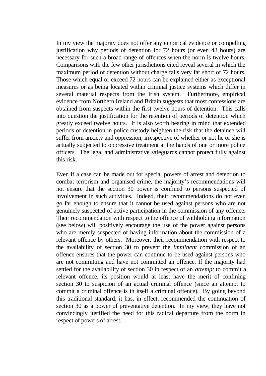In my view the majority does not offer any empirical evidence or compelling justification why periods of detention for 72 hours (or even 48 hours) are necessary for such a broad range of offences when the norm is twelve hours. Comparisons with the few other jurisdictions cited reveal several in which the maximum period of detention without charge falls very far short of 72 hours. Those which equal or exceed 72 hours can be explained either as exceptional measures or as being located within criminal justice systems which differ in several material respects from the Irish system. Furthermore, empirical evidence from Northern Ireland and Britain suggests that most confessions are obtained from suspects within the first twelve hours of detention. This calls into question the justification for the retention of periods of detention which greatly exceed twelve hours. It is also worth bearing in mind that extended periods of detention in police custody heighten the risk that the detainee will suffer from anxiety and oppression, irrespective of whether or not he or she is actually subjected to oppressive treatment at the hands of one or more police officers. The legal and administrative safeguards cannot protect fully against this risk.

Even if a case can be made out for special powers of arrest and detention to combat terrorism and organised crime, the majority's recommendations will not ensure that the section 30 power is confined to persons suspected of involvement in such activities. Indeed, their recommendations do not even go far enough to ensure that it cannot be used against persons who are not genuinely suspected of active participation in the commission of any offence. Their recommendation with respect to the offence of withholding information (see below) will positively encourage the use of the power against persons who are merely suspected of having information about the commission of a relevant offence by others. Moreover, their recommendation with respect to the availability of section 30 to prevent the *imminent* commission of an offence ensures that the power can continue to be used against persons who are not committing and have not committed an offence. If the majority had settled for the availability of section 30 in respect of an *attempt* to commit a relevant offence, its position would at least have the merit of confining section 30 to suspicion of an actual criminal offence (since an attempt to commit a criminal offence is in itself a criminal offence). By going beyond this traditional standard, it has, in effect, recommended the continuation of section 30 as a power of preventative detention. In my view, they have not convincingly justified the need for this radical departure from the norm in respect of powers of arrest.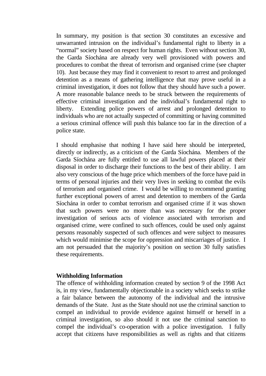In summary, my position is that section 30 constitutes an excessive and unwarranted intrusion on the individual's fundamental right to liberty in a "normal" society based on respect for human rights. Even without section 30, the Garda Síochána are already very well provisioned with powers and procedures to combat the threat of terrorism and organised crime (see chapter 10). Just because they may find it convenient to resort to arrest and prolonged detention as a means of gathering intelligence that may prove useful in a criminal investigation, it does not follow that they should have such a power. A more reasonable balance needs to be struck between the requirements of effective criminal investigation and the individual's fundamental right to liberty. Extending police powers of arrest and prolonged detention to individuals who are not actually suspected of committing or having committed a serious criminal offence will push this balance too far in the direction of a police state.

I should emphasise that nothing I have said here should be interpreted, directly or indirectly, as a criticism of the Garda Síochána. Members of the Garda Síochána are fully entitled to use all lawful powers placed at their disposal in order to discharge their functions to the best of their ability. I am also very conscious of the huge price which members of the force have paid in terms of personal injuries and their very lives in seeking to combat the evils of terrorism and organised crime. I would be willing to recommend granting further exceptional powers of arrest and detention to members of the Garda Síochána in order to combat terrorism and organised crime if it was shown that such powers were no more than was necessary for the proper investigation of serious acts of violence associated with terrorism and organised crime, were confined to such offences, could be used only against persons reasonably suspected of such offences and were subject to measures which would minimise the scope for oppression and miscarriages of justice. I am not persuaded that the majority's position on section 30 fully satisfies these requirements.

## **Withholding Information**

The offence of withholding information created by section 9 of the 1998 Act is, in my view, fundamentally objectionable in a society which seeks to strike a fair balance between the autonomy of the individual and the intrusive demands of the State. Just as the State should not use the criminal sanction to compel an individual to provide evidence against himself or herself in a criminal investigation, so also should it not use the criminal sanction to compel the individual's co-operation with a police investigation. I fully accept that citizens have responsibilities as well as rights and that citizens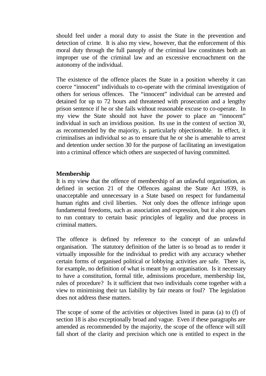should feel under a moral duty to assist the State in the prevention and detection of crime. It is also my view, however, that the enforcement of this moral duty through the full panoply of the criminal law constitutes both an improper use of the criminal law and an excessive encroachment on the autonomy of the individual.

The existence of the offence places the State in a position whereby it can coerce "innocent" individuals to co-operate with the criminal investigation of others for serious offences. The "innocent" individual can be arrested and detained for up to 72 hours and threatened with prosecution and a lengthy prison sentence if he or she fails without reasonable excuse to co-operate. In my view the State should not have the power to place an "innocent" individual in such an invidious position. Its use in the context of section 30, as recommended by the majority, is particularly objectionable. In effect, it criminalises an individual so as to ensure that he or she is amenable to arrest and detention under section 30 for the purpose of facilitating an investigation into a criminal offence which others are suspected of having committed.

## **Membership**

It is my view that the offence of membership of an unlawful organisation, as defined in section 21 of the Offences against the State Act 1939, is unacceptable and unnecessary in a State based on respect for fundamental human rights and civil liberties. Not only does the offence infringe upon fundamental freedoms, such as association and expression, but it also appears to run contrary to certain basic principles of legality and due process in criminal matters.

The offence is defined by reference to the concept of an unlawful organisation. The statutory definition of the latter is so broad as to render it virtually impossible for the individual to predict with any accuracy whether certain forms of organised political or lobbying activities are safe. There is, for example, no definition of what is meant by an organisation. Is it necessary to have a constitution, formal title, admissions procedure, membership list, rules of procedure? Is it sufficient that two individuals come together with a view to minimising their tax liability by fair means or foul? The legislation does not address these matters.

The scope of some of the activities or objectives listed in paras (a) to (f) of section 18 is also exceptionally broad and vague. Even if these paragraphs are amended as recommended by the majority, the scope of the offence will still fall short of the clarity and precision which one is entitled to expect in the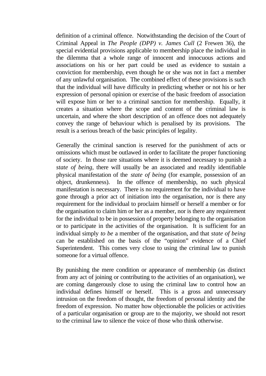definition of a criminal offence. Notwithstanding the decision of the Court of Criminal Appeal in *The People (DPP) v. James Cull* (2 Frewen 36), the special evidential provisions applicable to membership place the individual in the dilemma that a whole range of innocent and innocuous actions and associations on his or her part could be used as evidence to sustain a conviction for membership, even though he or she was not in fact a member of any unlawful organisation. The combined effect of these provisions is such that the individual will have difficulty in predicting whether or not his or her expression of personal opinion or exercise of the basic freedom of association will expose him or her to a criminal sanction for membership. Equally, it creates a situation where the scope and content of the criminal law is uncertain, and where the short description of an offence does not adequately convey the range of behaviour which is penalised by its provisions. The result is a serious breach of the basic principles of legality.

Generally the criminal sanction is reserved for the punishment of acts or omissions which must be outlawed in order to facilitate the proper functioning of society. In those rare situations where it is deemed necessary to punish a *state of being*, there will usually be an associated and readily identifiable physical manifestation of the *state of being* (for example, possession of an object, drunkenness). In the offence of membership, no such physical manifestation is necessary. There is no requirement for the individual to have gone through a prior act of initiation into the organisation, nor is there any requirement for the individual to proclaim himself or herself a member or for the organisation to claim him or her as a member, nor is there any requirement for the individual to be in possession of property belonging to the organisation or to participate in the activities of the organisation. It is sufficient for an individual simply *to be* a member of the organisation, and that *state of being* can be established on the basis of the "opinion" evidence of a Chief Superintendent. This comes very close to using the criminal law to punish someone for a virtual offence.

By punishing the mere condition or appearance of membership (as distinct from any act of joining or contributing to the activities of an organisation), we are coming dangerously close to using the criminal law to control how an individual defines himself or herself. This is a gross and unnecessary intrusion on the freedom of thought, the freedom of personal identity and the freedom of expression. No matter how objectionable the policies or activities of a particular organisation or group are to the majority, we should not resort to the criminal law to silence the voice of those who think otherwise.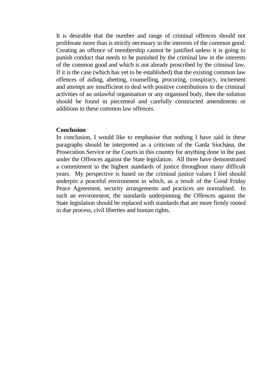It is desirable that the number and range of criminal offences should not proliferate more than is strictly necessary in the interests of the common good. Creating an offence of membership cannot be justified unless it is going to punish conduct that needs to be punished by the criminal law in the interests of the common good and which is not already proscribed by the criminal law. If it is the case (which has yet to be established) that the existing common law offences of aiding, abetting, counselling, procuring, conspiracy, incitement and attempt are insufficient to deal with positive contributions to the criminal activities of an unlawful organisation or any organised body, then the solution should be found in piecemeal and carefully constructed amendments or additions to these common law offences.

#### **Conclusion**

In conclusion, I would like to emphasise that nothing I have said in these paragraphs should be interpreted as a criticism of the Garda Síochána, the Prosecution Service or the Courts in this country for anything done in the past under the Offences against the State legislation. All three have demonstrated a commitment to the highest standards of justice throughout many difficult years. My perspective is based on the criminal justice values I feel should underpin a peaceful environment in which, as a result of the Good Friday Peace Agreement, security arrangements and practices are normalised. In such an environment, the standards underpinning the Offences against the State legislation should be replaced with standards that are more firmly rooted in due process, civil liberties and human rights.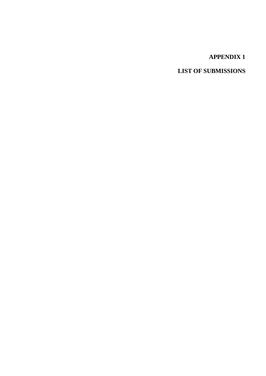**APPENDIX 1**

**LIST OF SUBMISSIONS**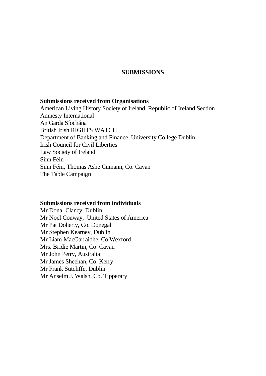## **SUBMISSIONS**

#### **Submissions received from Organisations**

American Living History Society of Ireland, Republic of Ireland Section Amnesty International An Garda Síochána British Irish RIGHTS WATCH Department of Banking and Finance, University College Dublin Irish Council for Civil Liberties Law Society of Ireland Sinn Féin Sinn Féin, Thomas Ashe Cumann, Co. Cavan The Table Campaign

## **Submissions received from individuals**

Mr Donal Clancy, Dublin Mr Noel Conway, United States of America Mr Pat Doherty, Co. Donegal Mr Stephen Kearney, Dublin Mr Liam MacGarraidhe, Co Wexford Mrs. Bridie Martin, Co. Cavan Mr John Perry, Australia Mr James Sheehan, Co. Kerry Mr Frank Sutcliffe, Dublin Mr Anselm J. Walsh, Co. Tipperary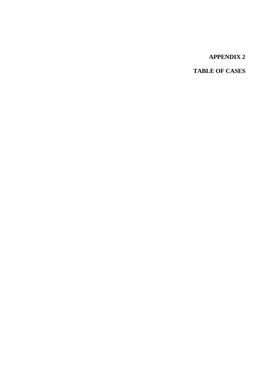**APPENDIX 2**

**TABLE OF CASES**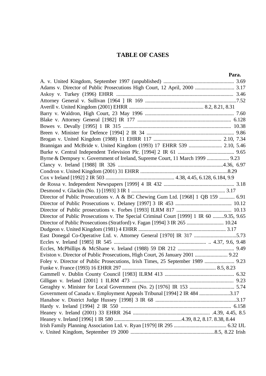# **TABLE OF CASES**

|                                                                                         | Para. |
|-----------------------------------------------------------------------------------------|-------|
|                                                                                         |       |
| Adams v. Director of Public Prosecutions High Court, 12 April, 2000  3.17               |       |
|                                                                                         |       |
|                                                                                         |       |
|                                                                                         |       |
|                                                                                         |       |
|                                                                                         |       |
|                                                                                         |       |
|                                                                                         |       |
|                                                                                         |       |
| Brannigan and McBride v. United Kingdom (1993) 17 EHRR 539  2.10, 5.46                  |       |
|                                                                                         |       |
| Byrne & Dempsey v. Government of Ireland, Supreme Court, 11 March 1999  9.23            |       |
|                                                                                         |       |
|                                                                                         |       |
|                                                                                         |       |
|                                                                                         |       |
|                                                                                         |       |
| Director of Public Prosecutions v. A & BC Chewing Gum Ltd. [1968] 1 QB 159  6.91        |       |
|                                                                                         |       |
|                                                                                         |       |
| Director of Public Prosecutions v. The Special Criminal Court [1999] 1 IR 60 9.35, 9.65 |       |
| Director of Public Prosecutions (Stratford) v. Fagan [1994] 3 IR 265  10.24             |       |
|                                                                                         |       |
| East Donegal Co-Operative Ltd. v. Attorney General [1970] IR 317 5.73                   |       |
|                                                                                         |       |
|                                                                                         |       |
| Eviston v. Director of Public Prosecutions, High Court, 26 January 2001  9.22           |       |
| Foley v. Director of Public Prosecutions, Irish Times, 25 September 1989  9.23          |       |
|                                                                                         |       |
|                                                                                         |       |
|                                                                                         |       |
|                                                                                         |       |
| Government of Canada v. Employment Appeals Tribunal [1994] 2 IR 484 3.17                |       |
|                                                                                         |       |
|                                                                                         |       |
|                                                                                         |       |
|                                                                                         |       |
|                                                                                         |       |
|                                                                                         |       |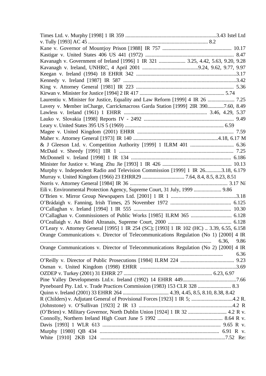| Kavanagh v. Government of Ireland [1996] 1 IR 321  3.25, 4.42, 5.63, 9.20, 9.28           |               |
|-------------------------------------------------------------------------------------------|---------------|
|                                                                                           |               |
|                                                                                           |               |
|                                                                                           |               |
|                                                                                           |               |
|                                                                                           |               |
| Laurentiu v. Minister for Justice, Equality and Law Reform [1999] 4 IR 26  7.25           |               |
| Lavery v. Member inCharge, Carrickmacross Garda Station [1999] 2IR 3907.60, 8.49          |               |
|                                                                                           |               |
|                                                                                           |               |
|                                                                                           |               |
|                                                                                           |               |
|                                                                                           |               |
|                                                                                           |               |
|                                                                                           |               |
|                                                                                           |               |
|                                                                                           |               |
| Murphy v. Independent Radio and Television Commission [1999] 1 IR 263.18, 6.179           |               |
|                                                                                           |               |
|                                                                                           |               |
| Eili v. Environmental Protection Agency, Supreme Court, 31 July, 1999  9.86               |               |
|                                                                                           |               |
|                                                                                           |               |
|                                                                                           |               |
|                                                                                           |               |
|                                                                                           |               |
| O'Leary v. Attorney General [1995] 1 IR 254 (SC); [1993] 1 IR 102 (HC)  3.39, 6.55, 6.158 |               |
| Orange Communications v. Director of Telecommunications Regulation (No 1) [2000] 4 IR     |               |
|                                                                                           | 6.36,<br>9.86 |
| Orange Communications v. Director of Telecommunications Regulation (No 2) [2000] 4 IR     |               |
|                                                                                           | 6.36          |
|                                                                                           |               |
|                                                                                           |               |
|                                                                                           |               |
|                                                                                           |               |
| Pyneboard Pty. Ltd. v. Trade Practices Commission (1983) 153 CLR 328  8.3                 |               |
|                                                                                           |               |
| R (Childers) v. Adjutant General of Provisional Forces [1923] 1 IR 5; 4.2 R.              |               |
|                                                                                           |               |
| (O'Brien) v. Military Governor, North Dublin Union [1924] 1 IR 32  4.2 R v.               |               |
|                                                                                           |               |
|                                                                                           |               |
|                                                                                           |               |
|                                                                                           |               |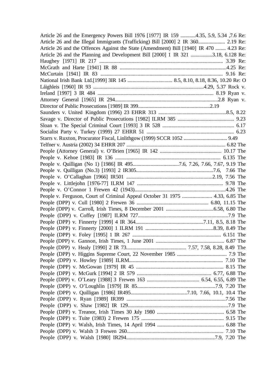| Article 26 and the Emergency Powers Bill 1976 [1977] IR 159 4.35, 5.9, 5.34 ,7.6 Re:   |  |
|----------------------------------------------------------------------------------------|--|
| Article 26 and the Illegal Immigrants (Trafficking) Bill [2000] 2 IR 360 2.19 Re:      |  |
| Article 26 and the Offences Against the State (Amendment) Bill [1940] IR 470  4.23 Re: |  |
| Article 26 and the Planning and Development Bill [2000] 1 IR 321 3.18, 6.128 Re:       |  |
|                                                                                        |  |
|                                                                                        |  |
|                                                                                        |  |
|                                                                                        |  |
|                                                                                        |  |
|                                                                                        |  |
|                                                                                        |  |
|                                                                                        |  |
|                                                                                        |  |
|                                                                                        |  |
|                                                                                        |  |
|                                                                                        |  |
| Starrs v. Ruxton, Procurator Fiscal, Linlithgow (1999) SCCR 1052  9.49                 |  |
|                                                                                        |  |
|                                                                                        |  |
|                                                                                        |  |
|                                                                                        |  |
|                                                                                        |  |
|                                                                                        |  |
|                                                                                        |  |
|                                                                                        |  |
| People v. Ferguson, Court of Criminal Appeal October 31 1975  4.33, 6.85 The           |  |
|                                                                                        |  |
|                                                                                        |  |
|                                                                                        |  |
|                                                                                        |  |
|                                                                                        |  |
|                                                                                        |  |
|                                                                                        |  |
|                                                                                        |  |
|                                                                                        |  |
|                                                                                        |  |
|                                                                                        |  |
|                                                                                        |  |
|                                                                                        |  |
|                                                                                        |  |
|                                                                                        |  |
|                                                                                        |  |
|                                                                                        |  |
|                                                                                        |  |
|                                                                                        |  |
|                                                                                        |  |
|                                                                                        |  |
|                                                                                        |  |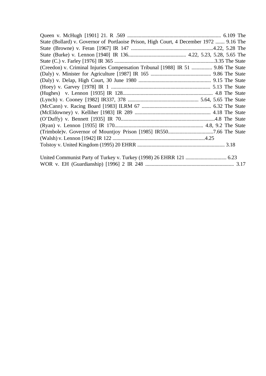| State (Bollard) v. Governor of Portlaoise Prison, High Court, 4 December 1972  9.16 The |  |
|-----------------------------------------------------------------------------------------|--|
|                                                                                         |  |
|                                                                                         |  |
|                                                                                         |  |
| (Creedon) v. Criminal Injuries Compensation Tribunal [1988] IR 51  9.86 The State       |  |
|                                                                                         |  |
|                                                                                         |  |
|                                                                                         |  |
|                                                                                         |  |
|                                                                                         |  |
|                                                                                         |  |
|                                                                                         |  |
|                                                                                         |  |
|                                                                                         |  |
|                                                                                         |  |
|                                                                                         |  |
|                                                                                         |  |
|                                                                                         |  |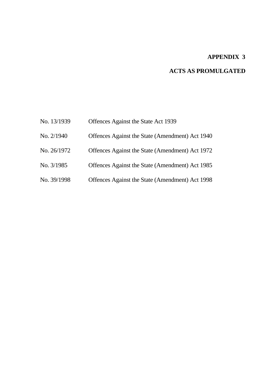# **APPENDIX 3**

# **ACTS AS PROMULGATED**

| No. 13/1939 | Offences Against the State Act 1939             |
|-------------|-------------------------------------------------|
| No. 2/1940  | Offences Against the State (Amendment) Act 1940 |
| No. 26/1972 | Offences Against the State (Amendment) Act 1972 |
| No. 3/1985  | Offences Against the State (Amendment) Act 1985 |
| No. 39/1998 | Offences Against the State (Amendment) Act 1998 |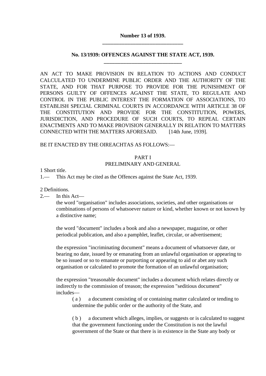### **Number 13 of 1939. \_\_\_\_\_\_\_\_\_\_\_\_\_\_\_\_\_\_\_\_\_\_\_\_\_\_\_\_\_**

## **No. 13/1939: OFFENCES AGAINST THE STATE ACT, 1939. \_\_\_\_\_\_\_\_\_\_\_\_\_\_\_\_\_\_\_\_\_\_\_\_\_\_\_\_**

AN ACT TO MAKE PROVISION IN RELATION TO ACTIONS AND CONDUCT CALCULATED TO UNDERMINE PUBLIC ORDER AND THE AUTHORITY OF THE STATE, AND FOR THAT PURPOSE TO PROVIDE FOR THE PUNISHMENT OF PERSONS GUILTY OF OFFENCES AGAINST THE STATE, TO REGULATE AND CONTROL IN THE PUBLIC INTEREST THE FORMATION OF ASSOCIATIONS, TO ESTABLISH SPECIAL CRIMINAL COURTS IN ACCORDANCE WITH ARTICLE 38 OF THE CONSTITUTION AND PROVIDE FOR THE CONSTITUTION, POWERS, JURISDICTION, AND PROCEDURE OF SUCH COURTS, TO REPEAL CERTAIN ENACTMENTS AND TO MAKE PROVISION GENERALLY IN RELATION TO MATTERS CONNECTED WITH THE MATTERS AFORESAID. [14th June, 1939].

#### BE IT ENACTED BY THE OIREACHTAS AS FOLLOWS:—

## PART I PRELIMINARY AND GENERAL

1 Short title.

1.— This Act may be cited as the Offences against the State Act, 1939.

2 Definitions.

2.— In this Act—

the word "organisation" includes associations, societies, and other organisations or combinations of persons of whatsoever nature or kind, whether known or not known by a distinctive name;

the word "document" includes a book and also a newspaper, magazine, or other periodical publication, and also a pamphlet, leaflet, circular, or advertisement;

the expression "incriminating document" means a document of whatsoever date, or bearing no date, issued by or emanating from an unlawful organisation or appearing to be so issued or so to emanate or purporting or appearing to aid or abet any such organisation or calculated to promote the formation of an unlawful organisation;

the expression "treasonable document" includes a document which relates directly or indirectly to the commission of treason; the expression "seditious document" includes—

( a ) a document consisting of or containing matter calculated or tending to undermine the public order or the authority of the State, and

( b ) a document which alleges, implies, or suggests or is calculated to suggest that the government functioning under the Constitution is not the lawful government of the State or that there is in existence in the State any body or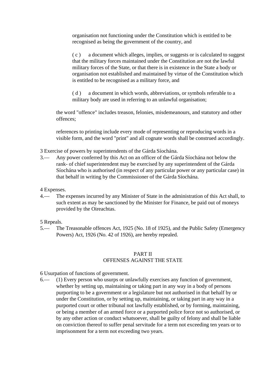organisation not functioning under the Constitution which is entitled to be recognised as being the government of the country, and

( c ) a document which alleges, implies, or suggests or is calculated to suggest that the military forces maintained under the Constitution are not the lawful military forces of the State, or that there is in existence in the State a body or organisation not established and maintained by virtue of the Constitution which is entitled to be recognised as a military force, and

( d ) a document in which words, abbreviations, or symbols referable to a military body are used in referring to an unlawful organisation;

the word "offence" includes treason, felonies, misdemeanours, and statutory and other offences;

references to printing include every mode of representing or reproducing words in a visible form, and the word "print" and all cognate words shall be construed accordingly.

- 3 Exercise of powers by superintendents of the Gárda Síochána.
- 3.— Any power conferred by this Act on an officer of the Gárda Síochána not below the rank- of chief superintendent may be exercised by any superintendent of the Gárda Síochána who is authorised (in respect of any particular power or any particular case) in that behalf in writing by the Commissioner of the Gárda Síochána.
- 4 Expenses.
- 4.— The expenses incurred by any Minister of State in the administration of this Act shall, to such extent as may be sanctioned by the Minister for Finance, be paid out of moneys provided by the Oireachtas.
- 5 Repeals.
- 5.— The Treasonable offences Act, 1925 (No. 18 of 1925), and the Public Safety (Emergency Powers) Act, 1926 (No. 42 of 1926), are hereby repealed.

#### PART II OFFENSES AGAINST THE STATE

- 6 Usurpation of functions of government.
- 6.— (1) Every person who usurps or unlawfully exercises any function of government, whether by setting up, maintaining or taking part in any way in a body of persons purporting to be a government or a legislature but not authorised in that behalf by or under the Constitution, or by setting up, maintaining, or taking part in any way in a purported court or other tribunal not lawfully established, or by forming, maintaining, or being a member of an armed force or a purported police force not so authorised, or by any other action or conduct whatsoever, shall be guilty of felony and shall be liable on conviction thereof to suffer penal servitude for a term not exceeding ten years or to imprisonment for a term not exceeding two years.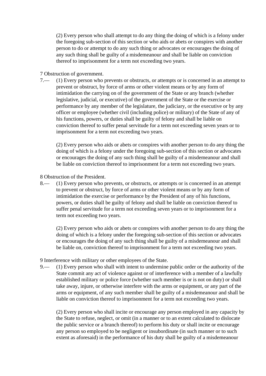(2) Every person who shall attempt to do any thing the doing of which is a felony under the foregoing sub-section of this section or who aids or abets or conspires with another person to do or attempt to do any such thing or advocates or encourages the doing of any such thing shall be guilty of a misdemeanour and shall be liable on conviction thereof to imprisonment for a term not exceeding two years.

#### 7 Obstruction of government.

7.— (1) Every person who prevents or obstructs, or attempts or is concerned in an attempt to prevent or obstruct, by force of arms or other violent means or by any form of intimidation the carrying on of the government of the State or any branch (whether legislative, judicial, or executive) of the government of the State or the exercise or performance by any member of the legislature, the judiciary, or the executive or by any officer or employee (whether civil (including police) or military) of the State of any of his functions, powers, or duties shall be guilty of felony and shall be liable on conviction thereof to suffer penal servitude for a term not exceeding seven years or to imprisonment for a term not exceeding two years.

(2) Every person who aids or abets or conspires with another person to do any thing the doing of which is a felony under the foregoing sub-section of this section or advocates or encourages the doing of any such thing shall be guilty of a misdemeanour and shall be liable on conviction thereof to imprisonment for a term not exceeding two years.

8 Obstruction of the President.

8.— (1) Every person who prevents, or obstructs, or attempts or is concerned in an attempt to prevent or obstruct, by force of arms or other violent means or by any form of intimidation the exercise or performance by the President of any of his functions, powers, or duties shall be guilty of felony and shall be liable on conviction thereof to suffer penal servitude for a term not exceeding seven years or to imprisonment for a term not exceeding two years.

(2) Every person who aids or abets or conspires with another person to do any thing the doing of which is a felony under the foregoing sub-section of this section or advocates or encourages the doing of any such thing shall be guilty of a misdemeanour and shall be liable on, conviction thereof to imprisonment for a term not exceeding two years.

9 Interference with military or other employees of the State.

9.— (1) Every person who shall with intent to undermine public order or the authority of the State commit any act of violence against or of interference with a member of a lawfully established military or police force (whether such member is or is not on duty) or shall take away, injure, or otherwise interfere with the arms or equipment, or any part of the arms or equipment, of any such member shall be guilty of a misdemeanour and shall be liable on conviction thereof to imprisonment for a term not exceeding two years.

(2) Every person who shall incite or encourage any person employed in any capacity by the State to refuse, neglect, or omit (in a manner or to an extent calculated to dislocate the public service or a branch thereof) to perform his duty or shall incite or encourage any person so employed to be negligent or insubordinate (in such manner or to such extent as aforesaid) in the performance of his duty shall be guilty of a misdemeanour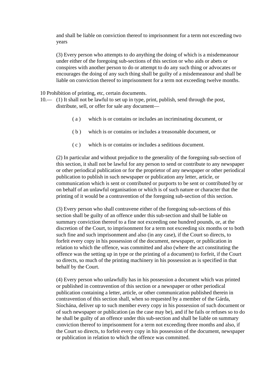and shall be liable on conviction thereof to imprisonment for a term not exceeding two years

(3) Every person who attempts to do anything the doing of which is a misdemeanour under either of the foregoing sub-sections of this section or who aids or abets or conspires with another person to do or attempt to do any such thing or advocates or encourages the doing of any such thing shall be guilty of a misdemeanour and shall be liable on conviction thereof to imprisonment for a term not exceeding twelve months.

10 Prohibition of printing, etc, certain documents.

- 10.— (1) It shall not be lawful to set up in type, print, publish, send through the post, distribute, sell, or offer for sale any document—
	- ( a ) which is or contains or includes an incriminating document, or
	- ( b ) which is or contains or includes a treasonable document, or
	- ( c ) which is or contains or includes a seditious document.

(2) In particular and without prejudice to the generality of the foregoing sub-section of this section, it shall not be lawful for any person to send or contribute to any newspaper or other periodical publication or for the proprietor of any newspaper or other periodical publication to publish in such newspaper or publication any letter, article, or communication which is sent or contributed or purports to be sent or contributed by or on behalf of an unlawful organisation or which is of such nature or character that the printing of it would be a contravention of the foregoing sub-section of this section.

(3) Every person who shall contravene either of the foregoing sub-sections of this section shall be guilty of an offence under this sub-section and shall be liable on summary conviction thereof to a fine not exceeding one hundred pounds, or, at the discretion of the Court, to imprisonment for a term not exceeding six months or to both such fine and such imprisonment and also (in any case), if the Court so directs, to forfeit every copy in his possession of the document, newspaper, or publication in relation to which the offence, was committed and also (where the act constituting the offence was the setting up in type or the printing of a document) to forfeit, if the Court so directs, so much of the printing machinery in his possession as is specified in that behalf by the Court.

(4) Every person who unlawfully has in his possession a document which was printed or published in contravention of this section or a newspaper or other periodical publication containing a letter, article, or other communication published therein in contravention of this section shall, when so requested by a member of the Gárda, Síochána, deliver up to such member every copy in his possession of such document or of such newspaper or publication (as the case may be), and if he fails or refuses so to do he shall be guilty of an offence under this sub-section and shall be liable on summary conviction thereof to imprisonment for a term not exceeding three months and also, if the Court so directs, to forfeit every copy in his possession of the document, newspaper or publication in relation to which the offence was committed.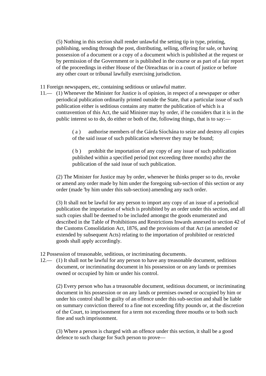(5) Nothing in this section shall render unlawful the setting tip in type, printing, publishing, sending through the post, distributing, selling, offering for sale, or having possession of a document or a copy of a document which is published at the request or by permission of the Government or is published in the course or as part of a fair report of the proceedings in either House of the Oireachtas or in a court of justice or before any other court or tribunal lawfully exercising jurisdiction.

11 Foreign newspapers, etc, containing seditious or unlawful matter.

11.— (1) Whenever the Minister for Justice is of opinion, in respect of a newspaper or other periodical publication ordinarily printed outside the State, that a particular issue of such publication either is seditious contains any matter the publication of which is a contravention of this Act, the said Minister may by order, if he considers that it is in the public interest so to do, do either or both of the, following things, that is to say:—

> ( a ) authorise members of the Gárda Síochána to seize and destroy all copies of the said issue of such publication wherever they may be found;

( b ) prohibit the importation of any copy of any issue of such publication published within a specified period (not exceeding three months) after the publication of the said issue of such publication.

(2) The Minister for Justice may by order, whenever he thinks proper so to do, revoke or amend any order made by him under the foregoing sub-section of this section or any order (made 'by him under this sub-section) amending any such order.

(3) It shall not be lawful for any person to import any copy of an issue of a periodical publication the importation of which is prohibited by an order under this section, and all such copies shall be deemed to be included amongst the goods enumerated and described in the Table of Prohibitions and Restrictions Inwards annexed to section 42 of the Customs Consolidation Act, 1876, and the provisions of that Act (as amended or extended by subsequent Acts) relating to the importation of prohibited or restricted goods shall apply accordingly.

12 Possession of treasonable, seditious, or incriminating documents.

12.— (1) It shall not be lawful for any person to have any treasonable document, seditious document, or incriminating document in his possession or on any lands or premises owned or occupied by him or under his control.

(2) Every person who has a treasonable document, seditious document, or incriminating document in his possession or on any lands or premises owned or occupied by him or under his control shall be guilty of an offence under this sub-section and shall be liable on summary conviction thereof to a fine not exceeding fifty pounds or, at the discretion of the Court, to imprisonment for a term not exceeding three mouths or to both such fine and such imprisonment.

(3) Where a person is charged with an offence under this section, it shall be a good defence to such charge for Such person to prove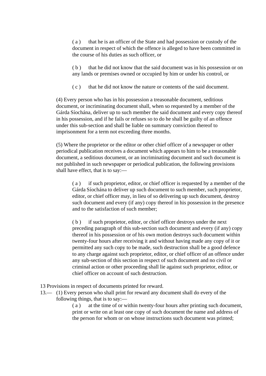( a ) that he is an officer of the State and had possession or custody of the document in respect of which the offence is alleged to have been committed in the course of his duties as such officer, or

( b ) that he did not know that the said document was in his possession or on any lands or premises owned or occupied by him or under his control, or

( c ) that he did not know the nature or contents of the said document.

(4) Every person who has in his possession a treasonable document, seditious document, or incriminating document shall, when so requested by a member of the Gárda Síochána, deliver up to such member the said document and every copy thereof in his possession, and if he fails or refuses so to do he shall be guilty of an offence under this sub-section and shall be liable on summary conviction thereof to imprisonment for a term not exceeding three months.

(5) Where the proprietor or the editor or other chief officer of a newspaper or other periodical publication receives a document which appears to him to be a treasonable document, a seditious document, or an incriminating document and such document is not published in such newspaper or periodical publication, the following provisions shall have effect, that is to say:—

( a ) if such proprietor, editor, or chief officer is requested by a member of the Gárda Síochána to deliver up such document to such member, such proprietor, editor, or chief officer may, in lieu of so delivering up such document, destroy such document and every (if any) copy thereof in his possession in the presence and to the satisfaction of such member;

( b ) if such proprietor, editor, or chief officer destroys under the next preceding paragraph of this sub-section such document and every (if any) copy thereof in his possession or of his own motion destroys such document within twenty-four hours after receiving it and without having made any copy of it or permitted any such copy to be made, such destruction shall be a good defence to any charge against such proprietor, editor, or chief officer of an offence under any sub-section of this section in respect of such document and no civil or criminal action or other proceeding shall lie against such proprietor, editor, or chief officer on account of such destruction.

13 Provisions in respect of documents printed for reward.

13.— (1) Every person who shall print for reward any document shall do every of the following things, that is to say:—

> ( a ) at the time of or within twenty-four hours after printing such document, print or write on at least one copy of such document the name and address of the person for whom or on whose instructions such document was printed;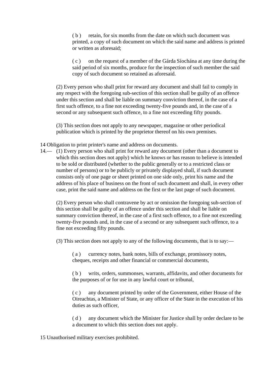( b ) retain, for six months from the date on which such document was printed, a copy of such document on which the said name and address is printed or written as aforesaid;

( c ) on the request of a member of the Gárda Síochána at any time during the said period of six months, produce for the inspection of such member the said copy of such document so retained as aforesaid.

(2) Every person who shall print for reward any document and shall fail to comply in any respect with the foregoing sub-section of this section shall be guilty of an offence under this section and shall be liable on summary conviction thereof, in the case of a first such offence, to a fine not exceeding twenty-five pounds and, in the case of a second or any subsequent such offence, to a fine not exceeding fifty pounds.

(3) This section does not apply to any newspaper, magazine or other periodical publication which is printed by the proprietor thereof on his own premises.

14 Obligation to print printer's name and address on documents.

14.— (1) Every person who shall print for reward any document (other than a document to which this section does not apply) which he knows or has reason to believe is intended to be sold or distributed (whether to the public generally or to a restricted class or number of persons) or to be publicly or privately displayed shall, if such document consists only of one page or sheet printed on one side only, print his name and the address of his place of business on the front of such document and shall, in every other case, print the said name and address on the first or the last page of such document.

(2) Every person who shall contravene by act or omission the foregoing sub-section of this section shall be guilty of an offence under this section and shall be liable on summary conviction thereof, in the case of a first such offence, to a fine not exceeding twenty-five pounds and, in the case of a second or any subsequent such offence, to a fine not exceeding fifty pounds.

(3) This section does not apply to any of the following documents, that is to say:—

( a ) currency notes, bank notes, bills of exchange, promissory notes, cheques, receipts and other financial or commercial documents,

( b ) writs, orders, summonses, warrants, affidavits, and other documents for the purposes of or for use in any lawful court or tribunal,

( c ) any document printed by order of the Government, either House of the Oireachtas, a Minister of State, or any officer of the State in the execution of his duties as such officer,

( d ) any document which the Minister for Justice shall by order declare to be a document to which this section does not apply.

15 Unauthorised military exercises prohibited.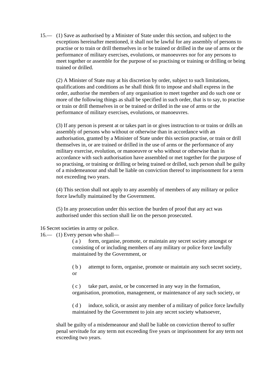15.— (1) Save as authorised by a Minister of State under this section, and subject to the exceptions hereinafter mentioned, it shall not be lawful for any assembly of persons to practise or to train or drill themselves in or be trained or drilled in the use of arms or the performance of military exercises, evolutions, or manoeuvres nor for any persons to meet together or assemble for the purpose of so practising or training or drilling or being trained or drilled.

(2) A Minister of State may at his discretion by order, subject to such limitations, qualifications and conditions as he shall think fit to impose and shall express in the order, authorise the members of any organisation to meet together and do such one or more of the following things as shall be specified in such order, that is to say, to practise or train or drill themselves in or be trained or drilled in the use of arms or the performance of military exercises, evolutions, or manoeuvres.

(3) If any person is present at or takes part in or gives instruction to or trains or drills an assembly of persons who without or otherwise than in accordance with an authorisation, granted by a Minister of State under this section practise, or train or drill themselves in, or are trained or drilled in the use of arms or the performance of any military exercise, evolution, or manoeuvre or who without or otherwise than in accordance with such authorisation have assembled or met together for the purpose of so practising, or training or drilling or being trained or drilled, such person shall be guilty of a misdemeanour and shall be liable on conviction thereof to imprisonment for a term not exceeding two years.

(4) This section shall not apply to any assembly of members of any military or police force lawfully maintained by the Government.

(5) In any prosecution under this section the burden of proof that any act was authorised under this section shall lie on the person prosecuted.

16 Secret societies in army or police.

16.— (1) Every person who shall—

( a ) form, organise, promote, or maintain any secret society amongst or consisting of or including members of any military or police force lawfully maintained by the Government, or

( b ) attempt to form, organise, promote or maintain any such secret society, or

( c ) take part, assist, or be concerned in any way in the formation, organisation, promotion, management, or maintenance of any such society, or

( d ) induce, solicit, or assist any member of a military of police force lawfully maintained by the Government to join any secret society whatsoever,

shall be guilty of a misdemeanour and shall be liable on conviction thereof to suffer penal servitude for any term not exceeding five years or imprisonment for any term not exceeding two years.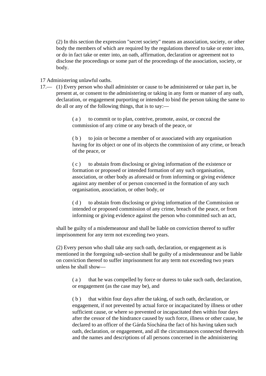(2) In this section the expression "secret society" means an association, society, or other body the members of which are required by the regulations thereof to take or enter into, or do in fact take or enter into, an oath, affirmation, declaration or agreement not to disclose the proceedings or some part of the proceedings of the association, society, or body.

#### 17 Administering unlawful oaths.

17.— (1) Every person who shall administer or cause to be administered or take part in, be present at, or consent to the administering or taking in any form or manner of any oath, declaration, or engagement purporting or intended to bind the person taking the same to do all or any of the following things, that is to say:—

> ( a ) to commit or to plan, contrive, promote, assist, or conceal the commission of any crime or any breach of the peace, or

( b ) to join or become a member of or associated with any organisation having for its object or one of its objects the commission of any crime, or breach of the peace, or

 $(c)$  to abstain from disclosing or giving information of the existence or formation or proposed or intended formation of any such organisation, association, or other body as aforesaid or from informing or giving evidence against any member of or person concerned in the formation of any such organisation, association, or other body, or

( d ) to abstain from disclosing or giving information of the Commission or intended or proposed commission of any crime, breach of the peace, or from informing or giving evidence against the person who committed such an act,

shall be guilty of a misdemeanour and shall be liable on conviction thereof to suffer imprisonment for any term not exceeding two years.

(2) Every person who shall take any such oath, declaration, or engagement as is mentioned in the foregoing sub-section shall be guilty of a misdemeanour and be liable on conviction thereof to suffer imprisonment for any term not exceeding two years unless he shall show—

( a ) that he was compelled by force or duress to take such oath, declaration, or engagement (as the case may be), and

( b ) that within four days after the taking, of such oath, declaration, or engagement, if not prevented by actual force or incapacitated by illness or other sufficient cause, or where so prevented or incapacitated then within four days after the cessor of the hindrance caused by such force, illness or other cause, he declared to an officer of the Gárda Síochána the fact of his having taken such oath, declaration, or engagement, and all the circumstances connected therewith and the names and descriptions of all persons concerned in the administering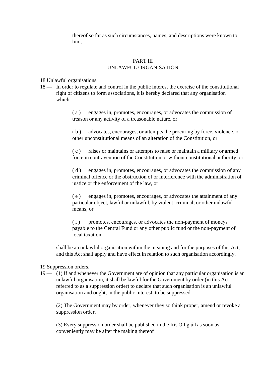thereof so far as such circumstances, names, and descriptions were known to him.

## PART III UNLAWFUL ORGANISATION

18 Unlawful organisations.

18.— In order to regulate and control in the public interest the exercise of the constitutional right of citizens to form associations, it is hereby declared that any organisation which—

> ( a ) engages in, promotes, encourages, or advocates the commission of treason or any activity of a treasonable nature, or

( b ) advocates, encourages, or attempts the procuring by force, violence, or other unconstitutional means of an alteration of the Constitution, or

( c ) raises or maintains or attempts to raise or maintain a military or armed force in contravention of the Constitution or without constitutional authority, or.

( d ) engages in, promotes, encourages, or advocates the commission of any criminal offence or the obstruction of or interference with the administration of justice or the enforcement of the law, or

( e ) engages in, promotes, encourages, or advocates the attainment of any particular object, lawful or unlawful, by violent, criminal, or other unlawful means, or

( f ) promotes, encourages, or advocates the non-payment of moneys payable to the Central Fund or any other public fund or the non-payment of local taxation,

shall be an unlawful organisation within the meaning and for the purposes of this Act, and this Act shall apply and have effect in relation to such organisation accordingly.

19 Suppression orders.

19.— (1) If and whenever the Government are of opinion that any particular organisation is an unlawful organisation, it shall be lawful for the Government by order (in this Act referred to as a suppression order) to declare that such organisation is an unlawful organisation and ought, in the public interest, to be suppressed.

(2) The Government may by order, whenever they so think proper, amend or revoke a suppression order.

(3) Every suppression order shall be published in the Iris Oifigiúil as soon as conveniently may be after the making thereof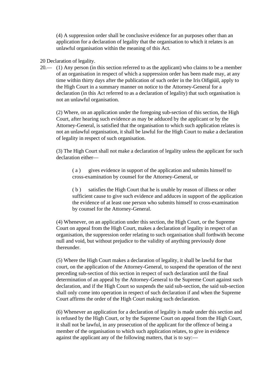(4) A suppression order shall be conclusive evidence for an purposes other than an application for a declaration of legality that the organisation to which it relates is an unlawful organisation within the meaning of this Act.

#### 20 Declaration of legality.

20.— (1) Any person (in this section referred to as the applicant) who claims to be a member of an organisation in respect of which a suppression order has been made may, at any time within thirty days after the publication of such order in the Iris Oifigiúil, apply to the High Court in a summary manner on notice to the Attorney-General for a declaration (in this Act referred to as a declaration of legality) that such organisation is not an unlawful organisation.

(2) Where, on an application under the foregoing sub-section of this section, the High Court, after hearing such evidence as may be adduced by the applicant or by the Attorney-General, is satisfied that the organisation to which such application relates is not an unlawful organisation, it shall be lawful for the High Court to make a declaration of legality in respect of such organisation.

(3) The High Court shall not make a declaration of legality unless the applicant for such declaration either—

( a ) gives evidence in support of the application and submits himself to cross-examination by counsel for the Attorney-General, or

( b ) satisfies the High Court that he is unable by reason of illness or other sufficient cause to give such evidence and adduces in support of the application the evidence of at least one person who submits himself to cross-examination by counsel for the Attorney-General.

(4) Whenever, on an application under this section, the High Court, or the Supreme Court on appeal from the High Court, makes a declaration of legality in respect of an organisation, the suppression order relating to such organisation shall forthwith become null and void, but without prejudice to the validity of anything previously done thereunder.

(5) Where the High Court makes a declaration of legality, it shall be lawful for that court, on the application of the Attorney-General, to suspend the operation of the next preceding sub-section of this section in respect of such declaration until the final determination of an appeal by the Attorney-General to the Supreme Court against such declaration, and if the High Court so suspends the said sub-section, the said sub-section shall only come into operation in respect of such declaration if and when the Supreme Court affirms the order of the High Court making such declaration.

(6) Whenever an application for a declaration of legality is made under this section and is refused by the High Court, or by the Supreme Court on appeal from the High Court, it shall not be lawful, in any prosecution of the applicant for the offence of being a member of the organisation to which such application relates, to give in evidence against the applicant any of the following matters, that is to say:—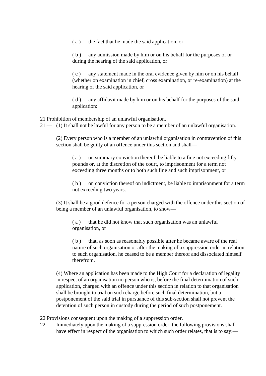( a ) the fact that he made the said application, or

( b ) any admission made by him or on his behalf for the purposes of or during the hearing of the said application, or

( c ) any statement made in the oral evidence given by him or on his behalf (whether on examination in chief, cross examination, or re-examination) at the hearing of the said application, or

( d ) any affidavit made by him or on his behalf for the purposes of the said application:

21 Prohibition of membership of an unlawful organisation.

21.— (1) It shall not be lawful for any person to be a member of an unlawful organisation.

(2) Every person who is a member of an unlawful organisation in contravention of this section shall be guilty of an offence under this section and shall—

( a ) on summary conviction thereof, be liable to a fine not exceeding fifty pounds or, at the discretion of the court, to imprisonment for a term not exceeding three months or to both such fine and such imprisonment, or

( b ) on conviction thereof on indictment, be liable to imprisonment for a term not exceeding two years.

(3) It shall be a good defence for a person charged with the offence under this section of being a member of an unlawful organisation, to show—

( a ) that he did not know that such organisation was an unlawful organisation, or

( b ) that, as soon as reasonably possible after he became aware of the real nature of such organisation or after the making of a suppression order in relation to such organisation, he ceased to be a member thereof and dissociated himself therefrom.

(4) Where an application has been made to the High Court for a declaration of legality in respect of an organisation no person who is, before the final determination of such application, charged with an offence under this section in relation to that organisation shall be brought to trial on such charge before such final determination, but a postponement of the said trial in pursuance of this sub-section shall not prevent the detention of such person in custody during the period of such postponement.

22 Provisions consequent upon the making of a suppression order.

22.— Immediately upon the making of a suppression order, the following provisions shall have effect in respect of the organisation to which such order relates, that is to say:—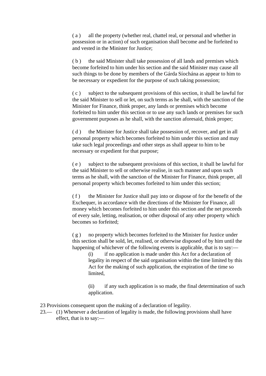( a ) all the property (whether real, chattel real, or personal and whether in possession or in action) of such organisation shall become and be forfeited to and vested in the Minister for Justice;

( b ) the said Minister shall take possession of all lands and premises which become forfeited to him under his section and the said Minister may cause all such things to be done by members of the Gárda Síochána as appear to him to be necessary or expedient for the purpose of such taking possession;

( c ) subject to the subsequent provisions of this section, it shall be lawful for the said Minister to sell or let, on such terms as he shall, with the sanction of the Minister for Finance, think proper, any lands or premises which become forfeited to him under this section or to use any such lands or premises for such government purposes as he shall, with the sanction aforesaid, think proper;

( d ) the Minister for Justice shall take possession of, recover, and get in all personal property which becomes forfeited to him under this section and may take such legal proceedings and other steps as shall appear to him to be necessary or expedient for that purpose;

( e ) subject to the subsequent provisions of this section, it shall be lawful for the said Minister to sell or otherwise realise, in such manner and upon such terms as he shall, with the sanction of the Minister for Finance, think proper, all personal property which becomes forfeited to him under this section;

( f ) the Minister for Justice shall pay into or dispose of for the benefit of the Exchequer, in accordance with the directions of the Minister for Finance, all money which becomes forfeited to him under this section and the net proceeds of every sale, letting, realisation, or other disposal of any other property which becomes so forfeited;

( g ) no property which becomes forfeited to the Minister for Justice under this section shall be sold, let, realised, or otherwise disposed of by him until the happening of whichever of the following events is applicable, that is to say:—

(i) if no application is made under this Act for a declaration of legality in respect of the said organisation within the time limited by this Act for the making of such application, the expiration of the time so limited,

(ii) if any such application is so made, the final determination of such application.

23 Provisions consequent upon the making of a declaration of legality.

23.— (1) Whenever a declaration of legality is made, the following provisions shall have effect, that is to say:—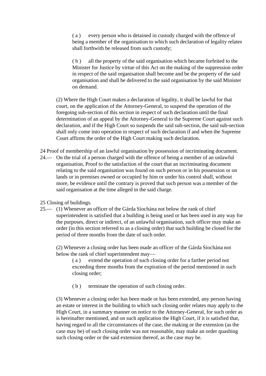( a ) every person who is detained in custody charged with the offence of being a member of the organisation to which such declaration of legality relates shall forthwith be released from such custody;

( b ) all the property of the said organisation which became forfeited to the Minister for Justice by virtue of this Act on the making of the suppression order in respect of the said organisation shall become and be the property of the said organisation and shall be delivered to the said organisation by the said Minister on demand.

(2) Where the High Court makes a declaration of legality, it shall be lawful for that court, on the application of the Attorney-General, to suspend the operation of the foregoing sub-section of this section in respect of such declaration until the final determination of an appeal by the Attorney-General to the Supreme Court against such declaration, and if the High Court so suspends the said sub-section, the said sub-section shall only come into operation in respect of such declaration if and when the Supreme Court affirms the order of the High Court making such declaration.

24 Proof of membership of an lawful organisation by possession of incriminating document.

24.— On the trial of a person charged with the offence of being a member of an unlawful organisation, Proof to the satisfaction of the court that an incriminating document relating to the said organisation was found on such person or in his possession or on lands or in premises owned or occupied by him or under his control shall, without more, be evidence until the contrary is proved that such person was a member of the said organisation at the time alleged in the said charge.

25 Closing of buildings.

25.— (1) Whenever an officer of the Gárda Síochána not below the rank of chief superintendent is satisfied that a building is being used or has been used in any way for the purposes, direct or indirect, of an unlawful organisation, such officer may make an order (in this section referred to as a closing order) that such building be closed for the period of three months from the date of such order.

(2) Whenever a closing order has been made an officer of the Gárda Síochána not below the rank of chief superintendent may—

( a ) extend the operation of such closing order for a farther period not exceeding three months from the expiration of the period mentioned in such closing order;

( b ) terminate the operation of such closing order.

(3) Whenever a closing order has been made or has been extended, any person having an estate or interest in the building to which such closing order relates may apply to the High Court, in a summary manner on notice to the Attorney-General, for such order as is hereinafter mentioned, and on such application the High Court, if it is satisfied that, having regard to all the circumstances of the case, the making or the extension (as the case may be) of such closing order was not reasonable, may make an order quashing such closing order or the said extension thereof, as the case may be.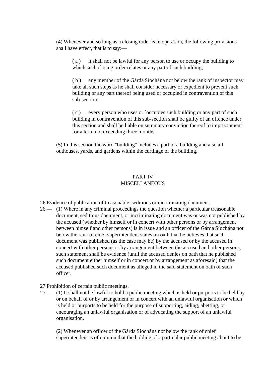(4) Whenever and so long as a closing order is in operation, the following provisions shall have effect, that is to say:—

( a ) it shall not be lawful for any person to use or occupy the building to which such closing order relates or any part of such building;

( b ) any member of the Gárda Síochána not below the rank of inspector may take all such steps as he shall consider necessary or expedient to prevent such building or any part thereof being used or occupied in contravention of this sub-section;

( c ) every person who uses or `occupies such building or any part of such building in contravention of this sub-section shall be guilty of an offence under this section and shall be liable on summary conviction thereof to imprisonment for a term not exceeding three months.

(5) In this section the word "building" includes a part of a building and also all outhouses, yards, and gardens within the curtilage of the building.

#### PART IV MISCELLANEOUS

26 Evidence of publication of treasonable, seditious or incriminating document.

- 26.— (1) Where in any criminal proceedings the question whether a particular treasonable document, seditious document, or incriminating document was or was not published by the accused (whether by himself or in concert with other persons or by arrangement between himself and other persons) is in issue and an officer of the Gárda Síochána not below the rank of chief superintendent states on oath that he believes that such document was published (as the case may be) by the accused or by the accused in concert with other persons or by arrangement between the accused and other persons, such statement shall be evidence (until the accused denies on oath that he published such document either himself or in concert or by arrangement as aforesaid) that the accused published such document as alleged in the said statement on oath of such officer.
- 27 Prohibition of certain public meetings.
- 27.— (1) It shall not be lawful to hold a public meeting which is held or purports to be held by or on behalf of or by arrangement or in concert with an unlawful organisation or which is held or purports to be held for the purpose of supporting, aiding, abetting, or encouraging an unlawful organisation or of advocating the support of an unlawful organisation.

(2) Whenever an officer of the Gárda Síochána not below the rank of chief superintendent is of opinion that the holding of a particular public meeting about to be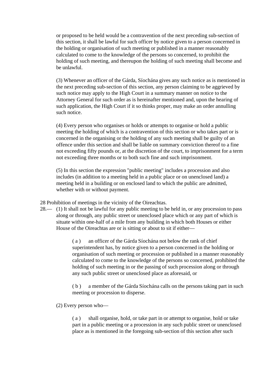or proposed to be held would be a contravention of the next preceding sub-section of this section, it shall be lawful for such officer by notice given to a person concerned in the holding or organisation of such meeting or published in a manner reasonably calculated to come to the knowledge of the persons so concerned, to prohibit the holding of such meeting, and thereupon the holding of such meeting shall become and be unlawful.

(3) Whenever an officer of the Gárda, Síochána gives any such notice as is mentioned in the next preceding sub-section of this section, any person claiming to be aggrieved by such notice may apply to the High Court in a summary manner on notice to the Attorney General for such order as is hereinafter mentioned and, upon the hearing of such application, the High Court if it so thinks proper, may make an order annulling such notice.

(4) Every person who organises or holds or attempts to organise or hold a public meeting the holding of which is a contravention of this section or who takes part or is concerned in the organising or the holding of any such meeting shall be guilty of an offence under this section and shall be liable on summary conviction thereof to a fine not exceeding fifty pounds or, at the discretion of the court, to imprisonment for a term not exceeding three months or to both such fine and such imprisonment.

(5) In this section the expression "public meeting" includes a procession and also includes (in addition to a meeting held in a public place or on unenclosed land) a meeting held in a building or on enclosed land to which the public are admitted, whether with or without payment.

28 Prohibition of meetings in the vicinity of the Oireachtas.

28.— (1) It shall not be lawful for any public meeting to be held in, or any procession to pass along or through, any public street or unenclosed place which or any part of which is situate within one-half of a mile from any building in which both Houses or either House of the Oireachtas are or is sitting or about to sit if either—

> ( a ) an officer of the Gárda Síochána not below the rank of chief superintendent has, by notice given to a person concerned in the holding or organisation of such meeting or procession or published in a manner reasonably calculated to come to the knowledge of the persons so concerned, prohibited the holding of such meeting in or the passing of such procession along or through any such public street or unenclosed place as aforesaid, or

> ( b ) a member of the Gárda Síochána calls on the persons taking part in such meeting or procession to disperse.

(2) Every person who—

( a ) shall organise, hold, or take part in or attempt to organise, hold or take part in a public meeting or a procession in any such public street or unenclosed place as is mentioned in the foregoing sub-section of this section after such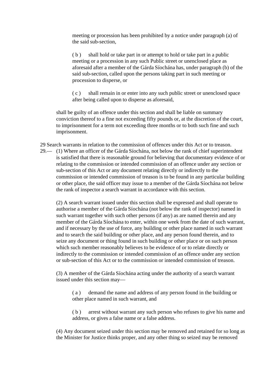meeting or procession has been prohibited by a notice under paragraph (a) of the said sub-section,

( b ) shall hold or take part in or attempt to hold or take part in a public meeting or a procession in any such Public street or unenclosed place as aforesaid after a member of the Gárda Síochána has, under paragraph (b) of the said sub-section, called upon the persons taking part in such meeting or procession to disperse, or

( c ) shall remain in or enter into any such public street or unenclosed space after being called upon to disperse as aforesaid,

shall be guilty of an offence under this section and shall be liable on summary conviction thereof to a fine not exceeding fifty pounds or, at the discretion of the court, to imprisonment for a term not exceeding three months or to both such fine and such imprisonment.

29 Search warrants in relation to the commission of offences under this Act or to treason.

29.— (1) Where an officer of the Gárda Síochána, not below the rank of chief superintendent is satisfied that there is reasonable ground for believing that documentary evidence of or relating to the commission or intended commission of an offence under any section or sub-section of this Act or any document relating directly or indirectly to the commission or intended commission of treason is to be found in any particular building or other place, the said officer may issue to a member of the Gárda Síochána not below the rank of inspector a search warrant in accordance with this section.

(2) A search warrant issued under this section shall be expressed and shall operate to authorise a member of the Gárda Síochána (not below the rank of inspector) named in such warrant together with such other persons (if any) as are named therein and any member of the Gárda Síochána to enter, within one week from the date of such warrant, and if necessary by the use of force, any building or other place named in such warrant and to search the said building or other place, and any person found therein, and to seize any document or thing found in such building or other place or on such person which such member reasonably believes to be evidence of or to relate directly or indirectly to the commission or intended commission of an offence under any section or sub-section of this Act or to the commission or intended commission of treason.

(3) A member of the Gárda Síochána acting under the authority of a search warrant issued under this section may—

( a ) demand the name and address of any person found in the building or other place named in such warrant, and

( b ) arrest without warrant any such person who refuses to give his name and address, or gives a false name or a false address.

(4) Any document seized under this section may be removed and retained for so long as the Minister for Justice thinks proper, and any other thing so seized may be removed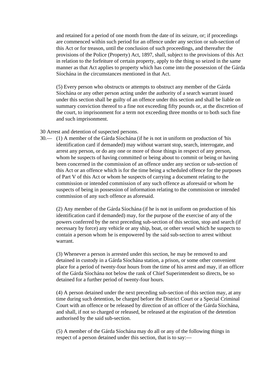and retained for a period of one month from the date of its seizure, or; if proceedings are commenced within such period for an offence under any section or sub-section of this Act or for treason, until the conclusion of such proceedings, and thereafter the provisions of the Police (Property) Act, 1897, shall, subject to the provisions of this Act in relation to the forfeiture of certain property, apply to the thing so seized in the same manner as that Act applies to property which has come into the possession of the Gárda Síochána in the circumstances mentioned in that Act.

(5) Every person who obstructs or attempts to obstruct any member of the Gárda Síochána or any other person acting under the authority of a search warrant issued under this section shall be guilty of an offence under this section and shall be liable on summary conviction thereof to a fine not exceeding fifty pounds or, at the discretion of the court, to imprisonment for a term not exceeding three months or to both such fine and such imprisonment.

30 Arrest and detention of suspected persons.

30.— (1) A member of the Gárda Síochána (if he is not in uniform on production of 'his identification card if demanded) may without warrant stop, search, interrogate, and arrest any person, or do any one or more of those things in respect of any person, whom he suspects of having committed or being about to commit or being or having been concerned in the commission of an offence under any section or sub-section of this Act or an offence which is for the time being a scheduled offence for the purposes of Part V of this Act or whom he suspects of carrying a document relating to the commission or intended commission of any such offence as aforesaid or whom he suspects of being in possession of information relating to the commission or intended commission of any such offence as aforesaid.

(2) Any member of the Gárda Síochána (if he is not in uniform on production of his identification card if demanded) may, for the purpose of the exercise of any of the powers conferred by the next preceding sub-section of this section, stop and search (if necessary by force) any vehicle or any ship, boat, or other vessel which he suspects to contain a person whom he is empowered by the said sub-section to arrest without warrant.

(3) Whenever a person is arrested under this section, he may be removed to and detained in custody in a Gárda Síochána station, a prison, or some other convenient place for a period of twenty-four hours from the time of his arrest and may, if an officer of the Gárda Síochána not below the rank of Chief Superintendent so directs, be so detained for a further period of twenty-four hours.

(4) A person detained under the next preceding sub-section of this section may, at any time during such detention, be charged before the District Court or a Special Criminal Court with an offence or be released by direction of an officer of the Gárda Síochána, and shall, if not so charged or released, be released at the expiration of the detention authorised by the said sub-section.

(5) A member of the Gárda Síochána may do all or any of the following things in respect of a person detained under this section, that is to say:—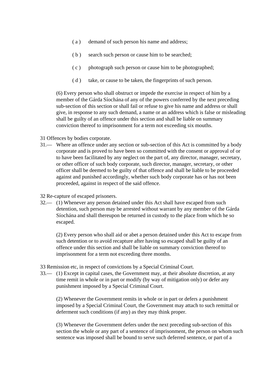- ( a ) demand of such person his name and address;
- ( b ) search such person or cause him to be searched;
- ( c ) photograph such person or cause him to be photographed;
- ( d ) take, or cause to be taken, the fingerprints of such person.

(6) Every person who shall obstruct or impede the exercise in respect of him by a member of the Gárda Síochána of any of the powers conferred by the next preceding sub-section of this section or shall fail or refuse to give his name and address or shall give, in response to any such demand, a name or an address which is false or misleading shall be guilty of an offence under this section and shall be liable on summary conviction thereof to imprisonment for a term not exceeding six mouths.

- 31 Offences by bodies corporate.
- 31.— Where an offence under any section or sub-section of this Act is committed by a body corporate and is proved to have been so committed with the consent or approval of or to have been facilitated by any neglect on the part of, any director, manager, secretary, or other officer of such body corporate, such director, manager, secretary, or other officer shall be deemed to be guilty of that offence and shall be liable to be proceeded against and punished accordingly, whether such body corporate has or has not been proceeded, against in respect of the said offence.
- 32 Re-capture of escaped prisoners.
- 32.— (1) Whenever any person detained under this Act shall have escaped from such detention, such person may be arrested without warrant by any member of the Gárda Síochána and shall thereupon be returned in custody to the place from which he so escaped.

(2) Every person who shall aid or abet a person detained under this Act to escape from such detention or to avoid recapture after having so escaped shall be guilty of an offence under this section and shall be liable on summary conviction thereof to imprisonment for a term not exceeding three months.

- 33 Remission etc, in respect of convictions by a Special Criminal Court.
- 33.— (1) Except in capital cases, the Government may, at their absolute discretion, at any time remit in whole or in part or modify (by way of mitigation only) or defer any punishment imposed by a Special Criminal Court.

(2) Whenever the Government remits in whole or in part or defers a punishment imposed by a Special Criminal Court, the Government may attach to such remittal or deferment such conditions (if any) as they may think proper.

(3) Whenever the Government defers under the next preceding sub-section of this section the whole or any part of a sentence of imprisonment, the person on whom such sentence was imposed shall be bound to serve such deferred sentence, or part of a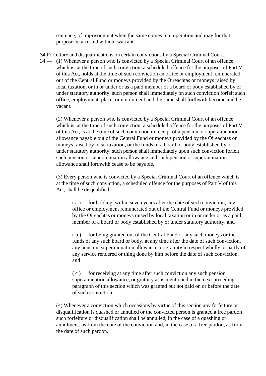sentence, of imprisonment when the same comes into operation and may for that purpose be arrested without warrant.

34 Forfeiture and disqualifications on certain convictions by a Special Criminal Court.

34.— (1) Whenever a person who is convicted by a Special Criminal Court of an offence which is, at the time of such conviction, a scheduled offence for the purposes of Part V of this Act, holds at the time of such conviction an office or employment remunerated out of the Central Fund or moneys provided by the Oireachtas or moneys raised by local taxation, or in or under or as a paid member of a board or body established by or under statutory authority, such person shall immediately on such conviction forfeit such office, employment, place, or emolument and the same shall forthwith become and be vacant.

(2) Whenever a person who is convicted by a Special Criminal Court of an offence which is, at the time of such conviction, a scheduled offence for the purposes of Part V of this Act, is at the time of such conviction in receipt of a pension or superannuation allowance payable out of the Central Fund or moneys provided by the Oireachtas or moneys raised by local taxation, or the funds of a board or body established by or under statutory authority, such person shall immediately upon such conviction forfeit such pension or superannuation allowance and such pension or superannuation allowance shall forthwith cease to be payable.

(3) Every person who is convicted by a Special Criminal Court of an offence which is, at the time of such conviction, a scheduled offence for the purposes of Part V of this Act, shall be disqualified—

(a) for holding, within seven years after the date of such conviction, any office or employment remunerated out of the Central Fund or moneys provided by the Oireachtas or moneys raised by local taxation or in or under or as a paid member of a board or body established by or under statutory authority, and

( b ) for being granted out of the Central Fund or any such moneys or the funds of any such board or body, at any time after the date of such conviction, any pension, superannuation allowance, or gratuity in respect wholly or partly of any service rendered or thing done by him before the date of such conviction, and

 $(c)$  for receiving at any time after such conviction any such pension, superannuation allowance, or gratuity as is mentioned in the next preceding paragraph of this section which was granted but not paid on or before the date of such conviction.

(4) Whenever a conviction which occasions by virtue of this section any forfeiture or disqualification is quashed or annulled or the convicted person is granted a free pardon such forfeiture or disqualification shall be annulled, in the case of a quashing or annulment, as from the date of the conviction and, in the case of a free pardon, as from the date of such pardon.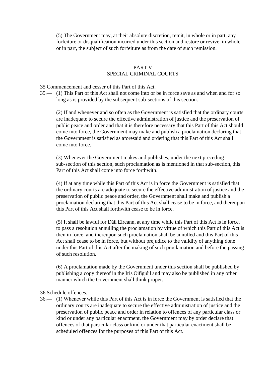(5) The Government may, at their absolute discretion, remit, in whole or in part, any forfeiture or disqualification incurred under this section and restore or revive, in whole or in part, the subject of such forfeiture as from the date of such remission.

## PART V SPECIAL CRIMINAL COURTS

35 Commencement and cesser of this Part of this Act.

35.— (1) This Part of this Act shall not come into or be in force save as and when and for so long as is provided by the subsequent sub-sections of this section.

(2) If and whenever and so often as the Government is satisfied that the ordinary courts are inadequate to secure the effective administration of justice and the preservation of public peace and order and that it is therefore necessary that this Part of this Act should come into force, the Government may make and publish a proclamation declaring that the Government is satisfied as aforesaid and ordering that this Part of this Act shall come into force.

(3) Whenever the Government makes and publishes, under the next preceding sub-section of this section, such proclamation as is mentioned in that sub-section, this Part of this Act shall come into force forthwith.

(4) If at any time while this Part of this Act is in force the Government is satisfied that the ordinary courts are adequate to secure the effective administration of justice and the preservation of public peace and order, the Government shall make and publish a proclamation declaring that this Part of this Act shall cease to be in force, and thereupon this Part of this Act shall forthwith cease to be in force.

(5) It shall be lawful for Dáil Eireann, at any time while this Part of this Act is in force, to pass a resolution annulling the proclamation by virtue of which this Part of this Act is then in force, and thereupon such proclamation shall be annulled and this Part of this Act shall cease to be in force, but without prejudice to the validity of anything done under this Part of this Act after the making of such proclamation and before the passing of such resolution.

(6) A proclamation made by the Government under this section shall be published by publishing a copy thereof in the Iris Oifigiúil and may also be published in any other manner which the Government shall think proper.

36 Schedule offences.

36.— (1) Whenever while this Part of this Act is in force the Government is satisfied that the ordinary courts are inadequate to secure the effective administration of justice and the preservation of public peace and order in relation to offences of any particular class or kind or under any particular enactment, the Government may by order declare that offences of that particular class or kind or under that particular enactment shall be scheduled offences for the purposes of this Part of this Act.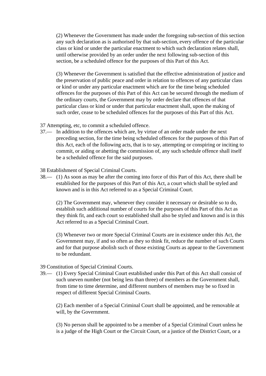(2) Whenever the Government has made under the foregoing sub-section of this section any such declaration as is authorised by that sub-section, every offence of the particular class or kind or under the particular enactment to which such declaration relates shall, until otherwise provided by an order under the next following sub-section of this section, be a scheduled offence for the purposes of this Part of this Act.

(3) Whenever the Government is satisfied that the effective administration of justice and the preservation of public peace and order in relation to offences of any particular class or kind or under any particular enactment which are for the time being scheduled offences for the purposes of this Part of this Act can be secured through the medium of the ordinary courts, the Government may by order declare that offences of that particular class or kind or under that particular enactment shall, upon the making of such order, cease to be scheduled offences for the purposes of this Part of this Act.

37 Attempting, etc, to commit a scheduled offence.

37.— In addition to the offences which are, by virtue of an order made under the next preceding section, for the time being scheduled offences for the purposes of this Part of this Act, each of the following acts, that is to say, attempting or conspiring or inciting to commit, or aiding or abetting the commission of, any such schedule offence shall itself be a scheduled offence for the said purposes.

38 Establishment of Special Criminal Courts.

38.— (1) As soon as may be after the coming into force of this Part of this Act, there shall be established for the purposes of this Part of this Act, a court which shall be styled and known and is in this Act referred to as a Special Criminal Court.

(2) The Government may, whenever they consider it necessary or desirable so to do, establish such additional number of courts for the purposes of this Part of this Act as they think fit, and each court so established shall also be styled and known and is in this Act referred to as a Special Criminal Court.

(3) Whenever two or more Special Criminal Courts are in existence under this Act, the Government may, if and so often as they so think fit, reduce the number of such Courts and for that purpose abolish such of those existing Courts as appear to the Government to be redundant.

39 Constitution of Special Criminal Courts.

39.— (1) Every Special Criminal Court established under this Part of this Act shall consist of such uneven number (not being less than three) of members as the Government shall, from time to time determine, and different numbers of members may be so fixed in respect of different Special Criminal Courts.

(2) Each member of a Special Criminal Court shall be appointed, and be removable at will, by the Government.

(3) No person shall be appointed to be a member of a Special Criminal Court unless he is a judge of the High Court or the Circuit Court, or a justice of the District Court, or a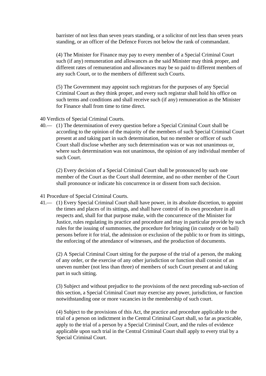barrister of not less than seven years standing, or a solicitor of not less than seven years standing, or an officer of the Defence Forces not below the rank of commandant.

(4) The Minister for Finance may pay to every member of a Special Criminal Court such (if any) remuneration and allowances as the said Minister may think proper, and different rates of remuneration and allowances may be so paid to different members of any such Court, or to the members of different such Courts.

(5) The Government may appoint such registrars for the purposes of any Special Criminal Court as they think proper, and every such registrar shall hold his office on such terms and conditions and shall receive such (if any) remuneration as the Minister for Finance shall from time to time direct.

40 Verdicts of Special Criminal Courts.

40.— (1) The determination of every question before a Special Criminal Court shall be according to the opinion of the majority of the members of such Special Criminal Court present at and taking part in such determination, but no member or officer of such Court shall disclose whether any such determination was or was not unanimous or, where such determination was not unanimous, the opinion of any individual member of such Court.

(2) Every decision of a Special Criminal Court shall be pronounced by such one member of the Court as the Court shall determine, and no other member of the Court shall pronounce or indicate his concurrence in or dissent from such decision.

41 Procedure of Special Criminal Courts.

41.— (1) Every Special Criminal Court shall have power, in its absolute discretion, to appoint the times and places of its sittings, and shall have control of its own procedure in all respects and, shall for that purpose make, with the concurrence of the Minister for Justice, rules regulating its practice and procedure and may in particular provide by such rules for the issuing of summonses, the procedure for bringing (in custody or on bail) persons before it for trial, the admission or exclusion of the public to or from its sittings, the enforcing of the attendance of witnesses, and the production of documents.

(2) A Special Criminal Court sitting for the purpose of the trial of a person, the making of any order, or the exercise of any other jurisdiction or function shall consist of an uneven number (not less than three) of members of such Court present at and taking part in such sitting.

(3) Subject and without prejudice to the provisions of the next preceding sub-section of this section, a Special Criminal Court may exercise any power, jurisdiction, or function notwithstanding one or more vacancies in the membership of such court.

(4) Subject to the provisions of this Act, the practice and procedure applicable to the trial of a person on indictment in the Central Criminal Court shall, so far as practicable, apply to the trial of a person by a Special Criminal Court, and the rules of evidence applicable upon such trial in the Central Criminal Court shall apply to every trial by a Special Criminal Court.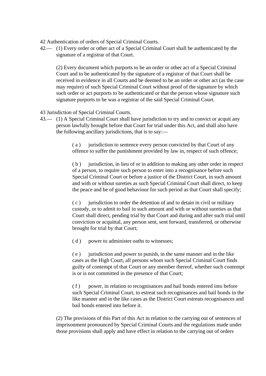- 42 Authentication of orders of Special Criminal Courts.
- 42.— (1) Every order or other act of a Special Criminal Court shall be authenticated by the signature of a registrar of that Court.

(2) Every document which purports to be an order or other act of a Special Criminal Court and to be authenticated by the signature of a registrar of that Court shall be received in evidence in all Courts and be deemed to be an order or other act (as the case may require) of such Special Criminal Court without proof of the signature by which such order or act purports to be authenticated or that the person whose signature such signature purports to be was a registrar of the said Special Criminal Court.

- 43 Jurisdiction of Special Criminal Courts.
- 43.— (1) A Special Criminal Court shall have jurisdiction to try and to convict or acquit any person lawfully brought before that Court for trial under this Act, and shall also have the following ancillary jurisdictions, that is to say:—

( a ) jurisdiction to sentence every person convicted by that Court of any offence to suffer the punishment provided by law in, respect of such offence;

( b ) jurisdiction, in lieu of or in addition to making any other order in respect of a person, to require such person to enter into a recognisance before such Special Criminal Court or before a justice of the District Court, in such amount and with or without sureties as such Special Criminal Court shall direct, to keep the peace and be of good behaviour for such period as that Court shall specify;

( c ) jurisdiction to order the detention of and to detain in civil or military custody, or to admit to bail in such amount and with or without sureties as that Court shall direct, pending trial by that Court and during and after such trial until conviction or acquittal, any person sent, sent forward, transferred, or otherwise brought for trial by that Court;

( d ) power to administer oaths to witnesses;

( e ) jurisdiction and power to punish, in the same manner and in the like cases as the High Court, all persons whom such Special Criminal Court finds guilty of contempt of that Court or any member thereof, whether such contempt is or is not committed in the presence of that Court;

( f ) power, in relation to recognisances and bail bonds entered into before such Special Criminal Court, to estreat such recognisances and bail bonds in the like manner and in the like cases as the District Court estreats recognisances and bail bonds entered into before it.

(2) The provisions of this Part of this Act in relation to the carrying out of sentences of imprisonment pronounced by Special Criminal Courts and the regulations made under those provisions shall apply and have effect in relation to the carrying out of orders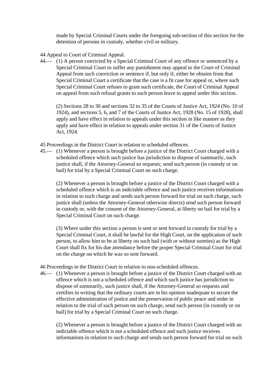made by Special Criminal Courts under the foregoing sub-section of this section for the detention of persons in custody, whether civil or military.

- 44 Appeal to Court of Criminal Appeal.
- 44.— (1) A person convicted by a Special Criminal Court of any offence or sentenced by a Special Criminal Court to suffer any punishment may appeal to the Court of Criminal Appeal from such conviction or sentence if, but only if, either he obtains from that Special Criminal Court a certificate that the case is a fit case for appeal or, where such Special Criminal Court refuses to grant such certificate, the Court of Criminal Appeal on appeal from such refusal grants to such person leave to appeal under this section.

(2) Sections 28 to 30 and sections 32 to 35 of the Courts of Justice Act, 1924 (No. 10 of 1924), and sections 5, 6, and 7 of the Courts of Justice Act, 1928 (No. 15 of 1928), shall apply and have effect in relation to appeals under this section in like manner as they apply and have effect in relation to appeals under section 31 of the Courts of Justice Act, 1924.

45 Proceedings in the District Court in relation to scheduled offences.

45.— (1) Whenever a person is brought before a justice of the District Court charged with a scheduled offence which such justice has jurisdiction to dispose of summarily, such justice shall, if the Attorney-General so requests; send such person (in custody or on bail) for trial by a Special Criminal Court on such charge.

(2) Whenever a person is brought before a justice of the District Court charged with a scheduled offence which is an indictable offence and such justice receives informations in relation to such charge and sends such person forward for trial on such charge, such justice shall (unless the Attorney-General otherwise directs) send such person forward in custody or, with the consent of the Attorney-General, at liberty on bail for trial by a Special Criminal Court on such charge.

(3) Where under this section a person is sent or sent forward in custody for trial by a Special Criminal Court, it shall be lawful for the High Court, on the application of such person, to allow him to be at liberty on such bail (with or without sureties) as the High Court shall fix for his due attendance before the proper Special Criminal Court for trial on the charge on which he was so sent forward.

46 Proceedings in the District Court in relation to non-scheduled offences.

46.— (1) Whenever a person is brought before a justice of the District Court charged with an offence which is not a scheduled offence and which such justice has jurisdiction to dispose of summarily, such justice shall, if the Attorney-General so requests and certifies in writing that the ordinary courts are in his opinion inadequate to secure the effective administration of justice and the preservation of public peace and order in relation to the trial of such person on such charge, send such person (in custody or on bail) for trial by a Special Criminal Court on such charge.

(2) Whenever a person is brought before a justice of the District Court charged with an indictable offence which is not a scheduled offence and such justice receives informations in relation to such charge and sends such person forward for trial on such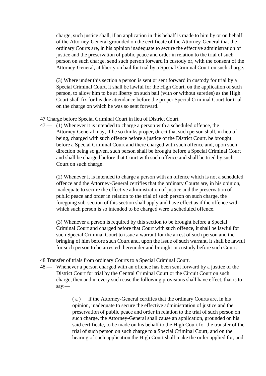charge, such justice shall, if an application in this behalf is made to him by or on behalf of the Attorney-General grounded on the certificate of the Attorney-General that the ordinary Courts are, in his opinion inadequate to secure the effective administration of justice and the preservation of public peace and order in relation to the trial of such person on such charge, send such person forward in custody or, with the consent of the Attorney-General, at liberty on bail for trial by a Special Criminal Court on such charge.

(3) Where under this section a person is sent or sent forward in custody for trial by a Special Criminal Court, it shall be lawful for the High Court, on the application of such person, to allow him to be at liberty on such bail (with or without sureties) as the High Court shall fix for his due attendance before the proper Special Criminal Court for trial on the charge on which he was so sent forward.

- 47 Charge before Special Criminal Court in lieu of District Court.
- 47.— (1) Whenever it is intended to charge a person with a scheduled offence, the Attorney-General may, if he so thinks proper, direct that such person shall, in lieu of being, charged with such offence before a justice of the District Court, be brought before a Special Criminal Court and there charged with such offence and, upon such direction being so given, such person shall be brought before a Special Criminal Court and shall be charged before that Court with such offence and shall be tried by such Court on such charge.

(2) Whenever it is intended to charge a person with an offence which is not a scheduled offence and the Attorney-General certifies that the ordinary Courts are, in his opinion, inadequate to secure the effective administration of justice and the preservation of public peace and order in relation to the trial of such person on such charge, the foregoing sub-section of this section shall apply and have effect as if the offence with which such person is so intended to be charged were a scheduled offence.

(3) Whenever a person is required by this section to be brought before a Special Criminal Court and charged before that Court with such offence, it shall be lawful for such Special Criminal Court to issue a warrant for the arrest of such person and the bringing of him before such Court and, upon the issue of such warrant, it shall be lawful for such person to be arrested thereunder and brought in custody before such Court.

- 48 Transfer of trials from ordinary Courts to a Special Criminal Court.
- 48.— Whenever a person charged with an offence has been sent forward by a justice of the District Court for trial by the Central Criminal Court or the Circuit Court on such charge, then and in every such case the following provisions shall have effect, that is to say:—

( a ) if the Attorney-General certifies that the ordinary Courts are, in his opinion, inadequate to secure the effective administration of justice and the preservation of public peace and order in relation to the trial of such person on such charge, the Attorney-General shall cause an application, grounded on his said certificate, to be made on his behalf to the High Court for the transfer of the trial of such person on such charge to a Special Criminal Court, and on the hearing of such application the High Court shall make the order applied for, and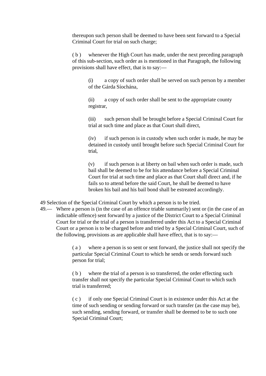thereupon such person shall be deemed to have been sent forward to a Special Criminal Court for trial on such charge;

( b ) whenever the High Court has made, under the next preceding paragraph of this sub-section, such order as is mentioned in that Paragraph, the following provisions shall have effect, that is to say:—

(i) a copy of such order shall be served on such person by a member of the Gárda Síochána,

(ii) a copy of such order shall be sent to the appropriate county registrar,

(iii) such person shall be brought before a Special Criminal Court for trial at such time and place as that Court shall direct,

(iv) if such person is in custody when such order is made, he may be detained in custody until brought before such Special Criminal Court for trial,

(v) if such person is at liberty on bail when such order is made, such bail shall be deemed to be for his attendance before a Special Criminal Court for trial at such time and place as that Court shall direct and, if he fails so to attend before the said Court, he shall be deemed to have broken his bail and his bail bond shall be estreated accordingly.

49 Selection of the Special Criminal Court by which a person is to be tried.

49.— Where a person is (in the case of an offence triable summarily) sent or (in the case of an indictable offence) sent forward by a justice of the District Court to a Special Criminal Court for trial or the trial of a person is transferred under this Act to a Special Criminal Court or a person is to be charged before and tried by a Special Criminal Court, such of the following, provisions as are applicable shall have effect, that is to say:—

> ( a ) where a person is so sent or sent forward, the justice shall not specify the particular Special Criminal Court to which he sends or sends forward such person for trial;

( b ) where the trial of a person is so transferred, the order effecting such transfer shall not specify the particular Special Criminal Court to which such trial is transferred;

( c ) if only one Special Criminal Court is in existence under this Act at the time of such sending or sending forward or such transfer (as the case may be), such sending, sending forward, or transfer shall be deemed to be to such one Special Criminal Court;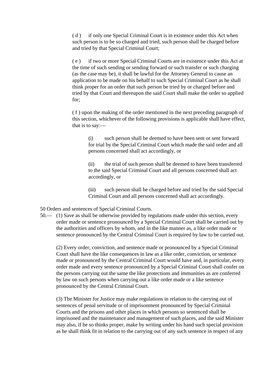( d ) if only one Special Criminal Court is in existence under this Act when such person is to be so charged and tried, such person shall be charged before and tried by that Special Criminal Court;

( e ) if two or more Special Criminal Courts are in existence under this Act at the time of such sending or sending forward or such transfer or such charging (as the case may be), it shall be lawful for the Attorney General to cause an application to be made on his behalf to such Special Criminal Court as he shall think proper for an order that such person be tried by or charged before and tried by that Court and thereupon the said Court shall make the order so applied for;

( f ) upon the making of the order mentioned in the next preceding paragraph of this section, whichever of the following provisions is applicable shall have effect, that is to say:—

(i) such person shall be deemed to have been sent or sent forward for trial by the Special Criminal Court which made the said order and all persons concerned shall act accordingly, or

(ii) the trial of such person shall be deemed to have been transferred to the said Special Criminal Court and all persons concerned shall act accordingly, or

(iii) such person shall be charged before and tried by the said Special Criminal Court and all persons concerned shall act accordingly.

50 Orders and sentences of Special Criminal Courts.

50.— (1) Save as shall be otherwise provided by regulations made under this section, every order made or sentence pronounced by a Special Criminal Court shall be carried out by the authorities and officers by whom, and in the like manner as, a like order made or sentence pronounced by the Central Criminal Court is required by law to be carried out.

(2) Every order, conviction, and sentence made or pronounced by a Special Criminal Court shall have the like consequences in law as a like order, conviction, or sentence made or pronounced by the Central Criminal Court would have and, in particular, every order made and every sentence pronounced by a Special Criminal Court shall confer on the persons carrying out the same the like protections and immunities as are conferred by law on such persons when carrying out a like order made or a like sentence pronounced by the Central Criminal Court.

(3) The Minister for Justice may make regulations in relation to the carrying out of sentences of penal servitude or of imprisonment pronounced by Special Criminal Courts and the prisons and other places in which persons so sentenced shall be imprisoned and the maintenance and management of such places, and the said Minister may also, if he so thinks proper, make by writing under his hand such special provision as he shall think fit in relation to the carrying out of any such sentence in respect of any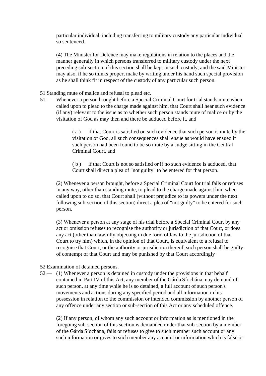particular individual, including transferring to military custody any particular individual so sentenced.

(4) The Minister for Defence may make regulations in relation to the places and the manner generally in which persons transferred to military custody under the next preceding sub-section of this section shall be kept in such custody, and the said Minister may also, if he so thinks proper, make by writing under his hand such special provision as he shall think fit in respect of the custody of any particular such person.

- 51 Standing mute of malice and refusal to plead etc.
- 51.— Whenever a person brought before a Special Criminal Court for trial stands mute when called upon to plead to the charge made against him, that Court shall hear such evidence (if any) relevant to the issue as to whether such person stands mute of malice or by the visitation of God as may then and there be adduced before it, and

( a ) if that Court is satisfied on such evidence that such person is mute by the visitation of God, all such consequences shall ensue as would have ensued if such person had been found to be so mute by a Judge sitting in the Central Criminal Court, and

( b ) if that Court is not so satisfied or if no such evidence is adduced, that Court shall direct a plea of "not guilty" to be entered for that person.

(2) Whenever a person brought, before a Special Criminal Court for trial fails or refuses in any way, other than standing mute, to plead to the charge made against him when called upon to do so, that Court shall (without prejudice to its powers under the next following sub-section of this section) direct a plea of "not guilty" to be entered for such person.

(3) Whenever a person at any stage of his trial before a Special Criminal Court by any act or omission refuses to recognise the authority or jurisdiction of that Court, or does any act (other than lawfully objecting in due form of law to the jurisdiction of that Court to try him) which, in the opinion of that Court, is equivalent to a refusal to recognise that Court, or the authority or jurisdiction thereof, such person shall be guilty of contempt of that Court and may be punished by that Court accordingly

52 Examination of detained persons.

52.— (1) Whenever a person is detained in custody under the provisions in that behalf contained in Part IV of this Act, any member of the Gárda Síochána may demand of such person, at any time while he is so detained, a full account of such person's movements and actions during any specified period and all information in his possession in relation to the commission or intended commission by another person of any offence under any section or sub-section of this Act or any scheduled offence.

(2) If any person, of whom any such account or information as is mentioned in the foregoing sub-section of this section is demanded under that sub-section by a member of the Gárda Síochána, fails or refuses to give to such member such account or any such information or gives to such member any account or information which is false or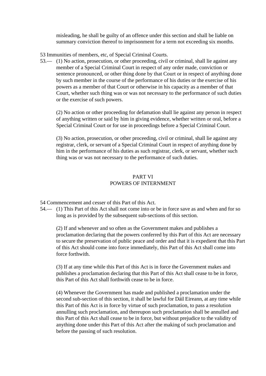misleading, he shall be guilty of an offence under this section and shall be liable on summary conviction thereof to imprisonment for a term not exceeding six months.

- 53 Immunities of members, etc, of Special Criminal Courts.
- 53.— (1) No action, prosecution, or other proceeding, civil or criminal, shall lie against any member of a Special Criminal Court in respect of any order made, conviction or sentence pronounced, or other thing done by that Court or in respect of anything done by such member in the course of the performance of his duties or the exercise of his powers as a member of that Court or otherwise in his capacity as a member of that Court, whether such thing was or was not necessary to the performance of such duties or the exercise of such powers.

(2) No action or other proceeding for defamation shall lie against any person in respect of anything written or said by him in giving evidence, whether written or oral, before a Special Criminal Court or for use in proceedings before a Special Criminal Court.

(3) No action, prosecution, or other proceeding, civil or criminal, shall lie against any registrar, clerk, or servant of a Special Criminal Court in respect of anything done by him in the performance of his duties as such registrar, clerk, or servant, whether such thing was or was not necessary to the performance of such duties.

## PART VI POWERS OF INTERNMENT

54 Commencement and cesser of this Part of this Act.

54.— (1) This Part of this Act shall not come into or be in force save as and when and for so long as is provided by the subsequent sub-sections of this section.

(2) If and whenever and so often as the Government makes and publishes a proclamation declaring that the powers conferred by this Part of this Act are necessary to secure the preservation of public peace and order and that it is expedient that this Part of this Act should come into force immediately, this Part of this Act shall come into force forthwith.

(3) If at any time while this Part of this Act is in force the Government makes and publishes a proclamation declaring that this Part of this Act shall cease to be in force, this Part of this Act shall forthwith cease to be in force.

(4) Whenever the Government has made and published a proclamation under the second sub-section of this section, it shall be lawful for Dáil Eireann, at any time while this Part of this Act is in force by virtue of such proclamation, to pass a resolution annulling such proclamation, and thereupon such proclamation shall be annulled and this Part of this Act shall cease to be in force, but without prejudice to the validity of anything done under this Part of this Act after the making of such proclamation and before the passing of such resolution.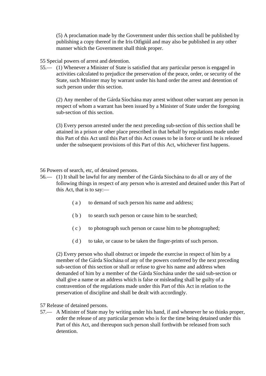(5) A proclamation made by the Government under this section shall be published by publishing a copy thereof in the Iris Oifigiúil and may also be published in any other manner which the Government shall think proper.

55 Special powers of arrest and detention.

55.— (1) Whenever a Minister of State is satisfied that any particular person is engaged in activities calculated to prejudice the preservation of the peace, order, or security of the State, such Minister may by warrant under his hand order the arrest and detention of such person under this section.

(2) Any member of the Gárda Síochána may arrest without other warrant any person in respect of whom a warrant has been issued by a Minister of State under the foregoing sub-section of this section.

(3) Every person arrested under the next preceding sub-section of this section shall be attained in a prison or other place prescribed in that behalf by regulations made under this Part of this Act until this Part of this Act ceases to be in force or until he is released under the subsequent provisions of this Part of this Act, whichever first happens.

56 Powers of search, etc, of detained persons.

- 56.— (1) It shall be lawful for any member of the Gárda Síochána to do all or any of the following things in respect of any person who is arrested and detained under this Part of this Act, that is to say:—
	- ( a ) to demand of such person his name and address;
	- (b) to search such person or cause him to be searched;
	- ( c ) to photograph such person or cause him to be photographed;
	- (d) to take, or cause to be taken the finger-prints of such person.

(2) Every person who shall obstruct or impede the exercise in respect of him by a member of the Gárda Síochána of any of the powers conferred by the next preceding sub-section of this section or shall or refuse to give his name and address when demanded of him by a member of the Gárda Síochána under the said sub-section or shall give a name or an address which is false or misleading shall be guilty of a contravention of the regulations made under this Part of this Act in relation to the preservation of discipline and shall be dealt with accordingly.

57 Release of detained persons.

57.— A Minister of State may by writing under his hand, if and whenever he so thinks proper, order the release of any particular person who is for the time being detained under this Part of this Act, and thereupon such person shall forthwith be released from such detention.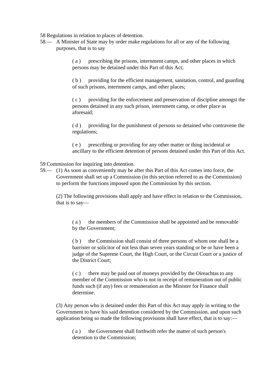58 Regulations in relation to places of detention.

58.— A Minister of State may by order make regulations for all or any of the following purposes, that is to say

> ( a ) prescribing the prisons, internment camps, and other places in which persons may be detained under this Part of this Act;

( b ) providing for the efficient management, sanitation, control, and guarding of such prisons, internment camps, and other places;

( c ) providing for the enforcement and preservation of discipline amongst the persons detained in any such prison, internment camp, or other place as aforesaid;

( d ) providing for the punishment of persons so detained who contravene the regulations;

( e ) prescribing or providing for any other matter or thing incidental or ancillary to the efficient detention of persons detained under this Part of this Act.

- 59 Commission for inquiring into detention.
- 59.— (1) As soon as conveniently may be after this Part of this Act comes into force, the Government shall set up a Commission (in this section referred to as the Commission) to perform the functions imposed upon the Commission by this section.

(2) The following provisions shall apply and have effect in relation to the Commission, that is to say—

( a ) the members of the Commission shall be appointed and be removable by the Government;

( b ) the Commission shall consist of three persons of whom one shall be a barrister or solicitor of not less than seven years standing or be or have been a judge of the Supreme Court, the High Court, or the Circuit Court or a justice of the District Court;

( c ) there may be paid out of moneys provided by the Oireachtas to any member of the Commission who is not in receipt of remuneration out of public funds such (if any) fees or remuneration as the Minister for Finance shall determine.

(3) Any person who is detained under this Part of this Act may apply in writing to the Government to have his said detention considered by the Commission, and upon such application being so made the following provisions shall have effect, that is to say:—

( a ) the Government shall forthwith refer the matter of such person's detention to the Commission;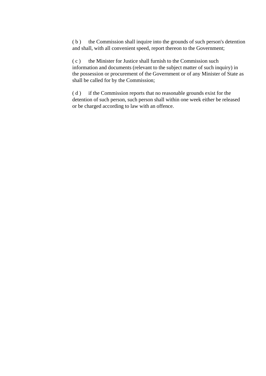( b ) the Commission shall inquire into the grounds of such person's detention and shall, with all convenient speed, report thereon to the Government;

 $(c)$  the Minister for Justice shall furnish to the Commission such information and documents (relevant to the subject matter of such inquiry) in the possession or procurement of the Government or of any Minister of State as shall be called for by the Commission;

( d ) if the Commission reports that no reasonable grounds exist for the detention of such person, such person shall within one week either be released or be charged according to law with an offence.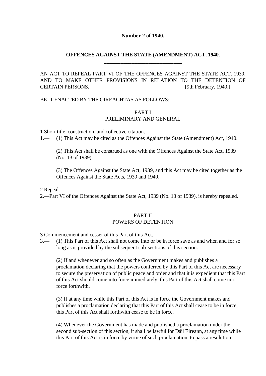### **Number 2 of 1940. \_\_\_\_\_\_\_\_\_\_\_\_\_\_\_\_\_\_\_\_\_\_\_\_\_\_\_\_\_**

### **OFFENCES AGAINST THE STATE (AMENDMENT) ACT, 1940. \_\_\_\_\_\_\_\_\_\_\_\_\_\_\_\_\_\_\_\_\_\_\_\_\_\_\_\_**

AN ACT TO REPEAL PART VI OF THE OFFENCES AGAINST THE STATE ACT, 1939, AND TO MAKE OTHER PROVISIONS IN RELATION TO THE DETENTION OF CERTAIN PERSONS. [9th February, 1940.]

#### BE IT ENACTED BY THE OIREACHTAS AS FOLLOWS:—

# PART I

### PRELIMINARY AND GENERAL

1 Short title, construction, and collective citation.

1.— (1) This Act may be cited as the Offences Against the State (Amendment) Act, 1940.

(2) This Act shall be construed as one with the Offences Against the State Act, 1939 (No. 13 of 1939).

(3) The Offences Against the State Act, 1939, and this Act may be cited together as the Offences Against the State Acts, 1939 and 1940.

2 Repeal.

2.—Part VI of the Offences Against the State Act, 1939 (No. 13 of 1939), is hereby repealed.

#### PART II POWERS OF DETENTION

3 Commencement and cesser of this Part of this Act.

3.— (1) This Part of this Act shall not come into or be in force save as and when and for so long as is provided by the subsequent sub-sections of this section.

(2) If and whenever and so often as the Government makes and publishes a proclamation declaring that the powers conferred by this Part of this Act are necessary to secure the preservation of public peace and order and that it is expedient that this Part of this Act should come into force immediately, this Part of this Act shall come into force forthwith.

(3) If at any time while this Part of this Act is in force the Government makes and publishes a proclamation declaring that this Part of this Act shall cease to be in force, this Part of this Act shall forthwith cease to be in force.

(4) Whenever the Government has made and published a proclamation under the second sub-section of this section, it shall be lawful for Dáil Eireann, at any time while this Part of this Act is in force by virtue of such proclamation, to pass a resolution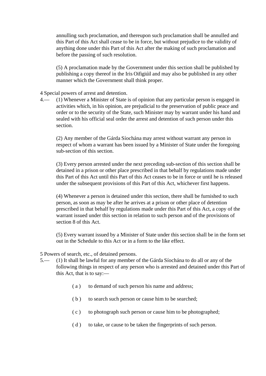annulling such proclamation, and thereupon such proclamation shall be annulled and this Part of this Act shall cease to be in force, but without prejudice to the validity of anything done under this Part of this Act after the making of such proclamation and before the passing of such resolution.

(5) A proclamation made by the Government under this section shall be published by publishing a copy thereof in the Iris Oifigiúil and may also be published in any other manner which the Government shall think proper.

4 Special powers of arrest and detention.

4.— (1) Whenever a Minister of State is of opinion that any particular person is engaged in activities which, in his opinion, are prejudicial to the preservation of public peace and order or to the security of the State, such Minister may by warrant under his hand and sealed with his official seal order the arrest and detention of such person under this section.

(2) Any member of the Gárda Síochána may arrest without warrant any person in respect of whom a warrant has been issued by a Minister of State under the foregoing sub-section of this section.

(3) Every person arrested under the next preceding sub-section of this section shall be detained in a prison or other place prescribed in that behalf by regulations made under this Part of this Act until this Part of this Act ceases to be in force or until he is released under the subsequent provisions of this Part of this Act, whichever first happens.

(4) Whenever a person is detained under this section, there shall be furnished to such person, as soon as may be after he arrives at a prison or other place of detention prescribed in that behalf by regulations made under this Part of this Act, a copy of the warrant issued under this section in relation to such person and of the provisions of section 8 of this Act.

(5) Every warrant issued by a Minister of State under this section shall be in the form set out in the Schedule to this Act or in a form to the like effect.

5 Powers of search, etc., of detained persons.

- 5.— (1) It shall be lawful for any member of the Gárda Síochána to do all or any of the following things in respect of any person who is arrested and detained under this Part of this Act, that is to say:—
	- ( a ) to demand of such person his name and address;
	- (b) to search such person or cause him to be searched;
	- ( c ) to photograph such person or cause him to be photographed;
	- ( d ) to take, or cause to be taken the fingerprints of such person.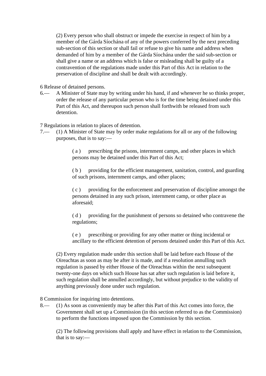(2) Every person who shall obstruct or impede the exercise in respect of him by a member of the Gárda Síochána of any of the powers conferred by the next preceding sub-section of this section or shall fail or refuse to give his name and address when demanded of him by a member of the Gárda Síochána under the said sub-section or shall give a name or an address which is false or misleading shall be guilty of a contravention of the regulations made under this Part of this Act in relation to the preservation of discipline and shall be dealt with accordingly.

6 Release of detained persons.

6.— A Minister of State may by writing under his hand, if and whenever he so thinks proper, order the release of any particular person who is for the time being detained under this Part of this Act, and thereupon such person shall forthwith be released from such detention.

7 Regulations in relation to places of detention.

7.— (1) A Minister of State may by order make regulations for all or any of the following purposes, that is to say:—

> ( a ) prescribing the prisons, internment camps, and other places in which persons may be detained under this Part of this Act;

( b ) providing for the efficient management, sanitation, control, and guarding of such prisons, internment camps, and other places;

( c ) providing for the enforcement and preservation of discipline amongst the persons detained in any such prison, internment camp, or other place as aforesaid;

( d ) providing for the punishment of persons so detained who contravene the regulations;

( e ) prescribing or providing for any other matter or thing incidental or ancillary to the efficient detention of persons detained under this Part of this Act.

(2) Every regulation made under this section shall be laid before each House of the Oireachtas as soon as may be after it is made, and if a resolution annulling such regulation is passed by either House of the Oireachtas within the next subsequent twenty-one days on which such House has sat after such regulation is laid before it, such regulation shall be annulled accordingly, but without prejudice to the validity of anything previously done under such regulation.

8 Commission for inquiring into detentions.

8.— (1) As soon as conveniently may be after this Part of this Act comes into force, the Government shall set up a Commission (in this section referred to as the Commission) to perform the functions imposed upon the Commission by this section.

(2) The following provisions shall apply and have effect in relation to the Commission, that is to say:—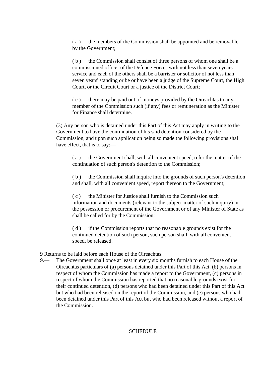( a ) the members of the Commission shall be appointed and be removable by the Government;

( b ) the Commission shall consist of three persons of whom one shall be a commissioned officer of the Defence Forces with not less than seven years' service and each of the others shall be a barrister or solicitor of not less than seven years' standing or be or have been a judge of the Supreme Court, the High Court, or the Circuit Court or a justice of the District Court;

( c ) there may be paid out of moneys provided by the Oireachtas to any member of the Commission such (if any) fees or remuneration as the Minister for Finance shall determine.

(3) Any person who is detained under this Part of this Act may apply in writing to the Government to have the continuation of his said detention considered by the Commission, and upon such application being so made the following provisions shall have effect, that is to say:—

( a ) the Government shall, with all convenient speed, refer the matter of the continuation of such person's detention to the Commission;

( b ) the Commission shall inquire into the grounds of such person's detention and shall, with all convenient speed, report thereon to the Government;

 $(c)$  the Minister for Justice shall furnish to the Commission such information and documents (relevant to the subject-matter of such inquiry) in the possession or procurement of the Government or of any Minister of State as shall be called for by the Commission;

( d ) if the Commission reports that no reasonable grounds exist for the continued detention of such person, such person shall, with all convenient speed, be released.

9 Returns to be laid before each House of the Oireachtas.

9.— The Government shall once at least in every six months furnish to each House of the Oireachtas particulars of (a) persons detained under this Part of this Act, (b) persons in respect of whom the Commission has made a report to the Government, (c) persons in respect of whom the Commission has reported that no reasonable grounds exist for their continued detention, (d) persons who had been detained under this Part of this Act but who had been released on the report of the Commission, and (e) persons who had been detained under this Part of this Act but who had been released without a report of the Commission.

### **SCHEDULE**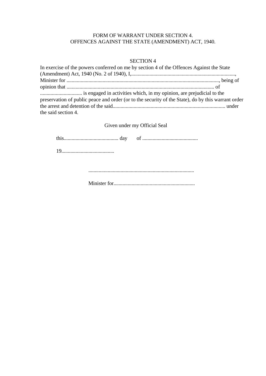### FORM OF WARRANT UNDER SECTION 4. OFFENCES AGAINST THE STATE (AMENDMENT) ACT, 1940.

### SECTION 4

| In exercise of the powers conferred on me by section 4 of the Offences Against the State           |  |
|----------------------------------------------------------------------------------------------------|--|
|                                                                                                    |  |
|                                                                                                    |  |
|                                                                                                    |  |
|                                                                                                    |  |
| preservation of public peace and order (or to the security of the State), do by this warrant order |  |
|                                                                                                    |  |
| the said section 4.                                                                                |  |

# Given under my Official Seal

this.......................................... day of ...........................................

19.........................................

Minister for...............................................................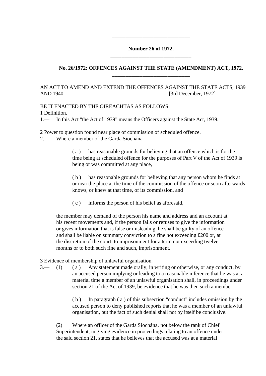### **Number 26 of 1972. \_\_\_\_\_\_\_\_\_\_\_\_\_\_\_\_\_\_\_\_\_\_\_\_\_\_\_\_\_**

**\_\_\_\_\_\_\_\_\_\_\_\_\_\_\_\_\_\_\_\_\_\_\_\_\_\_\_\_**

### **No. 26/1972: OFFENCES AGAINST THE STATE (AMENDMENT) ACT, 1972. \_\_\_\_\_\_\_\_\_\_\_\_\_\_\_\_\_\_\_\_\_\_\_\_\_\_\_\_**

## AN ACT TO AMEND AND EXTEND THE OFFENCES AGAINST THE STATE ACTS, 1939 AND 1940 [3rd December, 1972]

BE IT ENACTED BY THE OIREACHTAS AS FOLLOWS: 1 Definition. 1.— In this Act "the Act of 1939" means the Officers against the State Act, 1939.

2 Power to question found near place of commission of scheduled offence.

2.— Where a member of the Garda Síochána—

( a ) has reasonable grounds for believing that an offence which is for the time being at scheduled offence for the purposes of Part V of the Act of 1939 is being or was committed at any place,

( b ) has reasonable grounds for believing that any person whom he finds at or near the place at the time of the commission of the offence or soon afterwards knows, or knew at that time, of its commission, and

( c ) informs the person of his belief as aforesaid,

the member may demand of the person his name and address and an account at his recent movements and, if the person fails or refuses to give the information or gives information that is false or misleading, he shall be guilty of an offence and shall be liable on summary conviction to a fine not exceeding £200 or, at the discretion of the court, to imprisonment for a term not exceeding twelve months or to both such fine and such, imprisonment.

3 Evidence of membership of unlawful organisation.

3.— (1) ( a ) Any statement made orally, in writing or otherwise, or any conduct, by an accused person implying or leading to a reasonable inference that he was at a material time a member of an unlawful organisation shall, in proceedings under section 21 of the Act of 1939, be evidence that he was then such a member.

> ( b ) In paragraph ( a ) of this subsection "conduct" includes omission by the accused person to deny published reports that he was a member of an unlawful organisation, but the fact of such denial shall not by itself be conclusive.

(2) Where an officer of the Garda Síochána, not below the rank of Chief Superintendent, in giving evidence in proceedings relating to an offence under the said section 21, states that he believes that the accused was at a material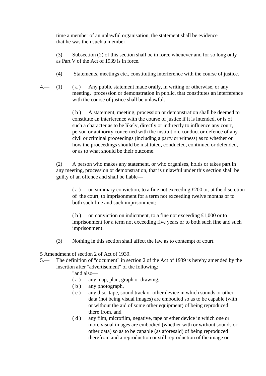time a member of an unlawful organisation, the statement shall be evidence that he was then such a member.

(3) Subsection (2) of this section shall be in force whenever and for so long only as Part V of the Act of 1939 is in force.

- (4) Statements, meetings etc., constituting interference with the course of justice.
- 4.— (1) (a) Any public statement made orally, in writing or otherwise, or any meeting, procession or demonstration in public, that constitutes an interference with the course of justice shall be unlawful.

( b ) A statement, meeting, procession or demonstration shall be deemed to constitute an interference with the course of justice if it is intended, or is of such a character as to be likely, directly or indirectly to influence any court, person or authority concerned with the institution, conduct or defence of any civil or criminal proceedings (including a party or witness) as to whether or how the proceedings should be instituted, conducted, continued or defended, or as to what should be their outcome.

(2) A person who makes any statement, or who organises, holds or takes part in any meeting, procession or demonstration, that is unlawful under this section shall be guilty of an offence and shall be liable—

(a) on summary conviction, to a fine not exceeding  $£200$  or, at the discretion of the court, to imprisonment for a term not exceeding twelve months or to both such fine and such imprisonment;

(b) on conviction on indictment, to a fine not exceeding  $\pounds1,000$  or to imprisonment for a term not exceeding five years or to both such fine and such imprisonment.

(3) Nothing in this section shall affect the law as to contempt of court.

5 Amendment of section 2 of Act of 1939.

5.— The definition of "document" in section 2 of the Act of 1939 is hereby amended by the insertion after "advertisement" of the following:

"and also—

- ( a ) any map, plan, graph or drawing,
- ( b ) any photograph,
- ( c ) any disc, tape, sound track or other device in which sounds or other data (not being visual images) are embodied so as to be capable (with or without the aid of some other equipment) of being reproduced there from, and
- ( d ) any film, microfilm, negative, tape or ether device in which one or more visual images are embodied (whether with or without sounds or other data) so as to be capable (as aforesaid) of being reproduced therefrom and a reproduction or still reproduction of the image or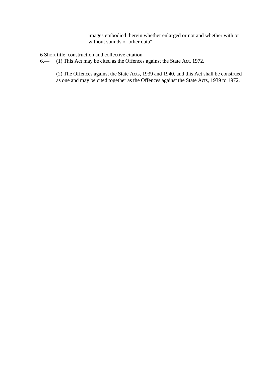images embodied therein whether enlarged or not and whether with or without sounds or other data".

6 Short title, construction and collective citation.

6.— (1) This Act may be cited as the Offences against the State Act, 1972.

(2) The Offences against the State Acts, 1939 and 1940, and this Act shall be construed as one and may be cited together as the Offences against the State Acts, 1939 to 1972.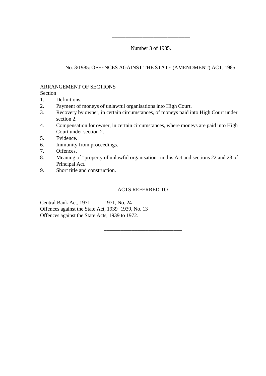Number 3 of 1985. \_\_\_\_\_\_\_\_\_\_\_\_\_\_\_\_\_\_\_\_\_\_\_\_\_\_\_\_\_

\_\_\_\_\_\_\_\_\_\_\_\_\_\_\_\_\_\_\_\_\_\_\_\_\_\_\_\_

No. 3/1985: OFFENCES AGAINST THE STATE (AMENDMENT) ACT, 1985. \_\_\_\_\_\_\_\_\_\_\_\_\_\_\_\_\_\_\_\_\_\_\_\_\_\_\_\_

### ARRANGEMENT OF SECTIONS

Section

- 1. Definitions.
- 2. Payment of moneys of unlawful organisations into High Court.
- 3. Recovery by owner, in certain circumstances, of moneys paid into High Court under section 2.
- 4. Compensation for owner, in certain circumstances, where moneys are paid into High Court under section 2.
- 5. Evidence.
- 6. Immunity from proceedings.
- 7. Offences.
- 8. Meaning of "property of unlawful organisation" in this Act and sections 22 and 23 of Principal Act.
- 9. Short title and construction.

## ACTS REFERRED TO

\_\_\_\_\_\_\_\_\_\_\_\_\_\_\_\_\_\_\_\_\_\_\_\_\_\_\_\_

Central Bank Act, 1971 1971, No. 24 Offences against the State Act, 1939 1939, No. 13 Offences against the State Acts, 1939 to 1972.

\_\_\_\_\_\_\_\_\_\_\_\_\_\_\_\_\_\_\_\_\_\_\_\_\_\_\_\_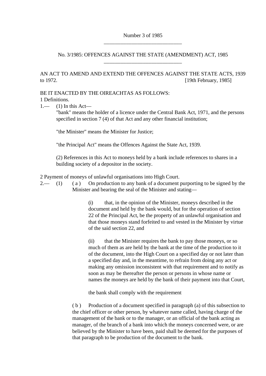Number 3 of 1985 \_\_\_\_\_\_\_\_\_\_\_\_\_\_\_\_\_\_\_\_\_\_\_\_\_\_\_\_

No. 3/1985: OFFENCES AGAINST THE STATE (AMENDMENT) ACT, 1985 \_\_\_\_\_\_\_\_\_\_\_\_\_\_\_\_\_\_\_\_\_\_\_\_\_\_\_\_

AN ACT TO AMEND AND EXTEND THE OFFENCES AGAINST THE STATE ACTS, 1939 to 1972. [19th February, 1985]

BE IT ENACTED BY THE OIREACHTAS AS FOLLOWS:

### 1 Definitions.

 $1$ —  $(1)$  In this Act—

"bank" means the holder of a licence under the Central Bank Act, 1971, and the persons specified in section 7 (4) of that Act and any other financial institution;

"the Minister" means the Minister for Justice;

"the Principal Act" means the Offences Against the State Act, 1939.

(2) References in this Act to moneys held by a bank include references to shares in a building society of a depositor in the society.

2 Payment of moneys of unlawful organisations into High Court.

 $2$ — (1) (a) On production to any bank of a document purporting to be signed by the Minister and bearing the seal of the Minister and stating—

> (i) that, in the opinion of the Minister, moneys described in the document and held by the bank would, but for the operation of section 22 of the Principal Act, be the property of an unlawful organisation and that those moneys stand forfeited to and vested in the Minister by virtue of the said section 22, and

> (ii) that the Minister requires the bank to pay those moneys, or so much of them as are held by the bank at the time of the production to it of the document, into the High Court on a specified day or not later than a specified day and, in the meantime, to refrain from doing any act or making any omission inconsistent with that requirement and to notify as soon as may be thereafter the person or persons in whose name or names the moneys are held by the bank of their payment into that Court,

the bank shall comply with the requirement

( b ) Production of a document specified in paragraph (a) of this subsection to the chief officer or other person, by whatever name called, having charge of the management of the bank or to the manager, or an official of the bank acting as manager, of the branch of a bank into which the moneys concerned were, or are believed by the Minister to have been, paid shall be deemed for the purposes of that paragraph to be production of the document to the bank.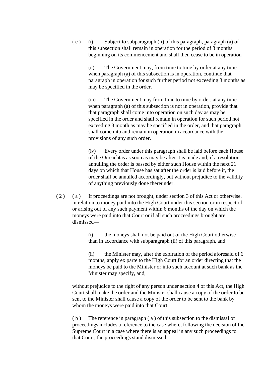$(c)$  (i) Subject to subparagraph (ii) of this paragraph, paragraph (a) of this subsection shall remain in operation for the period of 3 months beginning on its commencement and shall then cease to be in operation

(ii) The Government may, from time to time by order at any time when paragraph (a) of this subsection is in operation, continue that paragraph in operation for such further period not exceeding 3 months as may be specified in the order.

(iii) The Government may from time to time by order, at any time when paragraph (a) of this subsection is not in operation, provide that that paragraph shall come into operation on such day as may be specified in the order and shall remain in operation for such period not exceeding 3 month as may be specified in the order, and that paragraph shall come into and remain in operation in accordance with the provisions of any such order.

(iv) Every order under this paragraph shall be laid before each House of the Oireachtas as soon as may be after it is made and, if a resolution annulling the order is passed by either such House within the next 21 days on which that House has sat after the order is laid before it, the order shall be annulled accordingly, but without prejudice to the validity of anything previously done thereunder.

( 2 ) ( a ) If proceedings are not brought, under section 3 of this Act or otherwise, in relation to money paid into the High Court under this section or in respect of or arising out of any such payment within 6 months of the day on which the moneys were paid into that Court or if all such proceedings brought are dismissed—

> (i) the moneys shall not be paid out of the High Court otherwise than in accordance with subparagraph (ii) of this paragraph, and

(ii) the Minister may, after the expiration of the period aforesaid of 6 months, apply ex parte to the High Court for an order directing that the moneys be paid to the Minister or into such account at such bank as the Minister may specify, and,

without prejudice to the right of any person under section 4 of this Act, the High Court shall make the order and the Minister shall cause a copy of the order to be sent to the Minister shall cause a copy of the order to be sent to the bank by whom the moneys were paid into that Court.

( b ) The reference in paragraph ( a ) of this subsection to the dismissal of proceedings includes a reference to the case where, following the decision of the Supreme Court in a case where there is an appeal in any such proceedings to that Court, the proceedings stand dismissed.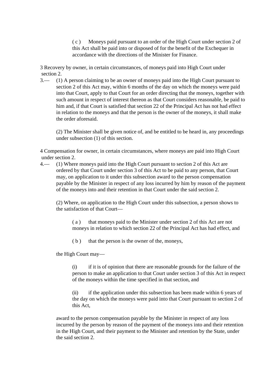( c ) Moneys paid pursuant to an order of the High Court under section 2 of this Act shall be paid into or disposed of for the benefit of the Exchequer in accordance with the directions of the Minister for Finance.

3 Recovery by owner, in certain circumstances, of moneys paid into High Court under section 2.

3.— (1) A person claiming to be an owner of moneys paid into the High Court pursuant to section 2 of this Act may, within 6 months of the day on which the moneys were paid into that Court, apply to that Court for an order directing that the moneys, together with such amount in respect of interest thereon as that Court considers reasonable, be paid to him and, if that Court is satisfied that section 22 of the Principal Act has not had effect in relation to the moneys and that the person is the owner of the moneys, it shall make the order aforesaid.

(2) The Minister shall be given notice of, and be entitled to be heard in, any proceedings under subsection (1) of this section.

4 Compensation for owner, in certain circumstances, where moneys are paid into High Court under section 2.

4.— (1) Where moneys paid into the High Court pursuant to section 2 of this Act are ordered by that Court under section 3 of this Act to be paid to any person, that Court may, on application to it under this subsection award to the person compensation payable by the Minister in respect of any loss incurred by him by reason of the payment of the moneys into and their retention in that Court under the said section 2.

(2) Where, on application to the High Court under this subsection, a person shows to the satisfaction of that Court—

( a ) that moneys paid to the Minister under section 2 of this Act are not moneys in relation to which section 22 of the Principal Act has had effect, and

( b ) that the person is the owner of the, moneys,

the High Court may—

(i) if it is of opinion that there are reasonable grounds for the failure of the person to make an application to that Court under section 3 of this Act in respect of the moneys within the time specified in that section, and

(ii) if the application under this subsection has been made within 6 years of the day on which the moneys were paid into that Court pursuant to section 2 of this Act,

award to the person compensation payable by the Minister in respect of any loss incurred by the person by reason of the payment of the moneys into and their retention in the High Court, and their payment to the Minister and retention by the State, under the said section 2.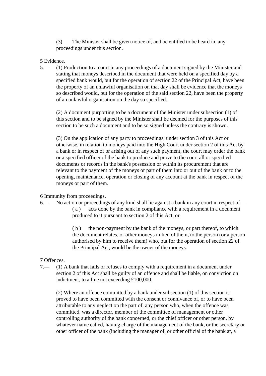(3) The Minister shall be given notice of, and be entitled to be heard in, any proceedings under this section.

### 5 Evidence.

5.— (1) Production to a court in any proceedings of a document signed by the Minister and stating that moneys described in the document that were held on a specified day by a specified bank would, but for the operation of section 22 of the Principal Act, have been the property of an unlawful organisation on that day shall be evidence that the moneys so described would, but for the operation of the said section 22, have been the property of an unlawful organisation on the day so specified.

(2) A document purporting to be a document of the Minister under subsection (1) of this section and to be signed by the Minister shall be deemed for the purposes of this section to be such a document and to be so signed unless the contrary is shown.

(3) On the application of any party to proceedings, under section 3 of this Act or otherwise, in relation to moneys paid into the High Court under section 2 of this Act by a bank or in respect of or arising out of any such payment, the court may order the bank or a specified officer of the bank to produce and prove to the court all or specified documents or records in the bank's possession or within its procurement that are relevant to the payment of the moneys or part of them into or out of the bank or to the opening, maintenance, operation or closing of any account at the bank in respect of the moneys or part of them.

#### 6 Immunity from proceedings.

6.— No action or proceedings of any kind shall lie against a bank in any court in respect of— ( a ) acts done by the bank in compliance with a requirement in a document produced to it pursuant to section 2 of this Act, or

> ( b ) the non-payment by the bank of the moneys, or part thereof, to which the document relates, or other moneys in lieu of them, to the person (or a person authorised by him to receive them) who, but for the operation of section 22 of the Principal Act, would be the owner of the moneys.

### 7 Offences.

7.— (1) A bank that fails or refuses to comply with a requirement in a document under section 2 of this Act shall be guilty of an offence and shall be liable, on conviction on indictment, to a fine not exceeding £100,000.

(2) Where an offence committed by a bank under subsection (1) of this section is proved to have been committed with the consent or connivance of, or to have been attributable to any neglect on the part of, any person who, when the offence was committed, was a director, member of the committee of management or other controlling authority of the bank concerned, or the chief officer or other person, by whatever name called, having charge of the management of the bank, or the secretary or other officer of the bank (including the manager of, or other official of the bank at, a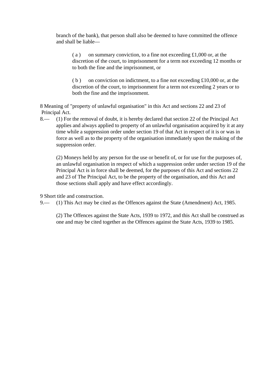branch of the bank), that person shall also be deemed to have committed the offence and shall be liable—

(a) on summary conviction, to a fine not exceeding  $\pounds1,000$  or, at the discretion of the court, to imprisonment for a term not exceeding 12 months or to both the fine and the imprisonment, or

 $(b)$  on conviction on indictment, to a fine not exceeding £10,000 or, at the discretion of the court, to imprisonment for a term not exceeding 2 years or to both the fine and the imprisonment.

8 Meaning of "property of unlawful organisation" in this Act and sections 22 and 23 of Principal Act.

8.— (1) For the removal of doubt, it is hereby declared that section 22 of the Principal Act applies and always applied to property of an unlawful organisation acquired by it at any time while a suppression order under section 19 of that Act in respect of it is or was in force as well as to the property of the organisation immediately upon the making of the suppression order.

(2) Moneys held by any person for the use or benefit of, or for use for the purposes of, an unlawful organisation in respect of which a suppression order under section 19 of the Principal Act is in force shall be deemed, for the purposes of this Act and sections 22 and 23 of The Principal Act, to be the property of the organisation, and this Act and those sections shall apply and have effect accordingly.

9 Short title and construction.

9.— (1) This Act may be cited as the Offences against the State (Amendment) Act, 1985.

(2) The Offences against the State Acts, 1939 to 1972, and this Act shall be construed as one and may be cited together as the Offences against the State Acts, 1939 to 1985.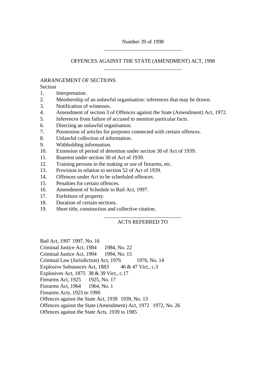### Number 39 of 1998 \_\_\_\_\_\_\_\_\_\_\_\_\_\_\_\_\_\_\_\_\_\_\_\_\_\_\_\_

### OFFENCES AGAINST THE STATE (AMENDMENT) ACT, 1998 \_\_\_\_\_\_\_\_\_\_\_\_\_\_\_\_\_\_\_\_\_\_\_\_\_\_\_\_

### ARRANGEMENT OF SECTIONS

#### Section

- 1. Interpretation.
- 2. Membership of an unlawful organisation: inferences that may be drawn.
- 3. Notification of witnesses.
- 4. Amendment of section 3 of Offences against the State (Amendment) Act, 1972.
- 5. Inferences from failure of accused to mention particular facts.
- 6. Directing an unlawful organisation.
- 7. Possession of articles for purposes connected with certain offences.
- 8. Unlawful collection of information.
- 9. Withholding information.
- 10. Extension of period of detention under section 30 of Act of 1939.
- 11. Rearrest under section 30 of Act of 1939.
- 12. Training persons in the making or use of firearms, etc.
- 13. Provision in relation to section 52 of Act of 1939.
- 14. Offences under Act to be scheduled offences.
- 15. Penalties for certain offences.
- 16. Amendment of Schedule to Bail Act, 1997.
- 17. Forfeiture of property.
- 18. Duration of certain sections.
- 19. Short title, construction and collective citation.

### \_\_\_\_\_\_\_\_\_\_\_\_\_\_\_\_\_\_\_\_\_\_\_\_\_\_\_\_ ACTS REFERRED TO

Bail Act, 1997 1997, No. 16 Criminal Justice Act, 1984 1984, No. 22 Criminal Justice Act, 1994 1994, No. 15 Criminal Law (Jurisdiction) Act, 1976 1976, No. 14 Explosive Substances Act, 1883  $46 \& 47$  Vict., c.3 Explosives Act, 1875 38 & 39 Vict., c.17 Firearms Act, 1925 1925, No. 17 Firearms Act, 1964 1964, No. 1 Firearms Acts, 1925 to 1990 Offences against the State Act, 1939 1939, No. 13 Offences against the State (Amendment) Act, 1972 1972, No. 26 Offences against the State Acts, 1939 to 1985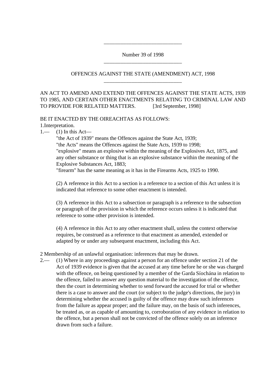Number 39 of 1998 \_\_\_\_\_\_\_\_\_\_\_\_\_\_\_\_\_\_\_\_\_\_\_\_\_\_\_\_

\_\_\_\_\_\_\_\_\_\_\_\_\_\_\_\_\_\_\_\_\_\_\_\_\_\_\_\_

### OFFENCES AGAINST THE STATE (AMENDMENT) ACT, 1998 \_\_\_\_\_\_\_\_\_\_\_\_\_\_\_\_\_\_\_\_\_\_\_\_\_\_\_\_

AN ACT TO AMEND AND EXTEND THE OFFENCES AGAINST THE STATE ACTS, 1939 TO 1985, AND CERTAIN OTHER ENACTMENTS RELATING TO CRIMINAL LAW AND TO PROVIDE FOR RELATED MATTERS. [3rd September, 1998]

BE IT ENACTED BY THE OIREACHTAS AS FOLLOWS: 1.Interpretation.

 $1$ —  $(1)$  In this Act—

"the Act of 1939" means the Offences against the State Act, 1939; "the Acts" means the Offences against the State Acts, 1939 to 1998; "explosive" means an explosive within the meaning of the Explosives Act, 1875, and any other substance or thing that is an explosive substance within the meaning of the Explosive Substances Act, 1883;

"firearm" has the same meaning as it has in the Firearms Acts, 1925 to 1990.

(2) A reference in this Act to a section is a reference to a section of this Act unless it is indicated that reference to some other enactment is intended.

(3) A reference in this Act to a subsection or paragraph is a reference to the subsection or paragraph of the provision in which the reference occurs unless it is indicated that reference to some other provision is intended.

(4) A reference in this Act to any other enactment shall, unless the context otherwise requires, be construed as a reference to that enactment as amended, extended or adapted by or under any subsequent enactment, including this Act.

2 Membership of an unlawful organisation: inferences that may be drawn.

2.— (1) Where in any proceedings against a person for an offence under section 21 of the Act of 1939 evidence is given that the accused at any time before he or she was charged with the offence, on being questioned by a member of the Garda Síochána in relation to the offence, failed to answer any question material to the investigation of the offence, then the court in determining whether to send forward the accused for trial or whether there is a case to answer and the court (or subject to the judge's directions, the jury) in determining whether the accused is guilty of the offence may draw such inferences from the failure as appear proper; and the failure may, on the basis of such inferences, be treated as, or as capable of amounting to, corroboration of any evidence in relation to the offence, but a person shall not be convicted of the offence solely on an inference drawn from such a failure.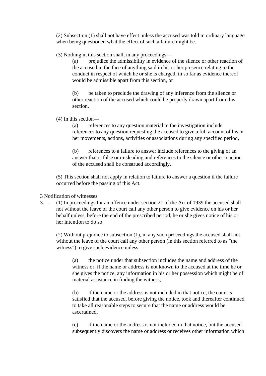(2) Subsection (1) shall not have effect unless the accused was told in ordinary language when being questioned what the effect of such a failure might be.

(3) Nothing in this section shall, in any proceedings—

(a) prejudice the admissibility in evidence of the silence or other reaction of the accused in the face of anything said in his or her presence relating to the conduct in respect of which he or she is charged, in so far as evidence thereof would be admissible apart from this section, or

(b) be taken to preclude the drawing of any inference from the silence or other reaction of the accused which could be properly drawn apart from this section.

(4) In this section—

(a) references to any question material to the investigation include references to any question requesting the accused to give a full account of his or her movements, actions, activities or associations during any specified period,

(b) references to a failure to answer include references to the giving of an answer that is false or misleading and references to the silence or other reaction of the accused shall be construed accordingly.

(5) This section shall not apply in relation to failure to answer a question if the failure occurred before the passing of this Act.

3 Notification of witnesses.

3.— (1) In proceedings for an offence under section 21 of the Act of 1939 the accused shall not without the leave of the court call any other person to give evidence on his or her behalf unless, before the end of the prescribed period, he or she gives notice of his or her intention to do so.

(2) Without prejudice to subsection (1), in any such proceedings the accused shall not without the leave of the court call any other person (in this section referred to as "the witness") to give such evidence unless—

(a) the notice under that subsection includes the name and address of the witness or, if the name or address is not known to the accused at the time he or she gives the notice, any information in his or her possession which might be of material assistance in finding the witness,

(b) if the name or the address is not included in that notice, the court is satisfied that the accused, before giving the notice, took and thereafter continued to take all reasonable steps to secure that the name or address would be ascertained,

(c) if the name or the address is not included in that notice, but the accused subsequently discovers the name or address or receives other information which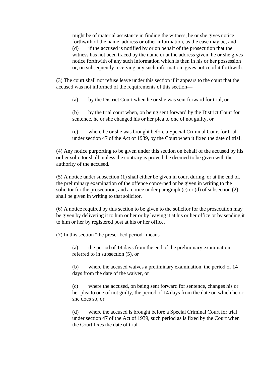might be of material assistance in finding the witness, he or she gives notice forthwith of the name, address or other information, as the case may be, and (d) if the accused is notified by or on behalf of the prosecution that the witness has not been traced by the name or at the address given, he or she gives notice forthwith of any such information which is then in his or her possession or, on subsequently receiving any such information, gives notice of it forthwith.

(3) The court shall not refuse leave under this section if it appears to the court that the accused was not informed of the requirements of this section—

(a) by the District Court when he or she was sent forward for trial, or

(b) by the trial court when, on being sent forward by the District Court for sentence, he or she changed his or her plea to one of not guilty, or

(c) where he or she was brought before a Special Criminal Court for trial under section 47 of the Act of 1939, by the Court when it fixed the date of trial.

(4) Any notice purporting to be given under this section on behalf of the accused by his or her solicitor shall, unless the contrary is proved, be deemed to be given with the authority of the accused.

(5) A notice under subsection (1) shall either be given in court during, or at the end of, the preliminary examination of the offence concerned or be given in writing to the solicitor for the prosecution, and a notice under paragraph (c) or (d) of subsection (2) shall be given in writing to that solicitor.

(6) A notice required by this section to be given to the solicitor for the prosecution may be given by delivering it to him or her or by leaving it at his or her office or by sending it to him or her by registered post at his or her office.

(7) In this section "the prescribed period" means—

(a) the period of 14 days from the end of the preliminary examination referred to in subsection (5), or

(b) where the accused waives a preliminary examination, the period of 14 days from the date of the waiver, or

(c) where the accused, on being sent forward for sentence, changes his or her plea to one of not guilty, the period of 14 days from the date on which he or she does so, or

(d) where the accused is brought before a Special Criminal Court for trial under section 47 of the Act of 1939, such period as is fixed by the Court when the Court fixes the date of trial.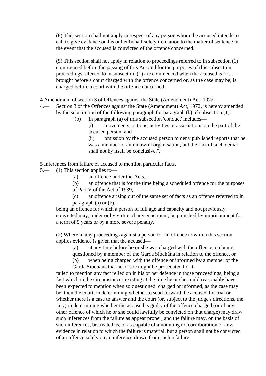(8) This section shall not apply in respect of any person whom the accused intends to call to give evidence on his or her behalf solely in relation to the matter of sentence in the event that the accused is convicted of the offence concerned.

(9) This section shall not apply in relation to proceedings referred to in subsection (1) commenced before the passing of this Act and for the purposes of this subsection proceedings referred to in subsection (1) are commenced when the accused is first brought before a court charged with the offence concerned or, as the case may be, is charged before a court with the offence concerned.

4 Amendment of section 3 of Offences against the State (Amendment) Act, 1972.

- 4.— Section 3 of the Offences against the State (Amendment) Act, 1972, is hereby amended by the substitution of the following paragraph for paragraph (b) of subsection (1):
	- "(b) In paragraph (a) of this subsection 'conduct' includes—
		- (i) movements, actions, activities or associations on the part of the accused person, and

(ii) omission by the accused person to deny published reports that he was a member of an unlawful organisation, but the fact of such denial shall not by itself be conclusive.".

- 5 Inferences from failure of accused to mention particular facts.
- 5.— (1) This section applies to—
	- (a) an offence under the Acts,
	- (b) an offence that is for the time being a scheduled offence for the purposes of Part V of the Act of 1939,
	- (c) an offence arising out of the same set of facts as an offence referred to in paragraph (a) or (b),

being an offence for which a person of full age and capacity and not previously convicted may, under or by virtue of any enactment, be punished by imprisonment for a term of 5 years or by a more severe penalty.

(2) Where in any proceedings against a person for an offence to which this section applies evidence is given that the accused—

(a) at any time before he or she was charged with the offence, on being questioned by a member of the Garda Síochána in relation to the offence, or

(b) when being charged with the offence or informed by a member of the Garda Síochána that he or she might be prosecuted for it,

failed to mention any fact relied on in his or her defence in those proceedings, being a fact which in the circumstances existing at the time he or she could reasonably have been expected to mention when so questioned, charged or informed, as the case may be, then the court, in determining whether to send forward the accused for trial or whether there is a case to answer and the court (or, subject to the judge's directions, the jury) in determining whether the accused is guilty of the offence charged (or of any other offence of which he or she could lawfully be convicted on that charge) may draw such inferences from the failure as appear proper; and the failure may, on the basis of such inferences, be treated as, or as capable of amounting to, corroboration of any evidence in relation to which the failure is material, but a person shall not be convicted of an offence solely on an inference drawn from such a failure.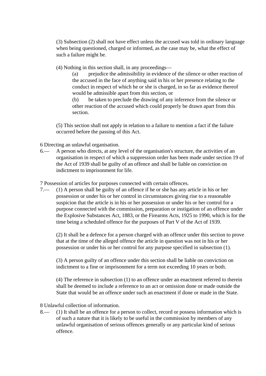(3) Subsection (2) shall not have effect unless the accused was told in ordinary language when being questioned, charged or informed, as the case may be, what the effect of such a failure might be.

(4) Nothing in this section shall, in any proceedings—

(a) prejudice the admissibility in evidence of the silence or other reaction of the accused in the face of anything said in his or her presence relating to the conduct in respect of which he or she is charged, in so far as evidence thereof would be admissible apart from this section, or

(b) be taken to preclude the drawing of any inference from the silence or other reaction of the accused which could properly be drawn apart from this section.

(5) This section shall not apply in relation to a failure to mention a fact if the failure occurred before the passing of this Act.

6 Directing an unlawful organisation.

6.— A person who directs, at any level of the organisation's structure, the activities of an organisation in respect of which a suppression order has been made under section 19 of the Act of 1939 shall be guilty of an offence and shall be liable on conviction on indictment to imprisonment for life.

7 Possession of articles for purposes connected with certain offences.

7.— (1) A person shall be guilty of an offence if he or she has any article in his or her possession or under his or her control in circumstances giving rise to a reasonable suspicion that the article is in his or her possession or under his or her control for a purpose connected with the commission, preparation or instigation of an offence under the Explosive Substances Act, 1883, or the Firearms Acts, 1925 to 1990, which is for the time being a scheduled offence for the purposes of Part V of the Act of 1939.

(2) It shall be a defence for a person charged with an offence under this section to prove that at the time of the alleged offence the article in question was not in his or her possession or under his or her control for any purpose specified in subsection (1).

(3) A person guilty of an offence under this section shall be liable on conviction on indictment to a fine or imprisonment for a term not exceeding 10 years or both.

(4) The reference in subsection (1) to an offence under an enactment referred to therein shall be deemed to include a reference to an act or omission done or made outside the State that would be an offence under such an enactment if done or made in the State.

8 Unlawful collection of information.

8.— (1) It shall be an offence for a person to collect, record or possess information which is of such a nature that it is likely to be useful in the commission by members of any unlawful organisation of serious offences generally or any particular kind of serious offence.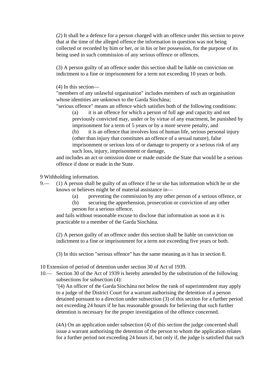(2) It shall be a defence for a person charged with an offence under this section to prove that at the time of the alleged offence the information in question was not being collected or recorded by him or her, or in his or her possession, for the purpose of its being used in such commission of any serious offence or offences.

(3) A person guilty of an offence under this section shall be liable on conviction on indictment to a fine or imprisonment for a term not exceeding 10 years or both.

(4) In this section—

"members of any unlawful organisation" includes members of such an organisation whose identities are unknown to the Garda Síochána;

"serious offence" means an offence which satisfies both of the following conditions:

(a) it is an offence for which a person of full age and capacity and not previously convicted may, under or by virtue of any enactment, be punished by imprisonment for a term of 5 years or by a more severe penalty, and (b) it is an offence that involves loss of human life, serious personal injury (other than injury that constitutes an offence of a sexual nature), false imprisonment or serious loss of or damage to property or a serious risk of any such loss, injury, imprisonment or damage,

and includes an act or omission done or made outside the State that would be a serious offence if done or made in the State.

9 Withholding information.

- 9.— (1) A person shall be guilty of an offence if he or she has information which he or she knows or believes might be of material assistance in—
	- (a) preventing the commission by any other person of a serious offence, or
	- (b) securing the apprehension, prosecution or conviction of any other person for a serious offence,

and fails without reasonable excuse to disclose that information as soon as it is practicable to a member of the Garda Síochána.

(2) A person guilty of an offence under this section shall be liable on conviction on indictment to a fine or imprisonment for a term not exceeding five years or both.

(3) In this section "serious offence" has the same meaning as it has in section 8.

10 Extension of period of detention under section 30 of Act of 1939.

10.— Section 30 of the Act of 1939 is hereby amended by the substitution of the following subsections for subsection (4):

"(4) An officer of the Garda Síochána not below the rank of superintendent may apply to a judge of the District Court for a warrant authorising the detention of a person detained pursuant to a direction under subsection (3) of this section for a further period not exceeding 24 hours if he has reasonable grounds for believing that such further detention is necessary for the proper investigation of the offence concerned.

(4A) On an application under subsection (4) of this section the judge concerned shall issue a warrant authorising the detention of the person to whom the application relates for a further period not exceeding 24 hours if, but only if, the judge is satisfied that such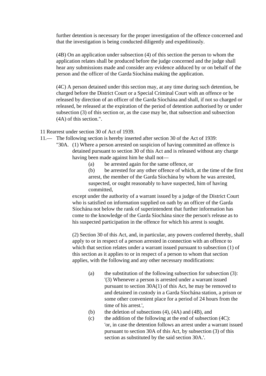further detention is necessary for the proper investigation of the offence concerned and that the investigation is being conducted diligently and expeditiously.

(4B) On an application under subsection (4) of this section the person to whom the application relates shall be produced before the judge concerned and the judge shall hear any submissions made and consider any evidence adduced by or on behalf of the person and the officer of the Garda Síochána making the application.

(4C) A person detained under this section may, at any time during such detention, be charged before the District Court or a Special Criminal Court with an offence or be released by direction of an officer of the Garda Síochána and shall, if not so charged or released, be released at the expiration of the period of detention authorised by or under subsection (3) of this section or, as the case may be, that subsection and subsection (4A) of this section.".

- 11 Rearrest under section 30 of Act of 1939.
- 11.— The following section is hereby inserted after section 30 of the Act of 1939:
	- "30A. (1) Where a person arrested on suspicion of having committed an offence is detained pursuant to section 30 of this Act and is released without any charge having been made against him he shall not—
		- (a) be arrested again for the same offence, or

(b) be arrested for any other offence of which, at the time of the first arrest, the member of the Garda Síochána by whom he was arrested, suspected, or ought reasonably to have suspected, him of having committed,

except under the authority of a warrant issued by a judge of the District Court who is satisfied on information supplied on oath by an officer of the Garda Síochána not below the rank of superintendent that further information has come to the knowledge of the Garda Síochána since the person's release as to his suspected participation in the offence for which his arrest is sought.

(2) Section 30 of this Act, and, in particular, any powers conferred thereby, shall apply to or in respect of a person arrested in connection with an offence to which that section relates under a warrant issued pursuant to subsection (1) of this section as it applies to or in respect of a person to whom that section applies, with the following and any other necessary modifications:

- (a) the substitution of the following subsection for subsection (3): '(3) Whenever a person is arrested under a warrant issued pursuant to section 30A(1) of this Act, he may be removed to and detained in custody in a Garda Síochána station, a prison or some other convenient place for a period of 24 hours from the time of his arrest.',
- (b) the deletion of subsections  $(4)$ ,  $(4A)$  and  $(4B)$ , and
- (c) the addition of the following at the end of subsection  $(4C)$ : 'or, in case the detention follows an arrest under a warrant issued pursuant to section 30A of this Act, by subsection (3) of this section as substituted by the said section 30A.'.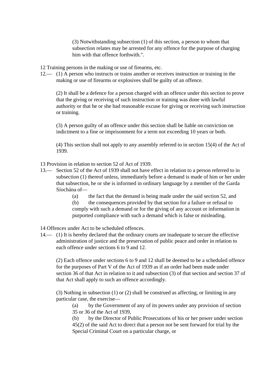(3) Notwithstanding subsection (1) of this section, a person to whom that subsection relates may be arrested for any offence for the purpose of charging him with that offence forthwith.".

12 Training persons in the making or use of firearms, etc.

12.— (1) A person who instructs or trains another or receives instruction or training in the making or use of firearms or explosives shall be guilty of an offence.

(2) It shall be a defence for a person charged with an offence under this section to prove that the giving or receiving of such instruction or training was done with lawful authority or that he or she had reasonable excuse for giving or receiving such instruction or training.

(3) A person guilty of an offence under this section shall be liable on conviction on indictment to a fine or imprisonment for a term not exceeding 10 years or both.

(4) This section shall not apply to any assembly referred to in section 15(4) of the Act of 1939.

13 Provision in relation to section 52 of Act of 1939.

13.— Section 52 of the Act of 1939 shall not have effect in relation to a person referred to in subsection (1) thereof unless, immediately before a demand is made of him or her under that subsection, he or she is informed in ordinary language by a member of the Garda Síochána of—

(a) the fact that the demand is being made under the said section 52, and

(b) the consequences provided by that section for a failure or refusal to comply with such a demand or for the giving of any account or information in purported compliance with such a demand which is false or misleading.

14 Offences under Act to be scheduled offences.

14.— (1) It is hereby declared that the ordinary courts are inadequate to secure the effective administration of justice and the preservation of public peace and order in relation to each offence under sections 6 to 9 and 12.

(2) Each offence under sections 6 to 9 and 12 shall be deemed to be a scheduled offence for the purposes of Part V of the Act of 1939 as if an order had been made under section 36 of that Act in relation to it and subsection (3) of that section and section 37 of that Act shall apply to such an offence accordingly.

(3) Nothing in subsection (1) or (2) shall be construed as affecting, or limiting in any particular case, the exercise—

(a) by the Government of any of its powers under any provision of section 35 or 36 of the Act of 1939,

(b) by the Director of Public Prosecutions of his or her power under section 45(2) of the said Act to direct that a person not be sent forward for trial by the Special Criminal Court on a particular charge, or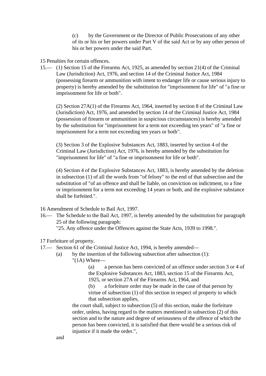(c) by the Government or the Director of Public Prosecutions of any other of its or his or her powers under Part V of the said Act or by any other person of his or her powers under the said Part.

#### 15 Penalties for certain offences.

15.— (1) Section 15 of the Firearms Act, 1925, as amended by section 21(4) of the Criminal Law (Jurisdiction) Act, 1976, and section 14 of the Criminal Justice Act, 1984 (possessing firearm or ammunition with intent to endanger life or cause serious injury to property) is hereby amended by the substitution for "imprisonment for life" of "a fine or imprisonment for life or both".

(2) Section 27A(1) of the Firearms Act, 1964, inserted by section 8 of the Criminal Law (Jurisdiction) Act, 1976, and amended by section 14 of the Criminal Justice Act, 1984 (possession of firearm or ammunition in suspicious circumstances) is hereby amended by the substitution for "imprisonment for a term not exceeding ten years" of "a fine or imprisonment for a term not exceeding ten years or both".

(3) Section 3 of the Explosive Substances Act, 1883, inserted by section 4 of the Criminal Law (Jurisdiction) Act, 1976, is hereby amended by the substitution for "imprisonment for life" of "a fine or imprisonment for life or both".

(4) Section 4 of the Explosive Substances Act, 1883, is hereby amended by the deletion in subsection (1) of all the words from "of felony" to the end of that subsection and the substitution of "of an offence and shall be liable, on conviction on indictment, to a fine or imprisonment for a term not exceeding 14 years or both, and the explosive substance shall be forfeited.".

16 Amendment of Schedule to Bail Act, 1997.

16.— The Schedule to the Bail Act, 1997, is hereby amended by the substitution for paragraph 25 of the following paragraph:

"25. Any offence under the Offences against the State Acts, 1939 to 1998.".

17 Forfeiture of property.

- 17.— Section 61 of the Criminal Justice Act, 1994, is hereby amended—
	- (a) by the insertion of the following subsection after subsection  $(1)$ : "(1A) Where—

(a) a person has been convicted of an offence under section 3 or 4 of the Explosive Substances Act, 1883, section 15 of the Firearms Act, 1925, or section 27A of the Firearms Act, 1964, and

(b) a forfeiture order may be made in the case of that person by virtue of subsection (1) of this section in respect of property to which that subsection applies,

the court shall, subject to subsection (5) of this section, make the forfeiture order, unless, having regard to the matters mentioned in subsection (2) of this section and to the nature and degree of seriousness of the offence of which the person has been convicted, it is satisfied that there would be a serious risk of injustice if it made the order.",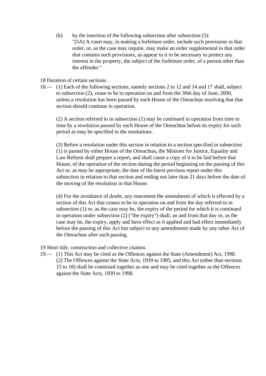(b) by the insertion of the following subsection after subsection  $(5)$ : "(5A) A court may, in making a forfeiture order, include such provisions in that order, or, as the case may require, may make an order supplemental to that order that contains such provisions, as appear to it to be necessary to protect any interest in the property, the subject of the forfeiture order, of a person other than the offender."

#### 18 Duration of certain sections.

18.— (1) Each of the following sections, namely sections 2 to 12 and 14 and 17 shall, subject to subsection (2), cease to be in operation on and from the 30th day of June, 2000, unless a resolution has been passed by each House of the Oireachtas resolving that that section should continue in operation.

(2) A section referred to in subsection (1) may be continued in operation from time to time by a resolution passed by each House of the Oireachtas before its expiry for such period as may be specified in the resolutions.

(3) Before a resolution under this section in relation to a section specified in subsection (1) is passed by either House of the Oireachtas, the Minister for Justice, Equality and Law Reform shall prepare a report, and shall cause a copy of it to be laid before that House, of the operation of the section during the period beginning on the passing of this Act or, as may be appropriate, the date of the latest previous report under this subsection in relation to that section and ending not later than 21 days before the date of the moving of the resolution in that House.

(4) For the avoidance of doubt, any enactment the amendment of which is effected by a section of this Act that ceases to be in operation on and from the day referred to in subsection (1) or, as the case may be, the expiry of the period for which it is continued in operation under subsection (2) ("the expiry") shall, an and from that day or, as the case may be, the expiry, apply and have effect as it applied and had effect immediately before the passing of this Act but subject to any amendments made by any other Act of the Oireachtas after such passing.

19 Short title, construction and collective citation.

19.— (1) This Act may be cited as the Offences against the State (Amendment) Act, 1998. (2) The Offences against the State Acts, 1939 to 1985, and this Act (other than sections 15 to 18) shall be construed together as one and may be cited together as the Offences against the State Acts, 1939 to 1998.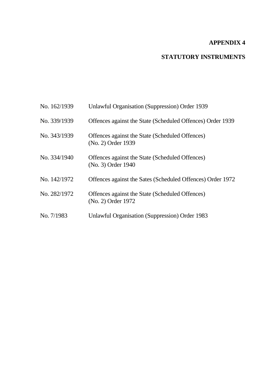# **APPENDIX 4**

# **STATUTORY INSTRUMENTS**

| No. 162/1939 | <b>Unlawful Organisation (Suppression) Order 1939</b>                 |
|--------------|-----------------------------------------------------------------------|
| No. 339/1939 | Offences against the State (Scheduled Offences) Order 1939            |
| No. 343/1939 | Offences against the State (Scheduled Offences)<br>(No. 2) Order 1939 |
| No. 334/1940 | Offences against the State (Scheduled Offences)<br>(No. 3) Order 1940 |
| No. 142/1972 | Offences against the Sates (Scheduled Offences) Order 1972            |
| No. 282/1972 | Offences against the State (Scheduled Offences)<br>(No. 2) Order 1972 |
| No. 7/1983   | <b>Unlawful Organisation (Suppression) Order 1983</b>                 |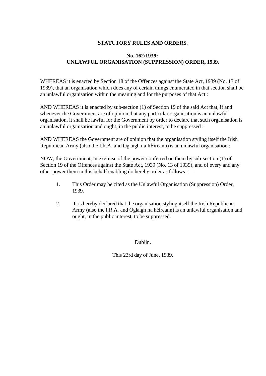## **STATUTORY RULES AND ORDERS.**

# **No. 162/1939: UNLAWFUL ORGANISATION (SUPPRESSION) ORDER, 1939**.

WHEREAS it is enacted by Section 18 of the Offences against the State Act, 1939 (No. 13 of 1939), that an organisation which does any of certain things enumerated in that section shall be an unlawful organisation within the meaning and for the purposes of that Act :

AND WHEREAS it is enacted by sub-section (1) of Section 19 of the said Act that, if and whenever the Government are of opinion that any particular organisation is an unlawful organisation, it shall be lawful for the Government by order to declare that such organisation is an unlawful organisation and ought, in the public interest, to be suppressed :

AND WHEREAS the Government are of opinion that the organisation styling itself the Irish Republican Army (also the I.R.A. and Oglaigh na hÉireann) is an unlawful organisation :

NOW, the Government, in exercise of the power conferred on them by sub-section (1) of Section 19 of the Offences against the State Act, 1939 (No. 13 of 1939), and of every and any other power them in this behalf enabling do hereby order as follows :—

- 1. This Order may be cited as the Unlawful Organisation (Suppression) Order, 1939.
- 2. It is hereby declared that the organisation styling itself the Irish Republican Army (also the I.R.A. and Oglaigh na héireann) is an unlawful organisation and ought, in the public interest, to be suppressed.

Dublin.

This 23rd day of June, 1939.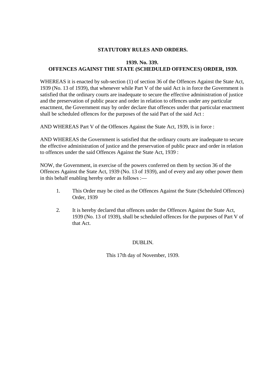### **STATUTORY RULES AND ORDERS.**

## **1939. No. 339. OFFENCES AGAINST THE STATE (SCHEDULED OFFENCES) ORDER, 1939.**

WHEREAS it is enacted by sub-section (1) of section 36 of the Offences Against the State Act, 1939 (No. 13 of 1939), that whenever while Part V of the said Act is in force the Government is satisfied that the ordinary courts are inadequate to secure the effective administration of justice and the preservation of public peace and order in relation to offences under any particular enactment, the Government may by order declare that offences under that particular enactment shall be scheduled offences for the purposes of the said Part of the said Act :

AND WHEREAS Part V of the Offences Against the State Act, 1939, is in force :

AND WHEREAS the Government is satisfied that the ordinary courts are inadequate to secure the effective administration of justice and the preservation of public peace and order in relation to offences under the said Offences Against the State Act, 1939 :

NOW, the Government, in exercise of the powers conferred on them by section 36 of the Offences Against the State Act, 1939 (No. 13 of 1939), and of every and any other power them in this behalf enabling hereby order as follows :—

- 1. This Order may be cited as the Offences Against the State (Scheduled Offences) Order, 1939
- 2. It is hereby declared that offences under the Offences Against the State Act, 1939 (No. 13 of 1939), shall be scheduled offences for the purposes of Part V of that Act.

#### DUBLIN.

This 17th day of November, 1939.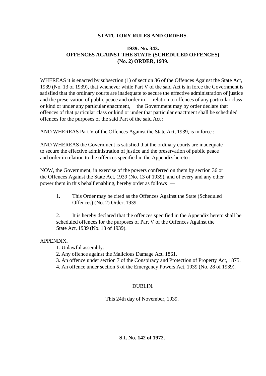## **STATUTORY RULES AND ORDERS.**

## **1939. No. 343. OFFENCES AGAINST THE STATE (SCHEDULED OFFENCES) (No. 2) ORDER, 1939.**

WHEREAS it is enacted by subsection (1) of section 36 of the Offences Against the State Act, 1939 (No. 13 of 1939), that whenever while Part V of the said Act is in force the Government is satisfied that the ordinary courts are inadequate to secure the effective administration of justice and the preservation of public peace and order in relation to offences of any particular class or kind or under any particular enactment, the Government may by order declare that offences of that particular class or kind or under that particular enactment shall be scheduled offences for the purposes of the said Part of the said Act :

AND WHEREAS Part V of the Offences Against the State Act, 1939, is in force :

AND WHEREAS the Government is satisfied that the ordinary courts are inadequate to secure the effective administration of justice and the preservation of public peace and order in relation to the offences specified in the Appendix hereto :

NOW, the Government, in exercise of the powers conferred on them by section 36 or the Offences Against the State Act, 1939 (No. 13 of 1939), and of every and any other power them in this behalf enabling, hereby order as follows :—

1. This Order may be cited as the Offences Against the State (Scheduled Offences) (No. 2) Order, 1939.

2. It is hereby declared that the offences specified in the Appendix hereto shall be scheduled offences for the purposes of Part V of the Offences Against the State Act, 1939 (No. 13 of 1939).

## **APPENDIX**

- 1. Unlawful assembly.
- 2. Any offence against the Malicious Damage Act, 1861.
- 3. An offence under section 7 of the Conspiracy and Protection of Property Act, 1875.
- 4. An offence under section 5 of the Emergency Powers Act, 1939 (No. 28 of 1939).

#### DUBLIN.

This 24th day of November, 1939.

**S.I. No. 142 of 1972.**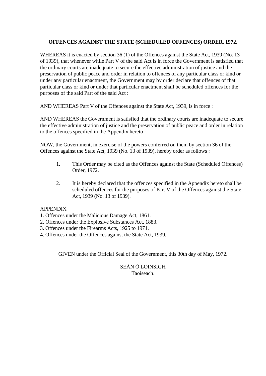# **OFFENCES AGAINST THE STATE (SCHEDULED OFFENCES) ORDER, 1972.**

WHEREAS it is enacted by section 36 (1) of the Offences against the State Act, 1939 (No. 13 of 1939), that whenever while Part V of the said Act is in force the Government is satisfied that the ordinary courts are inadequate to secure the effective administration of justice and the preservation of public peace and order in relation to offences of any particular class or kind or under any particular enactment, the Government may by order declare that offences of that particular class or kind or under that particular enactment shall be scheduled offences for the purposes of the said Part of the said Act :

AND WHEREAS Part V of the Offences against the State Act, 1939, is in force :

AND WHEREAS the Government is satisfied that the ordinary courts are inadequate to secure the effective administration of justice and the preservation of public peace and order in relation to the offences specified in the Appendix hereto :

NOW, the Government, in exercise of the powers conferred on them by section 36 of the Offences against the State Act, 1939 (No. 13 of 1939), hereby order as follows :

- 1. This Order may be cited as the Offences against the State (Scheduled Offences) Order, 1972.
- 2. It is hereby declared that the offences specified in the Appendix hereto shall be scheduled offences for the purposes of Part V of the Offences against the State Act, 1939 (No. 13 of 1939).

#### APPENDIX

- 1. Offences under the Malicious Damage Act, 1861.
- 2. Offences under the Explosive Substances Act, 1883.
- 3. Offences under the Firearms Acts, 1925 to 1971.
- 4. Offences under the Offences against the State Act, 1939.

GIVEN under the Official Seal of the Government, this 30th day of May, 1972.

SEÁN Ó LOINSIGH Taoiseach.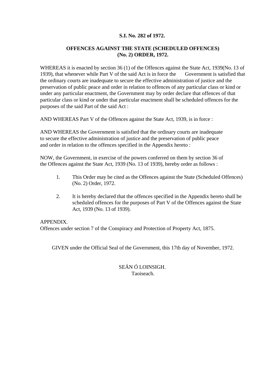## **S.I. No. 282 of 1972.**

## **OFFENCES AGAINST THE STATE (SCHEDULED OFFENCES) (No. 2) ORDER, 1972.**

WHEREAS it is enacted by section 36 (1) of the Offences against the State Act, 1939(No. 13 of 1939), that whenever while Part V of the said Act is in force the Government is satisfied that the ordinary courts are inadequate to secure the effective administration of justice and the preservation of public peace and order in relation to offences of any particular class or kind or under any particular enactment, the Government may by order declare that offences of that particular class or kind or under that particular enactment shall be scheduled offences for the purposes of the said Part of the said Act :

AND WHEREAS Part V of the Offences against the State Act, 1939, is in force :

AND WHEREAS the Government is satisfied that the ordinary courts are inadequate to secure the effective administration of justice and the preservation of public peace and order in relation to the offences specified in the Appendix hereto :

NOW, the Government, in exercise of the powers conferred on them by section 36 of the Offences against the State Act, 1939 (No. 13 of 1939), hereby order as follows :

- 1. This Order may be cited as the Offences against the State (Scheduled Offences) (No. 2) Order, 1972.
- 2. It is hereby declared that the offences specified in the Appendix hereto shall be scheduled offences for the purposes of Part V of the Offences against the State Act, 1939 (No. 13 of 1939).

## APPENDIX.

Offences under section 7 of the Conspiracy and Protection of Property Act, 1875.

GIVEN under the Official Seal of the Government, this 17th day of November, 1972.

SEÁN Ó LOINSIGH. Taoiseach.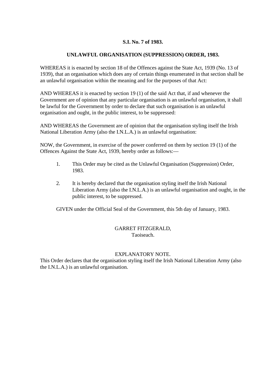# **S.I. No. 7 of 1983.**

## **UNLAWFUL ORGANISATION (SUPPRESSION) ORDER, 1983.**

WHEREAS it is enacted by section 18 of the Offences against the State Act, 1939 (No. 13 of 1939), that an organisation which does any of certain things enumerated in that section shall be an unlawful organisation within the meaning and for the purposes of that Act:

AND WHEREAS it is enacted by section 19 (1) of the said Act that, if and whenever the Government are of opinion that any particular organisation is an unlawful organisation, it shall be lawful for the Government by order to declare that such organisation is an unlawful organisation and ought, in the public interest, to be suppressed:

AND WHEREAS the Government are of opinion that the organisation styling itself the Irish National Liberation Army (also the I.N.L.A.) is an unlawful organisation:

NOW, the Government, in exercise of the power conferred on them by section 19 (1) of the Offences Against the State Act, 1939, hereby order as follows:—

- 1. This Order may be cited as the Unlawful Organisation (Suppression) Order, 1983.
- 2. It is hereby declared that the organisation styling itself the Irish National Liberation Army (also the I.N.L.A.) is an unlawful organisation and ought, in the public interest, to be suppressed.

GIVEN under the Official Seal of the Government, this 5th day of January, 1983.

#### GARRET FITZGERALD, Taoiseach.

#### EXPLANATORY NOTE.

This Order declares that the organisation styling itself the Irish National Liberation Army (also the I.N.L.A.) is an unlawful organisation.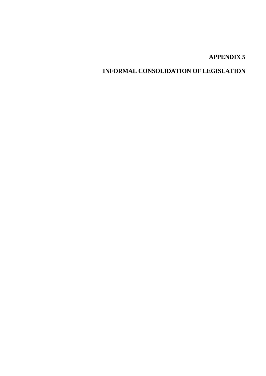# **APPENDIX 5**

**INFORMAL CONSOLIDATION OF LEGISLATION**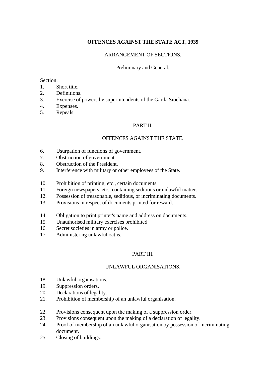## **OFFENCES AGAINST THE STATE ACT, 1939**

## ARRANGEMENT OF SECTIONS.

## Preliminary and General.

#### Section.

- 1. Short title.
- 2. Definitions.
- 3. Exercise of powers by superintendents of the Gárda Síochána.
- 4. Expenses.
- 5. Repeals.

#### PART II.

## OFFENCES AGAINST THE STATE.

- 6. Usurpation of functions of government.
- 7. Obstruction of government.
- 8. Obstruction of the President.
- 9. Interference with military or other employees of the State.
- 10. Prohibition of printing, etc., certain documents.
- 11. Foreign newspapers, etc., containing seditious or unlawful matter.
- 12. Possession of treasonable, seditious, or incriminating documents.
- 13. Provisions in respect of documents printed for reward.
- 14. Obligation to print printer's name and address on documents.
- 15. Unauthorised military exercises prohibited.
- 16. Secret societies in army or police.
- 17. Administering unlawful oaths.

## PART III.

## UNLAWFUL ORGANISATIONS.

- 18. Unlawful organisations.
- 19. Suppression orders.
- 20. Declarations of legality.
- 21. Prohibition of membership of an unlawful organisation.
- 22. Provisions consequent upon the making of a suppression order.
- 23. Provisions consequent upon the making of a declaration of legality.
- 24. Proof of membership of an unlawful organisation by possession of incriminating document.
- 25. Closing of buildings.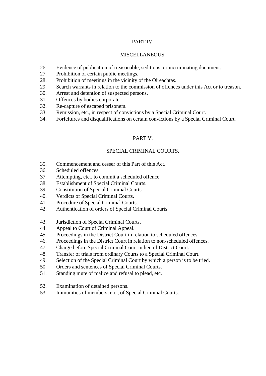### PART IV.

#### MISCELLANEOUS.

- 26. Evidence of publication of treasonable, seditious, or incriminating document.
- 27. Prohibition of certain public meetings.
- 28. Prohibition of meetings in the vicinity of the Oireachtas.
- 29. Search warrants in relation to the commission of offences under this Act or to treason.
- 30. Arrest and detention of suspected persons.
- 31. Offences by bodies corporate.
- 32. Re-capture of escaped prisoners.
- 33. Remission, etc., in respect of convictions by a Special Criminal Court.
- 34. Forfeitures and disqualifications on certain convictions by a Special Criminal Court.

#### PART V.

## SPECIAL CRIMINAL COURTS.

- 35. Commencement and cesser of this Part of this Act.
- 36. Scheduled offences.
- 37. Attempting, etc., to commit a scheduled offence.
- 38. Establishment of Special Criminal Courts.
- 39. Constitution of Special Criminal Courts.
- 40. Verdicts of Special Criminal Courts.
- 41. Procedure of Special Criminal Courts.
- 42. Authentication of orders of Special Criminal Courts.
- 43. Jurisdiction of Special Criminal Courts.
- 44. Appeal to Court of Criminal Appeal.
- 45. Proceedings in the District Court in relation to scheduled offences.
- 46. Proceedings in the District Court in relation to non-scheduled offences.
- 47. Charge before Special Criminal Court in lieu of District Court.
- 48. Transfer of trials from ordinary Courts to a Special Criminal Court.
- 49. Selection of the Special Criminal Court by which a person is to be tried.
- 50. Orders and sentences of Special Criminal Courts.
- 51. Standing mute of malice and refusal to plead, etc.
- 52. Examination of detained persons.
- 53. Immunities of members, etc., of Special Criminal Courts.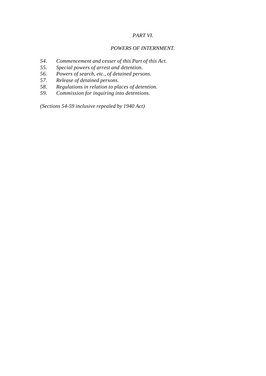#### *PART VI.*

## *POWERS OF INTERNMENT.*

- *54. Commencement and cesser of this Part of this Act.*
- *55. Special powers of arrest and detention.*
- *56. Powers of search, etc., of detained persons.*
- *57. Release of detained persons.*
- *58. Regulations in relation to places of detention.*
- *59. Commission for inquiring into detentions.*

*(Sections 54-59 inclusive repealed by 1940 Act)*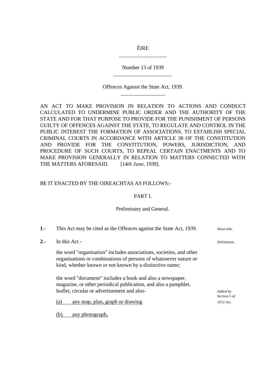ÉIRE \_\_\_\_\_\_\_\_\_\_\_\_\_\_\_\_\_

Number 13 of 1939 \_\_\_\_\_\_\_\_\_\_\_\_\_\_\_\_\_\_\_\_\_

Offences Against the State Act, 1939. \_\_\_\_\_\_\_\_\_\_\_\_\_\_\_\_

AN ACT TO MAKE PROVISION IN RELATION TO ACTIONS AND CONDUCT CALCULATED TO UNDERMINE PUBLIC ORDER AND THE AUTHORITY OF THE STATE AND FOR THAT PURPOSE TO PROVIDE FOR THE PUNISHMENT OF PERSONS GUILTY OF OFFENCES AGAINST THE STATE, TO REGULATE AND CONTROL IN THE PUBLIC INTEREST THE FORMATION OF ASSOCIATIONS, TO ESTABLISH SPECIAL CRIMINAL COURTS IN ACCORDANCE WITH ARTICLE 38 OF THE CONSTITUTION AND PROVIDE FOR THE CONSTITUTION, POWERS, JURISDICTION, AND PROCEDURE OF SUCH COURTS, TO REPEAL CERTAIN ENACTMENTS AND TO MAKE PROVISION GENERALLY IN RELATION TO MATTERS CONNECTED WITH THE MATTERS AFORESAID. [14*th June*, 1939].

#### BE IT ENACTED BY THE OIREACHTAS AS FOLLOWS:-

#### PART I.

#### Preliminary and General.

| $1. -$ | This Act may be cited as the Offences against the State Act, 1939.                                                                                                                                 | Short title.             |
|--------|----------------------------------------------------------------------------------------------------------------------------------------------------------------------------------------------------|--------------------------|
| $2 -$  | In this Act -                                                                                                                                                                                      | Definitions.             |
|        | the word "organisation" includes associations, societies, and other<br>organisations or combinations of persons of whatsoever nature or<br>kind, whether known or not known by a distinctive name; |                          |
|        | the word "document" includes a book and also a newspaper,                                                                                                                                          |                          |
|        | magazine, or other periodical publication, and also a pamphlet,                                                                                                                                    |                          |
|        | leaflet, circular or advertisement and also-                                                                                                                                                       | Added by<br>Section 5 of |
|        | any map, plan, graph or drawing<br>(a)                                                                                                                                                             | 1972 Act.                |
|        | any photograph,<br>(b)                                                                                                                                                                             |                          |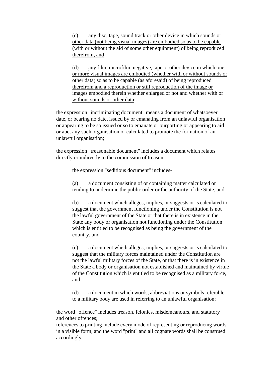(c) any disc, tape, sound track or other device in which sounds or other data (not being visual images) are embodied so as to be capable (with or without the aid of some other equipment) of being reproduced therefrom, and

(d) any film, microfilm, negative, tape or other device in which one or more visual images are embodied (whether with or without sounds or other data) so as to be capable (as aforesaid) of being reproduced therefrom and a reproduction or still reproduction of the image or images embodied therein whether enlarged or not and whether with or without sounds or other data;

the expression "incriminating document" means a document of whatsoever date, or bearing no date, issued by or emanating from an unlawful organisation or appearing to be so issued or so to emanate or purporting or appearing to aid or abet any such organisation or calculated to promote the formation of an unlawful organisation;

the expression "treasonable document" includes a document which relates directly or indirectly to the commission of treason;

the expression "seditious document" includes-

(a) a document consisting of or containing matter calculated or tending to undermine the public order or the authority of the State, and

(b) a document which alleges, implies, or suggests or is calculated to suggest that the government functioning under the Constitution is not the lawful government of the State or that there is in existence in the State any body or organisation not functioning under the Constitution which is entitled to be recognised as being the government of the country, and

(c) a document which alleges, implies, or suggests or is calculated to suggest that the military forces maintained under the Constitution are not the lawful military forces of the State, or that there is in existence in the State a body or organisation not established and maintained by virtue of the Constitution which is entitled to be recognised as a military force, and

(d) a document in which words, abbreviations or symbols referable to a military body are used in referring to an unlawful organisation;

the word "offence" includes treason, felonies, misdemeanours, and statutory and other offences;

references to printing include every mode of representing or reproducing words in a visible form, and the word "print" and all cognate words shall be construed accordingly.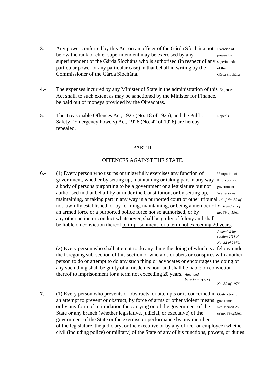- **3.** Any power conferred by this Act on an officer of the Gárda Síochána not Exercise of below the rank of chief superintendent may be exercised by any powers by superintendent of the Gárda Síochána who is authorised (in respect of any superintendent particular power or any particular case) in that behalf in writing by the of the Commissioner of the Gárda Síochána. Gárda Síochána
- **4**.- The expenses incurred by any Minister of State in the administration of this Expenses. Act shall, to such extent as may be sanctioned by the Minister for Finance, be paid out of moneys provided by the Oireachtas.
- **5**.- The Treasonable Offences Act, 1925 (No. 18 of 1925), and the Public Repeals. Safety (Emergency Powers) Act, 1926 (No. 42 of 1926) are hereby repealed.

#### PART II.

#### OFFENCES AGAINST THE STATE.

**6.**- (1) Every person who usurps or unlawfully exercises any function of Usurpation of government, whether by setting up, maintaining or taking part in any way in functions of a body of persons purporting to be a government or a legislature but not government. authorised in that behalf by or under the Constitution, or by setting up, *See section*<sup>s</sup> maintaining, or taking part in any way in a purported court or other tribunal *16 of No. 32 of* not lawfully established, or by forming, maintaining, or being a member of *1976 and 25 of* an armed force or a purported police force not so authorised, or by *no. 39 of 1961* any other action or conduct whatsoever, shall be guilty of felony and shall be liable on conviction thereof to imprisonment for a term not exceeding 20 years.

> *Amended by section 2(1) of No. 32 of 1976.*

(2) Every person who shall attempt to do any thing the doing of which is a felony under the foregoing sub-section of this section or who aids or abets or conspires with another person to do or attempt to do any such thing or advocates or encourages the doing of any such thing shall be guilty of a misdemeanour and shall be liable on conviction thereof to imprisonment for a term not exceeding 20 years. *Amended bysection 2(2) of*

*No. 32 of 1976* 

**7**.- (1) Every person who prevents or obstructs, or attempts or is concerned in Obstruction of an attempt to prevent or obstruct, by force of arms or other violent means government. or by any form of intimidation the carrying on of the government of the *See section 25* State or any branch (whether legislative, judicial, or executive) of the *of no. 39 of1961* government of the State or the exercise or performance by any member of the legislature, the judiciary, or the executive or by any officer or employee (whether civil (including police) or military) of the State of any of his functions, powers, or duties

*.*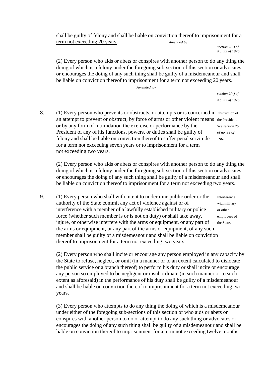shall be guilty of felony and shall be liable on conviction thereof to imprisonment for a term not exceeding 20 years. *Amended by*

*section 2(3) of No. 32 of 1976.*

(2) Every person who aids or abets or conspires with another person to do any thing the doing of which is a felony under the foregoing sub-section of this section or advocates or encourages the doing of any such thing shall be guilty of a misdemeanour and shall be liable on conviction thereof to imprisonment for a term not exceeding 20 years.

*Amended by*

*section 2(4) of No. 32 of 1976.*

**8**.- (1) Every person who prevents or obstructs, or attempts or is concerned in Obstruction of an attempt to prevent or obstruct, by force of arms or other violent means the President. or by any form of intimidation the exercise or performance by the *See section 25* President of any of his functions, powers, or duties shall be guilty of *of no.* 39 of felony and shall be liable on conviction thereof to suffer penal servitude *<sup>1961</sup>* for a term not exceeding seven years or to imprisonment for a term not exceeding two years.

(2) Every person who aids or abets or conspires with another person to do any thing the doing of which is a felony under the foregoing sub-section of this section or advocates or encourages the doing of any such thing shall be guilty of a misdemeanour and shall be liable on conviction thereof to imprisonment for a term not exceeding two years.

**9**.- (1) Every person who shall with intent to undermine public order or the Interference authority of the State commit any act of violence against or of with military interference with a member of a lawfully established military or police or other force (whether such member is or is not on duty) or shall take away, employees of injure, or otherwise interfere with the arms or equipment, or any part of the State. the arms or equipment, or any part of the arms or equipment, of any such member shall be guilty of a misdemeanour and shall be liable on conviction thereof to imprisonment for a term not exceeding two years.

(2) Every person who shall incite or encourage any person employed in any capacity by the State to refuse, neglect, or omit (in a manner or to an extent calculated to dislocate the public service or a branch thereof) to perform his duty or shall incite or encourage any person so employed to be negligent or insubordinate (in such manner or to such extent as aforesaid) in the performance of his duty shall be guilty of a misdemeanour and shall be liable on conviction thereof to imprisonment for a term not exceeding two years.

(3) Every person who attempts to do any thing the doing of which is a misdemeanour under either of the foregoing sub-sections of this section or who aids or abets or conspires with another person to do or attempt to do any such thing or advocates or encourages the doing of any such thing shall be guilty of a misdemeanour and shall be liable on conviction thereof to imprisonment for a term not exceeding twelve months.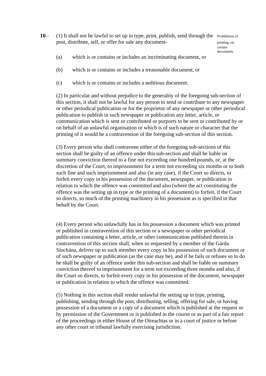**10.**- (1) It shall not be lawful to set up in type, print, publish, send through the Prohibition of post, distribute, sell, or offer for sale any document- printing, etc

certain documents.

- (a) which is or contains or includes an incriminating document, or
- (b) which is or contains or includes a treasonable document, or
- (c) which is or contains or includes a seditious document.

(2) In particular and without prejudice to the generality of the foregoing sub-section of this section, it shall not be lawful for any person to send or contribute to any newspaper or other periodical publication or for the proprietor of any newspaper or other periodical publication to publish in such newspaper or publication any letter, article, or communication which is sent or contributed or purports to be sent or contributed by or on behalf of an unlawful organisation or which is of such nature or character that the printing of it would be a contravention of the foregoing sub-section of this section.

(3) Every person who shall contravene either of the foregoing sub-sections of this section shall be guilty of an offence under this sub-section and shall be liable on summary conviction thereof to a fine not exceeding one hundred pounds, or, at the discretion of the Court, to imprisonment for a term not exceeding six months or to both such fine and such imprisonment and also (in any case), if the Court so directs, to forfeit every copy in his possession of the document, newspaper, or publication in relation to which the offence was committed and also (where the act constituting the offence was the setting up in type or the printing of a document) to forfeit, if the Court so directs, so much of the printing machinery in his possession as is specified in that behalf by the Court.

(4) Every person who unlawfully has in his possession a document which was printed or published in contravention of this section or a newspaper or other periodical publication containing a letter, article, or other communication published therein in contravention of this section shall, when so requested by a member of the Gárda Síochána, deliver up to such member every copy in his possession of such document or of such newspaper or publication (as the case may be), and if he fails or refuses so to do he shall be guilty of an offence under this sub-section and shall be liable on summary conviction thereof to imprisonment for a term not exceeding three months and also, if the Court so directs, to forfeit every copy in his possession of the document, newspaper or publication in relation to which the offence was committed.

(5) Nothing in this section shall render unlawful the setting up in type, printing, publishing, sending through the post, distributing, selling, offering for sale, or having possession of a document or a copy of a document which is published at the request or by permission of the Government or is published in the course or as part of a fair report of the proceedings in either House of the Oireachtas or in a court of justice or before any other court or tribunal lawfully exercising jurisdiction.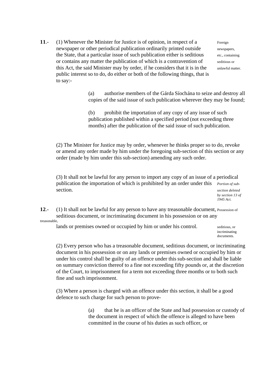**11.-** (1) Whenever the Minister for Justice is of opinion, in respect of a Foreign newspaper or other periodical publication ordinarily printed outside newspapers, the State, that a particular issue of such publication either is seditious etc., containing or contains any matter the publication of which is a contravention of seditious or this Act, the said Minister may by order, if he considers that it is in the unlawful matter. public interest so to do, do either or both of the following things, that is to say:-

(a) authorise members of the Gárda Síochána to seize and destroy all copies of the said issue of such publication wherever they may be found;

(b) prohibit the importation of any copy of any issue of such publication published within a specified period (not exceeding three months) after the publication of the said issue of such publication.

(2) The Minister for Justice may by order, whenever he thinks proper so to do, revoke or amend any order made by him under the foregoing sub-section of this section or any order (made by him under this sub-section) amending any such order.

(3) It shall not be lawful for any person to import any copy of an issue of a periodical publication the importation of which is prohibited by an order under this *Portion of sub*section. *section*.

*by section 13 of 1945 Act.*

**12**.- (1) It shall not be lawful for any person to have any treasonable document, Possession of seditious document, or incriminating document in his possession or on any treasonable,

lands or premises owned or occupied by him or under his control. seditious, or

incriminating documents.

(2) Every person who has a treasonable document, seditious document, or incriminating document in his possession or on any lands or premises owned or occupied by him or under his control shall be guilty of an offence under this sub-section and shall be liable on summary conviction thereof to a fine not exceeding fifty pounds or, at the discretion of the Court, to imprisonment for a term not exceeding three months or to both such fine and such imprisonment.

(3) Where a person is charged with an offence under this section, it shall be a good defence to such charge for such person to prove-

> (a) that he is an officer of the State and had possession or custody of the document in respect of which the offence is alleged to have been committed in the course of his duties as such officer, or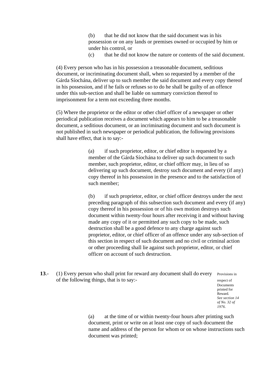(b) that he did not know that the said document was in his possession or on any lands or premises owned or occupied by him or under his control, or

(c) that he did not know the nature or contents of the said document.

(4) Every person who has in his possession a treasonable document, seditious document, or incriminating document shall, when so requested by a member of the Gárda Síochána, deliver up to such member the said document and every copy thereof in his possession, and if he fails or refuses so to do he shall be guilty of an offence under this sub-section and shall be liable on summary conviction thereof to imprisonment for a term not exceeding three months.

(5) Where the proprietor or the editor or other chief officer of a newspaper or other periodical publication receives a document which appears to him to be a treasonable document, a seditious document, or an incriminating document and such document is not published in such newspaper or periodical publication, the following provisions shall have effect, that is to say:-

> (a) if such proprietor, editor, or chief editor is requested by a member of the Gárda Síochána to deliver up such document to such member, such proprietor, editor, or chief officer may, in lieu of so delivering up such document, destroy such document and every (if any) copy thereof in his possession in the presence and to the satisfaction of such member;

(b) if such proprietor, editor, or chief officer destroys under the next preceding paragraph of this subsection such document and every (if any) copy thereof in his possession or of his own motion destroys such document within twenty-four hours after receiving it and without having made any copy of it or permitted any such copy to be made, such destruction shall be a good defence to any charge against such proprietor, editor, or chief officer of an offence under any sub-section of this section in respect of such document and no civil or criminal action or other proceeding shall lie against such proprietor, editor, or chief officer on account of such destruction.

**13.**- (1) Every person who shall print for reward any document shall do every Provisions in of the following things, that is to say:- respect of

Documents printed for Reward. *See section 14 of No. 32 of 1976.*

(a) at the time of or within twenty-four hours after printing such document, print or write on at least one copy of such document the name and address of the person for whom or on whose instructions such document was printed;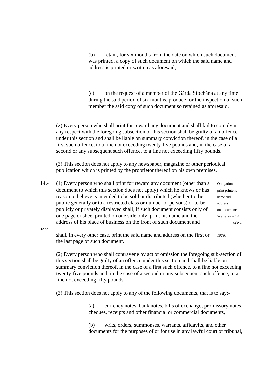(b) retain, for six months from the date on which such document was printed, a copy of such document on which the said name and address is printed or written as aforesaid;

(c) on the request of a member of the Gárda Síochána at any time during the said period of six months, produce for the inspection of such member the said copy of such document so retained as aforesaid.

(2) Every person who shall print for reward any document and shall fail to comply in any respect with the foregoing subsection of this section shall be guilty of an offence under this section and shall be liable on summary conviction thereof, in the case of a first such offence, to a fine not exceeding twenty-five pounds and, in the case of a second or any subsequent such offence, to a fine not exceeding fifty pounds.

(3) This section does not apply to any newspaper, magazine or other periodical publication which is printed by the proprietor thereof on his own premises.

**14.-** (1) Every person who shall print for reward any document (other than a obligation to document to which this section does not apply) which he knows or has print printer's reason to believe is intended to be sold or distributed (whether to the name and public generally or to a restricted class or number of persons) or to be address publicly or privately displayed shall, if such document consists only of on documents one page or sheet printed on one side only, print his name and the *See section 14* address of his place of business on the front of such document and *of No.*

*32 of* 

shall, in every other case, print the said name and address on the first or *1976.* the last page of such document.

(2) Every person who shall contravene by act or omission the foregoing sub-section of this section shall be guilty of an offence under this section and shall be liable on summary conviction thereof, in the case of a first such offence, to a fine not exceeding twenty-five pounds and, in the case of a second or any subsequent such offence, to a fine not exceeding fifty pounds.

(3) This section does not apply to any of the following documents, that is to say:-

(a) currency notes, bank notes, bills of exchange, promissory notes, cheques, receipts and other financial or commercial documents,

(b) writs, orders, summonses, warrants, affidavits, and other documents for the purposes of or for use in any lawful court or tribunal,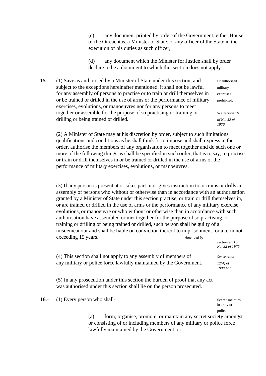(c) any document printed by order of the Government, either House of the Oireachtas, a Minister of State, or any officer of the State in the execution of his duties as such officer,

(d) any document which the Minister for Justice shall by order declare to be a document to which this section does not apply.

**15**.- (1) Save as authorised by a Minister of State under this section, and Unauthorised subject to the exceptions hereinafter mentioned, it shall not be lawful military for any assembly of persons to practise or to train or drill themselves in exercises or be trained or drilled in the use of arms or the performance of military prohibited. exercises, evolutions, or manoeuvres nor for any persons to meet together or assemble for the purpose of so practising or training or *See section 16* drilling or being trained or drilled. *of No. 32 of 1976 .*

(2) A Minister of State may at his discretion by order, subject to such limitations, qualifications and conditions as he shall think fit to impose and shall express in the order, authorise the members of any organisation to meet together and do such one or more of the following things as shall be specified in such order, that is to say, to practise or train or drill themselves in or be trained or drilled in the use of arms or the performance of military exercises, evolutions, or manoeuvres.

(3) If any person is present at or takes part in or gives instruction to or trains or drills an assembly of persons who without or otherwise than in accordance with an authorisation granted by a Minister of State under this section practise, or train or drill themselves in, or are trained or drilled in the use of arms or the performance of any military exercise, evolutions, or manoeuvre or who without or otherwise than in accordance with such authorisation have assembled or met together for the purpose of so practising, or training or drilling or being trained or drilled, such person shall be guilty of a misdemeanour and shall be liable on conviction thereof to imprisonment for a term not exceeding 15 years. *Amended by*

|                                                                                                                                       | section $2(5)$ of<br>No. 32 of 1976.   |
|---------------------------------------------------------------------------------------------------------------------------------------|----------------------------------------|
| (4) This section shall not apply to any assembly of members of<br>any military or police force lawfully maintained by the Government. | See section<br>$12(4)$ of<br>1998 Act. |
| (5) In any prosecution under this section the burden of proof that any act                                                            |                                        |

was authorised under this section shall lie on the person prosecuted.

**16**.- (1) Every person who shall- Secret societies

in army or police.

(a) form, organise, promote, or maintain any secret society amongst or consisting of or including members of any military or police force lawfully maintained by the Government, or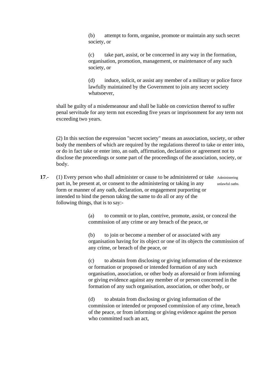(b) attempt to form, organise, promote or maintain any such secret society, or

(c) take part, assist, or be concerned in any way in the formation, organisation, promotion, management, or maintenance of any such society, or

(d) induce, solicit, or assist any member of a military or police force lawfully maintained by the Government to join any secret society whatsoever,

shall be guilty of a misdemeanour and shall be liable on conviction thereof to suffer penal servitude for any term not exceeding five years or imprisonment for any term not exceeding two years.

(2) In this section the expression "secret society" means an association, society, or other body the members of which are required by the regulations thereof to take or enter into, or do in fact take or enter into, an oath, affirmation, declaration or agreement not to disclose the proceedings or some part of the proceedings of the association, society, or body.

**17.**- (1) Every person who shall administer or cause to be administered or take Administering part in, be present at, or consent to the administering or taking in any unlawful oaths. form or manner of any oath, declaration, or engagement purporting or intended to bind the person taking the same to do all or any of the following things, that is to say:-

> (a) to commit or to plan, contrive, promote, assist, or conceal the commission of any crime or any breach of the peace, or

(b) to join or become a member of or associated with any organisation having for its object or one of its objects the commission of any crime, or breach of the peace, or

(c) to abstain from disclosing or giving information of the existence or formation or proposed or intended formation of any such organisation, association, or other body as aforesaid or from informing or giving evidence against any member of or person concerned in the formation of any such organisation, association, or other body, or

(d) to abstain from disclosing or giving information of the commission or intended or proposed commission of any crime, breach of the peace, or from informing or giving evidence against the person who committed such an act,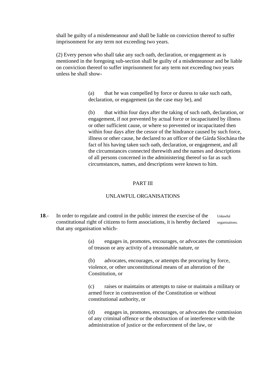shall be guilty of a misdemeanour and shall be liable on conviction thereof to suffer imprisonment for any term not exceeding two years.

(2) Every person who shall take any such oath, declaration, or engagement as is mentioned in the foregoing sub-section shall be guilty of a misdemeanour and be liable on conviction thereof to suffer imprisonment for any term not exceeding two years unless he shall show-

> (a) that he was compelled by force or duress to take such oath, declaration, or engagement (as the case may be), and

(b) that within four days after the taking of such oath, declaration, or engagement, if not prevented by actual force or incapacitated by illness or other sufficient cause, or where so prevented or incapacitated then within four days after the cessor of the hindrance caused by such force, illness or other cause, he declared to an officer of the Gárda Síochána the fact of his having taken such oath, declaration, or engagement, and all the circumstances connected therewith and the names and descriptions of all persons concerned in the administering thereof so far as such circumstances, names, and descriptions were known to him.

#### PART III

#### UNLAWFUL ORGANISATIONS

**18.-** In order to regulate and control in the public interest the exercise of the Unlawful constitutional right of citizens to form associations, it is hereby declared organisations. that any organisation which-

> (a) engages in, promotes, encourages, or advocates the commission of treason or any activity of a treasonable nature, or

(b) advocates, encourages, or attempts the procuring by force, violence, or other unconstitutional means of an alteration of the Constitution, or

(c) raises or maintains or attempts to raise or maintain a military or armed force in contravention of the Constitution or without constitutional authority, or

(d) engages in, promotes, encourages, or advocates the commission of any criminal offence or the obstruction of or interference with the administration of justice or the enforcement of the law, or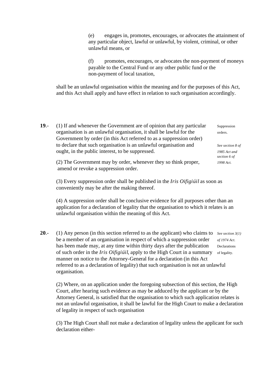(e) engages in, promotes, encourages, or advocates the attainment of any particular object, lawful or unlawful, by violent, criminal, or other unlawful means, or

(f) promotes, encourages, or advocates the non-payment of moneys payable to the Central Fund or any other public fund or the non-payment of local taxation,

shall be an unlawful organisation within the meaning and for the purposes of this Act, and this Act shall apply and have effect in relation to such organisation accordingly.

**19.**- (1) If and whenever the Government are of opinion that any particular Suppression organisation is an unlawful organisation, it shall be lawful for the orders. Government by order (in this Act referred to as a suppression order) to declare that such organisation is an unlawful organisation and *See section 8 of* ought, in the public interest, to be suppressed. *1985 Act and section 6 of* 

(2) The Government may by order, whenever they so think proper, *1998 Act.* amend or revoke a suppression order.

(3) Every suppression order shall be published in the *Iris Oifigiúil* as soon as conveniently may be after the making thereof.

(4) A suppression order shall be conclusive evidence for all purposes other than an application for a declaration of legality that the organisation to which it relates is an unlawful organisation within the meaning of this Act.

**20**.- (1) Any person (in this section referred to as the applicant) who claims to *See section 3(1)* be a member of an organisation in respect of which a suppression order *of 1974 Act.* has been made may, at any time within thirty days after the publication Declarations of such order in the *Iris Oifigiúil*, apply to the High Court in a summary of legality. manner on notice to the Attorney-General for a declaration (in this Act referred to as a declaration of legality) that such organisation is not an unlawful organisation.

(2) Where, on an application under the foregoing subsection of this section, the High Court, after hearing such evidence as may be adduced by the applicant or by the Attorney General, is satisfied that the organisation to which such application relates is not an unlawful organisation, it shall be lawful for the High Court to make a declaration of legality in respect of such organisation

(3) The High Court shall not make a declaration of legality unless the applicant for such declaration either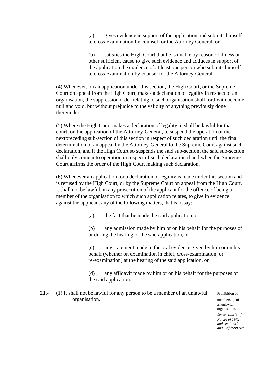(a) gives evidence in support of the application and submits himself to cross-examination by counsel for the Attorney General, or

(b) satisfies the High Court that he is unable by reason of illness or other sufficient cause to give such evidence and adduces in support of the application the evidence of at least one person who submits himself to cross-examination by counsel for the Attorney-General.

(4) Whenever, on an application under this section, the High Court, or the Supreme Court on appeal from the High Court, makes a declaration of legality in respect of an organisation, the suppression order relating to such organisation shall forthwith become null and void, but without prejudice to the validity of anything previously done thereunder.

(5) Where the High Court makes a declaration of legality, it shall be lawful for that court, on the application of the Attorney-General, to suspend the operation of the nextpreceding sub-section of this section in respect of such declaration until the final determination of an appeal by the Attorney-General to the Supreme Court against such declaration, and if the High Court so suspends the said sub-section, the said sub-section shall only come into operation in respect of such declaration if and when the Supreme Court affirms the order of the High Court making such declaration.

(6) Whenever an application for a declaration of legality is made under this section and is refused by the High Court, or by the Supreme Court on appeal from the High Court, it shall not be lawful, in any prosecution of the applicant for the offence of being a member of the organisation to which such application relates, to give in evidence against the applicant any of the following matters, that is to say:-

(a) the fact that he made the said application, or

(b) any admission made by him or on his behalf for the purposes of or during the hearing of the said application, or

(c) any statement made in the oral evidence given by him or on his behalf (whether on examination in chief, cross-examination, or re-examination) at the hearing of the said application, or

(d) any affidavit made by him or on his behalf for the purposes of the said application.

**21.-** (1) It shall not be lawful for any person to be a member of an unlawful Prohibition of organisation. membership of

an unlawful organisation. *See section 3 of*

*No. 26 of 1972 and sections 2 and 3 of 1998 Act.*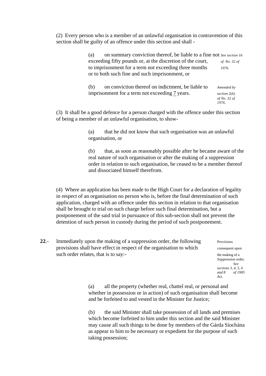(2) Every person who is a member of an unlawful organisation in contravention of this section shall be guilty of an offence under this section and shall -

> (a) on summary conviction thereof, be liable to a fine not *See section 16* exceeding fifty pounds or, at the discretion of the court, *of No. 32 of*  to imprisonment for a term not exceeding three months *1976.*  or to both such fine and such imprisonment, or

(b) on conviction thereof on indictment, be liable to *Amended by* imprisonment for a term not exceeding 7 years. *section* 2(6) *of No. 32 of 1976.*

(3) It shall be a good defence for a person charged with the offence under this section of being a member of an unlawful organisation, to show-

> (a) that he did not know that such organisation was an unlawful organisation, or

(b) that, as soon as reasonably possible after he became aware of the real nature of such organisation or after the making of a suppression order in relation to such organisation, he ceased to be a member thereof and dissociated himself therefrom.

(4) Where an application has been made to the High Court for a declaration of legality in respect of an organisation no person who is, before the final determination of such application, charged with an offence under this section in relation to that organisation shall be brought to trial on such charge before such final determination, but a postponement of the said trial in pursuance of this sub-section shall not prevent the detention of such person in custody during the period of such postponement.

| $22 -$ | Immediately upon the making of a suppression order, the following    | Provisions      |
|--------|----------------------------------------------------------------------|-----------------|
|        | provisions shall have effect in respect of the organisation to which | consequent upon |
|        | such order relates, that is to say:-                                 | the making of a |

Suppression order. *See sections 3, 4, 5, 6 and 8 of 1985 Act.*

(a) all the property (whether real, chattel real, or personal and whether in possession or in action) of such organisation shall become and be forfeited to and vested in the Minister for Justice;

(b) the said Minister shall take possession of all lands and premises which become forfeited to him under this section and the said Minister may cause all such things to be done by members of the Gárda Síochána as appear to him to be necessary or expedient for the purpose of such taking possession;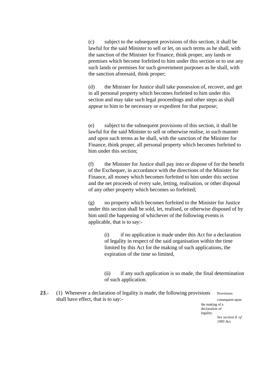(c) subject to the subsequent provisions of this section, it shall be lawful for the said Minister to sell or let, on such terms as he shall, with the sanction of the Minister for Finance, think proper, any lands or premises which become forfeited to him under this section or to use any such lands or premises for such government purposes as he shall, with the sanction aforesaid, think proper;

(d) the Minister for Justice shall take possession of, recover, and get in all personal property which becomes forfeited to him under this section and may take such legal proceedings and other steps as shall appear to him to be necessary or expedient for that purpose;

(e) subject to the subsequent provisions of this section, it shall be lawful for the said Minister to sell or otherwise realise, in such manner and upon such terms as he shall, with the sanction of the Minister for Finance, think proper, all personal property which becomes forfeited to him under this section;

(f) the Minister for Justice shall pay into or dispose of for the benefit of the Exchequer, in accordance with the directions of the Minister for Finance, all money which becomes forfeited to him under this section and the net proceeds of every sale, letting, realisation, or other disposal of any other property which becomes so forfeited;

(g) no property which becomes forfeited to the Minister for Justice under this section shall be sold, let, realised, or otherwise disposed of by him until the happening of whichever of the following events is applicable, that is to say:-

> (i) if no application is made under this Act for a declaration of legality in respect of the said organisation within the time limited by this Act for the making of such applications, the expiration of the time so limited,

(ii) if any such application is so made, the final determination of such application.

**23.**- (1) Whenever a declaration of legality is made, the following provisions Provisions shall have effect, that is to say:-<br>
express that is to say:-

the making of a declaration of legality. *See section 8 of 1985 Act.*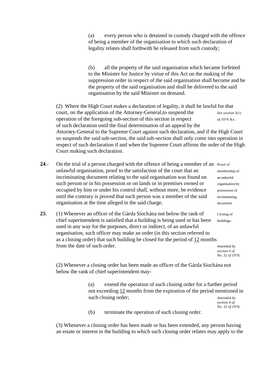(a) every person who is detained in custody charged with the offence of being a member of the organisation to which such declaration of legality relates shall forthwith be released from such custody;

(b) all the property of the said organisation which became forfeited to the Minister for Justice by virtue of this Act on the making of the suppression order in respect of the said organisation shall become and be the property of the said organisation and shall be delivered to the said organisation by the said Minister on demand.

(2) Where the High Court makes a declaration of legality, it shall be lawful for that court, on the application of the Attorney-General,to suspend the *See section 3(1)* operation of the foregoing sub-section of this section in respect *of 1974 Act.* of such declaration until the final determination of an appeal by the Attorney-General to the Supreme Court against such declaration, and if the High Court so suspends the said sub-section, the said sub-section shall only come into operation in respect of such declaration if and when the Supreme Court affirms the order of the High Court making such declaration.

- **24.-** On the trial of a person charged with the offence of being a member of an Proof of unlawful organisation, proof to the satisfaction of the court that an membership of incriminating document relating to the said organisation was found on an unlawful such person or in his possession or on lands or in premises owned or organisation by occupied by him or under his control shall, without more, be evidence possession of until the contrary is proved that such person was a member of the said incriminating organisation at the time alleged in the said charge.
- **25.** (1) Whenever an officer of the Gárda Síochána not below the rank of Closing of chief superintendent is satisfied that a building is being used or has been buildings. used in any way for the purposes, direct or indirect, of an unlawful organisation, such officer may make an order (in this section referred to as a closing order) that such building be closed for the period of 12 months from the date of such order. *Amended by*

*section 4 of No. 32 of 1976.*

(2) Whenever a closing order has been made an officer of the Gárda Síochána not below the rank of chief superintendent may-

> (a) extend the operation of such closing order for a further period not exceeding 12 months from the expiration of the period mentioned in such closing order; *Amended by Amended by*

*section 4 of No. 32 of 1976.*

(b) terminate the operation of such closing order.

(3) Whenever a closing order has been made or has been extended, any person having an estate or interest in the building to which such closing order relates may apply to the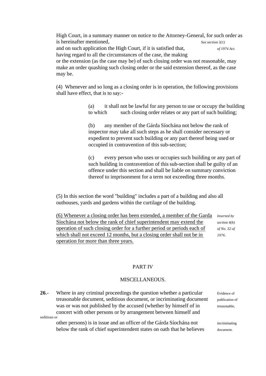High Court, in a summary manner on notice to the Attorney-General, for such order as is hereinafter mentioned, *See section 3(1)* and on such application the High Court, if it is satisfied that, *of 1974 Act.* having regard to all the circumstances of the case, the making or the extension (as the case may be) of such closing order was not reasonable, may make an order quashing such closing order or the said extension thereof, as the case may be.

(4) Whenever and so long as a closing order is in operation, the following provisions shall have effect, that is to say:-

> (a) it shall not be lawful for any person to use or occupy the building to which such closing order relates or any part of such building;

(b) any member of the Gárda Síochána not below the rank of inspector may take all such steps as he shall consider necessary or expedient to prevent such building or any part thereof being used or occupied in contravention of this sub-section;

(c) every person who uses or occupies such building or any part of such building in contravention of this sub-section shall be guilty of an offence under this section and shall be liable on summary conviction thereof to imprisonment for a term not exceeding three months.

(5) In this section the word "building" includes a part of a building and also all outhouses, yards and gardens within the curtilage of the building.

(6) Whenever a closing order has been extended, a member of the Garda *Inserted by* Síochána not below the rank of chief superintendent may extend the *section 4(b)* operation of such closing order for a further period or periods each of *of No. 32 of*  which shall not exceed 12 months, but a closing order shall not be in *1976*. operation for more than three years.

#### PART IV

#### MISCELLANEOUS.

| 26.-         | Where in any criminal proceedings the question whether a particular    | Evidence of    |
|--------------|------------------------------------------------------------------------|----------------|
|              | treasonable document, seditious document, or incriminating document    | publication of |
|              | was or was not published by the accused (whether by himself of in      | treasonable,   |
|              | concert with other persons or by arrangement between himself and       |                |
| seditious or |                                                                        |                |
|              | other persons) is in issue and an officer of the Gárda Síochána not    | incriminating  |
|              | below the rank of chief superintendent states on oath that he believes | document.      |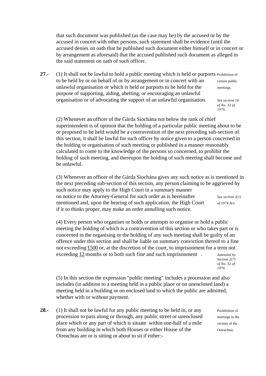that such document was published (as the case may be) by the accused or by the accused in concert with other persons, such statement shall be evidence (until the accused denies on oath that he published such document either himself or in concert or by arrangement as aforesaid) that the accused published such document as alleged in the said statement on oath of such officer.

**27**.- (1) It shall not be lawful to hold a public meeting which is held or purports Prohibition of to be held by or on behalf of or by arrangement or in concert with an certain public unlawful organisation or which is held or purports to be held for the meetings. purpose of supporting, aiding, abetting, or encouraging an unlawful organisation or of advocating the support of an unlawful organisation. *See section 16*

*of No. 32 of 1976.*

(2) Whenever an officer of the Gárda Síochána not below the rank of chief superintendent is of opinion that the holding of a particular public meeting about to be or proposed to be held would be a contravention of the next preceding sub-section of this section, it shall be lawful for such officer by notice given to a person concerned in the holding or organisation of such meeting or published in a manner reasonably calculated to come to the knowledge of the persons so concerned, to prohibit the holding of such meeting, and thereupon the holding of such meeting shall become and be unlawful.

(3) Whenever an officer of the Gárda Síochána gives any such notice as is mentioned in the next preceding sub-section of this section, any person claiming to be aggrieved by such notice may apply to the High Court in a summary manner on notice to the Attorney-General for such order as is hereinafter *See section 3(1)* mentioned and, upon the hearing of such application, the High Court *of 1974 Act.* if it so thinks proper, may make an order annulling such notice.

(4) Every person who organises or holds or attempts to organise or hold a public meeting the holding of which is a contravention of this section or who takes part or is concerned in the organising or the holding of any such meeting shall be guilty of an offence under this section and shall be liable on summary conviction thereof to a fine not exceeding £500 or, at the discretion of the court, to imprisonment for a term not exceeding 12 months or to both such fine and such imprisonment . *Amended by* 

*Section 2(7) of No. 32 of 1976.*

(5) In this section the expression "public meeting" includes a procession and also includes (in addition to a meeting held in a public place or on unenclosed land) a meeting held in a building or on enclosed land to which the public are admitted, whether with or without payment.

**28.**- (1) It shall not be lawful for any public meeting to be held in, or any Prohibition of procession to pass along or through, any public street or unenclosed meetings in the place which or any part of which is situate within one-half of a mile vicinity of the from any building in which both Houses or either House of the Oireachtas. Oireachtas are or is sitting or about to sit if either:-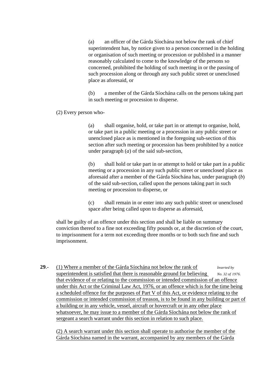(a) an officer of the Gárda Síochána not below the rank of chief superintendent has, by notice given to a person concerned in the holding or organisation of such meeting or procession or published in a manner reasonably calculated to come to the knowledge of the persons so concerned, prohibited the holding of such meeting in or the passing of such procession along or through any such public street or unenclosed place as aforesaid, or

(b) a member of the Gárda Síochána calls on the persons taking part in such meeting or procession to disperse.

(2) Every person who-

(a) shall organise, hold, or take part in or attempt to organise, hold, or take part in a public meeting or a procession in any public street or unenclosed place as is mentioned in the foregoing sub-section of this section after such meeting or procession has been prohibited by a notice under paragraph (*a*) of the said sub-section,

(b) shall hold or take part in or attempt to hold or take part in a public meeting or a procession in any such public street or unenclosed place as aforesaid after a member of the Gárda Síochána has, under paragraph (*b*) of the said sub-section, called upon the persons taking part in such meeting or procession to disperse, or

(c) shall remain in or enter into any such public street or unenclosed space after being called upon to disperse as aforesaid,

shall be guilty of an offence under this section and shall be liable on summary conviction thereof to a fine not exceeding fifty pounds or, at the discretion of the court, to imprisonment for a term not exceeding three months or to both such fine and such imprisonment.

**29**.- (1) Where a member of the Gárda Síochána not below the rank of *Inserted by* superintendent is satisfied that there is reasonable ground for believing *No. 32 of 1976.* that evidence of or relating to the commission or intended commission of an offence under this Act or the Criminal Law Act, 1976, or an offence which is for the time being a scheduled offence for the purposes of Part V of this Act, or evidence relating to the commission or intended commission of treason, is to be found in any building or part of a building or in any vehicle, vessel, aircraft or hovercraft or in any other place whatsoever, he may issue to a member of the Gárda Síochána not below the rank of sergeant a search warrant under this section in relation to such place.

(2) A search warrant under this section shall operate to authorise the member of the Gárda Síochána named in the warrant, accompanied by any members of the Gárda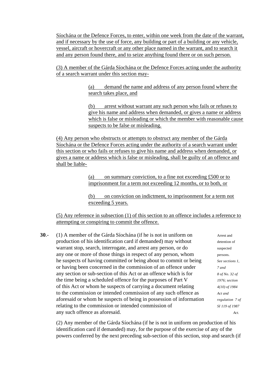Síochána or the Defence Forces, to enter, within one week from the date of the warrant, and if necessary by the use of force, any building or part of a building or any vehicle, vessel, aircraft or hovercraft or any other place named in the warrant, and to search it and any person found there, and to seize anything found there or on such person.

(3) A member of the Gárda Síochána or the Defence Forces acting under the authority of a search warrant under this section may-

> (a) demand the name and address of any person found where the search takes place, and

(b) arrest without warrant any such person who fails or refuses to give his name and address when demanded, or gives a name or address which is false or misleading or which the member with reasonable cause suspects to be false or misleading.

(4) Any person who obstructs or attempts to obstruct any member of the Gárda Síochána or the Defence Forces acting under the authority of a search warrant under this section or who fails or refuses to give his name and address when demanded, or gives a name or address which is false or misleading, shall be guilty of an offence and shall be liable-

> (a) on summary conviction, to a fine not exceeding £500 or to imprisonment for a term not exceeding 12 months, or to both, or

(b) on conviction on indictment, to imprisonment for a term not exceeding 5 years.

(5) Any reference in subsection (1) of this section to an offence includes a reference to attempting or conspiring to commit the offence.

**30.**- (1) A member of the Gárda Síochána (if he is not in uniform on Arrest and production of his identification card if demanded) may without detention of warrant stop, search, interrogate, and arrest any person, or do suspected any one or more of those things in respect of any person, whom persons. he suspects of having committed or being about to commit or being *See sections 1,* or having been concerned in the commission of an offence under *7 and* any section or sub-section of this Act or an offence which is for *8 of No. 32 of*  the time being a scheduled offence for the purposes of Part V *1976; section*  of this Act or whom he suspects of carrying a document relating *4(10) of 1984*  to the commission or intended commission of any such offence as *Act and*  aforesaid or whom he suspects of being in possession of information *regulation 7 of*  relating to the commission or intended commission of *SI 119 of 1987*  any such offence as aforesaid. *Act.* 

(2) Any member of the Gárda Síochána (if he is not in uniform on production of his identification card if demanded) may, for the purpose of the exercise of any of the powers conferred by the next preceding sub-section of this section, stop and search (if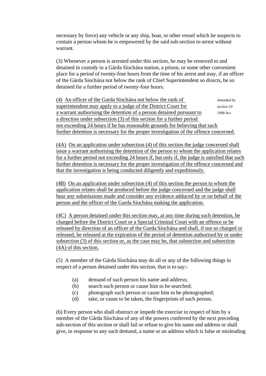necessary by force) any vehicle or any ship, boat, or other vessel which he suspects to contain a person whom he is empowered by the said sub-section to arrest without warrant.

(3) Whenever a person is arrested under this section, he may be removed to and detained in custody in a Gárda Síochána station, a prison, or some other convenient place for a period of twenty-four hours from the time of his arrest and may, if an officer of the Gárda Síochána not below the rank of Chief Superintendent so directs, be so detained for a further period of twenty-four hours.

(4) An officer of the Garda Síochána not below the rank of *Amended by* superintendent may apply to a judge of the District Court for *section 10* a warrant authorising the detention of a person detained pursuant to *1998 Act.* a direction under subsection (3) of this section for a further period not exceeding 24 hours if he has reasonable grounds for believing that such further detention is necessary for the proper investigation of the offence concerned.

(4A) On an application under subsection (4) of this section the judge concerned shall issue a warrant authorising the detention of the person to whom the application relates for a further period not exceeding 24 hours if, but only if, the judge is satisfied that such further detention is necessary for the proper investigation of the offence concerned and that the investigation is being conducted diligently and expeditiously.

(4B) On an application under subsection (4) of this section the person to whom the application relates shall be produced before the judge concerned and the judge shall hear any submissions made and consider any evidence adduced by or on behalf of the person and the officer of the Garda Síochána making the application.

(4C) A person detained under this section may, at any time during such detention, be charged before the District Court or a Special Criminal Court with an offence or be released by direction of an officer of the Garda Síochána and shall, if not so charged or released, be released at the expiration of the period of detention authorised by or under subsection (3) of this section or, as the case may be, that subsection and subsection (4A) of this section.

(5) A member of the Gárda Síochána may do all or any of the following things in respect of a person detained under this section, that is to say:-

- (a) demand of such person his name and address;
- (b) search such person or cause him to be searched;
- (c) photograph such person or cause him to be photographed;
- (d) take, or cause to be taken, the fingerprints of such person.

(6) Every person who shall obstruct or impede the exercise in respect of him by a member of the Gárda Síochána of any of the powers conferred by the next preceding sub-section of this section or shall fail or refuse to give his name and address or shall give, in response to any such demand, a name or an address which is false or misleading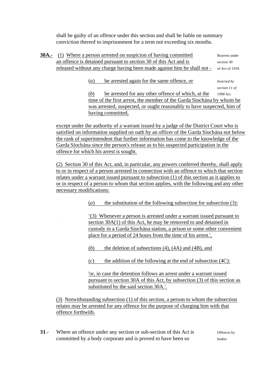shall be guilty of an offence under this section and shall be liable on summary conviction thereof to imprisonment for a term not exceeding six months.

| <b>30A.</b> (1) Where a person arrested on suspicion of having committed                | Rearrest under |
|-----------------------------------------------------------------------------------------|----------------|
| an offence is detained pursuant to section 30 of this Act and is                        | section 30     |
| released without any charge having been made against him he shall not - of Act of 1939. |                |

(*a*) be arrested again for the same offence, or *Inserted by*

*section 11 of*

(*b*) be arrested for any other offence of which, at the *1998 Act.* time of the first arrest, the member of the Garda Síochána by whom he was arrested, suspected, or ought reasonably to have suspected, him of having committed,

except under the authority of a warrant issued by a judge of the District Court who is satisfied on information supplied on oath by an officer of the Garda Síochána not below the rank of superintendent that further information has come to the knowledge of the Garda Síochána since the person's release as to his suspected participation in the offence for which his arrest is sought.

(2) Section 30 of this Act, and, in particular, any powers conferred thereby, shall apply to or in respect of a person arrested in connection with an offence to which that section relates under a warrant issued pursuant to subsection (1) of this section as it applies to or in respect of a person to whom that section applies, with the following and any other necessary modifications:

(*a*) the substitution of the following subsection for subsection (3):

'(3) Whenever a person is arrested under a warrant issued pursuant to section 30A(1) of this Act, he may be removed to and detained in custody in a Garda Síochána station, a prison or some other convenient place for a period of 24 hours from the time of his arrest.',

(*b*) the deletion of subsections (4), (4A) and (4B), and

 $(c)$  the addition of the following at the end of subsection  $(4C)$ :

'or, in case the detention follows an arrest under a warrant issued pursuant to section 30A of this Act, by subsection (3) of this section as substituted by the said section 30A.'.

(3) Notwithstanding subsection (1) of this section, a person to whom the subsection relates may be arrested for any offence for the purpose of charging him with that offence forthwith.

**31.-** Where an offence under any section or sub-section of this Act is offences by committed by a body corporate and is proved to have been so bodies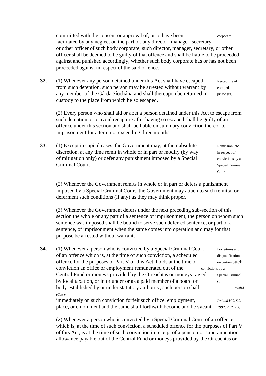committed with the consent or approval of, or to have been corporate. facilitated by any neglect on the part of, any director, manager, secretary, or other officer of such body corporate, such director, manager, secretary, or other officer shall be deemed to be guilty of that offence and shall be liable to be proceeded against and punished accordingly, whether such body corporate has or has not been proceeded against in respect of the said offence.

**32.**- (1) Whenever any person detained under this Act shall have escaped Re-capture of from such detention, such person may be arrested without warrant by escaped any member of the Gárda Síochána and shall thereupon be returned in prisoners. custody to the place from which he so escaped.

(2) Every person who shall aid or abet a person detained under this Act to escape from such detention or to avoid recapture after having so escaped shall be guilty of an offence under this section and shall be liable on summary conviction thereof to imprisonment for a term not exceeding three months

**33.**- (1) Except in capital cases, the Government may, at their absolute Remission, etc., discretion, at any time remit in whole or in part or modify (by way in respect of of mitigation only) or defer any punishment imposed by a Special convictions by a **Criminal Court.** Special Criminal Court.

Court.

(2) Whenever the Government remits in whole or in part or defers a punishment imposed by a Special Criminal Court, the Government may attach to such remittal or deferment such conditions (if any) as they may think proper.

(3) Whenever the Government defers under the next preceding sub-section of this section the whole or any part of a sentence of imprisonment, the person on whom such sentence was imposed shall be bound to serve such deferred sentence, or part of a sentence, of imprisonment when the same comes into operation and may for that purpose be arrested without warrant.

**34.-** (1) Whenever a person who is convicted by a Special Criminal Court Forfeitures and of an offence which is, at the time of such conviction, a scheduled disqualifications offence for the purposes of Part V of this Act, holds at the time of on certain such conviction an office or employment remunerated out of the convictions by a Central Fund or moneys provided by the Oireachtas or moneys raised Special Criminal by local taxation, or in or under or as a paid member of a board or Court. body established by or under statutory authority, such person shall *Invalid (Cox v.* immediately on such conviction forfeit such office, employment, *Ireland HC, SC,* place, or emolument and the same shall forthwith become and be vacant. *1992, 2 IR 503)*

(2) Whenever a person who is convicted by a Special Criminal Court of an offence which is, at the time of such conviction, a scheduled offence for the purposes of Part V of this Act, is at the time of such conviction in receipt of a pension or superannuation allowance payable out of the Central Fund or moneys provided by the Oireachtas or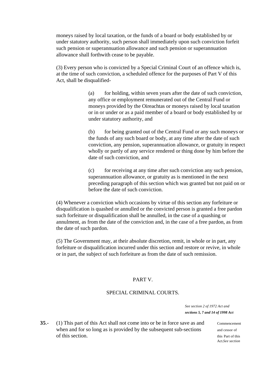moneys raised by local taxation, or the funds of a board or body established by or under statutory authority, such person shall immediately upon such conviction forfeit such pension or superannuation allowance and such pension or superannuation allowance shall forthwith cease to be payable.

(3) Every person who is convicted by a Special Criminal Court of an offence which is, at the time of such conviction, a scheduled offence for the purposes of Part V of this Act, shall be disqualified-

> (a) for holding, within seven years after the date of such conviction, any office or employment remunerated out of the Central Fund or moneys provided by the Oireachtas or moneys raised by local taxation or in or under or as a paid member of a board or body established by or under statutory authority, and

(b) for being granted out of the Central Fund or any such moneys or the funds of any such board or body, at any time after the date of such conviction, any pension, superannuation allowance, or gratuity in respect wholly or partly of any service rendered or thing done by him before the date of such conviction, and

(c) for receiving at any time after such conviction any such pension, superannuation allowance, or gratuity as is mentioned in the next preceding paragraph of this section which was granted but not paid on or before the date of such conviction.

(4) Whenever a conviction which occasions by virtue of this section any forfeiture or disqualification is quashed or annulled or the convicted person is granted a free pardon such forfeiture or disqualification shall be annulled, in the case of a quashing or annulment, as from the date of the conviction and, in the case of a free pardon, as from the date of such pardon.

(5) The Government may, at their absolute discretion, remit, in whole or in part, any forfeiture or disqualification incurred under this section and restore or revive, in whole or in part, the subject of such forfeiture as from the date of such remission.

### PART V.

### SPECIAL CRIMINAL COURTS.

*See section 2 of 1972 Act and sections 5, 7 and 14 of 1998 Act*

**35.-** (1) This part of this Act shall not come into or be in force save as and Commencement when and for so long as is provided by the subsequent sub-sections and cessor of of this section. this part of this Part of this Part of this Part of this Part of this Part of this Part of this Part of this Part of this Part of this Part of this Part of this Part of this Part of this Part of this Part

Act.*See section*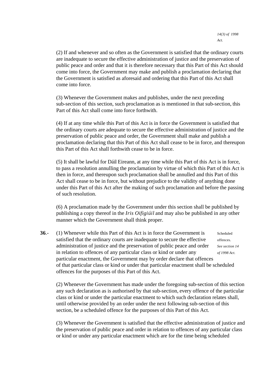(2) If and whenever and so often as the Government is satisfied that the ordinary courts are inadequate to secure the effective administration of justice and the preservation of public peace and order and that it is therefore necessary that this Part of this Act should come into force, the Government may make and publish a proclamation declaring that the Government is satisfied as aforesaid and ordering that this Part of this Act shall come into force.

(3) Whenever the Government makes and publishes, under the next preceding sub-section of this section, such proclamation as is mentioned in that sub-section, this Part of this Act shall come into force forthwith.

(4) If at any time while this Part of this Act is in force the Government is satisfied that the ordinary courts are adequate to secure the effective administration of justice and the preservation of public peace and order, the Government shall make and publish a proclamation declaring that this Part of this Act shall cease to be in force, and thereupon this Part of this Act shall forthwith cease to be in force.

(5) It shall be lawful for Dáil Eireann, at any time while this Part of this Act is in force, to pass a resolution annulling the proclamation by virtue of which this Part of this Act is then in force, and thereupon such proclamation shall be annulled and this Part of this Act shall cease to be in force, but without prejudice to the validity of anything done under this Part of this Act after the making of such proclamation and before the passing of such resolution.

(6) A proclamation made by the Government under this section shall be published by publishing a copy thereof in the *Iris Oifigiúil* and may also be published in any other manner which the Government shall think proper.

**36.**- (1) Whenever while this Part of this Act is in force the Government is scheduled satisfied that the ordinary courts are inadequate to secure the effective offences. administration of justice and the preservation of public peace and order *See section 14* in relation to offences of any particular class or kind or under any *of 1998 Act.* particular enactment, the Government may by order declare that offences of that particular class or kind or under that particular enactment shall be scheduled offences for the purposes of this Part of this Act.

(2) Whenever the Government has made under the foregoing sub-section of this section any such declaration as is authorised by that sub-section, every offence of the particular class or kind or under the particular enactment to which such declaration relates shall, until otherwise provided by an order under the next following sub-section of this section, be a scheduled offence for the purposes of this Part of this Act.

(3) Whenever the Government is satisfied that the effective administration of justice and the preservation of public peace and order in relation to offences of any particular class or kind or under any particular enactment which are for the time being scheduled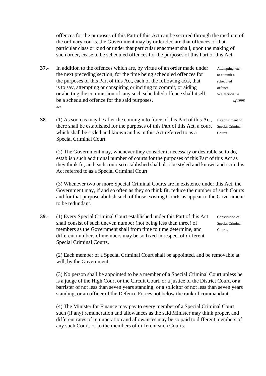offences for the purposes of this Part of this Act can be secured through the medium of the ordinary courts, the Government may by order declare that offences of that particular class or kind or under that particular enactment shall, upon the making of such order, cease to be scheduled offences for the purposes of this Part of this Act.

- **37.-** In addition to the offences which are, by virtue of an order made under Attempting, etc., the next preceding section, for the time being scheduled offences for to commit a the purposes of this Part of this Act, each of the following acts, that scheduled is to say, attempting or conspiring or inciting to commit, or aiding offence. or abetting the commission of, any such scheduled offence shall itself *See section 14* be a scheduled offence for the said purposes. *of 1998 Act*.
- **38.** (1) As soon as may be after the coming into force of this Part of this Act, Establishment of there shall be established for the purposes of this Part of this Act, a court Special Criminal which shall be styled and known and is in this Act referred to as a Courts. Special Criminal Court.

(2) The Government may, whenever they consider it necessary or desirable so to do, establish such additional number of courts for the purposes of this Part of this Act as they think fit, and each court so established shall also be styled and known and is in this Act referred to as a Special Criminal Court.

(3) Whenever two or more Special Criminal Courts are in existence under this Act, the Government may, if and so often as they so think fit, reduce the number of such Courts and for that purpose abolish such of those existing Courts as appear to the Government to be redundant.

**39.-** (1) Every Special Criminal Court established under this Part of this Act Constitution of shall consist of such uneven number (not being less than three) of Special Criminal members as the Government shall from time to time determine, and Courts. different numbers of members may be so fixed in respect of different Special Criminal Courts.

(2) Each member of a Special Criminal Court shall be appointed, and be removable at will, by the Government.

(3) No person shall be appointed to be a member of a Special Criminal Court unless he is a judge of the High Court or the Circuit Court, or a justice of the District Court, or a barrister of not less than seven years standing, or a solicitor of not less than seven years standing, or an officer of the Defence Forces not below the rank of commandant.

(4) The Minister for Finance may pay to every member of a Special Criminal Court such (if any) remuneration and allowances as the said Minister may think proper, and different rates of remuneration and allowances may be so paid to different members of any such Court, or to the members of different such Courts.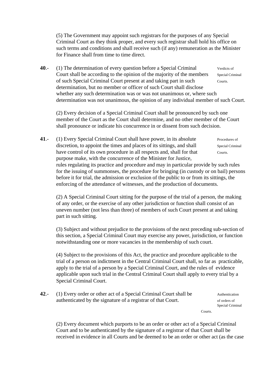(5) The Government may appoint such registrars for the purposes of any Special Criminal Court as they think proper, and every such registrar shall hold his office on such terms and conditions and shall receive such (if any) remuneration as the Minister for Finance shall from time to time direct.

**40.**- (1) The determination of every question before a Special Criminal Verdicts of Court shall be according to the opinion of the majority of the members Special Criminal of such Special Criminal Court present at and taking part in such Courts. determination, but no member or officer of such Court shall disclose whether any such determination was or was not unanimous or, where such determination was not unanimous, the opinion of any individual member of such Court.

(2) Every decision of a Special Criminal Court shall be pronounced by such one member of the Court as the Court shall determine, and no other member of the Court shall pronounce or indicate his concurrence in or dissent from such decision.

**41.**- (1) Every Special Criminal Court shall have power, in its absolute Procedures of discretion, to appoint the times and places of its sittings, and shall Special Criminal have control of its own procedure in all respects and, shall for that Courts. purpose make, with the concurrence of the Minister for Justice, rules regulating its practice and procedure and may in particular provide by such rules for the issuing of summonses, the procedure for bringing (in custody or on bail) persons before it for trial, the admission or exclusion of the public to or from its sittings, the enforcing of the attendance of witnesses, and the production of documents.

(2) A Special Criminal Court sitting for the purpose of the trial of a person, the making of any order, or the exercise of any other jurisdiction or function shall consist of an uneven number (not less than three) of members of such Court present at and taking part in such sitting.

(3) Subject and without prejudice to the provisions of the next preceding sub-section of this section, a Special Criminal Court may exercise any power, jurisdiction, or function notwithstanding one or more vacancies in the membership of such court.

(4) Subject to the provisions of this Act, the practice and procedure applicable to the trial of a person on indictment in the Central Criminal Court shall, so far as practicable, apply to the trial of a person by a Special Criminal Court, and the rules of evidence applicable upon such trial in the Central Criminal Court shall apply to every trial by a Special Criminal Court.

**42.**- (1) Every order or other act of a Special Criminal Court shall be Authentication authenticated by the signature of a registrar of that Court. of orders of orders of Special Criminal

Courts.

(2) Every document which purports to be an order or other act of a Special Criminal Court and to be authenticated by the signature of a registrar of that Court shall be received in evidence in all Courts and be deemed to be an order or other act (as the case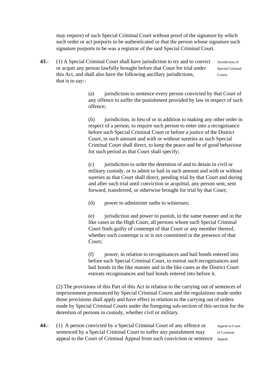may require) of such Special Criminal Court without proof of the signature by which such order or act purports to be authenticated or that the person whose signature such signature purports to be was a registrar of the said Special Criminal Court.

**43.**- (1) A Special Criminal Court shall have jurisdiction to try and to convict Jurisdiction of or acquit any person lawfully brought before that Court for trial under Special Criminal this Act, and shall also have the following ancillary jurisdictions, Courts. that is to say:-

> (a) jurisdiction to sentence every person convicted by that Court of any offence to suffer the punishment provided by law in respect of such offence;

> (b) jurisdiction, in lieu of or in addition to making any other order in respect of a person, to require such person to enter into a recognisance before such Special Criminal Court or before a justice of the District Court, in such amount and with or without sureties as such Special Criminal Court shall direct, to keep the peace and be of good behaviour for such period as that Court shall specify;

> (c) jurisdiction to order the detention of and to detain in civil or military custody, or to admit to bail in such amount and with or without sureties as that Court shall direct, pending trial by that Court and during and after such trial until conviction or acquittal, any person sent, sent forward, transferred, or otherwise brought for trial by that Court;

(d) power to administer oaths to witnesses;

(e) jurisdiction and power to punish, in the same manner and in the like cases as the High Court, all persons whom such Special Criminal Court finds guilty of contempt of that Court or any member thereof, whether such contempt is or is not committed in the presence of that Court;

(f) power, in relation to recognisances and bail bonds entered into before such Special Criminal Court, to estreat such recognisances and bail bonds in the like manner and in the like cases as the District Court estreats recognisances and bail bonds entered into before it.

(2) The provisions of this Part of this Act in relation to the carrying out of sentences of imprisonment pronounced by Special Criminal Courts and the regulations made under those provisions shall apply and have effect in relation to the carrying out of orders made by Special Criminal Courts under the foregoing sub-section of this section for the detention of persons in custody, whether civil or military.

44.- (1) A person convicted by a Special Criminal Court of any offence or Appeal to Court sentenced by a Special Criminal Court to suffer any punishment may of Criminal appeal to the Court of Criminal Appeal from such conviction or sentence Appeal.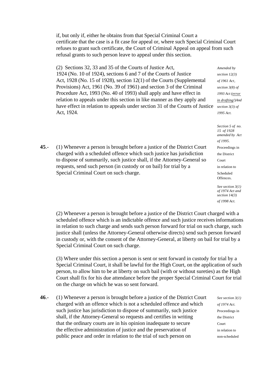if, but only if, either he obtains from that Special Criminal Court a certificate that the case is a fit case for appeal or, where such Special Criminal Court refuses to grant such certificate, the Court of Criminal Appeal on appeal from such refusal grants to such person leave to appeal under this section.

(2) Sections 32, 33 and 35 of the Courts of Justice Act, *Amended by* 1924 (No. 10 of 1924), sections 6 and 7 of the Courts of Justice *section 12(3)* Act, 1928 (No. 15 of 1928), section 12(1) of the Courts (Supplemental *of 1961 Act*, Provisions) Act, 1961 (No. 39 of 1961) and section 3 of the Criminal *section 3(8) of* Procedure Act, 1993 (No. 40 of 1993) shall apply and have effect in *1993 Act (error* relation to appeals under this section in like manner as they apply and *in drafting!)And* have effect in relation to appeals under section 31 of the Courts of Justice *section 3(3) of* Act, 1924. *1995 Act.*

**45.-** (1) Whenever a person is brought before a justice of the District Court Proceedings in charged with a scheduled offence which such justice has jurisdiction the District to dispose of summarily, such justice shall, if the Attorney-General so court requests, send such person (in custody or on bail) for trial by a in relation to Special Criminal Court on such charge. Scheduled

*Section 5 of no.*

*15 of 1928 amended by Act of 1995.* Offences. *See section 3(1) of 1974 Act and*

*section 14(3) of 1998 Act.*

(2) Whenever a person is brought before a justice of the District Court charged with a scheduled offence which is an indictable offence and such justice receives informations in relation to such charge and sends such person forward for trial on such charge, such justice shall (unless the Attorney-General otherwise directs) send such person forward in custody or, with the consent of the Attorney-General, at liberty on bail for trial by a Special Criminal Court on such charge.

(3) Where under this section a person is sent or sent forward in custody for trial by a Special Criminal Court, it shall be lawful for the High Court, on the application of such person, to allow him to be at liberty on such bail (with or without sureties) as the High Court shall fix for his due attendance before the proper Special Criminal Court for trial on the charge on which he was so sent forward.

**46**.- (1) Whenever a person is brought before a justice of the District Court *See section 3(1)* charged with an offence which is not a scheduled offence and which *of 1974 Act.* such justice has jurisdiction to dispose of summarily, such justice Proceedings in shall, if the Attorney-General so requests and certifies in writing the District that the ordinary courts are in his opinion inadequate to secure court the effective administration of justice and the preservation of in relation to public peace and order in relation to the trial of such person on non-scheduled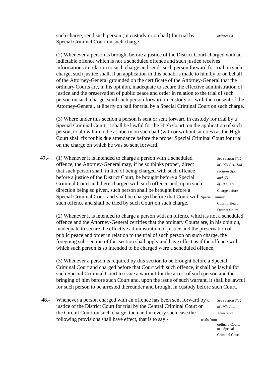such charge, send such person (in custody or on bail) for trial by offences.a Special Criminal Court on such charge.

(2) Whenever a person is brought before a justice of the District Court charged with an indictable offence which is not a scheduled offence and such justice receives informations in relation to such charge and sends such person forward for trial on such charge, such justice shall, if an application in this behalf is made to him by or on behalf of the Attorney-General grounded on the certificate of the Attorney-General that the ordinary Courts are, in his opinion, inadequate to secure the effective administration of justice and the preservation of public peace and order in relation to the trial of such person on such charge, send such person forward in custody or, with the consent of the Attorney-General, at liberty on bail for trial by a Special Criminal Court on such charge.

(3) Where under this section a person is sent or sent forward in custody for trial by a Special Criminal Court, it shall be lawful for the High Court, on the application of such person, to allow him to be at liberty on such bail (with or without sureties) as the High Court shall fix for his due attendance before the proper Special Criminal Court for trial on the charge on which he was so sent forward.

**47**.- (1) Whenever it is intended to charge a person with a scheduled *See section 3(1)* offence, the Attorney-General may, if he so thinks proper, direct *of 1974 Act. And* that such person shall, in lieu of being charged with such offence *sections 3(3)* before a justice of the District Court, be brought before a Special *and (7)* Criminal Court and there charged with such offence and, upon such *of 1998 Act.* direction being so given, such person shall be brought before a Charge before Special Criminal Court and shall be charged before that Court with Special Criminal such offence and shall be tried by such Court on such charge. Court in lieu of District Court

(2) Whenever it is intended to charge a person with an offence which is not a scheduled offence and the Attorney-General certifies that the ordinary Courts are, in his opinion, inadequate to secure the effective administration of justice and the preservation of public peace and order in relation to the trial of such person on such charge, the foregoing sub-section of this section shall apply and have effect as if the offence with which such person is so intended to be charged were a scheduled offence.

(3) Whenever a person is required by this section to be brought before a Special Criminal Court and charged before that Court with such offence, it shall be lawful for such Special Criminal Court to issue a warrant for the arrest of such person and the bringing of him before such Court and, upon the issue of such warrant, it shall be lawful for such person to be arrested thereunder and brought in custody before such Court.

 **48**.- Whenever a person charged with an offence has been sent forward by a *See section 3(1)* justice of the District Court for trial by the Central Criminal Court or *of 1974 Act.* the Circuit Court on such charge, then and in every such case the Transfer of following provisions shall have effect, that is to say:- trials from

ordinary Courts to a Special Criminal Court.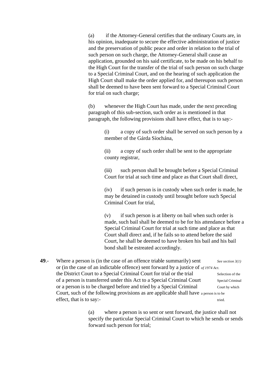(a) if the Attorney-General certifies that the ordinary Courts are, in his opinion, inadequate to secure the effective administration of justice and the preservation of public peace and order in relation to the trial of such person on such charge, the Attorney-General shall cause an application, grounded on his said certificate, to be made on his behalf to the High Court for the transfer of the trial of such person on such charge to a Special Criminal Court, and on the hearing of such application the High Court shall make the order applied for, and thereupon such person shall be deemed to have been sent forward to a Special Criminal Court for trial on such charge;

(b) whenever the High Court has made, under the next preceding paragraph of this sub-section, such order as is mentioned in that paragraph, the following provisions shall have effect, that is to say:-

> (i) a copy of such order shall be served on such person by a member of the Gárda Síochána,

(ii) a copy of such order shall be sent to the appropriate county registrar,

(iii) such person shall be brought before a Special Criminal Court for trial at such time and place as that Court shall direct,

(iv) if such person is in custody when such order is made, he may be detained in custody until brought before such Special Criminal Court for trial,

(v) if such person is at liberty on bail when such order is made, such bail shall be deemed to be for his attendance before a Special Criminal Court for trial at such time and place as that Court shall direct and, if he fails so to attend before the said Court, he shall be deemed to have broken his bail and his bail bond shall be estreated accordingly.

| $49. -$ | Where a person is (in the case of an offence triable summarily) sent                             | See section $3(1)$ |
|---------|--------------------------------------------------------------------------------------------------|--------------------|
|         | or (in the case of an indictable offence) sent forward by a justice of $_{of 1974 \text{ Act.}}$ |                    |
|         | the District Court to a Special Criminal Court for trial or the trial                            | Selection of the   |
|         | of a person is transferred under this Act to a Special Criminal Court                            | Special Criminal   |
|         | or a person is to be charged before and tried by a Special Criminal                              | Court by which     |
|         | Court, such of the following provisions as are applicable shall have a person is to be           |                    |
|         | effect, that is to say:-                                                                         | tried.             |

(a) where a person is so sent or sent forward, the justice shall not specify the particular Special Criminal Court to which he sends or sends forward such person for trial;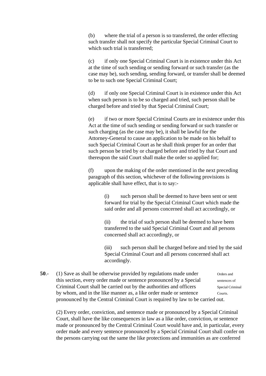(b) where the trial of a person is so transferred, the order effecting such transfer shall not specify the particular Special Criminal Court to which such trial is transferred:

(c) if only one Special Criminal Court is in existence under this Act at the time of such sending or sending forward or such transfer (as the case may be), such sending, sending forward, or transfer shall be deemed to be to such one Special Criminal Court;

(d) if only one Special Criminal Court is in existence under this Act when such person is to be so charged and tried, such person shall be charged before and tried by that Special Criminal Court;

(e) if two or more Special Criminal Courts are in existence under this Act at the time of such sending or sending forward or such transfer or such charging (as the case may be), it shall be lawful for the Attorney-General to cause an application to be made on his behalf to such Special Criminal Court as he shall think proper for an order that such person be tried by or charged before and tried by that Court and thereupon the said Court shall make the order so applied for;

(f) upon the making of the order mentioned in the next preceding paragraph of this section, whichever of the following provisions is applicable shall have effect, that is to say:-

> (i) such person shall be deemed to have been sent or sent forward for trial by the Special Criminal Court which made the said order and all persons concerned shall act accordingly, or

(ii) the trial of such person shall be deemed to have been transferred to the said Special Criminal Court and all persons concerned shall act accordingly, or

(iii) such person shall be charged before and tried by the said Special Criminal Court and all persons concerned shall act accordingly.

**50.**- (1) Save as shall be otherwise provided by regulations made under orders and this section, every order made or sentence pronounced by a Special sentences of Criminal Court shall be carried out by the authorities and officers Special Criminal by whom, and in the like manner as, a like order made or sentence Courts. pronounced by the Central Criminal Court is required by law to be carried out.

(2) Every order, conviction, and sentence made or pronounced by a Special Criminal Court, shall have the like consequences in law as a like order, conviction, or sentence made or pronounced by the Central Criminal Court would have and, in particular, every order made and every sentence pronounced by a Special Criminal Court shall confer on the persons carrying out the same the like protections and immunities as are conferred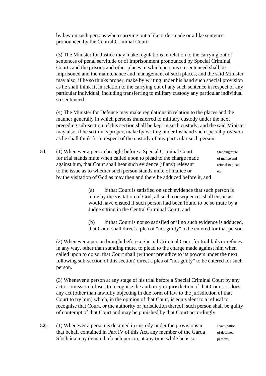by law on such persons when carrying out a like order made or a like sentence pronounced by the Central Criminal Court.

(3) The Minister for Justice may make regulations in relation to the carrying out of sentences of penal servitude or of imprisonment pronounced by Special Criminal Courts and the prisons and other places in which persons so sentenced shall be imprisoned and the maintenance and management of such places, and the said Minister may also, if he so thinks proper, make by writing under his hand such special provision as he shall think fit in relation to the carrying out of any such sentence in respect of any particular individual, including transferring to military custody any particular individual so sentenced.

(4) The Minister for Defence may make regulations in relation to the places and the manner generally in which persons transferred to military custody under the next preceding sub-section of this section shall be kept in such custody, and the said Minister may also, if he so thinks proper, make by writing under his hand such special provision as he shall think fit in respect of the custody of any particular such person.

**51.-** (1) Whenever a person brought before a Special Criminal Court Standing mute for trial stands mute when called upon to plead to the charge made of malice and against him, that Court shall hear such evidence (if any) relevant refusal to plead, to the issue as to whether such person stands mute of malice or etc. by the visitation of God as may then and there be adduced before it, and

> (a) if that Court is satisfied on such evidence that such person is mute by the visitation of God, all such consequences shall ensue as would have ensued if such person had been found to be so mute by a Judge sitting in the Central Criminal Court, and

(b) if that Court is not so satisfied or if no such evidence is adduced, that Court shall direct a plea of "not guilty" to be entered for that person.

(2) Whenever a person brought before a Special Criminal Court for trial fails or refuses in any way, other than standing mute, to plead to the charge made against him when called upon to do so, that Court shall (without prejudice to its powers under the next following sub-section of this section) direct a plea of "not guilty" to be entered for such person.

(3) Whenever a person at any stage of his trial before a Special Criminal Court by any act or omission refuses to recognise the authority or jurisdiction of that Court, or does any act (other than lawfully objecting in due form of law to the jurisdiction of that Court to try him) which, in the opinion of that Court, is equivalent to a refusal to recognise that Court, or the authority or jurisdiction thereof, such person shall be guilty of contempt of that Court and may be punished by that Court accordingly.

**52.**- (1) Whenever a person is detained in custody under the provisions in Examination that behalf contained in Part IV of this Act, any member of the Gárda of detained Síochána may demand of such person, at any time while he is so persons.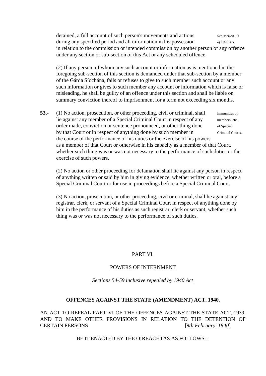detained, a full account of such person's movements and actions *See section 13* during any specified period and all information in his possession *of 1998 Act.* in relation to the commission or intended commission by another person of any offence under any section or sub-section of this Act or any scheduled offence.

(2) If any person, of whom any such account or information as is mentioned in the foregoing sub-section of this section is demanded under that sub-section by a member of the Gárda Síochána, fails or refuses to give to such member such account or any such information or gives to such member any account or information which is false or misleading, he shall be guilty of an offence under this section and shall be liable on summary conviction thereof to imprisonment for a term not exceeding six months.

**53.**- (1) No action, prosecution, or other proceeding, civil or criminal, shall Immunities of lie against any member of a Special Criminal Court in respect of any members, etc., order made, conviction or sentence pronounced, or other thing done of Special by that Court or in respect of anything done by such member in Criminal Courts. the course of the performance of his duties or the exercise of his powers as a member of that Court or otherwise in his capacity as a member of that Court, whether such thing was or was not necessary to the performance of such duties or the exercise of such powers.

(2) No action or other proceeding for defamation shall lie against any person in respect of anything written or said by him in giving evidence, whether written or oral, before a Special Criminal Court or for use in proceedings before a Special Criminal Court.

(3) No action, prosecution, or other proceeding, civil or criminal, shall lie against any registrar, clerk, or servant of a Special Criminal Court in respect of anything done by him in the performance of his duties as such registrar, clerk or servant, whether such thing was or was not necessary to the performance of such duties.

### PART VI.

# POWERS OF INTERNMENT

*Sections 54-59 inclusive repealed by 1940 Act*

# **OFFENCES AGAINST THE STATE (AMENDMENT) ACT, 1940.**

AN ACT TO REPEAL PART VI OF THE OFFENCES AGAINST THE STATE ACT, 1939, AND TO MAKE OTHER PROVISIONS IN RELATION TO THE DETENTION OF CERTAIN PERSONS [9*th February, 1940*]

BE IT ENACTED BY THE OIREACHTAS AS FOLLOWS:-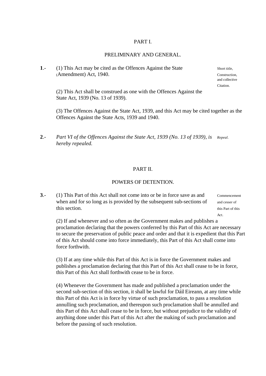### PART I.

# PRELIMINARY AND GENERAL.

**1.**- (1) This Act may be cited as the Offences Against the State Short title, (Amendment) Act, 1940. Construction,

and collective Citation.

(2) This Act shall be construed as one with the Offences Against the State Act, 1939 (No. 13 of 1939).

(3) The Offences Against the State Act, 1939, and this Act may be cited together as the Offences Against the State Acts, 1939 and 1940.

**2**.- *Part VI of the Offences Against the State Act, 1939 (No. 13 of 1939), is Repeal. hereby repealed.*

# PART II.

#### POWERS OF DETENTION.

**3.**- (1) This Part of this Act shall not come into or be in force save as and Commencement when and for so long as is provided by the subsequent sub-sections of and cesser of this section. this part of this Part of this Part of this Part of this Part of this Part of this Part of this Part of this Part of this Part of this Part of this Part of this Part of this Part of this Part of this Part of Act.

(2) If and whenever and so often as the Government makes and publishes a proclamation declaring that the powers conferred by this Part of this Act are necessary to secure the preservation of public peace and order and that it is expedient that this Part of this Act should come into force immediately, this Part of this Act shall come into force forthwith.

(3) If at any time while this Part of this Act is in force the Government makes and publishes a proclamation declaring that this Part of this Act shall cease to be in force, this Part of this Act shall forthwith cease to be in force.

(4) Whenever the Government has made and published a proclamation under the second sub-section of this section, it shall be lawful for Dáil Eireann, at any time while this Part of this Act is in force by virtue of such proclamation, to pass a resolution annulling such proclamation, and thereupon such proclamation shall be annulled and this Part of this Act shall cease to be in force, but without prejudice to the validity of anything done under this Part of this Act after the making of such proclamation and before the passing of such resolution.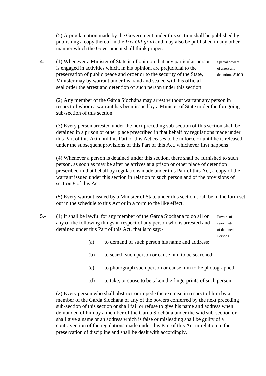(5) A proclamation made by the Government under this section shall be published by publishing a copy thereof in the *Iris Oifigiúil* and may also be published in any other manner which the Government shall think proper.

**4.**- (1) Whenever a Minister of State is of opinion that any particular person special powers is engaged in activities which, in his opinion, are prejudicial to the of arrest and preservation of public peace and order or to the security of the State, detention. such Minister may by warrant under his hand and sealed with his official seal order the arrest and detention of such person under this section.

(2) Any member of the Gárda Síochána may arrest without warrant any person in respect of whom a warrant has been issued by a Minister of State under the foregoing sub-section of this section.

(3) Every person arrested under the next preceding sub-section of this section shall be detained in a prison or other place prescribed in that behalf by regulations made under this Part of this Act until this Part of this Act ceases to be in force or until he is released under the subsequent provisions of this Part of this Act, whichever first happens

(4) Whenever a person is detained under this section, there shall be furnished to such person, as soon as may be after he arrives at a prison or other place of detention prescribed in that behalf by regulations made under this Part of this Act, a copy of the warrant issued under this section in relation to such person and of the provisions of section 8 of this Act.

(5) Every warrant issued by a Minister of State under this section shall be in the form set out in the schedule to this Act or in a form to the like effect.

**5**.- (1) It shall be lawful for any member of the Gárda Síochána to do all or Powers of any of the following things in respect of any person who is arrested and search, etc., detained under this Part of this Act, that is to say:- of detained

Persons.

- (a) to demand of such person his name and address;
- (b) to search such person or cause him to be searched;
- (c) to photograph such person or cause him to be photographed;
- (d) to take, or cause to be taken the fingerprints of such person.

(2) Every person who shall obstruct or impede the exercise in respect of him by a member of the Gárda Síochána of any of the powers conferred by the next preceding sub-section of this section or shall fail or refuse to give his name and address when demanded of him by a member of the Gárda Síochána under the said sub-section or shall give a name or an address which is false or misleading shall be guilty of a contravention of the regulations made under this Part of this Act in relation to the preservation of discipline and shall be dealt with accordingly.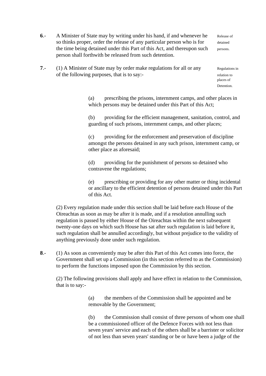- **6.** A Minister of State may by writing under his hand, if and whenever he Release of so thinks proper, order the release of any particular person who is for detained the time being detained under this Part of this Act, and thereupon such persons. person shall forthwith be released from such detention.
- **7.-** (1) A Minister of State may by order make regulations for all or any Regulations in of the following purposes, that is to say:-

places of Detention.

(a) prescribing the prisons, internment camps, and other places in which persons may be detained under this Part of this Act;

(b) providing for the efficient management, sanitation, control, and guarding of such prisons, internment camps, and other places;

(c) providing for the enforcement and preservation of discipline amongst the persons detained in any such prison, internment camp, or other place as aforesaid;

(d) providing for the punishment of persons so detained who contravene the regulations;

(e) prescribing or providing for any other matter or thing incidental or ancillary to the efficient detention of persons detained under this Part of this Act.

(2) Every regulation made under this section shall be laid before each House of the Oireachtas as soon as may be after it is made, and if a resolution annulling such regulation is passed by either House of the Oireachtas within the next subsequent twenty-one days on which such House has sat after such regulation is laid before it, such regulation shall be annulled accordingly, but without prejudice to the validity of anything previously done under such regulation.

**8**.- (1) As soon as conveniently may be after this Part of this Act comes into force, the Government shall set up a Commission (in this section referred to as the Commission) to perform the functions imposed upon the Commission by this section.

(2) The following provisions shall apply and have effect in relation to the Commission, that is to say:-

> (a) the members of the Commission shall be appointed and be removable by the Government;

(b) the Commission shall consist of three persons of whom one shall be a commissioned officer of the Defence Forces with not less than seven years' service and each of the others shall be a barrister or solicitor of not less than seven years' standing or be or have been a judge of the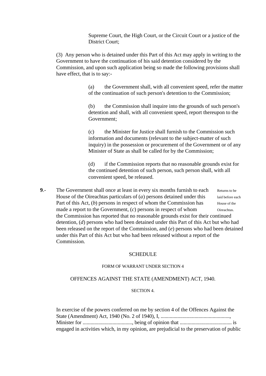Supreme Court, the High Court, or the Circuit Court or a justice of the District Court;

(3) Any person who is detained under this Part of this Act may apply in writing to the Government to have the continuation of his said detention considered by the Commission, and upon such application being so made the following provisions shall have effect, that is to say:-

> (a) the Government shall, with all convenient speed, refer the matter of the continuation of such person's detention to the Commission;

(b) the Commission shall inquire into the grounds of such person's detention and shall, with all convenient speed, report thereupon to the Government;

(c) the Minister for Justice shall furnish to the Commission such information and documents (relevant to the subject-matter of such inquiry) in the possession or procurement of the Government or of any Minister of State as shall be called for by the Commission;

(d) if the Commission reports that no reasonable grounds exist for the continued detention of such person, such person shall, with all convenient speed, be released.

**9.-** The Government shall once at least in every six months furnish to each Returns to be House of the Oireachtas particulars of (*a*) persons detained under this laid before each Part of this Act,  $(b)$  persons in respect of whom the Commission has House of the made a report to the Government,  $(c)$  persons in respect of whom  $Oireachtas$ . the Commission has reported that no reasonable grounds exist for their continued detention, (*d*) persons who had been detained under this Part of this Act but who had been released on the report of the Commission, and (*e*) persons who had been detained under this Part of this Act but who had been released without a report of the Commission.

#### **SCHEDULE**

#### FORM OF WARRANT UNDER SECTION 4

#### OFFENCES AGAINST THE STATE (AMENDMENT) ACT, 1940.

#### SECTION 4.

| In exercise of the powers conferred on me by section 4 of the Offences Against the |                                                                                           |  |  |  |  |
|------------------------------------------------------------------------------------|-------------------------------------------------------------------------------------------|--|--|--|--|
|                                                                                    |                                                                                           |  |  |  |  |
|                                                                                    |                                                                                           |  |  |  |  |
|                                                                                    | engaged in activities which, in my opinion, are prejudicial to the preservation of public |  |  |  |  |